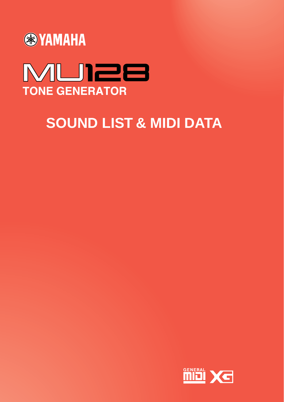



# **SOUND LIST & MIDI DATA**

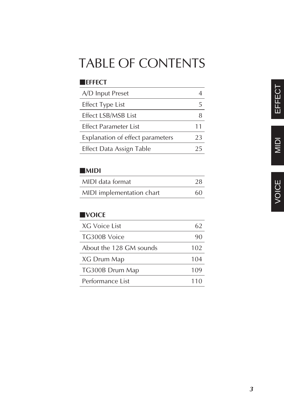# TABLE OF CONTENTS

# m**EFFECT**

| A/D Input Preset                 |    |
|----------------------------------|----|
| <b>Effect Type List</b>          |    |
| <b>Effect LSB/MSB List</b>       |    |
| <b>Effect Parameter List</b>     | 11 |
| Explanation of effect parameters | 23 |
| Effect Data Assign Table         |    |

### m**MIDI**

| MIDI data format          |    |
|---------------------------|----|
| MIDI implementation chart | 60 |

## **NVOICE**

| <b>XG Voice List</b>    | 62  |
|-------------------------|-----|
| TG300B Voice            | 90  |
| About the 128 GM sounds | 102 |
| XG Drum Map             | 104 |
| TG300B Drum Map         | 109 |
| Performance List        | 110 |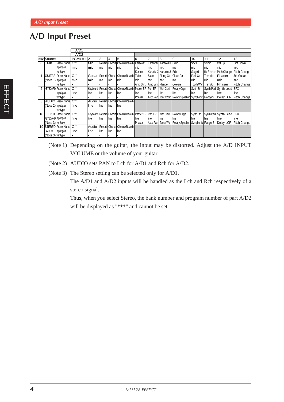# <span id="page-2-0"></span>**A/D Input Preset**

|                |                     |                                 | A/D1         |          |      |                       |                                                    |          |                  |                        |                                                              |                    |             |                           |                 |
|----------------|---------------------|---------------------------------|--------------|----------|------|-----------------------|----------------------------------------------------|----------|------------------|------------------------|--------------------------------------------------------------|--------------------|-------------|---------------------------|-----------------|
|                |                     |                                 | A/D2         |          |      |                       |                                                    |          |                  |                        |                                                              |                    |             |                           |                 |
|                | <b>BANK</b> Source  |                                 | $PGM# = 1 2$ |          | 3    | 4                     | 5                                                  | 6        | 7                | 8                      | 9                                                            | 10                 | 11          | 12                        | 13              |
|                | <b>MIC</b>          | Preset Name Off                 |              | Mic      |      | <b>Reverbl Chorus</b> | Chorus+Reverb   Karaoke1                           |          | Karaoke2         | Karaoke3               | Echo                                                         | Vocal              | Studio      | Oct Up                    | <b>Oct Down</b> |
|                |                     | input gain                      | Imic         | lmic     | mic  | l mic                 | mic                                                | mic.     | mic              | mic                    | mic                                                          | mic                | mic         | mic                       | mic             |
|                |                     | var type                        |              |          |      |                       |                                                    | Karaoke1 |                  | Karaoke2 Karaoke3 Echo |                                                              | Stage1             | HM Enhancer | Pitch Change              | Pitch Change    |
|                |                     | <b>GUITAR Preset Name Off</b>   |              | Guitar   |      |                       | Reverb Chorus Chorus+Reverb Tube                   |          | <b>Stack</b>     | Flang Gtr   Clean Gtr  |                                                              | Funk Gtr           | Tremolo     | Phaser                    | 5th Guitar      |
|                | (Note 1) input gain |                                 | Imic         | mic      | mic  | mic                   | mic                                                | mic.     | mic              | mic                    | mic                                                          | mic                | mic.        | mic                       | mic             |
|                |                     | var type                        |              |          |      |                       |                                                    | Amp Sim. | Amp Sim. Flanger |                        | Celeste                                                      | Touch Wahl Tremolo |             | Phaser                    | Pitch Change    |
| $\overline{2}$ |                     | <b>KEYBOARD Preset Name Off</b> |              | Keyboard |      |                       | Reverb Chorus Chorus+Reverb   Phaser EP            |          | Pan EP           | Wah Clavi              | Rotary Orgn                                                  | Synth Str          |             | Synth Pad Synth Lead      | <b>SFX</b>      |
|                |                     | input gain                      | lline        | l line   | line | l line                | l line                                             | line     | line             | line                   | line                                                         | line               | line        | line                      | line            |
|                |                     | var type                        |              |          |      |                       |                                                    | Phaser   |                  |                        | Auto Pan   Touch Wah   Rotary Speaker   Symphonic   Flanger2 |                    |             | Delay LCR                 | Pitch Change    |
| 3              |                     | <b>AUDIO</b> Preset Name Off    |              | Audio    |      |                       | Reverbl Chorusl Chorus+Reverb                      |          |                  |                        |                                                              |                    |             |                           |                 |
|                | (Note 2) input gain |                                 | lline        | lline    | line | line                  | line                                               |          |                  |                        |                                                              |                    |             |                           |                 |
|                |                     | var type                        |              |          |      |                       |                                                    |          |                  |                        |                                                              |                    |             |                           |                 |
| 18             |                     | STEREO Preset Name Off          |              | Kevboard |      |                       | Reverbl Chorusl Chorus+Reverb   Phaser EP   Pan EP |          |                  | Wah Clavi              | Rotary Orgn                                                  | Synth Str          |             | Synth Padl Synth Lead SFX |                 |
|                | KEYBOARD input gain |                                 | lline        | lline    | line | line                  | line                                               | line     | line             | line                   | line                                                         | line               | line        | line                      | line            |
|                | (Note 3) var type   |                                 |              |          |      |                       |                                                    | Phaser   | Auto Pan         |                        | Touch Wah Rotary Speaker Symphonic Flanger2                  |                    |             | Delay LCR                 | Pitch Change    |
|                |                     | 19 STEREO Preset Name Off       |              | Audio    |      |                       | Reverbl Chorusl Chorus+Reverb                      |          |                  |                        |                                                              |                    |             |                           |                 |
|                |                     | AUDIO   input gain              | lline        | line     | line | line                  | line                                               |          |                  |                        |                                                              |                    |             |                           |                 |
|                | (Note 3) var type   |                                 |              |          |      |                       |                                                    |          |                  |                        |                                                              |                    |             |                           |                 |

(Note 1) Depending on the guitar, the input may be distorted. Adjust the A/D INPUT VOLUME or the volume of your guitar.

- (Note 2) AUDIO sets PAN to Lch for A/D1 and Rch for A/D2.
- (Note 3) The Stereo setting can be selected only for A/D1.

The A/D1 and A/D2 inputs will be handled as the Lch and Rch respectively of a stereo signal.

Thus, when you select Stereo, the bank number and program number of part A/D2 will be displayed as "\*\*\*" and cannot be set.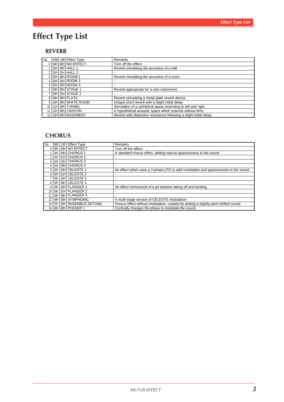# <span id="page-3-0"></span>**Effect Type List**

### **REVERB**

| No. |  | MSB LSB Effect Type        | Remarks                                                             |
|-----|--|----------------------------|---------------------------------------------------------------------|
|     |  | 0 00H 00H NO EFFECT        | Turn off the effect.                                                |
|     |  | $ 01H 00H HALL$ 1          | Reverb simulating the acoustics of a hall.                          |
|     |  | 2   01H   01H   HALL 2     | $\epsilon$                                                          |
|     |  | 3   02H   00H   ROOM 1     | Reverb simulating the acoustics of a room.                          |
|     |  | 4   02H   01H   ROOM 2     | $\overline{\phantom{a}}$                                            |
|     |  | 5 02H 02H ROOM 3           | $\epsilon$                                                          |
|     |  | 6 03H 00H STAGE 1          | Reverb appropriate for a solo instrument.                           |
|     |  | 103H 01H STAGE 2           |                                                                     |
|     |  | 8 04H 00H PLATE            | Reverb simulating a metal plate reverb device.                      |
|     |  | 9   10H   00H   WHITE ROOM | Unique short reverb with a slight initial delay.                    |
|     |  | 10 11H 00H TUNNEL          | Simulation of a cylindrical space extending to left and right.      |
| 11  |  | 12H 00H CANYON             | A hypothetical acoustic space which extends without limit.          |
|     |  | 12   13H   00H   BASEMENT  | Reverb with distinctive resonance following a slight initial delay. |

### **CHORUS**

| l No. |  | MSB   LSB   Effect Type    | Remarks                                                                             |
|-------|--|----------------------------|-------------------------------------------------------------------------------------|
|       |  | 0 00H 00H NO EFFECT        | Turn off the effect.                                                                |
|       |  | 41H 00H CHORUS 1           | A standard chorus effect, adding natural spaciousness to the sound.                 |
|       |  | 41H 01H CHORUS 2           |                                                                                     |
|       |  | 3 41H 02H CHORUS 3         | $\epsilon$                                                                          |
|       |  | 4   41H   08H   CHORUS 4   | $\epsilon$                                                                          |
|       |  | 5   42H   00H   CELESTE 1  | An effect which uses a 3-phase LFO to add modulation and spaciousness to the sound. |
|       |  | 6 42H 01H CELESTE 2        |                                                                                     |
|       |  | 42H 02H CELESTE 3          | $\epsilon$                                                                          |
| 8     |  | 42H   08H CELESTE 4        |                                                                                     |
|       |  | 9 43H 00H FLANGER 1        | An effect reminiscent of a jet airplane taking off and landing.                     |
|       |  | 10 43H 01H FLANGER 2       | $\epsilon$                                                                          |
| 11    |  | 43H 08H FLANGER 3          |                                                                                     |
|       |  | 12 44H 00H SYMPHONIC       | A multi-stage version of CELESTE modulation.                                        |
|       |  | 13 57H 00H ENSEMBLE DETUNE | Chorus effect without modulation, created by adding a slightly pitch-shifted sound. |
|       |  | 14 48H 00H PHASER 1        | Cyclically changes the phase to modulate the sound.                                 |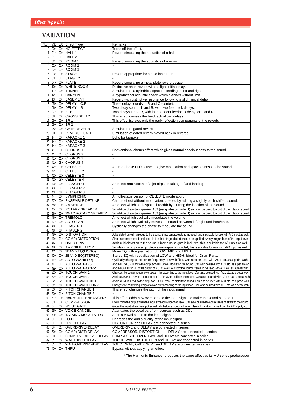### **VARIATION**

| No.<br><b>MSB</b><br>LSB Effect Type                          | Remarks                                                                                                                     |
|---------------------------------------------------------------|-----------------------------------------------------------------------------------------------------------------------------|
|                                                               |                                                                                                                             |
| 0 0H 00H NO EFFECT                                            | Turns off the effect.                                                                                                       |
| 1 01H 00H HALL 1                                              | Reverb simulating the acoustics of a hall.                                                                                  |
| 2 01H 01H HALL 2                                              |                                                                                                                             |
| 00H ROOM 1<br>3 02H                                           | Reverb simulating the acoustics of a room.                                                                                  |
| 01H ROOM 2<br>4 <sup>1</sup><br>02H                           | ,                                                                                                                           |
| 02H ROOM 3                                                    |                                                                                                                             |
| 5 02H                                                         |                                                                                                                             |
| 00H STAGE 1<br>6 03H                                          | Reverb appropriate for a solo instrument.                                                                                   |
| 01H STAGE 2<br>7 <sup>1</sup><br>03H                          |                                                                                                                             |
| 8<br>04H<br>00H PLATE                                         | Reverb simulating a metal plate reverb device.                                                                              |
| 00H WHITE ROOM<br>9<br>10H                                    | Distinctive short reverb with a slight initial delay.                                                                       |
|                                                               |                                                                                                                             |
| 10 <sup>1</sup><br>11H<br>00H TUNNEL                          | Simulation of a cylindrical space extending to left and right.                                                              |
| 00H CANYON<br>12H<br>11                                       | A hypothetical acoustic space which extends without limit.                                                                  |
| 00H BASEMENT<br>12<br>13H                                     | Reverb with distinctive resonance following a slight initial delay.                                                         |
| 05H<br>00H DELAY L,C,R<br>13                                  | Three delay sounds L, R and C (center).                                                                                     |
| 00H DELAY L,R<br>14<br>06H                                    | Two delay sounds L and R, with two feedback delays.                                                                         |
|                                                               |                                                                                                                             |
| 00H ECHO<br>07H<br>15                                         | Two delays L and R, with independent feedback delay for L and R.                                                            |
| 08H<br>00H CROSS DELAY<br>16                                  | This effect crosses the feedback of two delays.                                                                             |
| 09H<br>00H ER 1<br>17                                         | This effect isolates only the early reflection components of the reverb.                                                    |
| 18<br>09H<br>01H ER 2                                         |                                                                                                                             |
| 00H GATE REVERB<br>19                                         |                                                                                                                             |
| 0AH                                                           | Simulation of gated reverb.                                                                                                 |
| 20<br>0BH<br>00H REVERSE GATE                                 | Simulation of gated reverb played back in reverse.                                                                          |
| 14H<br>00H KARAOKE 1<br>21                                    | Echo for karaoke.                                                                                                           |
| 22<br>14H<br>01H KARAOKE 2                                    | $\overline{a}$                                                                                                              |
| 14H<br>02H KARAOKE 3<br>23                                    |                                                                                                                             |
|                                                               |                                                                                                                             |
| 00H CHORUS 1<br>41H<br>24                                     | Conventional chorus effect which gives natural spaciousness to the sound.                                                   |
| 01H CHORUS 2<br>25 41H                                        |                                                                                                                             |
| 02H CHORUS 3<br>26 41H                                        | ×                                                                                                                           |
| 27<br>41H<br>08H CHORUS 4                                     |                                                                                                                             |
| 00H CELESTE 1<br>28<br>42H                                    | A three-phase LFO is used to give modulation and spaciousness to the sound.                                                 |
|                                                               | $\overline{a}$                                                                                                              |
| 01H CELESTE 2<br>29<br>42H                                    |                                                                                                                             |
| 42H<br>30<br>02H CELESTE 3                                    | $\overline{a}$                                                                                                              |
| 31<br>42H<br>08H CELESTE 4                                    |                                                                                                                             |
| 00H FLANGER 1<br>32<br>43H                                    | An effect reminiscent of a jet airplane taking off and landing                                                              |
| 43H<br>01H FLANGER 2<br>33                                    |                                                                                                                             |
|                                                               |                                                                                                                             |
| 08H FLANGER 3<br>43H<br>34                                    |                                                                                                                             |
| 44H<br>00H SYMPHONIC<br>35                                    | A multi-stage version of CELESTE modulation.                                                                                |
| 00H ENSEMBLE DETUNE<br>36<br>57H                              | Chorus effect without modulation, created by adding a slightly pitch-shifted sound.                                         |
| 37<br>58H<br>00H AMBIENCE                                     | An effect which adds spatial breadth by blurring the location of the sound.                                                 |
| 45H<br>00H ROTARY SPEAKER<br>38                               | Simulation of a rotary speaker. AC1 (assignable controller 1) etc. can be used to control the rotation speed                |
|                                                               |                                                                                                                             |
| 00H 2WAY ROTARY SPEAKER<br>39<br>56H                          | Simulation of a rotary speaker. AC1 (assignable controller 1) etc. can be used to control the rotation speed                |
| 46H<br>00H TREMOLO<br>40                                      | An effect which cyclically modulates the volume.                                                                            |
| 47H<br>00H AUTO PAN<br>41                                     | An effect which cyclically moves the sound between left/right and front/back.                                               |
| 48H<br>00H PHASER 1<br>42                                     | Cyclically changes the phase to modulate the sound.                                                                         |
| 48H<br>08H PHASER 2<br>43                                     |                                                                                                                             |
|                                                               |                                                                                                                             |
| 00H DISTORTION<br>44<br>49H                                   | Adds distortion with an edge to the sound. Since a noise gate is included, this is suitable for use with A/D input as well. |
| 45<br>49H<br>01H COMP+DISTORTION                              | Since a compressor is included in the first stage, distortion can be applied evenly, regardless of the input level.         |
| 46<br>4AH<br>00H OVER DRIVE                                   | Adds mild distortion to the sound. Since a noise gate is included, this is suitable for A/D input as well.                  |
| 00H AMP SIMULATOR<br>47<br>4BH                                | Simulation of a guitar amp. Since a noise gate is included, this is suitable for use with A/D input as well.                |
| 00H 3BAND EQ(MONO)<br>48<br>4CH                               | Mono EQ with equalization of LOW, MID and HIGH.                                                                             |
|                                                               |                                                                                                                             |
| 00H 2BAND EQ(STEREO)<br>49<br>4DH                             | Stereo EQ with equalization of LOW and HIGH. Ideal for Drum Parts                                                           |
| 00H AUTO WAH(LFO)<br>4EH<br>50                                | Cyclically changes the center frequency of a wah filter. Can also be used with AC1 etc. as a pedal wah.                     |
| 4EH<br>01H AUTO WAH+DIST<br>51                                | Applies DISTORTION to the output of AUTO WAH to distort the sound. Can also be used with AC1 etc. as a pedal wah.           |
| 02H AUTO WAH+ODRV<br>52<br>4EH                                | Applies OVERDRIVE to the output of AUTO WAH to distort the sound. Can also be used with AC1 etc. as a pedal wah.            |
| 52H<br>00H TOUCH WAH 1<br>53                                  | Changes the center frequency of a wah filter according to the input level. Can also be used with AC1 etc. as a pedal way.   |
| 01H TOUCH WAH 2                                               | Applies DISTORTION to the output of TOUCH WAH to distort the sound. Can also be used with AC1 etc. as a pedal wah           |
| 54<br>52H                                                     |                                                                                                                             |
| 55<br>52H<br>02H TOUCH WAH+DIST                               | Applies OVERDRIVE to the output of TOUCH WAH to distort the sound. Can also be used with AC1 etc. as a pedal wah.           |
| 56<br>52H<br>08H<br>TOUCH WAH+ODRV                            |                                                                                                                             |
| 57   50H   00H   PITCH CHANGE 1                               | Changes the center frequency of a wah filter according to the input level. Can also be used with AC1 etc. as a pedal wah.   |
|                                                               |                                                                                                                             |
|                                                               | This effect changes the pitch of the input signal.                                                                          |
| 58   50H   01H   PITCH CHANGE 2                               |                                                                                                                             |
| 59 51H<br>00H HARMONIC ENHANCER*                              | This effect adds new overtones to the input signal to make the sound stand out.                                             |
| 00H COMPRESSOR<br>60 53H                                      | Holds down the output when the input exceeds a specified level. Can also be used to add a sense of attack to the sound.     |
| 00H NOISE GATE<br>61<br>54H                                   | Gates the input when the input signal falls below a specified level. Useful for cutting noise from the A/D input, etc.      |
| 00H VOICE CANCEL<br>62 55H                                    | Attenuates the vocal part from sources such as CDs.                                                                         |
|                                                               |                                                                                                                             |
| 00H TALKING MODULATOR<br>63   5DH                             | Adds a vowel sound to the input signal.                                                                                     |
| 64 5EH<br>00H LO-FI                                           | Degrades the audio quality of the input signal.                                                                             |
| 00H DIST+DELAY<br>65 5FH                                      | DISTORTION and DELAY are connected in series.                                                                               |
| 66 5FH<br>01H OVERDRIVE+DELAY                                 | OVERDRIVE and DELAY are connected in series.                                                                                |
| 00H COMP+DIST+DELAY<br>67<br>60H                              | COMPRESSOR, DISTORTION and DELAY are connected in series.                                                                   |
|                                                               |                                                                                                                             |
| 68 60H<br>01H COMP+OVERDRIVE+DELAY                            | COMPRESSOR, OVERDRIVE and DELAY are connected in series.                                                                    |
| 69 61H<br>00H WAH+DIST+DELAY                                  | TOUCH WAH, DISTORTION and DELAY are connected in series.                                                                    |
| 70<br>61H<br>01H WAH+OVERDRIVE+DELAY<br>71<br>40H<br>00H THRU | TOUCH WAH, OVERDRIVE and DELAY are connected in series.<br>Bypass without applying an effect.                               |

\* The Harmonic Enhancer produces the same effect as its MU series predecessor.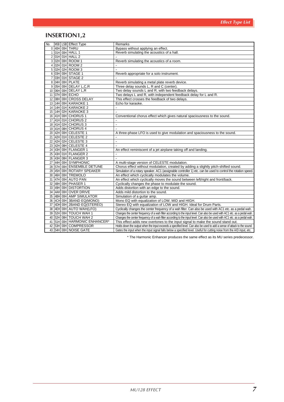### **INSERTION1,2**

| No.<br>MSB LSB Effect Type           | Remarks                                                                                                                   |
|--------------------------------------|---------------------------------------------------------------------------------------------------------------------------|
| 0 40H 00H THRU                       | Bypass without applying an effect.                                                                                        |
| 01H 00H HALL 1<br>1                  | Reverb simulating the acoustics of a hall.                                                                                |
| 2 01H 01H HALL 2                     |                                                                                                                           |
| 3 02H 00H ROOM 1                     | Reverb simulating the acoustics of a room.                                                                                |
| 4 02H 01H ROOM 2                     | $\overline{a}$                                                                                                            |
| 5<br>02H 02H ROOM 3                  | $\overline{a}$                                                                                                            |
| 03H 00H STAGE 1<br>6                 | Reverb appropriate for a solo instrument.                                                                                 |
| 03H 01H STAGE 2<br>7                 |                                                                                                                           |
| 04H 00H PLATE<br>8                   | Reverb simulating a metal plate reverb device.                                                                            |
| 05H 00H DELAY L,C,R<br>9             | Three delay sounds L, R and C (center).                                                                                   |
| 06H 00H DELAY L,R<br>10              | Two delay sounds L and R, with two feedback delays.                                                                       |
| 07H 00H ECHO<br>11                   | Two delays L and R, with independent feedback delay for L and R.                                                          |
| 08H 00H CROSS DELAY<br>12            | This effect crosses the feedback of two delays.                                                                           |
| 14H 00H KARAOKE 1<br>13              | Echo for karaoke.                                                                                                         |
| 14 14H 01H KARAOKE 2                 | $\overline{a}$                                                                                                            |
| 15<br>14H 02H KARAOKE 3              | $\overline{a}$                                                                                                            |
| 41H 00H CHORUS 1<br>16               | Conventional chorus effect which gives natural spaciousness to the sound.                                                 |
| 41H 01H CHORUS 2<br>17               | $\overline{a}$                                                                                                            |
| 41H 02H CHORUS 3<br>18               | $\overline{a}$                                                                                                            |
| 19 41H 08H CHORUS 4                  | $\overline{a}$                                                                                                            |
| 42H 00H CELESTE 1<br>20              | A three-phase LFO is used to give modulation and spaciousness to the sound.                                               |
| 21 42H 01H CELESTE 2                 | $\overline{a}$                                                                                                            |
| $\overline{22}$<br>42H 02H CELESTE 3 | $\tilde{\phantom{a}}$                                                                                                     |
| 42H 08H CELESTE 4<br>23              | $\overline{a}$                                                                                                            |
| 24 43H 00H FLANGER 1                 | An effect reminiscent of a jet airplane taking off and landing.                                                           |
| 25<br>01H FLANGER 2<br>43H           | $\overline{a}$                                                                                                            |
| 26<br>43H 08H FLANGER 3              | $\tilde{\phantom{a}}$                                                                                                     |
| 44H 00H SYMPHONIC<br>27              | A multi-stage version of CELESTE modulation.                                                                              |
| 28<br>57H 00H ENSEMBLE DETUNE        | Chorus effect without modulation, created by adding a slightly pitch-shifted sound.                                       |
| 45H 00H ROTARY SPEAKER<br>29         | Simulation of a rotary speaker. AC1 (assignable controller 1) etc. can be used to control the rotation speed.             |
| 46H 00H TREMOLO<br>30                | An effect which cyclically modulates the volume.                                                                          |
| 31<br>47H 00H AUTO PAN               | An effect which cyclically moves the sound between left/right and front/back.                                             |
| 32<br>48H 00H PHASER 1               | Cyclically changes the phase to modulate the sound.                                                                       |
| 33 49H 00H DISTORTION                | Adds distortion with an edge to the sound.                                                                                |
| 34 4AH 00H OVER DRIVE                | Adds mild distortion to the sound.                                                                                        |
| 35<br>4BH 00H AMP SIMULATOR          | Simulation of a quitar amp.                                                                                               |
| 4CH 00H 3BAND EQ(MONO)<br>36         | Mono EQ with equalization of LOW, MID and HIGH.                                                                           |
| 37 4DH 00H 2BAND EQ(STEREO)          | Stereo EQ with equalization of LOW and HIGH. Ideal for Drum Parts.                                                        |
| 38<br>4EH 00H AUTO WAH(LFO)          | Cyclically changes the center frequency of a wah filter. Can also be used with AC1 etc. as a pedal wah.                   |
| 39 52H 00H TOUCH WAH 1               | Changes the center frequency of a wah filter according to the input level. Can also be used with AC1 etc. as a pedal wah. |
| 52H 08H TOUCH WAH 2<br>40            | Changes the center frequency of a wah filter according to the input level. Can also be used with AC1 etc. as a pedal wah. |
| 41<br>51H 00H HARMONIC ENHANCER*     | This effect adds new overtones to the input signal to make the sound stand out.                                           |
| 42<br>53H 00H COMPRESSOR             | Holds down the output when the input exceeds a specified level. Can also be used to add a sense of attack to the sound.   |
| 43 54H 00H NOISE GATE                | Gates the input when the input signal falls below a specified level. Useful for cutting noise from the A/D input, etc.    |

\* The Harmonic Enhancer produces the same effect as its MU series predecessor.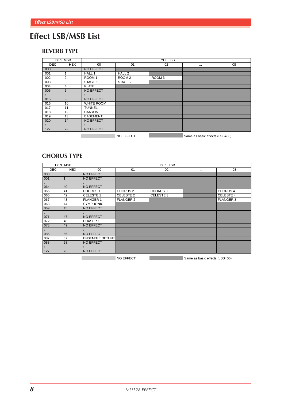# <span id="page-6-0"></span>**Effect LSB/MSB List**

### **REVERB TYPE**

| <b>TYPE MSB</b> |              | <b>TYPE LSB</b>   |                   |                                |          |    |  |  |  |
|-----------------|--------------|-------------------|-------------------|--------------------------------|----------|----|--|--|--|
| <b>DEC</b>      | <b>HEX</b>   | 00                | 01                | 02                             | $\cdots$ | 08 |  |  |  |
| 000             | $\mathbf{0}$ | <b>NO EFFECT</b>  |                   |                                |          |    |  |  |  |
| 001             | 1            | <b>HALL 1</b>     | HALL <sub>2</sub> |                                |          |    |  |  |  |
| 002             | 2            | ROOM <sub>1</sub> | ROOM <sub>2</sub> | ROOM <sub>3</sub>              |          |    |  |  |  |
| 003             | 3            | STAGE 1           | STAGE 2           |                                |          |    |  |  |  |
| 004             | 4            | <b>PLATE</b>      |                   |                                |          |    |  |  |  |
| 005             | 5            | <b>NO EFFECT</b>  |                   |                                |          |    |  |  |  |
| ÷               |              |                   |                   |                                |          |    |  |  |  |
| 015             | F            | <b>NO EFFECT</b>  |                   |                                |          |    |  |  |  |
| 016             | 10           | <b>WHITE ROOM</b> |                   |                                |          |    |  |  |  |
| 017             | 11           | <b>TUNNEL</b>     |                   |                                |          |    |  |  |  |
| 018             | 12           | CANYON            |                   |                                |          |    |  |  |  |
| 019             | 13           | <b>BASEMENT</b>   |                   |                                |          |    |  |  |  |
| 020             | 14           | <b>NO EFFECT</b>  |                   |                                |          |    |  |  |  |
| $\cdot$         | ٠            |                   |                   |                                |          |    |  |  |  |
| 127             | 7F           | <b>NO EFFECT</b>  |                   |                                |          |    |  |  |  |
|                 |              | <b>NO EFFECT</b>  |                   | Same as basic effects (LSB=00) |          |    |  |  |  |

**COL** 

# **CHORUS TYPE**

| <b>TYPE MSB</b> |              | <b>TYPE LSB</b>        |                  |                  |          |                     |  |  |  |
|-----------------|--------------|------------------------|------------------|------------------|----------|---------------------|--|--|--|
| <b>DEC</b>      | <b>HEX</b>   | 00                     | 01               | 02               | $\cdots$ | 08                  |  |  |  |
| 000             | $\mathbf{0}$ | <b>NO EFFECT</b>       |                  |                  |          |                     |  |  |  |
| 001             |              | <b>NO EFFECT</b>       |                  |                  |          |                     |  |  |  |
| ÷               |              |                        |                  |                  |          |                     |  |  |  |
| 064             | 40           | <b>NO EFFECT</b>       |                  |                  |          |                     |  |  |  |
| 065             | 41           | CHORUS <sub>1</sub>    | <b>CHORUS 2</b>  | <b>CHORUS 3</b>  |          | CHORUS <sub>4</sub> |  |  |  |
| 066             | 42           | CELESTE 1              | <b>CELESTE 2</b> | <b>CELESTE 3</b> |          | CELESTE 4           |  |  |  |
| 067             | 43           | <b>FLANGER 1</b>       | <b>FLANGER 2</b> |                  |          | <b>FLANGER 3</b>    |  |  |  |
| 068             | 44           | <b>SYMPHONIC</b>       |                  |                  |          |                     |  |  |  |
| 069             | 45           | <b>NO EFFECT</b>       |                  |                  |          |                     |  |  |  |
|                 |              |                        |                  |                  |          |                     |  |  |  |
| 071             | 47           | <b>NO EFFECT</b>       |                  |                  |          |                     |  |  |  |
| 072             | 48           | PHASER 1               |                  |                  |          |                     |  |  |  |
| 073             | 49           | <b>NO EFFECT</b>       |                  |                  |          |                     |  |  |  |
|                 |              |                        |                  |                  |          |                     |  |  |  |
| 086             | 56           | <b>NO EFFECT</b>       |                  |                  |          |                     |  |  |  |
| 087             | 57           | <b>ENSEMBLE DETUNE</b> |                  |                  |          |                     |  |  |  |
| 088             | 58           | <b>NO EFFECT</b>       |                  |                  |          |                     |  |  |  |
|                 |              |                        |                  |                  |          |                     |  |  |  |
| 127             | 7F           | <b>NO EFFECT</b>       |                  |                  |          |                     |  |  |  |

NO EFFECT Same as basic effects (LSB=00)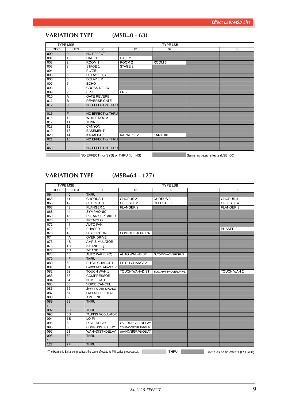### **VARIATION TYPE (MSB=0 - 63)**

| <b>TYPE MSB</b>      |                | <b>TYPE LSB</b>                       |                   |                   |                                |    |  |  |  |
|----------------------|----------------|---------------------------------------|-------------------|-------------------|--------------------------------|----|--|--|--|
| <b>DEC</b>           | <b>HEX</b>     | 00                                    | 01                | 02                | $\cdots$                       | 08 |  |  |  |
| 000                  | $\mathbf{0}$   | <b>NO EFFECT</b>                      |                   |                   |                                |    |  |  |  |
| 001                  | 1              | HALL 1                                | HALL <sub>2</sub> |                   |                                |    |  |  |  |
| 002                  | $\overline{2}$ | ROOM <sub>1</sub>                     | ROOM <sub>2</sub> | ROOM <sub>3</sub> |                                |    |  |  |  |
| 003                  | 3              | STAGE 1                               | STAGE 2           |                   |                                |    |  |  |  |
| 004                  | 4              | <b>PLATE</b>                          |                   |                   |                                |    |  |  |  |
| 005                  | 5              | DELAY L,C,R                           |                   |                   |                                |    |  |  |  |
| 006                  | 6              | DELAY L,R                             |                   |                   |                                |    |  |  |  |
| 007                  | 7              | <b>ECHO</b>                           |                   |                   |                                |    |  |  |  |
| 008                  | 8              | <b>CROSS DELAY</b>                    |                   |                   |                                |    |  |  |  |
| 009                  | 9              | ER <sub>1</sub>                       | ER <sub>2</sub>   |                   |                                |    |  |  |  |
| 010                  | Α              | <b>GATE REVERB</b>                    |                   |                   |                                |    |  |  |  |
| 011                  | B              | <b>REVERSE GATE</b>                   |                   |                   |                                |    |  |  |  |
| 012                  | С              | NO EFFECT or THRU                     |                   |                   |                                |    |  |  |  |
| $\ddot{\phantom{a}}$ |                |                                       |                   |                   |                                |    |  |  |  |
| 015                  | F              | NO EFFECT or THRU                     |                   |                   |                                |    |  |  |  |
| 016                  | 10             | <b>WHITE ROOM</b>                     |                   |                   |                                |    |  |  |  |
| 017                  | 11             | <b>TUNNEL</b>                         |                   |                   |                                |    |  |  |  |
| 018                  | 12             | <b>CANYON</b>                         |                   |                   |                                |    |  |  |  |
| 019                  | 13             | <b>BASEMENT</b>                       |                   |                   |                                |    |  |  |  |
| 020                  | 14             | <b>KARAOKE 1</b>                      | <b>KARAOKE 2</b>  | <b>KARAOKE 3</b>  |                                |    |  |  |  |
| 021                  | 15             | NO EFFECT or THRU                     |                   |                   |                                |    |  |  |  |
| $\blacksquare$       |                |                                       |                   |                   |                                |    |  |  |  |
| 063                  | 3F             | NO EFFECT or THRU                     |                   |                   |                                |    |  |  |  |
|                      |                | NO EFFECT (for SYS) or THRU (for INS) |                   |                   | Same as basic effects (LSB=00) |    |  |  |  |

### **VARIATION TYPE (MSB=64 - 127)**

| <b>TYPE MSB</b> |                                                                                                                                 | <b>TYPE LSB</b>            |                       |                     |  |                     |  |  |  |
|-----------------|---------------------------------------------------------------------------------------------------------------------------------|----------------------------|-----------------------|---------------------|--|---------------------|--|--|--|
| <b>DEC</b>      | <b>HEX</b>                                                                                                                      | 00                         | 01                    | 02                  |  | 08                  |  |  |  |
| 064             | 40                                                                                                                              | <b>THRU</b>                |                       |                     |  |                     |  |  |  |
| 065             | 41                                                                                                                              | <b>CHORUS 1</b>            | <b>CHORUS 2</b>       | CHORUS <sub>3</sub> |  | CHORUS <sub>4</sub> |  |  |  |
| 066             | 42                                                                                                                              | <b>CELESTE 1</b>           | <b>CELESTE 2</b>      | <b>CELESTE 3</b>    |  | <b>CELESTE 4</b>    |  |  |  |
| 067             | 43                                                                                                                              | <b>FLANGER 1</b>           | <b>FLANGER 2</b>      |                     |  | FLANGER 3           |  |  |  |
| 068             | 44                                                                                                                              | <b>SYMPHONIC</b>           |                       |                     |  |                     |  |  |  |
| 069             | 45                                                                                                                              | <b>ROTARY SPEAKER</b>      |                       |                     |  |                     |  |  |  |
| 070             | 46                                                                                                                              | <b>TREMOLO</b>             |                       |                     |  |                     |  |  |  |
| 071             | 47                                                                                                                              | <b>AUTO PAN</b>            |                       |                     |  |                     |  |  |  |
| 072             | 48                                                                                                                              | PHASER 1                   |                       |                     |  | PHASER 2            |  |  |  |
| 073             | 49                                                                                                                              | <b>DISTORTION</b>          | COMP+DISTORTION       |                     |  |                     |  |  |  |
| 074             | 4A                                                                                                                              | <b>OVER DRIVE</b>          |                       |                     |  |                     |  |  |  |
| 075             | 4 <sub>B</sub>                                                                                                                  | <b>AMP SIMULATOR</b>       |                       |                     |  |                     |  |  |  |
| 076             | 4C                                                                                                                              | 3-BAND EQ                  |                       |                     |  |                     |  |  |  |
| 077             | 4D                                                                                                                              | 2-BAND EQ                  |                       |                     |  |                     |  |  |  |
| 078             | 4E                                                                                                                              | <b>AUTO WAH(LFO)</b>       | <b>AUTO WAH+DIST</b>  | AUTO WAH+OVERDRIVE  |  |                     |  |  |  |
| 079             | 4F                                                                                                                              | <b>THRU</b>                |                       |                     |  |                     |  |  |  |
| 080             | 50                                                                                                                              | PITCH CHANGE1              | PITCH CHANGE2         |                     |  |                     |  |  |  |
| 081             | 51                                                                                                                              | HARMONIC ENHANCER*         |                       |                     |  |                     |  |  |  |
| 082             | 52                                                                                                                              | TOUCH WAH 1                | <b>TOUCH WAH+DIST</b> | TOUCH WAH+OVERDRIVE |  | TOUCH WAH 2         |  |  |  |
| 083             | 53                                                                                                                              | <b>COMPRESSOR</b>          |                       |                     |  |                     |  |  |  |
| 084             | 54                                                                                                                              | <b>NOISE GATE</b>          |                       |                     |  |                     |  |  |  |
| 085             | 55                                                                                                                              | <b>VOICE CANCEL</b>        |                       |                     |  |                     |  |  |  |
| 086             | 56                                                                                                                              | <b>2WAY ROTARY SPEAKER</b> |                       |                     |  |                     |  |  |  |
| 087             | 57                                                                                                                              | <b>ENSEMBLE DETUNE</b>     |                       |                     |  |                     |  |  |  |
| 088             | 58                                                                                                                              | <b>AMBIENCE</b>            |                       |                     |  |                     |  |  |  |
| 089             | 59                                                                                                                              | <b>THRU</b>                |                       |                     |  |                     |  |  |  |
|                 |                                                                                                                                 |                            |                       |                     |  |                     |  |  |  |
| 092             | 5C                                                                                                                              | <b>THRU</b>                |                       |                     |  |                     |  |  |  |
| 093             | 5D                                                                                                                              | <b>TALKING MODULATOR</b>   |                       |                     |  |                     |  |  |  |
| 094             | 5E                                                                                                                              | LO-FI                      |                       |                     |  |                     |  |  |  |
| 095             | 5F                                                                                                                              | DIST+DELAY                 | OVERDRIVE+DELAY       |                     |  |                     |  |  |  |
| 096             | 60                                                                                                                              | COMP+DIST+DELAY            | COMP+OVERDRIVE+DELAY  |                     |  |                     |  |  |  |
| 097             | 61                                                                                                                              | WAH+DIST+DELAY             | WAH+OVERDRIVE+DELAY   |                     |  |                     |  |  |  |
| 098             | 62                                                                                                                              | <b>THRU</b>                |                       |                     |  |                     |  |  |  |
|                 |                                                                                                                                 |                            |                       |                     |  |                     |  |  |  |
| 127             | 7F                                                                                                                              | <b>THRU</b>                |                       |                     |  |                     |  |  |  |
|                 | <b>THRU</b><br>* The Harmonic Enhancer produces the same effect as its MU series predecessor.<br>Same as basic effects (LSB=00) |                            |                       |                     |  |                     |  |  |  |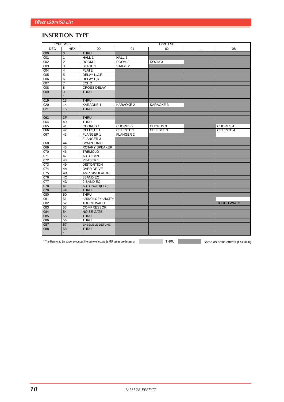### **INSERTION TYPE**

| <b>TYPE MSB</b> |                      | <b>TYPE LSB</b>        |                     |                     |          |                     |  |
|-----------------|----------------------|------------------------|---------------------|---------------------|----------|---------------------|--|
| DEC             | <b>HEX</b>           | 00                     | 01                  | 02                  | $\cdots$ | 08                  |  |
| 000             | $\overline{0}$       | <b>THRU</b>            |                     |                     |          |                     |  |
| 001             | 1                    | <b>HALL 1</b>          | <b>HALL 2</b>       |                     |          |                     |  |
| 002             | $\overline{2}$       | ROOM <sub>1</sub>      | ROOM <sub>2</sub>   | ROOM <sub>3</sub>   |          |                     |  |
| 003             | $\overline{3}$       | STAGE 1                | STAGE <sub>2</sub>  |                     |          |                     |  |
| 004             | $\overline{4}$       | <b>PLATE</b>           |                     |                     |          |                     |  |
| 005             | 5                    | DELAY L,C,R            |                     |                     |          |                     |  |
| 006             | $\overline{6}$       | <b>DELAY L,R</b>       |                     |                     |          |                     |  |
| 007             | $\overline{7}$       | <b>ECHO</b>            |                     |                     |          |                     |  |
| 008             | 8                    | <b>CROSS DELAY</b>     |                     |                     |          |                     |  |
| 009             | 9                    | <b>THRU</b>            |                     |                     |          |                     |  |
| ÷               | ÷                    | ۰                      |                     |                     |          |                     |  |
| 019             | 13                   | <b>THRU</b>            |                     |                     |          |                     |  |
| 020             | 14                   | KARAOKE 1              | <b>KARAOKE 2</b>    | KARAOKE 3           |          |                     |  |
| 021             | 15                   | <b>THRU</b>            |                     |                     |          |                     |  |
| $\cdot$         | $\ddot{\phantom{a}}$ |                        |                     |                     |          |                     |  |
| 063             | 3F                   | <b>THRU</b>            |                     |                     |          |                     |  |
| 064             | 40                   | <b>THRU</b>            |                     |                     |          |                     |  |
| 065             | 41                   | CHORUS <sub>1</sub>    | CHORUS <sub>2</sub> | CHORUS <sub>3</sub> |          | CHORUS <sub>4</sub> |  |
| 066             | 42                   | <b>CELESTE 1</b>       | <b>CELESTE 2</b>    | <b>CELESTE 3</b>    |          | <b>CELESTE 4</b>    |  |
| 067             | 43                   | <b>FLANGER 1</b>       | <b>FLANGER 2</b>    |                     |          |                     |  |
|                 |                      | <b>FLANGER 3</b>       |                     |                     |          |                     |  |
| 068             | 44                   | <b>SYMPHONIC</b>       |                     |                     |          |                     |  |
| 069             | 45                   | <b>ROTARY SPEAKER</b>  |                     |                     |          |                     |  |
| 070             | 46                   | <b>TREMOLO</b>         |                     |                     |          |                     |  |
| 071             | 47                   | <b>AUTO PAN</b>        |                     |                     |          |                     |  |
| 072             | 48                   | PHASER 1               |                     |                     |          |                     |  |
| 073             | 49                   | <b>DISTORTION</b>      |                     |                     |          |                     |  |
| 074             | 4A                   | <b>OVER DRIVE</b>      |                     |                     |          |                     |  |
| 075             | 4B                   | <b>AMP SIMULATOR</b>   |                     |                     |          |                     |  |
| 076             | 4C                   | <b>3BAND EQ</b>        |                     |                     |          |                     |  |
| 077             | 4D                   | 2-BAND EQ              |                     |                     |          |                     |  |
| 078             | 4E                   | <b>AUTO WAH(LFO)</b>   |                     |                     |          |                     |  |
| 079             | 4F                   | <b>THRU</b>            |                     |                     |          |                     |  |
| 080             | 50                   | <b>THRU</b>            |                     |                     |          |                     |  |
| 081             | 51                   | HARMONIC ENHANCER*     |                     |                     |          |                     |  |
| 082             | $\overline{52}$      | <b>TOUCH WAH 1</b>     |                     |                     |          | <b>TOUCH WAH 2</b>  |  |
| 083             | 53                   | <b>COMPRESSOR</b>      |                     |                     |          |                     |  |
| 084             | 54                   | <b>NOISE GATE</b>      |                     |                     |          |                     |  |
| 085             | $\overline{55}$      | <b>THRU</b>            |                     |                     |          |                     |  |
| 086             | 56                   | THRU                   |                     |                     |          |                     |  |
| 087             | 57                   | <b>ENSEMBLE DETUNE</b> |                     |                     |          |                     |  |
| 088             | 58                   | <b>THRU</b>            |                     |                     |          |                     |  |
| ÷               | ÷                    |                        |                     |                     |          |                     |  |

\* The Harmonic Enhancer produces the same effect as its MU series predecessor. THRU Same as basic effects (LSB=00)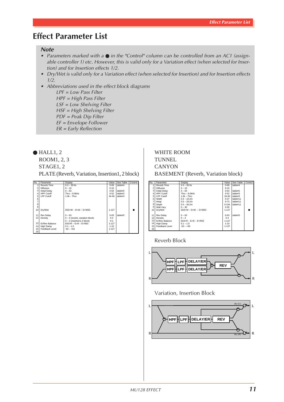# <span id="page-9-0"></span>**Effect Parameter List**

### **Note**

- Parameters marked with a in the "Control" column can be controlled from an AC1 (assignable controller 1) etc. However, this is valid only for a Variation effect (when selected for Insertion) and for Insertion effects 1/2.
- Dry/Wet is valid only for a Variation effect (when selected for Insertion) and for Insertion effects 1/2.
- Abbreviations used in the effect block diagrams

LPF = Low Pass Filter

- HPF = High Pass Filter
- LSF = Low Shelving Filter
- HSF = High Shelving Filter
- PDF = Peak Dip Filter
- EF = Envelope Follower
- ER = Early Reflection

### $\bullet$  HALL1, 2

ROOM1, 2, 3

STAGE1, 2

PLATE (Reverb, Variation, Insertion1, 2 block)

| No. | Parameter             | Display                           | Value     | See Table | Control |
|-----|-----------------------|-----------------------------------|-----------|-----------|---------|
|     | Reverb Time           | $0.3 - 30.0s$                     | $0 - 69$  | table#4   |         |
| 2   | Diffusion             | $0 - 10$                          | $0 - 10$  |           |         |
| 3   | <b>Initial Delay</b>  | $0 - 63$                          | $0 - 63$  | table#5   |         |
| 4   | <b>HPF Cutoff</b>     | $Thru = 8.0kHz$                   | $0 - 52$  | table#3   |         |
| 5   | <b>I PF Cutoff</b>    | $1.0k - Thru$                     | 34-60     | table#3   |         |
| 6   |                       |                                   |           |           |         |
| 7   |                       |                                   |           |           |         |
| 8   |                       |                                   |           |           |         |
| 9   |                       |                                   |           |           |         |
| 10  | Drv/Wet               | $D63 > W - D=W - D5$ W63          | $1 - 127$ |           |         |
|     |                       |                                   |           |           |         |
| 11  | <b>Rev Delay</b>      | $0 - 63$                          | $0 - 63$  | table#5   |         |
| 12  | Density               | $0 - 4$ (reverb, variation block) | $0 - 4$   |           |         |
|     |                       | $0 - 2$ (insertion1,2 block)      | $0 - 2$   |           |         |
| 13  | <b>Fr/Rev Balance</b> | $F63 > R - F = R - F < R63$       | $1 - 127$ |           |         |
| 14  | High Damp             | $0.1 - 1.0$                       | $1 - 10$  |           |         |
| 15  | Feedback Level        | $-63 - +63$                       | $1 - 127$ |           |         |
| 16  |                       |                                   |           |           |         |

### WHITE ROOM **TUNNEL CANYON** BASEMENT (Reverb, Variation block)



Reverb Block



Variation, Insertion Block

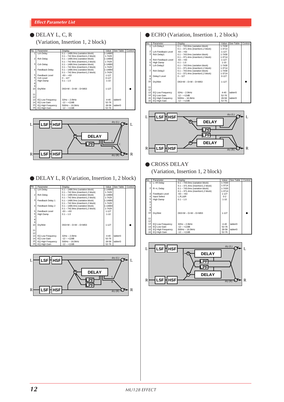### ● DELAY L, C, R

(Variation, Insertion 1, 2 block)

| No.            | Parameter                | Display                             | Value     | See Table | Control |
|----------------|--------------------------|-------------------------------------|-----------|-----------|---------|
|                | Lch Delay                | $0.1 - 1486.0$ ms (variation block) | 1-14860   |           |         |
|                |                          | 0.1 - 742.9ms (insertion1.2 block)  | 1-7429    |           |         |
| $\overline{2}$ | Rch Delay                | 0.1 - 1486.0ms (variation block)    | 1-14860   |           |         |
|                |                          | 0.1 - 742.9ms (insertion1.2 block)  | 1-7429    |           |         |
| 3              | Cch Delay                | 0.1 - 1486.0ms (variation block)    | 1-14860   |           |         |
|                |                          | 0.1 - 742.9ms (insertion1.2 block)  | 1-7429    |           |         |
| 4              | Feedback Delay           | $0.1 - 1486.0$ ms (variation block) | 1-14860   |           |         |
|                |                          | 0.1 - 742.9ms (insertion1.2 block)  | 1-7429    |           |         |
| 5              | Feedback Level           | $-63 - +63$                         | $1 - 127$ |           |         |
| 6              | Cch Level                | $0 - 127$                           | $0 - 127$ |           |         |
| 7              | High Damp                | $0.1 - 1.0$                         | $1 - 10$  |           |         |
| 8              |                          |                                     |           |           |         |
| 9              |                          |                                     |           |           |         |
| 10             | Drv/Wet                  | $D63>W - D=W - D5W63$               | $1 - 127$ |           |         |
|                |                          |                                     |           |           |         |
| 11             |                          |                                     |           |           |         |
| 12             |                          |                                     |           |           |         |
| 13             | EQ Low Frequency         | $32Hz - 2.0kHz$                     | $4 - 40$  | table#3   |         |
| 14             | FO I ow Gain             | $-12 - +12$ dB                      | $52 - 76$ |           |         |
| 15             | <b>EQ High Frequency</b> | $500Hz - 16.0kHz$                   | 28-58     | table#3   |         |
| 16             | EQ High Gain             | $-12 - +12dB$                       | $52 - 76$ |           |         |



### ● DELAY L, R (Variation, Insertion 1, 2 block)

| No.            | Parameter         | Display                               | Value     | See Table | Control |
|----------------|-------------------|---------------------------------------|-----------|-----------|---------|
|                | Lch Delav         | 0.1 - 1486.0ms (variation block)      | 1-14860   |           |         |
|                |                   | 0.1 - 742.9ms (insertion1.2 block)    | 1-7429    |           |         |
| 2              | Rch Delay         | 0.1 - 1486.0ms (variation block)      | 1-14860   |           |         |
|                |                   | $0.1 - 742.9$ ms (insertion1,2 block) | 1-7429    |           |         |
| 3              | Feedback Delay 1  | 0.1 - 1486.0ms (variation block)      | 1-14860   |           |         |
|                |                   | 0.1 - 742.9ms (insertion1.2 block)    | 1-7429    |           |         |
| $\overline{4}$ | Feedback Delay 2  | 0.1 - 1486.0ms (variation block)      | 1-14860   |           |         |
|                |                   | $0.1 - 742.9$ ms (insertion1,2 block) | 1-7429    |           |         |
| 5              | Feedback Level    | $-63 - +63$                           | $1 - 127$ |           |         |
| 6              | High Damp         | $0.1 - 1.0$                           | $1 - 10$  |           |         |
|                |                   |                                       |           |           |         |
| 8              |                   |                                       |           |           |         |
| $\mathbf{q}$   |                   |                                       |           |           |         |
| 10             | Drv/Wet           | $D63>W - D=W - D5W63$                 | $1 - 127$ |           |         |
|                |                   |                                       |           |           |         |
| 11             |                   |                                       |           |           |         |
| 12             |                   |                                       |           |           |         |
| 13             | EQ Low Frequency  | $32Hz - 2.0kHz$                       | $4 - 40$  | table#3   |         |
| 14             | EQ Low Gain       | $-12 - +12$ dB                        | 52-76     |           |         |
| 15             | EQ High Frequency | $500Hz - 16.0kHz$                     | 28-58     | table#3   |         |
| 16             | EQ High Gain      | $-12 - +12dB$                         | 52-76     |           |         |



### ● ECHO (Variation, Insertion 1, 2 block)





### ● CROSS DELAY

(Variation, Insertion 1, 2 block)



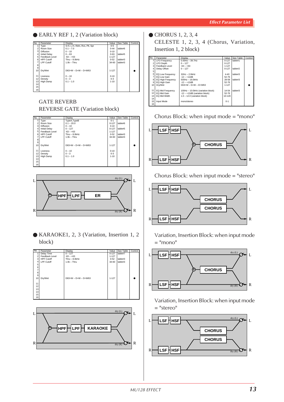● EARLY REF 1, 2 (Variation block)

| No. | Parameter            | Display                      | Value     | See Table | Control |
|-----|----------------------|------------------------------|-----------|-----------|---------|
|     | Type                 | S-H, L-H, Rdm, Rvs, Plt, Spr | $0 - 5$   |           |         |
| 2   | Room Size            | $0.1 - 7.0$                  | $0 - 44$  | table#6   |         |
| 3   | <b>Diffusion</b>     | $0 - 10$                     | $0 - 10$  |           |         |
| 4   | <b>Initial Delay</b> | $0 - 63$                     | $0 - 63$  | table#5   |         |
| 5   | Feedback Level       | $-63 - +63$                  | 1-127     |           |         |
| 6   | <b>HPF Cutoff</b>    | $Thru - 8.0kHz$              | $0 - 52$  | table#3   |         |
| 7   | I PF Cutoff          | $1.0k - Thru$                | 34-60     | table#3   |         |
| 8   |                      |                              |           |           |         |
| 9   |                      |                              |           |           |         |
| 10  | Drv/Wet              | $D63>W - D=W - D< W63$       | $1 - 127$ |           |         |
|     |                      |                              |           |           |         |
| 11  | Liveness             | $0 - 10$                     | $0 - 10$  |           |         |
| 12  | Density              | $0 - 3$                      | $0 - 3$   |           |         |
| 13  | High Damp            | $0.1 - 1.0$                  | $1 - 10$  |           |         |
| 14  |                      |                              |           |           |         |
| 15  |                      |                              |           |           |         |
| 16  |                      |                              |           |           |         |

### GATE REVERB REVERSE GATE (Variation block)





### ● KARAOKE1, 2, 3 (Variation, Insertion 1, 2 block)





 $\bullet$  CHORUS 1, 2, 3, 4 CELESTE 1, 2, 3, 4 (Chorus, Variation, Insertion 1, 2 block)

| No.  | Parameter                | Display                           | Value     | See Table | Control |
|------|--------------------------|-----------------------------------|-----------|-----------|---------|
|      | <b>LFO Frequency</b>     | $0.00Hz - 39.7Hz$                 | $0 - 127$ | table#1   |         |
| 21   | <b>LFO</b> Depth         | $0 - 127$                         | $0 - 127$ |           |         |
| зΙ   | Feedback Level           | $-63 - +63$                       | $1 - 127$ |           |         |
| 4    | Delay Offset             | $0 - 127$                         | $0 - 127$ | table#2   |         |
| 5    |                          |                                   |           |           |         |
| 6    | EQ Low Frequency         | $32Hz - 2.0kHz$                   | $4 - 40$  | table#3   |         |
|      | EQ Low Gain              | $-12 - +12$ dB                    | 52-76     |           |         |
| 8    | <b>EQ High Frequency</b> | $500Hz - 16.0kHz$                 | 28-58     | table#3   |         |
| 91   | EQ High Gain             | $-12 - +12$ dB                    | 52-76     |           |         |
| 10 I | Drv/Wet                  | $D63>W - D=W - D5$ W63            | $1 - 127$ |           |         |
|      |                          |                                   |           |           |         |
| 11   | EQ Mid Frequency         | 100Hz - 10.0kHz (variation block) | 14-54     | table#3   |         |
| 12   | EQ Mid Gain              | $-12 - +12$ dB (variation block)  | 52-76     |           |         |
| 13   | EQ Mid Width             | $1.0 - 12.0$ (variation block)    | 10-120    |           |         |
| 14   |                          |                                   |           |           |         |
| 15   | Input Mode               | mono/stereo                       | $0 - 1$   |           |         |
| 16   |                          |                                   |           |           |         |

### Chorus Block: when input mode = "mono"



Chorus Block: when input mode = "stereo"



Variation, Insertion Block: when input mode  $=$  "mono"



Variation, Insertion Block: when input mode = "stereo"

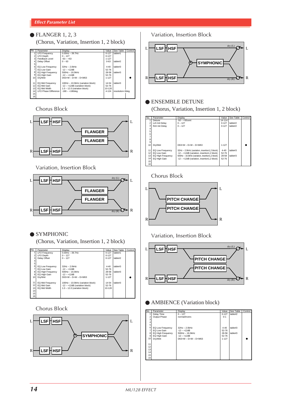### $\bullet$  FLANGER 1, 2, 3

(Chorus, Variation, Insertion 1, 2 block)

| No.             | Parameter                    | Display                           | Value     | See Table        | Control |
|-----------------|------------------------------|-----------------------------------|-----------|------------------|---------|
|                 | <b>LFO Frequency</b>         | $0.00Hz - 39.7Hz$                 | $0 - 127$ | table#1          |         |
| 2               | LFO Depth                    | $0 - 127$                         | $0 - 127$ |                  |         |
| 3               | Feedback Level               | $-63 - +63$                       | $1 - 127$ |                  |         |
|                 | Delay Offset                 | $0 - 63$                          | $0 - 63$  | table#2          |         |
| 5               |                              |                                   |           |                  |         |
| 6               | <b>EQ Low Frequency</b>      | $32Hz - 2.0kHz$                   | $4 - 40$  | table#3          |         |
|                 | FO Low Gain                  | $-12 - +12$ dB                    | $52 - 76$ |                  |         |
| 8               | <b>EQ High Frequency</b>     | $500Hz - 16.0kHz$                 | 28-58     | table#3          |         |
| 9               | EQ High Gain                 | $-12 - +12$ dB                    | $52 - 76$ |                  |         |
| 10              | Drv/Wet                      | $D63>W - D=W - D5$ W63            | $1 - 127$ |                  |         |
|                 |                              |                                   |           |                  |         |
| 11              | EQ Mid Frequency             | 100Hz - 10.0kHz (variation block) | 14-54     | table#3          |         |
| 12              | FO Mid Gain                  | $-12 - +12$ dB (variation block)  | $52 - 76$ |                  |         |
| 13 <sup>1</sup> | FO Mid Width                 | $1.0 - 12.0$ (variation block)    | 10-120    |                  |         |
| 14              | <b>I FO Phase Difference</b> | $-180 - +180$ deg                 | 4-124     | resolution=3deg. |         |
| 15              |                              |                                   |           |                  |         |
| 16              |                              |                                   |           |                  |         |

### Chorus Block



Variation, Insertion Block



### ● SYMPHONIC

(Chorus, Variation, Insertion 1, 2 block)

| No. | Parameter            | Display                           | Value     | See Table | Control |
|-----|----------------------|-----------------------------------|-----------|-----------|---------|
|     | <b>LFO Frequency</b> | $0.00Hz - 39.7Hz$                 | $0 - 127$ | table#1   |         |
| 2   | LFO Depth            | $0 - 127$                         | $0 - 127$ |           |         |
| 3   | Delay Offset         | $0 - 127$                         | $0 - 127$ | table#2   |         |
| 4   |                      |                                   |           |           |         |
| 5   |                      |                                   |           |           |         |
| 6   | EQ Low Frequency     | $32Hz - 2.0kHz$                   | $4 - 40$  | table#3   |         |
| 7   | FO Low Gain          | $-12 - +12$ dB                    | $52 - 76$ |           |         |
| 8   | EQ High Frequency    | $500Hz - 16.0kHz$                 | 28-58     | table#3   |         |
| 9   | EQ High Gain         | $-12 - +12$ dB                    | $52 - 76$ |           |         |
| 10  | Drv/Wet              | $D63>W - D=W - D5$ W63            | $1 - 127$ |           |         |
|     |                      |                                   |           |           |         |
| 11  | EQ Mid Frequency     | 100Hz - 10.0kHz (variation block) | 14-54     | table#3   |         |
| 12  | EQ Mid Gain          | $-12 - +12$ dB (variation block)  | $52 - 76$ |           |         |
| 13  | FO Mid Width         | $1.0 - 12.0$ (variation block)    | 10-120    |           |         |
| 14  |                      |                                   |           |           |         |
| 15  |                      |                                   |           |           |         |
| 16  |                      |                                   |           |           |         |

### Chorus Block



### Variation, Insertion Block



### ● ENSEMBLE DETUNE

(Chorus, Variation, Insertion 1, 2 block)

| No. | Parameter         | Display                                         | Value     | See Table | Control |
|-----|-------------------|-------------------------------------------------|-----------|-----------|---------|
|     | Detune            | $-50 - +50$ cent                                | 14-114    |           |         |
| 2   | Lch Init Delay    | $0 - 127$                                       | $0 - 127$ | table#2   |         |
| 3   | Rch Init Delay    | $0 - 127$                                       | $0 - 127$ | table#2   |         |
| 4   |                   |                                                 |           |           |         |
| 5   |                   |                                                 |           |           |         |
| 6   |                   |                                                 |           |           |         |
| 7   |                   |                                                 |           |           |         |
| 8   |                   |                                                 |           |           |         |
| 9   |                   |                                                 |           |           |         |
| 10  | Drv/Wet           | $D63>W - D=W - D5$ W63                          | $1 - 127$ |           |         |
| 11  | EQ Low Frequency  | 32Hz - 2.0kHz (variation, insertion1.2 block)   | $4 - 40$  | table#3   |         |
| 12  | EQ Low Gain       | -12 - +12dB (variation, insertion1.2 block)     | 52-76     |           |         |
| 13  | EQ High Frequency | 500Hz - 16.0kHz (variation, insertion1.2 block) | 28-58     | table#3   |         |
| 14  | EQ High Gain      | -12 - +12dB (variation, insertion1.2 block)     | 52-76     |           |         |
| 15  |                   |                                                 |           |           |         |
| 16  |                   |                                                 |           |           |         |

### Chorus Block



### Variation, Insertion Block



### ● AMBIENCE (Variation block)

| No.             | Parameter         | Display               | Value     | See Table | Control |
|-----------------|-------------------|-----------------------|-----------|-----------|---------|
|                 | Delay Time        | $0 - 127$             | $0 - 127$ | table#2   |         |
| 2               | Output Phase      | normal/invers         | $0 - 1$   |           |         |
| 3               |                   |                       |           |           |         |
| 4               |                   |                       |           |           |         |
| 5               |                   |                       |           |           |         |
| 6               | EQ Low Frequency  | $32Hz - 2.0kHz$       | $4 - 40$  | table#3   |         |
| 7               | EQ Low Gain       | $-12 - +12dB$         | $52 - 76$ |           |         |
| 8               | EQ High Frequency | $500$ Hz $- 16.0$ kHz | 28-58     | table#3   |         |
| 9               | EQ High Gain      | $-12 - +12dB$         | $52 - 76$ |           |         |
| 10 <sup>1</sup> | Dry/Wet           | $D63>W - D=W - D5$    | $1 - 127$ |           |         |
|                 |                   |                       |           |           |         |
| 11              |                   |                       |           |           |         |
| 12              |                   |                       |           |           |         |
| 13              |                   |                       |           |           |         |
| 14              |                   |                       |           |           |         |
| 15              |                   |                       |           |           |         |
| 16 I            |                   |                       |           |           |         |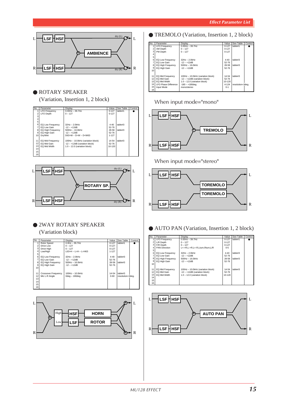**Effect Parameter List**

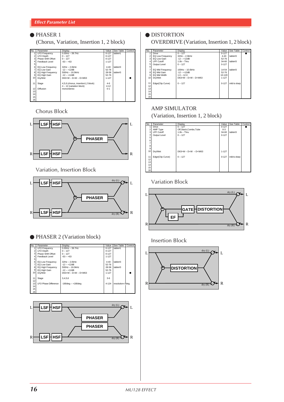### ● PHASER 1

(Chorus, Variation, Insertion 1, 2 block)

| No. | Parameter            | Display                            | Value     | See Table | Control |
|-----|----------------------|------------------------------------|-----------|-----------|---------|
|     | <b>LFO Frequency</b> | $0.00$ Hz $-$ 39.7Hz               | $0 - 127$ | table#1   |         |
| 2   | <b>LFO</b> Depth     | $0 - 127$                          | $0 - 127$ |           |         |
| 3   | Phase Shift Offset   | $0 - 127$                          | $0 - 127$ |           |         |
|     | Feedback Level       | $-63 - +63$                        | $1 - 127$ |           |         |
| 5   |                      |                                    |           |           |         |
| 6   | EQ Low Frequency     | $32Hz - 2.0kHz$                    | $4 - 40$  | table#3   |         |
|     | FO I ow Gain         | $-12 - +12$ dB                     | $52 - 76$ |           |         |
| 8   | EQ High Frequency    | $500Hz - 16.0kHz$                  | 28-58     | table#3   |         |
| 9   | EQ High Gain         | $-12 - +12$ dB                     | $52 - 76$ |           |         |
| 10  | Drv/Wet              | $D63>W - D=W - D5$ W63             | $1 - 127$ |           |         |
|     |                      |                                    |           |           |         |
| 11  | Stage                | 4.5.6 (chorus, insertion1.2 block) | $4 - 6$   |           |         |
|     |                      | 4 - 12 (variation block)           | $4 - 12$  |           |         |
| 12  | Diffusion            | mono/stereo                        | $0 - 1$   |           |         |
| 13  |                      |                                    |           |           |         |
| 14  |                      |                                    |           |           |         |
| 15  |                      |                                    |           |           |         |
| 16  |                      |                                    |           |           |         |

Chorus Block



Variation, Insertion Block



### ● PHASER 2 (Variation block)





### ● DISTORTION

OVERDRIVE (Variation, Insertion 1, 2 block)

| No.             | Parameter               | Display              | Value      | See Table     | Control |
|-----------------|-------------------------|----------------------|------------|---------------|---------|
|                 | Drive                   | $0 - 127$            | $0 - 127$  |               |         |
| 2               | <b>EQ Low Frequency</b> | $32Hz - 2.0kHz$      | $4 - 40$   | table#3       |         |
| 3               | EQ Low Gain             | $-12 - +12dB$        | $52 - 76$  |               |         |
| 4               | <b>I PF Cutoff</b>      | $1.0k - Thru$        | $34 - 60$  | table#3       |         |
| 5               | Output Level            | $0 - 127$            | $0 - 127$  |               |         |
| 6               |                         |                      |            |               |         |
| 7               | EQ Mid Frequency        | $100Hz - 10.0kHz$    | 14-54      | table#3       |         |
| 8               | EQ Mid Gain             | $-12 - +12$ dB       | $52 - 76$  |               |         |
| 9               | EQ Mid Width            | $1.0 - 12.0$         | $10 - 120$ |               |         |
| 10 <sup>1</sup> | Drv/Wet                 | $D63 > W - D=W - D5$ | $1 - 127$  |               |         |
| 11              | Edge(Clip Curve)        | $0 - 127$            | $0 - 127$  | mild to sharp |         |
| 12              |                         |                      |            |               |         |
| 13              |                         |                      |            |               |         |
| 14              |                         |                      |            |               |         |
| 15              |                         |                      |            |               |         |
| 16              |                         |                      |            |               |         |

### AMP SIMULATOR

(Variation, Insertion 1, 2 block)

| No.            | Parameter         | Display                     | Value     | See Table     | Control |
|----------------|-------------------|-----------------------------|-----------|---------------|---------|
|                | Drive             | $0 - 127$                   | $0 - 127$ |               |         |
| $\overline{2}$ | AMP Type          | Off,Stack,Combo,Tube        | $0 - 3$   |               |         |
| 3              | <b>LPF Cutoff</b> | $1.0k - Thru$               | 34-60     | table#3       |         |
| 4              | Output Level      | $0 - 127$                   | $0 - 127$ |               |         |
| 5              |                   |                             |           |               |         |
| 6              |                   |                             |           |               |         |
| 7              |                   |                             |           |               |         |
| 8              |                   |                             |           |               |         |
| 9              |                   |                             |           |               |         |
| 10             | Dry/Wet           | $D63 > W - D = W - D < W63$ | $1 - 127$ |               |         |
| 11             | Edge(Clip Curve)  | $0 - 127$                   | $0 - 127$ | mild to sharp |         |
| 12             |                   |                             |           |               |         |
| 13             |                   |                             |           |               |         |
| 14             |                   |                             |           |               |         |
| 15             |                   |                             |           |               |         |
| 16             |                   |                             |           |               |         |

### Variation Block



### Insertion Block

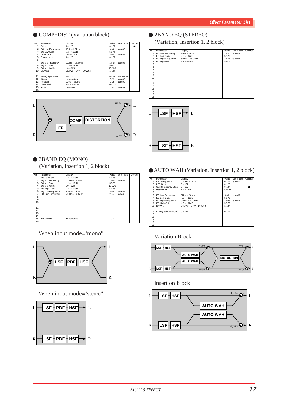$#3$ 

 $#3$  $#3$   $\bullet$ 



 $\mathbf{L}$ 

L

dry (L)

dry (R)

ā

R

R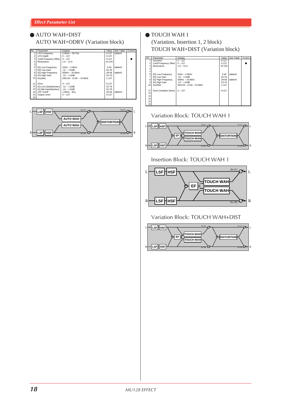



### ● TOUCH WAH 1

(Variation, Insertion 1, 2 block) TOUCH WAH+DIST (Variation block)

| No. | Parameter               | Display                     | Value      | See Table | Control |
|-----|-------------------------|-----------------------------|------------|-----------|---------|
|     | Sensitive               | $0 - 127$                   | $0 - 127$  |           |         |
| 2   | Cutoff Frequency Offset | $0 - 127$                   | $0 - 127$  |           |         |
| 3   | Resonance               | $1.0 - 12.0$                | $10 - 120$ |           |         |
| 4   |                         |                             |            |           |         |
| 5   |                         |                             |            |           |         |
| 6   | EQ Low Frequency        | $32Hz - 2.0kHz$             | $4 - 40$   | table#3   |         |
| 7   | EQ Low Gain             | $-12 - +12$ dB              | $52 - 76$  |           |         |
| 8   | EQ High Frequency       | $500$ Hz $- 16.0$ kHz       | 28-58      | table#3   |         |
| 9   | EQ High Gain            | $-12 - +12$ dB              | $52 - 76$  |           |         |
| 10  | Drv/Wet                 | $D63 > W - D = W - D < W63$ | $1 - 127$  |           |         |
| 11  | Drive (Variation block) | $0 - 127$                   | $0 - 127$  |           |         |
| 12  |                         |                             |            |           |         |
| 13  |                         |                             |            |           |         |
| 14  |                         |                             |            |           |         |
| 15  |                         |                             |            |           |         |
| 16  |                         |                             |            |           |         |





Insertion Block: TOUCH WAH 1



Variation Block: TOUCH WAH+DIST

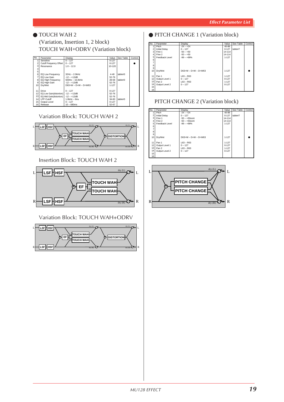### ● TOUCH WAH 2

### (Variation, Insertion 1, 2 block) TOUCH WAH+ODRV (Variation block)

| No.                | Parameter               | Display                | Value     | See Table | Control |
|--------------------|-------------------------|------------------------|-----------|-----------|---------|
|                    | Sensitive               | $0 - 127$              | $0 - 127$ |           |         |
|                    | Cutoff Frequency Offset | $0 - 127$              | $0 - 127$ |           |         |
| 3                  | Resonance               | $1.0 - 12.0$           | 10-120    |           |         |
| 4                  |                         |                        |           |           |         |
| 5                  |                         |                        |           |           |         |
| 6                  | EQ Low Frequency        | $32Hz - 2.0kHz$        | $4 - 40$  | table#3   |         |
|                    | EQ Low Gain             | $-12 - +12$ dB         | $52 - 76$ |           |         |
| 8                  | EQ High Frequency       | $500Hz - 16.0kHz$      | 28-58     | table#3   |         |
| 9                  | EQ High Gain            | $-12 - +12$ dB         | $52 - 76$ |           |         |
| 10                 | Drv/Wet                 | $D63>W - D=W - D5$ W63 | 1-127     |           |         |
|                    |                         |                        |           |           |         |
| 11                 | Drive                   | $0 - 127$              | $0 - 127$ |           |         |
| 12                 | EQ Low Gain(distortion) | $-12 - +12$ dB         | $52 - 76$ |           |         |
| 13 <sup>1</sup>    | EQ Mid Gain(distortion) | $-12 - +12$ dB         | $52 - 76$ |           |         |
| 14                 | <b>LPF Cutoff</b>       | $1.0kHz - thru$        | $34 - 60$ | table#3   |         |
| 15<br>Output Level |                         | $0 - 127$              | $0 - 127$ |           |         |
| 16 <sup>1</sup>    | Release                 | $10 - 680$ ms          | $52 - 67$ |           |         |

### Variation Block: TOUCH WAH 2



### Insertion Block: TOUCH WAH 2



### Variation Block: TOUCH WAH+ODRV



### ● PITCH CHANGE 1 (Variation block)

| No.            | Parameter            | Display               | Value     | See Table | Control |
|----------------|----------------------|-----------------------|-----------|-----------|---------|
|                | Pitch                | $-24 - +24$           | 40-88     |           |         |
| 2              | <b>Initial Delay</b> | $0 - 127$             | $0 - 127$ | table#7   |         |
| 3              | Fine 1               | $-50 - +50$           | 14-114    |           |         |
| $\overline{a}$ | Fine 2               | $-50 - +50$           | 14-114    |           |         |
| 5              | Feedback Level       | $-99 - +99%$          | $1 - 127$ |           |         |
| 6              |                      |                       |           |           |         |
|                |                      |                       |           |           |         |
| 8              |                      |                       |           |           |         |
| $\mathbf{Q}$   |                      |                       |           |           |         |
| 10             | Drv/Wet              | $D63 > W - D= W - D5$ | $1 - 127$ |           |         |
|                |                      |                       |           |           |         |
| 11             | Pan 1                | $L63 - R63$           | $1 - 127$ |           |         |
| 12             | Output Level 1       | $0 - 127$             | $0 - 127$ |           |         |
| 13             | Pan 2                | $L63 - R63$           | $1 - 127$ |           |         |
| 14             | Output Level 2       | $0 - 127$             | $0 - 127$ |           |         |
| 15             |                      |                       |           |           |         |
| 16             |                      |                       |           |           |         |

### PITCH CHANGE 2 (Variation block)



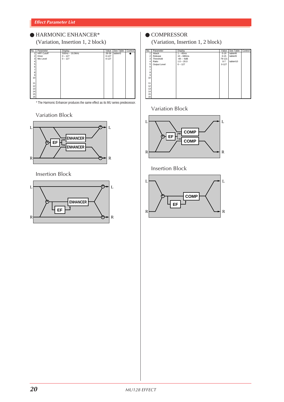

\* The Harmonic Enhancer produces the same effect as its MU series predecessor.

Variation Block



Insertion Block



● COMPRESSOR

(Variation, Insertion 1, 2 block)



Variation Block



Insertion Block

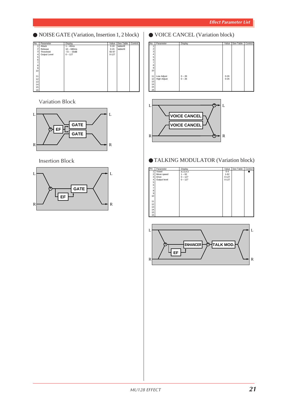● NOISE GATE (Variation, Insertion 1, 2 block)



Variation Block



### Insertion Block



### ● VOICE CANCEL (Variation block)





● TALKING MODULATOR (Variation block)



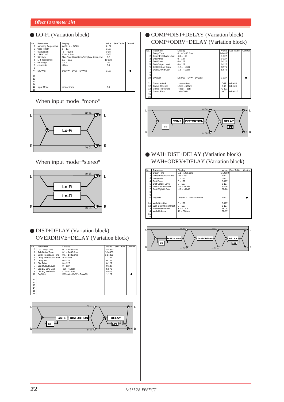### **Effect Parameter List**

### ● LO-FI (Variation block)

| No. | Parameter             | Display                                  | Value     | See Table | Control |
|-----|-----------------------|------------------------------------------|-----------|-----------|---------|
|     | sampling freq control | 44.1kHz - 345Hz                          | $0 - 127$ |           |         |
| 2   | word length           | $1 - 127$                                | $1 - 127$ |           |         |
| 3   | output gain           | $-6 - +12$ dB                            | $0 - 18$  |           |         |
| 4   | <b>LPF Cutoff</b>     | $63Hz - thru$                            | $10 - 60$ |           |         |
| 5   | filter type           | Thru.PowerBass.Radio.Telephone.Clean.Low | $0 - 5$   |           |         |
| 6   | LPF resonance         | $1.0 - 12.0$                             | 10-120    |           |         |
|     | bit assign            | $0 - 6$                                  | $0 - 6$   |           |         |
| 8   | emphasis              | off/on                                   | $0 - 1$   |           |         |
| 9   |                       |                                          |           |           |         |
| 10  | Drv/Wet               | $D63>W - D=W - D< W63$                   | $1 - 127$ |           |         |
|     |                       |                                          |           |           |         |
| 11  |                       |                                          |           |           |         |
| 12  |                       |                                          |           |           |         |
| 13  |                       |                                          |           |           |         |
| 14  |                       |                                          |           |           |         |
| 15  | Input Mode            | mono/stereo                              | $0 - 1$   |           |         |
| 16  |                       |                                          |           |           |         |

When input mode="mono"



When input mode="stereo"









● COMP+DIST+DELAY (Variation block) COMP+ODRV+DELAY (Variation block)

| No.            | Parameter            | Display               | Value     | See Table | Control |
|----------------|----------------------|-----------------------|-----------|-----------|---------|
|                | Delay Time           | $0.1 - 1486.0$ ms     | 1-14860   |           |         |
| 2              | Delay Feedback Level | $-63 - +63$           | $1 - 127$ |           |         |
| 3              | Delay Mix            | $0 - 127$             | $0 - 127$ |           |         |
| $\overline{4}$ | Dist Drive           | $0 - 127$             | $0 - 127$ |           |         |
| 5              | Dist Output Level    | $0 - 127$             | $0 - 127$ |           |         |
| 6.             | Dist FO Low Gain     | $-12 - +12$ dB        | $52 - 76$ |           |         |
| 7              | Dist EQ Mid Gain     | $-12 - +12$ dB        | 52-76     |           |         |
| 8              |                      |                       |           |           |         |
| 9              |                      |                       |           |           |         |
| 10             | Drv/Wet              | $D63>W - D=W - D5W63$ | $1 - 127$ |           |         |
| 11             | Comp. Attack         | $1ms - 40ms$          | $0 - 19$  | table#8   |         |
| 12             | Comp. Release        | $10ms - 680ms$        | $0 - 15$  | table#9   |         |
| 13             | Comp. Threshold      | $-48dB - -6dB$        | 79-121    |           |         |
| 14             | Comp. Ratio          | $1.0 - 20.0$          | $0 - 7$   | table#10  |         |
| 15             |                      |                       |           |           |         |
| 16             |                      |                       |           |           |         |



● WAH+DIST+DELAY (Variation block) WAH+ODRV+DELAY (Variation block)

| INo. | Parameter              | Display                    | Value     | See Table | Control |
|------|------------------------|----------------------------|-----------|-----------|---------|
|      | Delay Time             | $0.1 - 1486.0$ ms          | 1-14860   |           |         |
| 2    | Delay Feedback Level   | $-63 - +63$                | $1 - 127$ |           |         |
| 3    | Delay Mix              | $0 - 127$                  | $0 - 127$ |           |         |
| 4    | Dist Drive             | $0 - 127$                  | $0 - 127$ |           |         |
| 5    | Dist Output Level      | $0 - 127$                  | $0 - 127$ |           |         |
| 6    | Dist EQ Low Gain       | $-12 - +12$ dB             | $52 - 76$ |           |         |
|      | Dist EQ Mid Gain       | $-12 - +12$ dB             | $52 - 76$ |           |         |
| 8    |                        |                            |           |           |         |
| 9    |                        |                            |           |           |         |
| 10   | Drv/Wet                | $D63>W - D=W - D< W63$     | $1 - 127$ |           |         |
| 11   | Wah Sensitive          | $0 - 127$                  | $0 - 127$ |           |         |
| 12 I | Wah Cutoff Freq Offset | $0 - 127$                  | $0 - 127$ |           |         |
| 13   | Wah Resonance          | $1.0 - 12.0$               | 10-120    |           |         |
| 14   | Wah Release            | $52 - 67$<br>$10 - 680$ ms |           |           |         |
| 15   |                        |                            |           |           |         |
| 16   |                        |                            |           |           |         |

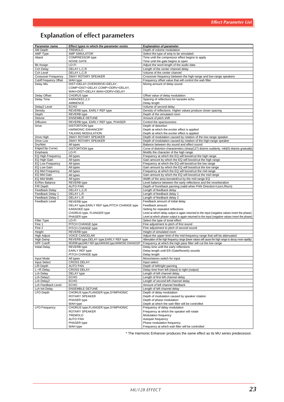# <span id="page-21-0"></span>**Explanation of effect parameters**

| Parameter name           | Effect types in which the parameter exists                   | <b>Explanation of parameter</b>                                                                        |
|--------------------------|--------------------------------------------------------------|--------------------------------------------------------------------------------------------------------|
| <b>AM Depth</b>          | <b>TREMOLO</b>                                               | Depth of volume modulation                                                                             |
| AMP Type                 | <b>AMP SIMULATOR</b>                                         | Select the type of amp to be simulated                                                                 |
| Attack                   | <b>COMPRESSOR</b> type                                       | Time until the compressor effect begins to apply                                                       |
|                          | <b>NOISE GATE</b>                                            | Time until the gate begins to open                                                                     |
| <b>Bit Assign</b>        | $LO-FI$                                                      | Adjust the word length of the audio data                                                               |
| Cch Delay                | DELAY L,C,R                                                  | Length of the center channel delay                                                                     |
| <b>Cch Level</b>         | DELAY L,C,R                                                  | Volume of the center channel                                                                           |
| Crossover Frequency      | 2WAY ROTARY SPEAKER                                          |                                                                                                        |
|                          |                                                              | Crossover frequency between the high-range and low-range speakers                                      |
| Cutoff Frequency Offset  | WAH type                                                     | Frequency offset value that will control the wah filter                                                |
| <b>Delay Mix</b>         | DIST+DELAY, OVER DRIVE+DELAY,                                | Mixing amount of delay sound                                                                           |
|                          | COMP+DIST+DELAY,COMP+ODRV+DELAY,                             |                                                                                                        |
|                          | WAH+DIST+DELAY, WAH+ODRV+DELAY                               |                                                                                                        |
| Delay Offset             | CHORUS type                                                  | Offset value of delay modulation                                                                       |
| <b>Delay Time</b>        | KARAOKE1,2,3                                                 | Spacing of reflections for karaoke echo                                                                |
|                          | <b>AMBIENCE</b>                                              | Delay length                                                                                           |
| Delay2 Level             | <b>ECHO</b>                                                  | Volume of second delay                                                                                 |
| Density                  | REVERB type, EARLY REF type                                  | Density of reflections. Higher values produce closer spacing                                           |
| Depth                    | REVERB type                                                  | Depth of the simulated room                                                                            |
| Detune                   | <b>ENSEMBLE DETUNE</b>                                       | Amount of pitch shift                                                                                  |
| Diffusion                | REVERB type, EARLY REF type, PHASER                          | Control the spaciousness                                                                               |
| Drive                    | <b>DISTORTION</b> type                                       | Depth of distortion                                                                                    |
|                          | HARMONIC ENHANCER*                                           | Depth at which the exciter effect is applied                                                           |
|                          | TALKING MODULATION                                           | Depth at which the exciter effect is applied                                                           |
| Drive High               | 2WAY ROTARY SPEAKER                                          | Depth of modulation caused by rotation of the low-range speaker                                        |
| Drive Low                | 2WAY ROTARY SPEAKER                                          | Depth of modulation caused by rotation of the high-range speaker                                       |
|                          |                                                              |                                                                                                        |
| Dry/Wet                  | All types                                                    | Balance between dry sound and effect sound                                                             |
| Edge(Clip Curve)         | DISTORTION type                                              | Curve of distortion characteristics (sharp(127) distorts suddenly, mild(0) distorts gradually)         |
| Emphasis                 | LO-FI                                                        | Modify the character of the high range                                                                 |
| <b>EQ High Frequency</b> | All types                                                    | Frequency at which the EQ will boost/cut the high range                                                |
| EQ High Gain             | All types                                                    | Gain amount by which the EQ will boost/cut the high range                                              |
| <b>EQ Low Frequency</b>  | All types                                                    | Frequency at which the EQ will boost/cut the low range                                                 |
| EQ Low Gain              | All types                                                    | Gain amount by which the EQ will boost/cut the low range                                               |
| EQ Mid Frequency         | All types                                                    | Frequency at which the EQ will boost/cut the mid range                                                 |
| EQ Mid Gain              | All types                                                    | Gain amount by which the EQ will boost/cut the mid range                                               |
| EQ Mid Width             | All types                                                    | Width of the area boosted/cut by the mid-range EQ                                                      |
| Er/Rev Balance           | REVERB type                                                  | Level balance between the early reflections and the reverberation                                      |
| F/R Depth                | <b>AUTO PAN</b>                                              | Depth of front/back panning (valid when PAN Direction=Lturn, Rturn)                                    |
| Feedback Delay           | DELAY L,C,R                                                  | Length of feedback delay                                                                               |
| Feedback Delay 1         | DELAY L,R                                                    | Length of feedback delay 1                                                                             |
| Feedback Delay 2         | DELAY L,R                                                    | Length of feedback delay 2                                                                             |
| <b>Feedback Level</b>    | <b>REVERB</b> type                                           | Feedback amount of initial delay                                                                       |
|                          | DELAY type, EARLY REF type, PITCH CHANGE type                | Feedback amount                                                                                        |
|                          | <b>KARAOKE</b> type                                          | Setting for repeated reflections                                                                       |
|                          |                                                              |                                                                                                        |
|                          | CHORUS type, FLANGER type                                    | Level at which delay output is again returned to the input (negative values invert the phase)          |
|                          | PHASER type                                                  | Level at which phaser output is again returned to the input (negative values insert the phase)         |
| Filter Type              | LO-FI                                                        | Select the type of tonal effect                                                                        |
| Fine 1                   | PITCH CHANGE type                                            | Fine adjustment to pitch of first sound                                                                |
| Fine 2                   | PITCH CHANGE type                                            | Fine adjustment to pitch of second sound                                                               |
| Height                   | REVERB type                                                  | Height of simulated room                                                                               |
| <b>High Adjust</b>       | <b>VOICE CANCELAR</b>                                        | Adjust the upper limit of the mid-frequency range that will be attenuated                              |
| High Damp                | REVERB type, DELAY type, EARLY REF type                      | Attenuation of the high frequency range (lower values will cause the high range to decay more rapidly) |
| <b>HPF Cutoff</b>        | REVERB type, EARLY REF type, KARAOKE type, HARMONIC ENHANCER | Frequency at which the high pass filter will cut the low range                                         |
| <b>Initial Delay</b>     | REVERB type                                                  | Delay time until the early reflections                                                                 |
|                          | EARLY REF type                                               | Delay length until ER (GateReverb) sounds                                                              |
|                          | PITCH CHANGE type                                            | Delay length                                                                                           |
| <b>Input Mode</b>        | All types                                                    | Mono/stereo switch for input                                                                           |
| <b>Input Select</b>      | <b>CROSS DELAY</b>                                           | Input select                                                                                           |
| L/R Depth                | <b>AUTO PAN</b>                                              | Depth of left/right panning                                                                            |
| L->R Delay               | <b>CROSS DELAY</b>                                           | Delay time from left (input) to right (output)                                                         |
| Lch Delay                | DELAY type                                                   | Length of left channel delay                                                                           |
| Lch Delay1               | <b>ECHO</b>                                                  | Length of first left channel delay                                                                     |
| Lch Delay2               | <b>ECHO</b>                                                  | Length of second left channel delay                                                                    |
| Lch Feedback Level       | <b>ECHO</b>                                                  | Amount of left channel feedback                                                                        |
| Lch Init Delay           | <b>ENSEMBLE DETUNE</b>                                       | Length of left channel delay                                                                           |
|                          |                                                              |                                                                                                        |
| <b>LFO Depth</b>         | CHORUS type, FLANGER type, SYMPHONIC                         | Depth of delay modulation                                                                              |
|                          | ROTARY SPEAKER                                               | Depth of modulation caused by speaker rotation                                                         |
|                          | PHASER type                                                  | Depth of phase modulation                                                                              |
|                          | WAH type                                                     | Depth at which the wah filter will be controlled                                                       |
| <b>LFO Frequency</b>     | CHORUS type, FLANGER type, SYMPHONIC                         | Frequency of delay modulation                                                                          |
|                          | ROTARY SPEAKER                                               | Frequency at which the speaker will rotate                                                             |
|                          | <b>TREMOLO</b>                                               | Modulation frequency                                                                                   |
|                          | <b>AUTO PAN</b>                                              | Autopan frequency                                                                                      |
|                          | PHASER type                                                  | Phase modulation frequency                                                                             |
|                          | WAH type                                                     | Frequency at which wah filter will be controlled                                                       |

\* The Harmonic Enhancer produces the same effect as its MU series predecessor.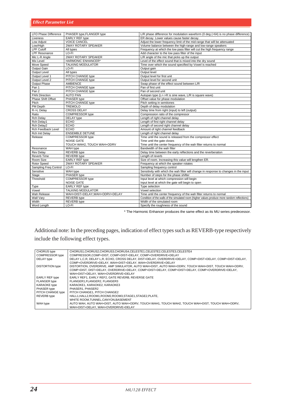| <b>LFO Phase Difference</b> | PHASER type, FLANGER type     | $L/R$ phase difference for modulation waveform (0 deg $(=64)$ is no phase difference)        |
|-----------------------------|-------------------------------|----------------------------------------------------------------------------------------------|
| Liveness                    | <b>EARLY REF type</b>         | ER decay. Lower values cause faster decay.                                                   |
| Low Adjust                  | <b>VOICE CANCEL</b>           | Adjust the lower frequency limit of the mid-range that will be attenuated                    |
| Low/High                    | <b>2WAY ROTARY SPEAKER</b>    | Volume balance between the high-range and low-range speakers                                 |
| <b>LPF Cutoff</b>           | All types                     | Frequency at which the low pass filter will cut the high frequency range                     |
| <b>LPF Resonance</b>        | LO-FI                         | Add character to the low pass filter of the input                                            |
| Mic L-R Angle               | <b>2WAY ROTARY SPEAKER</b>    | L/R angle of the mic that picks up the output                                                |
| Mix Level                   | HARMONIC ENHANCER*            | Level of the effect sound that is mixed into the dry sound                                   |
| Move Speed                  | <b>TALKING MODULATOR</b>      | Time over which the sound specified by Vowel is reached                                      |
| Output Gain                 | LO-FI                         | Output gain                                                                                  |
| Output Level                | All types                     | Output level                                                                                 |
| Output Level 1              | PITCH CHANGE type             | Output level for first unit                                                                  |
| Output Level 2              | PITCH CHANGE type             | Output level for second unit                                                                 |
|                             |                               |                                                                                              |
| Output Phase                | <b>AMBIENCE</b>               | Swap phase of the effect sound between L/R                                                   |
| Pan 1                       | PITCH CHANGE type             | Pan of first unit                                                                            |
| Pan <sub>2</sub>            | PITCH CHANGE type             | Pan of second unit                                                                           |
| <b>PAN Direction</b>        | <b>AUTO PAN</b>               | Autopan type (L<->R is sine wave, L/R is square wave)                                        |
| Phase Shift Offset          | PHASER type                   | Offset value for phase modulation                                                            |
| Pitch                       | PITCH CHANGE type             | Pitch setting in semitones                                                                   |
| PM Depth                    | <b>TREMOLO</b>                | Depth of delay modulation                                                                    |
| R->L Delay                  | <b>CROSS DELAY</b>            | Delay time from right (input) to left (output)                                               |
| Ratio                       | COMPRESSOR type               | Compression ratio of the compressor                                                          |
| <b>Rch Delay</b>            | <b>DELAY</b> type             | Length of right channel delay                                                                |
| Rch Delav1                  | <b>ECHO</b>                   | Length of first right channel delay                                                          |
| Rch Delay2                  | <b>ECHO</b>                   | Length of second right channel delay                                                         |
| Rch Feedback Level          | <b>ECHO</b>                   | Amount of right channel feedback                                                             |
| Rch Init Delay              | <b>ENSEMBLE DETUNE</b>        | Length of right channel delay                                                                |
| Release                     | COMPRESSOR type               | Time until the sound is released from the compressor effect                                  |
|                             | NOISE GATE                    | Time until the gate closes                                                                   |
|                             | TOUCH WAH2, TOUCH WAH+ODRV    | Time until the center frequency of the wah filter returns to normal                          |
| Resonance                   | WAH type                      | Bandwidth of the wah filter                                                                  |
| <b>Rev Delav</b>            | <b>REVERB</b> type            | Delay time between the early reflections and the reverberation                               |
| Reverb Time                 | <b>REVERB</b> type            | Length of reverb                                                                             |
| Room Size                   | <b>EARLY REF type</b>         | Size of room. Increasing this value will lengthen ER.                                        |
| Rotor Speed                 | 2WAY ROTARY SPEAKER           | Frequency at which the speaker rotates                                                       |
| Sampling Freg Control       | LO-FI                         | Sampling frequency control                                                                   |
| Sensitive                   | WAH type                      | Sensitivity with which the wah filter will change in response to changes in the input        |
| Stage                       | PHASER type                   | Number of steps for the phase shifter                                                        |
| Threshold                   | <b>COMPRESSOR</b> type        | Input level at which compression will begin                                                  |
|                             | <b>NOISE GATE</b>             | Input level at which the gate will begin to open                                             |
| Type                        | <b>EARLY REF type</b>         | Type selection                                                                               |
| Vowel                       | <b>TALKING MODULATOR</b>      | Vowel selection                                                                              |
| Wah Release                 | WAH+DIST+DELAY,WAH+ODRV+DELAY | Time until the center frequency of the wah filter returns to normal                          |
| <b>Wall Vary</b>            | REVERB type                   | Condition of the walls of the simulated room (higher values produce more random reflections) |
| Width                       | <b>REVERB</b> type            | Width of the simulated room                                                                  |
| Word Lenath                 | LO-FI                         | Specify the roughness of the sound                                                           |
|                             |                               |                                                                                              |

\* The Harmonic Enhancer produces the same effect as its MU series predecessor.

Additional note: In the preceding pages, indication of effect types such as REVERB-type respectively include the following effect types.

| <b>CHORUS</b> type<br>CHORUS1.CHORUS2.CHORUS3.CHORUS4.CELESTE1.CELESTE2.CELESTE3.CELESTE4<br>COMPRESSOR type<br>COMPRESSOR.COMP+DIST. COMP+DIST+DELAY. COMP+OVERDRIVE+DELAY<br>DELAY type<br>DELAY L.C.R. DELAY L.R. ECHO. CROSS DELAY. DIST+DELAY. OVERDRIVE+DELAY. COMP+DIST+DELAY. COMP+DIST+DELAY.<br>COMP+OVERDRIVE+DELAY, WAH+DIST+DELAY, WAH+OVERDRIVE+DELAY<br>DISTORTION, OVERDRIVE, AMP SIMULATOR, AUTO WAH+DIST, AUTO WAH+ODRV, TOUCH WAH+DIST, TOUCH WAH+ODRV,<br><b>DISTORTION</b> type<br>COMP+DIST, DIST+DELAY, OVERDRIVE+DELAY, COMP+DIST+DELAY, COMP+DIST+DELAY, COMP+OVERDRIVE+DELAY,<br>WAH+DIST+DELAY, WAH+OVERDRIVE+DELAY<br>EARLY REF1, EARLY REF2, GATE REVERB, REVERSE GATE<br>EARLY REF type<br><b>FLANGER type</b><br>FLANGER1.FLANGER2. FLANGER3<br><b>KARAOKE</b> type<br>KARAOKE1, KARAOKE2, KARAOKE3<br>PHASER type<br>PHASER1, PHASER2<br>PITCH CHANGE type<br>PITCH CHANGE1, PITCH CHANGE2<br><b>REVERB</b> type<br>HALL1.HALL2.ROOM1.ROOM2.ROOM3.STAGE1.STAGE2.PLATE.<br>WHITE ROOM.TUNNEL.CANYON.BASEMENT<br>AUTO WAH. AUTO WAH+DIST, AUTO WAH+ODRV, TOUCH WAH1, TOUCH WAH2, TOUCH WAH+DIST, TOUCH WAH+ODRV,<br>WAH type<br>WAH+DIST+DELAY, WAH+OVERDRIVE+DELAY |  |  |
|---------------------------------------------------------------------------------------------------------------------------------------------------------------------------------------------------------------------------------------------------------------------------------------------------------------------------------------------------------------------------------------------------------------------------------------------------------------------------------------------------------------------------------------------------------------------------------------------------------------------------------------------------------------------------------------------------------------------------------------------------------------------------------------------------------------------------------------------------------------------------------------------------------------------------------------------------------------------------------------------------------------------------------------------------------------------------------------------------------------------------------------------------------------------------------------------------|--|--|
|                                                                                                                                                                                                                                                                                                                                                                                                                                                                                                                                                                                                                                                                                                                                                                                                                                                                                                                                                                                                                                                                                                                                                                                                   |  |  |
|                                                                                                                                                                                                                                                                                                                                                                                                                                                                                                                                                                                                                                                                                                                                                                                                                                                                                                                                                                                                                                                                                                                                                                                                   |  |  |
|                                                                                                                                                                                                                                                                                                                                                                                                                                                                                                                                                                                                                                                                                                                                                                                                                                                                                                                                                                                                                                                                                                                                                                                                   |  |  |
|                                                                                                                                                                                                                                                                                                                                                                                                                                                                                                                                                                                                                                                                                                                                                                                                                                                                                                                                                                                                                                                                                                                                                                                                   |  |  |
|                                                                                                                                                                                                                                                                                                                                                                                                                                                                                                                                                                                                                                                                                                                                                                                                                                                                                                                                                                                                                                                                                                                                                                                                   |  |  |
|                                                                                                                                                                                                                                                                                                                                                                                                                                                                                                                                                                                                                                                                                                                                                                                                                                                                                                                                                                                                                                                                                                                                                                                                   |  |  |
|                                                                                                                                                                                                                                                                                                                                                                                                                                                                                                                                                                                                                                                                                                                                                                                                                                                                                                                                                                                                                                                                                                                                                                                                   |  |  |
|                                                                                                                                                                                                                                                                                                                                                                                                                                                                                                                                                                                                                                                                                                                                                                                                                                                                                                                                                                                                                                                                                                                                                                                                   |  |  |
|                                                                                                                                                                                                                                                                                                                                                                                                                                                                                                                                                                                                                                                                                                                                                                                                                                                                                                                                                                                                                                                                                                                                                                                                   |  |  |
|                                                                                                                                                                                                                                                                                                                                                                                                                                                                                                                                                                                                                                                                                                                                                                                                                                                                                                                                                                                                                                                                                                                                                                                                   |  |  |
|                                                                                                                                                                                                                                                                                                                                                                                                                                                                                                                                                                                                                                                                                                                                                                                                                                                                                                                                                                                                                                                                                                                                                                                                   |  |  |
|                                                                                                                                                                                                                                                                                                                                                                                                                                                                                                                                                                                                                                                                                                                                                                                                                                                                                                                                                                                                                                                                                                                                                                                                   |  |  |
|                                                                                                                                                                                                                                                                                                                                                                                                                                                                                                                                                                                                                                                                                                                                                                                                                                                                                                                                                                                                                                                                                                                                                                                                   |  |  |
|                                                                                                                                                                                                                                                                                                                                                                                                                                                                                                                                                                                                                                                                                                                                                                                                                                                                                                                                                                                                                                                                                                                                                                                                   |  |  |
|                                                                                                                                                                                                                                                                                                                                                                                                                                                                                                                                                                                                                                                                                                                                                                                                                                                                                                                                                                                                                                                                                                                                                                                                   |  |  |
|                                                                                                                                                                                                                                                                                                                                                                                                                                                                                                                                                                                                                                                                                                                                                                                                                                                                                                                                                                                                                                                                                                                                                                                                   |  |  |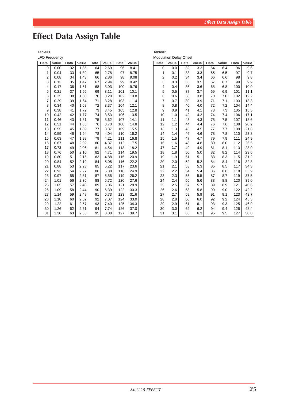# <span id="page-23-0"></span>**Effect Data Assign Table**

### Table#1

LFO Frequency

| Data           | Value | Data | Value | Data | Value | Data | Value |  |  |
|----------------|-------|------|-------|------|-------|------|-------|--|--|
| 0              | 0.00  | 32   | 1.35  | 64   | 2.69  | 96   | 8.41  |  |  |
| 1              | 0.04  | 33   | 1.39  | 65   | 2.78  | 97   | 8.75  |  |  |
| $\overline{2}$ | 0.08  | 34   | 1.43  | 66   | 2.86  | 98   | 9.08  |  |  |
| 3              | 0.13  | 35   | 1.47  | 67   | 2.94  | 99   | 9.42  |  |  |
| 4              | 0.17  | 36   | 1.51  | 68   | 3.03  | 100  | 9.76  |  |  |
| 5              | 0.21  | 37   | 1.56  | 69   | 3.11  | 101  | 10.1  |  |  |
| 6              | 0.25  | 38   | 1.60  | 70   | 3.20  | 102  | 10.8  |  |  |
| $\overline{7}$ | 0.29  | 39   | 1.64  | 71   | 3.28  | 103  | 11.4  |  |  |
| 8              | 0.34  | 40   | 1.68  | 72   | 3.37  | 104  | 12.1  |  |  |
| 9              | 0.38  | 41   | 1.72  | 73   | 3.45  | 105  | 12.8  |  |  |
| 10             | 0.42  | 42   | 1.77  | 74   | 3.53  | 106  | 13.5  |  |  |
| 11             | 0.46  | 43   | 1.81  | 75   | 3.62  | 107  | 14.1  |  |  |
| 12             | 0.51  | 44   | 1.85  | 76   | 3.70  | 108  | 14.8  |  |  |
| 13             | 0.55  | 45   | 1.89  | 77   | 3.87  | 109  | 15.5  |  |  |
| 14             | 0.59  | 46   | 1.94  | 78   | 4.04  | 110  | 16.2  |  |  |
| 15             | 0.63  | 47   | 1.98  | 79   | 4.21  | 111  | 16.8  |  |  |
| 16             | 0.67  | 48   | 2.02  | 80   | 4.37  | 112  | 17.5  |  |  |
| 17             | 0.72  | 49   | 2.06  | 81   | 4.54  | 113  | 18.2  |  |  |
| 18             | 0.76  | 50   | 2.10  | 82   | 4.71  | 114  | 19.5  |  |  |
| 19             | 0.80  | 51   | 2.15  | 83   | 4.88  | 115  | 20.9  |  |  |
| 20             | 0.84  | 52   | 2.19  | 84   | 5.05  | 116  | 22.2  |  |  |
| 21             | 0.88  | 53   | 2.23  | 85   | 5.22  | 117  | 23.6  |  |  |
| 22             | 0.93  | 54   | 2.27  | 86   | 5.38  | 118  | 24.9  |  |  |
| 23             | 0.97  | 55   | 2.31  | 87   | 5.55  | 119  | 26.2  |  |  |
| 24             | 1.01  | 56   | 2.36  | 88   | 5.72  | 120  | 27.6  |  |  |
| 25             | 1.05  | 57   | 2.40  | 89   | 6.06  | 121  | 28.9  |  |  |
| 26             | 1.09  | 58   | 2.44  | 90   | 6.39  | 122  | 30.3  |  |  |
| 27             | 1.14  | 59   | 2.48  | 91   | 6.73  | 123  | 31.6  |  |  |
| 28             | 1.18  | 60   | 2.52  | 92   | 7.07  | 124  | 33.0  |  |  |
| 29             | 1.22  | 61   | 2.57  | 93   | 7.40  | 125  | 34.3  |  |  |
| 30             | 1.26  | 62   | 2.61  | 94   | 7.74  | 126  | 37.0  |  |  |
| 31             | 1.30  | 63   | 2.65  | 95   | 8.08  | 127  | 39.7  |  |  |

| Table#2                        |       |      |       |      |       |      |       |  |
|--------------------------------|-------|------|-------|------|-------|------|-------|--|
| <b>Modulation Delay Offset</b> |       |      |       |      |       |      |       |  |
| Data                           | Value | Data | Value | Data | Value | Data | Value |  |
| 0                              | 0.0   | 32   | 3.2   | 64   | 6.4   | 96   | 9.6   |  |
| 1                              | 0.1   | 33   | 3.3   | 65   | 6.5   | 97   | 9.7   |  |
| $\overline{2}$                 | 0.2   | 34   | 3.4   | 66   | 6.6   | 98   | 9.8   |  |
| 3                              | 0.3   | 35   | 3.5   | 67   | 6.7   | 99   | 9.9   |  |
| $\overline{\mathbf{4}}$        | 0.4   | 36   | 3.6   | 68   | 6.8   | 100  | 10.0  |  |
| 5                              | 0.5   | 37   | 3.7   | 69   | 6.9   | 101  | 11.1  |  |
| 6                              | 0.6   | 38   | 3.8   | 70   | 7.0   | 102  | 12.2  |  |
| $\overline{7}$                 | 0.7   | 39   | 3.9   | 71   | 7.1   | 103  | 13.3  |  |
| 8                              | 0.8   | 40   | 4.0   | 72   | 7.2   | 104  | 14.4  |  |
| 9                              | 0.9   | 41   | 4.1   | 73   | 7.3   | 105  | 15.5  |  |
| 10                             | 1.0   | 42   | 4.2   | 74   | 7.4   | 106  | 17.1  |  |
| 11                             | 1.1   | 43   | 4.3   | 75   | 7.5   | 107  | 18.6  |  |
| 12                             | 1.2   | 44   | 4.4   | 76   | 7.6   | 108  | 20.2  |  |
| 13                             | 1.3   | 45   | 4.5   | 77   | 7.7   | 109  | 21.8  |  |
| 14                             | 1.4   | 46   | 4.6   | 78   | 7.8   | 110  | 23.3  |  |
| 15                             | 1.5   | 47   | 4.7   | 79   | 7.9   | 111  | 24.9  |  |
| 16                             | 1.6   | 48   | 4.8   | 80   | 8.0   | 112  | 26.5  |  |
| 17                             | 1.7   | 49   | 4.9   | 81   | 8.1   | 113  | 28.0  |  |
| 18                             | 1.8   | 50   | 5.0   | 82   | 8.2   | 114  | 29.6  |  |
| 19                             | 1.9   | 51   | 5.1   | 83   | 8.3   | 115  | 31.2  |  |
| 20                             | 2.0   | 52   | 5.2   | 84   | 8.4   | 116  | 32.8  |  |
| 21                             | 2.1   | 53   | 5.3   | 85   | 8.5   | 117  | 34.3  |  |
| 22                             | 2.2   | 54   | 5.4   | 86   | 8.6   | 118  | 35.9  |  |
| 23                             | 2.3   | 55   | 5.5   | 87   | 8.7   | 119  | 37.5  |  |
| 24                             | 2.4   | 56   | 5.6   | 88   | 8.8   | 120  | 39.0  |  |
| 25                             | 2.5   | 57   | 5.7   | 89   | 8.9   | 121  | 40.6  |  |
| 26                             | 2.6   | 58   | 5.8   | 90   | 9.0   | 122  | 42.2  |  |
| 27                             | 2.7   | 59   | 5.9   | 91   | 9.1   | 123  | 43.7  |  |
| 28                             | 2.8   | 60   | 6.0   | 92   | 9.2   | 124  | 45.3  |  |
| 29                             | 2.9   | 61   | 6.1   | 93   | 9.3   | 125  | 46.9  |  |
| 30                             | 3.0   | 62   | 6.2   | 94   | 9.4   | 126  | 48.4  |  |
| 31                             | 3.1   | 63   | 6.3   | 95   | 9.5   | 127  | 50.0  |  |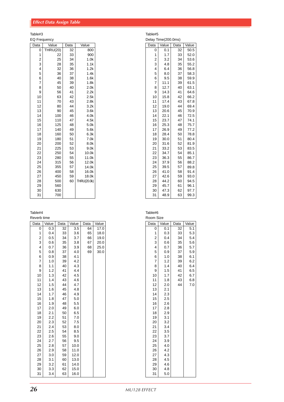### Table#3

| <b>EQ Frequency</b> |       |  |
|---------------------|-------|--|
| Data                | Value |  |

| Data                    | Value           | Data | Value            |
|-------------------------|-----------------|------|------------------|
| 0                       | <b>THRU(20)</b> | 32   | 800              |
| 1                       | 22              | 33   | 900              |
| $\overline{\mathbf{c}}$ | 25              | 34   | 1.0 <sub>k</sub> |
| 3                       | 28              | 35   | 1.1k             |
| 4                       | 32              | 36   | 1.2k             |
| 5                       | 36              | 37   | 1.4k             |
| 6                       | 40              | 38   | 1.6k             |
| $\overline{7}$          | 45              | 39   | 1.8k             |
| 8                       | 50              | 40   | 2.0 <sub>k</sub> |
| 9                       | 56              | 41   | 2.2k             |
| 10                      | 63              | 42   | 2.5k             |
| 11                      | 70              | 43   | 2.8k             |
| 12                      | 80              | 44   | 3.2k             |
| 13                      | 90              | 45   | 3.6k             |
| 14                      | 100             | 46   | 4.0k             |
| 15                      | 110             | 47   | 4.5k             |
| 16                      | 125             | 48   | 5.0k             |
| 17                      | 140             | 49   | 5.6k             |
| 18                      | 160             | 50   | 6.3k             |
| 19                      | 180             | 51   | 7.0 <sub>k</sub> |
| 20                      | 200             | 52   | 8.0k             |
| 21                      | 225             | 53   | 9.0k             |
| 22                      | 250             | 54   | 10.0k            |
| 23                      | 280             | 55   | 11.0k            |
| 24                      | 315             | 56   | 12.0k            |
| 25                      | 355             | 57   | 14.0k            |
| 26                      | 400             | 58   | 16.0k            |
| 27                      | 450             | 59   | 18.0k            |
| 28                      | 500             | 60   | THRU(20.0k)      |
| 29                      | 560             |      |                  |
| 30                      | 630             |      |                  |
| 31                      | 700             |      |                  |

### Table#4

Reverb time

| Data           | Value | Data | Value | Data | Value |
|----------------|-------|------|-------|------|-------|
| 0              | 0.3   | 32   | 3.5   | 64   | 17.0  |
| 1              | 0.4   | 33   | 3.6   | 65   | 18.0  |
| $\overline{c}$ | 0.5   | 34   | 3.7   | 66   | 19.0  |
| 3              | 0.6   | 35   | 3.8   | 67   | 20.0  |
| 4              | 0.7   | 36   | 3.9   | 68   | 25.0  |
| 5              | 0.8   | 37   | 4.0   | 69   | 30.0  |
| 6              | 0.9   | 38   | 4.1   |      |       |
| $\overline{7}$ | 1.0   | 39   | 4.2   |      |       |
| 8              | 1.1   | 40   | 4.3   |      |       |
| 9              | 1.2   | 41   | 4.4   |      |       |
| 10             | 1.3   | 42   | 4.5   |      |       |
| 11             | 1.4   | 43   | 4.6   |      |       |
| 12             | 1.5   | 44   | 4.7   |      |       |
| 13             | 1.6   | 45   | 4.8   |      |       |
| 14             | 1.7   | 46   | 4.9   |      |       |
| 15             | 1.8   | 47   | 5.0   |      |       |
| 16             | 1.9   | 48   | 5.5   |      |       |
| 17             | 2.0   | 49   | 6.0   |      |       |
| 18             | 2.1   | 50   | 6.5   |      |       |
| 19             | 2.2   | 51   | 7.0   |      |       |
| 20             | 2.3   | 52   | 7.5   |      |       |
| 21             | 2.4   | 53   | 8.0   |      |       |
| 22             | 2.5   | 54   | 8.5   |      |       |
| 23             | 2.6   | 55   | 9.0   |      |       |
| 24             | 2.7   | 56   | 9.5   |      |       |
| 25             | 2.8   | 57   | 10.0  |      |       |
| 26             | 2.9   | 58   | 11.0  |      |       |
| 27             | 3.0   | 59   | 12.0  |      |       |
| 28             | 3.1   | 60   | 13.0  |      |       |
| 29             | 3.2   | 61   | 14.0  |      |       |
| 30             | 3.3   | 62   | 15.0  |      |       |
| 31             | 3.4   | 63   | 16.0  |      |       |

#### Table#5

Delay Time(200.0ms)

| Data                    | Value | Data | Value |
|-------------------------|-------|------|-------|
| 0                       | 0.1   | 32   | 50.5  |
| 1                       | 1.7   | 33   | 52.0  |
| $\overline{c}$          | 3.2   | 34   | 53.6  |
| 3                       | 4.8   | 35   | 55.2  |
| $\overline{\mathbf{4}}$ | 6.4   | 36   | 56.8  |
| 5                       | 8.0   | 37   | 58.3  |
| 6                       | 9.5   | 38   | 59.9  |
| $\overline{7}$          | 11.1  | 39   | 61.5  |
| 8                       | 12.7  | 40   | 63.1  |
| 9                       | 14.3  | 41   | 64.6  |
| 10                      | 15.8  | 42   | 66.2  |
| 11                      | 17.4  | 43   | 67.8  |
| 12                      | 19.0  | 44   | 69.4  |
| 13                      | 20.6  | 45   | 70.9  |
| 14                      | 22.1  | 46   | 72.5  |
| 15                      | 23.7  | 47   | 74.1  |
| 16                      | 25.3  | 48   | 75.7  |
| 17                      | 26.9  | 49   | 77.2  |
| 18                      | 28.4  | 50   | 78.8  |
| 19                      | 30.0  | 51   | 80.4  |
| 20                      | 31.6  | 52   | 81.9  |
| 21                      | 33.2  | 53   | 83.5  |
| 22                      | 34.7  | 54   | 85.1  |
| 23                      | 36.3  | 55   | 86.7  |
| 24                      | 37.9  | 56   | 88.2  |
| 25                      | 39.5  | 57   | 89.8  |
| 26                      | 41.0  | 58   | 91.4  |
| 27                      | 42.6  | 59   | 93.0  |
| 28                      | 44.2  | 60   | 94.5  |
| 29                      | 45.7  | 61   | 96.1  |
| 30                      | 47.3  | 62   | 97.7  |
| 31                      | 48.9  | 63   | 99.3  |

#### Room Size Table#6

| Data                    | Value | Data | Value |
|-------------------------|-------|------|-------|
| 0                       | 0.1   | 32   | 5.1   |
| 1                       | 0.3   | 33   | 5.3   |
| $\overline{\mathbf{c}}$ | 0.4   | 34   | 5.4   |
| 3                       | 0.6   | 35   | 5.6   |
| 4                       | 0.7   | 36   | 5.7   |
| 5                       | 0.9   | 37   | 5.9   |
| 6                       | 1.0   | 38   | 6.1   |
| $\overline{7}$          | 1.2   | 39   | 6.2   |
| 8                       | 1.4   | 40   | 6.4   |
| 9                       | 1.5   | 41   | 6.5   |
| 10                      | 1.7   | 42   | 6.7   |
| 11                      | 1.8   | 43   | 6.8   |
| 12                      | 2.0   | 44   | 7.0   |
| 13                      | 2.1   |      |       |
| 14                      | 2.3   |      |       |
| 15                      | 2.5   |      |       |
| 16                      | 2.6   |      |       |
| 17                      | 2.8   |      |       |
| 18                      | 2.9   |      |       |
| 19                      | 3.1   |      |       |
| 20                      | 3.2   |      |       |
| 21                      | 3.4   |      |       |
| 22                      | 3.5   |      |       |
| 23                      | 3.7   |      |       |
| 24                      | 3.9   |      |       |
| 25                      | 4.0   |      |       |
| 26                      | 4.2   |      |       |
| 27                      | 4.3   |      |       |
| 28                      | 4.5   |      |       |
| 29                      | 4.6   |      |       |
| 30                      | 4.8   |      |       |
| 31                      | 5.0   |      |       |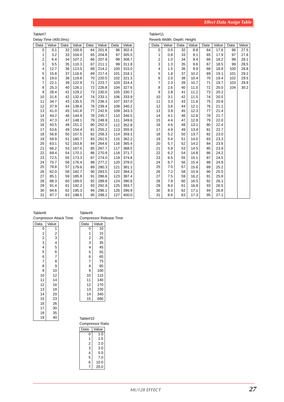| Table#7        |                      |      |       |      |       |      |       |
|----------------|----------------------|------|-------|------|-------|------|-------|
|                | Delay Time (400.0ms) |      |       |      |       |      |       |
| Data           | Value                | Data | Value | Data | Value | Data | Value |
| 0              | 0.1                  | 32   | 100.9 | 64   | 201.6 | 96   | 302.4 |
| 1              | 3.2                  | 33   | 104.0 | 65   | 204.8 | 97   | 305.5 |
| $\overline{2}$ | 6.4                  | 34   | 107.2 | 66   | 207.9 | 98   | 308.7 |
| C              | ΩF                   | つに   |       | 67   |       | ററ   | 2110  |

| 1              | 3.2  | 33 | 104.0 | 65 | 204.8 | 97  | 305.5 |  |
|----------------|------|----|-------|----|-------|-----|-------|--|
| 2              | 6.4  | 34 | 107.2 | 66 | 207.9 | 98  | 308.7 |  |
| 3              | 9.5  | 35 | 110.3 | 67 | 211.1 | 99  | 311.8 |  |
| 4              | 12.7 | 36 | 113.5 | 68 | 214.2 | 100 | 315.0 |  |
| 5              | 15.8 | 37 | 116.6 | 69 | 217.4 | 101 | 318.1 |  |
| 6              | 19.0 | 38 | 119.8 | 70 | 220.5 | 102 | 321.3 |  |
| $\overline{7}$ | 22.1 | 39 | 122.9 | 71 | 223.7 | 103 | 324.4 |  |
| 8              | 25.3 | 40 | 126.1 | 72 | 226.8 | 104 | 327.6 |  |
| 9              | 28.4 | 41 | 129.2 | 73 | 230.0 | 105 | 330.7 |  |
| 10             | 31.6 | 42 | 132.4 | 74 | 233.1 | 106 | 333.9 |  |
| 11             | 34.7 | 43 | 135.5 | 75 | 236.3 | 107 | 337.0 |  |
| 12             | 37.9 | 44 | 138.6 | 76 | 239.4 | 108 | 340.2 |  |
| 13             | 41.0 | 45 | 141.8 | 77 | 242.6 | 109 | 343.3 |  |
| 14             | 44.2 | 46 | 144.9 | 78 | 245.7 | 110 | 346.5 |  |
| 15             | 47.3 | 47 | 148.1 | 79 | 248.9 | 111 | 349.6 |  |
| 16             | 50.5 | 48 | 151.2 | 80 | 252.0 | 112 | 352.8 |  |
| 17             | 53.6 | 49 | 154.4 | 81 | 255.2 | 113 | 355.9 |  |
| 18             | 56.8 | 50 | 157.5 | 82 | 258.3 | 114 | 359.1 |  |
| 19             | 59.9 | 51 | 160.7 | 83 | 261.5 | 115 | 362.2 |  |
| 20             | 63.1 | 52 | 163.8 | 84 | 264.6 | 116 | 365.4 |  |
| 21             | 66.2 | 53 | 167.0 | 85 | 267.7 | 117 | 368.5 |  |
| 22             | 69.4 | 54 | 170.1 | 86 | 270.9 | 118 | 371.7 |  |
| 23             | 72.5 | 55 | 173.3 | 87 | 274.0 | 119 | 374.8 |  |
| 24             | 75.7 | 56 | 176.4 | 88 | 277.2 | 120 | 378.0 |  |
| 25             | 78.8 | 57 | 179.6 | 89 | 280.3 | 121 | 381.1 |  |
| 26             | 82.0 | 58 | 182.7 | 90 | 283.5 | 122 | 384.3 |  |
| 27             | 85.1 | 59 | 185.9 | 91 | 286.6 | 123 | 387.4 |  |
| 28             | 88.3 | 60 | 189.0 | 92 | 289.8 | 124 | 390.6 |  |
| 29             | 91.4 | 61 | 192.2 | 93 | 292.9 | 125 | 393.7 |  |
| 30             | 94.6 | 62 | 195.3 | 94 | 296.1 | 126 | 396.9 |  |
| 31             | 97.7 | 63 | 198.5 | 95 | 299.2 | 127 | 400.0 |  |
|                |      |    |       |    |       |     |       |  |

Table#11

|      | $1dU = H$<br>Reverb Width; Depth; Height |      |       |      |       |      |       |
|------|------------------------------------------|------|-------|------|-------|------|-------|
| Data | Value                                    | Data | Value | Data | Value | Data | Value |
| 0    | 0.5                                      | 32   | 8.8   | 64   | 17.6  | 96   | 27.5  |
| 1    | 0.8                                      | 33   | 9.1   | 65   | 17.9  | 97   | 27.8  |
| 2    | 1.0                                      | 34   | 9.4   | 66   | 18.2  | 98   | 28.1  |
| 3    | 1.3                                      | 35   | 9.6   | 67   | 18.5  | 99   | 28.5  |
| 4    | 1.5                                      | 36   | 9.9   | 68   | 18.8  | 100  | 28.8  |
| 5    | 1.8                                      | 37   | 10.2  | 69   | 19.1  | 101  | 29.2  |
| 6    | 2.0                                      | 38   | 10.4  | 70   | 19.4  | 102  | 29.5  |
| 7    | 2.3                                      | 39   | 10.7  | 71   | 19.7  | 103  | 29.9  |
| 8    | 2.6                                      | 40   | 11.0  | 72   | 20.0  | 104  | 30.2  |
| 9    | 2.8                                      | 41   | 11.2  | 73   | 20.2  |      |       |
| 10   | 3.1                                      | 42   | 11.5  | 74   | 20.5  |      |       |
| 11   | 3.3                                      | 43   | 11.8  | 75   | 20.8  |      |       |
| 12   | 3.6                                      | 44   | 12.1  | 76   | 21.1  |      |       |
| 13   | 3.9                                      | 45   | 12.3  | 77   | 21.4  |      |       |
| 14   | 4.1                                      | 46   | 12.6  | 78   | 21.7  |      |       |
| 15   | 4.4                                      | 47   | 12.9  | 79   | 22.0  |      |       |
| 16   | 4.6                                      | 48   | 13.1  | 80   | 22.4  |      |       |
| 17   | 4.9                                      | 49   | 13.4  | 81   | 22.7  |      |       |
| 18   | 5.2                                      | 50   | 13.7  | 82   | 23.0  |      |       |
| 19   | 5.4                                      | 51   | 14.0  | 83   | 23.3  |      |       |
| 20   | 5.7                                      | 52   | 14.2  | 84   | 23.6  |      |       |
| 21   | 5.9                                      | 53   | 14.5  | 85   | 23.9  |      |       |
| 22   | 6.2                                      | 54   | 14.8  | 86   | 24.2  |      |       |
| 23   | 6.5                                      | 55   | 15.1  | 87   | 24.5  |      |       |
| 24   | 6.7                                      | 56   | 15.4  | 88   | 24.9  |      |       |
| 25   | 7.0                                      | 57   | 15.6  | 89   | 25.2  |      |       |
| 26   | 7.2                                      | 58   | 15.9  | 90   | 25.5  |      |       |
| 27   | 7.5                                      | 59   | 16.2  | 91   | 25.8  |      |       |
| 28   | 7.8                                      | 60   | 16.5  | 92   | 26.1  |      |       |
| 29   | 8.0                                      | 61   | 16.8  | 93   | 26.5  |      |       |
| 30   | 8.3                                      | 62   | 17.1  | 94   | 26.8  |      |       |
| 31   | 8.6                                      | 63   | 17.3  | 95   | 27.1  |      |       |

Table#8

Table#9

| <b>Compressor Attack Time</b> |                |  |  |  |  |
|-------------------------------|----------------|--|--|--|--|
| Data                          | Value          |  |  |  |  |
|                               |                |  |  |  |  |
|                               | $\overline{c}$ |  |  |  |  |
| 2                             | 3              |  |  |  |  |
|                               |                |  |  |  |  |

4 5 5 6 6 7 7 8  $\begin{bmatrix} 8 \\ 9 \\ 9 \end{bmatrix}$  9  $\begin{array}{c|c} 9 & 10 \\ 10 & 12 \end{array}$  $\begin{array}{|c|c|c|}\n 10 & 12 \\
 11 & 14\n\end{array}$  $\begin{array}{|c|c|}\n 11 & 14 \\
 12 & 16\n\end{array}$  $\begin{array}{c|c} 12 & 16 \\ 13 & 18 \end{array}$  $\begin{array}{c|c} 13 & 18 \\ 14 & 20 \end{array}$  $\begin{array}{c|c} 14 & 20 \\ 15 & 23 \end{array}$  $\begin{array}{c|c} 15 & 23 \\ 16 & 26 \end{array}$  $\begin{array}{c|c}\n 16 & 26 \\
 17 & 30\n\end{array}$  $\begin{array}{c|c} 17 & 30 \\ 18 & 35 \end{array}$  $\begin{array}{c|c} 18 & 35 \\ 19 & 40 \end{array}$ 19 40

|                |       | <b>Compressor Release Time</b> |
|----------------|-------|--------------------------------|
| Data           | Value |                                |
| 0              | 10    |                                |
| 1              | 15    |                                |
| $\frac{2}{3}$  | 25    |                                |
|                | 35    |                                |
| $\overline{4}$ | 45    |                                |
| 5              | 55    |                                |
| 6              | 65    |                                |
| $\overline{7}$ | 75    |                                |
| 8              | 85    |                                |
| 9              | 100   |                                |
| 10             | 115   |                                |
| 11             | 140   |                                |
| 12             | 170   |                                |
| 13             | 230   |                                |
| 14             | 340   |                                |
| 15             | 680   |                                |

#### Table#10

| 1401 <del>e#</del> TV   |       |  |  |
|-------------------------|-------|--|--|
| <b>Compressor Ratio</b> |       |  |  |
| Data                    | Value |  |  |
| 0                       | 1.0   |  |  |
| 1                       | 1.5   |  |  |
| 2                       | 2.0   |  |  |
| 3                       | 3.0   |  |  |
| 4                       | 5.0   |  |  |
| 5                       | 7.0   |  |  |
| 6                       | 10.0  |  |  |
| 7                       | 20.0  |  |  |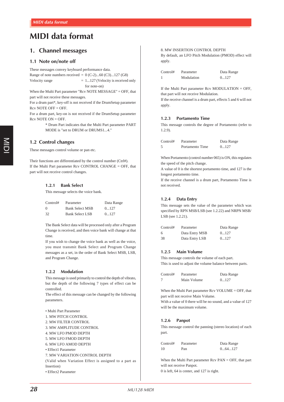## <span id="page-26-0"></span>**MIDI data format**

### **1. Channel messages**

#### **1.1 Note on/note off**

These messages convey keyboard performance data. Range of note numbers received =  $0$  (C-2)...60 (C3)...127 (G8) Velocity range  $= 1...127$  (Velocity is received only for note-on)

When the Multi Part parameter "Rcv NOTE MESSAGE" = OFF, that part will not receive these messages.

For a drum part\*, key-off is not received if the DrumSetup parameter Rcv NOTE OFF = OFF.

For a drum part, key-on is not received if the DrumSetup parameter Rcv NOTE ON = OFF.

> \* Drum Part indicates that the Multi Part parameter PART MODE is "set to DRUM or DRUMS1...4."

#### **1.2 Control changes**

These messages control volume or pan etc.

Their functions are differentiated by the control number (Ctrl#). If the Multi Part parameter Rcv CONTROL CHANGE = OFF, that part will not receive control changes.

#### **1.2.1 Bank Select**

This message selects the voice bank.

| Control# | Parameter              | Data Range |
|----------|------------------------|------------|
| $\Omega$ | <b>Bank Select MSB</b> | 0127       |
| 32       | <b>Bank Select LSB</b> | 0127       |

The Bank Select data will be processed only after a Program Change is received, and then voice bank will change at that time.

If you wish to change the voice bank as well as the voice, you must transmit Bank Select and Program Change messages as a set, in the order of Bank Select MSB, LSB, and Program Change.

#### **1.2.2 Modulation**

This message is used primarily to control the depth of vibrato, but the depth of the following 7 types of effect can be controlled.

The effect of this message can be changed by the following parameters.

• Multi Part Parameter 1. MW PITCH CONTROL 2. MW FILTER CONTROL 3. MW AMPLITUDE CONTROL 4. MW LFO PMOD DEPTH 5. MW LFO FMOD DEPTH 6. MW LFO AMOD DEPTH • Effect1 Parameter 7. MW VARIATION CONTROL DEPTH (Valid when Variation Effect is assigned to a part as Insertion) • Effect2 Parameter

#### 8. MW INSERTION CONTROL DEPTH

By default, an LFO Pitch Modulation (PMOD) effect will apply.

| Control# | Parameter  | Data Range |
|----------|------------|------------|
|          | Modulation | 0127       |

If the Multi Part parameter Rcv MODULATION = OFF, that part will not receive Modulation.

If the receive channel is a drum part, effects 5 and 6 will not apply.

#### **1.2.3 Portamento Time**

This message controls the degree of Portamento (refer to 1.2.9).

| Control# | Parameter       | Data Range |
|----------|-----------------|------------|
| 5        | Portamento Time | 0127       |

When Portamento (control number 065) is ON, this regulates the speed of the pitch change.

A value of 0 is the shortest portamento time, and 127 is the longest portamento time.

If the receive channel is a drum part, Portamento Time is not received.

#### **1.2.4 Data Entry**

This message sets the value of the parameter which was specified by RPN MSB/LSB (see 1.2.22) and NRPN MSB/ LSB (see 1.2.21).

| Control# | Parameter      | Data Range |
|----------|----------------|------------|
| 6        | Data Entry MSB | 0127       |
| 38       | Data Entry LSB | 0127       |

#### **1.2.5 Main Volume**

This message controls the volume of each part. This is used to adjust the volume balance between parts.

| Control# | Parameter   | Data Range |
|----------|-------------|------------|
|          | Main Volume | 0127       |

When the Multi Part parameter Rcv VOLUME = OFF, that part will not receive Main Volume.

With a value of 0 there will be no sound, and a value of 127 will be the maximum volume.

#### **1.2.6 Panpot**

This message control the panning (stereo location) of each part.

| Control# | Parameter | Data Range |
|----------|-----------|------------|
| 10       | Pan       | 064127     |

When the Multi Part parameter Rcv PAN = OFF, that part will not receive Panpot. 0 is left, 64 is center, and 127 is right.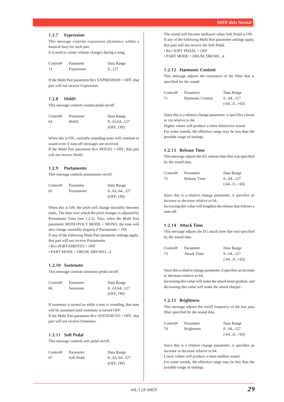#### **1.2.7 Expression**

This message controls expression (dynamics within a musical line) for each part.

It is used to create volume changes during a song.

| Control# | Parameter  | Data Range |
|----------|------------|------------|
| 11       | Expression | 0127       |

If the Multi Part parameter Rcv EXPRESSION = OFF, that part will not receive Expression.

#### **1.2.8 Hold1**

This message controls sustain pedal on/off.

| Control# | Parameter | Data Range |
|----------|-----------|------------|
| 64       | Hold1     | 063,64127  |
|          |           | (OFF, ON)  |

When this is ON, currently-sounding notes will continue to sound even if note-off messages are received.

If the Multi Part parameter  $Rcv$  HOLD1 = OFF, that part will not receive Hold1.

#### **1.2.9 Portamento**

This message controls portamento on/off.

| Control# | Parameter  | Data Range |
|----------|------------|------------|
| 65       | Portamento | 063, 64127 |
|          |            | (OFF, ON)  |

When this is ON, the pitch will change smoothly between notes. The time over which the pitch changes is adjusted by Portamento Time (see 1.2.3). Also, when the Multi Part parameter MONO/POLY MODE = MONO, the tone will also change smoothly (legato) if Portamento = ON. If any of the following Multi Part parameter settings apply,

that part will not receive Portamento.

 $\bullet$  Rcv PORTAMENTO = OFF

• PART MODE = DRUM, DRUMS1...4

#### **1.2.10 Sostenuto**

This message controls sostenuto pedal on/off.

| Control# | Parameter | Data Range |
|----------|-----------|------------|
| 66       | Sostenuto | 063,64127  |
|          |           | (OFF, ON)  |

If sostenuto is turned on while a note is sounding, that note will be sustained until sostenuto is turned OFF. If the Multi Part parameter Rcv SOSTENUTO = OFF, that part will not receive Sostenuto.

#### **1.2.11 Soft Pedal**

This message controls soft pedal on/off.

| Control# | Parameter  | Data Range |
|----------|------------|------------|
| 67       | Soft Pedal | 063, 64127 |
|          |            | (OFF, ON)  |

The sound will become mellower when Soft Pedal is ON. If any of the following Multi Part parameter settings apply, that part will not receive the Soft Pedal.

- Rcv SOFT PEDAL = OFF
- $\bullet$  PART MODE = DRUM, DRUM1...4

#### **1.2.12 Harmonic Content**

This message adjusts the resonance of the filter that is specified for the sound.

| Control# | Parameter        | Data Range  |
|----------|------------------|-------------|
| -71      | Harmonic Content | 064127      |
|          |                  | $(-640+63)$ |

Since this is a relative change parameter, it specifies a boost or cut relative to 64.

Higher values will produce a more distinctive sound. For some sounds, the effective range may be less than the possible range of settings.

#### **1.2.13 Release Time**

This message adjusts the EG release time that was specified by the sound data.

| Control# | Parameter    | Data Range  |
|----------|--------------|-------------|
| 72       | Release Time | 064127      |
|          |              | $(-640+63)$ |

Since this is a relative change parameter, it specifies an increase or decrease relative to 64.

Increasing this value will lengthen the release that follows a note-off.

#### **1.2.14 Attack Time**

This message adjusts the EG attack time that was specified by the sound data.

| Control# | Parameter          | Data Range  |
|----------|--------------------|-------------|
| 73       | <b>Attack Time</b> | 064127      |
|          |                    | $(-640+63)$ |

Since this a relative change parameter, it specifies an increase or decrease relative to 64.

Increasing this value will make the attack more gradual, and decreasing this value will make the attack sharper.

#### **1.2.15 Brightness**

This message adjusts the cutoff frequency of the low pass filter specified by the sound data.

| Control# | Parameter         | Data Range  |
|----------|-------------------|-------------|
| 74       | <b>Brightness</b> | 064127      |
|          |                   | $(-640+63)$ |

Since this is a relative change parameter, it specifies an increase or decrease relative to 64.

Lower values will produce a more mellow sound.

For some sounds, the effective range may be less than the possible range of settings.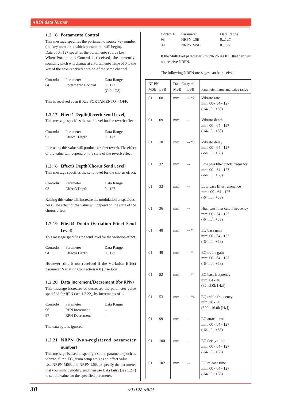#### **1.2.16 Portamento Control**

This message specifies the portamento source key number (the key number at which portamento will begin). Data of 0...127 specifies the portamento source key. When Portamento Control is received, the currentlysounding pitch will change at a Portamento Time of 0 to the key of the next-received note-on of the same channel.

| Control# | Parameter          | Data Range |
|----------|--------------------|------------|
| 84       | Portamento Control | 0127       |
|          |                    | $(C-2G8)$  |

This is received even if Rcv PORTAMENTO = OFF.

#### **1.2.17 Effect1 Depth(Reverb Send Level)**

This message specifies the send level for the reverb effect.

| Control# | Parameter     | Data Range |
|----------|---------------|------------|
| 91       | Effect1 Depth | 0127       |

Increasing this value will produce a richer reverb. The effect of the value will depend on the state of the reverb effect.

#### **1.2.18 Effect3 Depth(Chorus Send Level)**

This message specifies the send level for the chorus effect.

| Control# | Parameter     | Data Range |
|----------|---------------|------------|
| 93       | Effect3 Depth | 0127       |

Raising this value will increase the modulation or spaciousness. The effect of the value will depend on the state of the chorus effect.

#### **1.2.19 Effect4 Depth (Variation Effect Send Level)**

This message specifies the send level for the variation effect.

| Control# | Parameter     | Data Range |
|----------|---------------|------------|
| 94       | Effect4 Depth | 0127       |

However, this is not received if the Variation Effect parameter Variation Connection = 0 (Insertion).

#### **1.2.20 Data Increment/Decrement (for RPN)**

This message increases or decreases the parameter value specified for RPN (see 1.2.22), by increments of 1.

| Control# | Parameter            | Data Range |
|----------|----------------------|------------|
| 96       | <b>RPN</b> Increment | --         |
| 97       | <b>RPN</b> Decrement | --         |

The data byte is ignored.

### **1.2.21 NRPN (Non-registered parameter number)**

This message is used to specify a sound parameter (such as vibrato, filter, EG, drum setup etc.) as an offset value. Use NRPN MSB and NRPN LSB to specify the parameter that you wish to modify, and then use Data Entry (see 1.2.4) to set the value for the specified parameter.

| Control# | Parameter       | Data Range |  |
|----------|-----------------|------------|--|
| 98       | NRPN LSB        | 0127       |  |
| 99       | <b>NRPN MSB</b> | 0127       |  |

If the Multi Part parameter Rcv NRPN = OFF, that part will not receive NRPN.

The following NRPN messages can be received.

| <b>NRPN</b> | Data Entry *1     |                                                                       |
|-------------|-------------------|-----------------------------------------------------------------------|
| MSB<br>LSB  | MSB<br><b>LSB</b> | Parameter name and value range                                        |
| 08<br>01    | $- * 2$<br>mm     | Vibrato rate<br>mm: 00 - 64 - 127<br>$(-640+63)$                      |
| 01<br>09    | mm                | Vibrato depth<br>mm: 00 - 64 - 127<br>$(-640+63)$                     |
| 01<br>10    | $- * 3$<br>mm     | Vibrato delay<br>mm: 00 - 64 - 127<br>$(-640+63)$                     |
| 01<br>32    | mm                | Low pass filter cutoff frequency<br>mm: 00 - 64 - 127<br>$(-640+63)$  |
| 01<br>33    | mm                | Low pass filter resonance<br>$mm: 00 - 64 - 127$<br>$(-640+63)$       |
| 01<br>36    | mm                | High pass filter cutoff frequency<br>mm: 00 - 64 - 127<br>$(-640+63)$ |
| 01<br>48    | $- * 4$<br>mm     | EQ bass gain<br>mm: 00 - 64 - 127<br>$(-640+63)$                      |
| 01<br>49    | $- * 4$<br>mm     | EQ treble gain<br>mm: 00 - 64 - 127<br>$(-640+63)$                    |
| 01<br>52    | $- * 4$<br>mm     | EQ bass frequency<br>mm: 04 - 40<br>$(322.0k$ [Hz])                   |
| 01<br>53    | $- * 4$<br>mm     | EQ treble frequency<br>mm: 28 - 58<br>$(50016.0k$ [Hz])               |
| 01<br>99    | mm                | EG attack time<br>mm: 00 - 64 - 127<br>$(-640+63)$                    |
| 01<br>100   | mm                | EG decay time<br>mm: 00 - 64 - 127<br>$(-640+63)$                     |
| 01<br>102   | mm                | EG release time<br>mm: 00 - 64 - 127<br>$(-640+63)$                   |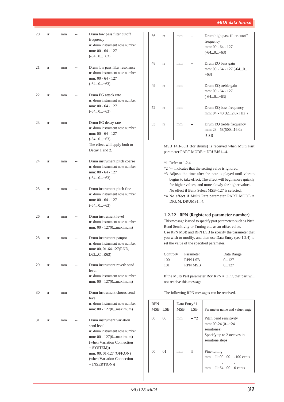### **MIDI data format**

| 20 | rr          | mm |                | Drum low pass filter cutoff<br>frequency<br>rr: drum instrument note number<br>mm: 00 - 64 - 127<br>$(-640+63)$                                      | 36            | rr              | mm                  |                             | Drum high pass filter cutoff<br>frequency<br>mm: 00 - 64 - 127<br>$(-640+63)$                                                                                                                                             |
|----|-------------|----|----------------|------------------------------------------------------------------------------------------------------------------------------------------------------|---------------|-----------------|---------------------|-----------------------------|---------------------------------------------------------------------------------------------------------------------------------------------------------------------------------------------------------------------------|
| 21 | $_{\rm IT}$ | mm |                | Drum low pass filter resonance<br>rr: drum instrument note number<br>mm: 00 - 64 - 127                                                               | 48            | rr              | mm                  |                             | Drum EQ bass gain<br>mm: 00 - 64 - 127 (-640<br>$+63)$                                                                                                                                                                    |
| 22 |             |    |                | $(-640+63)$                                                                                                                                          | 49            | rr              | mm                  |                             | Drum EQ treble gain<br>mm: 00 - 64 - 127                                                                                                                                                                                  |
|    | rr          | mm |                | Drum EG attack rate<br>rr: drum instrument note number<br>mm: 00 - 64 - 127<br>$(-640+63)$                                                           | 52            | rr              | mm                  |                             | $(-640+63)$<br>Drum EQ bass frequency<br>mm: 04 - 40(322.0k [Hz])                                                                                                                                                         |
| 23 | $_{\rm IT}$ | mm |                | Drum EG decay rate<br>rr: drum instrument note number<br>mm: 00 - 64 - 127<br>$(-640+63)$                                                            | 53            | rr              | mm                  |                             | Drum EQ treble frequency<br>mm: 28 - 58(50016.0k<br>[Hz]                                                                                                                                                                  |
|    |             |    |                | The effect will apply both to<br>Decay 1 and 2.                                                                                                      |               |                 |                     |                             | MSB 14H-35H (for drums) is received when Multi Part<br>parameter PART MODE = $DRUMS14$ .                                                                                                                                  |
| 24 | rr          | mm |                | Drum instrument pitch coarse<br>rr: drum instrument note number<br>mm: 00 - 64 - 127<br>$(-640+63)$                                                  |               |                 | $*1$ Refer to 1.2.4 |                             | *2 '--' indicates that the setting value is ignored.<br>*3 Adjusts the time after the note is played until vibrato<br>begins to take effect. The effect will begin more quickly                                           |
| 25 | $_{\rm IT}$ | mm |                | Drum instrument pitch fine<br>rr: drum instrument note number<br>mm: 00 - 64 - 127<br>$(-640+63)$                                                    |               |                 |                     | DRUM, DRUMS14.              | for higher values, and more slowly for higher values.<br>No effect if Bank Select MSB=127 is selected.<br>*4 No effect if Multi Part parameter PART MODE =                                                                |
| 26 | rr          | mm |                | Drum instrument level<br>rr: drum instrument note number<br>mm: 00 - 127(0maximum)                                                                   |               |                 |                     |                             | 1.2.22 RPN (Registered parameter number)<br>This message is used to specify part parameters such as Pitch<br>Bend Sensitivity or Tuning etc. as an offset value.<br>Use RPN MSB and RPN LSB to specify the parameter that |
| 28 | rr          | mm |                | Drum instrument panpot<br>rr: drum instrument note number<br>mm: 00, 01-64-127(RND,                                                                  |               |                 |                     |                             | you wish to modify, and then use Data Entry (see 1.2.4) to<br>set the value of the specified parameter.                                                                                                                   |
|    |             |    |                | L63CR63)                                                                                                                                             |               | Control#<br>100 |                     | Parameter<br><b>RPN LSB</b> | Data Range<br>0127                                                                                                                                                                                                        |
| 29 | $_{\rm IT}$ | mm |                | Drum instrument reverb send<br>level                                                                                                                 |               | 101             |                     | <b>RPN MSB</b>              | 0127                                                                                                                                                                                                                      |
|    |             |    |                | rr: drum instrument note number<br>mm: 00 - 127(0maximum)                                                                                            |               |                 |                     | not receive this message.   | If the Multi Part parameter Rcv RPN = OFF, that part will                                                                                                                                                                 |
| 30 | $_{\rm IT}$ | mm |                | Drum instrument chorus send<br>level                                                                                                                 |               |                 |                     |                             | The following RPN messages can be received.                                                                                                                                                                               |
|    |             |    |                | rr: drum instrument note number<br>mm: 00 - 127(0maximum)                                                                                            | <b>RPN</b>    | MSB LSB         | <b>MSB</b>          | Data Entry*1<br><b>LSB</b>  | Parameter name and value range                                                                                                                                                                                            |
| 31 | $_{\rm IT}$ | mm | $\overline{a}$ | Drum instrument variation<br>send level<br>rr: drum instrument note number<br>mm: 00 - 127(0maximum)<br>(when Variation Connection<br>$=$ SYSTEM $)$ | $^{00}$<br>00 | $00\,$<br>01    | mm<br>mm            | $- *2$<br>$_{\rm ll}$       | Pitch bend sensitivity<br>mm: 00-24 (0+24)<br>semitones)<br>Specify up to 2 octaves in<br>semitone steps<br>Fine tuning                                                                                                   |
|    |             |    |                | mm: 00, 01-127 (OFF,ON)<br>(when Variation Connection<br>$=$ INSERTION $)$                                                                           |               |                 |                     |                             | $11:00 \quad 00 \quad -100 \text{ cents}$<br>mm<br>$\ddot{\cdot}$<br>$11:64$ 00 0 cents<br>mm                                                                                                                             |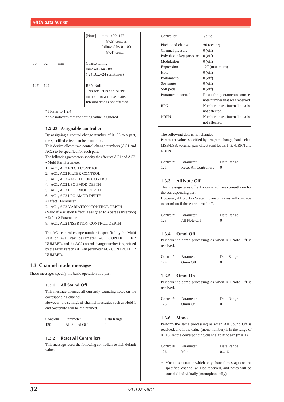|          |     |    | mm ll: 00 127<br>[Note]<br>$(=87.5)$ cents is<br>followed by 01 00<br>$(=87.4)$ cents.                    |
|----------|-----|----|-----------------------------------------------------------------------------------------------------------|
| $($ $)($ | 02  | mm | Coarse tuning<br>mm: 40 - 64 - 88<br>$(-240+24$ semitones)                                                |
| 127      | 127 |    | <b>RPN Null</b><br>This sets RPN and NRPN<br>numbers to an unset state.<br>Internal data is not affected. |

\*1 Refer to 1.2.4

\*2 '--' indicates that the setting value is ignored.

#### **1.2.23 Assignable controller**

By assigning a control change number of 0...95 to a part, the specified effect can be controlled.

This device allows two control change numbers (AC1 and AC2) to be specified for each part.

The following parameters specify the effect of AC1 and AC2. • Multi Part Parameter

1. AC1, AC2 PITCH CONTROL

- 2. AC1, AC2 FILTER CONTROL
- 3. AC1, AC2 AMPLITUDE CONTROL
- 4. AC1, AC2 LFO PMOD DEPTH
- 5. AC1, AC2 LFO FMOD DEPTH
- 6. AC1, AC2 LFO AMOD DEPTH
- Effect1 Parameter

7. AC1, AC2 VARIATION CONTROL DEPTH

(Valid if Variation Effect is assigned to a part as Insertion) • Effect 2 Parameter

8. AC1, AC2 INSERTION CONTROL DEPTH

The AC1 control change number is specified by the Multi Part or A/D Part parameter AC1 CONTROLLER NUMBER, and the AC2 control change number is specified by the Multi Part or A/D Part parameter AC2 CONTROLLER NUMBER.

#### **1.3 Channel mode messages**

These messages specify the basic operation of a part.

#### **1.3.1 All Sound Off**

This message silences all currently-sounding notes on the corresponding channel.

However, the settings of channel messages such as Hold 1 and Sostenuto will be maintained.

| Control# | Parameter     | Data Range |
|----------|---------------|------------|
| 120      | All Sound Off | $\Omega$   |

#### **1.3.2 Reset All Controllers**

This message resets the following controllers to their default values.

| Controller              | Value                          |
|-------------------------|--------------------------------|
| Pitch bend change       | $\pm 0$ (center)               |
| Channel pressure        | $0$ (off)                      |
| Polyphonic key pressure | $0$ (off)                      |
| Modulation              | $0$ (off)                      |
| Expression              | 127 (maximum)                  |
| Hold                    | $0$ (off)                      |
| Portamento              | $0$ (off)                      |
| Sostenuto               | $0$ (off)                      |
| Soft pedal              | $0$ (off)                      |
| Portamento control      | Reset the portamento source    |
|                         | note number that was received  |
| <b>RPN</b>              | Number unset, internal data is |
|                         | not affected.                  |
| <b>NRPN</b>             | Number unset, internal data is |
|                         | not affected.                  |

The following data is not changed

Parameter values specified by program change, bank select MSB/LSB, volume, pan, effect send levels 1, 3, 4, RPN and NRPN.

| Control# | Parameter                    | Data Range |
|----------|------------------------------|------------|
| 121      | <b>Reset All Controllers</b> |            |

#### **1.3.3 All Note Off**

This message turns off all notes which are currently on for the corresponding part.

However, if Hold 1 or Sostenuto are on, notes will continue to sound until these are turned off.

| Control# | Parameter    | Data Range |
|----------|--------------|------------|
| 123      | All Note Off | 0          |

#### **1.3.4 Omni Off**

Perform the same processing as when All Note Off is received.

| Control# | Parameter | Data Range |
|----------|-----------|------------|
| 124      | Omni Off  | $\Omega$   |

#### **1.3.5 Omni On**

Perform the same processing as when All Note Off is received.

| Control# | Parameter | Data Range |
|----------|-----------|------------|
| 125      | Omni On   | $\Omega$   |

#### **1.3.6 Mono**

Perform the same processing as when All Sound Off is received, and if the value (mono number) is in the range of 0...16, set the corresponding channel to Mode4\* ( $m = 1$ ).

| Control# | Parameter | Data Range |
|----------|-----------|------------|
| 126      | Mono      | 016        |

\* Mode4 is a state in which only channel messages on the specified channel will be received, and notes will be sounded individually (monophonically).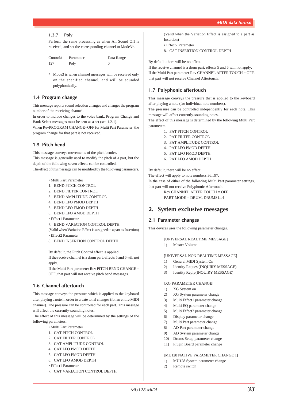#### **1.3.7 Poly**

Perform the same processing as when All Sound Off is received, and set the corresponding channel to Mode3\*.

| Control# | Parameter | Data Range |
|----------|-----------|------------|
| 127      | Poly      | 0          |

\* Mode3 is when channel messages will be received only on the specified channel, and will be sounded polyphonically.

#### **1.4 Program change**

This message reports sound selection changes and changes the program number of the receiving channel.

In order to include changes to the voice bank, Program Change and Bank Select messages must be sent as a set (see 1.2.1).

When RevPROGRAM CHANGE=OFF for Multi Part Parameter, the program change for that part is not received.

#### **1.5 Pitch bend**

This message conveys movements of the pitch bender. This message is generally used to modify the pitch of a part, but the depth of the following seven effects can be controlled. The effect of this message can be modified by the following parameters.

- Multi Part Parameter
- 1. BEND PITCH CONTROL
- 2. BEND FILTER CONTROL
- 3. BEND AMPLITUDE CONTROL
- 4. BEND LFO PMOD DEPTH
- 5. BEND LFO FMOD DEPTH
- 6. BEND LFO AMOD DEPTH
- Effect1 Parameter
- 7. BEND VARIATION CONTROL DEPTH

(Valid when Variation Effect is assigned to a part as Insertion) • Effect2 Parameter

8. BEND INSERTION CONTROL DEPTH

By default, the Pitch Control effect is applied.

If the receive channel is a drum part, effects 5 and 6 will not apply.

If the Multi Part parameter Rcv PITCH BEND CHANGE = OFF, that part will not receive pitch bend messages.

#### **1.6 Channel aftertouch**

This message conveys the pressure which is applied to the keyboard after playing a note in order to create tonal changes (for an entire MIDI channel). The pressure can be controlled for each part. This message will affect the currently-sounding notes.

The effect of this message will be determined by the settings of the following parameters.

• Multi Part Parameter

- 1. CAT PITCH CONTROL
- 2. CAT FILTER CONTROL
- 3. CAT AMPLITUDE CONTROL
- 4. CAT LFO PMOD DEPTH
- 5. CAT LFO FMOD DEPTH
- 6. CAT LFO AMOD DEPTH
- Effect1 Parameter
- 7. CAT VARIATION CONTROL DEPTH

(Valid when the Variation Effect is assigned to a part as Insertion)

- Effect2 Parameter
- 8. CAT INSERTION CONTROL DEPTH

By default, there will be no effect.

If the receive channel is a drum part, effects 5 and 6 will not apply. If the Multi Part parameter Rcv CHANNEL AFTER TOUCH = OFF, that part will not receive Channel Aftertouch.

#### **1.7 Polyphonic aftertouch**

This message conveys the pressure that is applied to the keyboard after playing a note (for individual note numbers).

The pressure can be controlled independently for each note. This message will affect currently-sounding notes.

The effect of this message is determined by the following Multi Part parameters.

- 1. PAT PITCH CONTROL
- 2. PAT FILTER CONTROL
- 3. PAT AMPLITUDE CONTROL
- 4. PAT LFO PMOD DEPTH
- 5. PAT LFO FMOD DEPTH
- 6. PAT LFO AMOD DEPTH

By default, there will be no effect. The effect will apply to note numbers 36...97. In the case of either of the following Multi Part parameter settings, that part will not receive Polyphonic Aftertouch.

> Rcv CHANNEL AFTER TOUCH = OFF PART MODE = DRUM, DRUMS1...4

### **2. System exclusive messages**

#### **2.1 Parameter changes**

This devices uses the following parameter changes.

[UNIVERSAL REALTIME MESSAGE]

1) Master Volume

[UNIVERSAL NON REALTIME MESSAGE]

- 1) General MIDI System On
- 2) Identity Request(INOUIRY MESSAGE)
- 3) Identity Reply(INQUIRY MESSAGE)

#### [XG PARAMETER CHANGE]

- 1) XG System on
- 2) XG System parameter change
- 3) Multi Effect1 parameter change
- 4) Multi EQ parameter change
- 5) Multi Effect2 parameter change
- 6) Display parameter change
- 7) Multi Part parameter change
- 8) AD Part parameter change
- 9) AD System parameter change
- 10) Drums Setup parameter change
- 11) Plugin Board parameter change

#### [MU128 NATIVE PARAMETER CHANGE 1]

- 1) MU128 System parameter change
- 2) Remote switch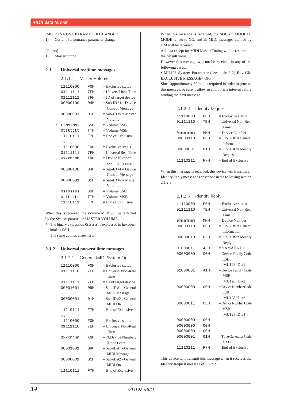[MU128 NATIVE PARAMETER CHANGE 2]

1) Current Performance parameter change

[Others]

1) Master tuning

#### **2.1.1 Universal realtime messages**

#### 2.1.1.1 Master Volume

|    | 11110000 | F0H        | $=$ Exclusive status     |
|----|----------|------------|--------------------------|
|    | 01111111 | 7FH        | $=$ Universal Real Time  |
|    | 01111111 | 7FH        | $=$ ID of target device  |
|    | 00000100 | 0.4H       | $=$ Sub-ID#1 $=$ Device  |
|    |          |            | Control Message          |
|    | 00000001 | 01H        | $=$ Sub-ID #2 $=$ Master |
|    |          |            | Volume                   |
| ×. | Osssssss | SSH        | $=$ Volume LSB           |
|    | Ottttttt | <b>TTH</b> | $=$ Volume MSB           |
|    | 11110111 | F7H        | $=$ End of Exclusive     |
|    | or,      |            |                          |
|    | 11110000 | F0H        | $=$ Exclusive status     |
|    | 01111111 | 7FH        | $=$ Universal Real Time  |
|    | Oxxxnnnn | <b>XNH</b> | = Device Number,         |
|    |          |            | $xxx = don't care$       |
|    | 00000100 | 04H        | $=$ Sub-ID#1 $=$ Device  |
|    |          |            | <b>Control Message</b>   |
|    | 00000001 | 01H        | $=$ Sub-ID #2 = Master   |
|    |          |            | Volume                   |
|    | Osssssss | SSH        | $=$ Volume LSB           |
|    | Ottttttt | <b>TTH</b> | $=$ Volume MSB           |
|    | 11110111 | F7H        | $=$ End of Exclusive     |

When this is received, the Volume MSB will be reflected by the System parameter MASTER VOLUME.

\* The binary expression 0sssssss is expressed in hexadecimal as SSH.

The same applies elsewhere.

#### **2.1.2 Universal non-realtime messages**

| 2.1.2.1  |                 | General MIDI System On    |
|----------|-----------------|---------------------------|
| 11110000 | F0H             | $=$ Exclusive status      |
| 01111110 | 7 <sub>EH</sub> | = Universal Non-Real      |
|          |                 | Time                      |
| 01111111 | 7FH             | $=$ ID of target device   |
| 00001001 | 09H             | $=$ Sub-ID #1 = General   |
|          |                 | <b>MIDI</b> Message       |
| 00000001 | 01H             | $=$ Sub-ID#2 $=$ General  |
|          |                 | MIDI On                   |
| 11110111 | F7H             | $=$ End of Exclusive      |
| or,      |                 |                           |
| 11110000 | F0H             | $=$ Exclusive status      |
| 01111110 | 7 <sub>EH</sub> | $=$ Universal Non-Real    |
|          |                 | Time                      |
| Oxxxnnnn | <b>XNH</b>      | $=$ N:Device Number,      |
|          |                 | X:don't care              |
| 00001001 | 09H             | $=$ Sub-ID #1 $=$ General |
|          |                 | <b>MIDI</b> Message       |
| 00000001 | 01H             | $=$ Sub-ID#2 $=$ General  |
|          |                 | MIDI On                   |
| 11110111 | F7H             | $=$ End of Exclusive      |
|          |                 |                           |

When this message is received, the SOUND MODULE MODE is set to XG, and all MIDI messages defined by GM will be received.

All data except for MIDI Master Tuning will be restored to the default value.

However this message will not be received in any of the following cases.

• MU128 System Parameter (see table 2-2) Rcv GM EXCLUSIVE MESSAGE= OFF

Since approximately 50[ms] is required in order to process this message, be sure to allow an appropriate interval before sending the next message.

#### 2.1.2.2 Identity Request

| 11110000 | FOH             | $=$ Exclusive status     |
|----------|-----------------|--------------------------|
| 01111110 | 7 <sub>EH</sub> | $=$ Universal Non-Real   |
|          |                 | Time                     |
| Ommmmmmm | MMH             | $=$ Device Number        |
| 00000110 | 06H             | $=$ Sub-ID#1 $=$ General |
|          |                 | Information              |
| 00000001 | 01H             | $=$ Sub-ID #2 = Identity |
|          |                 | Request                  |
| 11110111 | F7H             | $=$ End of Exclusive     |

When this message is received, this device will transmit an Identity Reply message as described in the following section 2.1.2.3.

#### 2.1.2.3 Identity Reply

| 11110000 | F0H             | $=$ Exclusive status      |
|----------|-----------------|---------------------------|
| 01111110 | 7 <sub>EH</sub> | $=$ Universal Non-Real    |
|          |                 | <b>Time</b>               |
| Ommmmmmm | <b>MMH</b>      | $=$ Device Number         |
| 00000110 | 06H             | $=$ Sub-ID#1 = General    |
|          |                 | Information               |
| 00000010 | 0.2H            | $=$ Sub-ID#2 $=$ Identity |
|          |                 | Reply                     |
| 01000011 | 43H             | $=$ YAMAHA ID             |
| 00000000 | 00H             | $=$ Device Family Code    |
|          |                 | LSB                       |
|          |                 | MU128 ID #1               |
| 01000001 | 41H             | $=$ Device Family Code    |
|          |                 | <b>MSB</b>                |
|          |                 | MU128 ID #2               |
| 00000000 | 00H             | $=$ Device Number Code    |
|          |                 | <b>LSB</b>                |
|          |                 | MU128 ID #3               |
| 00000011 | 0.3H            | $=$ Device Number Code    |
|          |                 | <b>MSB</b>                |
|          |                 | MU128 ID #4               |
| 00000000 | 00H             |                           |
| 00000000 | 00H             |                           |
| 00000000 | 00H             |                           |
| 00000001 | 01H             | $=$ Tone Generator Code   |
|          |                 | $= XG$                    |
| 11110111 | F7H             | $=$ End of Exclusive      |

This device will transmit this message when it receives the Identity Request message of 2.1.2.2.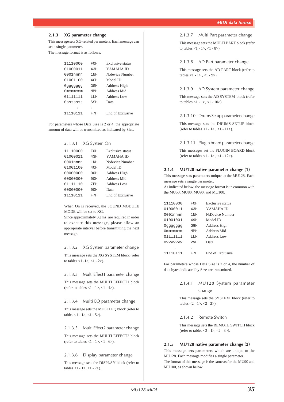#### **2.1.3 XG parameter change**

This message sets XG-related parameters. Each message can set a single parameter.

The message format is as follows.

| 11110000    | F0H             | Exclusive status |
|-------------|-----------------|------------------|
| 01000011    | 43H             | YAMAHA ID        |
| $0001$ nnnn | 1 <sub>NH</sub> | N device Number  |
| 01001100    | 4CH             | Model ID         |
| 0 gadadad   | GGH             | Address High     |
| Ommmmmmm    | <b>MMH</b>      | Address Mid      |
| 01111111    | T.T.H           | Address Low      |
| Osssssss    | SSH             | Data             |
|             |                 |                  |
| 1110111     | F7H             | End of Exclusive |

For parameters whose Data Size is 2 or 4, the appropriate amount of data will be transmitted as indicated by Size.

#### 2.1.3.1 XG System On

| 11110000    | F0H             | <b>Exclusive status</b> |
|-------------|-----------------|-------------------------|
| 01000011    | 43H             | YAMAHA ID               |
| $0001$ nnnn | 1 <sub>NH</sub> | N: device Number        |
| 01001100    | 4CH             | Model ID                |
| 00000000    | 00H             | Address High            |
| 00000000    | 00H             | Address Mid             |
| 01111110    | 7 <sub>EH</sub> | Address Low             |
| 00000000    | 00H             | Data                    |
| 11110111    | F7H             | End of Exclusive        |

When On is received, the SOUND MODULE MODE will be set to XG.

Since approximately 50[ms] are required in order to execute this message, please allow an appropriate interval before transmitting the next message.

2.1.3.2 XG System parameter change

This message sets the XG SYSTEM block (refer to tables  $<1 - 1$ ,  $<1 - 2$ ).

2.1.3.3 Multi Effect1 parameter change This message sets the MULTI EFFECT1 block (refer to tables  $<1 - 1$ ),  $<1 - 4$ ).

2.1.3.4 Multi EQ parameter change

This message sets the MULTI EQ block (refer to  $tables <1 - 1 > . <1 - 5 >$ ).

2.1.3.5 Multi Effect2 parameter change

This message sets the MULTI EFFECT2 block (refer to tables  $<1 - 1$ ),  $<1 - 6$ ).

2.1.3.6 Display parameter change

This message sets the DISPLAY block (refer to  $tables <1 - 1 > 1 - 7 >).$ 

2.1.3.7 Multi Part parameter change This message sets the MULTI PART block (refer to tables  $<1 - 1$ ,  $<1 - 8$ ).

2.1.3.8 AD Part parameter change

This message sets the AD PART block (refer to tables  $<1 - 1$  >  $< 1 - 9$  >).

2.1.3.9 AD System parameter change

This message sets the AD SYSTEM block (refer to tables  $<1 - 1$  >,  $<1 - 10$  >).

2.1.3.10 Drums Setup parameter change

This message sets the DRUMS SETUP block (refer to tables  $<1 - 1$ ),  $<1 - 11$ ).

2.1.3.11 Plugin board parameter change This messages set the PLUGIN BOARD block (refer to tables  $<1 - 1$ ),  $<1 - 12$ ).

#### **2.1.4 MU128 native parameter change (1)**

This message sets parameters unique to the MU128. Each message sets a single parameter.

As indicated below, the message format is in common with the MU50, MU80, MU90, and MU100.

| 11110000    | F0H                  | <b>Exclusive status</b>      |
|-------------|----------------------|------------------------------|
| 01000011    | 43H                  | YAMAHA ID                    |
| $0001$ nnnn | 1 <sub>NH</sub>      | N <sup>-</sup> Device Number |
| 01001001    | 49H                  | Model ID                     |
| 0 gggggggg  | GGH                  | Address High                 |
| Ommmmmmm    | MMH                  | Address Mid                  |
| 01111111    | T.T.H                | Address Low                  |
| Ovvvvvv     | VVH                  | Data                         |
|             | $\ddot{\phantom{a}}$ |                              |
| 11110111    | F7H                  | End of Exclusive             |

For parameters whose Data Size is 2 or 4, the number of data bytes indicated by Size are transmitted.

#### 2.1.4.1 MU128 System parameter change

This message sets the SYSTEM block (refer to  $tables < 2 - 1 >, <2 - 2 >).$ 

#### 2.1.4.2 Remote Switch

This message sets the REMOTE SWITCH block (refer to tables  $<2 - 1$ ),  $<2 - 3$ ).

#### **2.1.5 MU128 native parameter change (2)**

This message sets parameters which are unique to the MU128. Each message modifies a single parameter. The format of this message is the same as for the MU90 and MU100, as shown below.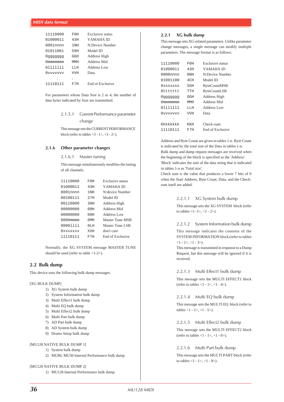| 11110000    | F0H             | Exclusive status |
|-------------|-----------------|------------------|
| 01000011    | 43H             | YAMAHA ID        |
| $0001$ nnnn | 1 <sub>NH</sub> | N.Device Number  |
| 01011001    | 59H             | Model ID         |
| 0 gadaada   | GGH             | Address High     |
| Ommmmmm     | <b>MMH</b>      | Address Mid      |
| ווווווח     | T.T.H           | Address Low      |
| Ovvvvvv     | <b>VVH</b>      | Data             |
|             |                 |                  |
| 11110111    | F7H             | End of Exclusive |

For parameters whose Data Size is 2 or 4, the number of data bytes indicated by Size are transmitted.

### 2.1.5.1 Current Performance parameter change

This message sets the CURRENT PERFORMANCE block (refer to tables  $<$ 3 - 1>,  $<$ 3 - 2>).

#### **2.1.6 Other parameter changes**

#### 2.1.6.1 Master tuning

This message simultaneously modifies the tuning of all channels.

| 11110000    | F0H             | Exclusive status |
|-------------|-----------------|------------------|
| 01000011    | 43H             | YAMAHA ID        |
| $0001$ nnnn | 1 <sub>NH</sub> | N:device Number  |
| 00100111    | 2.7H            | Model ID         |
| 00110000    | 30H             | Address High     |
| 00000000    | 00H             | Address Mid      |
| 00000000    | 00H             | Address Low      |
| $0000$ mmmm | 0 <sub>MH</sub> | Master Tune MSB  |
| 00001111    | 0I.H            | Master Tune LSB  |
| Oxxxxxxx    | <b>XXH</b>      | don't care       |
| 11110111    | F7H             | End of Exclusive |

Normally, the XG SYSTEM message MASTER TUNE should be used (refer to table <1-2>).

#### **2.2 Bulk dump**

This device uses the following bulk dump messages.

#### [XG BULK DUMP]

- 1) XG System bulk dump
- 2) System Information bulk dump
- 3) Multi Effect1 bulk dump
- 4) Multi EQ bulk dump
- 5) Multi Effect2 bulk dump
- 6) Multi Part bulk dump
- 7) AD Part bulk dump
- 8) AD System bulk dump
- 9) Drums Setup bulk dump

#### [MU128 NATIVE BULK DUMP 1]

- 1) System bulk dump
	- 2) MU80, MU50 Internal Performance bulk dump

#### [MU128 NATIVE BULK DUMP 2]

1) MU128 Internal Performance bulk dump

#### **2.2.1 XG bulk dump**

This message sets XG-related parameters. Unlike parameter change messages, a single message can modify multiple parameters. The message format is as follows.

| 11110000        | F0H        | Exclusive status    |
|-----------------|------------|---------------------|
| 01000011        | 43H        | YAMAHA ID           |
| $0000$ nnnn     | 0NH        | N.Device Number     |
| 01001100        | 4CH        | Model ID            |
| Osssssss        | SSH        | <b>ByteCountMSB</b> |
| Ottttttt        | TTH        | <b>ByteCountLSB</b> |
| <u>0ddddddd</u> | GGH        | Address High        |
| Ommmmmmm        | MMH        | Address Mid         |
| 01111111        | LLH        | Address Low         |
| Ovvvvvvv        | <b>VVH</b> | Data                |
|                 |            |                     |
| 0kkkkkkk        | KKH        | Check-sum           |
| 11110111        | F7H        | End of Exclusive    |

Address and Byte Count are given in tables 1-n. Byte Count is indicated by the total size of the Data in tables 1-n. Bulk dump and dump request messages are received when the beginning of the block is specified as the 'Address'. 'Block' indicates the unit of the data string that is indicated in tables 1-n as 'Total size'.

Check sum is the value that produces a lower 7 bits of 0 when the Start Address, Byte Count, Data, and the Checksum itself are added.

#### 2.2.1.1 XG System bulk dump

This message sets the XG SYSTEM block (refer to tables  $<1 - 1$ ,  $<1 - 2$ ).

#### 2.2.1.2 System Information bulk dump

This message indicates the contents of the SYSTEM INFORMATION block (refer to tables  $<1 - 1$  $>$ ,  $<1 - 3$  $>$ ).

This message is transmitted in response to a Dump Request, but this message will be ignored if it is received.

#### 2.2.1.3 Multi Effect1 bulk dump

This message sets the MULTI EFFECT1 block (refer to tables  $<1 - 1$ ),  $<1 - 4$ ).

2.2.1.4 Multi EQ bulk dump

This message sets the MULTI EQ block (refer to tables  $<1 - 1$ ,  $<1 - 5$ ).

2.2.1.5 Multi Effect2 bulk dump This message sets the MULTI EFFECT2 block (refer to tables  $<1 - 1$ ),  $<1 - 6$ ).

2.2.1.6 Multi Part bulk dump This message sets the MULTI PART block (refer to tables  $<1 - 1$ ,  $<1 - 8$ ).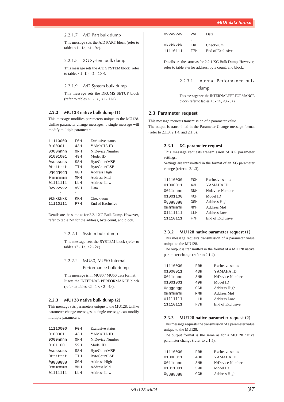**MIDI data format**

2.2.1.7 A/D Part bulk dump

This message sets the A/D PART block (refer to  $tables <1 - 1 > 1 - 9$ .

2.2.1.8 XG System bulk dump

This message sets the A/D SYSTEM block (refer to tables  $<1 - 1$ ,  $<1 - 10$ .

2.2.1.9 A/D System bulk dump

This message sets the DRUMS SETUP block (refer to tables  $<1 - 1$ ),  $<1 - 11$ ).

#### **2.2.2 MU128 native bulk dump (1)**

This message modifies parameters unique to the MU128. Unlike parameter change messages, a single message will modify multiple parameters.

| 11110000    | F0H             | Exclusive status    |
|-------------|-----------------|---------------------|
| 01000011    | 43H             | YAMAHA ID           |
| $0000$ nnnn | 0 <sub>NH</sub> | N:Device Number     |
| 01001001    | 49H             | Model ID            |
| Osssssss    | SSH             | <b>ByteCountMSB</b> |
| Ottttttt    | TTH             | <b>ByteCountLSB</b> |
| 0 gadaada   | GGH             | Address High        |
| Ommmmmmm    | <b>MMH</b>      | Address Mid         |
| 01111111    | T.T.H           | Address Low         |
| Ovvvvvv     | <b>VVH</b>      | Data                |
|             |                 |                     |
| Okkkkkkk    | KKH             | Check-sum           |
| 11110111    | F7H             | End of Exclusive    |

Details are the same as for 2.2.1 XG Bulk Dump. However, refer to table 2-n for the address, byte count, and block.

#### 2.2.2.1 System bulk dump

This message sets the SYSTEM block (refer to  $tables < 2 - 1 > 2 - 2 > 0.$ 

#### 2.2.2.2 MU80, MU50 Internal

Performance bulk dump

This message is in MU80 / MU50 data format. It sets the INTERNAL PERFORMANCE block (refer to tables  $\langle 2 - 1 \rangle$ ,  $\langle 2 - 4 \rangle$ ).

#### **2.2.3 MU128 native bulk dump (2)**

This message sets parameters unique to the MU128. Unlike parameter change messages, a single message can modify multiple parameters.

| F0H             | Exclusive status    |
|-----------------|---------------------|
| 43H             | YAMAHA ID           |
| 0 <sub>NH</sub> | N:Device Number     |
| 59H             | Model ID            |
| SSH             | <b>ByteCountMSB</b> |
| <b>TTH</b>      | <b>ByteCountLSB</b> |
| GGH             | Address High        |
| <b>MMH</b>      | Address Mid         |
| T.T.H           | Address Low         |
|                 |                     |

| 0vvvvvvv VVH | Data             |
|--------------|------------------|
| $\sim$ 1.    |                  |
| KKH          | Check-sum        |
| F7H          | End of Exclusive |
|              |                  |

Details are the same as for 2.2.1 XG Bulk Dump. However, refer to table 3-n for address, byte count, and block.

> 2.2.3.1 Internal Performance bulk dump

> This message sets the INTERNAL PERFORMANCE block (refer to tables <3 - 1>, <3 - 3>).

#### **2.3 Parameter request**

This message requests transmission of a parameter value. The output is transmitted in the Parameter Change message format (refer to 2.1.3, 2.1.4, and 2.1.5).

#### **2.3.1 XG parameter request**

This message requests transmission of XG parameter settings.

Settings are transmitted in the format of an XG parameter change (refer to 2.1.3).

| 11110000        | F0H             | Exclusive status |
|-----------------|-----------------|------------------|
| 01000011        | 43H             | YAMAHA ID        |
| $0011$ nnnn     | 3 <sub>NH</sub> | N: device Number |
| 01001100        | 4CH             | Model ID         |
| <b>Oqqqqqqq</b> | GGH             | Address High     |
| Ommmmmmm        | MMH             | Address Mid      |
| 01111111        | T.T.H           | Address Low      |
| 11110111        | F7H             | End of Exclusive |

#### **2.3.2 MU128 native parameter request (1)**

This message requests transmission of a parameter value unique to the MU128.

The output is transmitted in the format of a MU128 native parameter change (refer to 2.1.4).

| 11110000    | F0H        | Exclusive status |
|-------------|------------|------------------|
| 01000011    | 43H        | YAMAHA ID        |
| $0011$ nnnn | 3NH        | N:Device Number  |
| 01001001    | 49H        | Model ID         |
| 0 gggggggg  | GGH        | Address High     |
| Ommmmmmm    | <b>MMH</b> | Address Mid      |
| 01111111    | LLH        | Address Low      |
| 11110111    | F7H        | End of Exclusive |

#### **2.3.3 MU128 native parameter request (2)**

This message requests the transmission of a parameter value unique to the MU128.

The output format is the same as for a MU128 native parameter change (refer to 2.1.5).

| 11110000        | F0H | <b>Exclusive status</b> |
|-----------------|-----|-------------------------|
| 01000011        | 43H | YAMAHA ID               |
| $0011$ nnnn     | 3NH | N:Device Number         |
| 01011001        | 59H | Model ID                |
| <u>0ddddddd</u> | GGH | Address High            |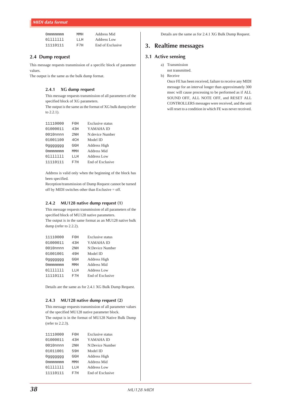| Ommmmmmm | <b>MMH</b> | Address Mid      |
|----------|------------|------------------|
| ווווווו  | T.T.H      | Address Low      |
| 11110111 | <b>F7H</b> | End of Exclusive |

#### **2.4 Dump request**

This message requests transmission of a specific block of parameter values.

The output is the same as the bulk dump format.

#### **2.4.1 XG dump request**

This message requests transmission of all parameters of the specified block of XG parameters.

The output is the same as the format of XG bulk dump (refer to 2.2.1).

| 11110000    | F0H        | Exclusive status |
|-------------|------------|------------------|
| 01000011    | 43H        | YAMAHA ID        |
| $0010$ nnnn | 2NH        | N: device Number |
| 01001100    | 4CH        | Model ID         |
| 0ggggggg    | GGH        | Address High     |
| mmmmmmm     | <b>MMH</b> | Address Mid      |
| 01111111    | T.T.H      | Address Low      |
| 11110111    | F7H        | End of Exclusive |

Address is valid only when the beginning of the block has been specified.

Reception/transmission of Dump Request cannot be turned off by MIDI switches other than Exclusive = off.

#### **2.4.2 MU128 native dump request (1)**

This message requests transmission of all parameters of the specified block of MU128 native parameters. The output is in the same format as an MU128 native bulk dump (refer to 2.2.2).

| 11110000    | F0H        | Exclusive status |
|-------------|------------|------------------|
| 01000011    | 43H        | YAMAHA ID        |
| $0010$ nnnn | 2NH        | N:Device Number  |
| 01001001    | 49H        | Model ID         |
| 0qqqqqqq    | GGH        | Address High     |
| Ommmmmmm    | <b>MMH</b> | Address Mid      |
| 01111111    | T.T.H      | Address Low      |
| 11110111    | F7H        | End of Exclusive |

Details are the same as for 2.4.1 XG Bulk Dump Request.

#### **2.4.3 MU128 native dump request (2)**

This message requests transmission of all parameter values of the specified MU128 native parameter block. The output is in the format of MU128 Native Bulk Dump (refer to 2.2.3).

| F0H        | Exclusive status |
|------------|------------------|
| 43H        | YAMAHA ID        |
| 2NH        | N:Device Number  |
| 59H        | Model ID         |
| GGH        | Address High     |
| <b>MMH</b> | Address Mid      |
| T.T.H      | Address Low      |
| F7H        | End of Exclusive |
|            |                  |

Details are the same as for 2.4.1 XG Bulk Dump Request.

### **3. Realtime messages**

#### **3.1 Active sensing**

- a) Transmission
	- not transmitted.
- b) Receive

Once FE has been received, failure to receive any MIDI message for an interval longer than approximately 300 msec will cause processing to be performed as if ALL SOUND OFF, ALL NOTE OFF, and RESET ALL CONTROLLERS messages were received, and the unit will reset to a condition in which FE was never received.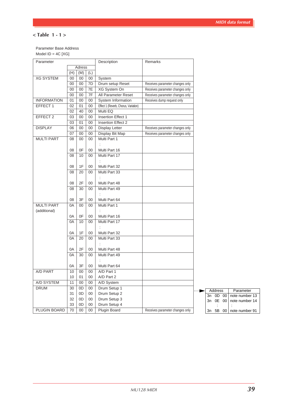## **< Table 1 - 1 >**

Parameter Base Address

Model  $ID = 4C$   $[XG]$ 

| Parameter           |     |               |     | Description                          | Remarks                         |  |                     |                             |
|---------------------|-----|---------------|-----|--------------------------------------|---------------------------------|--|---------------------|-----------------------------|
|                     |     | <b>Adress</b> |     |                                      |                                 |  |                     |                             |
|                     | (H) | (M)           | (L) |                                      |                                 |  |                     |                             |
| <b>XG SYSTEM</b>    | 00  | 00            | 00  | System                               |                                 |  |                     |                             |
|                     | 00  | 00            | 7D  | Drum setup Reset                     | Receives parameter changes only |  |                     |                             |
|                     | 00  | 00            | 7E  | <b>XG System On</b>                  | Receives parameter changes only |  |                     |                             |
|                     | 00  | 00            | 7F  | All Parameter Reset                  | Receives parameter changes only |  |                     |                             |
| <b>INFORMATION</b>  | 01  | 00            | 00  | System Information                   | Receives dump request only      |  |                     |                             |
| EFFECT 1            | 02  | 01            | 00  | Effect 1 (Reverb, Chorus, Variation) |                                 |  |                     |                             |
|                     | 02  | 40            | 00  | Multi EQ                             |                                 |  |                     |                             |
| EFFECT <sub>2</sub> | 03  | 00            | 00  | Insertion Effect 1                   |                                 |  |                     |                             |
|                     | 03  | 01            | 00  | Insertion Effect 2                   |                                 |  |                     |                             |
| <b>DISPLAY</b>      | 06  | 00            | 00  | Display Letter                       | Receives parameter changes only |  |                     |                             |
|                     | 07  | 00            | 00  | Display Bit Map                      | Receives parameter changes only |  |                     |                             |
| <b>MULTI PART</b>   | 08  | 00            | 00  | Multi Part 1                         |                                 |  |                     |                             |
|                     |     |               |     |                                      |                                 |  |                     |                             |
|                     | 08  | 0F            | 00  | Multi Part 16                        |                                 |  |                     |                             |
|                     | 08  | 10            | 00  | Multi Part 17                        |                                 |  |                     |                             |
|                     |     |               |     | $\ddot{\cdot}$                       |                                 |  |                     |                             |
|                     | 08  | 1F            | 00  | Multi Part 32                        |                                 |  |                     |                             |
|                     | 08  | 20            | 00  | Multi Part 33                        |                                 |  |                     |                             |
|                     |     |               |     |                                      |                                 |  |                     |                             |
|                     | 08  | 2F            | 00  | Multi Part 48                        |                                 |  |                     |                             |
|                     | 08  | 30            | 00  | Multi Part 49                        |                                 |  |                     |                             |
|                     |     |               |     |                                      |                                 |  |                     |                             |
|                     | 08  | 3F            | 00  | Multi Part 64                        |                                 |  |                     |                             |
| <b>MULTI PART</b>   | 0A  | 00            | 00  | Multi Part 1                         |                                 |  |                     |                             |
| (additional)        |     |               |     |                                      |                                 |  |                     |                             |
|                     | 0A  | 0F            | 00  | Multi Part 16                        |                                 |  |                     |                             |
|                     | 0A  | 10            | 00  | Multi Part 17                        |                                 |  |                     |                             |
|                     |     |               |     |                                      |                                 |  |                     |                             |
|                     | 0A  | 1F            | 00  | Multi Part 32                        |                                 |  |                     |                             |
|                     | 0A  | 20            | 00  | Multi Part 33                        |                                 |  |                     |                             |
|                     |     |               |     |                                      |                                 |  |                     |                             |
|                     | 0A  | 2F            | 00  | Multi Part 48                        |                                 |  |                     |                             |
|                     | 0A  | 30            | 00  | Multi Part 49                        |                                 |  |                     |                             |
|                     |     |               |     |                                      |                                 |  |                     |                             |
|                     | 0A  | 3F            | 00  | Multi Part 64                        |                                 |  |                     |                             |
| A/D PART            | 10  | 00            | 00  | A/D Part 1                           |                                 |  |                     |                             |
|                     | 10  | 01            | 00  | A/D Part 2                           |                                 |  |                     |                             |
| A/D SYSTEM          | 11  | 00            | 00  | A/D System                           |                                 |  |                     |                             |
| <b>DRUM</b>         | 30  | 0D            | 00  | Drum Setup 1                         |                                 |  |                     |                             |
|                     | 31  | 0D            | 00  | Drum Setup 2                         |                                 |  | Address<br>3n 0D 00 | Parameter<br>note number 13 |
|                     | 32  | 0D            | 00  | Drum Setup 3                         |                                 |  | 3n OE 00            | note number 14              |
|                     | 33  | 0D            | 00  | Drum Setup 4                         |                                 |  |                     |                             |
| PLUGIN BOARD        | 70  | 00            | 00  | <b>Plugin Board</b>                  | Receives parameter changes only |  |                     | 3n 5B 00 note number 91     |

number 91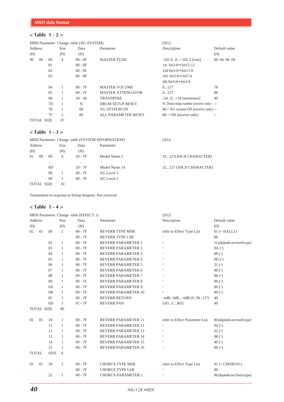### **< Table 1 - 2 >**

|         |                   |                |                | MIDI Parameter Change table (XG SYSTEM) |                          | [XG]                                   |               |
|---------|-------------------|----------------|----------------|-----------------------------------------|--------------------------|----------------------------------------|---------------|
| Address |                   |                | Size           | Data                                    | Parameter                | Description                            | Default value |
| (H)     |                   |                | (H)            | (H)                                     |                          |                                        | (H)           |
| 00      | $00\,$            | 0 <sup>0</sup> | $\overline{4}$ | $00 - 0F$                               | <b>MASTER TUNE</b>       | $-102.40+102.3$ [cent]                 | 00 04 00 00   |
|         |                   | 01             |                | $00 - 0F$                               |                          | 1st bit3-0 $\rightarrow$ bit15-12      |               |
|         |                   | 02             |                | $00 - 0F$                               |                          | 2nd bit3-0 $\rightarrow$ bit11-8       |               |
|         |                   | 03             |                | $00 - 0F$                               |                          | 3rd bit3-0 $\rightarrow$ bit7-4        |               |
|         |                   |                |                |                                         |                          | 4th bit3-0 $\rightarrow$ bit3-0        |               |
|         |                   | 04             | 1              | $00 - 7F$                               | <b>MASTER VOLUME</b>     | 0127                                   | 7F            |
|         |                   | 05             | 1              | $00 - 7F$                               | <b>MASTER ATTENUATOR</b> | 0127                                   | 00            |
|         |                   | 06             | 1              | $28 - 58$                               | <b>TRANSPOSE</b>         | $-240+24$ [semitones]                  | 40            |
|         |                   | 7D             |                | N                                       | <b>DRUM SETUP RESET</b>  | N: Drum setup number (receive only) -- |               |
|         |                   | <b>7E</b>      |                | 0 <sup>0</sup>                          | <b>XG SYSTEM ON</b>      | $00 = XG$ system ON (receive only) --  |               |
|         |                   | 7F             |                | $00\,$                                  | ALL PARAMETER RESET      | $00 = ON$ (receive only)               | $- -$         |
|         | <b>TOTAL SIZE</b> |                | 07             |                                         |                          |                                        |               |

**< Table 1 - 3 >**

|                   |        |                |      |           | MIDI Parameter Change table (SYSTEM INFORMATION) | [XG]                    |
|-------------------|--------|----------------|------|-----------|--------------------------------------------------|-------------------------|
| Address           |        |                | Size | Data      | Parameter                                        |                         |
| (H)               |        |                | (H)  | (H)       |                                                  |                         |
| 01                | $00\,$ | $00\,$         | E    | $20 - 7F$ | Model Name 1                                     | 32127(ASCII CHARACTER)  |
|                   |        | ٠<br>×         |      |           |                                                  |                         |
|                   |        | 0 <sub>D</sub> |      | $20 - 7F$ | Model Name 14                                    | 32127 (ASCII CHARACTER) |
|                   |        | 0E             |      | $00 - 7F$ | XG Level 1                                       |                         |
|                   |        | 0F             |      | $00 - 7F$ | XG Level 2                                       |                         |
| <b>TOTAL SIZE</b> |        |                | 10   |           |                                                  |                         |

Transmitted in response to Dump Request. Not received.

### **< Table 1 - 4 >**

|              |                   |                |                | MIDI Parameter Change table (EFFECT 1) |                            | [XG]                           |                             |
|--------------|-------------------|----------------|----------------|----------------------------------------|----------------------------|--------------------------------|-----------------------------|
| Address      |                   |                | Size           | Data                                   | Parameter                  | Description                    | Default value               |
| (H)          |                   |                | (H)            | (H)                                    |                            |                                | (H)                         |
| 02           | 01                | $00\,$         | $\mathfrak{D}$ | $00 - 7F$                              | <b>REVERB TYPE MSB</b>     | refer to Effect Type List      | $01$ (= HALL1)              |
|              |                   |                |                | $00 - 7F$                              | <b>REVERB TYPE LSB</b>     | $\overline{v}$                 | 0 <sup>0</sup>              |
|              |                   | 02             | 1              | $00 - 7F$                              | <b>REVERB PARAMETER 1</b>  | $\overline{v}$                 | 12 (depends on reverb type) |
|              |                   | 03             | 1              | $00 - 7F$                              | <b>REVERB PARAMETER 2</b>  | $\overline{\phantom{a}}$       | $0A(\gamma)$                |
|              |                   | 04             | 1              | $00 - 7F$                              | <b>REVERB PARAMETER 3</b>  | $\overline{v}$                 | $08(*)$                     |
|              |                   | 05             | 1              | $00 - 7F$                              | <b>REVERB PARAMETER 4</b>  | $\overline{v}$                 | OD (2)                      |
|              |                   | 06             | 1              | $00 - 7F$                              | <b>REVERB PARAMETER 5</b>  |                                | $31(*)$                     |
|              |                   | 07             | 1              | $00 - 7F$                              | <b>REVERB PARAMETER 6</b>  | $\overline{v}$                 | $00(*)$                     |
|              |                   | 08             | 1              | $00 - 7F$                              | <b>REVERB PARAMETER 7</b>  | $\overline{v}$                 | $00(*)$                     |
|              |                   | 09             | 1              | $00 - 7F$                              | <b>REVERB PARAMETER 8</b>  | $\overline{v}$                 | $00(*)$                     |
|              |                   | 0A             | $\mathbf{1}$   | $00 - 7F$                              | <b>REVERB PARAMETER 9</b>  | $\overline{v}$                 | $00(*)$                     |
|              |                   | $_{\rm OB}$    | 1              | $00 - 7F$                              | <b>REVERB PARAMETER 10</b> |                                | $00(*)$                     |
|              |                   | 0 <sup>C</sup> | $\mathbf{1}$   | $00 - 7F$                              | <b>REVERB RETURN</b>       | $-\infty$ dB0dB+6dB $(096127)$ | 40                          |
|              |                   | OD             | $\mathbf{1}$   | $01 - 7F$                              | <b>REVERB PAN</b>          | L63CR63                        | 40                          |
|              | <b>TOTAL SIZE</b> |                | 0E             |                                        |                            |                                |                             |
|              |                   |                |                |                                        |                            |                                |                             |
| 02           | 01                | 10             | $\mathbf{1}$   | $00 - 7F$                              | <b>REVERB PARAMETER 11</b> | refer to Effect Parameter List | 00 (depends on reverb type) |
|              |                   | 11             | 1              | $00 - 7F$                              | <b>REVERB PARAMETER 12</b> | $\overline{v}$                 | 04 $(*)$                    |
|              |                   | 12             | 1              | $00 - 7F$                              | <b>REVERB PARAMETER 13</b> | $\overline{v}$                 | 32(r)                       |
|              |                   | 13             | 1              | $00 - 7F$                              | <b>REVERB PARAMETER 14</b> |                                | $08(*)$                     |
|              |                   | 14             | $\mathbf{1}$   | $00 - 7F$                              | <b>REVERB PARAMETER 15</b> |                                | 40 $($                      |
|              |                   | 15             | $\mathbf{1}$   | $00 - 7F$                              | <b>REVERB PARAMETER 16</b> | $\overline{a}$                 | $00(*)$                     |
| <b>TOTAL</b> |                   | <b>SIZE</b>    | 6              |                                        |                            |                                |                             |
|              |                   |                |                |                                        |                            |                                |                             |
| 02           | 01                | 20             | $\overline{c}$ | $00 - 7F$                              | <b>CHORUS TYPE MSB</b>     | refer to Effect Type List      | $41$ (= CHORUS1)            |
|              |                   |                |                | $00 - 7F$                              | <b>CHORUS TYPE LSB</b>     | $\overline{\phantom{a}}$       | $00\,$                      |
|              |                   | 22             | 1              | $00 - 7F$                              | <b>CHORUS PARAMETER 1</b>  | $\overline{a}$                 | 06 (depends on chorus type) |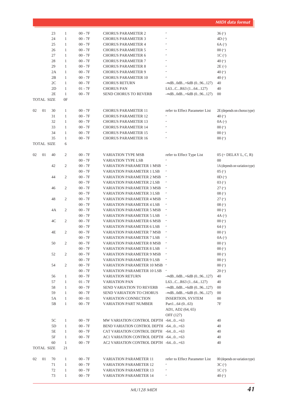|    |                   |    |                  |           |                                      |                                | <b>MIDI</b> data format                |
|----|-------------------|----|------------------|-----------|--------------------------------------|--------------------------------|----------------------------------------|
|    |                   | 23 | $\mathbf{1}$     | $00 - 7F$ | <b>CHORUS PARAMETER 2</b>            | n                              | $36(*)$                                |
|    |                   | 24 | $\mathbf{1}$     | $00 - 7F$ | <b>CHORUS PARAMETER 3</b>            | n                              | 4D(                                    |
|    |                   | 25 | $\mathbf{1}$     | $00 - 7F$ | <b>CHORUS PARAMETER 4</b>            |                                | $6A$ $($ )                             |
|    |                   | 26 | $\mathbf{1}$     | $00 - 7F$ | <b>CHORUS PARAMETER 5</b>            | n                              | $00(*)$                                |
|    |                   | 27 | $\mathbf{1}$     | $00 - 7F$ | <b>CHORUS PARAMETER 6</b>            | $\hat{\phantom{a}}$            | 1C(                                    |
|    |                   | 28 | $\mathbf{1}$     | $00 - 7F$ | <b>CHORUS PARAMETER 7</b>            |                                | 40 $($                                 |
|    |                   | 29 | $\mathbf{1}$     | $00 - 7F$ | <b>CHORUS PARAMETER 8</b>            | n                              | $2E(\gamma)$                           |
|    |                   | 2A | $\mathbf{1}$     | $00 - 7F$ | <b>CHORUS PARAMETER 9</b>            | $\hat{\phantom{a}}$            | 40 $($                                 |
|    |                   | 2B | $\mathbf{1}$     | $00 - 7F$ | <b>CHORUS PARAMETER 10</b>           |                                | 40 $($                                 |
|    |                   | 2C | $\mathbf{1}$     | $00 - 7F$ | <b>CHORUS RETURN</b>                 | $-\infty$ dB0dB+6dB (096127)   | 40                                     |
|    |                   | 2D | $\mathbf{1}$     | $01 - 7F$ | <b>CHORUS PAN</b>                    |                                | 40                                     |
|    |                   | 2E | $\mathbf{1}$     | $00 - 7F$ | SEND CHORUS TO REVERB                | L63CR63 (164127)               |                                        |
|    | <b>TOTAL SIZE</b> |    | 0F               |           |                                      | $-\infty$ dB0dB+6dB (096127)   | $00\,$                                 |
|    |                   |    |                  |           |                                      |                                |                                        |
| 02 | 01                | 30 | $\mathbf{1}$     | $00 - 7F$ | <b>CHORUS PARAMETER 11</b>           | refer to Effect Parameter List | 2E (depends on chorus type)            |
|    |                   | 31 | $\mathbf{1}$     | $00 - 7F$ | <b>CHORUS PARAMETER 12</b>           | $\overline{v}$                 | 40 $($                                 |
|    |                   | 32 | $\mathbf{1}$     | $00 - 7F$ | <b>CHORUS PARAMETER 13</b>           | $\hat{\phantom{a}}$            | 0A(                                    |
|    |                   | 33 | $\mathbf{1}$     | $00 - 7F$ | <b>CHORUS PARAMETER 14</b>           |                                | $00(*)$                                |
|    |                   | 34 | $\mathbf{1}$     | $00 - 7F$ | <b>CHORUS PARAMETER 15</b>           | n                              | $00(*)$                                |
|    |                   | 35 | $\mathbf{1}$     | $00 - 7F$ | <b>CHORUS PARAMETER 16</b>           | $\hat{\phantom{a}}$            | $00(*)$                                |
|    | TOTAL SIZE        |    | 6                |           |                                      |                                |                                        |
|    |                   |    |                  |           |                                      |                                |                                        |
| 02 | 01                | 40 | $\overline{c}$   | $00 - 7F$ | VARIATION TYPE MSB                   | refer to Effect Type List      | $05 (= DELAY L, C, R)$                 |
|    |                   |    |                  | $00 - 7F$ | <b>VARIATION TYPE LSB</b>            | $\hat{\phantom{a}}$            | $00\,$                                 |
|    |                   | 42 | $\overline{c}$   | $00 - 7F$ | <b>VARIATION PARAMETER 1 MSB</b>     |                                | 1A (depends on variation type)         |
|    |                   |    |                  | $00 - 7F$ | VARIATION PARAMETER 1 LSB            | $\!\scriptstyle\prime\prime$   | 05(                                    |
|    |                   | 44 | $\overline{c}$   | $00 - 7F$ | <b>VARIATION PARAMETER 2 MSB</b>     | $\hat{\phantom{a}}$            | OD(                                    |
|    |                   |    |                  | $00 - 7F$ | <b>VARIATION PARAMETER 2 LSB</b>     | $\overline{\phantom{a}}$       | $03(*)$                                |
|    |                   | 46 | $\boldsymbol{2}$ | $00 - 7F$ | <b>VARIATION PARAMETER 3 MSB</b>     | $\hat{\phantom{a}}$            | $27(*)$                                |
|    |                   |    |                  | $00 - 7F$ | <b>VARIATION PARAMETER 3 LSB</b>     | n                              | $08(*)$                                |
|    |                   | 48 | $\overline{c}$   | $00 - 7F$ | <b>VARIATION PARAMETER 4 MSB</b>     |                                | $27(*)$                                |
|    |                   |    |                  | $00 - 7F$ | VARIATION PARAMETER 4 LSB            | $\!\scriptstyle\prime\prime$   | $08(*)$                                |
|    |                   | 4A | $\overline{c}$   | $00 - 7F$ | <b>VARIATION PARAMETER 5 MSB</b>     | $\hat{\phantom{a}}$            | $00(*)$                                |
|    |                   |    |                  | $00 - 7F$ | <b>VARIATION PARAMETER 5 LSB</b>     | $\overline{a}$                 | 4A(                                    |
|    |                   | 4C | $\boldsymbol{2}$ | $00 - 7F$ | VARIATION PARAMETER 6 MSB            | $\hat{\phantom{a}}$            | $00(*)$                                |
|    |                   |    |                  | $00 - 7F$ | VARIATION PARAMETER 6 LSB            | $\overline{a}$                 | 64 $($                                 |
|    |                   | 4E | 2                | $00 - 7F$ | <b>VARIATION PARAMETER 7 MSB</b>     |                                | $00(*)$                                |
|    |                   |    |                  | $00 - 7F$ | VARIATION PARAMETER 7 LSB            | $\!\scriptstyle\prime\prime$   | $0A(\gamma)$                           |
|    |                   | 50 | $\overline{c}$   | $00 - 7F$ | VARIATION PARAMETER 8 MSB            | $\hat{\phantom{a}}$            | $00(*)$                                |
|    |                   |    |                  | $00 - 7F$ | <b>VARIATION PARAMETER 8 LSB</b>     | $\overline{\phantom{a}}$       | $00(*)$                                |
|    |                   | 52 | $\boldsymbol{2}$ | $00 - 7F$ | <b>VARIATION PARAMETER 9 MSB</b>     | $\boldsymbol{\mathcal{U}}$     | $00(*)$                                |
|    |                   |    |                  | $00 - 7F$ | <b>VARIATION PARAMETER 9 LSB</b>     |                                | $00(*)$                                |
|    |                   | 54 | 2                | $00 - 7F$ | VARIATION PARAMETER 10 MSB ~         |                                | $00(*)$                                |
|    |                   |    |                  | $00 - 7F$ | VARIATION PARAMETER 10 LSB           | $\hat{\phantom{a}}$            | $20(*)$                                |
|    |                   | 56 | $\mathbf{1}$     | $00 - 7F$ | VARIATION RETURN                     | $-\infty$ dB0dB+6dB (096127)   | 40                                     |
|    |                   | 57 | $\mathbf{1}$     | $01 - 7F$ | <b>VARIATION PAN</b>                 | L63CR63 (164127)               | 40                                     |
|    |                   | 58 | $\mathbf{1}$     | $00 - 7F$ | SEND VARIATION TO REVERB             | $-\infty$ dB0dB+6dB (096127)   | $00\,$                                 |
|    |                   | 59 | $\mathbf{1}$     | $00 - 7F$ | SEND VARIATION TO CHORUS             | $-\infty$ dB0dB+6dB (096127)   | $00\,$                                 |
|    |                   | 5A | $\mathbf{1}$     | $00 - 01$ | VARIATION CONNECTION                 | <b>INSERTION, SYSTEM</b>       | $00\,$                                 |
|    |                   | 5B | $\mathbf{1}$     | $00 - 7F$ | <b>VARIATION PART NUMBER</b>         | Part1 $64(063)$                | 7F                                     |
|    |                   |    |                  |           |                                      | AD1, AD2 (64, 65)              |                                        |
|    |                   |    |                  |           |                                      | OFF (127)                      |                                        |
|    |                   | 5C | $\mathbf{1}$     | $00 - 7F$ | MW VARIATION CONTROL DEPTH -640+63   |                                | 40                                     |
|    |                   | 5D | $\mathbf{1}$     | $00 - 7F$ | BEND VARIATION CONTROL DEPTH -640+63 |                                | 40                                     |
|    |                   | 5E | $\mathbf{1}$     | $00 - 7F$ | CAT VARIATION CONTROL DEPTH -640+63  |                                | 40                                     |
|    |                   | 5F | $\mathbf{1}$     | $00 - 7F$ | AC1 VARIATION CONTROL DEPTH -640+63  |                                | 40                                     |
|    |                   | 60 | $\mathbf{1}$     | $00 - 7F$ | AC2 VARIATION CONTROL DEPTH -640+63  |                                | 40                                     |
|    | TOTAL SIZE        |    | 21               |           |                                      |                                |                                        |
|    |                   |    |                  |           |                                      |                                |                                        |
| 02 | 01                | 70 | 1                | $00 - 7F$ | VARIATION PARAMETER 11               | refer to Effect Parameter List | 00 (depends on variation type)         |
|    |                   | 71 | $\mathbf{1}$     | $00 - 7F$ | <b>VARIATION PARAMETER 12</b>        | $\overline{\phantom{a}}$       | $3C($ <sup><math>\gamma</math></sup> ) |
|    |                   | 72 | $\mathbf{1}$     | $00 - 7F$ | <b>VARIATION PARAMETER 13</b>        | $\!\scriptstyle\prime\prime$   | $1C(\gamma)$                           |
|    |                   | 73 | $\mathbf{1}$     | $00 - 7F$ | <b>VARIATION PARAMETER 14</b>        | $\boldsymbol{\prime}$          | 40 $($                                 |
|    |                   |    |                  |           |                                      |                                |                                        |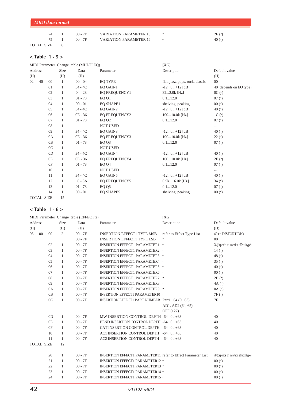| MIDI data format |   |           |                               |                   |        |  |  |  |  |
|------------------|---|-----------|-------------------------------|-------------------|--------|--|--|--|--|
|                  |   |           |                               |                   |        |  |  |  |  |
| 74 1             |   | $00 - 7F$ | <b>VARIATION PARAMETER 15</b> | $^{\prime\prime}$ | 2E(    |  |  |  |  |
| 75 1             |   | $00 - 7F$ | <b>VARIATION PARAMETER 16</b> | $^{\prime\prime}$ | 40 $($ |  |  |  |  |
| TOTAL SIZE       | 6 |           |                               |                   |        |  |  |  |  |

#### **< Table 1 - 5 >**

|         |                   |                |              | MIDI Parameter Change table (MULTI EQ) |                      | [XG]                            |                         |
|---------|-------------------|----------------|--------------|----------------------------------------|----------------------|---------------------------------|-------------------------|
| Address |                   |                | Size         | Data                                   | Parameter            | Description                     | Default value           |
| (H)     |                   |                | (H)          | (H)                                    |                      |                                 | (H)                     |
| 02      | 40                | $00\,$         | 1            | $00 - 04$                              | <b>EO TYPE</b>       | flat, jazz, pops, rock, classic | $00\,$                  |
|         |                   | 01             | 1            | $34 - 4C$                              | EQ GAIN1             | $-120+12$ [dB]                  | 40 (depends on EQ type) |
|         |                   | 02             | 1            | $04 - 28$                              | <b>EQ FREQUENCY1</b> | $322.0k$ [Hz]                   | $0C$ $(*)$              |
|         |                   | 03             | 1            | $01 - 78$                              | EQ Q1                | 0.112.0                         | 07 $(*)$                |
|         |                   | 04             | 1            | $00 - 01$                              | EQ SHAPE1            | shelving, peaking               | $00(*)$                 |
|         |                   | 05             | 1            | $34 - 4C$                              | EQ GAIN2             | $-120+12$ [dB]                  | 40(                     |
|         |                   | 06             | 1            | $0E - 36$                              | <b>EQ FREQUENCY2</b> | $10010.0k$ [Hz]                 | $1C(\gamma)$            |
|         |                   | 07             | 1            | $01 - 78$                              | EQ Q2                | 0.112.0                         | 07 $($                  |
|         |                   | 08             | 1            |                                        | NOT USED             |                                 | --                      |
|         |                   | 09             | 1            | $34 - 4C$                              | EQ GAIN3             | $-120+12$ [dB]                  | 40 $($                  |
|         |                   | 0A             | $\mathbf{1}$ | $0E - 36$                              | <b>EO FREOUENCY3</b> | 10010.0k [Hz]                   | $22(*)$                 |
|         |                   | 0B             | 1            | $01 - 78$                              | EQ Q3                | 0.112.0                         | 07 $(*)$                |
|         |                   | 0 <sup>C</sup> | 1            |                                        | NOT USED             |                                 | --                      |
|         |                   | OD             | 1            | $34 - 4C$                              | EQ GAIN4             | $-120+12$ [dB]                  | 40 $($                  |
|         |                   | 0E             | 1            | $0E - 36$                              | <b>EO FREOUENCY4</b> | $10010.0k$ [Hz]                 | 2E(                     |
|         |                   | 0F             | 1            | $01 - 78$                              | EQ Q4                | 0.112.0                         | 07 $(*)$                |
|         |                   | 10             | $\mathbf{1}$ |                                        | NOT USED             |                                 | --                      |
|         |                   | 11             | 1            | $34 - 4C$                              | EQ GAIN5             | $-120+12$ [dB]                  | 40(                     |
|         |                   | 12             | 1            | $1C - 3A$                              | <b>EO FREOUENCY5</b> | $0.5k16.0k$ [Hz]                | $34(*)$                 |
|         |                   | 13             | 1            | $01 - 78$                              | EQ Q5                | 0.112.0                         | 07 $(*)$                |
|         |                   | 14             | 1            | $00 - 01$                              | <b>EQ SHAPE5</b>     | shelving, peaking               | $00(*)$                 |
|         | <b>TOTAL SIZE</b> |                | 15           |                                        |                      |                                 |                         |

#### **< Table 1 - 6 >**

| MIDI Parameter Change table (EFFECT 2) | [XG] |
|----------------------------------------|------|
|----------------------------------------|------|

| Address |                   |                | Size           | Data      | Parameter                                                    | Description               | Default value                            |
|---------|-------------------|----------------|----------------|-----------|--------------------------------------------------------------|---------------------------|------------------------------------------|
| (H)     |                   |                | (H)            | (H)       |                                                              |                           | (H)                                      |
| 03      | $00\,$            | $00\,$         | $\mathfrak{D}$ | $00 - 7F$ | <b>INSERTION EFFECT1 TYPE MSB</b>                            | refer to Effect Type List | $49$ (= DISTORTION)                      |
|         |                   |                |                | $00 - 7F$ | <b>INSERTION EFFECT1 TYPE LSB</b>                            | $\hat{\phantom{a}}$       | $00\,$                                   |
|         |                   | 02             | $\mathbf{1}$   | $00 - 7F$ | <b>INSERTION EFFECT1 PARAMETER1 *</b>                        |                           | 28 (depends on insertion effect1 type)   |
|         |                   | 03             | 1              | $00 - 7F$ | <b>INSERTION EFFECT1 PARAMETER2 *</b>                        |                           | 14 $($ <sup>-<math>\prime</math></sup> ) |
|         |                   | 04             | 1              | $00 - 7F$ | <b>INSERTION EFFECT1 PARAMETER3 *</b>                        |                           | 48 $($                                   |
|         |                   | 05             | $\mathbf{1}$   | $00 - 7F$ | <b>INSERTION EFFECT1 PARAMETER4 *</b>                        |                           | 35 $($                                   |
|         |                   | 06             | 1              | $00 - 7F$ | <b>INSERTION EFFECT1 PARAMETER5 *</b>                        |                           | 40 $($                                   |
|         |                   | 07             | 1              | $00 - 7F$ | <b>INSERTION EFFECT1 PARAMETER6 *</b>                        |                           | $00(*)$                                  |
|         |                   | 08             | 1              | $00 - 7F$ | <b>INSERTION EFFECT1 PARAMETER7 *</b>                        |                           | $2B$ $(*)$                               |
|         |                   | 09             | $\mathbf{1}$   | $00 - 7F$ | <b>INSERTION EFFECT1 PARAMETER8 *</b>                        |                           | $4A$ $(*)$                               |
|         |                   | 0A             | 1              | $00 - 7F$ | <b>INSERTION EFFECT1 PARAMETER9 *</b>                        |                           | $0A(\gamma)$                             |
|         |                   | 0B             | $\mathbf{1}$   | $00 - 7F$ | <b>INSERTION EFFECT1 PARAMETER10 *</b>                       |                           | 7F(                                      |
|         |                   | 0 <sup>C</sup> | 1              | $00 - 7F$ | INSERTION EFFECT1 PART NUMBER Part164 (063)                  |                           | 7F                                       |
|         |                   |                |                |           |                                                              | AD1, AD2 (64, 65)         |                                          |
|         |                   |                |                |           |                                                              | OFF (127)                 |                                          |
|         |                   | OD             | $\mathbf{1}$   | $00 - 7F$ | MW INSERTION CONTROL DEPTH -640+63                           |                           | 40                                       |
|         |                   | 0E             | $\mathbf{1}$   | $00 - 7F$ | BEND INSERTION CONTROL DEPTH -640+63                         |                           | 40                                       |
|         |                   | 0F             | $\mathbf{1}$   | $00 - 7F$ | CAT INSERTION CONTROL DEPTH -640+63                          |                           | 40                                       |
|         |                   | 10             | $\mathbf{1}$   | $00 - 7F$ | AC1 INSERTION CONTROL DEPTH -640+63                          |                           | 40                                       |
|         |                   | 11             | $\mathbf{1}$   | $00 - 7F$ | AC2 INSERTION CONTROL DEPTH -640+63                          |                           | 40                                       |
|         | <b>TOTAL SIZE</b> |                | 12             |           |                                                              |                           |                                          |
|         |                   | 20             | $\mathbf{1}$   | $00 - 7F$ | INSERTION EFFECT1 PARAMETER11 refer to Effect Parameter List |                           | 78 (depends on insertion effect1 type)   |
|         |                   | 21             | 1              | $00 - 7F$ | <b>INSERTION EFFECT1 PARAMETER12 ~</b>                       |                           | $00(*)$                                  |
|         |                   | 22             | $\mathbf{1}$   | $00 - 7F$ | <b>INSERTION EFFECT1 PARAMETER13 ~</b>                       |                           | $00(*)$                                  |
|         |                   | 23             | $\mathbf{1}$   | $00 - 7F$ | <b>INSERTION EFFECT1 PARAMETER14 *</b>                       |                           | $00(*)$                                  |
|         |                   | 24             | 1              | $00 - 7F$ | <b>INSERTION EFFECT1 PARAMETER15 *</b>                       |                           | $00(*)$                                  |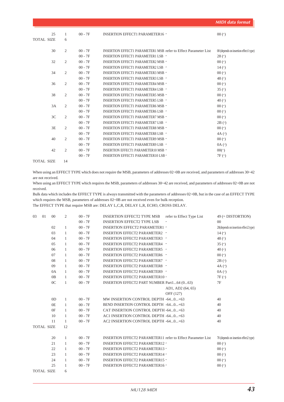|                   |                |           |                                                                        | <b>MIDI</b> data format                |
|-------------------|----------------|-----------|------------------------------------------------------------------------|----------------------------------------|
| 25                | $\mathbf{1}$   | $00 - 7F$ | <b>INSERTION EFFECT1 PARAMETER16 *</b>                                 | $00(*)$                                |
| <b>TOTAL SIZE</b> | 6              |           |                                                                        |                                        |
| 30                | $\overline{c}$ | $00 - 7F$ | <b>INSERTION EFFECT1 PARAMETER1 MSB refer to Effect Parameter List</b> | 00 (depends on insertion effect1 type) |
|                   |                | $00 - 7F$ | INSERTION EFFECT1 PARAMETER1 LSB ~                                     | $28(*)$                                |
| 32                | $\overline{2}$ | $00 - 7F$ | <b>INSERTION EFFECT1 PARAMETER2 MSB ~</b>                              | $00(*)$                                |
|                   |                | $00 - 7F$ | INSERTION EFFECT1 PARAMETER2 LSB ~                                     | 14 $($ <sup>-</sup> $)$                |
| 34                | 2              | $00 - 7F$ | <b>INSERTION EFFECT1 PARAMETER3 MSB ~</b>                              | $00(*)$                                |
|                   |                | $00 - 7F$ | INSERTION EFFECT1 PARAMETER3 LSB ~                                     | 48 $($                                 |
| 36                | $\overline{c}$ | $00 - 7F$ | <b>INSERTION EFFECT1 PARAMETER4 MSB ~</b>                              | $00(*)$                                |
|                   |                | $00 - 7F$ | <b>INSERTION EFFECT1 PARAMETER4 LSB ~</b>                              | 35(                                    |
| 38                | $\mathfrak{D}$ | $00 - 7F$ | <b>INSERTION EFFECT1 PARAMETER5 MSB ~</b>                              | $00(*)$                                |
|                   |                | $00 - 7F$ | <b>INSERTION EFFECT1 PARAMETER5 LSB ~</b>                              | 40 $($                                 |
| 3A                | $\overline{c}$ | $00 - 7F$ | <b>INSERTION EFFECT1 PARAMETER6 MSB ~</b>                              | $00(*)$                                |
|                   |                | $00 - 7F$ | INSERTION EFFECT1 PARAMETER6 LSB ~                                     | $00(*)$                                |
| 3C                | $\overline{c}$ | $00 - 7F$ | <b>INSERTION EFFECT1 PARAMETER7 MSB ~</b>                              | $00(*)$                                |
|                   |                | $00 - 7F$ | INSERTION EFFECT1 PARAMETER7 LSB ~                                     | 2B(                                    |
| 3E                | $\mathfrak{2}$ | $00 - 7F$ | <b>INSERTION EFFECT1 PARAMETER8 MSB ~</b>                              | $00(*)$                                |
|                   |                | $00 - 7F$ | INSERTION EFFECT1 PARAMETER8 LSB ~                                     | 4A(                                    |
| 40                | $\overline{c}$ | $00 - 7F$ | <b>INSERTION EFFECT1 PARAMETER9 MSB ~</b>                              | $00(*)$                                |
|                   |                | $00 - 7F$ | INSERTION EFFECT1 PARAMETER9 LSB ~                                     | $0A(\gamma)$                           |
| 42                | $\overline{c}$ | $00 - 7F$ | INSERTION EFFECT1 PARAMETER10 MSB ~                                    | $00(*)$                                |
|                   |                | $00 - 7F$ | INSERTION EFFECT1 PARAMETER10 LSB ~                                    | 7F(                                    |
| <b>TOTAL SIZE</b> | 14             |           |                                                                        |                                        |

When using an EFFECT TYPE which does not require the MSB, parameters of addresses 02~0B are received, and parameters of addresses 30~42 are not received.

When using an EFFECT TYPE which requires the MSB, parameters of addresses 30~42 are received, and parameters of addresses 02~0B are not received.

Bulk data which includes the EFFECT TYPE is always transmitted with the parameters of addresses 02~0B, but in the case of an EFFECT TYPE which requires the MSB, parameters of addresses  $02~0B$  are not received even for bulk reception.

The EFFECT TYPE that require MSB are: DELAY L,C,R, DELAY L,R, ECHO, CROSS DELAY.

| 03 | 01                | $00\,$         | $\overline{c}$ | $00 - 7F$ | <b>INSERTION EFFECT2 TYPE MSB</b><br>refer to Effect Type List      | $49$ (= DISTORTION)                      |
|----|-------------------|----------------|----------------|-----------|---------------------------------------------------------------------|------------------------------------------|
|    |                   |                |                | $00 - 7F$ | <b>INSERTION EFFECT2 TYPE LSB</b>                                   | 00 <sup>1</sup>                          |
|    |                   | 02             | 1              | $00 - 7F$ | <b>INSERTION EFFECT2 PARAMETER1 ~</b>                               | 28(depends on insertion effect2 type)    |
|    |                   | 03             | $\mathbf{1}$   | $00 - 7F$ | <b>INSERTION EFFECT2 PARAMETER2 *</b>                               | 14 $($ <sup>-<math>\prime</math></sup> ) |
|    |                   | 04             | 1              | $00 - 7F$ | <b>INSERTION EFFECT2 PARAMETER3 *</b>                               | 48 $($                                   |
|    |                   | 05             | 1              | $00 - 7F$ | INSERTION EFFECT2 PARAMETER4 ~                                      | 35 $($ <sup>-<math>\prime</math></sup> ) |
|    |                   | 06             | $\mathbf{1}$   | $00 - 7F$ | <b>INSERTION EFFECT2 PARAMETER5 *</b>                               | 40 $($                                   |
|    |                   | 07             | $\mathbf{1}$   | $00 - 7F$ | <b>INSERTION EFFECT2 PARAMETER6 *</b>                               | $00(*)$                                  |
|    |                   | 08             | $\mathbf{1}$   | $00 - 7F$ | <b>INSERTION EFFECT2 PARAMETER7 *</b>                               | 2B(                                      |
|    |                   | 09             | $\mathbf{1}$   | $00 - 7F$ | <b>INSERTION EFFECT2 PARAMETER8 *</b>                               | 4A(                                      |
|    |                   | 0A             | $\mathbf{1}$   | $00 - 7F$ | <b>INSERTION EFFECT2 PARAMETER9 ~</b>                               | $0A(\gamma)$                             |
|    |                   | 0B             | 1              | $00 - 7F$ | <b>INSERTION EFFECT2 PARAMETER10 *</b>                              | 7F(                                      |
|    |                   | 0 <sup>C</sup> | 1              | $00 - 7F$ | INSERTION EFFECT2 PART NUMBER Part164 (063)                         | 7F                                       |
|    |                   |                |                |           | AD1, AD2 (64, 65)                                                   |                                          |
|    |                   |                |                |           | OFF (127)                                                           |                                          |
|    |                   | OD             | 1              | $00 - 7F$ | MW INSERTION CONTROL DEPTH -640+63                                  | 40                                       |
|    |                   | 0E             | $\mathbf{1}$   | $00 - 7F$ | BEND INSERTION CONTROL DEPTH -640+63                                | 40                                       |
|    |                   | 0F             | $\mathbf{1}$   | $00 - 7F$ | CAT INSERTION CONTROL DEPTH -640+63                                 | 40                                       |
|    |                   | 10             | $\mathbf{1}$   | $00 - 7F$ | AC1 INSERTION CONTROL DEPTH -640+63                                 | 40                                       |
|    |                   | 11             | $\mathbf{1}$   | $00 - 7F$ | AC2 INSERTION CONTROL DEPTH -640+63                                 | 40                                       |
|    | <b>TOTAL SIZE</b> |                | 12             |           |                                                                     |                                          |
|    |                   | 20             | 1              | $00 - 7F$ | <b>INSERTION EFFECT2 PARAMETER11</b> refer to Effect Parameter List | 78 (depends on insertion effect2 type)   |
|    |                   | 21             | 1              | $00 - 7F$ | INSERTION EFFECT2 PARAMETER12 ~                                     | $00(*)$                                  |
|    |                   | 22             | 1              | $00 - 7F$ | <b>INSERTION EFFECT2 PARAMETER13 ~</b>                              | $00(*)$                                  |
|    |                   | 23             | $\mathbf{1}$   | $00 - 7F$ | <b>INSERTION EFFECT2 PARAMETER14 ~</b>                              | $00(*)$                                  |
|    |                   | 24             | 1              | $00 - 7F$ | <b>INSERTION EFFECT2 PARAMETER15 *</b>                              | $00(*)$                                  |
|    |                   | 25             | $\mathbf{1}$   | $00 - 7F$ | <b>INSERTION EFFECT2 PARAMETER16 ~</b>                              | $00(*)$                                  |
|    | <b>TOTAL SIZE</b> |                | 6              |           |                                                                     |                                          |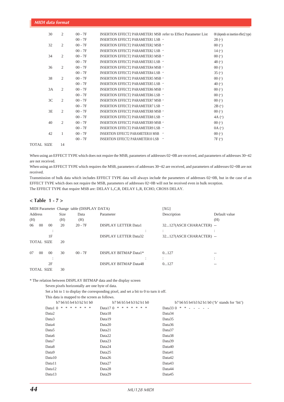| <b>MIDI</b> data format |                |           |                                                                        |                                             |
|-------------------------|----------------|-----------|------------------------------------------------------------------------|---------------------------------------------|
|                         |                |           |                                                                        |                                             |
| 30                      | $\overline{2}$ | $00 - 7F$ | <b>INSERTION EFFECT2 PARAMETER1 MSB refer to Effect Parameter List</b> | 00 (depends on insertion effect2 type)      |
|                         |                | $00 - 7F$ | INSERTION EFFECT2 PARAMETER1 LSB ~                                     | $28(*)$                                     |
| 32                      | $\overline{c}$ | $00 - 7F$ | <b>INSERTION EFFECT2 PARAMETER2 MSB ~</b>                              | $00(*)$                                     |
|                         |                | $00 - 7F$ | INSERTION EFFECT2 PARAMETER2 LSB ~                                     | 14 $($ <sup>-</sup> $)$                     |
| 34                      | 2              | $00 - 7F$ | <b>INSERTION EFFECT2 PARAMETER3 MSB ~</b>                              | $00(*)$                                     |
|                         |                | $00 - 7F$ | INSERTION EFFECT2 PARAMETER3 LSB ~                                     | 48 $($                                      |
| 36                      | $\overline{c}$ | $00 - 7F$ | <b>INSERTION EFFECT2 PARAMETER4 MSB ~</b>                              | $00(*)$                                     |
|                         |                | $00 - 7F$ | INSERTION EFFECT2 PARAMETER4 LSB ~                                     | 35 $($ <sup>-</sup> $)$                     |
| 38                      | 2              | $00 - 7F$ | <b>INSERTION EFFECT2 PARAMETER5 MSB ~</b>                              | $00(*)$                                     |
|                         |                | $00 - 7F$ | INSERTION EFFECT2 PARAMETER5 LSB ~                                     | 40 $($                                      |
| 3A                      | $\mathfrak{2}$ | $00 - 7F$ | <b>INSERTION EFFECT2 PARAMETER6 MSB ~</b>                              | $00(*)$                                     |
|                         |                | $00 - 7F$ | INSERTION EFFECT2 PARAMETER6 LSB ~                                     | $00(*)$                                     |
| 3C                      | $\overline{2}$ | $00 - 7F$ | <b>INSERTION EFFECT2 PARAMETER7 MSB ~</b>                              | $00(*)$                                     |
|                         |                | $00 - 7F$ | <b>INSERTION EFFECT2 PARAMETER7 LSB ~</b>                              | 2B(r)                                       |
| 3E                      | $\overline{2}$ | $00 - 7F$ | <b>INSERTION EFFECT2 PARAMETER8 MSB ~</b>                              | $00(*)$                                     |
|                         |                | $00 - 7F$ | INSERTION EFFECT2 PARAMETER8 LSB ~                                     | $4A$ $($ <sup><math>\prime</math></sup> $)$ |
| 40                      | 2              | $00 - 7F$ | <b>INSERTION EFFECT2 PARAMETER9 MSB ~</b>                              | $00(*)$                                     |
|                         |                | $00 - 7F$ | INSERTION EFFECT2 PARAMETER9 LSB ~                                     | $0A(\gamma)$                                |
| 42                      | $\mathbf{1}$   | $00 - 7F$ | INSERTION EFFECT2 PARAMETER10 MSB ~                                    | $00(*)$                                     |
|                         |                | $00 - 7F$ | INSERTION EFFECT2 PARAMETER10 LSB ~                                    | 7F(                                         |
| <b>TOTAL SIZE</b>       | 14             |           |                                                                        |                                             |

When using an EFFECT TYPE which does not require the MSB, parameters of addresses 02~0B are received, and parameters of addresses 30~42 are not received.

When using an EFFECT TYPE which requires the MSB, parameters of addresses 30~42 are received, and parameters of addresses 02~0B are not received.

Transmission of bulk data which includes EFFECT TYPE data will always include the parameters of addresses 02~0B, but in the case of an EFFECT TYPE which does not require the MSB, parameters of addresses 02~0B will not be received even in bulk reception. The EFFECT TYPE that require MSB are: DELAY L,C,R, DELAY L,R, ECHO, CROSS DELAY.

#### **< Table 1 - 7 >**

|                   |        |                               |      | MIDI Parameter Change table (DISPLAY DATA) |                              | [XG]                      |               |
|-------------------|--------|-------------------------------|------|--------------------------------------------|------------------------------|---------------------------|---------------|
| Address           |        |                               | Size | Data                                       | Parameter                    | Description               | Default value |
| (H)               |        |                               | (H)  | (H)                                        |                              |                           | (H)           |
| 06                | $00\,$ | 00                            | 20   | $20 - 7F$                                  | DISPLAY LETTER Data1         | 32127(ASCII CHARACTER) -- |               |
|                   |        | ٠<br>$\overline{\phantom{a}}$ |      |                                            |                              | ٠<br>$\mathbf{r}$         |               |
|                   |        | 1F                            |      |                                            | <b>DISPLAY LETTER Data32</b> | 32127(ASCII CHARACTER) -- |               |
| <b>TOTAL SIZE</b> |        |                               | 20   |                                            |                              |                           |               |
|                   |        |                               |      |                                            |                              |                           |               |
| 07                | $00\,$ | 00                            | 30   | $00 - 7F$                                  | DISPLAY BITMAP Data1*        | 0127                      | $\frac{1}{2}$ |
|                   |        | ٠<br>$\overline{\phantom{a}}$ |      |                                            |                              | ÷                         |               |
|                   |        | 2F                            |      |                                            | DISPLAY BITMAP Data48        | 0127                      | $\frac{1}{2}$ |
| <b>TOTAL SIZE</b> |        |                               | 30   |                                            |                              |                           |               |

\* The relation between DISPLAY BITMAP data and the display screen

Seven pixels horizontally are one byte of data.

Set a bit to 1 to display the corresponding pixel, and set a bit to 0 to turn it off.

This data is mapped to the screen as follows.

| b7 b6 b5 b4 b3 b2 b1 b0               | b7 b6 b5 b4 b3 b2 b1 b0     | $b7 b6 b5 b4 b3 b2 b1 b0 (b' stands for 'bit')$ |
|---------------------------------------|-----------------------------|-------------------------------------------------|
| * *<br>* *<br>* *<br>$\pm$<br>Data1 0 | * * * * *<br>* *<br>Data170 | * * 1 1 1 1 1<br>Data $330$                     |
| Data2                                 | Data18                      | Data34                                          |
| Data3                                 | Data19                      | Data35                                          |
| Data4                                 | Data20                      | Data36                                          |
| Data5                                 | Data21                      | Data37                                          |
| Data6                                 | Data22                      | Data38                                          |
| Data7                                 | Data23                      | Data39                                          |
| Data8                                 | Data24                      | Data40                                          |
| Data9                                 | Data25                      | Data41                                          |
| Data10                                | Data26                      | Data42                                          |
| Data11                                | Data27                      | Data43                                          |
| Data12                                | Data28                      | Data44                                          |
| Data13                                | Data29                      | Data45                                          |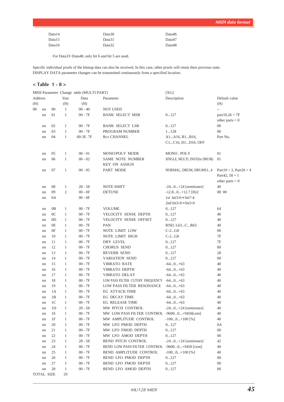| Data14 | Data30 | Data46 |
|--------|--------|--------|
| Data15 | Data31 | Data47 |
| Data16 | Data32 | Data48 |

For Data33~Data48, only bit 6 and bit 5 are used.

Specific individual pixels of the bitmap data can also be received. In this case, other pixels will retain their previous state. DISPLAY DATA parameter changes can be transmitted continuously from a specified location.

#### **< Table 1 - 8 >**

|         |                   |                |                | MIDI Parameter Change table (MULTI PART) |                                                 | [XG]                            |                                                                      |
|---------|-------------------|----------------|----------------|------------------------------------------|-------------------------------------------------|---------------------------------|----------------------------------------------------------------------|
| Address |                   |                | Size           | Data                                     | Parameter                                       | Description                     | Default value                                                        |
| (H)     |                   |                | (H)            | (H)                                      |                                                 |                                 | (H)                                                                  |
| 08      | nn                | $00\,$         | $\mathbf{1}$   | $00 - 40$                                | <b>NOT USED</b>                                 |                                 | $\overline{a}$                                                       |
|         | nn                | 01             | $\mathbf{1}$   | $00 - 7F$                                | <b>BANK SELECT MSB</b>                          | 0127                            | $part10,26 = 7F$<br>other parts $= 0$                                |
|         | nn                | 02             | $\mathbf{1}$   | $00 - 7F$                                | <b>BANK SELECT LSB</b>                          | 0127                            | $00\,$                                                               |
|         | nn                | 03             | $\mathbf{1}$   | $00 - 7F$                                | PROGRAM NUMBER                                  | 1128                            | $00\,$                                                               |
|         | nn                | 04             | $\mathbf{1}$   | 00-3F, 7F                                | <b>Rcv CHANNEL</b>                              | A1A16, B1B16,                   | Part No.                                                             |
|         |                   |                |                |                                          |                                                 | C1C16, D1D16, OFF               |                                                                      |
|         | nn                | 05             | $\mathbf{1}$   | $00 - 01$                                | MONO/POLY MODE                                  | MONO, POLY                      | 01                                                                   |
|         | nn                | 06             | $\mathbf{1}$   | $00 - 02$                                | SAME NOTE NUMBER                                | SINGLE, MULTI, INST(for DRUM)   | 01                                                                   |
|         |                   |                |                |                                          | <b>KEY ON ASSIGN</b>                            |                                 |                                                                      |
|         | nn                | 07             | $\mathbf{1}$   | $00 - 05$                                | <b>PART MODE</b>                                | NORMAL, DRUM, DRUMS14           | $Part10 = 2$ , $Part26 = 4$<br>Part42, $58 = 1$<br>other parts $= 0$ |
|         | nn                | 08             | $\mathbf{1}$   | $28 - 58$                                | <b>NOTE SHIFT</b>                               | $-240+24$ [semitones]           | 40                                                                   |
|         | nn                | 09             | $\overline{c}$ | $00 - 0F$                                | <b>DETUNE</b>                                   | $-12.80+12.7$ [Hz]              | 08 00                                                                |
|         | nn                | 0A             |                | $00 - 0F$                                |                                                 | 1st bit3-0→bit7-4               |                                                                      |
|         |                   |                |                |                                          |                                                 | 2nd bit3-0 $\rightarrow$ bit3-0 |                                                                      |
|         | nn                | 0B             | $\mathbf{1}$   | $00 - 7F$                                | <b>VOLUME</b>                                   | 0127                            | 64                                                                   |
|         | nn                | 0 <sup>C</sup> | $\mathbf{1}$   | $00 - 7F$                                | VELOCITY SENSE DEPTH                            | 0127                            | 40                                                                   |
|         | nn                | 0 <sub>D</sub> | $\mathbf{1}$   | $00 - 7F$                                | VELOCITY SENSE OFFSET                           | 0127                            | 40                                                                   |
|         | nn                | 0E             | $\mathbf{1}$   | $00 - 7F$                                | PAN                                             | RND, L63CR63                    | 40                                                                   |
|         | nn                | 0F             | $\mathbf{1}$   | $00 - 7F$                                | NOTE LIMIT LOW                                  | $C-2G8$                         | $00\,$                                                               |
|         | nn                | 10             | $\mathbf{1}$   | $00 - 7F$                                | NOTE LIMIT HIGH                                 | $C-2G8$                         | 7F                                                                   |
|         | nn                | 11             | $\mathbf{1}$   | $00 - 7F$                                | DRY LEVEL                                       | 0127                            | 7F                                                                   |
|         | nn                | 12             | $\mathbf{1}$   | $00 - 7F$                                | <b>CHORUS SEND</b>                              | 0127                            | $00\,$                                                               |
|         | nn                | 13             | $\mathbf{1}$   | $00 - 7F$                                | <b>REVERB SEND</b>                              | 0127                            | 28                                                                   |
|         | nn                | 14             | 1              | $00 - 7F$                                | <b>VARIATION SEND</b>                           | 0127                            | $00\,$                                                               |
|         | nn                | 15             | $\mathbf{1}$   | $00 - 7F$                                | <b>VIBRATO RATE</b>                             | $-640+63$                       | 40                                                                   |
|         | nn                | 16             | $\mathbf{1}$   | $00 - 7F$                                | <b>VIBRATO DEPTH</b>                            | $-640+63$                       | 40                                                                   |
|         | nn                | 17             | $\mathbf{1}$   | $00 - 7F$                                | VIBRATO DELAY                                   | $-640+63$                       | 40                                                                   |
|         | nn                | 18             | $\mathbf{1}$   | $00 - 7F$                                | LOW PASS FILTER CUTOFF FREQUENCY -640+63        |                                 | 40                                                                   |
|         | nn                | 19             | $\mathbf{1}$   | $00 - 7F$                                | LOW PASS FILTER RESONANCE                       | $-640+63$                       | 40                                                                   |
|         | nn                | 1A             | $\mathbf{1}$   | $00 - 7F$                                | EG ATTACK TIME                                  | $-640+63$                       | 40                                                                   |
|         | nn                | 1B             | $\mathbf{1}$   | $00 - 7F$                                | EG DECAY TIME                                   | $-640+63$                       | 40                                                                   |
|         | nn                | 1 <sup>C</sup> | $\mathbf{1}$   | $00 - 7F$                                | <b>EG RELEASE TIME</b>                          | $-640+63$                       | 40                                                                   |
|         | nn                | 1D             | 1              | $28 - 58$                                | MW PITCH CONTROL                                | $-240+24$ [semitones]           | 40                                                                   |
|         | nn                | 1E             | $\mathbf{1}$   | $00 - 7F$                                | MW LOW PASS FILTER CONTROL -96000+9450[cent]    |                                 | 40                                                                   |
|         | nn                | 1F             | $\mathbf{1}$   | $00 - 7F$                                | MW AMPLITUDE CONTROL                            | $-1000+100$ [%]                 | 40                                                                   |
|         | nn                | 20             | $\mathbf{1}$   | $00 - 7F$                                | MW LFO PMOD DEPTH                               | 0127                            | 0A                                                                   |
|         | nn                | 21             | $\mathbf{1}$   | $00 - 7F$                                | MW LFO FMOD DEPTH                               | 0127                            | $00\,$                                                               |
|         | nn                | 22             | $\mathbf{1}$   | $00 - 7F$                                | MW LFO AMOD DEPTH                               | 0127                            | $00\,$                                                               |
|         | nn                | 23             | $\mathbf{1}$   | $28 - 58$                                | <b>BEND PITCH CONTROL</b>                       | $-240+24$ [semitones]           | 42                                                                   |
|         | nn                | 24             | $\mathbf{1}$   | $00 - 7F$                                | BEND LOW PASS FILTER CONTROL -96000+9450 [cent] |                                 | 40                                                                   |
|         | nn                | 25             | $\mathbf{1}$   | $00 - 7F$                                | BEND AMPLITUDE CONTROL                          | $-1000+100$ [%]                 | 40                                                                   |
|         | nn                | 26             | $\mathbf{1}$   | $00 - 7F$                                | BEND LFO PMOD DEPTH                             | 0127                            | $00\,$                                                               |
|         | nn                | 27             | $\mathbf{1}$   | $00 - 7F$                                | BEND LFO FMOD DEPTH                             | 0127                            | $00\,$                                                               |
|         | nn                | 28             | $\mathbf{1}$   | $00 - 7F$                                | BEND LFO AMOD DEPTH                             | 0127                            | $00\,$                                                               |
|         | <b>TOTAL SIZE</b> |                | 29             |                                          |                                                 |                                 |                                                                      |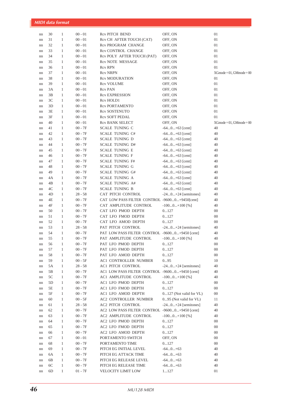| nn | 30   | 1            | $00 - 01$ | <b>Rcv PITCH BEND</b>                          | OFF, ON                 | 01                             |
|----|------|--------------|-----------|------------------------------------------------|-------------------------|--------------------------------|
| nn | 31   | 1            | $00 - 01$ | Rcv CH AFTER TOUCH (CAT)                       | OFF, ON                 | 01                             |
| nn | 32   | 1            | $00 - 01$ | Rcv PROGRAM CHANGE                             | OFF, ON                 | 01                             |
| nn | 33   | 1            | $00 - 01$ | Rcv CONTROL CHANGE                             | OFF, ON                 | 01                             |
| nn | 34   | 1            | $00 - 01$ | Rcv POLY AFTER TOUCH (PAT)                     | OFF, ON                 | 01                             |
| nn | 35   | 1            | $00 - 01$ | Rcv NOTE MESSAGE                               | OFF, ON                 | 01                             |
| nn | 36   | 1            | $00 - 01$ | <b>Rcv RPN</b>                                 | OFF, ON                 | 01                             |
| nn | 37   | 1            | $00 - 01$ | <b>Rcv NRPN</b>                                | OFF, ON                 | $XG$ mode = 01, $G$ Mmode = 00 |
| nn | 38   | 1            | $00 - 01$ | <b>Rcv MODURATION</b>                          | OFF, ON                 | 01                             |
| nn | 39   | 1            | $00 - 01$ | <b>Rcv VOLUME</b>                              | OFF, ON                 | 01                             |
| nn | 3A   | 1            | $00 - 01$ | Rcv PAN                                        | OFF, ON                 | 01                             |
| nn | 3B   | 1            | $00 - 01$ | <b>Rcv EXPRESSION</b>                          | OFF, ON                 | 01                             |
| nn | 3C   | 1            | $00 - 01$ | Rcv HOLD1                                      | OFF, ON                 | 01                             |
| nn | 3D   | 1            | $00 - 01$ | <b>Rcv PORTAMENTO</b>                          | OFF, ON                 | 01                             |
| nn | 3E   | 1            | $00 - 01$ | <b>Rcv SOSTENUTO</b>                           | OFF, ON                 | 01                             |
| nn | 3F   | 1            | $00 - 01$ | Rcv SOFT PEDAL                                 | OFF, ON                 | 01                             |
| nn | 40   | 1            | $00 - 01$ | <b>Rcv BANK SELECT</b>                         | OFF, ON                 | $XG$ mode = 01, $G$ Mmode = 00 |
| nn | 41   | 1            | $00 - 7F$ | SCALE TUNING C                                 | $-640+63$ [cent]        | 40                             |
| nn | 42   | 1            | $00 - 7F$ | <b>SCALE TUNING C#</b>                         | $-640+63$ [cent]        | 40                             |
| nn | 43   | 1            | $00 - 7F$ | SCALE TUNING D                                 | $-640+63$ [cent]        | 40                             |
| nn | 44   | 1            | $00 - 7F$ | SCALE TUNING D#                                | $-640+63$ [cent]        | 40                             |
| nn | 45   | $\mathbf{1}$ | $00 - 7F$ | <b>SCALE TUNING E</b>                          | $-640+63$ [cent]        | 40                             |
| nn | 46   | 1            | $00 - 7F$ | <b>SCALE TUNING F</b>                          | $-640+63$ [cent]        | 40                             |
| nn | 47   | 1            | $00 - 7F$ | <b>SCALE TUNING F#</b>                         | $-640+63$ [cent]        | 40                             |
| nn | 48   | 1            | $00 - 7F$ | <b>SCALE TUNING G</b>                          | $-640+63$ [cent]        | 40                             |
| nn | 49   | 1            | $00 - 7F$ | <b>SCALE TUNING G#</b>                         | $-640+63$ [cent]        | 40                             |
| nn | 4Α   | 1            | $00 - 7F$ | <b>SCALE TUNING A</b>                          | $-640+63$ [cent]        | 40                             |
| nn | 4B   | 1            | $00 - 7F$ | <b>SCALE TUNING A#</b>                         | $-640+63$ [cent]        | 40                             |
| nn | 4C   | 1            | $00 - 7F$ | <b>SCALE TUNING B</b>                          | $-640+63$ [cent]        | 40                             |
| nn | 4D   | 1            | $28 - 58$ | CAT PITCH CONTROL                              | $-240+24$ [semitones]   | 40                             |
| nn | 4E   | $\mathbf{1}$ | $00 - 7F$ | CAT LOW PASS FILTER CONTROL -96000+9450[cent]  |                         | 40                             |
| nn | 4F   | 1            | $00 - 7F$ | CAT AMPLITUDE CONTROL                          | $-1000+100$ [%]         | 40                             |
| nn | 50   | 1            | $00 - 7F$ | CAT LFO PMOD DEPTH                             | 0127                    | $00\,$                         |
| nn | 51   | 1            | $00 - 7F$ | CAT LFO FMOD DEPTH                             | 0127                    | $00\,$                         |
| nn | 52   | 1            | $00 - 7F$ | CAT LFO AMOD DEPTH                             | 0127                    | $00\,$                         |
| nn | 53   | 1            | $28 - 58$ | PAT PITCH CONTROL                              | $-240+24$ [semitones]   | 40                             |
| nn | 54   | $\mathbf{1}$ | $00 - 7F$ | PAT LOW PASS FILTER CONTROL -96000+9450 [cent] |                         | 40                             |
| nn | 55   | 1            | $00 - 7F$ | PAT AMPLITUDE CONTROL                          | $-1000+100$ [%]         | 40                             |
| nn | 56   | 1            | $00 - 7F$ | PAT LFO PMOD DEPTH                             | 0127                    | $00\,$                         |
| nn | 57   | $\mathbf{1}$ | $00 - 7F$ | PAT LFO FMOD DEPTH                             | 0127                    | $00\,$                         |
| nn | 58   | 1            | $00 - 7F$ | PAT LFO AMOD DEPTH                             | 0127                    | $00\,$                         |
| nn | 59   | 1            | $00 - 5F$ | AC1 CONTROLLER NUMBER                          | 095                     | 10                             |
| nn | 5A   | 1            | $28 - 58$ | AC1 PITCH CONTROL                              | $-240+24$ [semitones]   | 40                             |
| nn | 5Β   | 1            | $00 - 7F$ | AC1 LOW PASS FILTER CONTROL -96000+9450 [cent] |                         | 40                             |
| nn | $5C$ | $\mathbf{1}$ | $00 - 7F$ | AC1 AMPLITUDE CONTROL                          | $-1000+100\;[\%]$       | 40                             |
| nn | 5D   | $\mathbf{1}$ | 00 - 7F   | AC1 LFO PMOD DEPTH                             | 0127                    | $00\,$                         |
| nn | 5Ε   | $\mathbf{1}$ | 00 - 7F   | AC1 LFO FMOD DEPTH                             | 0127                    | $00\,$                         |
| nn | 5Ε   | $\mathbf{1}$ | $00 - 7F$ | AC1 LFO AMOD DEPTH                             | 0127 (Not valid for VL) | $00\,$                         |
| nn | 60   | $\mathbf{1}$ | 00 - 5F   | AC2 CONTROLLER NUMBER                          | 095 (Not valid for VL)  | 11                             |
| nn | 61   | 1            | 28 - 58   | AC2 PITCH CONTROL                              | $-240+24$ [semitones]   | 40                             |
| nn | 62   | $\mathbf{1}$ | 00 - 7F   | AC2 LOW PASS FILTER CONTROL -96000+9450 [cent] |                         | 40                             |
| nn | 63   | $\mathbf{1}$ | 00 - 7F   | AC2 AMPLITUDE CONTROL                          | $-1000+100$ [%]         | 40                             |
| nn | 64   | 1            | $00 - 7F$ | AC2 LFO PMOD DEPTH                             | 0127                    | $00\,$                         |
| nn | 65   | $\mathbf{1}$ | $00 - 7F$ | AC2 LFO FMOD DEPTH                             | 0127                    | $00\,$                         |
| nn | 66   | $\mathbf{1}$ | 00 - 7F   | AC2 LFO AMOD DEPTH                             | 0127                    | $00\,$                         |
| nn | 67   | 1            | $00 - 01$ | PORTAMENTO SWITCH                              | OFF, ON                 | $00\,$                         |
| nn | 68   | $\mathbf{1}$ | 00 - 7F   | PORTAMENTO TIME                                | 0127                    | $00\,$                         |
| nn | 69   | $\mathbf{1}$ | 00 - 7F   | PITCH EG INITIAL LEVEL                         | $-640+63$               | 40                             |
| nn | 6A   | 1            | $00 - 7F$ | PITCH EG ATTACK TIME                           | $-640+63$               | 40                             |
| nn | 6В   | $\mathbf{1}$ | 00 - 7F   | PITCH EG RELEASE LEVEL                         | $-640+63$               | 40                             |
| nn | 6C   | $\mathbf{1}$ | 00 - 7F   | PITCH EG RELEASE TIME                          | $-640+63$               | 40                             |
| nn | 6D   | $\mathbf{1}$ | $01 - 7F$ | VELOCITY LIMIT LOW                             | 1127                    | 01                             |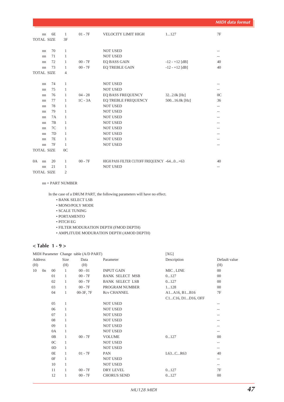|    |                   |           |                |           |                                           |                  | MIDI           |
|----|-------------------|-----------|----------------|-----------|-------------------------------------------|------------------|----------------|
|    | nn                | 6E        | $\mathbf{1}$   | $01 - 7F$ | VELOCITY LIMIT HIGH                       | 1127             | 7F             |
|    | <b>TOTAL SIZE</b> |           | 3F             |           |                                           |                  |                |
|    |                   |           |                |           |                                           |                  |                |
|    | nn                | 70        | 1              |           | <b>NOT USED</b>                           |                  |                |
|    | nn                | 71        | $\mathbf{1}$   |           | <b>NOT USED</b>                           |                  |                |
|    | nn                | 72        | 1              | $00 - 7F$ | EQ BASS GAIN                              | $-12 - +12$ [dB] | 40             |
|    | nn                | 73        | 1              | $00 - 7F$ | <b>EQ TREBLE GAIN</b>                     | $-12 - +12$ [dB] | 40             |
|    | <b>TOTAL SIZE</b> |           | $\overline{4}$ |           |                                           |                  |                |
|    |                   |           |                |           |                                           |                  |                |
|    | nn                | 74        | 1              |           | <b>NOT USED</b>                           |                  |                |
|    | nn                | 75        | 1              |           | <b>NOT USED</b>                           |                  |                |
|    | nn                | 76        | $\mathbf{1}$   | $04 - 28$ | <b>EQ BASS FREQUENCY</b>                  | 322.0k [Hz]      | 0 <sup>C</sup> |
|    | nn                | 77        | 1              | $1C - 3A$ | EQ TREBLE FREQUENCY                       | 50016.0k [Hz]    | 36             |
|    | nn                | 78        | 1              |           | <b>NOT USED</b>                           |                  | $- -$          |
|    | nn                | 79        | 1              |           | <b>NOT USED</b>                           |                  |                |
|    | nn                | 7A        | 1              |           | <b>NOT USED</b>                           |                  |                |
|    | nn                | 7B        | 1              |           | <b>NOT USED</b>                           |                  |                |
|    | nn                | 7C        | 1              |           | <b>NOT USED</b>                           |                  |                |
|    | nn                | 7D        | $\mathbf{1}$   |           | <b>NOT USED</b>                           |                  |                |
|    | nn                | <b>7E</b> | 1              |           | <b>NOT USED</b>                           |                  |                |
|    | nn                | 7F        | 1              |           | <b>NOT USED</b>                           |                  |                |
|    | <b>TOTAL SIZE</b> |           | 0 <sup>C</sup> |           |                                           |                  |                |
|    |                   |           |                |           |                                           |                  |                |
| 0A | nn                | 20        | 1              | $00 - 7F$ | HIGH PASS FILTER CUTOFF FREQUENCY -640+63 |                  | 40             |
|    | nn                | 21        | 1              |           | <b>NOT USED</b>                           |                  |                |
|    | <b>TOTAL SIZE</b> |           | $\overline{c}$ |           |                                           |                  |                |

nn = PART NUMBER

In the case of a DRUM PART, the following parameters will have no effect.

- BANK SELECT LSB
- MONO/POLY MODE
- SCALE TUNING
- PORTAMENTO
- PITCH EG
- FILTER MODURATION DEPTH (FMOD DEPTH)
- AMPLITUDE MODURATION DEPTH (AMOD DEPTH)

### **< Table 1 - 9 >**

|         |    |                |              | MIDI Parameter Change table (A/D PART) |                        | [XG]              |                |
|---------|----|----------------|--------------|----------------------------------------|------------------------|-------------------|----------------|
| Address |    |                | Size         | Data                                   | Parameter              | Description       | Default value  |
| (H)     |    |                | (H)          | (H)                                    |                        |                   | (H)            |
| 10      | 0n | $00\,$         | 1            | $00 - 01$                              | <b>INPUT GAIN</b>      | MIC, LINE         | $00\,$         |
|         |    | 01             | 1            | $00 - 7F$                              | <b>BANK SELECT MSB</b> | 0127              | 0 <sup>0</sup> |
|         |    | 02             | 1            | $00 - 7F$                              | <b>BANK SELECT LSB</b> | 0127              | $00\,$         |
|         |    | 03             | $\mathbf{1}$ | $00 - 7F$                              | PROGRAM NUMBER         | 1128              | $00\,$         |
|         |    | 04             | $\mathbf{1}$ | 00-3F, 7F                              | <b>Rcv CHANNEL</b>     | A1A16, B1B16      | $7\mathrm{F}$  |
|         |    |                |              |                                        |                        | C1C16, D1D16, OFF |                |
|         |    | 05             | 1            |                                        | <b>NOT USED</b>        |                   | --             |
|         |    | 06             | $\mathbf{1}$ |                                        | <b>NOT USED</b>        |                   | $-$            |
|         |    | 07             | $\mathbf{1}$ |                                        | <b>NOT USED</b>        |                   | --             |
|         |    | 08             | $\mathbf{1}$ |                                        | <b>NOT USED</b>        |                   | --             |
|         |    | 09             | $\mathbf{1}$ |                                        | <b>NOT USED</b>        |                   | --             |
|         |    | 0A             | $\mathbf{1}$ |                                        | <b>NOT USED</b>        |                   | $\frac{1}{2}$  |
|         |    | 0B             | $\mathbf{1}$ | $00 - 7F$                              | <b>VOLUME</b>          | 0127              | $00\,$         |
|         |    | 0 <sup>C</sup> | $\mathbf{1}$ |                                        | <b>NOT USED</b>        |                   | --             |
|         |    | OD             | $\mathbf{1}$ |                                        | <b>NOT USED</b>        |                   | --             |
|         |    | 0E             | $\mathbf{1}$ | $01 - 7F$                              | PAN                    | L63CR63           | 40             |
|         |    | 0F             | 1            |                                        | <b>NOT USED</b>        |                   | --             |
|         |    | 10             | $\mathbf{1}$ |                                        | <b>NOT USED</b>        |                   | --             |
|         |    | 11             | 1            | $00 - 7F$                              | DRY LEVEL              | 0127              | 7F             |
|         |    | 12             | 1            | $00 - 7F$                              | <b>CHORUS SEND</b>     | 0127              | $00\,$         |

**data format**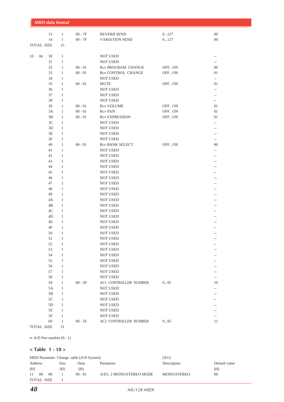| $00\,$<br>13<br>$\mathbf{1}$<br>$00 - 7F$<br><b>REVERB SEND</b><br>0127<br>$\,1$<br>$00\,$<br>14<br>$00 - 7F$<br>0127<br><b>VARIATION SEND</b><br><b>TOTAL SIZE</b><br>15<br>0n<br>30<br>$\mathbf{1}$<br><b>NOT USED</b><br>10<br>$-$<br>31<br>$\mathbf{1}$<br><b>NOT USED</b><br>$\overline{\phantom{a}}$<br>32<br>$\mathbf{1}$<br>$00 - 01$<br>Rcv PROGRAM CHANGE<br>OFF, ON<br>$00\,$<br>$\mathbf{1}$<br>$00 - 01$<br>Rcv CONTROL CHANGE<br>OFF, ON<br>33<br>01<br>34<br>$\mathbf{1}$<br><b>NOT USED</b><br>$\overline{\phantom{a}}$<br>35<br>$\mathbf{1}$<br>$00 - 01$<br><b>MUTE</b><br>OFF, ON<br>01<br>36<br>$\mathbf{1}$<br><b>NOT USED</b><br>$\overline{\phantom{a}}$<br>37<br>$\mathbf{1}$<br><b>NOT USED</b><br>$\overline{\phantom{m}}$<br>38<br>$\mathbf{1}$<br><b>NOT USED</b><br>$\overline{\phantom{a}}$<br>39<br>$\mathbf{1}$<br>$00 - 01$<br><b>Rcv VOLUME</b><br>OFF, ON<br>01<br>3A<br>$\mathbf{1}$<br>$00 - 01$<br>OFF, ON<br>01<br><b>Rcv PAN</b><br>3B<br>$\mathbf{1}$<br>$00 - 01$<br>OFF, ON<br>01<br><b>Rcv EXPRESSION</b><br>3C<br>$\mathbf{1}$<br><b>NOT USED</b><br>$\overline{a}$<br>3D<br>$\mathbf{1}$<br><b>NOT USED</b><br>--<br>3E<br>$\mathbf{1}$<br><b>NOT USED</b><br>$\overline{a}$<br>3F<br>$\mathbf{1}$<br><b>NOT USED</b><br>$\overline{a}$<br>40<br>$\mathbf{1}$<br>OFF, ON<br>$00 - 01$<br><b>Rcv BANK SELECT</b><br>00<br>41<br>$\mathbf{1}$<br><b>NOT USED</b><br>$\overline{a}$<br>42<br>$\mathbf{1}$<br><b>NOT USED</b><br>$-$<br>43<br>$\mathbf{1}$<br><b>NOT USED</b><br>--<br>44<br>$\mathbf{1}$<br><b>NOT USED</b><br>45<br>$\mathbf{1}$<br><b>NOT USED</b><br>$-$<br>$\mathbf{1}$<br><b>NOT USED</b><br>46<br>--<br>47<br>$\mathbf{1}$<br><b>NOT USED</b><br>48<br>$\mathbf{1}$<br><b>NOT USED</b><br>--<br>49<br>$\mathbf{1}$<br><b>NOT USED</b><br>4A<br>$\mathbf{1}$<br><b>NOT USED</b><br>4B<br>$\mathbf{1}$<br><b>NOT USED</b><br>$-$<br>4C<br>$\mathbf{1}$<br><b>NOT USED</b><br>--<br>4D<br>$\mathbf{1}$<br><b>NOT USED</b><br>4E<br>$\mathbf{1}$<br><b>NOT USED</b><br>4F<br>$\mathbf{1}$<br><b>NOT USED</b><br>50<br>$\mathbf{1}$<br><b>NOT USED</b><br>51<br>$\mathbf{1}$<br><b>NOT USED</b><br>$-$<br>52<br>$\mathbf{1}$<br><b>NOT USED</b><br>--<br>53<br>$\mathbf{1}$<br><b>NOT USED</b><br>54<br>$\mathbf{1}$<br><b>NOT USED</b><br>$-$<br>55<br>$\mathbf{1}$<br><b>NOT USED</b><br>--<br>56<br>$\mathbf{1}$<br><b>NOT USED</b><br>$\mathbf{1}$<br>57<br>NOT USED<br>--<br>58<br>1<br>NOT USED<br>$\qquad \qquad -$<br>59<br>$\mathbf{1}$<br>$00 - 5F$<br>AC1 CONTROLLER NUMBER<br>095<br>10<br>5A<br>$\mathbf{1}$<br><b>NOT USED</b><br>$-$<br>5B<br>1<br>NOT USED<br>5C<br>$\mathbf{1}$<br><b>NOT USED</b><br>5D<br>$\mathbf{1}$<br><b>NOT USED</b><br>5E<br>$\mathbf{1}$<br><b>NOT USED</b><br>$-$<br>5F<br>$\mathbf{1}$<br>NOT USED<br>$\qquad \qquad -$<br>60<br>$\mathbf{1}$<br>$00 - 5F$<br>AC2 CONTROLLER NUMBER<br>095<br>11<br><b>TOTAL SIZE</b><br>31 |  | <u>MIDI data format</u> |  |  |
|-------------------------------------------------------------------------------------------------------------------------------------------------------------------------------------------------------------------------------------------------------------------------------------------------------------------------------------------------------------------------------------------------------------------------------------------------------------------------------------------------------------------------------------------------------------------------------------------------------------------------------------------------------------------------------------------------------------------------------------------------------------------------------------------------------------------------------------------------------------------------------------------------------------------------------------------------------------------------------------------------------------------------------------------------------------------------------------------------------------------------------------------------------------------------------------------------------------------------------------------------------------------------------------------------------------------------------------------------------------------------------------------------------------------------------------------------------------------------------------------------------------------------------------------------------------------------------------------------------------------------------------------------------------------------------------------------------------------------------------------------------------------------------------------------------------------------------------------------------------------------------------------------------------------------------------------------------------------------------------------------------------------------------------------------------------------------------------------------------------------------------------------------------------------------------------------------------------------------------------------------------------------------------------------------------------------------------------------------------------------------------------------------------------------------------------------------------------------------------------------------------------------------------------------------------------------------------------------------------------------------------------------------------------------------------------------------------------------------------------------------------------------------------------------------------------------------------------------------------------------------------------------------------------------------------------|--|-------------------------|--|--|
|                                                                                                                                                                                                                                                                                                                                                                                                                                                                                                                                                                                                                                                                                                                                                                                                                                                                                                                                                                                                                                                                                                                                                                                                                                                                                                                                                                                                                                                                                                                                                                                                                                                                                                                                                                                                                                                                                                                                                                                                                                                                                                                                                                                                                                                                                                                                                                                                                                                                                                                                                                                                                                                                                                                                                                                                                                                                                                                                     |  |                         |  |  |
|                                                                                                                                                                                                                                                                                                                                                                                                                                                                                                                                                                                                                                                                                                                                                                                                                                                                                                                                                                                                                                                                                                                                                                                                                                                                                                                                                                                                                                                                                                                                                                                                                                                                                                                                                                                                                                                                                                                                                                                                                                                                                                                                                                                                                                                                                                                                                                                                                                                                                                                                                                                                                                                                                                                                                                                                                                                                                                                                     |  |                         |  |  |
|                                                                                                                                                                                                                                                                                                                                                                                                                                                                                                                                                                                                                                                                                                                                                                                                                                                                                                                                                                                                                                                                                                                                                                                                                                                                                                                                                                                                                                                                                                                                                                                                                                                                                                                                                                                                                                                                                                                                                                                                                                                                                                                                                                                                                                                                                                                                                                                                                                                                                                                                                                                                                                                                                                                                                                                                                                                                                                                                     |  |                         |  |  |
|                                                                                                                                                                                                                                                                                                                                                                                                                                                                                                                                                                                                                                                                                                                                                                                                                                                                                                                                                                                                                                                                                                                                                                                                                                                                                                                                                                                                                                                                                                                                                                                                                                                                                                                                                                                                                                                                                                                                                                                                                                                                                                                                                                                                                                                                                                                                                                                                                                                                                                                                                                                                                                                                                                                                                                                                                                                                                                                                     |  |                         |  |  |
|                                                                                                                                                                                                                                                                                                                                                                                                                                                                                                                                                                                                                                                                                                                                                                                                                                                                                                                                                                                                                                                                                                                                                                                                                                                                                                                                                                                                                                                                                                                                                                                                                                                                                                                                                                                                                                                                                                                                                                                                                                                                                                                                                                                                                                                                                                                                                                                                                                                                                                                                                                                                                                                                                                                                                                                                                                                                                                                                     |  |                         |  |  |
|                                                                                                                                                                                                                                                                                                                                                                                                                                                                                                                                                                                                                                                                                                                                                                                                                                                                                                                                                                                                                                                                                                                                                                                                                                                                                                                                                                                                                                                                                                                                                                                                                                                                                                                                                                                                                                                                                                                                                                                                                                                                                                                                                                                                                                                                                                                                                                                                                                                                                                                                                                                                                                                                                                                                                                                                                                                                                                                                     |  |                         |  |  |
|                                                                                                                                                                                                                                                                                                                                                                                                                                                                                                                                                                                                                                                                                                                                                                                                                                                                                                                                                                                                                                                                                                                                                                                                                                                                                                                                                                                                                                                                                                                                                                                                                                                                                                                                                                                                                                                                                                                                                                                                                                                                                                                                                                                                                                                                                                                                                                                                                                                                                                                                                                                                                                                                                                                                                                                                                                                                                                                                     |  |                         |  |  |
|                                                                                                                                                                                                                                                                                                                                                                                                                                                                                                                                                                                                                                                                                                                                                                                                                                                                                                                                                                                                                                                                                                                                                                                                                                                                                                                                                                                                                                                                                                                                                                                                                                                                                                                                                                                                                                                                                                                                                                                                                                                                                                                                                                                                                                                                                                                                                                                                                                                                                                                                                                                                                                                                                                                                                                                                                                                                                                                                     |  |                         |  |  |
|                                                                                                                                                                                                                                                                                                                                                                                                                                                                                                                                                                                                                                                                                                                                                                                                                                                                                                                                                                                                                                                                                                                                                                                                                                                                                                                                                                                                                                                                                                                                                                                                                                                                                                                                                                                                                                                                                                                                                                                                                                                                                                                                                                                                                                                                                                                                                                                                                                                                                                                                                                                                                                                                                                                                                                                                                                                                                                                                     |  |                         |  |  |
|                                                                                                                                                                                                                                                                                                                                                                                                                                                                                                                                                                                                                                                                                                                                                                                                                                                                                                                                                                                                                                                                                                                                                                                                                                                                                                                                                                                                                                                                                                                                                                                                                                                                                                                                                                                                                                                                                                                                                                                                                                                                                                                                                                                                                                                                                                                                                                                                                                                                                                                                                                                                                                                                                                                                                                                                                                                                                                                                     |  |                         |  |  |
|                                                                                                                                                                                                                                                                                                                                                                                                                                                                                                                                                                                                                                                                                                                                                                                                                                                                                                                                                                                                                                                                                                                                                                                                                                                                                                                                                                                                                                                                                                                                                                                                                                                                                                                                                                                                                                                                                                                                                                                                                                                                                                                                                                                                                                                                                                                                                                                                                                                                                                                                                                                                                                                                                                                                                                                                                                                                                                                                     |  |                         |  |  |
|                                                                                                                                                                                                                                                                                                                                                                                                                                                                                                                                                                                                                                                                                                                                                                                                                                                                                                                                                                                                                                                                                                                                                                                                                                                                                                                                                                                                                                                                                                                                                                                                                                                                                                                                                                                                                                                                                                                                                                                                                                                                                                                                                                                                                                                                                                                                                                                                                                                                                                                                                                                                                                                                                                                                                                                                                                                                                                                                     |  |                         |  |  |
|                                                                                                                                                                                                                                                                                                                                                                                                                                                                                                                                                                                                                                                                                                                                                                                                                                                                                                                                                                                                                                                                                                                                                                                                                                                                                                                                                                                                                                                                                                                                                                                                                                                                                                                                                                                                                                                                                                                                                                                                                                                                                                                                                                                                                                                                                                                                                                                                                                                                                                                                                                                                                                                                                                                                                                                                                                                                                                                                     |  |                         |  |  |
|                                                                                                                                                                                                                                                                                                                                                                                                                                                                                                                                                                                                                                                                                                                                                                                                                                                                                                                                                                                                                                                                                                                                                                                                                                                                                                                                                                                                                                                                                                                                                                                                                                                                                                                                                                                                                                                                                                                                                                                                                                                                                                                                                                                                                                                                                                                                                                                                                                                                                                                                                                                                                                                                                                                                                                                                                                                                                                                                     |  |                         |  |  |
|                                                                                                                                                                                                                                                                                                                                                                                                                                                                                                                                                                                                                                                                                                                                                                                                                                                                                                                                                                                                                                                                                                                                                                                                                                                                                                                                                                                                                                                                                                                                                                                                                                                                                                                                                                                                                                                                                                                                                                                                                                                                                                                                                                                                                                                                                                                                                                                                                                                                                                                                                                                                                                                                                                                                                                                                                                                                                                                                     |  |                         |  |  |
|                                                                                                                                                                                                                                                                                                                                                                                                                                                                                                                                                                                                                                                                                                                                                                                                                                                                                                                                                                                                                                                                                                                                                                                                                                                                                                                                                                                                                                                                                                                                                                                                                                                                                                                                                                                                                                                                                                                                                                                                                                                                                                                                                                                                                                                                                                                                                                                                                                                                                                                                                                                                                                                                                                                                                                                                                                                                                                                                     |  |                         |  |  |
|                                                                                                                                                                                                                                                                                                                                                                                                                                                                                                                                                                                                                                                                                                                                                                                                                                                                                                                                                                                                                                                                                                                                                                                                                                                                                                                                                                                                                                                                                                                                                                                                                                                                                                                                                                                                                                                                                                                                                                                                                                                                                                                                                                                                                                                                                                                                                                                                                                                                                                                                                                                                                                                                                                                                                                                                                                                                                                                                     |  |                         |  |  |
|                                                                                                                                                                                                                                                                                                                                                                                                                                                                                                                                                                                                                                                                                                                                                                                                                                                                                                                                                                                                                                                                                                                                                                                                                                                                                                                                                                                                                                                                                                                                                                                                                                                                                                                                                                                                                                                                                                                                                                                                                                                                                                                                                                                                                                                                                                                                                                                                                                                                                                                                                                                                                                                                                                                                                                                                                                                                                                                                     |  |                         |  |  |
|                                                                                                                                                                                                                                                                                                                                                                                                                                                                                                                                                                                                                                                                                                                                                                                                                                                                                                                                                                                                                                                                                                                                                                                                                                                                                                                                                                                                                                                                                                                                                                                                                                                                                                                                                                                                                                                                                                                                                                                                                                                                                                                                                                                                                                                                                                                                                                                                                                                                                                                                                                                                                                                                                                                                                                                                                                                                                                                                     |  |                         |  |  |
|                                                                                                                                                                                                                                                                                                                                                                                                                                                                                                                                                                                                                                                                                                                                                                                                                                                                                                                                                                                                                                                                                                                                                                                                                                                                                                                                                                                                                                                                                                                                                                                                                                                                                                                                                                                                                                                                                                                                                                                                                                                                                                                                                                                                                                                                                                                                                                                                                                                                                                                                                                                                                                                                                                                                                                                                                                                                                                                                     |  |                         |  |  |
|                                                                                                                                                                                                                                                                                                                                                                                                                                                                                                                                                                                                                                                                                                                                                                                                                                                                                                                                                                                                                                                                                                                                                                                                                                                                                                                                                                                                                                                                                                                                                                                                                                                                                                                                                                                                                                                                                                                                                                                                                                                                                                                                                                                                                                                                                                                                                                                                                                                                                                                                                                                                                                                                                                                                                                                                                                                                                                                                     |  |                         |  |  |
|                                                                                                                                                                                                                                                                                                                                                                                                                                                                                                                                                                                                                                                                                                                                                                                                                                                                                                                                                                                                                                                                                                                                                                                                                                                                                                                                                                                                                                                                                                                                                                                                                                                                                                                                                                                                                                                                                                                                                                                                                                                                                                                                                                                                                                                                                                                                                                                                                                                                                                                                                                                                                                                                                                                                                                                                                                                                                                                                     |  |                         |  |  |
|                                                                                                                                                                                                                                                                                                                                                                                                                                                                                                                                                                                                                                                                                                                                                                                                                                                                                                                                                                                                                                                                                                                                                                                                                                                                                                                                                                                                                                                                                                                                                                                                                                                                                                                                                                                                                                                                                                                                                                                                                                                                                                                                                                                                                                                                                                                                                                                                                                                                                                                                                                                                                                                                                                                                                                                                                                                                                                                                     |  |                         |  |  |
|                                                                                                                                                                                                                                                                                                                                                                                                                                                                                                                                                                                                                                                                                                                                                                                                                                                                                                                                                                                                                                                                                                                                                                                                                                                                                                                                                                                                                                                                                                                                                                                                                                                                                                                                                                                                                                                                                                                                                                                                                                                                                                                                                                                                                                                                                                                                                                                                                                                                                                                                                                                                                                                                                                                                                                                                                                                                                                                                     |  |                         |  |  |
|                                                                                                                                                                                                                                                                                                                                                                                                                                                                                                                                                                                                                                                                                                                                                                                                                                                                                                                                                                                                                                                                                                                                                                                                                                                                                                                                                                                                                                                                                                                                                                                                                                                                                                                                                                                                                                                                                                                                                                                                                                                                                                                                                                                                                                                                                                                                                                                                                                                                                                                                                                                                                                                                                                                                                                                                                                                                                                                                     |  |                         |  |  |
|                                                                                                                                                                                                                                                                                                                                                                                                                                                                                                                                                                                                                                                                                                                                                                                                                                                                                                                                                                                                                                                                                                                                                                                                                                                                                                                                                                                                                                                                                                                                                                                                                                                                                                                                                                                                                                                                                                                                                                                                                                                                                                                                                                                                                                                                                                                                                                                                                                                                                                                                                                                                                                                                                                                                                                                                                                                                                                                                     |  |                         |  |  |
|                                                                                                                                                                                                                                                                                                                                                                                                                                                                                                                                                                                                                                                                                                                                                                                                                                                                                                                                                                                                                                                                                                                                                                                                                                                                                                                                                                                                                                                                                                                                                                                                                                                                                                                                                                                                                                                                                                                                                                                                                                                                                                                                                                                                                                                                                                                                                                                                                                                                                                                                                                                                                                                                                                                                                                                                                                                                                                                                     |  |                         |  |  |
|                                                                                                                                                                                                                                                                                                                                                                                                                                                                                                                                                                                                                                                                                                                                                                                                                                                                                                                                                                                                                                                                                                                                                                                                                                                                                                                                                                                                                                                                                                                                                                                                                                                                                                                                                                                                                                                                                                                                                                                                                                                                                                                                                                                                                                                                                                                                                                                                                                                                                                                                                                                                                                                                                                                                                                                                                                                                                                                                     |  |                         |  |  |
|                                                                                                                                                                                                                                                                                                                                                                                                                                                                                                                                                                                                                                                                                                                                                                                                                                                                                                                                                                                                                                                                                                                                                                                                                                                                                                                                                                                                                                                                                                                                                                                                                                                                                                                                                                                                                                                                                                                                                                                                                                                                                                                                                                                                                                                                                                                                                                                                                                                                                                                                                                                                                                                                                                                                                                                                                                                                                                                                     |  |                         |  |  |
|                                                                                                                                                                                                                                                                                                                                                                                                                                                                                                                                                                                                                                                                                                                                                                                                                                                                                                                                                                                                                                                                                                                                                                                                                                                                                                                                                                                                                                                                                                                                                                                                                                                                                                                                                                                                                                                                                                                                                                                                                                                                                                                                                                                                                                                                                                                                                                                                                                                                                                                                                                                                                                                                                                                                                                                                                                                                                                                                     |  |                         |  |  |
|                                                                                                                                                                                                                                                                                                                                                                                                                                                                                                                                                                                                                                                                                                                                                                                                                                                                                                                                                                                                                                                                                                                                                                                                                                                                                                                                                                                                                                                                                                                                                                                                                                                                                                                                                                                                                                                                                                                                                                                                                                                                                                                                                                                                                                                                                                                                                                                                                                                                                                                                                                                                                                                                                                                                                                                                                                                                                                                                     |  |                         |  |  |
|                                                                                                                                                                                                                                                                                                                                                                                                                                                                                                                                                                                                                                                                                                                                                                                                                                                                                                                                                                                                                                                                                                                                                                                                                                                                                                                                                                                                                                                                                                                                                                                                                                                                                                                                                                                                                                                                                                                                                                                                                                                                                                                                                                                                                                                                                                                                                                                                                                                                                                                                                                                                                                                                                                                                                                                                                                                                                                                                     |  |                         |  |  |
|                                                                                                                                                                                                                                                                                                                                                                                                                                                                                                                                                                                                                                                                                                                                                                                                                                                                                                                                                                                                                                                                                                                                                                                                                                                                                                                                                                                                                                                                                                                                                                                                                                                                                                                                                                                                                                                                                                                                                                                                                                                                                                                                                                                                                                                                                                                                                                                                                                                                                                                                                                                                                                                                                                                                                                                                                                                                                                                                     |  |                         |  |  |
|                                                                                                                                                                                                                                                                                                                                                                                                                                                                                                                                                                                                                                                                                                                                                                                                                                                                                                                                                                                                                                                                                                                                                                                                                                                                                                                                                                                                                                                                                                                                                                                                                                                                                                                                                                                                                                                                                                                                                                                                                                                                                                                                                                                                                                                                                                                                                                                                                                                                                                                                                                                                                                                                                                                                                                                                                                                                                                                                     |  |                         |  |  |
|                                                                                                                                                                                                                                                                                                                                                                                                                                                                                                                                                                                                                                                                                                                                                                                                                                                                                                                                                                                                                                                                                                                                                                                                                                                                                                                                                                                                                                                                                                                                                                                                                                                                                                                                                                                                                                                                                                                                                                                                                                                                                                                                                                                                                                                                                                                                                                                                                                                                                                                                                                                                                                                                                                                                                                                                                                                                                                                                     |  |                         |  |  |
|                                                                                                                                                                                                                                                                                                                                                                                                                                                                                                                                                                                                                                                                                                                                                                                                                                                                                                                                                                                                                                                                                                                                                                                                                                                                                                                                                                                                                                                                                                                                                                                                                                                                                                                                                                                                                                                                                                                                                                                                                                                                                                                                                                                                                                                                                                                                                                                                                                                                                                                                                                                                                                                                                                                                                                                                                                                                                                                                     |  |                         |  |  |
|                                                                                                                                                                                                                                                                                                                                                                                                                                                                                                                                                                                                                                                                                                                                                                                                                                                                                                                                                                                                                                                                                                                                                                                                                                                                                                                                                                                                                                                                                                                                                                                                                                                                                                                                                                                                                                                                                                                                                                                                                                                                                                                                                                                                                                                                                                                                                                                                                                                                                                                                                                                                                                                                                                                                                                                                                                                                                                                                     |  |                         |  |  |
|                                                                                                                                                                                                                                                                                                                                                                                                                                                                                                                                                                                                                                                                                                                                                                                                                                                                                                                                                                                                                                                                                                                                                                                                                                                                                                                                                                                                                                                                                                                                                                                                                                                                                                                                                                                                                                                                                                                                                                                                                                                                                                                                                                                                                                                                                                                                                                                                                                                                                                                                                                                                                                                                                                                                                                                                                                                                                                                                     |  |                         |  |  |
|                                                                                                                                                                                                                                                                                                                                                                                                                                                                                                                                                                                                                                                                                                                                                                                                                                                                                                                                                                                                                                                                                                                                                                                                                                                                                                                                                                                                                                                                                                                                                                                                                                                                                                                                                                                                                                                                                                                                                                                                                                                                                                                                                                                                                                                                                                                                                                                                                                                                                                                                                                                                                                                                                                                                                                                                                                                                                                                                     |  |                         |  |  |
|                                                                                                                                                                                                                                                                                                                                                                                                                                                                                                                                                                                                                                                                                                                                                                                                                                                                                                                                                                                                                                                                                                                                                                                                                                                                                                                                                                                                                                                                                                                                                                                                                                                                                                                                                                                                                                                                                                                                                                                                                                                                                                                                                                                                                                                                                                                                                                                                                                                                                                                                                                                                                                                                                                                                                                                                                                                                                                                                     |  |                         |  |  |
|                                                                                                                                                                                                                                                                                                                                                                                                                                                                                                                                                                                                                                                                                                                                                                                                                                                                                                                                                                                                                                                                                                                                                                                                                                                                                                                                                                                                                                                                                                                                                                                                                                                                                                                                                                                                                                                                                                                                                                                                                                                                                                                                                                                                                                                                                                                                                                                                                                                                                                                                                                                                                                                                                                                                                                                                                                                                                                                                     |  |                         |  |  |
|                                                                                                                                                                                                                                                                                                                                                                                                                                                                                                                                                                                                                                                                                                                                                                                                                                                                                                                                                                                                                                                                                                                                                                                                                                                                                                                                                                                                                                                                                                                                                                                                                                                                                                                                                                                                                                                                                                                                                                                                                                                                                                                                                                                                                                                                                                                                                                                                                                                                                                                                                                                                                                                                                                                                                                                                                                                                                                                                     |  |                         |  |  |
|                                                                                                                                                                                                                                                                                                                                                                                                                                                                                                                                                                                                                                                                                                                                                                                                                                                                                                                                                                                                                                                                                                                                                                                                                                                                                                                                                                                                                                                                                                                                                                                                                                                                                                                                                                                                                                                                                                                                                                                                                                                                                                                                                                                                                                                                                                                                                                                                                                                                                                                                                                                                                                                                                                                                                                                                                                                                                                                                     |  |                         |  |  |
|                                                                                                                                                                                                                                                                                                                                                                                                                                                                                                                                                                                                                                                                                                                                                                                                                                                                                                                                                                                                                                                                                                                                                                                                                                                                                                                                                                                                                                                                                                                                                                                                                                                                                                                                                                                                                                                                                                                                                                                                                                                                                                                                                                                                                                                                                                                                                                                                                                                                                                                                                                                                                                                                                                                                                                                                                                                                                                                                     |  |                         |  |  |
|                                                                                                                                                                                                                                                                                                                                                                                                                                                                                                                                                                                                                                                                                                                                                                                                                                                                                                                                                                                                                                                                                                                                                                                                                                                                                                                                                                                                                                                                                                                                                                                                                                                                                                                                                                                                                                                                                                                                                                                                                                                                                                                                                                                                                                                                                                                                                                                                                                                                                                                                                                                                                                                                                                                                                                                                                                                                                                                                     |  |                         |  |  |
|                                                                                                                                                                                                                                                                                                                                                                                                                                                                                                                                                                                                                                                                                                                                                                                                                                                                                                                                                                                                                                                                                                                                                                                                                                                                                                                                                                                                                                                                                                                                                                                                                                                                                                                                                                                                                                                                                                                                                                                                                                                                                                                                                                                                                                                                                                                                                                                                                                                                                                                                                                                                                                                                                                                                                                                                                                                                                                                                     |  |                         |  |  |
|                                                                                                                                                                                                                                                                                                                                                                                                                                                                                                                                                                                                                                                                                                                                                                                                                                                                                                                                                                                                                                                                                                                                                                                                                                                                                                                                                                                                                                                                                                                                                                                                                                                                                                                                                                                                                                                                                                                                                                                                                                                                                                                                                                                                                                                                                                                                                                                                                                                                                                                                                                                                                                                                                                                                                                                                                                                                                                                                     |  |                         |  |  |
|                                                                                                                                                                                                                                                                                                                                                                                                                                                                                                                                                                                                                                                                                                                                                                                                                                                                                                                                                                                                                                                                                                                                                                                                                                                                                                                                                                                                                                                                                                                                                                                                                                                                                                                                                                                                                                                                                                                                                                                                                                                                                                                                                                                                                                                                                                                                                                                                                                                                                                                                                                                                                                                                                                                                                                                                                                                                                                                                     |  |                         |  |  |
|                                                                                                                                                                                                                                                                                                                                                                                                                                                                                                                                                                                                                                                                                                                                                                                                                                                                                                                                                                                                                                                                                                                                                                                                                                                                                                                                                                                                                                                                                                                                                                                                                                                                                                                                                                                                                                                                                                                                                                                                                                                                                                                                                                                                                                                                                                                                                                                                                                                                                                                                                                                                                                                                                                                                                                                                                                                                                                                                     |  |                         |  |  |
|                                                                                                                                                                                                                                                                                                                                                                                                                                                                                                                                                                                                                                                                                                                                                                                                                                                                                                                                                                                                                                                                                                                                                                                                                                                                                                                                                                                                                                                                                                                                                                                                                                                                                                                                                                                                                                                                                                                                                                                                                                                                                                                                                                                                                                                                                                                                                                                                                                                                                                                                                                                                                                                                                                                                                                                                                                                                                                                                     |  |                         |  |  |
|                                                                                                                                                                                                                                                                                                                                                                                                                                                                                                                                                                                                                                                                                                                                                                                                                                                                                                                                                                                                                                                                                                                                                                                                                                                                                                                                                                                                                                                                                                                                                                                                                                                                                                                                                                                                                                                                                                                                                                                                                                                                                                                                                                                                                                                                                                                                                                                                                                                                                                                                                                                                                                                                                                                                                                                                                                                                                                                                     |  |                         |  |  |
|                                                                                                                                                                                                                                                                                                                                                                                                                                                                                                                                                                                                                                                                                                                                                                                                                                                                                                                                                                                                                                                                                                                                                                                                                                                                                                                                                                                                                                                                                                                                                                                                                                                                                                                                                                                                                                                                                                                                                                                                                                                                                                                                                                                                                                                                                                                                                                                                                                                                                                                                                                                                                                                                                                                                                                                                                                                                                                                                     |  |                         |  |  |
|                                                                                                                                                                                                                                                                                                                                                                                                                                                                                                                                                                                                                                                                                                                                                                                                                                                                                                                                                                                                                                                                                                                                                                                                                                                                                                                                                                                                                                                                                                                                                                                                                                                                                                                                                                                                                                                                                                                                                                                                                                                                                                                                                                                                                                                                                                                                                                                                                                                                                                                                                                                                                                                                                                                                                                                                                                                                                                                                     |  |                         |  |  |

n: A/D Part number (0 - 1)

#### **< Table 1 - 10 >**

| MIDI Parameter Change table (A/D System) |             |           |                          | [XG]        |                |
|------------------------------------------|-------------|-----------|--------------------------|-------------|----------------|
| Address                                  | <b>Size</b> | Data      | Parameter                | Description | Default value  |
| (H)                                      | (H)         | (H)       |                          |             | (H)            |
| $^{00}$<br>-00<br>11                     |             | $00 - 01$ | A/D1. 2 MONO/STEREO MODE | MONO/STEREO | 0 <sup>0</sup> |
| <b>TOTAL SIZE</b>                        |             |           |                          |             |                |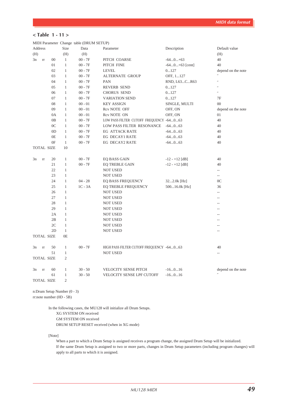#### **< Table 1 - 11 >**

|         |              |                   |                | MIDI Parameter Change table (DRUM SETUP) |                                          |                  |                    |
|---------|--------------|-------------------|----------------|------------------------------------------|------------------------------------------|------------------|--------------------|
| Address |              |                   | Size           | Data                                     | Parameter                                | Description      | Default value      |
| (H)     |              |                   | (H)            | (H)                                      |                                          |                  | (H)                |
| 3n      | $_{\rm IT}$  | $00\,$            | $\mathbf{1}$   | $00 - 7F$                                | PITCH COARSE                             | $-640+63$        | 40                 |
|         |              | 01                | $\mathbf{1}$   | $00 - 7F$                                | PITCH FINE                               | $-640+63$ [cent] | 40                 |
|         |              | 02                | $\mathbf{1}$   | $00 - 7F$                                | <b>LEVEL</b>                             | 0127             | depend on the note |
|         |              | 03                | $\mathbf{1}$   | $00 - 7F$                                | <b>ALTERNATE GROUP</b>                   | OFF, 1127        | ×                  |
|         |              | 04                | $\mathbf{1}$   | $00 - 7F$                                | PAN                                      | RND, L63CR63     | $\overline{a}$     |
|         |              | 05                | $\mathbf{1}$   | $00 - 7F$                                | <b>REVERB SEND</b>                       | 0127             |                    |
|         |              | 06                | $\mathbf{1}$   | $00 - 7F$                                | <b>CHORUS SEND</b>                       | 0127             | $\overline{v}$     |
|         |              | 07                | $\mathbf{1}$   | $00 - 7F$                                | <b>VARIATION SEND</b>                    | 0127             | 7F                 |
|         |              | 08                | 1              | $00 - 01$                                | <b>KEY ASSIGN</b>                        | SINGLE, MULTI    | $00\,$             |
|         |              | 09                | $\mathbf{1}$   | $00 - 01$                                | Rcv NOTE OFF                             | OFF, ON          | depend on the note |
|         |              | 0A                | $\mathbf{1}$   | $00 - 01$                                | Rcv NOTE ON                              | OFF, ON          | 01                 |
|         |              | 0B                | $\mathbf{1}$   | $00 - 7F$                                | LOW PASS FILTER CUTOFF FREQUENCY -64063  |                  | 40                 |
|         |              | 0 <sup>C</sup>    | 1              | $00 - 7F$                                | LOW PASS FILTER RESONANCE                | $-64063$         | 40                 |
|         |              | OD                | $\mathbf{1}$   | $00 - 7F$                                | <b>EG ATTACK RATE</b>                    | $-64063$         | 40                 |
|         |              | 0E                | $\mathbf{1}$   | $00 - 7F$                                | EG DECAY1 RATE                           | $-64063$         | 40                 |
|         |              | 0F                | $\mathbf{1}$   | $00 - 7F$                                | EG DECAY2 RATE                           | $-64063$         | 40                 |
|         |              | <b>TOTAL SIZE</b> | 10             |                                          |                                          |                  |                    |
|         |              |                   |                |                                          |                                          |                  |                    |
| 3n      | $_{\rm IT}$  | 20                | $\mathbf{1}$   | $00 - 7F$                                | EQ BASS GAIN                             | $-12 - +12$ [dB] | 40                 |
|         |              | 21                | $\mathbf{1}$   | $00 - 7F$                                | EQ TREBLE GAIN                           | $-12 - +12$ [dB] | 40                 |
|         |              | 22                | $\mathbf{1}$   |                                          | <b>NOT USED</b>                          |                  | $\frac{1}{2}$      |
|         |              | 23                | $\mathbf{1}$   |                                          | <b>NOT USED</b>                          |                  | Ξ.                 |
|         |              | 24                | $\mathbf{1}$   | $04 - 28$                                | <b>EQ BASS FREQUENCY</b>                 | 322.0k [Hz]      | 0C                 |
|         |              | 25                | $\mathbf{1}$   | $1C - 3A$                                | EQ TREBLE FREQUENCY                      | 50016.0k [Hz]    | 36                 |
|         |              | 26                | $\mathbf{1}$   |                                          | <b>NOT USED</b>                          |                  | $\overline{a}$     |
|         |              | 27                | $\mathbf{1}$   |                                          | <b>NOT USED</b>                          |                  |                    |
|         |              | 28                | 1              |                                          | <b>NOT USED</b>                          |                  |                    |
|         |              | 29                | $\mathbf{1}$   |                                          | <b>NOT USED</b>                          |                  |                    |
|         |              | 2A                | $\mathbf{1}$   |                                          | <b>NOT USED</b>                          |                  | --                 |
|         |              | 2B                | 1              |                                          | <b>NOT USED</b>                          |                  |                    |
|         |              | 2C                | $\mathbf{1}$   |                                          | <b>NOT USED</b>                          |                  |                    |
|         |              | 2D                | $\mathbf{1}$   |                                          | <b>NOT USED</b>                          |                  | $-$                |
|         |              | <b>TOTAL SIZE</b> | 0E             |                                          |                                          |                  |                    |
|         |              |                   |                |                                          |                                          |                  |                    |
| 3n      | rr           | 50                | $\mathbf{1}$   | $00 - 7F$                                | HIGH PASS FILTER CUTOFF FREQUENCY -64063 |                  | 40                 |
|         |              | 51                | $\mathbf{1}$   |                                          | <b>NOT USED</b>                          |                  | $-$                |
|         |              | TOTAL SIZE        | $\overline{c}$ |                                          |                                          |                  |                    |
|         |              |                   |                |                                          |                                          |                  |                    |
| 3n      | $\mathbf{r}$ | 60                | 1              | $30 - 50$                                | VELOCITY SENSE PITCH                     | $-16016$         | depend on the note |
|         |              | 61                | $\mathbf{1}$   | $30 - 50$                                | <b>VELOCITY SENSE LPF CUTOFF</b>         | $-16016$         |                    |
|         |              | <b>TOTAL SIZE</b> | $\overline{c}$ |                                          |                                          |                  |                    |
|         |              |                   |                |                                          |                                          |                  |                    |

n:Drum Setup Number (0 - 3) rr:note number (0D - 5B)

> In the following cases, the MU128 will initialize all Drum Setups. XG SYSTEM ON received GM SYSTEM ON received DRUM SETUP RESET received (when in XG mode)

[Note]

When a part to which a Drum Setup is assigned receives a program change, the assigned Drum Setup will be initialized. If the same Drum Setup is assigned to two or more parts, changes in Drum Setup parameters (including program changes) will apply to all parts to which it is assigned.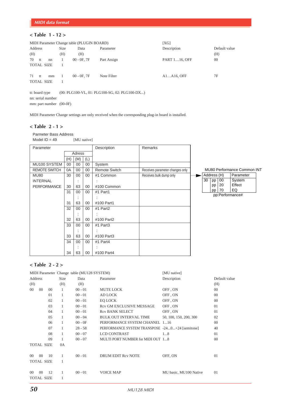### **< Table 1 - 12 >**

| MIDI Parameter Change table (PLUGIN BOARD) |             |                  | [XG]        |               |                      |  |
|--------------------------------------------|-------------|------------------|-------------|---------------|----------------------|--|
| Address<br>(H)                             | Size<br>(H) | Data<br>(H)      | Parameter   | Description   | Default value<br>(H) |  |
| 70<br>tt<br>nn<br><b>TOTAL SIZE</b>        | 1.          | $00 - 0F$ , $7F$ | Part Assign | PART 116, OFF | $00\,$               |  |
| 71<br>tt<br>mm<br><b>TOTAL SIZE</b>        | - 1         | $00 - 0F$ , $7F$ | Note Filter | $A1A16$ , OFF | 7F                   |  |

tt: board type (00: PLG100-VL, 01: PLG100-SG, 02: PLG100-DX...) nn: serial number

mm: part number (00-0F)

MIDI Parameter Change settings are only received when the corresponding plug-in board is installed.

#### **< Table 2 - 1 >**

#### Parmeter Bass Address

Model  $ID = 49$  [MU native]

| Parameter            |     |        |        | Description          | Remarks                         |  |                             |             |    |                 |  |
|----------------------|-----|--------|--------|----------------------|---------------------------------|--|-----------------------------|-------------|----|-----------------|--|
|                      |     | Adress |        |                      |                                 |  |                             |             |    |                 |  |
|                      | (H) | (M)    | (L)    |                      |                                 |  |                             |             |    |                 |  |
| MU100 SYSTEM         | 00  | 00     | 00     | System               |                                 |  |                             |             |    |                 |  |
| <b>REMOTE SWITCH</b> | 0A  | $00\,$ | 00     | <b>Remote Switch</b> | Receives parameter changes only |  | MU80 Performance Common INT |             |    |                 |  |
| <b>MU80</b>          | 30  | 00     | 00     | #1 Common            | Receives bulk dump only         |  |                             | Address (H) |    | Parameter       |  |
| <b>INTERNAL</b>      |     |        |        |                      |                                 |  | 30                          | pp          | 00 | System          |  |
| <b>PERFORMANCE</b>   | 30  | 63     | 00     | #100 Common          |                                 |  |                             | pp          | 20 | Effect          |  |
|                      | 31  | 00     | 00     | #1 Part1             |                                 |  |                             | pp          | 70 | EQ              |  |
|                      |     |        |        |                      |                                 |  |                             |             |    | pp:Performance# |  |
|                      | 31  | 63     | 00     | #100 Part1           |                                 |  |                             |             |    |                 |  |
|                      | 32  | 00     | 00     | #1 Part2             |                                 |  |                             |             |    |                 |  |
|                      |     |        |        |                      |                                 |  |                             |             |    |                 |  |
|                      | 32  | 63     | 00     | #100 Part2           |                                 |  |                             |             |    |                 |  |
|                      | 33  | 00     | $00\,$ | #1 Part3             |                                 |  |                             |             |    |                 |  |
|                      |     |        |        |                      |                                 |  |                             |             |    |                 |  |
|                      | 33  | 63     | $00\,$ | #100 Part3           |                                 |  |                             |             |    |                 |  |
|                      | 34  | 00     | $00\,$ | #1 Part4             |                                 |  |                             |             |    |                 |  |
| 63<br>34<br>00       |     |        |        |                      |                                 |  |                             |             |    |                 |  |
|                      |     |        |        | #100 Part4           |                                 |  |                             |             |    |                 |  |

#### **< Table 2 - 2 >**

|         |        |                   |      | MIDI Parameter Change table (MU128 SYSTEM) |                                                 | [MU native]            |               |
|---------|--------|-------------------|------|--------------------------------------------|-------------------------------------------------|------------------------|---------------|
| Address |        |                   | Size | Data                                       | Parameter                                       | Description            | Default value |
| (H)     |        |                   | (H)  | (H)                                        |                                                 |                        | (H)           |
| $00\,$  | $00\,$ | 0 <sup>0</sup>    | 1    | $00 - 01$                                  | MUTE LOCK                                       | OFF, ON                | $00\,$        |
|         |        | 01                | 1    | $00 - 01$                                  | AD LOCK                                         | OFF, ON                | $00\,$        |
|         |        | 02                | 1    | $00 - 01$                                  | EO LOCK                                         | OFF, ON                | $00\,$        |
|         |        | 03                | 1    | $00 - 01$                                  | <b>Rcv GM EXCLUSIVE MESSAGE</b>                 | OFF, ON                | 01            |
|         |        | 04                | 1    | $00 - 01$                                  | <b>RCV BANK SELECT</b>                          | OFF, ON                | 01            |
|         |        | 05                | 1    | $00 - 04$                                  | <b>BULK OUT INTERVAL TIME</b>                   | 50, 100, 150, 200, 300 | 02            |
|         |        | 06                |      | $00 - 0F$                                  | PERFORMANCE SYSTEM CHANNEL 116                  |                        | $00\,$        |
|         |        | 07                | 1    | $28 - 58$                                  | PERFORMANCE SYSTEM TRANSPOSE -240+24 [semitone] |                        | 40            |
|         |        | 08                |      | $00 - 07$                                  | <b>LCD CONTRAST</b>                             | 18                     | 01            |
|         |        | 09                | 1    | $00 - 07$                                  | MULTI PORT NUMBER for MIDI OUT 18               |                        | $00\,$        |
|         |        | <b>TOTAL SIZE</b> | 0A   |                                            |                                                 |                        |               |
| $00\,$  | $00\,$ | 10                | 1    | $00 - 01$                                  | <b>DRUM EDIT Rcv NOTE</b>                       | OFF, ON                | 01            |
|         |        | <b>TOTAL SIZE</b> | 1    |                                            |                                                 |                        |               |
| $00\,$  | $00\,$ | 12                | 1    | $00 - 01$                                  | <b>VOICE MAP</b>                                | MU basic, MU100 Native | 01            |
|         |        | <b>TOTAL SIZE</b> |      |                                            |                                                 |                        |               |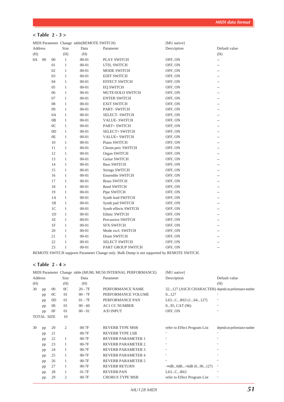#### **< Table 2 - 3 >**

|         |        |                |              | MIDI Parameter Change table(REMOTE SWITCH) |                         | [MU native] |                |
|---------|--------|----------------|--------------|--------------------------------------------|-------------------------|-------------|----------------|
| Address |        |                | Size         | Data                                       | Parameter               | Description | Default value  |
| (H)     |        |                | (H)          | (H)                                        |                         |             | (H)            |
| 0A      | $00\,$ | 00             | $\mathbf{1}$ | $00 - 01$                                  | PLAY SWITCH             | OFF, ON     | $\overline{a}$ |
|         |        | 01             | $\mathbf{1}$ | $00 - 01$                                  | UTIL SWITCH             | OFF, ON     |                |
|         |        | 02             | $\mathbf{1}$ | $00 - 01$                                  | <b>MODE SWITCH</b>      | OFF, ON     |                |
|         |        | 03             | $\mathbf{1}$ | $00 - 01$                                  | <b>EDIT SWITCH</b>      | OFF, ON     |                |
|         |        | 04             | $\mathbf{1}$ | $00 - 01$                                  | <b>EFFECT SWITCH</b>    | OFF, ON     |                |
|         |        | 05             | $\mathbf{1}$ | $00 - 01$                                  | <b>EQ SWITCH</b>        | OFF, ON     |                |
|         |        | 06             | $\mathbf{1}$ | $00 - 01$                                  | <b>MUTE/SOLO SWITCH</b> | OFF, ON     |                |
|         |        | 07             | $\mathbf{1}$ | $00 - 01$                                  | <b>ENTER SWITCH</b>     | OFF, ON     |                |
|         |        | 08             | $\mathbf{1}$ | $00 - 01$                                  | <b>EXIT SWITCH</b>      | OFF, ON     |                |
|         |        | 09             | $\mathbf{1}$ | $00 - 01$                                  | PART-SWITCH             | OFF, ON     |                |
|         |        | 0A             | $\mathbf{1}$ | $00 - 01$                                  | SELECT-SWITCH           | OFF, ON     |                |
|         |        | 0B             | $\mathbf{1}$ | $00 - 01$                                  | <b>VALUE-SWITCH</b>     | OFF, ON     |                |
|         |        | 0 <sup>C</sup> | $\,1$        | $00 - 01$                                  | PART+ SWITCH            | OFF, ON     |                |
|         |        | 0D             | $\mathbf{1}$ | $00 - 01$                                  | SELECT+ SWITCH          | OFF, ON     |                |
|         |        | 0E             | $\mathbf{1}$ | $00 - 01$                                  | <b>VALUE+ SWITCH</b>    | OFF, ON     |                |
|         |        | 10             | $\mathbf{1}$ | $00 - 01$                                  | Piano SWITCH            | OFF, ON     |                |
|         |        | 11             | $\mathbf{1}$ | $00 - 01$                                  | Chrom.perc SWITCH       | OFF, ON     |                |
|         |        | 12             | $\mathbf{1}$ | $00 - 01$                                  | Organ SWITCH            | OFF, ON     |                |
|         |        | 13             | $\mathbf{1}$ | $00 - 01$                                  | <b>Guitar SWITCH</b>    | OFF, ON     |                |
|         |        | 14             | $\mathbf{1}$ | $00 - 01$                                  | <b>Bass SWITCH</b>      | OFF, ON     |                |
|         |        | 15             | $\mathbf{1}$ | $00 - 01$                                  | <b>Strings SWITCH</b>   | OFF, ON     |                |
|         |        | 16             | $\mathbf{1}$ | $00 - 01$                                  | Ensemble SWITCH         | OFF, ON     |                |
|         |        | 17             | $\mathbf{1}$ | $00 - 01$                                  | <b>Brass SWITCH</b>     | OFF, ON     |                |
|         |        | 18             | $\mathbf{1}$ | $00 - 01$                                  | Reed SWITCH             | OFF, ON     |                |
|         |        | 19             | $\mathbf{1}$ | $00 - 01$                                  | Pipe SWITCH             | OFF, ON     |                |
|         |        | 1A             | $\mathbf{1}$ | $00 - 01$                                  | Synth lead SWITCH       | OFF, ON     |                |
|         |        | 1B             | $\mathbf{1}$ | $00 - 01$                                  | Synth pad SWITCH        | OFF, ON     |                |
|         |        | 1 <sup>C</sup> | $\mathbf{1}$ | $00 - 01$                                  | Synth effects SWITCH    | OFF, ON     |                |
|         |        | 1D             | $\mathbf{1}$ | $00 - 01$                                  | Ethnic SWITCH           | OFF, ON     |                |
|         |        | $1E$           | $\mathbf{1}$ | $00 - 01$                                  | Percussive SWITCH       | OFF, ON     |                |
|         |        | $1\mathrm{F}$  | $\mathbf{1}$ | $00 - 01$                                  | <b>SFX SWITCH</b>       | OFF, ON     |                |
|         |        | 20             | $\mathbf{1}$ | $00 - 01$                                  | Mode excl. SWITCH       | OFF, ON     |                |
|         |        | 21             | $\mathbf{1}$ | $00 - 01$                                  | Drum SWITCH             | OFF, ON     |                |
|         |        | 22             | $\mathbf{1}$ | $00 - 01$                                  | <b>SELECT SWITCH</b>    | OFF, ON     |                |
|         |        | 23             | $\mathbf{1}$ | $00 - 01$                                  | PART GROUP SWITCH       | OFF, ON     | $-$            |

REMOTE SWITCH supports Parameter Change only. Bulk Dump is not supported by REMOTE SWITCH.

### **< Table 2 - 4 >**

|         |                   |                |                |           | MIDI Parameter Change table (MU80, MU50 INTERNAL PERFORMANCE) | [MU native]                                           |                               |
|---------|-------------------|----------------|----------------|-----------|---------------------------------------------------------------|-------------------------------------------------------|-------------------------------|
| Address |                   |                | Size           | Data      | Parameter                                                     | Description                                           | Default value                 |
| (H)     |                   |                | (H)            | (H)       |                                                               |                                                       | (H)                           |
| 30      | pp                | 00             | 0 <sup>C</sup> | $20 - 7F$ | PERFORMANCE NAME                                              | 32127 (ASCII CHARACTER) depends on performance number |                               |
|         | pp                | 0 <sup>C</sup> | 01             | $00 - 7F$ | PERFORMANCE VOLUME                                            | 0127                                                  | $^{\prime\prime}$             |
|         | pp                | 0 <sub>D</sub> | 01             | $01 - 7F$ | PERFORMANCE PAN                                               | $L63CR63$ $(164127)$                                  | $^{\prime\prime}$             |
|         | pp                | 0E             | 01             | $00 - 60$ | <b>AC1 CC NUMBER</b>                                          | $095$ , CAT $(96)$                                    | n                             |
|         | pp                | 0F             | 01             | $00 - 01$ | <b>A/D INPUT</b>                                              | OFF, ON                                               | n                             |
|         | <b>TOTAL SIZE</b> |                | 10             |           |                                                               |                                                       |                               |
|         |                   |                |                |           |                                                               |                                                       |                               |
| 30      | pp                | 20             | $\overline{c}$ | $00-7F$   | <b>REVERB TYPE MSB</b>                                        | refer to Effect Program List                          | depends on performance number |
|         | pp                | 21             |                | $00-7F$   | <b>REVERB TYPE LSB</b>                                        | $\overline{\phantom{a}}$                              | n                             |
|         | pp                | 22             | 1              | $00-7F$   | <b>REVERB PARAMETER 1</b>                                     | $\overline{\phantom{a}}$                              | n                             |
|         | pp                | 23             | 1              | $00-7F$   | <b>REVERB PARAMETER 2</b>                                     | $\hat{\phantom{a}}$                                   | n                             |
|         | pp                | 24             | 1              | $00-7F$   | <b>REVERB PARAMETER 3</b>                                     | $^{\prime\prime}$                                     | n                             |
|         | pp                | 25             | 1              | $00-7F$   | <b>REVERB PARAMETER 4</b>                                     | $\overline{\phantom{a}}$                              | n                             |
|         | pp                | 26             | 1              | $00-7F$   | <b>REVERB PARAMETER 5</b>                                     | $\hat{\phantom{a}}$                                   | $\overline{\phantom{a}}$      |
|         | pp                | 27             | 1              | $00-7F$   | <b>REVERB RETURN</b>                                          | $-\infty$ dB0dB+6dB (096127)                          | $^{\prime\prime}$             |
|         | pp                | 28             | 1              | $01-7F$   | <b>REVERB PAN</b>                                             | L63CR63                                               | n                             |
|         | pp                | 29             | 2              | $00-7F$   | <b>CHORUS TYPE MSB</b>                                        | refer to Effect Program List                          | $^{\prime\prime}$             |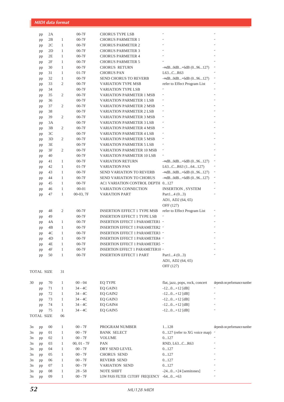|    |                   |          | <b>MIDI</b> data format      |                    |                                                    |                                                   |                               |
|----|-------------------|----------|------------------------------|--------------------|----------------------------------------------------|---------------------------------------------------|-------------------------------|
|    |                   |          |                              |                    |                                                    | $\overline{v}$                                    |                               |
|    | pp                | 2A<br>2B | $\mathbf{1}$                 | $00-7F$<br>$00-7F$ | <b>CHORUS TYPE LSB</b><br><b>CHORUS PARMETER 1</b> |                                                   |                               |
|    | pp                | 2C       | $\mathbf{1}$                 | $00-7F$            | <b>CHORUS PARMETER 2</b>                           |                                                   |                               |
|    | pp<br>pp          | 2D       | $\mathbf{1}$                 | $00-7F$            | <b>CHORUS PARMETER 3</b>                           | $\overline{v}$                                    |                               |
|    | pp                | 2E       | $\mathbf{1}$                 | $00-7F$            | <b>CHORUS PARMETER 4</b>                           |                                                   |                               |
|    | pp                | 2F       | $\mathbf{1}$                 | $00-7F$            | <b>CHORUS PARMETER 5</b>                           |                                                   | n                             |
|    | pp                | 30       | $\mathbf{1}$                 | $00-7F$            | <b>CHORUS RETURN</b>                               | $-\infty$ dB0dB+6dB (096127)                      | n                             |
|    | pp                | 31       | $\mathbf{1}$                 | $01-7F$            | <b>CHORUS PAN</b>                                  | L63CR63                                           | n                             |
|    | pp                | 32       | $\mathbf{1}$                 | $00-7F$            | SEND CHORUS TO REVERB                              | $-\infty$ dB0dB+6dB $(096127)$                    | ×                             |
|    | pp                | 33       | $\overline{c}$               | $00-7F$            | <b>VARIATION TYPE MSB</b>                          | refer to Effect Program List                      | n                             |
|    | pp                | 34       |                              | $00-7F$            | <b>VARIATION TYPE LSB</b>                          |                                                   |                               |
|    | pp                | 35       | 2                            | $00-7F$            | VARIATION PARMETER 1 MSB                           | $\overline{\phantom{a}}$                          | n                             |
|    | pp                | 36       |                              | $00-7F$            | <b>VARIATION PARMETER 1 LSB</b>                    | $\overline{\phantom{a}}$                          |                               |
|    | pp                | 37       | 2                            | $00-7F$            | VARIATION PARMETER 2 MSB                           | $\overline{\phantom{a}}$                          |                               |
|    | pp                | 38       |                              | $00-7F$            | <b>VARIATION PARMETER 2 LSB</b>                    | $\overline{v}$                                    |                               |
|    | pp                | 39       | $\overline{c}$               | $00-7F$            | <b>VARIATION PARMETER 3 MSB</b>                    | $\overline{\phantom{a}}$                          |                               |
|    | pp                | 3A       |                              | $00-7F$            | VARIATION PARMETER 3 LSB                           | $\hat{\phantom{a}}$                               |                               |
|    | pp                | 3B       | 2                            | $00-7F$            | <b>VARIATION PARMETER 4 MSB</b>                    | $\overline{\phantom{a}}$                          |                               |
|    | pp                | 3C       |                              | $00-7F$            | <b>VARIATION PARMETER 4 LSB</b>                    | $\overline{\phantom{a}}$                          |                               |
|    | pp                | 3D       | 2                            | $00-7F$            | VARIATION PARMETER 5 MSB                           | $\overline{\phantom{a}}$                          |                               |
|    | pp                | 3E       |                              | $00-7F$            | VARIATION PARMETER 5 LSB                           | n                                                 |                               |
|    | pp                | 3F       | $\overline{c}$               | $00-7F$            | <b>VARIATION PARMETER 10 MSB</b>                   | $\tilde{\phantom{a}}$                             | n                             |
|    | pp                | 40       |                              | $00-7F$            | VARIATION PARMETER 10 LSB                          | ×                                                 |                               |
|    | pp                | 41       | $\mathbf{1}$                 | $00-7F$            | <b>VARIATION RETURN</b>                            | $-\infty$ dB0dB+6dB (096127)                      | $\overline{a}$                |
|    | pp                | 42<br>43 | $\mathbf{1}$<br>$\mathbf{1}$ | $01-7F$            | <b>VARIATION PAN</b><br>SEND VARIATION TO REVERB   | L63CR63 (164127)<br>$-\infty$ dB0dB+6dB (096127)  | n<br>×                        |
|    | pp                | 44       | $\mathbf{1}$                 | $00-7F$<br>$00-7F$ | SEND VARIATION TO CHORUS                           | $-\infty$ dB0dB+6dB $(096127)$                    | ×                             |
|    | pp                | 45       | $\mathbf{1}$                 | $00-7F$            | AC1 VARIATION CONTROL DEPTH 0127                   |                                                   |                               |
|    | pp<br>pp          | 46       | $\mathbf{1}$                 | $00 - 01$          | VARIATION CONNECTION                               | <b>INSERTION, SYSTEM</b>                          | n                             |
|    | pp                | 47       | $\mathbf{1}$                 | 00-03, 7F          | <b>VARATION PART</b>                               | Part $14(03)$                                     | n                             |
|    |                   |          |                              |                    |                                                    | AD1, AD2 (64, 65)                                 |                               |
|    |                   |          |                              |                    |                                                    | OFF (127)                                         |                               |
|    | pp                | 48       | $\overline{c}$               | $00-7F$            | <b>INSERTION EFFECT 1 TYPE MSB</b>                 | refer to Effect Program List                      |                               |
|    | pp                | 49       |                              | $00-7F$            | <b>INSERTION EFFECT 1 TYPE LSB</b>                 | $\hat{\phantom{a}}$                               | n                             |
|    | pp                | 4A       | $\mathbf{1}$                 | $00-7F$            | INSERTION EFFECT 1 PARAMETER1 ~                    |                                                   |                               |
|    | pp                | 4B       | $\mathbf{1}$                 | $00-7F$            | <b>INSERTION EFFECT 1 PARAMETER2 ~</b>             |                                                   |                               |
|    | pp                | 4C       | $\mathbf{1}$                 | $00-7F$            | <b>INSERTION EFFECT 1 PARAMETER3 ~</b>             |                                                   |                               |
|    | pp                | 4D       | $\mathbf{1}$                 | $00-7F$            | <b>INSERTION EFFECT 1 PARAMETER4 ~</b>             |                                                   |                               |
|    | pp                | 4E       | $\mathbf{1}$                 | $00-7F$            | <b>INSERTION EFFECT 1 PARAMETER5 *</b>             |                                                   |                               |
|    | pp                | 4F       | $\mathbf{1}$                 | $00-7F$            | <b>INSERTION EFFECT 1 PARAMETER10 ~</b>            |                                                   |                               |
|    | pp                | 50       | $\mathbf{1}$                 | $00-7F$            | <b>INSERTION EFFECT 1 PART</b>                     | Part $14(03)$                                     |                               |
|    |                   |          |                              |                    |                                                    | AD1, AD2 (64, 65)                                 |                               |
|    |                   |          |                              |                    |                                                    | OFF (127)                                         |                               |
|    | <b>TOTAL SIZE</b> |          | 31                           |                    |                                                    |                                                   |                               |
| 30 |                   |          | $\mathbf{1}$                 | $00 - 04$          |                                                    |                                                   | depends on performance number |
|    | pp                | 70<br>71 | $\mathbf{1}$                 | $34 - 4C$          | <b>EQ TYPE</b><br>EQ GAIN1                         | flat, jazz, pops, rock, concert<br>$-120+12$ [dB] | n                             |
|    | pp                | 72       | 1                            | $34 - 4C$          | EQ GAIN2                                           | $-120+12$ [dB]                                    | n                             |
|    | pp<br>pp          | 73       | $\mathbf{1}$                 | $34 - 4C$          | EQ GAIN3                                           | $-120+12$ [dB]                                    |                               |
|    | pp                | 74       | $\mathbf{1}$                 | $34 - 4C$          | EQ GAIN4                                           | $-120+12$ [dB]                                    |                               |
|    | pp                | 75       | $\mathbf{1}$                 | $34 - 4C$          | EQ GAIN5                                           | $-120+12$ [dB]                                    |                               |
|    | <b>TOTAL SIZE</b> |          | 06                           |                    |                                                    |                                                   |                               |
|    |                   |          |                              |                    |                                                    |                                                   |                               |
| 3n | pp                | $00\,$   | $\mathbf{1}$                 | $00 - 7F$          | PROGRAM NUMBER                                     | 1128                                              | depends on performance number |
| 3n | pp                | 01       | $\mathbf{1}$                 | $00 - 7F$          | <b>BANK SELECT</b>                                 | 0127 (refer to XG voice map)                      |                               |
| 3n | pp                | 02       | $\mathbf{1}$                 | $00 - 7F$          | <b>VOLUME</b>                                      | 0127                                              | n                             |
| 3n | pp                | 03       | $\mathbf{1}$                 | $00, 01 - 7F$      | PAN                                                | RND, L63CR63                                      |                               |
| 3n | pp                | 04       | $\mathbf{1}$                 | $00 - 7F$          | DRY SEND LEVEL                                     | 0127                                              | n                             |
| 3n | pp                | 05       | $\mathbf{1}$                 | $00 - 7F$          | <b>CHORUS SEND</b>                                 | 0127                                              |                               |
| 3n | pp                | 06       | 1                            | $00 - 7F$          | REVERB SEND                                        | 0127                                              |                               |
| 3n | pp                | 07       | $\mathbf{1}$                 | $00 - 7F$          | <b>VARIATION SEND</b>                              | 0127                                              |                               |
| 3n | pp                | 08       | $\mathbf{1}$                 | 28 - 58            | <b>NOTE SHIFT</b>                                  | $-240+24$ [semitones]                             |                               |
| 3n | pp                | 09       | $\mathbf{1}$                 | $00 - 7F$          | LOW PASS FILTER CUTOFF FREQUENCY -640+63           |                                                   | n                             |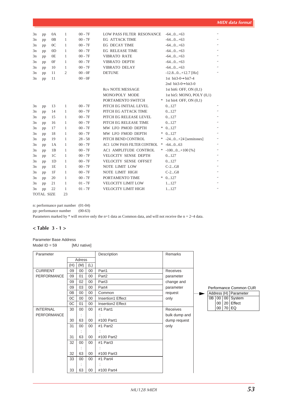| 3n | pp                | 0A             | 1  | $00 - 7F$ | LOW PASS FILTER RESONANCE          | $-640+63$                       |                          |
|----|-------------------|----------------|----|-----------|------------------------------------|---------------------------------|--------------------------|
| 3n | pp                | 0B             | 1  | $00 - 7F$ | <b>EG ATTACK TIME</b>              | $-640+63$                       |                          |
| 3n | pp                | 0 <sup>C</sup> | 1  | $00 - 7F$ | <b>EG DECAY TIME</b>               | $-640+63$                       |                          |
| 3n | pp                | OD             | 1  | $00 - 7F$ | <b>EG RELEASE TIME</b>             | $-640+63$                       |                          |
| 3n | pp                | 0E             | 1  | $00 - 7F$ | <b>VIBRATO RATE</b>                | $-640+63$                       |                          |
| 3n | pp                | 0F             | 1  | $00 - 7F$ | <b>VIBRATO DEPTH</b>               | $-640+63$                       |                          |
| 3n | pp                | 10             | 1  | $00 - 7F$ | <b>VIBRATO DELAY</b>               | $-640+63$                       |                          |
| 3n | pp                | 11             | 2  | $00 - 0F$ | <b>DETUNE</b>                      | $-12.80+12.7$ [Hz]              |                          |
| 3n | pp                | 11             |    | $00 - 0F$ |                                    | 1st bit3-0 $\rightarrow$ bit7-4 |                          |
|    |                   |                |    |           |                                    | 2nd bit3-0 $\rightarrow$ bit3-0 |                          |
|    |                   |                |    |           | <b>Rcv NOTE MESSAGE</b>            | 1st bit6: OFF, ON (0,1)         |                          |
|    |                   |                |    |           | MONO/POLY MODE                     | 1st bit5: MONO, POLY (0,1)      |                          |
|    |                   |                |    |           | PORTAMENTO SWITCH                  | 1st bit4: OFF, ON (0,1)<br>*    |                          |
| 3n | pp                | 13             | 1  | $00 - 7F$ | PITCH EG INITIAL LEVEL             | 0127                            |                          |
| 3n | pp                | 14             | 1  | $00 - 7F$ | PITCH EG ATTACK TIME               | 0127                            |                          |
| 3n | pp                | 15             | 1  | $00 - 7F$ | PITCH EG RELEASE LEVEL             | 0127                            |                          |
| 3n | pp                | 16             | 1  | $00 - 7F$ | PITCH EG RELEASE TIME              | 0127                            |                          |
| 3n | pp                | 17             | 1  | $00 - 7F$ | MW LFO PMOD DEPTH                  | $*$ 0127                        |                          |
| 3n | pp                | 18             | 1  | $00 - 7F$ | MW LFO FMOD DEPTH                  | $*$ 0127                        |                          |
| 3n | pp                | 19             | 1  | $28 - 58$ | PITCH BEND CONTROL                 | $-240+24$ [semitones]<br>*      |                          |
| 3n | pp                | 1A             | 1  | $00 - 7F$ | <b>AC1 LOW PASS FILTER CONTROL</b> | $-640(63)$<br>*                 | $\overline{\phantom{a}}$ |
| 3n | pp                | 1B             | 1  | $00 - 7F$ | <b>AC1 AMPLITUDE CONTROL</b>       | $-1000+100$ [%]                 | $\overline{\phantom{a}}$ |
| 3n | pp                | 1 <sup>C</sup> | 1  | $00 - 7F$ | VELOCITY SENSE DEPTH               | 0127                            |                          |
| 3n | pp                | 1D             | 1  | $00 - 7F$ | <b>VELOCITY SENSE OFFSET</b>       | 0127                            |                          |
| 3n | pp                | 1E             | 1  | $00 - 7F$ | <b>NOTE LIMIT LOW</b>              | $C-2G8$                         |                          |
| 3n | pp                | 1F             | 1  | $00 - 7F$ | NOTE LIMIT HIGH                    | $C-2G8$                         |                          |
| 3n | pp                | 20             | 1  | $00 - 7F$ | PORTAMENTO TIME                    | $*$ 0127                        |                          |
| 3n | pp                | 21             | 1  | $01 - 7F$ | <b>VELOCITY LIMIT LOW</b>          | 1127                            |                          |
| 3n | pp                | 22             | 1  | $01 - 7F$ | VELOCITY LIMIT HIGH                | 1127                            |                          |
|    | <b>TOTAL SIZE</b> |                | 23 |           |                                    |                                 |                          |

n: performance part number (01-04)

pp: performance number (00-63)

Parameters marked by \* will receive only the n=1 data as Common data, and will not receive the  $n = 2 \sim 4$  data.

#### **< Table 3 - 1 >**

| Parameter Base Address |             |
|------------------------|-------------|
| Model $ID = 59$        | [MU native] |

| Parameter          |                   |        |        | Description              | Remarks       |    |             |         |                 |
|--------------------|-------------------|--------|--------|--------------------------|---------------|----|-------------|---------|-----------------|
|                    | Adress            |        |        |                          |               |    |             |         |                 |
|                    | (H)<br>(M)<br>(L) |        |        |                          |               |    |             |         |                 |
| <b>CURRENT</b>     | 09                | $00\,$ | $00\,$ | Part1                    | Receives      |    |             |         |                 |
| <b>PERFORMANCE</b> | 09                | 01     | 00     | Part <sub>2</sub>        | parameter     |    |             |         |                 |
|                    | 09                | 02     | $00\,$ | Part <sub>3</sub>        | change and    |    |             |         |                 |
|                    | 09                | 03     | $00\,$ | Part4                    | parameter     |    |             |         | Performance Com |
|                    | 0B                | 00     | 00     | Common                   | request       |    | Address (H) |         | Para            |
|                    | 0C                | $00\,$ | $00\,$ | Insertion1 Effect        | only          | 0B |             | 00   00 | <b>Syste</b>    |
|                    | 0C                | 01     | $00\,$ | <b>Insertion2 Effect</b> |               |    |             | 00   20 | Effec           |
| <b>INTERNAL</b>    | 30                | $00\,$ | $00\,$ | #1 Part1                 | Receives      |    |             |         | 00   70   EQ    |
| <b>PERFORMANCE</b> |                   | ÷      |        |                          | bulk dump and |    |             |         |                 |
|                    | 30                | 63     | 00     | #100 Part1               | dump request  |    |             |         |                 |
|                    | 31                | 00     | $00\,$ | #1 Part2                 | only          |    |             |         |                 |
|                    |                   |        |        |                          |               |    |             |         |                 |
|                    | 31                | 63     | $00\,$ | #100 Part2               |               |    |             |         |                 |
|                    | 32                | $00\,$ | $00\,$ | #1 Part3                 |               |    |             |         |                 |
|                    |                   |        |        |                          |               |    |             |         |                 |
|                    | 32                | 63     | 00     | #100 Part3               |               |    |             |         |                 |
|                    | 33                | $00\,$ | $00\,$ | #1 Part4                 |               |    |             |         |                 |
|                    |                   |        |        |                          |               |    |             |         |                 |
|                    | 33                | 63     | 00     | #100 Part4               |               |    |             |         |                 |

 $m$ eter  $em$  $ct$ mon CUR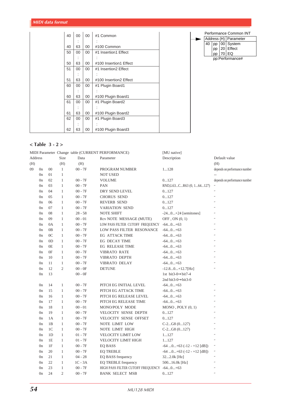| 40 | 00     | 00     | #1 Common              |  |    |    | Performance Common INT |
|----|--------|--------|------------------------|--|----|----|------------------------|
|    | ٠      |        |                        |  |    |    | Address (H) Parameter  |
|    | ٠      |        |                        |  | 40 | pp | 00 System              |
| 40 | 63     | 00     | #100 Common            |  |    | pp | 20 Effect              |
| 50 | 00     | $00\,$ | #1 Insertion1 Effect   |  |    | pp | 70 EQ                  |
|    | ٠<br>٠ |        |                        |  |    |    | pp:Performance#        |
| 50 | 63     | 00     | #100 Insertion1 Effect |  |    |    |                        |
| 51 | 00     | $00\,$ | #1 Insertion2 Effect   |  |    |    |                        |
|    | ٠<br>٠ |        |                        |  |    |    |                        |
| 51 | 63     | 00     | #100 Insertion2 Effect |  |    |    |                        |
| 60 | 00     | $00\,$ | #1 Plugin Board1       |  |    |    |                        |
|    | ٠<br>٠ |        |                        |  |    |    |                        |
| 60 | 63     | 00     | #100 Plugin Board1     |  |    |    |                        |
| 61 | 00     | 00     | #1 Plugin Board2       |  |    |    |                        |
|    | ٠<br>٠ |        |                        |  |    |    |                        |
| 61 | 63     | 00     | #100 Plugin Board2     |  |    |    |                        |
| 62 | 00     | 00     | #1 Plugin Board3       |  |    |    |                        |
|    | ٠<br>٠ |        |                        |  |    |    |                        |
| 62 | 63     | 00     | #100 Plugin Board3     |  |    |    |                        |

#### **< Table 3 - 2 >**

|                |                |                |                |           | MIDI Parameter Change table (CURRENT PERFORMANCE) | [MU native]                     |                               |
|----------------|----------------|----------------|----------------|-----------|---------------------------------------------------|---------------------------------|-------------------------------|
| <b>Address</b> |                |                | Size           | Data      | Parameter                                         | Description                     | Default value                 |
| (H)            |                |                | (H)            | (H)       |                                                   |                                 | (H)                           |
| 09             | 0 <sub>n</sub> | $00\,$         | $\mathbf{1}$   | $00 - 7F$ | PROGRAM NUMBER                                    | 1128                            | depends on performance number |
|                | 0 <sub>n</sub> | 01             | $\mathbf{1}$   |           | NOT USED                                          |                                 | u.                            |
|                | 0 <sub>n</sub> | 02             | $\mathbf{1}$   | $00 - 7F$ | <b>VOLUME</b>                                     | 0127                            | depends on performance number |
|                | 0n             | 03             | $\mathbf{1}$   | $00 - 7F$ | PAN                                               | RND, L63CR63 (0, 164127)        | $\!\!\!\!$                    |
|                | 0 <sub>n</sub> | 04             | $\mathbf{1}$   | $00 - 7F$ | DRY SEND LEVEL                                    | 0127                            | $\overline{v}$                |
|                | 0n             | 05             | $\mathbf{1}$   | $00 - 7F$ | <b>CHORUS SEND</b>                                | 0127                            | n                             |
|                | 0n             | 06             | $\mathbf{1}$   | $00 - 7F$ | <b>REVERB SEND</b>                                | 0127                            |                               |
|                | 0n             | 07             | $\mathbf{1}$   | $00 - 7F$ | <b>VARIATION SEND</b>                             | 0127                            |                               |
|                | 0n             | 08             | $\mathbf{1}$   | $28 - 58$ | <b>NOTE SHIFT</b>                                 | $-240+24$ [semitones]           |                               |
|                | 0 <sub>n</sub> | 09             | $\mathbf{1}$   | $00 - 01$ | Rcv NOTE MESSAGE (MUTE)                           | OFF, ON $(0, 1)$                |                               |
|                | 0n             | 0A             | $\mathbf{1}$   | $00 - 7F$ | LOW PASS FILTER CUTOFF FREQUENCY                  | $-640+63$                       |                               |
|                | 0 <sub>n</sub> | 0B             | $\mathbf{1}$   | $00 - 7F$ | LOW PASS FILTER RESONANCE                         | $-640+63$                       |                               |
|                | 0n             | 0 <sup>C</sup> | $\mathbf{1}$   | $00 - 7F$ | <b>EG ATTACK TIME</b>                             | $-640+63$                       |                               |
|                | 0 <sub>n</sub> | OD             | $\mathbf{1}$   | $00 - 7F$ | EG DECAY TIME                                     | $-640+63$                       |                               |
|                | 0n             | 0E             | $\mathbf{1}$   | $00 - 7F$ | <b>EG RELEASE TIME</b>                            | $-640+63$                       |                               |
|                | 0n             | 0F             | $\mathbf{1}$   | $00 - 7F$ | <b>VIBRATO RATE</b>                               | $-640+63$                       |                               |
|                | 0 <sub>n</sub> | 10             | $\mathbf{1}$   | $00 - 7F$ | VIBRATO DEPTH                                     | $-640+63$                       |                               |
|                | 0n             | 11             | $\mathbf{1}$   | $00 - 7F$ | VIBRATO DELAY                                     | $-640+63$                       |                               |
|                | 0 <sub>n</sub> | 12             | $\overline{c}$ | $00 - 0F$ | <b>DETUNE</b>                                     | $-12.80+12.7$ [Hz]              |                               |
|                | 0 <sub>n</sub> | 13             |                | $00 - 0F$ |                                                   | 1st bit3-0 $\rightarrow$ bit7-4 |                               |
|                |                |                |                |           |                                                   | 2nd bit3-0 $\rightarrow$ bit3-0 |                               |
|                | 0 <sub>n</sub> | 14             | $\mathbf{1}$   | $00 - 7F$ | PITCH EG INITIAL LEVEL                            | $-640+63$                       | $\overline{v}$                |
|                | 0 <sub>n</sub> | 15             | $\mathbf{1}$   | $00 - 7F$ | PITCH EG ATTACK TIME                              | $-640+63$                       |                               |
|                | 0n             | 16             | $\mathbf{1}$   | $00 - 7F$ | PITCH EG RELEASE LEVEL                            | $-640+63$                       |                               |
|                | 0n             | 17             | $\mathbf{1}$   | $00 - 7F$ | PITCH EG RELEASE TIME                             | $-640+63$                       |                               |
|                | 0 <sub>n</sub> | 18             | $\mathbf{1}$   | $00 - 01$ | MONO/POLY MODE                                    | MONO, POLY(0, 1)                |                               |
|                | 0n             | 19             | $\mathbf{1}$   | $00 - 7F$ | VELOCITY SENSE DEPTH                              | 0127                            |                               |
|                | 0 <sub>n</sub> | 1A             | $\mathbf{1}$   | $00 - 7F$ | VELOCITY SENSE OFFSET                             | 0127                            |                               |
|                | 0n             | 1B             | $\mathbf{1}$   | $00 - 7F$ | NOTE LIMIT LOW                                    | $C-2G8(0127)$                   |                               |
|                | 0 <sub>n</sub> | 1C             | $\mathbf{1}$   | $00 - 7F$ | NOTE LIMIT HIGH                                   | $C-2G8(0127)$                   |                               |
|                | 0n             | 1 <sub>D</sub> | $\mathbf{1}$   | $01 - 7F$ | <b>VELOCITY LIMIT LOW</b>                         | 1127                            |                               |
|                | 0 <sub>n</sub> | 1E             | $\mathbf{1}$   | $01 - 7F$ | VELOCITY LIMIT HIGH                               | 1127                            |                               |
|                | 0 <sub>n</sub> | 1F             | $\mathbf{1}$   | $00 - 7F$ | <b>EQ BASS</b>                                    | $-64$ 0+63 (-12 - +12 [dB])     | $\!\!\!\!$                    |
|                | 0n             | 20             | $\mathbf{1}$   | $00 - 7F$ | <b>EQ TREBLE</b>                                  | $-64$ 0+63 (-12 - +12 [dB])     | ×                             |
|                | 0 <sub>n</sub> | 21             | $\mathbf{1}$   | $04 - 28$ | EQ BASS frequency                                 | 322.0k [Hz]                     |                               |
|                | $_{0n}$        | 22             | $\mathbf{1}$   | 1C - 3A   | EQ TREBLE frequency                               | 50016.0k [Hz]                   |                               |
|                | 0 <sub>n</sub> | 23             | $\mathbf{1}$   | $00 - 7F$ | HIGH PASS FILTER CUTOFF FREQUENCY -640+63         |                                 |                               |
|                | $_{0n}$        | 24             | $\overline{2}$ | $00 - 7F$ | <b>BANK SELECT MSB</b>                            | 0127                            | $\overline{v}$                |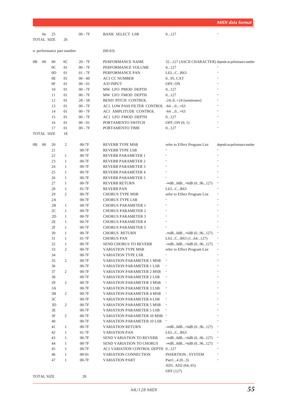|                |                   |                |                              |           |                                        |                                                       | <b>MIDI</b> data format       |
|----------------|-------------------|----------------|------------------------------|-----------|----------------------------------------|-------------------------------------------------------|-------------------------------|
|                | 0 <sub>n</sub>    | 25             |                              | $00 - 7F$ | <b>BANK SELECT LSB</b>                 | 0127                                                  |                               |
|                | <b>TOTAL SIZE</b> |                | 26                           |           |                                        |                                                       |                               |
|                |                   |                |                              |           |                                        |                                                       |                               |
|                |                   |                | n: performance part number   |           | $(00-03)$                              |                                                       |                               |
| $_{\rm OB}$    | $00\,$            | $00\,$         | $_{0c}$                      | $20 - 7F$ | PERFORMANCE NAME                       | 32127 (ASCII CHARACTER) depends on performance number |                               |
|                |                   | 0 <sup>C</sup> | 01                           | $00 - 7F$ | PERFORMANCE VOLUME                     | 0127                                                  |                               |
|                |                   | 0D             | 01                           | $01 - 7F$ | PERFORMANCE PAN                        | L63CR63                                               |                               |
|                |                   | 0E             | 01                           | $00 - 60$ | <b>AC1 CC NUMBER</b>                   | 095, CAT                                              |                               |
|                |                   | 0F             | 01                           | $00 - 01$ | <b>A/D INPUT</b>                       | OFF, ON                                               |                               |
|                |                   | 10             | 01                           | $00 - 7F$ | MW LFO PMOD DEPTH                      | 0127                                                  |                               |
|                |                   | 11             | 01                           | $00 - 7F$ | MW LFO FMOD DEPTH                      | 0127                                                  |                               |
|                |                   | 12             | 01                           | $28 - 58$ | <b>BEND PITCH CONTROL</b>              | $-24.0.+24$ [semitones]                               |                               |
|                |                   | 13             | 01                           | $00 - 7F$ | AC1 LOW PASS FILTER CONTROL -64  0 +63 |                                                       |                               |
|                |                   | 14             | 01                           | $00 - 7F$ | AC1 AMPLITUDE CONTROL                  | $-640+63$                                             |                               |
|                |                   | 15             | 01                           | $00 - 7F$ | AC1 LFO FMOD DEPTH                     | 0127                                                  |                               |
|                |                   | 16             | 01                           | $00 - 01$ | PORTAMENTO SWITCH                      | OFF, ON $(0, 1)$                                      |                               |
|                |                   | 17             | 01                           | $00 - 7F$ | PORTAMENTO TIME                        | 0127                                                  |                               |
|                | <b>TOTAL SIZE</b> |                | 18                           |           |                                        |                                                       |                               |
|                |                   |                |                              |           |                                        |                                                       |                               |
| 0 <sub>B</sub> | $00\,$            | 20             | $\mathbf{2}$                 | $00-7F$   | REVERB TYPE MSB                        | refer to Effect Program List                          | depends on performance number |
|                |                   | 21             |                              | $00-7F$   | <b>REVERB TYPE LSB</b>                 | n                                                     |                               |
|                |                   | 22             | $\mathbf{1}$                 | $00-7F$   | REVERB PARAMETER 1                     |                                                       | n                             |
|                |                   | 23             | $\mathbf{1}$                 | $00-7F$   | <b>REVERB PARAMETER 2</b>              |                                                       |                               |
|                |                   | 24             | $\mathbf{1}$                 | $00-7F$   | <b>REVERB PARAMETER 3</b>              |                                                       |                               |
|                |                   | 25             | $\mathbf{1}$                 | $00-7F$   | <b>REVERB PARAMETER 4</b>              |                                                       |                               |
|                |                   | 26             | $\mathbf{1}$                 | $00-7F$   | <b>REVERB PARAMETER 5</b>              |                                                       |                               |
|                |                   | 27             | $\mathbf{1}$                 | $00-7F$   | <b>REVERB RETURN</b>                   | $-\infty$ dB0dB+6dB (096127)                          | $\overline{v}$                |
|                |                   | 28             | $\mathbf{1}$                 | $01-7F$   | <b>REVERB PAN</b>                      | L63CR63                                               |                               |
|                |                   | 29             | $\overline{2}$               | $00-7F$   | <b>CHORUS TYPE MSB</b>                 | refer to Effect Program List                          | n                             |
|                |                   | 2A             |                              | $00-7F$   | <b>CHORUS TYPE LSB</b>                 | $\overline{a}$                                        | n                             |
|                |                   | 2B             | $\mathbf{1}$                 | $00-7F$   | <b>CHORUS PARAMETER 1</b>              |                                                       |                               |
|                |                   | 2C             | $\mathbf{1}$                 | $00-7F$   | <b>CHORUS PARAMETER 2</b>              |                                                       |                               |
|                |                   | 2D             | $\mathbf{1}$                 | $00-7F$   | <b>CHORUS PARAMETER 3</b>              |                                                       | n                             |
|                |                   | 2E             | $\mathbf{1}$                 | $00-7F$   | <b>CHORUS PARAMETER 4</b>              |                                                       |                               |
|                |                   | 2F             | $\mathbf{1}$                 | $00-7F$   | <b>CHORUS PARAMETER 5</b>              |                                                       |                               |
|                |                   | 30             | $\mathbf{1}$                 | $00-7F$   | <b>CHORUS RETURN</b>                   | $-\infty$ dB0dB+6dB $(096127)$                        | $\overline{v}$                |
|                |                   | 31             | $\mathbf{1}$                 | $01-7F$   | <b>CHORUS PAN</b>                      | L63CR63 (164127)                                      | n                             |
|                |                   | 32             | $\mathbf{1}$                 | $00-7F$   | SEND CHORUS TO REVERB                  | $-\infty$ dB0dB+6dB (096127)                          | H                             |
|                |                   | 33             | $\overline{c}$               | $00-7F$   | <b>VARIATION TYPE MSB</b>              | refer to Effect Program List                          | n                             |
|                |                   | 34             |                              | $00-7F$   | VARIATION TYPE LSB                     |                                                       |                               |
|                |                   | 35             | $\overline{c}$               | $00-7F$   | VARIATION PARAMETER 1 MSB              |                                                       |                               |
|                |                   | 36             |                              | $00-7F$   | <b>VARIATION PARAMETER 1 LSB</b>       |                                                       |                               |
|                |                   | 37             | 2                            | $00-7F$   | VARIATION PARAMETER 2 MSB              |                                                       | n                             |
|                |                   | 38             |                              | $00-7F$   | VARIATION PARAMETER 2 LSB              |                                                       |                               |
|                |                   | 39             | $\boldsymbol{2}$             | $00-7F$   | <b>VARIATION PARAMETER 3 MSB</b>       |                                                       |                               |
|                |                   | 3A             |                              | 00-7F     | <b>VARIATION PARAMETER 3 LSB</b>       |                                                       |                               |
|                |                   | 3B             | $\boldsymbol{2}$             | 00-7F     | VARIATION PARAMETER 4 MSB              |                                                       |                               |
|                |                   | 3C             |                              | $00-7F$   | <b>VARIATION PARAMETER 4 LSB</b>       |                                                       |                               |
|                |                   | 3D             | $\boldsymbol{2}$             | $00-7F$   | VARIATION PARAMETER 5 MSB              |                                                       |                               |
|                |                   | 3E             |                              | 00-7F     | <b>VARIATION PARAMETER 5 LSB</b>       |                                                       |                               |
|                |                   | 3F             | $\mathbf{2}$                 | $00-7F$   | VARIATION PARAMETER 10 MSB ~           |                                                       |                               |
|                |                   | 40             |                              | $00-7F$   | VARIATION PARAMETER 10 LSB             |                                                       |                               |
|                |                   | 41             | $\mathbf{1}$                 | 00-7F     | VARIATION RETURN                       | $-\infty$ dB0dB+6dB (096127)                          | $\overline{v}$                |
|                |                   | 42             | $\mathbf{1}$                 | 01-7F     | VARIATION PAN                          | L63CR63                                               |                               |
|                |                   |                |                              |           | SEND VARIATION TO REVERB               |                                                       |                               |
|                |                   | 43             | $\mathbf{1}$<br>$\mathbf{1}$ | $00-7F$   |                                        | $-\infty$ dB0dB+6dB $(096127)$                        | $\hat{\phantom{a}}$           |
|                |                   | 44             |                              | 00-7F     | SEND VARIATION TO CHORUS               | $-\infty$ dB0dB+6dB $(096127)$                        |                               |
|                |                   | 45             | $\mathbf{1}$                 | $00-7F$   | AC1 VARIATION CONTROL DEPTH 0127       |                                                       |                               |
|                |                   | 46             | $\mathbf{1}$                 | 00-01     | VARIATION CONNECTION                   | <b>INSERTION, SYSTEM</b>                              |                               |
|                |                   | 47             | $\,1$                        | 00-7F     | VARIATION PART                         | Part14 $(03)$                                         |                               |
|                |                   |                |                              |           |                                        | AD1, AD2 (64, 65)                                     |                               |
|                |                   |                |                              |           |                                        | OFF (127)                                             |                               |

#### TOTAL SIZE 28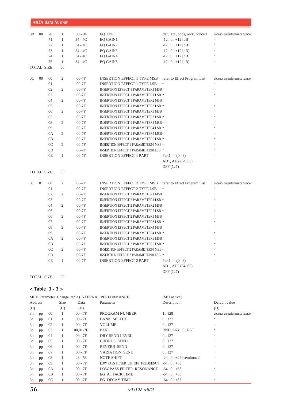|                |                   |                | <b>MIDI data format</b> |           |                                            |                                 |                               |
|----------------|-------------------|----------------|-------------------------|-----------|--------------------------------------------|---------------------------------|-------------------------------|
| 0B             | $00\,$            | 70             | $\mathbf{1}$            | $00 - 04$ | <b>EQ TYPE</b>                             | flat, jazz, pops, rock, concert | depends on performance number |
|                |                   | 71             | $\mathbf{1}$            | $34 - 4C$ | EQ GAIN1                                   | $-120+12$ [dB]                  |                               |
|                |                   | 72             | $\mathbf{1}$            | $34 - 4C$ | EO GAIN2                                   | $-120+12$ [dB]                  | $\overline{a}$                |
|                |                   | 73             | $\mathbf{1}$            | $34 - 4C$ | EQ GAIN3                                   | $-120+12$ [dB]                  | $\overline{v}$                |
|                |                   | 74             | $\mathbf{1}$            | $34 - 4C$ | EQ GAIN4                                   | $-120+12$ [dB]                  |                               |
|                |                   | 75             | $\mathbf{1}$            | $34 - 4C$ | EQ GAIN5                                   | $-120+12$ [dB]                  |                               |
|                | TOTAL SIZE        |                | 06                      |           |                                            |                                 |                               |
|                |                   |                |                         |           |                                            |                                 |                               |
| 0 <sup>C</sup> | $00\,$            | $00\,$         | $\overline{c}$          | $00-7F$   | <b>INSERTION EFFECT 1 TYPE MSB</b>         | refer to Effect Program List    | depends on performance number |
|                |                   | 01             |                         | $00-7F$   | <b>INSERTION EFFECT 1 TYPE LSB</b>         | $\overline{a}$                  | $\overline{a}$                |
|                |                   | 02             | $\overline{2}$          | $00-7F$   | INSERTION EFFECT 1 PARAMETER1 MSB ~        |                                 | $\overline{v}$                |
|                |                   | 03             |                         | $00-7F$   | INSERTION EFFECT 1 PARAMETER1 LSB ~        |                                 | $\overline{a}$                |
|                |                   | 04             | $\overline{2}$          | $00-7F$   | INSERTION EFFECT 1 PARAMETER2 MSB ~        |                                 |                               |
|                |                   | 05             |                         | $00-7F$   | INSERTION EFFECT 1 PARAMETER2 LSB ~        |                                 |                               |
|                |                   | 06             | $\overline{c}$          | $00-7F$   | INSERTION EFFECT 1 PARAMETER3 MSB ~        |                                 |                               |
|                |                   | 07             |                         | $00-7F$   | INSERTION EFFECT 1 PARAMETER3 LSB ~        |                                 |                               |
|                |                   | 08             | $\overline{c}$          | $00-7F$   | INSERTION EFFECT 1 PARAMETER4 MSB ~        |                                 |                               |
|                |                   | 09             |                         | $00-7F$   | INSERTION EFFECT 1 PARAMETER4 LSB ~        |                                 |                               |
|                |                   | 0A             | $\overline{2}$          | $00-7F$   | INSERTION EFFECT 1 PARAMETER5 MSB ~        |                                 |                               |
|                |                   | 0B             |                         | $00-7F$   | INSERTION EFFECT 1 PARAMETER5 LSB ~        |                                 |                               |
|                |                   | 0 <sup>C</sup> | $\overline{c}$          | $00-7F$   | INSERTION EFFECT 1 PARAMETER10 MSB ~       |                                 |                               |
|                |                   | 0D             |                         | $00-7F$   | INSERTION EFFECT 1 PARAMETER10 LSB ~       |                                 |                               |
|                |                   | 0E             | $\mathbf{1}$            | $00-7F$   | <b>INSERTION EFFECT 1 PART</b>             | Part $14(03)$                   |                               |
|                |                   |                |                         |           |                                            | AD1, AD2 (64, 65)               |                               |
|                |                   |                |                         |           |                                            | OFF (127)                       |                               |
|                | <b>TOTAL SIZE</b> |                | 0F                      |           |                                            |                                 |                               |
|                |                   |                |                         |           |                                            |                                 |                               |
| 0 <sup>C</sup> | 01                | $00\,$         | $\overline{2}$          | $00-7F$   | <b>INSERTION EFFECT 2 TYPE MSB</b>         | refer to Effect Program List    | depends on performance number |
|                |                   | 01             |                         | $00-7F$   | <b>INSERTION EFFECT 2 TYPE LSB</b>         |                                 | $\overline{\phantom{a}}$      |
|                |                   | 02             | $\overline{c}$          | $00-7F$   | INSERTION EFFECT 2 PARAMETER1 MSB ~        |                                 | $\overline{v}$                |
|                |                   | 03             |                         | $00-7F$   | <b>INSERTION EFFECT 2 PARAMETER1 LSB ~</b> |                                 | ×                             |
|                |                   | 04             | $\overline{c}$          | $00-7F$   | <b>INSERTION EFFECT 2 PARAMETER2 MSB ~</b> |                                 |                               |
|                |                   | 05             |                         | $00-7F$   | INSERTION EFFECT 2 PARAMETER2 LSB ~        |                                 |                               |
|                |                   | 06             | $\overline{c}$          | $00-7F$   | INSERTION EFFECT 2 PARAMETER3 MSB ~        |                                 |                               |
|                |                   | 07             |                         | $00-7F$   | INSERTION EFFECT 2 PARAMETER3 LSB ~        |                                 | $\overline{v}$                |
|                |                   | 08             | $\overline{c}$          | $00-7F$   | INSERTION EFFECT 2 PARAMETER4 MSB ~        |                                 |                               |
|                |                   | 09             |                         | $00-7F$   | INSERTION EFFECT 2 PARAMETER4 LSB ~        |                                 |                               |
|                |                   | 0A             | $\overline{2}$          | $00-7F$   | INSERTION EFFECT 2 PARAMETER5 MSB ~        |                                 |                               |
|                |                   | 0B             |                         | $00-7F$   | <b>INSERTION EFFECT 2 PARAMETER5 LSB ~</b> |                                 |                               |
|                |                   | 0 <sup>C</sup> | $\overline{c}$          | $00-7F$   | INSERTION EFFECT 2 PARAMETER10 MSB ~       |                                 |                               |
|                |                   | 0D             |                         | $00-7F$   | INSERTION EFFECT 2 PARAMETER10 LSB ~       |                                 |                               |
|                |                   | 0E             | $\mathbf{1}$            | $00-7F$   | <b>INSERTION EFFECT 2 PART</b>             | Part $14(03)$                   | $\overline{v}$                |
|                |                   |                |                         |           |                                            | AD1, AD2 (64, 65)               |                               |
|                |                   |                |                         |           |                                            | OFF (127)                       |                               |

TOTAL SIZE 0F

#### **< Table 3 - 3 >**

|         |    |                |      |              | MIDI Parameter Change table (INTERNAL PERFORMANCE) | [MU native]           |                               |
|---------|----|----------------|------|--------------|----------------------------------------------------|-----------------------|-------------------------------|
| Address |    |                | Size | Data         | Parameter                                          | Description           | Default value                 |
| (H)     |    |                | (H)  | (H)          |                                                    |                       | (H)                           |
| 3n      | pp | 00             |      | $00 - 7F$    | PROGRAM NUMBER                                     | 1128                  | depends on performance number |
| 3n      | pp | 01             | 1    | $00 - 7F$    | <b>BANK SELECT</b>                                 | 0127                  | $\prime\prime$                |
| 3n      | pp | 02             |      | $00 - 7F$    | <b>VOLUME</b>                                      | 0127                  | $\prime\prime$                |
| 3n      | pp | 03             | 1    | $00.01 - 7F$ | <b>PAN</b>                                         | RND, L63CR63          | $^{\prime\prime}$             |
| 3n      | pp | 04             | 1    | $00 - 7F$    | DRY SEND LEVEL                                     | 0127                  | $^{\prime\prime}$             |
| 3n      | pp | 05             |      | $00 - 7F$    | <b>CHORUS SEND</b>                                 | 0127                  | $^{\prime\prime}$             |
| 3n      | pp | 06             | 1    | $00 - 7F$    | <b>REVERB SEND</b>                                 | 0127                  | $^{\prime\prime}$             |
| 3n      | pp | 07             |      | $00 - 7F$    | <b>VARIATION SEND</b>                              | 0127                  | $^{\prime\prime}$             |
| 3n      | pp | 08             | 1    | $28 - 58$    | <b>NOTE SHIFT</b>                                  | $-240+24$ [semitones] | $^{\prime\prime}$             |
| 3n      | pp | 09             | 1    | $00 - 7F$    | LOW PASS FILTER CUTOFF FREQUENCY                   | $-640+63$             | $^{\prime\prime}$             |
| 3n      | pp | 0A             |      | $00 - 7F$    | LOW PASS FILTER RESONANCE                          | $-640+63$             | $\prime\prime$                |
| 3n      | pp | $_{\rm OB}$    |      | $00 - 7F$    | <b>EG ATTACK TIME</b>                              | $-640+63$             | $\prime\prime$                |
| 3n      | pp | 0 <sup>C</sup> |      | $00 - 7F$    | EG DECAY TIME                                      | $-640+63$             | $^{\prime\prime}$             |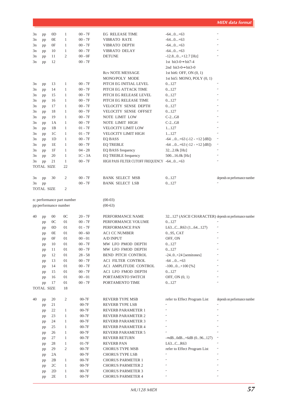| 3n | pp                | 0 <sub>D</sub>        | $\mathbf{1}$               | $00 - 7F$              | <b>EG RELEASE TIME</b>                    | $-640+63$                                             |                               |
|----|-------------------|-----------------------|----------------------------|------------------------|-------------------------------------------|-------------------------------------------------------|-------------------------------|
| 3n | pp                | 0E                    | $\mathbf{1}$               | $00 - 7F$              | <b>VIBRATO RATE</b>                       | $-640+63$                                             |                               |
| 3n | pp                | 0F                    | $\mathbf{1}$               | $00 - 7F$              | VIBRATO DEPTH                             | $-640+63$                                             |                               |
| 3n | pp                | 10                    | $\mathbf{1}$               | $00 - 7F$              | VIBRATO DELAY                             | $-640+63$                                             |                               |
| 3n | pp                | 11                    | $\overline{c}$             | $00 - 0F$              | <b>DETUNE</b>                             | $-12.80+12.7$ [Hz]                                    |                               |
| 3n | pp                | 12                    |                            | $00 - 7F$              |                                           | 1st bit3-0 $\rightarrow$ bit7-4                       |                               |
|    |                   |                       |                            |                        |                                           | 2nd bit3-0 $\rightarrow$ bit3-0                       |                               |
|    |                   |                       |                            |                        | <b>Rcv NOTE MESSAGE</b>                   | 1st bit6: OFF, ON (0, 1)                              |                               |
|    |                   |                       |                            |                        | MONO/POLY MODE                            | 1st bit5: MONO, POLY (0, 1)                           |                               |
| 3n | pp                | 13                    | $\mathbf{1}$               | $00 - 7F$              | PITCH EG INITIAL LEVEL                    | 0127                                                  | $\hat{\phantom{a}}$           |
| 3n |                   | 14                    | $\mathbf{1}$               | $00 - 7F$              | PITCH EG ATTACK TIME                      | 0127                                                  | $\overline{\phantom{a}}$      |
|    | pp                |                       | $\mathbf{1}$               |                        | PITCH EG RELEASE LEVEL                    |                                                       |                               |
| 3n | pp                | 15                    |                            | $00 - 7F$              |                                           | 0127                                                  |                               |
| 3n | pp                | 16                    | 1                          | $00 - 7F$              | PITCH EG RELEASE TIME                     | 0127                                                  |                               |
| 3n | pp                | 17                    | 1                          | $00 - 7F$              | VELOCITY SENSE DEPTH                      | 0127                                                  |                               |
| 3n | pp                | 18                    | $\mathbf{1}$               | $00 - 7F$              | VELOCITY SENSE OFFSET                     | 0127                                                  |                               |
| 3n | pp                | 19                    | $\mathbf{1}$               | $00 - 7F$              | NOTE LIMIT LOW                            | $C-2G8$                                               |                               |
| 3n | pp                | 1A                    | 1                          | $00 - 7F$              | NOTE LIMIT HIGH                           | $C-2G8$                                               |                               |
| 3n | pp                | 1B                    | $\mathbf{1}$               | $01 - 7F$              | VELOCITY LIMIT LOW                        | 1127                                                  | n                             |
| 3n | pp                | 1C                    | 1                          | $01 - 7F$              | VELOCITY LIMIT HIGH                       | 1127                                                  | n                             |
| 3n | pp                | 1 <sub>D</sub>        | 1                          | $00 - 7F$              | EQ BASS                                   | $-64$ 0+63 $(-12 - +12$ [dB])                         | $\overline{v}$                |
| 3n | pp                | 1E                    | $\mathbf{1}$               | $00 - 7F$              | <b>EQ TREBLE</b>                          | $-64$ 0+63 $(-12 - +12$ [dB])                         | $\overline{a}$                |
| 3n | pp                | 1F                    | 1                          | $04 - 28$              | EQ BASS frequency                         | 322.0k [Hz]                                           | $\overline{\phantom{a}}$      |
| 3n | pp                | 20                    | $\mathbf{1}$               | 1C - 3A                | EQ TREBLE frequency                       | 50016.0k [Hz]                                         | $\overline{\phantom{a}}$      |
| 3n | pp                | 21                    | $\mathbf{1}$               | $00 - 7F$              | HIGH PASS FILTER CUTOFF FREQUENCY -640+63 |                                                       | $\overline{a}$                |
|    | <b>TOTAL SIZE</b> |                       | 22                         |                        |                                           |                                                       |                               |
|    |                   |                       |                            |                        |                                           |                                                       |                               |
| 3n |                   | 30                    | 2                          | $00 - 7F$              | <b>BANK SELECT MSB</b>                    | 0127                                                  | depends on performance number |
|    | pp                |                       |                            | $00 - 7F$              | <b>BANK SELECT LSB</b>                    | 0127                                                  |                               |
| 3n | pp                |                       | $\overline{2}$             |                        |                                           |                                                       |                               |
|    | TOTAL SIZE        |                       |                            |                        |                                           |                                                       |                               |
|    |                   |                       |                            |                        |                                           |                                                       |                               |
|    |                   |                       |                            |                        |                                           |                                                       |                               |
|    |                   |                       | n: performance part number |                        | $(00-03)$                                 |                                                       |                               |
|    |                   | pp:performance number |                            |                        | $(00-63)$                                 |                                                       |                               |
|    |                   |                       |                            |                        |                                           |                                                       |                               |
| 40 | pp                | $00\,$                | $_{0c}$                    | $20 - 7F$              | PERFORMANCE NAME                          | 32127 (ASCII CHARACTER) depends on performance number |                               |
|    | pp                | $_{0c}$               | 01                         | $00 - 7F$              | PERFORMANCE VOLUME                        | 0127                                                  |                               |
|    | pp                | 0 <sub>D</sub>        | 01                         | $01 - 7F$              | PERFORMANCE PAN                           | L63CR63 (164127)                                      | $\tilde{\phantom{a}}$         |
|    | pp                | 0E                    | 01                         | $00 - 60$              | <b>AC1 CC NUMBER</b>                      | 095, CAT                                              | $\overline{\phantom{a}}$      |
|    | pp                | 0F                    | 01                         | $00 - 01$              | <b>A/D INPUT</b>                          | OFF, ON                                               |                               |
|    | pp                | 10                    | 01                         | $00 - 7F$              | MW LFO PMOD DEPTH                         | 0127                                                  |                               |
|    | pp                | 11                    | 01                         | $00 - 7F$              | MW LFO FMOD DEPTH                         | 0127                                                  |                               |
|    | pp                | 12                    | 01                         | $28 - 58$              | BEND PITCH CONTROL                        | $-24.0.+24$ [semitones]                               |                               |
|    |                   | 13                    | 01                         | $00 - 7F$              | <b>AC1 FILTER CONTROL</b>                 | $-64$ $0+63$                                          |                               |
|    | pp                | 14                    | 01                         |                        |                                           |                                                       |                               |
|    | pp                | 15                    | 01                         | $00 - 7F$<br>$00 - 7F$ | AC1 AMPLITUDE CONTROL                     | $-1000+100$ [%]                                       | n                             |
|    | pp                |                       |                            |                        | AC1 LFO FMOD DEPTH                        | 0127                                                  |                               |
|    | pp                | 16                    | $01\,$                     | $00 - 01$              | PORTAMENTO SWITCH                         | OFF, ON (0, 1)                                        |                               |
|    | pp                | 17                    | 01                         | $00 - 7F$              | PORTAMENTO TIME                           | 0127                                                  |                               |
|    | TOTAL SIZE        |                       | 18                         |                        |                                           |                                                       |                               |
|    |                   |                       |                            |                        |                                           |                                                       |                               |
| 40 | pp                | 20                    | $\boldsymbol{2}$           | $00-7F$                | REVERB TYPE MSB                           | refer to Effect Program List                          | depends on performance number |
|    | pp                | 21                    |                            | $00-7F$                | <b>REVERB TYPE LSB</b>                    | n                                                     | $\overline{a}$                |
|    | pp                | 22                    | $\mathbf{1}$               | $00-7F$                | REVERB PARAMETER 1                        | n                                                     | $\overline{a}$                |
|    | pp                | 23                    | $\mathbf{1}$               | $00-7F$                | REVERB PARAMETER 2                        | n                                                     | $\overline{a}$                |
|    | pp                | 24                    | $\mathbf{1}$               | $00-7F$                | <b>REVERB PARAMETER 3</b>                 |                                                       |                               |
|    | pp                | 25                    | $\mathbf{1}$               | $00-7F$                | <b>REVERB PARAMETER 4</b>                 |                                                       |                               |
|    | pp                | 26                    | $\mathbf{1}$               | $00-7F$                | REVERB PARAMETER 5                        |                                                       | $\overline{v}$                |
|    | pp                | 27                    | $\mathbf{1}$               | $00-7F$                | <b>REVERB RETURN</b>                      | $-\infty$ dB0dB+6dB $(096127)$                        | $\!\!$                        |
|    | pp                | 28                    | $\mathbf{1}$               | 01-7F                  | <b>REVERB PAN</b>                         | L63CR63                                               | $\overline{a}$                |
|    | pp                | 29                    | $\overline{c}$             | 00-7F                  | CHORUS TYPE MSB                           | refer to Effect Program List                          | $\overline{v}$                |
|    | pp                | 2A                    |                            | $00-7F$                | <b>CHORUS TYPE LSB</b>                    | n                                                     | $\overline{v}$                |
|    | pp                | 2B                    | $\mathbf{1}$               | $00-7F$                | <b>CHORUS PARMETER 1</b>                  | n                                                     |                               |
|    | pp                | 2C                    | $\mathbf{1}$               | $00-7F$                | <b>CHORUS PARMETER 2</b>                  |                                                       |                               |
|    | pp                | 2D                    | $\mathbf{1}$               | $00-7F$                | <b>CHORUS PARMETER 3</b>                  |                                                       |                               |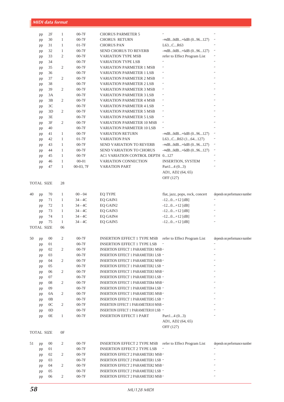|    |                   |                | <b>MIDI</b> data format |             |                                            |                                 |                               |
|----|-------------------|----------------|-------------------------|-------------|--------------------------------------------|---------------------------------|-------------------------------|
|    |                   | 2F             | $\mathbf{1}$            | $00-7F$     | <b>CHORUS PARMETER 5</b>                   | n                               | $\hat{\phantom{a}}$           |
|    | pp<br>pp          | 30             | $\mathbf{1}$            | $00-7F$     | <b>CHORUS RETURN</b>                       | $-\infty$ dB0dB+6dB $(096127)$  |                               |
|    | pp                | 31             | $\mathbf{1}$            | $01-7F$     | <b>CHORUS PAN</b>                          | L63CR63                         |                               |
|    | pp                | 32             | $\mathbf{1}$            | $00-7F$     | SEND CHORUS TO REVERB                      | $-\infty$ dB0dB+6dB $(096127)$  | $\!\!$                        |
|    | pp                | 33             | $\mathfrak{2}$          | $00-7F$     | VARIATION TYPE MSB                         | refer to Effect Program List    | $\overline{v}$                |
|    | pp                | 34             |                         | $00-7F$     | <b>VARIATION TYPE LSB</b>                  | n                               | n                             |
|    | pp                | 35             | $\overline{c}$          | $00-7F$     | <b>VARIATION PARMETER 1 MSB</b>            | n                               | $\overline{\phantom{a}}$      |
|    | pp                | 36             |                         | $00-7F$     | VARIATION PARMETER 1 LSB                   | n                               |                               |
|    | pp                | 37             | 2                       | $00-7F$     | <b>VARIATION PARMETER 2 MSB</b>            | n                               |                               |
|    | pp                | 38             |                         | $00-7F$     | VARIATION PARMETER 2 LSB                   | n                               |                               |
|    | pp                | 39             | $\overline{c}$          | $00-7F$     | <b>VARIATION PARMETER 3 MSB</b>            | n                               |                               |
|    | pp                | 3A             |                         | $00-7F$     | <b>VARIATION PARMETER 3 LSB</b>            | n                               |                               |
|    | pp                | 3B             | $\overline{c}$          | $00-7F$     | <b>VARIATION PARMETER 4 MSB</b>            | ×                               |                               |
|    | pp                | 3C             |                         | $00-7F$     | VARIATION PARMETER 4 LSB                   | n                               |                               |
|    | pp                | 3D             | 2                       | $00-7F$     | <b>VARIATION PARMETER 5 MSB</b>            | n                               |                               |
|    | pp                | 3E             |                         | $00-7F$     | <b>VARIATION PARMETER 5 LSB</b>            | n                               |                               |
|    | pp                | 3F             | $\overline{c}$          | $00-7F$     | VARIATION PARMETER 10 MSB                  | $\overline{\phantom{a}}$        |                               |
|    | pp                | 40             |                         | $00-7F$     | VARIATION PARMETER 10 LSB                  | n                               |                               |
|    | pp                | 41             | $\mathbf{1}$            | $00-7F$     | <b>VARIATION RETURN</b>                    | $-\infty$ dB0dB+6dB $(096127)$  |                               |
|    | pp                | 42             | $\mathbf{1}$            | $01-7F$     | <b>VARIATION PAN</b>                       | L63CR63 (164127)                | $\overline{v}$                |
|    | pp                | 43             | $\mathbf{1}$            | $00-7F$     | SEND VARIATION TO REVERB                   | $-\infty$ dB0dB+6dB (096127)    | $\overline{\phantom{a}}$      |
|    | pp                | 44             | $\mathbf{1}$            | $00-7F$     | SEND VARIATION TO CHORUS                   | $-\infty$ dB0dB+6dB (096127)    | $\hat{\phantom{a}}$           |
|    | pp                | 45             | $\mathbf{1}$            | $00-7F$     | AC1 VARIATION CONTROL DEPTH 0127           |                                 |                               |
|    | pp                | 46             | $\mathbf{1}$            | $00 - 01$   | VARIATION CONNECTION                       | <b>INSERTION, SYSTEM</b>        |                               |
|    | pp                | 47             | $\mathbf{1}$            | $00-03, 7F$ | <b>VARATION PART</b>                       | Part $14(03)$                   | n                             |
|    |                   |                |                         |             |                                            | AD1, AD2 (64, 65)               |                               |
|    |                   |                |                         |             |                                            | OFF (127)                       |                               |
|    | <b>TOTAL SIZE</b> |                | 28                      |             |                                            |                                 |                               |
| 40 |                   | 70             | 1                       | $00 - 04$   | <b>EQ TYPE</b>                             | flat, jazz, pops, rock, concert | depends on performance number |
|    | pp                | 71             | $\mathbf{1}$            | $34 - 4C$   | EQ GAIN1                                   | $-120+12$ [dB]                  | $\tilde{\phantom{a}}$         |
|    | pp<br>pp          | 72             | $\mathbf{1}$            | $34 - 4C$   | EQ GAIN2                                   | $-120+12$ [dB]                  |                               |
|    | pp                | 73             | 1                       | 34 - 4C     | EQ GAIN3                                   | $-120+12$ [dB]                  |                               |
|    | pp                | 74             | $\mathbf{1}$            | 34 - 4C     | EQ GAIN4                                   | $-120+12$ [dB]                  | $\overline{v}$                |
|    | pp                | 75             | $\mathbf{1}$            | $34 - 4C$   | EQ GAIN5                                   | $-120+12$ [dB]                  |                               |
|    | <b>TOTAL SIZE</b> |                | 06                      |             |                                            |                                 |                               |
|    |                   |                |                         |             |                                            |                                 |                               |
| 50 | pp                | $00\,$         | $\overline{c}$          | $00-7F$     | <b>INSERTION EFFECT 1 TYPE MSB</b>         | refer to Effect Program List    | depends on performance number |
|    | pp                | 01             |                         | $00-7F$     | <b>INSERTION EFFECT 1 TYPE LSB</b>         |                                 | $\overline{v}$                |
|    | pp                | 02             | $\overline{c}$          | $00-7F$     | <b>INSERTION EFFECT 1 PARAMETER1 MSB ~</b> |                                 | $\overline{v}$                |
|    | pp                | 03             |                         | $00-7F$     | INSERTION EFFECT 1 PARAMETER1 LSB ~        |                                 |                               |
|    | pp                | 04             | $\overline{c}$          | $00-7F$     | INSERTION EFFECT 1 PARAMETER2 MSB ~        |                                 |                               |
|    | pp                | 05             |                         | $00-7F$     | <b>INSERTION EFFECT 1 PARAMETER2 LSB ~</b> |                                 |                               |
|    | pp                | 06             | 2                       | $00-7F$     | INSERTION EFFECT 1 PARAMETER3 MSB ~        |                                 | $\overline{v}$                |
|    | pp                | 07             |                         | $00-7F$     | INSERTION EFFECT 1 PARAMETER3 LSB ~        |                                 |                               |
|    | pp                | 08             | $\overline{c}$          | $00-7F$     | INSERTION EFFECT 1 PARAMETER4 MSB ~        |                                 |                               |
|    | pp                | 09             |                         | $00-7F$     | INSERTION EFFECT 1 PARAMETER4 LSB ~        |                                 |                               |
|    | pp                | 0A             | $\overline{c}$          | $00-7F$     | INSERTION EFFECT 1 PARAMETER5 MSB ~        |                                 |                               |
|    | pp                | 0B             |                         | $00-7F$     | INSERTION EFFECT 1 PARAMETER5 LSB ~        |                                 |                               |
|    | pp                | 0 <sup>C</sup> | $\overline{c}$          | $00-7F$     | INSERTION EFFECT 1 PARAMETER10 MSB ~       |                                 |                               |
|    | pp                | 0D             |                         | $00-7F$     | INSERTION EFFECT 1 PARAMETER10 LSB ~       |                                 |                               |
|    | pp                | 0E             | $\mathbf{1}$            | $00-7F$     | <b>INSERTION EFFECT 1 PART</b>             | Part $14(03)$                   |                               |
|    |                   |                |                         |             |                                            | AD1, AD2 (64, 65)               |                               |
|    |                   |                |                         |             |                                            | OFF (127)                       |                               |
|    | TOTAL SIZE        |                | 0F                      |             |                                            |                                 |                               |
| 51 |                   | $00\,$         | 2                       | $00-7F$     | <b>INSERTION EFFECT 2 TYPE MSB</b>         | refer to Effect Program List    | depends on performance number |
|    | pp                | 01             |                         | $00-7F$     | <b>INSERTION EFFECT 2 TYPE LSB</b>         | ×                               | $\overline{v}$                |
|    | pp                | 02             | $\overline{c}$          | $00-7F$     | INSERTION EFFECT 2 PARAMETER1 MSB ~        |                                 | n                             |
|    | pp                | 03             |                         | $00-7F$     | INSERTION EFFECT 2 PARAMETER1 LSB ~        |                                 |                               |
|    | pp<br>pp          | 04             | $\overline{c}$          | $00-7F$     | <b>INSERTION EFFECT 2 PARAMETER2 MSB ~</b> |                                 |                               |
|    | pp                | 05             |                         | $00-7F$     | INSERTION EFFECT 2 PARAMETER2 LSB ~        |                                 |                               |
|    | pp                | 06             | $\mathbf{2}$            | $00-7F$     | INSERTION EFFECT 2 PARAMETER3 MSB ~        |                                 |                               |
|    |                   |                |                         |             |                                            |                                 |                               |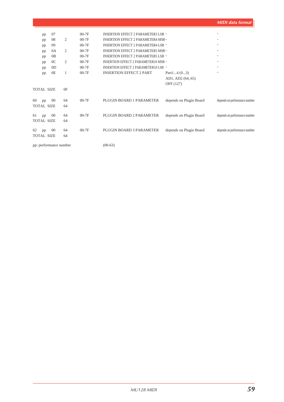|                        |                |         |                                            |                         | MIDI udid format              |
|------------------------|----------------|---------|--------------------------------------------|-------------------------|-------------------------------|
| 07                     |                | $00-7F$ | <b>INSERTION EFFECT 2 PARAMETER3 LSB ~</b> |                         | $\overline{\phantom{a}}$      |
| pp                     |                |         |                                            |                         |                               |
| 08<br>pp               | $\overline{c}$ | $00-7F$ | <b>INSERTION EFFECT 2 PARAMETER4 MSB ~</b> |                         | n                             |
| 09<br>pp               |                | $00-7F$ | <b>INSERTION EFFECT 2 PARAMETER4 LSB ~</b> |                         | $\overline{\phantom{a}}$      |
| 0A<br>pp               | 2              | $00-7F$ | <b>INSERTION EFFECT 2 PARAMETER5 MSB ~</b> |                         | $^{\prime\prime}$             |
| 0 <sub>B</sub><br>pp   |                | $00-7F$ | <b>INSERTION EFFECT 2 PARAMETER5 LSB ~</b> |                         | n                             |
| OC<br>pp               | 2              | $00-7F$ | INSERTION EFFECT 2 PARAMETER10 MSB ~       |                         | $\overline{\phantom{a}}$      |
| OD<br>pp               |                | $00-7F$ | INSERTION EFFECT 2 PARAMETER 10 LSB ~      |                         | $^{\prime\prime}$             |
| 0E<br>pp               | 1              | $00-7F$ | <b>INSERTION EFFECT 2 PART</b>             | Part14 $(03)$           | $^{\prime\prime}$             |
|                        |                |         |                                            | AD1, AD2 (64, 65)       |                               |
|                        |                |         |                                            | OFF (127)               |                               |
| <b>TOTAL SIZE</b>      | 0F             |         |                                            |                         |                               |
|                        |                |         |                                            |                         |                               |
| 00<br>60<br>pp         | 64             | $00-7F$ | PLUGIN BOARD 1 PARAMETER                   | depends on Plugin Board | depends on performance number |
| <b>TOTAL SIZE</b>      | 64             |         |                                            |                         |                               |
|                        |                |         |                                            |                         |                               |
| 00<br>61<br>pp         | 64             | $00-7F$ | PLUGIN BOARD 2 PARAMETER                   | depends on Plugin Board | depends on performance number |
| <b>TOTAL SIZE</b>      | 64             |         |                                            |                         |                               |
|                        |                |         |                                            |                         |                               |
| $00\,$<br>62<br>pp     | 64             | $00-7F$ | PLUGIN BOARD 3 PARAMETER                   | depends on Plugin Board | depends on performance number |
| <b>TOTAL SIZE</b>      | 64             |         |                                            |                         |                               |
|                        |                |         |                                            |                         |                               |
| pp: performance number |                |         | $(00-63)$                                  |                         |                               |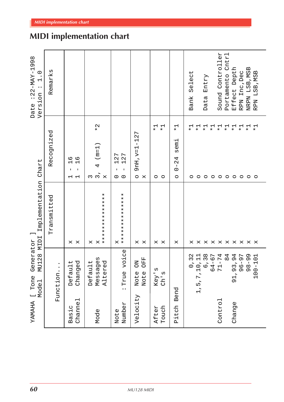| Date: 22-MAY-1998<br>: 1.0<br>Version | Remarks     |                                                                                                                                                          |                                                                       |                                                        |                                       |                                              |                                                                  | Sound Controller<br>Portamento Cntrl<br>Effect Depth<br>NRPN LSB, MSB<br>RPN LSB, MSB<br>Select<br>RPN Inc, Dec<br>Entry<br>Data<br><b>Bank</b>                                                                                                                                  |
|---------------------------------------|-------------|----------------------------------------------------------------------------------------------------------------------------------------------------------|-----------------------------------------------------------------------|--------------------------------------------------------|---------------------------------------|----------------------------------------------|------------------------------------------------------------------|----------------------------------------------------------------------------------------------------------------------------------------------------------------------------------------------------------------------------------------------------------------------------------|
|                                       | Recognized  | $\circ$<br>৩<br>$\overline{\phantom{0}}$<br>$\overline{\phantom{0}}$<br>$\overline{\phantom{a}}$<br>$\overline{\phantom{0}}$<br>$\overline{\phantom{0}}$ | $\frac{2}{\ast}$<br>$(m=1)$<br>4<br>$\tilde{\mathcal{S}}$ ,<br>×<br>Σ | 127<br>127<br>$\mathbf{I}$<br>J.<br>$\circ$<br>$\circ$ | $9nH, v=1-127$<br>O<br>$\mathsf{X}$   | $\vec{\ast}$<br>Н<br>$\star$<br>$\circ$<br>O | $\overline{ }$<br>$\star$<br>semi<br>$-24$<br>$\circ$<br>$\circ$ | Н<br>$\overline{\phantom{0}}$<br>$\overline{\phantom{0}}$<br>$\overline{\phantom{0}}$<br>$\star$<br>$\star$<br>¥<br>$\star$<br>$\star$<br>$\ast$<br>$\ast$<br>$\star$<br>$\ast$<br>$\star$<br>$\circ$<br>$\circ$<br>O<br>O<br>$\circ$<br>O<br>O<br>$\circ$<br>$\circ$<br>$\circ$ |
| MU128 MIDI Implementation Chart       | Transmitted | Χ<br>×                                                                                                                                                   | **************<br>X<br>×                                              | **************<br>×                                    | Χ<br>×                                | X<br>×                                       | X                                                                | X<br>×<br>×<br>×<br>×<br>×<br>×<br>×<br>×<br>×                                                                                                                                                                                                                                   |
| Generator<br>[Tone<br>Mode1<br>YAMAHA | Function    | Changed<br>Default<br>Channel<br>Basic                                                                                                                   | Messages<br>Default<br>Altered<br>Mode                                | : True voice<br>Number<br>Note                         | OFF<br>NO<br>Note<br>Note<br>Velocity | Key' S<br>$Ch$ is<br>After<br>Touch          | Pitch Bend                                                       | 0, 32<br>6,38<br>84<br>93,94<br>$64 - 67$<br>$71 - 74$<br>$96 - 97$<br>$66 - 86$<br>1, 5, 7, 10, 11<br>100-101<br>$\overline{5}$<br>Control<br>Change                                                                                                                            |

# **MIDI implementation chart**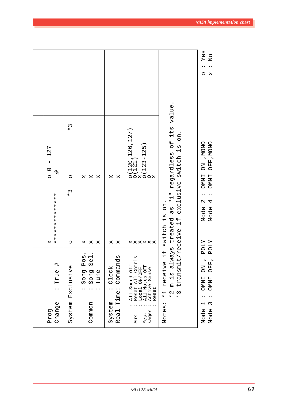| #<br>: True<br>Change<br><b>Brog</b>                                                                                    | **************<br>X                       | 127<br>$\sf I$<br>O<br>Ø<br>$\circ$                                                                        |                                |
|-------------------------------------------------------------------------------------------------------------------------|-------------------------------------------|------------------------------------------------------------------------------------------------------------|--------------------------------|
| System Exclusive                                                                                                        | $\begin{array}{c} * \ 3 \end{array}$<br>O | $\begin{array}{c} * \end{array}$<br>O                                                                      |                                |
| Pos.<br>.<br>Sel.<br>Scro <sub>S</sub><br>Song<br>Tune<br>Common                                                        | ×<br>X<br>X                               | Χ<br>X<br>X                                                                                                |                                |
| Real Time: Commands<br>: Clock<br>System                                                                                | X<br>X                                    | X<br>X                                                                                                     |                                |
| All Sound Off<br>Reset All Cntrls<br>All Notes OFF<br>Local ON/OFF<br>Active Sense<br>Reset<br>sages<br>$Mess -$<br>Aux | <b>xxxxxx</b>                             | $\begin{array}{l} \circ (122) \\ \circ (121) \\ \times (123-125) \\ \circ (123-125) \\ \times \end{array}$ |                                |
| *1 receive if switch is on.<br>$\begin{matrix} * \ * \end{matrix}$<br>Notes:                                            | transmit/receive if exclusive switch is   | *2 m is always treated as "1" regardless of its value.<br>on.                                              |                                |
| <b>SNRI GEF, SHOT</b><br>OMNI ON ,<br>Mode 3<br>Mode                                                                    | Mode 2 :<br><b>ZTOd</b>                   | ONONI ON . MONO<br>Mode 4 : OMNI OFF, MONO                                                                 | Yes<br><b>NO</b><br><br>×<br>O |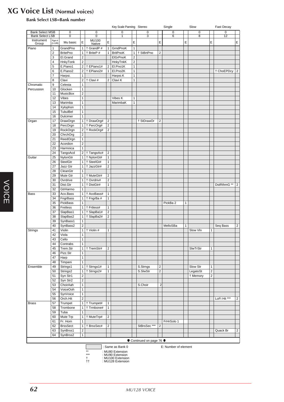# **XG Voice List (Normal voices)**

### **Bank Select LSB=Bank number**

|                        |                   |                      |                              |                          |                                                    | Key Scale Panning Stereo |                         |             | Single                  | Slow                |              | Fast Decay |                |              |                         |
|------------------------|-------------------|----------------------|------------------------------|--------------------------|----------------------------------------------------|--------------------------|-------------------------|-------------|-------------------------|---------------------|--------------|------------|----------------|--------------|-------------------------|
| <b>Bank Select MSB</b> | 0                 |                      | 0                            | 0                        |                                                    |                          | 0                       |             | 0                       |                     | 0            |            | 0              |              |                         |
| <b>Bank Select LSB</b> |                   | 0                    |                              | 0                        |                                                    | 1                        |                         | 3           |                         | 6                   |              | 8          |                | 12           |                         |
| Instrument<br>Group    | Pgm#<br>$(1-128)$ | Mu basic             | E                            | <b>MU100</b><br>Native   | E                                                  |                          | E                       |             | E                       |                     | E            |            | Е              |              | E                       |
| Piano                  | 1                 | GrandPno             | 1                            | † GrandP#                | $\mathbf{1}$                                       | GrndPnoK                 | 1                       |             |                         |                     |              |            |                |              |                         |
|                        | 2                 | <b>BritePno</b>      | $\mathbf{1}$                 | † BriteP#                | $\mathbf{1}$                                       | <b>BritPnoK</b>          | 1                       | † StBrtPno  | $\overline{2}$          |                     |              |            |                |              |                         |
|                        | 3                 | El.Grand             | $\overline{\mathbf{c}}$      |                          |                                                    | EIGrPnoK                 | $\overline{2}$          |             |                         |                     |              |            |                |              |                         |
|                        | 4                 | HnkyTonk             | $\overline{2}$               |                          |                                                    | HnkyTnkK                 | $\overline{\mathbf{c}}$ |             |                         |                     |              |            |                |              |                         |
|                        | 5                 | E.Piano1             | $\overline{\mathbf{c}}$      | † EPiano1#               | $\overline{c}$                                     | El.Pno1K                 | 1                       |             |                         |                     |              |            |                |              |                         |
|                        | 6                 | E.Piano2             | $\overline{\mathbf{c}}$      | † EPiano2#               | $\mathbf{1}$                                       | El.Pno2K                 | 1                       |             |                         |                     |              |            |                | † ChoEPDcy   | $\overline{c}$          |
|                        | 7                 | Harpsi.              | 1                            |                          |                                                    | Harpsi.K                 | 1                       |             |                         |                     |              |            |                |              |                         |
|                        | 8                 | Clavi                | $\overline{2}$               | † Clavi #                | $\overline{2}$                                     | Clavi K                  | 1                       |             |                         |                     |              |            |                |              |                         |
| Chromatic              | 9                 | Celesta              | $\mathbf{1}$                 |                          |                                                    |                          |                         |             |                         |                     |              |            |                |              |                         |
| Percussion             | 10                | Glocken              | $\mathbf{1}$                 |                          |                                                    |                          |                         |             |                         |                     |              |            |                |              |                         |
|                        | 11                | MusicBox             | $\overline{c}$               |                          |                                                    |                          |                         |             |                         |                     |              |            |                |              |                         |
|                        | 12                | Vibes                | $\mathbf{1}$                 |                          |                                                    | Vibes K                  | 1                       |             |                         |                     |              |            |                |              |                         |
|                        | 13                | Marimba              | $\mathbf{1}$                 |                          |                                                    | MarimbaK                 | 1                       |             |                         |                     |              |            |                |              |                         |
|                        | 14                | Xylophon             | 1                            |                          |                                                    |                          |                         |             |                         |                     |              |            |                |              |                         |
|                        | 15                | TubulBel             | $\mathbf 1$<br>$\mathbf{1}$  |                          |                                                    |                          |                         |             |                         |                     |              |            |                |              |                         |
|                        | 16                | Dulcimer             |                              |                          |                                                    |                          |                         |             |                         |                     |              |            |                |              |                         |
| Organ                  | 17<br>18          | DrawOrgn             | 1<br>$\mathbf{1}$            | † DrawOrg#<br>† PercOrg# | $\overline{\mathbf{c}}$<br>$\overline{\mathbf{c}}$ |                          |                         | † StDrawOr  | 2                       |                     |              |            |                |              |                         |
|                        | 19                | PercOrgn<br>RockOrgn | $\overline{\mathbf{c}}$      | † RockOrg#               | $\sqrt{2}$                                         |                          |                         |             |                         |                     |              |            |                |              |                         |
|                        | 20                | ChrchOrg             | $\overline{\mathbf{c}}$      |                          |                                                    |                          |                         |             |                         |                     |              |            |                |              |                         |
|                        | 21                | ReedOrgn             | $\mathbf{1}$                 |                          |                                                    |                          |                         |             |                         |                     |              |            |                |              |                         |
|                        | 22                | Acordion             | $\overline{c}$               |                          |                                                    |                          |                         |             |                         |                     |              |            |                |              |                         |
|                        | 23                | Harmnica             | $\mathbf{1}$                 |                          |                                                    |                          |                         |             |                         |                     |              |            |                |              |                         |
|                        | 24                | TangoAcd             | $\overline{\mathbf{c}}$      | † TangoAc#               | $\sqrt{2}$                                         |                          |                         |             |                         |                     |              |            |                |              |                         |
| Guitar                 | 25                | NylonGtr             | 1                            | † NylonGt#               | $\mathbf{1}$                                       |                          |                         |             |                         |                     |              |            |                |              |                         |
|                        | 26                | <b>SteelGtr</b>      | $\mathbf{1}$                 | † SteelGt#               | $\mathbf{1}$                                       |                          |                         |             |                         |                     |              |            |                |              |                         |
|                        | 27                | Jazz Gtr             | 1                            | + JazzGtr#               | $\sqrt{2}$                                         |                          |                         |             |                         |                     |              |            |                |              |                         |
|                        | 28                | CleanGtr             | $\mathbf{1}$                 |                          |                                                    |                          |                         |             |                         |                     |              |            |                |              |                         |
|                        | 29                | Mute Gtr             | 1                            | † MuteGtr#               | $\sqrt{2}$                                         |                          |                         |             |                         |                     |              |            |                |              |                         |
|                        | 30                | Ovrdrive             | 1                            | † Ovrdriv#               | $\sqrt{2}$                                         |                          |                         |             |                         |                     |              |            |                |              |                         |
|                        | 31                | Dist.Gtr             | $\mathbf{1}$                 | + DistGtr#               | $\mathbf{1}$                                       |                          |                         |             |                         |                     |              |            |                | DstRthmG **  | $\mathbf 2$             |
|                        | 32                | GtrHarmo             | 1                            |                          |                                                    |                          |                         |             |                         |                     |              |            |                |              |                         |
| Bass                   | 33                | Aco.Bass             | 1                            | † AcoBass#               | 1                                                  |                          |                         |             |                         |                     |              |            |                |              |                         |
|                        | 34                | FngrBass             | 1                            | † FngrBa #               | $\mathbf{1}$                                       |                          |                         |             |                         |                     |              |            |                |              |                         |
|                        | 35                | PickBass             | $\mathbf{1}$                 |                          |                                                    |                          |                         |             |                         | PickBa <sub>2</sub> | $\mathbf{1}$ |            |                |              |                         |
|                        | 36                | Fretless             | $\mathbf{1}$                 | † Frtless#               | $\mathbf{1}$                                       |                          |                         |             |                         |                     |              |            |                |              |                         |
|                        | 37                | SlapBas1             | 1                            | † SlapBa1#               | $\sqrt{2}$                                         |                          |                         |             |                         |                     |              |            |                |              |                         |
|                        | 38                | SlapBas2             | 1                            | † SlapBa2#               | $\overline{\mathbf{c}}$                            |                          |                         |             |                         |                     |              |            |                |              |                         |
|                        | 39                | SynBass1             | $\mathbf{1}$                 |                          |                                                    |                          |                         |             |                         |                     |              |            |                |              |                         |
|                        | 40                | SynBass2             | $\overline{\mathbf{c}}$      |                          |                                                    |                          |                         |             |                         | MelloSBa            | 1            |            |                | Seq Bass     | 2                       |
| Strings                | 41                | Violin               | 1                            | † Violin #               | $\mathbf{1}$                                       |                          |                         |             |                         |                     |              | Slow VIn   | 1              |              |                         |
|                        | 42<br>43          | Viola<br>Cello       | $\mathbf{1}$<br>$\mathbf{1}$ |                          |                                                    |                          |                         |             |                         |                     |              |            |                |              |                         |
|                        | 44                | Contrabs             | $\mathbf{1}$                 |                          |                                                    |                          |                         |             |                         |                     |              |            |                |              |                         |
|                        | 45                | Trem.Str             | $\mathbf{1}$                 | † TremStr#               | $\overline{c}$                                     |                          |                         |             |                         |                     |              | SlwTrStr   | 1              |              |                         |
|                        | 46                | Pizz.Str             | 1                            |                          |                                                    |                          |                         |             |                         |                     |              |            |                |              |                         |
|                        | 47                | Harp                 | $\mathbf{1}$                 |                          |                                                    |                          |                         |             |                         |                     |              |            |                |              |                         |
|                        | 48                | Timpani              | $\mathbf{1}$                 |                          |                                                    |                          |                         |             |                         |                     |              |            |                |              |                         |
| Ensemble               | 49                | Strings1             | $\mathbf{1}$                 | † Strngs1#               | $\mathbf{1}$                                       |                          |                         | S.Strngs    | $\boldsymbol{2}$        |                     |              | Slow Str   | 1              |              |                         |
|                        | 50                | Strings2             | $\mathbf{1}$                 | † Strngs2#               | $\mathbf{1}$                                       |                          |                         | S.SlwStr    | $\overline{2}$          |                     |              | LegatoSt   | $\overline{c}$ |              |                         |
|                        | 51                | Syn Str1             | $\overline{c}$               |                          |                                                    |                          |                         |             |                         |                     |              | † Memory   | $\sqrt{2}$     |              |                         |
|                        | 52                | Syn Str2             | $\overline{\mathbf{c}}$      |                          |                                                    |                          |                         |             |                         |                     |              |            |                |              |                         |
|                        | 53                | ChoirAah             | $\mathbf 1$                  |                          |                                                    |                          |                         | S.Choir     | $\overline{\mathbf{c}}$ |                     |              |            |                |              |                         |
|                        | 54                | VoiceOoh             | $\mathbf{1}$                 |                          |                                                    |                          |                         |             |                         |                     |              |            |                |              |                         |
|                        | 55                | SynVoice             | $\mathbf{1}$                 |                          |                                                    |                          |                         |             |                         |                     |              |            |                |              |                         |
|                        | 56                | Orch.Hit             | $\overline{\mathbf{c}}$      |                          |                                                    |                          |                         |             |                         |                     |              |            |                | LoFi Hit *** | $\overline{\mathbf{c}}$ |
| <b>Brass</b>           | 57                | Trumpet              | $\mathbf{1}$                 | † Trumpet#               | $\mathbf{1}$                                       |                          |                         |             |                         |                     |              |            |                |              |                         |
|                        | 58                | Trombone             | $\mathbf{1}$                 | † Trmbone#               | $\mathbf{1}$                                       |                          |                         |             |                         |                     |              |            |                |              |                         |
|                        | 59                | Tuba                 | $\mathbf{1}$                 |                          |                                                    |                          |                         |             |                         |                     |              |            |                |              |                         |
|                        | 60                | Mute Trp             | $\mathbf{1}$                 | † MuteTrp#               | $\overline{c}$                                     |                          |                         |             |                         |                     |              |            |                |              |                         |
|                        | 61                | Fr. Horn             | $\mathbf{1}$                 |                          |                                                    |                          |                         |             |                         | FrHrSolo 1          |              |            |                |              |                         |
|                        | 62                | <b>BrssSect</b>      | $\mathbf{1}$                 | † BrssSec#               | 2                                                  |                          |                         | StBrsSec*** | $\overline{c}$          |                     |              |            |                |              |                         |
|                        | 63                | SynBrss1             | $\overline{\mathbf{c}}$      |                          |                                                    |                          |                         |             |                         |                     |              |            |                | Quack Br     | $\overline{2}$          |
|                        | 64                | SynBrss2             | $\mathbf{1}$                 |                          |                                                    |                          |                         |             |                         |                     |              |            |                |              |                         |

Continued on page 76

: Same as Bank 0

 $\sqrt{ }$ 

- E: Number of element
- \*\* : MU80 Extension \*\*\* : MU90 Extension † : MU100 Extension †† : MU128 Extension
	-
	-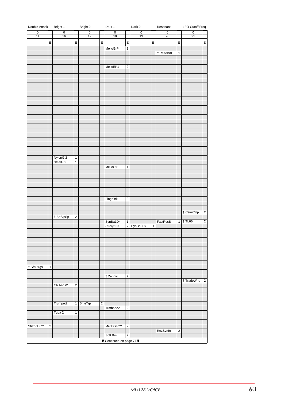| Double Attack  |              | Bright 1        |                | Bright 2        |                         | Dark 1                  |                | Dark 2          |              | Resonant        |                | LFO-Cutoff Freq |                |
|----------------|--------------|-----------------|----------------|-----------------|-------------------------|-------------------------|----------------|-----------------|--------------|-----------------|----------------|-----------------|----------------|
| $\overline{0}$ |              | $\overline{0}$  |                | $\overline{0}$  |                         | $\overline{\mathbf{0}}$ |                | $\overline{0}$  |              | $\overline{0}$  |                | $\overline{0}$  |                |
| 14             |              | $\overline{16}$ |                | $\overline{17}$ |                         | $\overline{18}$         |                | $\overline{19}$ |              | $\overline{20}$ |                | $\overline{21}$ |                |
|                | $\mathsf E$  |                 | Ε              |                 | Ε                       |                         | $\mathsf E$    |                 | Е            |                 | Е              |                 | E              |
|                |              |                 |                |                 |                         | MelloGrP                | $\mathbf{1}$   |                 |              |                 |                |                 |                |
|                |              |                 |                |                 |                         |                         |                |                 |              | † ResoBrtP      | $\mathbf{1}$   |                 |                |
|                |              |                 |                |                 |                         |                         |                |                 |              |                 |                |                 |                |
|                |              |                 |                |                 |                         |                         |                |                 |              |                 |                |                 |                |
|                |              |                 |                |                 |                         | MelloEP1                | $\sqrt{2}$     |                 |              |                 |                |                 |                |
|                |              |                 |                |                 |                         |                         |                |                 |              |                 |                |                 |                |
|                |              |                 |                |                 |                         |                         |                |                 |              |                 |                |                 |                |
|                |              |                 |                |                 |                         |                         |                |                 |              |                 |                |                 |                |
|                |              |                 |                |                 |                         |                         |                |                 |              |                 |                |                 |                |
|                |              |                 |                |                 |                         |                         |                |                 |              |                 |                |                 |                |
|                |              |                 |                |                 |                         |                         |                |                 |              |                 |                |                 |                |
|                |              |                 |                |                 |                         |                         |                |                 |              |                 |                |                 |                |
|                |              |                 |                |                 |                         |                         |                |                 |              |                 |                |                 |                |
|                |              |                 |                |                 |                         |                         |                |                 |              |                 |                |                 |                |
|                |              |                 |                |                 |                         |                         |                |                 |              |                 |                |                 |                |
|                |              |                 |                |                 |                         |                         |                |                 |              |                 |                |                 |                |
|                |              |                 |                |                 |                         |                         |                |                 |              |                 |                |                 |                |
|                |              |                 |                |                 |                         |                         |                |                 |              |                 |                |                 |                |
|                |              |                 |                |                 |                         |                         |                |                 |              |                 |                |                 |                |
|                |              |                 |                |                 |                         |                         |                |                 |              |                 |                |                 |                |
|                |              |                 |                |                 |                         |                         |                |                 |              |                 |                |                 |                |
|                |              |                 |                |                 |                         |                         |                |                 |              |                 |                |                 |                |
|                |              | NylonGt2        | $\mathbf{1}$   |                 |                         |                         |                |                 |              |                 |                |                 |                |
|                |              | SteelGt2        | $\mathbf{1}$   |                 |                         |                         |                |                 |              |                 |                |                 |                |
|                |              |                 |                |                 |                         | MelloGtr                | $\mathbf{1}$   |                 |              |                 |                |                 |                |
|                |              |                 |                |                 |                         |                         |                |                 |              |                 |                |                 |                |
|                |              |                 |                |                 |                         |                         |                |                 |              |                 |                |                 |                |
|                |              |                 |                |                 |                         |                         |                |                 |              |                 |                |                 |                |
|                |              |                 |                |                 |                         |                         |                |                 |              |                 |                |                 |                |
|                |              |                 |                |                 |                         |                         |                |                 |              |                 |                |                 |                |
|                |              |                 |                |                 |                         |                         | $\overline{2}$ |                 |              |                 |                |                 |                |
|                |              |                 |                |                 |                         | FingrDrk                |                |                 |              |                 |                |                 |                |
|                |              |                 |                |                 |                         |                         |                |                 |              |                 |                |                 |                |
|                |              |                 |                |                 |                         |                         |                |                 |              |                 |                | † CsmicSlp      | $\sqrt{2}$     |
|                |              | † BrtSlpSp      | $\sqrt{2}$     |                 |                         |                         |                |                 |              |                 |                |                 |                |
|                |              |                 |                |                 |                         | SynBa1Dk                | $\mathbf{1}$   |                 |              | FastResB        |                | $1$   $+$ TL66  | $\overline{2}$ |
|                |              |                 |                |                 |                         | ClkSynBa                | $\mathbf 2$    | SynBa2Dk        | $\mathbf{1}$ |                 |                |                 |                |
|                |              |                 |                |                 |                         |                         |                |                 |              |                 |                |                 |                |
|                |              |                 |                |                 |                         |                         |                |                 |              |                 |                |                 |                |
|                |              |                 |                |                 |                         |                         |                |                 |              |                 |                |                 |                |
|                |              |                 |                |                 |                         |                         |                |                 |              |                 |                |                 |                |
|                |              |                 |                |                 |                         |                         |                |                 |              |                 |                |                 |                |
|                |              |                 |                |                 |                         |                         |                |                 |              |                 |                |                 |                |
|                |              |                 |                |                 |                         |                         |                |                 |              |                 |                |                 |                |
| † SfzStrgs     | $\mathbf{1}$ |                 |                |                 |                         |                         |                |                 |              |                 |                |                 |                |
|                |              |                 |                |                 |                         |                         |                |                 |              |                 |                |                 |                |
|                |              |                 |                |                 |                         | † Zephyr                | $\sqrt{2}$     |                 |              |                 |                |                 |                |
|                |              |                 |                |                 |                         |                         |                |                 |              |                 |                | † TradeWnd      | $\overline{2}$ |
|                |              | Ch.Aahs2        | $\overline{c}$ |                 |                         |                         |                |                 |              |                 |                |                 |                |
|                |              |                 |                |                 |                         |                         |                |                 |              |                 |                |                 |                |
|                |              |                 |                |                 |                         |                         |                |                 |              |                 |                |                 |                |
|                |              |                 |                |                 |                         |                         |                |                 |              |                 |                |                 |                |
|                |              | Trumpet2        |                | 1 BriteTrp      | $\overline{\mathbf{c}}$ | Trmbone2                | $\sqrt{2}$     |                 |              |                 |                |                 |                |
|                |              | Tuba 2          | $\mathbf{1}$   |                 |                         |                         |                |                 |              |                 |                |                 |                |
|                |              |                 |                |                 |                         |                         |                |                 |              |                 |                |                 |                |
|                |              |                 |                |                 |                         |                         |                |                 |              |                 |                |                 |                |
| SfrzndBr**     | $\sqrt{2}$   |                 |                |                 |                         | MildBrss ***            | $\sqrt{2}$     |                 |              |                 |                |                 |                |
|                |              |                 |                |                 |                         |                         |                |                 |              | RezSynBr        | $\overline{c}$ |                 |                |
|                |              |                 |                |                 |                         | Soft Brs                | $\overline{2}$ |                 |              |                 |                |                 |                |
|                |              |                 |                |                 |                         | Continued on page 77 ♦  |                |                 |              |                 |                |                 |                |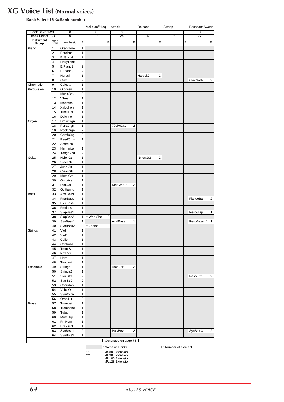# **XG Voice List (Normal voices)**

### **Bank Select LSB=Bank number**

|                        |                           |                      | Vel-cutoff freq         |                | Attack           |                        | Release                 |                | Sweep                   |    | <b>Resonant Sweep</b> |                |                         |
|------------------------|---------------------------|----------------------|-------------------------|----------------|------------------|------------------------|-------------------------|----------------|-------------------------|----|-----------------------|----------------|-------------------------|
| <b>Bank Select MSB</b> |                           | 0                    |                         | $\overline{0}$ |                  | 0                      |                         | $\overline{0}$ |                         | 0  |                       | $\overline{0}$ |                         |
| <b>Bank Select LSB</b> |                           | 0                    |                         | 22             |                  | 24                     |                         | 25             |                         | 26 |                       | 27             |                         |
| Instrument<br>Group    | Pgm#<br>$(1 - 128)$       | Mu basic             | Е                       |                | Ε                |                        | E                       |                | Е                       |    | E                     |                | Ε                       |
| Piano                  | 1                         | GrandPno             | $\mathbf{1}$            |                |                  |                        |                         |                |                         |    |                       |                |                         |
|                        | $\overline{2}$            | <b>BritePno</b>      | $\mathbf{1}$            |                |                  |                        |                         |                |                         |    |                       |                |                         |
|                        | 3                         | El.Grand             | $\overline{2}$          |                |                  |                        |                         |                |                         |    |                       |                |                         |
|                        | $\overline{4}$            | HnkyTonk             | $\overline{\mathbf{c}}$ |                |                  |                        |                         |                |                         |    |                       |                |                         |
|                        | 5                         | E.Piano1             | $\boldsymbol{2}$        |                |                  |                        |                         |                |                         |    |                       |                |                         |
|                        | 6                         | E.Piano2             | $\boldsymbol{2}$        |                |                  |                        |                         |                |                         |    |                       |                |                         |
|                        | $\overline{\mathfrak{c}}$ | Harpsi.              | $\mathbf{1}$            |                |                  |                        |                         | Harpsi.2       | $\overline{\mathbf{c}}$ |    |                       |                |                         |
|                        | 8                         | Clavi                | $\overline{2}$          |                |                  |                        |                         |                |                         |    |                       | ClaviWah       | $\overline{c}$          |
| Chromatic              | 9                         | Celesta              | 1                       |                |                  |                        |                         |                |                         |    |                       |                |                         |
| Percussion             | 10                        | Glocken              | $\mathbf{1}$            |                |                  |                        |                         |                |                         |    |                       |                |                         |
|                        | 11                        | MusicBox             | $\overline{2}$          |                |                  |                        |                         |                |                         |    |                       |                |                         |
|                        | 12                        | Vibes                | $\mathbf{1}$            |                |                  |                        |                         |                |                         |    |                       |                |                         |
|                        | 13                        | Marimba              | 1                       |                |                  |                        |                         |                |                         |    |                       |                |                         |
|                        | 14                        | Xylophon             | $\mathbf{1}$            |                |                  |                        |                         |                |                         |    |                       |                |                         |
|                        | 15                        | TubulBel             | 1                       |                |                  |                        |                         |                |                         |    |                       |                |                         |
|                        | 16                        | Dulcimer             | $\mathbf{1}$            |                |                  |                        |                         |                |                         |    |                       |                |                         |
| Organ                  | 17                        | DrawOrgn             | $\mathbf 1$             |                |                  |                        |                         |                |                         |    |                       |                |                         |
|                        | 18                        | PercOrgn             | $\mathbf{1}$            |                |                  | 70sPcOr1               | $\mathbf 2$             |                |                         |    |                       |                |                         |
|                        | 19                        | RockOrgn             | $\overline{\mathbf{c}}$ |                |                  |                        |                         |                |                         |    |                       |                |                         |
|                        | 20                        | ChrchOrg             | $\overline{c}$          |                |                  |                        |                         |                |                         |    |                       |                |                         |
|                        | 21                        | ReedOrgn             | $\mathbf 1$             |                |                  |                        |                         |                |                         |    |                       |                |                         |
|                        | 22                        | Acordion             | $\overline{\mathbf{c}}$ |                |                  |                        |                         |                |                         |    |                       |                |                         |
|                        | 23                        | Harmnica             | $\mathbf 1$             |                |                  |                        |                         |                |                         |    |                       |                |                         |
|                        | 24                        | TangoAcd             | $\overline{\mathbf{c}}$ |                |                  |                        |                         |                |                         |    |                       |                |                         |
| Guitar                 | 25                        | NylonGtr             | $\mathbf{1}$            |                |                  |                        |                         | NylonGt3       | $\mathbf 2$             |    |                       |                |                         |
|                        | 26                        | <b>SteelGtr</b>      | $\mathbf{1}$            |                |                  |                        |                         |                |                         |    |                       |                |                         |
|                        | 27                        | Jazz Gtr             | $\mathbf{1}$            |                |                  |                        |                         |                |                         |    |                       |                |                         |
|                        | 28                        | CleanGtr             | $\mathbf{1}$            |                |                  |                        |                         |                |                         |    |                       |                |                         |
|                        | 29                        | Mute Gtr             | $\mathbf{1}$            |                |                  |                        |                         |                |                         |    |                       |                |                         |
|                        | 30                        | Ovrdrive             | 1                       |                |                  |                        |                         |                |                         |    |                       |                |                         |
|                        | 31                        | Dist.Gtr             | $\mathbf{1}$            |                |                  | DistGtr2 <sup>**</sup> | $\mathbf 2$             |                |                         |    |                       |                |                         |
|                        | 32                        | GtrHarmo             | $\mathbf{1}$            |                |                  |                        |                         |                |                         |    |                       |                |                         |
| Bass                   | 33                        | Aco.Bass             | 1                       |                |                  |                        |                         |                |                         |    |                       |                |                         |
|                        | 34                        | FngrBass             | $\mathbf{1}$            |                |                  |                        |                         |                |                         |    |                       | FlangeBa       | $\overline{\mathbf{c}}$ |
|                        | 35                        | PickBass             | 1                       |                |                  |                        |                         |                |                         |    |                       |                |                         |
|                        | 36                        | Fretless             | $\mathbf{1}$            |                |                  |                        |                         |                |                         |    |                       |                |                         |
|                        | 37                        | SlapBas1             | 1                       |                |                  |                        |                         |                |                         |    |                       | ResoSlap       | $\mathbf{1}$            |
|                        | 38                        | SlapBas2             | 1                       | † Wah Slap     | $\boldsymbol{2}$ |                        |                         |                |                         |    |                       |                |                         |
|                        | 39                        | SynBass1             | $\mathbf{1}$            |                | $\overline{2}$   | AcidBass               | $\mathbf{1}$            |                |                         |    |                       | ResoBass ***   | $\mathbf{1}$            |
|                        | 40                        | SynBass2             | $\sqrt{2}$              | † Zealot       |                  |                        |                         |                |                         |    |                       |                |                         |
| Strings                | 41<br>42                  | Violin               | 1<br>$\mathbf{1}$       |                |                  |                        |                         |                |                         |    |                       |                |                         |
|                        | 43                        | Viola<br>Cello       | 1                       |                |                  |                        |                         |                |                         |    |                       |                |                         |
|                        | 44                        |                      | 1                       |                |                  |                        |                         |                |                         |    |                       |                |                         |
|                        | 45                        | Contrabs<br>Trem.Str | 1                       |                |                  |                        |                         |                |                         |    |                       |                |                         |
|                        | 46                        | Pizz.Str             | 1                       |                |                  |                        |                         |                |                         |    |                       |                |                         |
|                        | 47                        | Harp                 | 1                       |                |                  |                        |                         |                |                         |    |                       |                |                         |
|                        | 48                        | Timpani              | 1                       |                |                  |                        |                         |                |                         |    |                       |                |                         |
| Ensemble               | 49                        | Strings1             | 1                       |                |                  | Arco Str               | $\overline{\mathbf{c}}$ |                |                         |    |                       |                |                         |
|                        | 50                        |                      | 1                       |                |                  |                        |                         |                |                         |    |                       |                |                         |
|                        | 51                        | Strings2<br>Syn Str1 | $\overline{2}$          |                |                  |                        |                         |                |                         |    |                       | Reso Str       | $\overline{2}$          |
|                        | 52                        |                      | $\boldsymbol{2}$        |                |                  |                        |                         |                |                         |    |                       |                |                         |
|                        | 53                        | Syn Str2<br>ChoirAah | $\mathbf{1}$            |                |                  |                        |                         |                |                         |    |                       |                |                         |
|                        | 54                        | VoiceOoh             | $\mathbf{1}$            |                |                  |                        |                         |                |                         |    |                       |                |                         |
|                        | 55                        | SynVoice             | $\mathbf{1}$            |                |                  |                        |                         |                |                         |    |                       |                |                         |
|                        | 56                        | Orch.Hit             | $\boldsymbol{2}$        |                |                  |                        |                         |                |                         |    |                       |                |                         |
| <b>Brass</b>           | 57                        | Trumpet              | $\mathbf{1}$            |                |                  |                        |                         |                |                         |    |                       |                |                         |
|                        | 58                        | Trombone             | $\mathbf{1}$            |                |                  |                        |                         |                |                         |    |                       |                |                         |
|                        | 59                        | Tuba                 | $\mathbf{1}$            |                |                  |                        |                         |                |                         |    |                       |                |                         |
|                        |                           |                      | $\mathbf 1$             |                |                  |                        |                         |                |                         |    |                       |                |                         |
|                        | 60                        | Mute Trp<br>Fr. Horn | 1                       |                |                  |                        |                         |                |                         |    |                       |                |                         |
|                        | 61<br>62                  | <b>BrssSect</b>      | 1                       |                |                  |                        |                         |                |                         |    |                       |                |                         |
|                        | 63                        | SynBrss1             | $\overline{\mathbf{c}}$ |                |                  | PolyBrss               | $\overline{\mathbf{c}}$ |                |                         |    |                       | SynBrss3       | $\overline{c}$          |
|                        |                           |                      |                         |                |                  |                        |                         |                |                         |    |                       |                |                         |
|                        | 64                        | SynBrss2             | $\mathbf{1}$            |                |                  |                        |                         |                |                         |    |                       |                |                         |

: Same as Bank 0

E: Number of element

\*\* : MU80 Extension \*\*\* : MU90 Extension † : MU100 Extension †† : MU128 Extension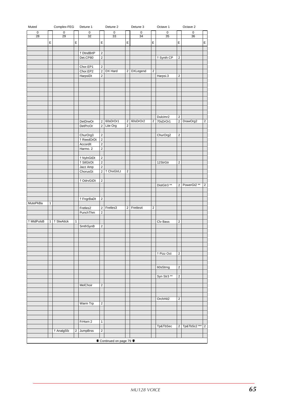| Muted      |              | Complex-FEG |   | Detune 1             |                                           | Detune 2               |                         | Detune 3        |            | Octave 1    |                  | Octave 2         |                         |
|------------|--------------|-------------|---|----------------------|-------------------------------------------|------------------------|-------------------------|-----------------|------------|-------------|------------------|------------------|-------------------------|
| $\pmb{0}$  |              | $\pmb{0}$   |   | 0                    |                                           | 0                      |                         | 0               |            | $\pmb{0}$   |                  | 0                |                         |
| 28         |              | 29          |   | $\overline{32}$      |                                           | $\overline{33}$        |                         | $\overline{34}$ |            | 35          |                  | 36               |                         |
|            | E            |             | Ε |                      | E                                         |                        | E                       |                 | E          |             | E                |                  | E.                      |
|            |              |             |   |                      |                                           |                        |                         |                 |            |             |                  |                  |                         |
|            |              |             |   | † DtndBrtP           | $\overline{\mathbf{c}}$                   |                        |                         |                 |            |             |                  |                  |                         |
|            |              |             |   | Det.CP80             | $\overline{\mathbf{c}}$                   |                        |                         |                 |            | † Synth CP  | $\mathbf 2$      |                  |                         |
|            |              |             |   |                      |                                           |                        |                         |                 |            |             |                  |                  |                         |
|            |              |             |   | Chor.EP1             | $\overline{\mathbf{c}}$                   |                        |                         |                 |            |             |                  |                  |                         |
|            |              |             |   | Chor.EP2             | $\overline{a}$                            | DX Hard                | $\overline{\mathbf{c}}$ | <b>DXLegend</b> | $\sqrt{2}$ |             |                  |                  |                         |
|            |              |             |   | HarpsiDt             | $\overline{\mathbf{c}}$                   |                        |                         |                 |            | Harpsi.3    | $\mathbf 2$      |                  |                         |
|            |              |             |   |                      |                                           |                        |                         |                 |            |             |                  |                  |                         |
|            |              |             |   |                      |                                           |                        |                         |                 |            |             |                  |                  |                         |
|            |              |             |   |                      |                                           |                        |                         |                 |            |             |                  |                  |                         |
|            |              |             |   |                      |                                           |                        |                         |                 |            |             |                  |                  |                         |
|            |              |             |   |                      |                                           |                        |                         |                 |            |             |                  |                  |                         |
|            |              |             |   |                      |                                           |                        |                         |                 |            |             |                  |                  |                         |
|            |              |             |   |                      |                                           |                        |                         |                 |            |             |                  |                  |                         |
|            |              |             |   |                      |                                           |                        |                         |                 |            | Dulcimr2    | $\boldsymbol{2}$ |                  |                         |
|            |              |             |   | DetDrwOr             | 2                                         | 60sDrOr1               | 2                       | 60sDrOr2        | $\sqrt{2}$ | 70sDrOr1    |                  | 2 DrawOrg2       | $\sqrt{2}$              |
|            |              |             |   | DetPrcOr             | 2                                         | Lite Org               | $\overline{\mathbf{c}}$ |                 |            |             |                  |                  |                         |
|            |              |             |   |                      |                                           |                        |                         |                 |            |             |                  |                  |                         |
|            |              |             |   | ChurOrg3             | $\overline{\mathbf{c}}$                   |                        |                         |                 |            | ChurOrg2    | $\boldsymbol{2}$ |                  |                         |
|            |              |             |   | † ReedOrDt           | $\sqrt{2}$                                |                        |                         |                 |            |             |                  |                  |                         |
|            |              |             |   | AccordIt             | $\overline{\mathbf{c}}$                   |                        |                         |                 |            |             |                  |                  |                         |
|            |              |             |   | Harmo. 2             | $\overline{\mathbf{c}}$                   |                        |                         |                 |            |             |                  |                  |                         |
|            |              |             |   |                      |                                           |                        |                         |                 |            |             |                  |                  |                         |
|            |              |             |   | † NylnGtDt           | 2                                         |                        |                         |                 |            |             |                  |                  |                         |
|            |              |             |   | † StlGtrDt           | $\overline{\mathbf{c}}$<br>$\overline{2}$ |                        |                         |                 |            | 12StrGtr    | $\boldsymbol{2}$ |                  |                         |
|            |              |             |   | Jazz Amp<br>ChorusGt | $\overline{\mathbf{c}}$                   | † ChoGtrLt             | $\overline{\mathbf{c}}$ |                 |            |             |                  |                  |                         |
|            |              |             |   |                      |                                           |                        |                         |                 |            |             |                  |                  |                         |
|            |              |             |   | † OdrvGtDt           | $\overline{c}$                            |                        |                         |                 |            |             |                  |                  |                         |
|            |              |             |   |                      |                                           |                        |                         |                 |            | DistGtr3 ** | $\overline{2}$   | PowerGt2 **      | $\overline{\mathbf{c}}$ |
|            |              |             |   |                      |                                           |                        |                         |                 |            |             |                  |                  |                         |
|            |              |             |   |                      |                                           |                        |                         |                 |            |             |                  |                  |                         |
|            |              |             |   | † FngrBaDt           | $\overline{c}$                            |                        |                         |                 |            |             |                  |                  |                         |
| MutePkBa   | $\mathbf{1}$ |             |   |                      |                                           |                        |                         |                 |            |             |                  |                  |                         |
|            |              |             |   | Fretles2             | $\overline{\mathbf{c}}$                   | Fretles3               | 2                       | Fretles4        | $\sqrt{2}$ |             |                  |                  |                         |
|            |              |             |   | PunchThm             | $\overline{\mathbf{c}}$                   |                        |                         |                 |            |             |                  |                  |                         |
|            |              |             |   |                      |                                           |                        |                         |                 |            |             |                  |                  |                         |
| † MtdPulsB | 1            | † SlwAttck  | 1 |                      |                                           |                        |                         |                 |            | Clv Bass    | $\boldsymbol{2}$ |                  |                         |
|            |              |             |   | SmthSynB             | $\overline{\mathbf{c}}$                   |                        |                         |                 |            |             |                  |                  |                         |
|            |              |             |   |                      |                                           |                        |                         |                 |            |             |                  |                  |                         |
|            |              |             |   |                      |                                           |                        |                         |                 |            |             |                  |                  |                         |
|            |              |             |   |                      |                                           |                        |                         |                 |            |             |                  |                  |                         |
|            |              |             |   |                      |                                           |                        |                         |                 |            |             |                  |                  |                         |
|            |              |             |   |                      |                                           |                        |                         |                 |            | † Pizz Oct  | 2                |                  |                         |
|            |              |             |   |                      |                                           |                        |                         |                 |            |             |                  |                  |                         |
|            |              |             |   |                      |                                           |                        |                         |                 |            |             |                  |                  |                         |
|            |              |             |   |                      |                                           |                        |                         |                 |            | 60sStrng    | $\mathbf 2$      |                  |                         |
|            |              |             |   |                      |                                           |                        |                         |                 |            |             |                  |                  |                         |
|            |              |             |   |                      |                                           |                        |                         |                 |            | Syn Str3 ** | $\boldsymbol{2}$ |                  |                         |
|            |              |             |   | MelChoir             | $\sqrt{2}$                                |                        |                         |                 |            |             |                  |                  |                         |
|            |              |             |   |                      |                                           |                        |                         |                 |            |             |                  |                  |                         |
|            |              |             |   |                      |                                           |                        |                         |                 |            |             |                  |                  |                         |
|            |              |             |   |                      |                                           |                        |                         |                 |            | OrchHit2    | $\overline{2}$   |                  |                         |
|            |              |             |   | Warm Trp             | $\sqrt{2}$                                |                        |                         |                 |            |             |                  |                  |                         |
|            |              |             |   |                      |                                           |                        |                         |                 |            |             |                  |                  |                         |
|            |              |             |   |                      |                                           |                        |                         |                 |            |             |                  |                  |                         |
|            |              |             |   |                      |                                           |                        |                         |                 |            |             |                  |                  |                         |
|            |              |             |   | FrHorn 2             | $\mathbf{1}$                              |                        |                         |                 |            |             |                  |                  |                         |
|            |              |             |   |                      |                                           |                        |                         |                 |            | Tp&TbSec    |                  | 2   Tp&TbSc2 *** | $\overline{2}$          |
|            |              | † AnalgSfz  |   | 2 JumpBrss           | $\overline{2}$                            |                        |                         |                 |            |             |                  |                  |                         |
|            |              |             |   |                      |                                           |                        |                         |                 |            |             |                  |                  |                         |
|            |              |             |   |                      |                                           | Continued on page 79 € |                         |                 |            |             |                  |                  |                         |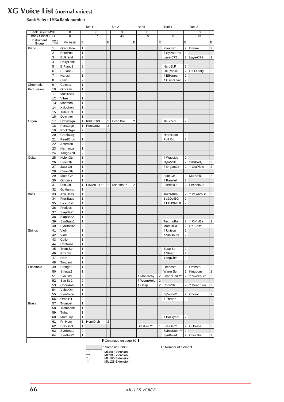# **XG Voice List (normal voices)**

### **Bank Select LSB=Bank number**

|                        |                     |                      |                                  | 5th 1       |                  | 5th 2       |                | Bend        |                         | Tutti 1                  |                              | Tutti 2    |                         |
|------------------------|---------------------|----------------------|----------------------------------|-------------|------------------|-------------|----------------|-------------|-------------------------|--------------------------|------------------------------|------------|-------------------------|
| <b>Bank Select MSB</b> |                     | 0                    |                                  | 0           |                  | 0           |                | 0           |                         | 0                        |                              | 0          |                         |
| <b>Bank Select LSB</b> |                     | 0                    |                                  | 37          |                  | 38          |                | 39          |                         | 40                       |                              | 41         |                         |
| Instrument<br>Group    | Pgm#<br>$(1 - 128)$ | Mu basic             | E                                |             | E                |             | Е              |             | E                       |                          | E                            |            | E                       |
| Piano                  | 1                   | GrandPno             | 1                                |             |                  |             |                |             |                         | PianoStr                 | $\overline{2}$               | Dream      | $\overline{c}$          |
|                        | 2                   | <b>BritePno</b>      | $\mathbf{1}$                     |             |                  |             |                |             |                         | † SyPadPno               | $\overline{2}$               |            |                         |
|                        | 3                   | El.Grand             | $\overline{\mathbf{c}}$          |             |                  |             |                |             |                         | LayerCP1                 | 2                            | LayerCP2   | 2                       |
|                        | 4                   | HnkyTonk             | $\overline{\mathbf{c}}$          |             |                  |             |                |             |                         |                          |                              |            |                         |
|                        | 5                   | E.Piano1             | $\overline{\mathbf{c}}$          |             |                  |             |                |             |                         | HardEI.P                 | 2                            |            |                         |
|                        | 6                   | E.Piano2             | $\overline{\mathbf{c}}$          |             |                  |             |                |             |                         | DX Phase                 | $\overline{\mathbf{c}}$      | DX+Analg   | 2                       |
|                        | 7                   | Harpsi.              | 1                                |             |                  |             |                |             |                         | † ElHarpsi               | $\overline{\mathbf{c}}$      |            |                         |
|                        | 8                   | Clavi                | $\overline{2}$                   |             |                  |             |                |             |                         | † CsmcClav               | $\overline{2}$               |            |                         |
| Chromatic              | 9                   | Celesta              | 1                                |             |                  |             |                |             |                         |                          |                              |            |                         |
| Percussion             | 10                  | Glocken              | $\mathbf{1}$                     |             |                  |             |                |             |                         |                          |                              |            |                         |
|                        | 11                  | MusicBox             | $\overline{\mathbf{c}}$          |             |                  |             |                |             |                         |                          |                              |            |                         |
|                        | 12                  | Vibes                | 1                                |             |                  |             |                |             |                         |                          |                              |            |                         |
|                        | 13                  | Marimba              | 1                                |             |                  |             |                |             |                         |                          |                              |            |                         |
|                        | 14                  | Xylophon             | $\mathbf{1}$                     |             |                  |             |                |             |                         |                          |                              |            |                         |
|                        | 15                  | TubulBel             | 1                                |             |                  |             |                |             |                         |                          |                              |            |                         |
|                        | 16                  | Dulcimer             | $\mathbf{1}$                     |             |                  |             |                |             |                         |                          |                              |            |                         |
| Organ                  | 17                  | DrawOrgn             | $\mathbf{1}$                     | 60sDrOr3    | 2                | Even Bar    | $\overline{2}$ |             |                         | $16 + 2"2/3$             | 2                            |            |                         |
|                        | 18                  | PercOrgn             | $\mathbf{1}$                     | PercOrg2    | $\boldsymbol{2}$ |             |                |             |                         |                          |                              |            |                         |
|                        | 19                  | RockOrgn             | $\overline{\mathbf{c}}$          |             |                  |             |                |             |                         |                          |                              |            |                         |
|                        | 20                  | ChrchOrg             | $\overline{c}$                   |             |                  |             |                |             |                         | NotreDam                 | 2                            |            |                         |
|                        | 21                  | ReedOrgn             | 1                                |             |                  |             |                |             |                         | Puff Org                 | $\overline{2}$               |            |                         |
|                        | 22                  | Acordion             | $\overline{\mathbf{c}}$          |             |                  |             |                |             |                         |                          |                              |            |                         |
|                        | 23                  | Harmnica             | $\mathbf{1}$                     |             |                  |             |                |             |                         |                          |                              |            |                         |
|                        | 24                  | TangoAcd             | $\overline{\mathbf{c}}$          |             |                  |             |                |             |                         |                          |                              |            |                         |
| Guitar                 | 25                  | NylonGtr             | 1                                |             |                  |             |                |             |                         | † Wayside                | 2                            |            |                         |
|                        | 26                  | SteelGtr             | $\mathbf{1}$                     |             |                  |             |                |             |                         | Nyln&Stl                 | $\overline{2}$               | Stl&Body   | 2                       |
|                        | 27                  | Jazz Gtr             | 1                                |             |                  |             |                |             |                         | † OrganGtr               | $\overline{\mathbf{c}}$      | † OctPlate | $\overline{\mathbf{c}}$ |
|                        | 28                  | CleanGtr             | $\mathbf{1}$                     |             |                  |             |                |             |                         |                          |                              |            |                         |
|                        | 29                  | Mute Gtr             | 1                                |             |                  |             |                |             |                         | FunkGtr1                 | $\overline{\mathbf{c}}$      | MuteStIG   | 2                       |
|                        | 30                  | Ovrdrive             | $\mathbf{1}$                     |             |                  |             |                |             |                         | † Parallel               | $\overline{2}$               |            |                         |
|                        | 31                  | Dist.Gtr             | 1                                | PowerGt1 ** | 2                | Dst.5ths ** | $\overline{2}$ |             |                         | FeedbkGt                 | $\overline{2}$               | FeedbkG2   | $\overline{c}$          |
|                        | 32                  | GtrHarmo             | $\mathbf{1}$                     |             |                  |             |                |             |                         |                          |                              |            |                         |
| Bass                   | 33                  | Aco.Bass             | 1                                |             |                  |             |                |             |                         | JazzRthm                 | 2                            | † PckAcoBa | 2                       |
|                        | 34                  | FngrBass             | $\mathbf{1}$                     |             |                  |             |                |             |                         | Ba&DstEG                 | $\overline{2}$               |            |                         |
|                        | 35                  | PickBass             | 1                                |             |                  |             |                |             |                         | † PkB&MtGt               | $\overline{\mathbf{c}}$      |            |                         |
|                        | 36                  | Fretless             | $\mathbf{1}$                     |             |                  |             |                |             |                         |                          |                              |            |                         |
|                        | 37                  | SlapBas1             | 1                                |             |                  |             |                |             |                         |                          |                              |            |                         |
|                        | 38                  | SlapBas2             | 1                                |             |                  |             |                |             |                         |                          |                              |            |                         |
|                        | 39                  | SynBass1             | 1                                |             |                  |             |                |             |                         | TechnoBa                 | 2                            | † Kik'n'Ba | 2                       |
|                        | 40                  | SynBass2             | $\overline{2}$                   |             |                  |             |                |             |                         | ModulrBa                 | $\overline{2}$               | DX Bass    | 2                       |
| Strings                | 41                  | Violin               | 1                                |             |                  |             |                |             |                         | † Unison                 | $\overline{\mathbf{c}}$      |            |                         |
|                        | 42                  | Viola                | $\mathbf{1}$                     |             |                  |             |                |             |                         | † VlaDoubl               | $\overline{2}$               |            |                         |
|                        | 43                  | Cello                | 1                                |             |                  |             |                |             |                         |                          |                              |            |                         |
|                        | 44                  | Contrabs             | 1                                |             |                  |             |                |             |                         |                          |                              |            |                         |
|                        | 45                  | Trem.Str             | 1                                |             |                  |             |                |             |                         | Susp.Str                 | $\overline{\mathbf{c}}$      |            |                         |
|                        | 46                  | Pizz.Str             | 1                                |             |                  |             |                |             |                         | † Sleep                  | 2                            |            |                         |
|                        | 47                  | Harp                 | 1                                |             |                  |             |                |             |                         | YangChin                 | $\overline{2}$               |            |                         |
|                        | 48                  | Timpani              | 1                                |             |                  |             |                |             |                         |                          |                              |            |                         |
| Ensemble               | 49                  | Strings1             | 1                                |             |                  |             |                |             |                         | Orchestr                 | 2                            | Orchstr2   | 2                       |
|                        | 50                  | Strings2             | $\mathbf{1}$                     |             |                  |             |                |             |                         | Warm Str                 | $\overline{\mathbf{c}}$      | Kingdom    | $\overline{\mathbf{c}}$ |
|                        | 51                  | Syn Str1             | $\overline{\mathbf{c}}$          |             |                  |             |                | † Monarchy  | $\overline{\mathbf{c}}$ | GrandPad***              | $\overline{a}$               | † SweepStr | $\overline{a}$          |
|                        | 52                  | Syn Str2             | $\overline{\mathbf{c}}$          |             |                  |             |                | † WormHole  | $\overline{2}$          |                          |                              |            |                         |
|                        | 53                  | ChoirAah             | 1                                |             |                  |             |                | † Gasp      | $\boldsymbol{2}$        | ChoirStr                 | 2                            | † Dead Sea | $\overline{2}$          |
|                        | 54                  | VoiceOoh             | 1                                |             |                  |             |                |             |                         |                          |                              |            |                         |
|                        | 55                  | SynVoice             | 1                                |             |                  |             |                |             |                         | SyVoice2                 | 2                            | Choral     | $\overline{\mathbf{c}}$ |
|                        | 56                  | Orch.Hit             | $\overline{\mathbf{c}}$          |             |                  |             |                |             |                         | † Throne                 | $\overline{2}$               |            |                         |
| <b>Brass</b>           | 57                  | Trumpet              | 1                                |             |                  |             |                |             |                         |                          |                              |            |                         |
|                        | 58                  | Trombone             | $\mathbf{1}$                     |             |                  |             |                |             |                         |                          |                              |            |                         |
|                        | 59                  | Tuba                 | 1                                |             |                  |             |                |             |                         |                          |                              |            |                         |
|                        | 60                  | Mute Trp             | $\mathbf{1}$                     |             |                  |             |                |             |                         | † Backyard               | 2                            |            |                         |
|                        |                     |                      |                                  |             |                  |             |                |             |                         |                          |                              |            |                         |
|                        | 61                  | Fr. Horn             | 1                                | HornOrch    | 2                |             |                |             |                         |                          |                              |            |                         |
|                        | 62                  | <b>BrssSect</b>      | 1                                |             |                  |             |                | BrssFall ** | 1                       | BrssSec2                 | 2                            | Hi Brass   | 2                       |
|                        | 63<br>64            | SynBrss1<br>SynBrss2 | $\boldsymbol{2}$<br>$\mathbf{1}$ |             |                  |             |                |             |                         | SyBrsSub ***<br>SynBrss4 | $\overline{\mathbf{c}}$<br>2 | ChoirBrs   | $\overline{a}$          |

: Same as Bank 0

E: Number of element

\*\* : MU80 Extension \*\*\* : MU90 Extension † : MU100 Extension †† : MU128 Extension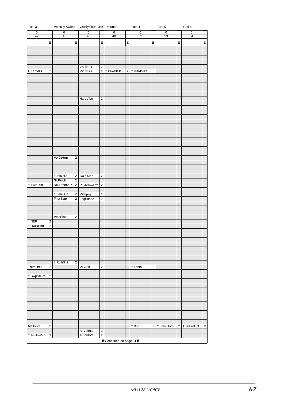| Tutti 3         |                         | <b>Velocity Switch</b> |                         | Velocity Cross Fade Detune 4 |                         |                        |   | Tutti 4        |                  | Tutti 5         |                | Tutti 6         |                |
|-----------------|-------------------------|------------------------|-------------------------|------------------------------|-------------------------|------------------------|---|----------------|------------------|-----------------|----------------|-----------------|----------------|
| $\overline{0}$  |                         | $\overline{0}$         |                         | $\overline{0}$               |                         | $\overline{0}$         |   | $\overline{0}$ |                  | $\overline{0}$  |                | $\overline{0}$  |                |
| 42              |                         | 43                     |                         | 45                           |                         | 48                     |   | 52             |                  | $\overline{53}$ |                | $\overline{54}$ |                |
|                 | E                       |                        | Ε                       |                              | E                       |                        | Ε |                | E                |                 | E              |                 | E              |
|                 |                         |                        |                         |                              |                         |                        |   |                |                  |                 |                |                 |                |
|                 |                         |                        |                         |                              |                         |                        |   |                |                  |                 |                |                 |                |
|                 |                         |                        |                         |                              |                         |                        |   |                |                  |                 |                |                 |                |
|                 |                         |                        |                         |                              |                         |                        |   |                |                  |                 |                |                 |                |
| <b>DXKotoEP</b> | $\sqrt{2}$              |                        |                         | VX EI.P1<br>VX EI.P2         | $\mathbf 2$             | 2   † ChoEP K          |   |                | $\mathbf 2$      |                 |                |                 |                |
|                 |                         |                        |                         |                              |                         |                        |   | 2   † DXMallet |                  |                 |                |                 |                |
|                 |                         |                        |                         |                              |                         |                        |   |                |                  |                 |                |                 |                |
|                 |                         |                        |                         |                              |                         |                        |   |                |                  |                 |                |                 |                |
|                 |                         |                        |                         |                              |                         |                        |   |                |                  |                 |                |                 |                |
|                 |                         |                        |                         |                              |                         |                        |   |                |                  |                 |                |                 |                |
|                 |                         |                        |                         | HardVibe                     | $\overline{\mathbf{c}}$ |                        |   |                |                  |                 |                |                 |                |
|                 |                         |                        |                         |                              |                         |                        |   |                |                  |                 |                |                 |                |
|                 |                         |                        |                         |                              |                         |                        |   |                |                  |                 |                |                 |                |
|                 |                         |                        |                         |                              |                         |                        |   |                |                  |                 |                |                 |                |
|                 |                         |                        |                         |                              |                         |                        |   |                |                  |                 |                |                 |                |
|                 |                         |                        |                         |                              |                         |                        |   |                |                  |                 |                |                 |                |
|                 |                         |                        |                         |                              |                         |                        |   |                |                  |                 |                |                 |                |
|                 |                         |                        |                         |                              |                         |                        |   |                |                  |                 |                |                 |                |
|                 |                         |                        |                         |                              |                         |                        |   |                |                  |                 |                |                 |                |
|                 |                         |                        |                         |                              |                         |                        |   |                |                  |                 |                |                 |                |
|                 |                         |                        |                         |                              |                         |                        |   |                |                  |                 |                |                 |                |
|                 |                         | VelGtHrm               |                         |                              |                         |                        |   |                |                  |                 |                |                 |                |
|                 |                         |                        | $\mathbf 2$             |                              |                         |                        |   |                |                  |                 |                |                 |                |
|                 |                         |                        |                         |                              |                         |                        |   |                |                  |                 |                |                 |                |
|                 |                         |                        |                         |                              |                         |                        |   |                |                  |                 |                |                 |                |
|                 |                         | FunkGtr2               | $\mathbf 2$             | Jazz Man                     | $\boldsymbol{2}$        |                        |   |                |                  |                 |                |                 |                |
|                 |                         | Gt.Pinch               | $\overline{2}$          |                              |                         |                        |   |                |                  |                 |                |                 |                |
| † TwinDist      | $\overline{\mathbf{c}}$ | RckRthm2 <sup>**</sup> | $\overline{2}$          | RckRthm1 **                  | $\boldsymbol{2}$        |                        |   |                |                  |                 |                |                 |                |
|                 |                         |                        |                         |                              |                         |                        |   |                |                  |                 |                |                 |                |
|                 |                         | † Blink Ba             | $\overline{\mathbf{c}}$ | <b>VXUprght</b>              | $\boldsymbol{2}$        |                        |   |                |                  |                 |                |                 |                |
|                 |                         | FngrSlap               | $\overline{2}$          | FngBass2                     | $\overline{2}$          |                        |   |                |                  |                 |                |                 |                |
|                 |                         |                        |                         |                              |                         |                        |   |                |                  |                 |                |                 |                |
|                 |                         |                        |                         |                              |                         |                        |   |                |                  |                 |                |                 |                |
|                 |                         | VeloSlap               | $\overline{2}$          |                              |                         |                        |   |                |                  |                 |                |                 |                |
| † NEP           | $\boldsymbol{2}$        |                        |                         |                              |                         |                        |   |                |                  |                 |                |                 |                |
| † DXBa Brt      | $\overline{2}$          |                        |                         |                              |                         |                        |   |                |                  |                 |                |                 |                |
|                 |                         |                        |                         |                              |                         |                        |   |                |                  |                 |                |                 |                |
|                 |                         |                        |                         |                              |                         |                        |   |                |                  |                 |                |                 |                |
|                 |                         |                        |                         |                              |                         |                        |   |                |                  |                 |                |                 |                |
|                 |                         |                        |                         |                              |                         |                        |   |                |                  |                 |                |                 |                |
|                 |                         |                        |                         |                              |                         |                        |   |                |                  |                 |                |                 |                |
|                 |                         |                        |                         |                              |                         |                        |   |                |                  |                 |                |                 |                |
|                 |                         | † Roll&Hit             | $\overline{2}$          |                              |                         |                        |   |                |                  |                 |                |                 |                |
| TremOrch        | $\overline{\mathbf{c}}$ |                        |                         | Velo.Str                     | $\boldsymbol{2}$        |                        |   | † Lento        | $\boldsymbol{2}$ |                 |                |                 |                |
|                 |                         |                        |                         |                              |                         |                        |   |                |                  |                 |                |                 |                |
| † SwpStOct      | $\overline{\mathbf{c}}$ |                        |                         |                              |                         |                        |   |                |                  |                 |                |                 |                |
|                 |                         |                        |                         |                              |                         |                        |   |                |                  |                 |                |                 |                |
|                 |                         |                        |                         |                              |                         |                        |   |                |                  |                 |                |                 |                |
|                 |                         |                        |                         |                              |                         |                        |   |                |                  |                 |                |                 |                |
|                 |                         |                        |                         |                              |                         |                        |   |                |                  |                 |                |                 |                |
|                 |                         |                        |                         |                              |                         |                        |   |                |                  |                 |                |                 |                |
|                 |                         |                        |                         |                              |                         |                        |   |                |                  |                 |                |                 |                |
|                 |                         |                        |                         |                              |                         |                        |   |                |                  |                 |                |                 |                |
|                 |                         |                        |                         |                              |                         |                        |   |                |                  |                 |                |                 |                |
| MelloBrs        | $\overline{\mathbf{c}}$ |                        |                         |                              |                         |                        |   | † Bund         |                  | 2   † FakeHorn  | $\overline{2}$ | † FkHrnOct      | $\overline{c}$ |
|                 |                         |                        |                         | AnVelBr1                     | $\sqrt{2}$              |                        |   |                |                  |                 |                |                 |                |
| † AnHrnRch      | $\mathbf 2$             |                        |                         | AnVelBr2                     | $\overline{c}$          |                        |   |                |                  |                 |                |                 |                |
|                 |                         |                        |                         |                              |                         | Continued on page 81 € |   |                |                  |                 |                |                 |                |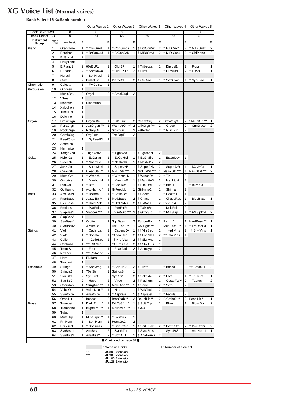# **XG Voice List (Normal voices)**

### **Bank Select LSB=Bank number**

|                                      |                |                             |                                                    | Other Waves 1            |                                           | Other Waves 2             |                     | Other Waves 3       |                | Other Waves 4            |                                  | Other Waves 5 |                         |
|--------------------------------------|----------------|-----------------------------|----------------------------------------------------|--------------------------|-------------------------------------------|---------------------------|---------------------|---------------------|----------------|--------------------------|----------------------------------|---------------|-------------------------|
| <b>Bank Select MSB</b>               |                | 0                           |                                                    | 0                        |                                           | $\overline{\mathfrak{o}}$ |                     | 0                   |                | 0                        |                                  | 0             |                         |
| <b>Bank Select LSB</b><br>Instrument | Pgm#           | O                           |                                                    | 64                       |                                           | 65                        |                     | 66                  |                | 67                       |                                  | 68            |                         |
| Group                                | $(1 - 128)$    | Mu basic                    | E                                                  |                          | E                                         |                           | E                   |                     | E              |                          | E                                |               | E                       |
| Piano                                | 1              | GrandPno                    | 1                                                  | † ConGrnd                | 1                                         | † ConGrndK                | 1                   | † DblConGr          | 2              | † MIDIGrd1               | 2                                | † MIDIGrd2    | $\boldsymbol{2}$        |
|                                      | $\overline{2}$ | <b>BritePno</b>             | 1                                                  | + BrConGrd               | 1                                         | <b>† BrConGrK</b>         | 1                   | + MIDIGrd3          | 2              | † MIDIGrd4               | $\overline{2}$                   | † OldPiano    | $\overline{2}$          |
|                                      | 3              | El.Grand                    | $\overline{2}$                                     |                          |                                           |                           |                     |                     |                |                          |                                  |               |                         |
|                                      | 4              | HnkyTonk                    | $\overline{\mathbf{c}}$                            |                          |                                           |                           |                     |                     |                |                          |                                  |               |                         |
|                                      | 5<br>6         | E.Piano1                    | $\overline{2}$<br>$\overline{2}$                   | 60sEl.P1                 | 1<br>$\overline{2}$                       | t Old EP                  | 2                   | † Tribecca          | 1<br>1         | † Diploid1               | 2<br>$\overline{2}$              | † Flops       | 1<br>1                  |
|                                      | 7              | E.Piano2<br>Harpsi.         | 1                                                  | † Shrakawa<br>† SynHrpsi | $\overline{2}$                            | † OldEP Tn                |                     | † Flips             |                | † FlipsDtd               |                                  | † Flicks      |                         |
|                                      | 8              | Clavi                       | $\overline{2}$                                     | PulseClv                 | 1                                         | PierceCl                  | 2                   | † CirClavi          | 1              | † SwpClavi               | 1                                | † SynClavi    | 1                       |
| Chromatic                            | 9              | Celesta                     | 1                                                  | † FMCelsta               | 1                                         |                           |                     |                     |                |                          |                                  |               |                         |
| Percussion                           | 10             | Glocken                     | 1                                                  |                          |                                           |                           |                     |                     |                |                          |                                  |               |                         |
|                                      | 11             | MusicBox                    | $\overline{2}$                                     | Orgel                    | 2                                         | † SmalOrgl                | 2                   |                     |                |                          |                                  |               |                         |
|                                      | 12             | Vibes                       | 1                                                  |                          |                                           |                           |                     |                     |                |                          |                                  |               |                         |
|                                      | 13             | Marimba                     | $\overline{1}$                                     | SineMrmb                 | $\overline{2}$                            |                           |                     |                     |                |                          |                                  |               |                         |
|                                      | 14             | Xylophon                    | 1                                                  |                          |                                           |                           |                     |                     |                |                          |                                  |               |                         |
|                                      | 15             | TubulBel                    | $\mathbf{1}$                                       |                          |                                           |                           |                     |                     |                |                          |                                  |               |                         |
|                                      | 16             | Dulcimer                    | 1                                                  |                          |                                           |                           |                     |                     |                |                          |                                  |               |                         |
| Organ                                | 17             | DrawOrgn                    | 1                                                  | Organ Ba                 | 1                                         | 70sDrOr2                  | 2                   | CheezOrg            | 2              | DrawOrg3                 | 2                                | StdiumOr ***  | 1                       |
|                                      | 18             | PercOrgn                    | $\overline{1}$                                     | JazOrgan ***             | $\mathbf{1}$                              | WarmJzOr ***              | $\overline{2}$      | ClikOrgn ***        | 2              | † Grace                  | $\overline{2}$<br>$\overline{2}$ | † CrnGrace    | $\overline{\mathbf{c}}$ |
|                                      | 19<br>20       | RockOrgn                    | $\overline{\mathbf{c}}$<br>$\overline{\mathbf{c}}$ | RotaryOr<br>OrgFlute     | $\overline{2}$<br>$\overline{\mathbf{c}}$ | SloRotar<br>TrmOrgFl      | 2<br>$\overline{2}$ | FstRotar            | 2              | † GlacIRtr               |                                  |               |                         |
|                                      | 21             | ChrchOrg<br>ReedOrgn        | $\mathbf{1}$                                       | † SyReedDk               | $\overline{2}$                            |                           |                     |                     |                |                          |                                  |               |                         |
|                                      | 22             | Acordion                    | $\overline{\mathbf{c}}$                            |                          |                                           |                           |                     |                     |                |                          |                                  |               |                         |
|                                      | 23             | Harmnica                    | $\mathbf{1}$                                       |                          |                                           |                           |                     |                     |                |                          |                                  |               |                         |
|                                      | 24             | TangoAcd                    | $\overline{2}$                                     | TngoAcd2                 | $\overline{2}$                            | † TightAcd                | 1                   | † TghtAcdD          | 2              |                          |                                  |               |                         |
| Guitar                               | 25             | NylonGtr                    | 1                                                  | + EsGuitar               | 1                                         | † EsGtrHrd                | 1                   | † EsGtMllo          | 1              | † EsGtrDcy               | 1                                |               |                         |
|                                      | 26             | SteelGtr                    | 1                                                  | † Nashvlle               | $\mathbf{1}$                              | † NashvllR                | 1                   | † Nashvl12          | 2              |                          |                                  |               |                         |
|                                      | 27             | Jazz Gtr                    | 1                                                  | + SuperJzM               | 1                                         | † SuperJzB                | 1                   | † SuperJzD          | 2              | † SuperJzR               | 1                                | † DX JzGtr    | 1                       |
|                                      | 28             | CleanGtr                    | 1                                                  | CleanGt2 <sup>**</sup>   | 1                                         | MidT.Gtr ***              | 1                   | MidTGtSt ***        | 1              | NasalGtr ***             | 1                                | NasiGtSt ***  | $\boldsymbol{2}$        |
|                                      | 29             | Mute Gtr                    | $\mathbf{1}$                                       | t Wrench                 | 1                                         | t WrenchHv                | 1                   | † WrnchDbl          | 2              | † Tin                    | $\overline{2}$                   |               |                         |
|                                      | 30             | Ovrdrive                    | 1                                                  | † ManhttnM               | 1                                         | † ManhttnB                | 1                   | † ManhttnD          | 2              | † ManhttnP               | $\overline{2}$                   |               |                         |
|                                      | 31             | Dist.Gtr                    | 1                                                  | + Bite                   | $\mathbf{1}$                              | † Bite Res                | 1                   | † Bite Dtd          | 2              | + Bite +                 | $\overline{2}$                   | † Burnout     | $\overline{\mathbf{c}}$ |
|                                      | 32             | GtrHarmo                    | 1                                                  | AcoHarmo**               | 1                                         | GtFeedbk                  | 1                   | GtrHrmo2            | 1              | † Shimla                 | $\overline{2}$                   |               |                         |
| Bass                                 | 33<br>34       | Aco.Bass                    | 1<br>1                                             | † Boston<br>Jazzy Ba**   | 1<br>1                                    | † BostnBrt                | 1<br>2              | † Coolth<br>† Chase | 1<br>1         | † Coolth B<br>† ChaseRes | 1<br>1                           | † BlueBass    | 1                       |
|                                      | 35             | FngrBass<br>PickBass        | 1                                                  | <b>† HardPick</b>        | 1                                         | Mod.Bass<br>† HrdPikRs    | 2                   | † PkBass +          | $\overline{2}$ | PickBa 4                 | $\overline{2}$                   |               |                         |
|                                      | 36             | Fretless                    | 1                                                  | † PwrFrtls               | $\mathbf{1}$                              | † PwrFrtlR                | 1                   | † TalkinBa          | 1              | † NoizFrtl               | 2                                |               |                         |
|                                      | 37             | SlapBas1                    | $\mathbf{1}$                                       | Slapper ***              | 1                                         | Thum&Slp***               | 2                   | † GltzySlp          | 2              | † FM Slap                | 1                                | † FMSIpDtd    | $\overline{\mathbf{c}}$ |
|                                      | 38             | SlapBas2                    | 1                                                  |                          |                                           |                           |                     |                     |                |                          |                                  |               |                         |
|                                      | 39             | SynBass1                    | 1                                                  | Orbiter                  | 2                                         | Sqr.Bass                  | 2                   | RubberBa            | 2              | Fish ***                 | 1                                | HardReso***   | 1                       |
|                                      | 40             | SynBass2                    | $\overline{2}$                                     | X WireBa                 | $\overline{2}$                            | AtkPulse ***              | 1                   | CS Light ***        | 1              | MetlBass ***             | 1                                | † FrcOscBa    | 1                       |
| Strings                              | 41             | Violin                      | 1                                                  | † Cadenza                | 1                                         | † CadenzDk                | 1                   | †† Vln Sec          | 2              | †† Hrd Vins              | 2                                | †† Slw Vins   | 1                       |
|                                      | 42             | Viola                       | 1                                                  | + Sonata                 | 1                                         | †† Vla Sec                | 2                   | <b>tt Hrd Vlas</b>  | 2              | †† Slw Vlas              | 1                                |               |                         |
|                                      | 43             | Cello                       | 1                                                  | <b>tt CelloSec</b>       | $\overline{2}$                            | †† Hrd Vcs                | 2                   | †† Slw Vcs          | 1              |                          |                                  |               |                         |
|                                      | 44             | Contrabs                    | 1                                                  | †† CB Sec                | 2                                         | <b>tt Hrd CBs</b>         | 2                   | †† Slw CBs          | 1              |                          |                                  |               |                         |
|                                      | 45             | Trem.Str                    | 1                                                  | † Fear                   | 1                                         | + Fear Dtd                | 2                   | † Apoclyps          | 2              |                          |                                  |               |                         |
|                                      | 46<br>47       | Pizz.Str                    | 1<br>1                                             | †† Collegno              | $\overline{\mathbf{c}}$<br>1              |                           |                     |                     |                |                          |                                  |               |                         |
|                                      | 48             | Harp<br>Timpani             | 1                                                  | El.Harp                  |                                           |                           |                     |                     |                |                          |                                  |               |                         |
| Ensemble                             | 49             | Strings1                    | 1                                                  | † SprStrng               | 1                                         | † SprStrSt                | 2                   | † Triste            | 1              | † Basso                  | 2                                | †† Stacc H    | 2                       |
|                                      | 50             | Strings2                    | 1                                                  | 70s Str                  | 1                                         | Strings3                  | 1                   |                     |                |                          |                                  |               |                         |
|                                      | 51             | Syn Str1                    | 2                                                  | Syn Str4                 | 2                                         | Syn Str5                  | 2                   | † Solitude          | 2              | † Fate                   | 1                                | † Thulium     | 1                       |
|                                      | 52             | Syn Str2                    | 2                                                  | † Hope                   | 2                                         | † Virgo                   | 2                   | † Platinum          | 1              | † OctavPWM               | 2                                | † Taurus      | 2                       |
|                                      | 53             | ChoirAah                    | 1                                                  | StrngAah**               | 1                                         | Male Aah**                | 1                   | † Scroll            | 2              | † Scroll +               | 2                                |               |                         |
|                                      | 54             | VoiceOoh                    | 1                                                  | VoiceDoo**               | 1                                         | † Hmn                     | 1                   | † WrlChoir          | 2              |                          |                                  |               |                         |
|                                      | 55             | SynVoice                    | 1                                                  | AnaVoice                 | 1                                         | † Aspirate                | 1.                  | † AsprateD          | 2              | † Facula                 | 2                                |               |                         |
|                                      | 56             | Orch.Hit                    | $\overline{\mathbf{c}}$                            | Impact                   | 2                                         | BrssStab <sup>**</sup>    | 2                   | DoublHit **         | 2              | BrStab80**               | 2                                | Bass Hit ***  | 1                       |
| Brass                                | 57             | Trumpet                     | 1                                                  | Dark Trp ***             | 1                                         | DrkTpSft ***              | 1                   | † Soft Trp          | 1              | † Blow                   | 1                                | † Blow Dbl    | 2                       |
|                                      | 58             | Trombone                    | 1                                                  | BrghtTrb ***             | 1                                         | MellowTb ***              | 1                   | LLL †               | 1              |                          |                                  |               |                         |
|                                      | 59             | Tuba                        | 1                                                  |                          |                                           |                           |                     |                     |                |                          |                                  |               |                         |
|                                      | 60             | Mute Trp                    | 1                                                  | MuteTrp2 **              | -1                                        | † Bkstairs                | 1                   |                     |                |                          |                                  |               |                         |
|                                      | 61<br>62       | Fr. Horn<br><b>BrssSect</b> | 1<br>1                                             | † Syn Horn<br>† SprBrass | 1<br>2                                    | HornOrc2<br>† SprBrCut    | 2<br>1              | † SprBrBlw          | 2              | † Pwrd Sfz               | 2                                | † PwrSfzBr    | 2                       |
|                                      | 63             | SynBrss1                    | $\overline{\mathbf{c}}$                            | AnaBrss1                 | 2                                         | † SynthThn                | 1                   | † SyncBrss          | 1              | † SyncBrSt               | 2                                | † AnaHorn1    | 1                       |
|                                      | 64             | SynBrss2                    | 1                                                  | AnaBrss2                 | $\overline{2}$                            | † Soft Cut                | 1                   | † AnaHornS          | 2              |                          |                                  |               |                         |
|                                      |                |                             |                                                    |                          |                                           |                           |                     |                     |                |                          |                                  |               |                         |

# Continued on page 82

: Same as Bank 0

E: Number of element

 $\overline{\phantom{a}}$ 

- \*\* : MU80 Extension \*\*\* : MU90 Extension † : MU100 Extension †† : MU128 Extension
	-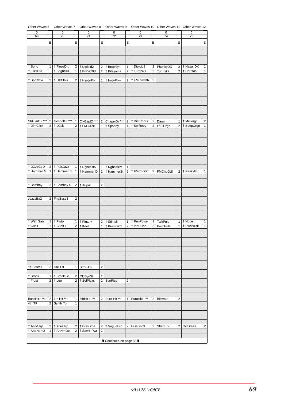| 0<br>69<br>Ε<br>† Soho<br>1<br>† FliksDtd<br>† SprClavi<br>2<br>StdiumO2 ***<br>2<br>2<br>† DimClick<br>† DXJzGt D<br>2<br>† Hammer M<br>1<br>† Bombay<br>2<br>JazzyBa2<br>2 | 0<br>70<br>† FlopsDtd<br>† BrightDX<br>† GtrClavi<br>GospelOr ***<br>† Dusk | Ε<br>2<br>1<br>2<br>1<br>$\overline{\mathbf{c}}$ | 0<br>71<br>† Diploid2<br>† BrtDXDtd<br>† HardyPlk<br>ClkGspIO ***<br>† FM Click | Ε<br>2<br>2<br>1<br>$\overline{\mathbf{c}}$ | 0<br>72<br>† Brooklyn<br>† Kitayama<br>† HrdyPlk+ | Ε<br>1<br>2<br>2        | 0<br>$\overline{73}$<br>† Diploid3<br>† Turnpik1<br>† FMClavDb | Ε<br>$\overline{\mathbf{c}}$<br>2<br>$\overline{\mathbf{c}}$ | 0<br>74<br>PhunkyDX<br>Turnpik2 | E<br>2<br>$\overline{\mathbf{c}}$ | 0<br>75<br>† Nasal DX<br>† Cerritos |                         |
|------------------------------------------------------------------------------------------------------------------------------------------------------------------------------|-----------------------------------------------------------------------------|--------------------------------------------------|---------------------------------------------------------------------------------|---------------------------------------------|---------------------------------------------------|-------------------------|----------------------------------------------------------------|--------------------------------------------------------------|---------------------------------|-----------------------------------|-------------------------------------|-------------------------|
|                                                                                                                                                                              |                                                                             |                                                  |                                                                                 |                                             |                                                   |                         |                                                                |                                                              |                                 |                                   |                                     | Ε                       |
|                                                                                                                                                                              |                                                                             |                                                  |                                                                                 |                                             |                                                   |                         |                                                                |                                                              |                                 |                                   |                                     |                         |
|                                                                                                                                                                              |                                                                             |                                                  |                                                                                 |                                             |                                                   |                         |                                                                |                                                              |                                 |                                   |                                     |                         |
|                                                                                                                                                                              |                                                                             |                                                  |                                                                                 |                                             |                                                   |                         |                                                                |                                                              |                                 |                                   |                                     |                         |
|                                                                                                                                                                              |                                                                             |                                                  |                                                                                 |                                             |                                                   |                         |                                                                |                                                              |                                 |                                   |                                     |                         |
|                                                                                                                                                                              |                                                                             |                                                  |                                                                                 |                                             |                                                   |                         |                                                                |                                                              |                                 |                                   |                                     | $\mathbf{1}$<br>1       |
|                                                                                                                                                                              |                                                                             |                                                  |                                                                                 |                                             |                                                   |                         |                                                                |                                                              |                                 |                                   |                                     |                         |
|                                                                                                                                                                              |                                                                             |                                                  |                                                                                 |                                             |                                                   |                         |                                                                |                                                              |                                 |                                   |                                     |                         |
|                                                                                                                                                                              |                                                                             |                                                  |                                                                                 |                                             |                                                   |                         |                                                                |                                                              |                                 |                                   |                                     |                         |
|                                                                                                                                                                              |                                                                             |                                                  |                                                                                 |                                             |                                                   |                         |                                                                |                                                              |                                 |                                   |                                     |                         |
|                                                                                                                                                                              |                                                                             |                                                  |                                                                                 |                                             |                                                   |                         |                                                                |                                                              |                                 |                                   |                                     |                         |
|                                                                                                                                                                              |                                                                             |                                                  |                                                                                 |                                             |                                                   |                         |                                                                |                                                              |                                 |                                   |                                     |                         |
|                                                                                                                                                                              |                                                                             |                                                  |                                                                                 |                                             |                                                   |                         |                                                                |                                                              |                                 |                                   |                                     |                         |
|                                                                                                                                                                              |                                                                             |                                                  |                                                                                 |                                             |                                                   |                         |                                                                |                                                              |                                 |                                   |                                     |                         |
|                                                                                                                                                                              |                                                                             |                                                  |                                                                                 |                                             |                                                   |                         |                                                                |                                                              |                                 |                                   |                                     |                         |
|                                                                                                                                                                              |                                                                             |                                                  |                                                                                 |                                             |                                                   |                         |                                                                |                                                              |                                 |                                   |                                     |                         |
|                                                                                                                                                                              |                                                                             |                                                  |                                                                                 |                                             |                                                   |                         |                                                                |                                                              |                                 |                                   |                                     |                         |
|                                                                                                                                                                              |                                                                             |                                                  |                                                                                 |                                             |                                                   |                         |                                                                |                                                              |                                 |                                   |                                     |                         |
|                                                                                                                                                                              |                                                                             |                                                  |                                                                                 |                                             |                                                   |                         |                                                                |                                                              |                                 |                                   |                                     |                         |
|                                                                                                                                                                              |                                                                             |                                                  |                                                                                 |                                             | ChapelOr ***                                      | 2                       | † DimChors                                                     | 2                                                            | Dawn                            | 1                                 | † Mellorgn                          | 2                       |
|                                                                                                                                                                              |                                                                             |                                                  |                                                                                 | 1                                           | † Spoony                                          | $\mathbf{1}$            | † SprRotry                                                     | $\overline{\mathbf{c}}$                                      | LoFiOrgn                        | 2                                 | † BeepOrgn                          | 1                       |
|                                                                                                                                                                              |                                                                             |                                                  |                                                                                 |                                             |                                                   |                         |                                                                |                                                              |                                 |                                   |                                     |                         |
|                                                                                                                                                                              |                                                                             |                                                  |                                                                                 |                                             |                                                   |                         |                                                                |                                                              |                                 |                                   |                                     |                         |
|                                                                                                                                                                              |                                                                             |                                                  |                                                                                 |                                             |                                                   |                         |                                                                |                                                              |                                 |                                   |                                     |                         |
|                                                                                                                                                                              |                                                                             |                                                  |                                                                                 |                                             |                                                   |                         |                                                                |                                                              |                                 |                                   |                                     |                         |
|                                                                                                                                                                              |                                                                             |                                                  |                                                                                 |                                             |                                                   |                         |                                                                |                                                              |                                 |                                   |                                     |                         |
|                                                                                                                                                                              |                                                                             |                                                  |                                                                                 |                                             |                                                   |                         |                                                                |                                                              |                                 |                                   |                                     |                         |
|                                                                                                                                                                              |                                                                             |                                                  |                                                                                 |                                             |                                                   |                         |                                                                |                                                              |                                 |                                   |                                     |                         |
|                                                                                                                                                                              |                                                                             |                                                  |                                                                                 |                                             |                                                   |                         |                                                                |                                                              |                                 |                                   |                                     |                         |
|                                                                                                                                                                              | † PulsJazz                                                                  | 1                                                | † RghcastN                                                                      | 1                                           | † RghcastM                                        | 1                       |                                                                |                                                              |                                 |                                   |                                     |                         |
|                                                                                                                                                                              | † Hammer B                                                                  | 1                                                | † Hammer D                                                                      | 2                                           | † HammerSt                                        | $\overline{\mathbf{c}}$ | † FMChoGtr                                                     | 2                                                            | <b>FMChoGtS</b>                 | 2                                 | † PeskyGtr                          | 1                       |
|                                                                                                                                                                              |                                                                             |                                                  |                                                                                 |                                             |                                                   |                         |                                                                |                                                              |                                 |                                   |                                     |                         |
|                                                                                                                                                                              | † Bombay S                                                                  | $\overline{a}$                                   | † Jaipur                                                                        | 2                                           |                                                   |                         |                                                                |                                                              |                                 |                                   |                                     |                         |
|                                                                                                                                                                              |                                                                             |                                                  |                                                                                 |                                             |                                                   |                         |                                                                |                                                              |                                 |                                   |                                     |                         |
|                                                                                                                                                                              |                                                                             |                                                  |                                                                                 |                                             |                                                   |                         |                                                                |                                                              |                                 |                                   |                                     |                         |
|                                                                                                                                                                              | FngBass3                                                                    | $\overline{\mathbf{c}}$                          |                                                                                 |                                             |                                                   |                         |                                                                |                                                              |                                 |                                   |                                     |                         |
|                                                                                                                                                                              |                                                                             |                                                  |                                                                                 |                                             |                                                   |                         |                                                                |                                                              |                                 |                                   |                                     |                         |
|                                                                                                                                                                              |                                                                             |                                                  |                                                                                 |                                             |                                                   |                         |                                                                |                                                              |                                 |                                   |                                     |                         |
|                                                                                                                                                                              |                                                                             |                                                  |                                                                                 |                                             |                                                   |                         |                                                                |                                                              |                                 |                                   |                                     |                         |
|                                                                                                                                                                              |                                                                             |                                                  |                                                                                 |                                             |                                                   |                         |                                                                |                                                              |                                 |                                   |                                     |                         |
| † Wah Saw<br>1                                                                                                                                                               | † Pluto                                                                     | 1                                                | + Pluto +                                                                       | 2                                           | † Stimuli                                         | 1                       | † RunPulse                                                     | 1                                                            | <b>TalkPuls</b>                 | 1                                 | † Node                              | 1                       |
| † Cubit<br>1                                                                                                                                                                 | + Cubit +                                                                   | 2                                                | † Keel                                                                          | 1                                           | † KeelPwrd                                        | $\overline{\mathbf{c}}$ | † PlnPulse                                                     | 2                                                            | PwrdPuls                        | 1                                 | † PwrPulsB                          | 1                       |
|                                                                                                                                                                              |                                                                             |                                                  |                                                                                 |                                             |                                                   |                         |                                                                |                                                              |                                 |                                   |                                     |                         |
|                                                                                                                                                                              |                                                                             |                                                  |                                                                                 |                                             |                                                   |                         |                                                                |                                                              |                                 |                                   |                                     |                         |
|                                                                                                                                                                              |                                                                             |                                                  |                                                                                 |                                             |                                                   |                         |                                                                |                                                              |                                 |                                   |                                     |                         |
|                                                                                                                                                                              |                                                                             |                                                  |                                                                                 |                                             |                                                   |                         |                                                                |                                                              |                                 |                                   |                                     |                         |
|                                                                                                                                                                              |                                                                             |                                                  |                                                                                 |                                             |                                                   |                         |                                                                |                                                              |                                 |                                   |                                     |                         |
|                                                                                                                                                                              |                                                                             |                                                  |                                                                                 |                                             |                                                   |                         |                                                                |                                                              |                                 |                                   |                                     |                         |
|                                                                                                                                                                              |                                                                             |                                                  |                                                                                 |                                             |                                                   |                         |                                                                |                                                              |                                 |                                   |                                     |                         |
|                                                                                                                                                                              |                                                                             |                                                  |                                                                                 |                                             |                                                   |                         |                                                                |                                                              |                                 |                                   |                                     |                         |
| †† Stacc L<br>2                                                                                                                                                              | Hall Str                                                                    | 1                                                | Str/FHrn                                                                        | $\overline{\mathbf{c}}$                     |                                                   |                         |                                                                |                                                              |                                 |                                   |                                     |                         |
|                                                                                                                                                                              |                                                                             |                                                  |                                                                                 |                                             |                                                   |                         |                                                                |                                                              |                                 |                                   |                                     |                         |
| † Brook                                                                                                                                                                      | 1   † Brook St                                                              |                                                  | 2 OldSynSt                                                                      | 2                                           |                                                   |                         |                                                                |                                                              |                                 |                                   |                                     |                         |
| † Frost                                                                                                                                                                      | $2$   $+$ Leo                                                               |                                                  | 2   † SolPlexs                                                                  | 2                                           | SunRise                                           | 2                       |                                                                |                                                              |                                 |                                   |                                     |                         |
|                                                                                                                                                                              |                                                                             |                                                  |                                                                                 |                                             |                                                   |                         |                                                                |                                                              |                                 |                                   |                                     |                         |
|                                                                                                                                                                              |                                                                             |                                                  |                                                                                 |                                             |                                                   |                         |                                                                |                                                              |                                 |                                   |                                     |                         |
| BassHit+ ***<br>2                                                                                                                                                            | 6th Hit ***                                                                 | 1                                                | 6thHit + ***                                                                    |                                             | 2 Euro Hit ***                                    | 1                       | EuroHit+ ***                                                   | 2                                                            | Blowout                         | 2                                 |                                     |                         |
| 4th TP<br>$\overline{2}$                                                                                                                                                     | Synth Tp                                                                    | $\mathbf{1}$                                     |                                                                                 |                                             |                                                   |                         |                                                                |                                                              |                                 |                                   |                                     |                         |
|                                                                                                                                                                              |                                                                             |                                                  |                                                                                 |                                             |                                                   |                         |                                                                |                                                              |                                 |                                   |                                     |                         |
|                                                                                                                                                                              |                                                                             |                                                  |                                                                                 |                                             |                                                   |                         |                                                                |                                                              |                                 |                                   |                                     |                         |
|                                                                                                                                                                              |                                                                             |                                                  |                                                                                 |                                             |                                                   |                         |                                                                |                                                              |                                 |                                   |                                     |                         |
|                                                                                                                                                                              |                                                                             |                                                  |                                                                                 |                                             |                                                   |                         |                                                                |                                                              |                                 |                                   |                                     |                         |
| † Alto&Trp<br>$\overline{2}$                                                                                                                                                 |                                                                             | 2                                                | † BrssBros                                                                      | 2                                           | † VagueBro                                        | $\overline{a}$          | BrssSec3                                                       | 2                                                            | SfrzdBr2                        | 2 <sub>1</sub>                    | OctBrass                            | $\overline{\mathbf{c}}$ |
| † AnaHorn2<br>1                                                                                                                                                              | † Tnr&Trp                                                                   | 2                                                | † SawBrPwr                                                                      | 2                                           |                                                   |                         |                                                                |                                                              |                                 |                                   |                                     |                         |
|                                                                                                                                                                              | † AnHrnOct                                                                  |                                                  |                                                                                 |                                             |                                                   |                         |                                                                |                                                              |                                 |                                   |                                     |                         |

Other Waves 6 Other Waves 7 Other Waves 8 Other Waves 9 Other Waves 10 Other Waves 11 Other Waves 12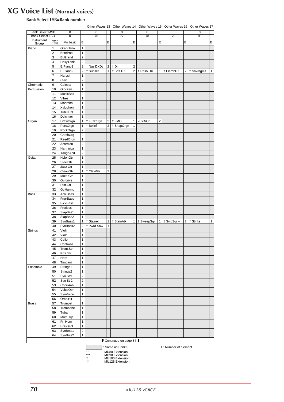# **XG Voice List (Normal voices)**

### **Bank Select LSB=Bank number**

| <b>Bank Select MSB</b><br>$\overline{0}$<br>0<br>0<br>0<br>0<br>0<br><b>Bank Select LSB</b><br>76<br>77<br>78<br>79<br>80<br>0<br>Instrument<br>Pgm#<br>Ε<br>E<br>Ε<br>E<br>Mu basic<br>Ε<br>$(1-128)$<br>Group<br>$\mathbf 1$<br>GrandPno<br>Piano<br>1<br>$\mathbf 1$<br>$\boldsymbol{2}$<br><b>BritePno</b><br>$\overline{\mathbf{c}}$<br>3<br>El.Grand<br>4<br>$\overline{\mathbf{c}}$<br>HnkyTonk<br>$\overline{c}$<br>5<br>E.Piano1<br>† NaslDXDt<br>2<br>† Din<br>$\overline{2}$<br>E.Piano2<br>$\overline{\mathbf{c}}$<br>† Sunset<br>† Soft DX<br>6<br>1<br>2<br>† Reso DX<br>† PiercnDX<br>2   † ShvrngDX<br>1<br>7<br>1<br>Harpsi.<br>8<br>$\overline{\mathbf{c}}$<br>Clavi<br>$\mathbf{1}$<br>9<br>Celesta<br>Chromatic<br>$\mathbf 1$<br>10<br>Percussion<br>Glocken<br>$\overline{c}$<br>MusicBox<br>11<br>$\mathbf{1}$<br>12<br>Vibes<br>$\mathbf{1}$<br>13<br>Marimba<br>$\mathbf{1}$<br>14<br>Xylophon<br>$\mathbf 1$<br>TubulBel<br>15<br>Dulcimer<br>$\mathbf{1}$<br>16<br>$\mathbf 1$<br>† FMO<br>2<br>Organ<br>17<br>DrawOrgn<br>† Fuzzorgn<br>2<br>70sDrOr3<br>1<br>$\mathbf{1}$<br>18<br>† Belief<br>$\overline{\mathbf{c}}$<br>1<br>PercOrgn<br>† SnapOrgn<br>$\overline{c}$<br>19<br>RockOrgn<br>$\overline{c}$<br>20<br>ChrchOrg<br>$\mathbf{1}$<br>21<br>ReedOrgn<br>$\overline{c}$<br>22<br>Acordion<br>$\mathbf 1$<br>23<br>Harmnica<br>$\overline{c}$<br>24<br>TangoAcd<br>$\mathbf 1$<br>Guitar<br>25<br>NylonGtr<br>$\mathbf 1$<br>26<br><b>SteelGtr</b><br>$\mathbf{1}$<br>27<br>Jazz Gtr<br>CleanGtr<br>$\mathbf{1}$<br>† ClaviGtr<br>$\overline{\mathbf{c}}$<br>28<br>$\mathbf{1}$<br>29<br>Mute Gtr<br>$\mathbf 1$<br>30<br>Ovrdrive<br>$\mathbf{1}$<br>31<br>Dist.Gtr<br>$\mathbf{1}$<br>32<br>GtrHarmo<br>$\mathbf{1}$<br>Aco.Bass<br>Bass<br>33<br>$\mathbf{1}$<br>34<br>FngrBass<br>$\mathbf 1$<br>35<br>PickBass<br>$\mathbf 1$<br>Fretless<br>36<br>$\mathbf{1}$<br>37<br>SlapBas1<br>$\mathbf{1}$<br>38<br>SlapBas2<br>$\mathbf{1}$<br>39<br>SynBass1<br>† Stainer<br>$\mathbf{1}$<br>† StainAtk<br>† SweepSqr<br>+ SwpSqr +<br>2<br>† Stinks<br>$\mathbf{1}$<br>1<br>40<br>$\overline{\mathbf{c}}$<br>SynBass2<br>† Pwrd Saw<br>1<br>$\mathbf{1}$<br><b>Strings</b><br>41<br>Violin<br>$\mathbf{1}$<br>42<br>Viola<br>1<br>43<br>Cello<br>$\mathbf{1}$<br>44<br>Contrabs<br>$\mathbf{1}$<br>45<br>Trem.Str<br>Pizz.Str<br>$\mathbf{1}$<br>46<br>1<br>47<br>Harp<br>$\mathbf{1}$<br>48<br>Timpani<br>1<br>Ensemble<br>49<br>Strings1<br>$\mathbf{1}$<br>50<br>Strings2<br>51<br>Syn Str1<br>2<br>$\overline{\mathbf{c}}$<br>52<br>Syn Str2<br>$\mathbf{1}$<br>53<br>ChoirAah<br>$\mathbf 1$<br>54<br>VoiceOoh<br>$\mathbf 1$<br>55<br>SynVoice<br>$\overline{c}$<br>Orch.Hit<br>56<br>$\mathbf 1$<br><b>Brass</b><br>57<br>Trumpet<br>$\mathbf 1$<br>58<br>Trombone<br>$\mathbf{1}$<br>59<br>Tuba<br>$\mathbf{1}$<br>60<br>Mute Trp<br>$\mathbf{1}$<br>Fr. Horn<br>61<br>$\mathbf 1$<br><b>BrssSect</b><br>62<br>$\overline{2}$<br>63<br>SynBrss1<br>$\mathbf{1}$<br>64<br>SynBrss2 |  |  |  | Other Waves 13 Other Waves 14 Other Waves 15 Other Waves 16 Other Waves 17 |  |  |  |              |
|--------------------------------------------------------------------------------------------------------------------------------------------------------------------------------------------------------------------------------------------------------------------------------------------------------------------------------------------------------------------------------------------------------------------------------------------------------------------------------------------------------------------------------------------------------------------------------------------------------------------------------------------------------------------------------------------------------------------------------------------------------------------------------------------------------------------------------------------------------------------------------------------------------------------------------------------------------------------------------------------------------------------------------------------------------------------------------------------------------------------------------------------------------------------------------------------------------------------------------------------------------------------------------------------------------------------------------------------------------------------------------------------------------------------------------------------------------------------------------------------------------------------------------------------------------------------------------------------------------------------------------------------------------------------------------------------------------------------------------------------------------------------------------------------------------------------------------------------------------------------------------------------------------------------------------------------------------------------------------------------------------------------------------------------------------------------------------------------------------------------------------------------------------------------------------------------------------------------------------------------------------------------------------------------------------------------------------------------------------------------------------------------------------------------------------------------------------------------------------------------------------------------------------------------------------------------------------------------------------------------------------------------------------------------------------------------------------------------------------------------------------------------------------------------------------------------------------------------------------------------------------------------------------------------------------------------------------------------------------------------------------------------------------|--|--|--|----------------------------------------------------------------------------|--|--|--|--------------|
|                                                                                                                                                                                                                                                                                                                                                                                                                                                                                                                                                                                                                                                                                                                                                                                                                                                                                                                                                                                                                                                                                                                                                                                                                                                                                                                                                                                                                                                                                                                                                                                                                                                                                                                                                                                                                                                                                                                                                                                                                                                                                                                                                                                                                                                                                                                                                                                                                                                                                                                                                                                                                                                                                                                                                                                                                                                                                                                                                                                                                                |  |  |  |                                                                            |  |  |  |              |
|                                                                                                                                                                                                                                                                                                                                                                                                                                                                                                                                                                                                                                                                                                                                                                                                                                                                                                                                                                                                                                                                                                                                                                                                                                                                                                                                                                                                                                                                                                                                                                                                                                                                                                                                                                                                                                                                                                                                                                                                                                                                                                                                                                                                                                                                                                                                                                                                                                                                                                                                                                                                                                                                                                                                                                                                                                                                                                                                                                                                                                |  |  |  |                                                                            |  |  |  |              |
|                                                                                                                                                                                                                                                                                                                                                                                                                                                                                                                                                                                                                                                                                                                                                                                                                                                                                                                                                                                                                                                                                                                                                                                                                                                                                                                                                                                                                                                                                                                                                                                                                                                                                                                                                                                                                                                                                                                                                                                                                                                                                                                                                                                                                                                                                                                                                                                                                                                                                                                                                                                                                                                                                                                                                                                                                                                                                                                                                                                                                                |  |  |  |                                                                            |  |  |  | Ε            |
|                                                                                                                                                                                                                                                                                                                                                                                                                                                                                                                                                                                                                                                                                                                                                                                                                                                                                                                                                                                                                                                                                                                                                                                                                                                                                                                                                                                                                                                                                                                                                                                                                                                                                                                                                                                                                                                                                                                                                                                                                                                                                                                                                                                                                                                                                                                                                                                                                                                                                                                                                                                                                                                                                                                                                                                                                                                                                                                                                                                                                                |  |  |  |                                                                            |  |  |  |              |
|                                                                                                                                                                                                                                                                                                                                                                                                                                                                                                                                                                                                                                                                                                                                                                                                                                                                                                                                                                                                                                                                                                                                                                                                                                                                                                                                                                                                                                                                                                                                                                                                                                                                                                                                                                                                                                                                                                                                                                                                                                                                                                                                                                                                                                                                                                                                                                                                                                                                                                                                                                                                                                                                                                                                                                                                                                                                                                                                                                                                                                |  |  |  |                                                                            |  |  |  |              |
|                                                                                                                                                                                                                                                                                                                                                                                                                                                                                                                                                                                                                                                                                                                                                                                                                                                                                                                                                                                                                                                                                                                                                                                                                                                                                                                                                                                                                                                                                                                                                                                                                                                                                                                                                                                                                                                                                                                                                                                                                                                                                                                                                                                                                                                                                                                                                                                                                                                                                                                                                                                                                                                                                                                                                                                                                                                                                                                                                                                                                                |  |  |  |                                                                            |  |  |  |              |
|                                                                                                                                                                                                                                                                                                                                                                                                                                                                                                                                                                                                                                                                                                                                                                                                                                                                                                                                                                                                                                                                                                                                                                                                                                                                                                                                                                                                                                                                                                                                                                                                                                                                                                                                                                                                                                                                                                                                                                                                                                                                                                                                                                                                                                                                                                                                                                                                                                                                                                                                                                                                                                                                                                                                                                                                                                                                                                                                                                                                                                |  |  |  |                                                                            |  |  |  |              |
|                                                                                                                                                                                                                                                                                                                                                                                                                                                                                                                                                                                                                                                                                                                                                                                                                                                                                                                                                                                                                                                                                                                                                                                                                                                                                                                                                                                                                                                                                                                                                                                                                                                                                                                                                                                                                                                                                                                                                                                                                                                                                                                                                                                                                                                                                                                                                                                                                                                                                                                                                                                                                                                                                                                                                                                                                                                                                                                                                                                                                                |  |  |  |                                                                            |  |  |  |              |
|                                                                                                                                                                                                                                                                                                                                                                                                                                                                                                                                                                                                                                                                                                                                                                                                                                                                                                                                                                                                                                                                                                                                                                                                                                                                                                                                                                                                                                                                                                                                                                                                                                                                                                                                                                                                                                                                                                                                                                                                                                                                                                                                                                                                                                                                                                                                                                                                                                                                                                                                                                                                                                                                                                                                                                                                                                                                                                                                                                                                                                |  |  |  |                                                                            |  |  |  | $\mathbf{1}$ |
|                                                                                                                                                                                                                                                                                                                                                                                                                                                                                                                                                                                                                                                                                                                                                                                                                                                                                                                                                                                                                                                                                                                                                                                                                                                                                                                                                                                                                                                                                                                                                                                                                                                                                                                                                                                                                                                                                                                                                                                                                                                                                                                                                                                                                                                                                                                                                                                                                                                                                                                                                                                                                                                                                                                                                                                                                                                                                                                                                                                                                                |  |  |  |                                                                            |  |  |  |              |
|                                                                                                                                                                                                                                                                                                                                                                                                                                                                                                                                                                                                                                                                                                                                                                                                                                                                                                                                                                                                                                                                                                                                                                                                                                                                                                                                                                                                                                                                                                                                                                                                                                                                                                                                                                                                                                                                                                                                                                                                                                                                                                                                                                                                                                                                                                                                                                                                                                                                                                                                                                                                                                                                                                                                                                                                                                                                                                                                                                                                                                |  |  |  |                                                                            |  |  |  |              |
|                                                                                                                                                                                                                                                                                                                                                                                                                                                                                                                                                                                                                                                                                                                                                                                                                                                                                                                                                                                                                                                                                                                                                                                                                                                                                                                                                                                                                                                                                                                                                                                                                                                                                                                                                                                                                                                                                                                                                                                                                                                                                                                                                                                                                                                                                                                                                                                                                                                                                                                                                                                                                                                                                                                                                                                                                                                                                                                                                                                                                                |  |  |  |                                                                            |  |  |  |              |
|                                                                                                                                                                                                                                                                                                                                                                                                                                                                                                                                                                                                                                                                                                                                                                                                                                                                                                                                                                                                                                                                                                                                                                                                                                                                                                                                                                                                                                                                                                                                                                                                                                                                                                                                                                                                                                                                                                                                                                                                                                                                                                                                                                                                                                                                                                                                                                                                                                                                                                                                                                                                                                                                                                                                                                                                                                                                                                                                                                                                                                |  |  |  |                                                                            |  |  |  |              |
|                                                                                                                                                                                                                                                                                                                                                                                                                                                                                                                                                                                                                                                                                                                                                                                                                                                                                                                                                                                                                                                                                                                                                                                                                                                                                                                                                                                                                                                                                                                                                                                                                                                                                                                                                                                                                                                                                                                                                                                                                                                                                                                                                                                                                                                                                                                                                                                                                                                                                                                                                                                                                                                                                                                                                                                                                                                                                                                                                                                                                                |  |  |  |                                                                            |  |  |  |              |
|                                                                                                                                                                                                                                                                                                                                                                                                                                                                                                                                                                                                                                                                                                                                                                                                                                                                                                                                                                                                                                                                                                                                                                                                                                                                                                                                                                                                                                                                                                                                                                                                                                                                                                                                                                                                                                                                                                                                                                                                                                                                                                                                                                                                                                                                                                                                                                                                                                                                                                                                                                                                                                                                                                                                                                                                                                                                                                                                                                                                                                |  |  |  |                                                                            |  |  |  |              |
|                                                                                                                                                                                                                                                                                                                                                                                                                                                                                                                                                                                                                                                                                                                                                                                                                                                                                                                                                                                                                                                                                                                                                                                                                                                                                                                                                                                                                                                                                                                                                                                                                                                                                                                                                                                                                                                                                                                                                                                                                                                                                                                                                                                                                                                                                                                                                                                                                                                                                                                                                                                                                                                                                                                                                                                                                                                                                                                                                                                                                                |  |  |  |                                                                            |  |  |  |              |
|                                                                                                                                                                                                                                                                                                                                                                                                                                                                                                                                                                                                                                                                                                                                                                                                                                                                                                                                                                                                                                                                                                                                                                                                                                                                                                                                                                                                                                                                                                                                                                                                                                                                                                                                                                                                                                                                                                                                                                                                                                                                                                                                                                                                                                                                                                                                                                                                                                                                                                                                                                                                                                                                                                                                                                                                                                                                                                                                                                                                                                |  |  |  |                                                                            |  |  |  |              |
|                                                                                                                                                                                                                                                                                                                                                                                                                                                                                                                                                                                                                                                                                                                                                                                                                                                                                                                                                                                                                                                                                                                                                                                                                                                                                                                                                                                                                                                                                                                                                                                                                                                                                                                                                                                                                                                                                                                                                                                                                                                                                                                                                                                                                                                                                                                                                                                                                                                                                                                                                                                                                                                                                                                                                                                                                                                                                                                                                                                                                                |  |  |  |                                                                            |  |  |  |              |
|                                                                                                                                                                                                                                                                                                                                                                                                                                                                                                                                                                                                                                                                                                                                                                                                                                                                                                                                                                                                                                                                                                                                                                                                                                                                                                                                                                                                                                                                                                                                                                                                                                                                                                                                                                                                                                                                                                                                                                                                                                                                                                                                                                                                                                                                                                                                                                                                                                                                                                                                                                                                                                                                                                                                                                                                                                                                                                                                                                                                                                |  |  |  |                                                                            |  |  |  |              |
|                                                                                                                                                                                                                                                                                                                                                                                                                                                                                                                                                                                                                                                                                                                                                                                                                                                                                                                                                                                                                                                                                                                                                                                                                                                                                                                                                                                                                                                                                                                                                                                                                                                                                                                                                                                                                                                                                                                                                                                                                                                                                                                                                                                                                                                                                                                                                                                                                                                                                                                                                                                                                                                                                                                                                                                                                                                                                                                                                                                                                                |  |  |  |                                                                            |  |  |  |              |
|                                                                                                                                                                                                                                                                                                                                                                                                                                                                                                                                                                                                                                                                                                                                                                                                                                                                                                                                                                                                                                                                                                                                                                                                                                                                                                                                                                                                                                                                                                                                                                                                                                                                                                                                                                                                                                                                                                                                                                                                                                                                                                                                                                                                                                                                                                                                                                                                                                                                                                                                                                                                                                                                                                                                                                                                                                                                                                                                                                                                                                |  |  |  |                                                                            |  |  |  |              |
|                                                                                                                                                                                                                                                                                                                                                                                                                                                                                                                                                                                                                                                                                                                                                                                                                                                                                                                                                                                                                                                                                                                                                                                                                                                                                                                                                                                                                                                                                                                                                                                                                                                                                                                                                                                                                                                                                                                                                                                                                                                                                                                                                                                                                                                                                                                                                                                                                                                                                                                                                                                                                                                                                                                                                                                                                                                                                                                                                                                                                                |  |  |  |                                                                            |  |  |  |              |
|                                                                                                                                                                                                                                                                                                                                                                                                                                                                                                                                                                                                                                                                                                                                                                                                                                                                                                                                                                                                                                                                                                                                                                                                                                                                                                                                                                                                                                                                                                                                                                                                                                                                                                                                                                                                                                                                                                                                                                                                                                                                                                                                                                                                                                                                                                                                                                                                                                                                                                                                                                                                                                                                                                                                                                                                                                                                                                                                                                                                                                |  |  |  |                                                                            |  |  |  |              |
|                                                                                                                                                                                                                                                                                                                                                                                                                                                                                                                                                                                                                                                                                                                                                                                                                                                                                                                                                                                                                                                                                                                                                                                                                                                                                                                                                                                                                                                                                                                                                                                                                                                                                                                                                                                                                                                                                                                                                                                                                                                                                                                                                                                                                                                                                                                                                                                                                                                                                                                                                                                                                                                                                                                                                                                                                                                                                                                                                                                                                                |  |  |  |                                                                            |  |  |  |              |
|                                                                                                                                                                                                                                                                                                                                                                                                                                                                                                                                                                                                                                                                                                                                                                                                                                                                                                                                                                                                                                                                                                                                                                                                                                                                                                                                                                                                                                                                                                                                                                                                                                                                                                                                                                                                                                                                                                                                                                                                                                                                                                                                                                                                                                                                                                                                                                                                                                                                                                                                                                                                                                                                                                                                                                                                                                                                                                                                                                                                                                |  |  |  |                                                                            |  |  |  |              |
|                                                                                                                                                                                                                                                                                                                                                                                                                                                                                                                                                                                                                                                                                                                                                                                                                                                                                                                                                                                                                                                                                                                                                                                                                                                                                                                                                                                                                                                                                                                                                                                                                                                                                                                                                                                                                                                                                                                                                                                                                                                                                                                                                                                                                                                                                                                                                                                                                                                                                                                                                                                                                                                                                                                                                                                                                                                                                                                                                                                                                                |  |  |  |                                                                            |  |  |  |              |
|                                                                                                                                                                                                                                                                                                                                                                                                                                                                                                                                                                                                                                                                                                                                                                                                                                                                                                                                                                                                                                                                                                                                                                                                                                                                                                                                                                                                                                                                                                                                                                                                                                                                                                                                                                                                                                                                                                                                                                                                                                                                                                                                                                                                                                                                                                                                                                                                                                                                                                                                                                                                                                                                                                                                                                                                                                                                                                                                                                                                                                |  |  |  |                                                                            |  |  |  |              |
|                                                                                                                                                                                                                                                                                                                                                                                                                                                                                                                                                                                                                                                                                                                                                                                                                                                                                                                                                                                                                                                                                                                                                                                                                                                                                                                                                                                                                                                                                                                                                                                                                                                                                                                                                                                                                                                                                                                                                                                                                                                                                                                                                                                                                                                                                                                                                                                                                                                                                                                                                                                                                                                                                                                                                                                                                                                                                                                                                                                                                                |  |  |  |                                                                            |  |  |  |              |
|                                                                                                                                                                                                                                                                                                                                                                                                                                                                                                                                                                                                                                                                                                                                                                                                                                                                                                                                                                                                                                                                                                                                                                                                                                                                                                                                                                                                                                                                                                                                                                                                                                                                                                                                                                                                                                                                                                                                                                                                                                                                                                                                                                                                                                                                                                                                                                                                                                                                                                                                                                                                                                                                                                                                                                                                                                                                                                                                                                                                                                |  |  |  |                                                                            |  |  |  |              |
|                                                                                                                                                                                                                                                                                                                                                                                                                                                                                                                                                                                                                                                                                                                                                                                                                                                                                                                                                                                                                                                                                                                                                                                                                                                                                                                                                                                                                                                                                                                                                                                                                                                                                                                                                                                                                                                                                                                                                                                                                                                                                                                                                                                                                                                                                                                                                                                                                                                                                                                                                                                                                                                                                                                                                                                                                                                                                                                                                                                                                                |  |  |  |                                                                            |  |  |  |              |
|                                                                                                                                                                                                                                                                                                                                                                                                                                                                                                                                                                                                                                                                                                                                                                                                                                                                                                                                                                                                                                                                                                                                                                                                                                                                                                                                                                                                                                                                                                                                                                                                                                                                                                                                                                                                                                                                                                                                                                                                                                                                                                                                                                                                                                                                                                                                                                                                                                                                                                                                                                                                                                                                                                                                                                                                                                                                                                                                                                                                                                |  |  |  |                                                                            |  |  |  |              |
|                                                                                                                                                                                                                                                                                                                                                                                                                                                                                                                                                                                                                                                                                                                                                                                                                                                                                                                                                                                                                                                                                                                                                                                                                                                                                                                                                                                                                                                                                                                                                                                                                                                                                                                                                                                                                                                                                                                                                                                                                                                                                                                                                                                                                                                                                                                                                                                                                                                                                                                                                                                                                                                                                                                                                                                                                                                                                                                                                                                                                                |  |  |  |                                                                            |  |  |  |              |
|                                                                                                                                                                                                                                                                                                                                                                                                                                                                                                                                                                                                                                                                                                                                                                                                                                                                                                                                                                                                                                                                                                                                                                                                                                                                                                                                                                                                                                                                                                                                                                                                                                                                                                                                                                                                                                                                                                                                                                                                                                                                                                                                                                                                                                                                                                                                                                                                                                                                                                                                                                                                                                                                                                                                                                                                                                                                                                                                                                                                                                |  |  |  |                                                                            |  |  |  |              |
|                                                                                                                                                                                                                                                                                                                                                                                                                                                                                                                                                                                                                                                                                                                                                                                                                                                                                                                                                                                                                                                                                                                                                                                                                                                                                                                                                                                                                                                                                                                                                                                                                                                                                                                                                                                                                                                                                                                                                                                                                                                                                                                                                                                                                                                                                                                                                                                                                                                                                                                                                                                                                                                                                                                                                                                                                                                                                                                                                                                                                                |  |  |  |                                                                            |  |  |  |              |
|                                                                                                                                                                                                                                                                                                                                                                                                                                                                                                                                                                                                                                                                                                                                                                                                                                                                                                                                                                                                                                                                                                                                                                                                                                                                                                                                                                                                                                                                                                                                                                                                                                                                                                                                                                                                                                                                                                                                                                                                                                                                                                                                                                                                                                                                                                                                                                                                                                                                                                                                                                                                                                                                                                                                                                                                                                                                                                                                                                                                                                |  |  |  |                                                                            |  |  |  |              |
|                                                                                                                                                                                                                                                                                                                                                                                                                                                                                                                                                                                                                                                                                                                                                                                                                                                                                                                                                                                                                                                                                                                                                                                                                                                                                                                                                                                                                                                                                                                                                                                                                                                                                                                                                                                                                                                                                                                                                                                                                                                                                                                                                                                                                                                                                                                                                                                                                                                                                                                                                                                                                                                                                                                                                                                                                                                                                                                                                                                                                                |  |  |  |                                                                            |  |  |  |              |
|                                                                                                                                                                                                                                                                                                                                                                                                                                                                                                                                                                                                                                                                                                                                                                                                                                                                                                                                                                                                                                                                                                                                                                                                                                                                                                                                                                                                                                                                                                                                                                                                                                                                                                                                                                                                                                                                                                                                                                                                                                                                                                                                                                                                                                                                                                                                                                                                                                                                                                                                                                                                                                                                                                                                                                                                                                                                                                                                                                                                                                |  |  |  |                                                                            |  |  |  |              |
|                                                                                                                                                                                                                                                                                                                                                                                                                                                                                                                                                                                                                                                                                                                                                                                                                                                                                                                                                                                                                                                                                                                                                                                                                                                                                                                                                                                                                                                                                                                                                                                                                                                                                                                                                                                                                                                                                                                                                                                                                                                                                                                                                                                                                                                                                                                                                                                                                                                                                                                                                                                                                                                                                                                                                                                                                                                                                                                                                                                                                                |  |  |  |                                                                            |  |  |  |              |
|                                                                                                                                                                                                                                                                                                                                                                                                                                                                                                                                                                                                                                                                                                                                                                                                                                                                                                                                                                                                                                                                                                                                                                                                                                                                                                                                                                                                                                                                                                                                                                                                                                                                                                                                                                                                                                                                                                                                                                                                                                                                                                                                                                                                                                                                                                                                                                                                                                                                                                                                                                                                                                                                                                                                                                                                                                                                                                                                                                                                                                |  |  |  |                                                                            |  |  |  |              |
|                                                                                                                                                                                                                                                                                                                                                                                                                                                                                                                                                                                                                                                                                                                                                                                                                                                                                                                                                                                                                                                                                                                                                                                                                                                                                                                                                                                                                                                                                                                                                                                                                                                                                                                                                                                                                                                                                                                                                                                                                                                                                                                                                                                                                                                                                                                                                                                                                                                                                                                                                                                                                                                                                                                                                                                                                                                                                                                                                                                                                                |  |  |  |                                                                            |  |  |  |              |
|                                                                                                                                                                                                                                                                                                                                                                                                                                                                                                                                                                                                                                                                                                                                                                                                                                                                                                                                                                                                                                                                                                                                                                                                                                                                                                                                                                                                                                                                                                                                                                                                                                                                                                                                                                                                                                                                                                                                                                                                                                                                                                                                                                                                                                                                                                                                                                                                                                                                                                                                                                                                                                                                                                                                                                                                                                                                                                                                                                                                                                |  |  |  |                                                                            |  |  |  |              |
|                                                                                                                                                                                                                                                                                                                                                                                                                                                                                                                                                                                                                                                                                                                                                                                                                                                                                                                                                                                                                                                                                                                                                                                                                                                                                                                                                                                                                                                                                                                                                                                                                                                                                                                                                                                                                                                                                                                                                                                                                                                                                                                                                                                                                                                                                                                                                                                                                                                                                                                                                                                                                                                                                                                                                                                                                                                                                                                                                                                                                                |  |  |  |                                                                            |  |  |  | $\mathbf{1}$ |
|                                                                                                                                                                                                                                                                                                                                                                                                                                                                                                                                                                                                                                                                                                                                                                                                                                                                                                                                                                                                                                                                                                                                                                                                                                                                                                                                                                                                                                                                                                                                                                                                                                                                                                                                                                                                                                                                                                                                                                                                                                                                                                                                                                                                                                                                                                                                                                                                                                                                                                                                                                                                                                                                                                                                                                                                                                                                                                                                                                                                                                |  |  |  |                                                                            |  |  |  |              |
|                                                                                                                                                                                                                                                                                                                                                                                                                                                                                                                                                                                                                                                                                                                                                                                                                                                                                                                                                                                                                                                                                                                                                                                                                                                                                                                                                                                                                                                                                                                                                                                                                                                                                                                                                                                                                                                                                                                                                                                                                                                                                                                                                                                                                                                                                                                                                                                                                                                                                                                                                                                                                                                                                                                                                                                                                                                                                                                                                                                                                                |  |  |  |                                                                            |  |  |  |              |
|                                                                                                                                                                                                                                                                                                                                                                                                                                                                                                                                                                                                                                                                                                                                                                                                                                                                                                                                                                                                                                                                                                                                                                                                                                                                                                                                                                                                                                                                                                                                                                                                                                                                                                                                                                                                                                                                                                                                                                                                                                                                                                                                                                                                                                                                                                                                                                                                                                                                                                                                                                                                                                                                                                                                                                                                                                                                                                                                                                                                                                |  |  |  |                                                                            |  |  |  |              |
|                                                                                                                                                                                                                                                                                                                                                                                                                                                                                                                                                                                                                                                                                                                                                                                                                                                                                                                                                                                                                                                                                                                                                                                                                                                                                                                                                                                                                                                                                                                                                                                                                                                                                                                                                                                                                                                                                                                                                                                                                                                                                                                                                                                                                                                                                                                                                                                                                                                                                                                                                                                                                                                                                                                                                                                                                                                                                                                                                                                                                                |  |  |  |                                                                            |  |  |  |              |
|                                                                                                                                                                                                                                                                                                                                                                                                                                                                                                                                                                                                                                                                                                                                                                                                                                                                                                                                                                                                                                                                                                                                                                                                                                                                                                                                                                                                                                                                                                                                                                                                                                                                                                                                                                                                                                                                                                                                                                                                                                                                                                                                                                                                                                                                                                                                                                                                                                                                                                                                                                                                                                                                                                                                                                                                                                                                                                                                                                                                                                |  |  |  |                                                                            |  |  |  |              |
|                                                                                                                                                                                                                                                                                                                                                                                                                                                                                                                                                                                                                                                                                                                                                                                                                                                                                                                                                                                                                                                                                                                                                                                                                                                                                                                                                                                                                                                                                                                                                                                                                                                                                                                                                                                                                                                                                                                                                                                                                                                                                                                                                                                                                                                                                                                                                                                                                                                                                                                                                                                                                                                                                                                                                                                                                                                                                                                                                                                                                                |  |  |  |                                                                            |  |  |  |              |
|                                                                                                                                                                                                                                                                                                                                                                                                                                                                                                                                                                                                                                                                                                                                                                                                                                                                                                                                                                                                                                                                                                                                                                                                                                                                                                                                                                                                                                                                                                                                                                                                                                                                                                                                                                                                                                                                                                                                                                                                                                                                                                                                                                                                                                                                                                                                                                                                                                                                                                                                                                                                                                                                                                                                                                                                                                                                                                                                                                                                                                |  |  |  |                                                                            |  |  |  |              |
|                                                                                                                                                                                                                                                                                                                                                                                                                                                                                                                                                                                                                                                                                                                                                                                                                                                                                                                                                                                                                                                                                                                                                                                                                                                                                                                                                                                                                                                                                                                                                                                                                                                                                                                                                                                                                                                                                                                                                                                                                                                                                                                                                                                                                                                                                                                                                                                                                                                                                                                                                                                                                                                                                                                                                                                                                                                                                                                                                                                                                                |  |  |  |                                                                            |  |  |  |              |
|                                                                                                                                                                                                                                                                                                                                                                                                                                                                                                                                                                                                                                                                                                                                                                                                                                                                                                                                                                                                                                                                                                                                                                                                                                                                                                                                                                                                                                                                                                                                                                                                                                                                                                                                                                                                                                                                                                                                                                                                                                                                                                                                                                                                                                                                                                                                                                                                                                                                                                                                                                                                                                                                                                                                                                                                                                                                                                                                                                                                                                |  |  |  |                                                                            |  |  |  |              |
|                                                                                                                                                                                                                                                                                                                                                                                                                                                                                                                                                                                                                                                                                                                                                                                                                                                                                                                                                                                                                                                                                                                                                                                                                                                                                                                                                                                                                                                                                                                                                                                                                                                                                                                                                                                                                                                                                                                                                                                                                                                                                                                                                                                                                                                                                                                                                                                                                                                                                                                                                                                                                                                                                                                                                                                                                                                                                                                                                                                                                                |  |  |  |                                                                            |  |  |  |              |
|                                                                                                                                                                                                                                                                                                                                                                                                                                                                                                                                                                                                                                                                                                                                                                                                                                                                                                                                                                                                                                                                                                                                                                                                                                                                                                                                                                                                                                                                                                                                                                                                                                                                                                                                                                                                                                                                                                                                                                                                                                                                                                                                                                                                                                                                                                                                                                                                                                                                                                                                                                                                                                                                                                                                                                                                                                                                                                                                                                                                                                |  |  |  |                                                                            |  |  |  |              |
|                                                                                                                                                                                                                                                                                                                                                                                                                                                                                                                                                                                                                                                                                                                                                                                                                                                                                                                                                                                                                                                                                                                                                                                                                                                                                                                                                                                                                                                                                                                                                                                                                                                                                                                                                                                                                                                                                                                                                                                                                                                                                                                                                                                                                                                                                                                                                                                                                                                                                                                                                                                                                                                                                                                                                                                                                                                                                                                                                                                                                                |  |  |  |                                                                            |  |  |  |              |
|                                                                                                                                                                                                                                                                                                                                                                                                                                                                                                                                                                                                                                                                                                                                                                                                                                                                                                                                                                                                                                                                                                                                                                                                                                                                                                                                                                                                                                                                                                                                                                                                                                                                                                                                                                                                                                                                                                                                                                                                                                                                                                                                                                                                                                                                                                                                                                                                                                                                                                                                                                                                                                                                                                                                                                                                                                                                                                                                                                                                                                |  |  |  |                                                                            |  |  |  |              |
|                                                                                                                                                                                                                                                                                                                                                                                                                                                                                                                                                                                                                                                                                                                                                                                                                                                                                                                                                                                                                                                                                                                                                                                                                                                                                                                                                                                                                                                                                                                                                                                                                                                                                                                                                                                                                                                                                                                                                                                                                                                                                                                                                                                                                                                                                                                                                                                                                                                                                                                                                                                                                                                                                                                                                                                                                                                                                                                                                                                                                                |  |  |  |                                                                            |  |  |  |              |
|                                                                                                                                                                                                                                                                                                                                                                                                                                                                                                                                                                                                                                                                                                                                                                                                                                                                                                                                                                                                                                                                                                                                                                                                                                                                                                                                                                                                                                                                                                                                                                                                                                                                                                                                                                                                                                                                                                                                                                                                                                                                                                                                                                                                                                                                                                                                                                                                                                                                                                                                                                                                                                                                                                                                                                                                                                                                                                                                                                                                                                |  |  |  |                                                                            |  |  |  |              |
|                                                                                                                                                                                                                                                                                                                                                                                                                                                                                                                                                                                                                                                                                                                                                                                                                                                                                                                                                                                                                                                                                                                                                                                                                                                                                                                                                                                                                                                                                                                                                                                                                                                                                                                                                                                                                                                                                                                                                                                                                                                                                                                                                                                                                                                                                                                                                                                                                                                                                                                                                                                                                                                                                                                                                                                                                                                                                                                                                                                                                                |  |  |  |                                                                            |  |  |  |              |
|                                                                                                                                                                                                                                                                                                                                                                                                                                                                                                                                                                                                                                                                                                                                                                                                                                                                                                                                                                                                                                                                                                                                                                                                                                                                                                                                                                                                                                                                                                                                                                                                                                                                                                                                                                                                                                                                                                                                                                                                                                                                                                                                                                                                                                                                                                                                                                                                                                                                                                                                                                                                                                                                                                                                                                                                                                                                                                                                                                                                                                |  |  |  |                                                                            |  |  |  |              |
|                                                                                                                                                                                                                                                                                                                                                                                                                                                                                                                                                                                                                                                                                                                                                                                                                                                                                                                                                                                                                                                                                                                                                                                                                                                                                                                                                                                                                                                                                                                                                                                                                                                                                                                                                                                                                                                                                                                                                                                                                                                                                                                                                                                                                                                                                                                                                                                                                                                                                                                                                                                                                                                                                                                                                                                                                                                                                                                                                                                                                                |  |  |  |                                                                            |  |  |  |              |
|                                                                                                                                                                                                                                                                                                                                                                                                                                                                                                                                                                                                                                                                                                                                                                                                                                                                                                                                                                                                                                                                                                                                                                                                                                                                                                                                                                                                                                                                                                                                                                                                                                                                                                                                                                                                                                                                                                                                                                                                                                                                                                                                                                                                                                                                                                                                                                                                                                                                                                                                                                                                                                                                                                                                                                                                                                                                                                                                                                                                                                |  |  |  |                                                                            |  |  |  |              |
|                                                                                                                                                                                                                                                                                                                                                                                                                                                                                                                                                                                                                                                                                                                                                                                                                                                                                                                                                                                                                                                                                                                                                                                                                                                                                                                                                                                                                                                                                                                                                                                                                                                                                                                                                                                                                                                                                                                                                                                                                                                                                                                                                                                                                                                                                                                                                                                                                                                                                                                                                                                                                                                                                                                                                                                                                                                                                                                                                                                                                                |  |  |  |                                                                            |  |  |  |              |
|                                                                                                                                                                                                                                                                                                                                                                                                                                                                                                                                                                                                                                                                                                                                                                                                                                                                                                                                                                                                                                                                                                                                                                                                                                                                                                                                                                                                                                                                                                                                                                                                                                                                                                                                                                                                                                                                                                                                                                                                                                                                                                                                                                                                                                                                                                                                                                                                                                                                                                                                                                                                                                                                                                                                                                                                                                                                                                                                                                                                                                |  |  |  |                                                                            |  |  |  |              |
|                                                                                                                                                                                                                                                                                                                                                                                                                                                                                                                                                                                                                                                                                                                                                                                                                                                                                                                                                                                                                                                                                                                                                                                                                                                                                                                                                                                                                                                                                                                                                                                                                                                                                                                                                                                                                                                                                                                                                                                                                                                                                                                                                                                                                                                                                                                                                                                                                                                                                                                                                                                                                                                                                                                                                                                                                                                                                                                                                                                                                                |  |  |  |                                                                            |  |  |  |              |
|                                                                                                                                                                                                                                                                                                                                                                                                                                                                                                                                                                                                                                                                                                                                                                                                                                                                                                                                                                                                                                                                                                                                                                                                                                                                                                                                                                                                                                                                                                                                                                                                                                                                                                                                                                                                                                                                                                                                                                                                                                                                                                                                                                                                                                                                                                                                                                                                                                                                                                                                                                                                                                                                                                                                                                                                                                                                                                                                                                                                                                |  |  |  |                                                                            |  |  |  |              |
|                                                                                                                                                                                                                                                                                                                                                                                                                                                                                                                                                                                                                                                                                                                                                                                                                                                                                                                                                                                                                                                                                                                                                                                                                                                                                                                                                                                                                                                                                                                                                                                                                                                                                                                                                                                                                                                                                                                                                                                                                                                                                                                                                                                                                                                                                                                                                                                                                                                                                                                                                                                                                                                                                                                                                                                                                                                                                                                                                                                                                                |  |  |  |                                                                            |  |  |  |              |
|                                                                                                                                                                                                                                                                                                                                                                                                                                                                                                                                                                                                                                                                                                                                                                                                                                                                                                                                                                                                                                                                                                                                                                                                                                                                                                                                                                                                                                                                                                                                                                                                                                                                                                                                                                                                                                                                                                                                                                                                                                                                                                                                                                                                                                                                                                                                                                                                                                                                                                                                                                                                                                                                                                                                                                                                                                                                                                                                                                                                                                |  |  |  |                                                                            |  |  |  |              |
| Continued on page 84 ♦                                                                                                                                                                                                                                                                                                                                                                                                                                                                                                                                                                                                                                                                                                                                                                                                                                                                                                                                                                                                                                                                                                                                                                                                                                                                                                                                                                                                                                                                                                                                                                                                                                                                                                                                                                                                                                                                                                                                                                                                                                                                                                                                                                                                                                                                                                                                                                                                                                                                                                                                                                                                                                                                                                                                                                                                                                                                                                                                                                                                         |  |  |  |                                                                            |  |  |  |              |

# : Same as Bank 0

E: Number of element

<sup>\*\* :</sup> MU80 Extension \*\*\* : MU90 Extension † : MU100 Extension †† : MU128 Extension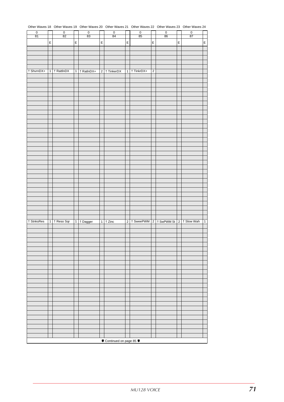| $\frac{0}{81}$ |   | $\frac{0}{82}$ |             | $\frac{0}{83}$   |   | $\frac{0}{84}$         |   | $\frac{0}{85}$                            |             | $\frac{0}{86}$ |   | $\frac{0}{87}$ |             |
|----------------|---|----------------|-------------|------------------|---|------------------------|---|-------------------------------------------|-------------|----------------|---|----------------|-------------|
|                |   |                |             |                  |   |                        |   |                                           |             |                |   |                |             |
|                | E |                | $\mathsf E$ |                  | E |                        | E |                                           | E           |                | E |                | E           |
|                |   |                |             |                  |   |                        |   |                                           |             |                |   |                |             |
|                |   |                |             |                  |   |                        |   |                                           |             |                |   |                |             |
|                |   |                |             |                  |   |                        |   |                                           |             |                |   |                |             |
|                |   |                |             |                  |   |                        |   |                                           |             |                |   |                |             |
|                |   |                |             |                  |   |                        |   |                                           |             |                |   |                |             |
|                |   |                |             |                  |   |                        |   |                                           |             |                |   |                |             |
|                |   |                |             |                  |   |                        |   |                                           |             |                |   |                |             |
| † ShvrnDX+     |   | 1   † RattlnDX |             | $1$   † RatlnDX+ |   | 2   TinkerDX           |   | 1   TinkrDX+                              | $\mathbf 2$ |                |   |                |             |
|                |   |                |             |                  |   |                        |   |                                           |             |                |   |                |             |
|                |   |                |             |                  |   |                        |   |                                           |             |                |   |                |             |
|                |   |                |             |                  |   |                        |   |                                           |             |                |   |                |             |
|                |   |                |             |                  |   |                        |   |                                           |             |                |   |                |             |
|                |   |                |             |                  |   |                        |   |                                           |             |                |   |                |             |
|                |   |                |             |                  |   |                        |   |                                           |             |                |   |                |             |
|                |   |                |             |                  |   |                        |   |                                           |             |                |   |                |             |
|                |   |                |             |                  |   |                        |   |                                           |             |                |   |                |             |
|                |   |                |             |                  |   |                        |   |                                           |             |                |   |                |             |
|                |   |                |             |                  |   |                        |   |                                           |             |                |   |                |             |
|                |   |                |             |                  |   |                        |   |                                           |             |                |   |                |             |
|                |   |                |             |                  |   |                        |   |                                           |             |                |   |                |             |
|                |   |                |             |                  |   |                        |   |                                           |             |                |   |                |             |
|                |   |                |             |                  |   |                        |   |                                           |             |                |   |                |             |
|                |   |                |             |                  |   |                        |   |                                           |             |                |   |                |             |
|                |   |                |             |                  |   |                        |   |                                           |             |                |   |                |             |
|                |   |                |             |                  |   |                        |   |                                           |             |                |   |                |             |
|                |   |                |             |                  |   |                        |   |                                           |             |                |   |                |             |
|                |   |                |             |                  |   |                        |   |                                           |             |                |   |                |             |
|                |   |                |             |                  |   |                        |   |                                           |             |                |   |                |             |
|                |   |                |             |                  |   |                        |   |                                           |             |                |   |                |             |
|                |   |                |             |                  |   |                        |   |                                           |             |                |   |                |             |
|                |   |                |             |                  |   |                        |   |                                           |             |                |   |                |             |
|                |   |                |             |                  |   |                        |   |                                           |             |                |   |                |             |
|                |   |                |             |                  |   |                        |   |                                           |             |                |   |                |             |
|                |   |                |             |                  |   |                        |   |                                           |             |                |   |                |             |
|                |   |                |             |                  |   |                        |   |                                           |             |                |   |                |             |
|                |   |                |             |                  |   |                        |   |                                           |             |                |   |                |             |
|                |   |                |             |                  |   |                        |   |                                           |             |                |   |                |             |
|                |   |                |             |                  |   |                        |   |                                           |             |                |   |                |             |
|                |   |                |             |                  |   |                        |   |                                           |             |                |   |                |             |
|                |   |                |             |                  |   |                        |   |                                           |             |                |   |                |             |
|                |   |                |             |                  |   |                        |   |                                           |             |                |   |                |             |
|                |   |                |             |                  |   |                        |   |                                           |             |                |   |                |             |
|                |   |                |             |                  |   |                        |   |                                           |             |                |   |                |             |
|                |   |                |             |                  |   |                        |   |                                           |             |                |   |                |             |
|                |   |                |             |                  |   |                        |   |                                           |             |                |   |                |             |
|                |   |                |             |                  |   |                        |   |                                           |             |                |   |                |             |
|                |   |                |             |                  |   |                        |   |                                           |             |                |   |                |             |
|                |   |                |             |                  |   |                        |   |                                           |             |                |   |                |             |
|                |   |                |             |                  |   |                        |   |                                           |             |                |   |                |             |
|                |   |                |             |                  |   |                        |   |                                           |             |                |   |                |             |
| † StnksRes     |   | $1 + Reso$ Sqr |             | 1   Dagger       |   | $1 + Zinc$             |   | 2   SweePWM $2$   SwPWM St $2$   Slow Wah |             |                |   |                | $\boxed{1}$ |
|                |   |                |             |                  |   |                        |   |                                           |             |                |   |                |             |
|                |   |                |             |                  |   |                        |   |                                           |             |                |   |                |             |
|                |   |                |             |                  |   |                        |   |                                           |             |                |   |                |             |
|                |   |                |             |                  |   |                        |   |                                           |             |                |   |                |             |
|                |   |                |             |                  |   |                        |   |                                           |             |                |   |                |             |
|                |   |                |             |                  |   |                        |   |                                           |             |                |   |                |             |
|                |   |                |             |                  |   |                        |   |                                           |             |                |   |                |             |
|                |   |                |             |                  |   |                        |   |                                           |             |                |   |                |             |
|                |   |                |             |                  |   |                        |   |                                           |             |                |   |                |             |
|                |   |                |             |                  |   |                        |   |                                           |             |                |   |                |             |
|                |   |                |             |                  |   |                        |   |                                           |             |                |   |                |             |
|                |   |                |             |                  |   |                        |   |                                           |             |                |   |                |             |
|                |   |                |             |                  |   |                        |   |                                           |             |                |   |                |             |
|                |   |                |             |                  |   |                        |   |                                           |             |                |   |                |             |
|                |   |                |             |                  |   |                        |   |                                           |             |                |   |                |             |
|                |   |                |             |                  |   |                        |   |                                           |             |                |   |                |             |
|                |   |                |             |                  |   |                        |   |                                           |             |                |   |                |             |
|                |   |                |             |                  |   |                        |   |                                           |             |                |   |                |             |
|                |   |                |             |                  |   |                        |   |                                           |             |                |   |                |             |
|                |   |                |             |                  |   |                        |   |                                           |             |                |   |                |             |
|                |   |                |             |                  |   |                        |   |                                           |             |                |   |                |             |
|                |   |                |             |                  |   |                        |   |                                           |             |                |   |                |             |
|                |   |                |             |                  |   |                        |   |                                           |             |                |   |                |             |
|                |   |                |             |                  |   |                        |   |                                           |             |                |   |                |             |
|                |   |                |             |                  |   |                        |   |                                           |             |                |   |                |             |
|                |   |                |             |                  |   |                        |   |                                           |             |                |   |                |             |
|                |   |                |             |                  |   |                        |   |                                           |             |                |   |                |             |
|                |   |                |             |                  |   |                        |   |                                           |             |                |   |                |             |
|                |   |                |             |                  |   |                        |   |                                           |             |                |   |                |             |
|                |   |                |             |                  |   |                        |   |                                           |             |                |   |                |             |
|                |   |                |             |                  |   |                        |   |                                           |             |                |   |                |             |
|                |   |                |             |                  |   |                        |   |                                           |             |                |   |                |             |
|                |   |                |             |                  |   | Continued on page 85 ♦ |   |                                           |             |                |   |                |             |

Other Waves 18 Other Waves 19 Other Waves 20 Other Waves 21 Other Waves 22 Other Waves 23 Other Waves 24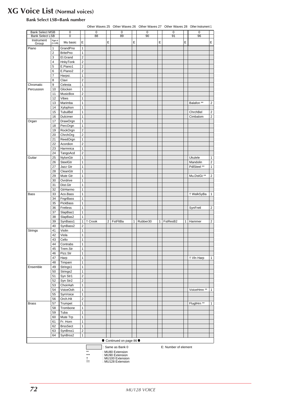# **XG Voice List (Normal voices)**

#### **Bank Select LSB=Bank number**

|                                                  |                     |                      |                         |                      |   | Other Waves 25 Other Waves 26 Other Waves 27 Other Waves 28 Other Instrument 1 |   |          |   |          |   |             |                         |
|--------------------------------------------------|---------------------|----------------------|-------------------------|----------------------|---|--------------------------------------------------------------------------------|---|----------|---|----------|---|-------------|-------------------------|
| <b>Bank Select MSB</b><br><b>Bank Select LSB</b> |                     | 0<br>0               |                         | $\overline{0}$<br>88 |   | 0<br>89                                                                        |   | 0<br>90  |   | 0<br>91  |   | 0<br>96     |                         |
| Instrument<br>Group                              | Pgm#<br>$(1 - 128)$ | Mu basic             | Е                       |                      | Ε |                                                                                | Е |          | E |          | Е |             | E                       |
| Piano                                            | 1                   | GrandPno             | 1                       |                      |   |                                                                                |   |          |   |          |   |             |                         |
|                                                  | $\boldsymbol{2}$    | <b>BritePno</b>      | $\mathbf{1}$            |                      |   |                                                                                |   |          |   |          |   |             |                         |
|                                                  | 3                   | El.Grand             | $\overline{\mathbf{c}}$ |                      |   |                                                                                |   |          |   |          |   |             |                         |
|                                                  | 4                   | HnkyTonk             | $\overline{\mathbf{c}}$ |                      |   |                                                                                |   |          |   |          |   |             |                         |
|                                                  | 5                   | E.Piano1             | $\overline{2}$          |                      |   |                                                                                |   |          |   |          |   |             |                         |
|                                                  | 6                   | E.Piano2             | $\mathbf 2$             |                      |   |                                                                                |   |          |   |          |   |             |                         |
|                                                  | $\overline{7}$      | Harpsi.              | $\mathbf{1}$            |                      |   |                                                                                |   |          |   |          |   |             |                         |
|                                                  | 8                   | Clavi                | $\boldsymbol{2}$        |                      |   |                                                                                |   |          |   |          |   |             |                         |
| Chromatic                                        | 9                   | Celesta              | $\mathbf{1}$            |                      |   |                                                                                |   |          |   |          |   |             |                         |
| Percussion                                       | 10                  | Glocken              | $\mathbf{1}$            |                      |   |                                                                                |   |          |   |          |   |             |                         |
|                                                  | 11                  | <b>MusicBox</b>      | $\overline{\mathbf{c}}$ |                      |   |                                                                                |   |          |   |          |   |             |                         |
|                                                  | 12                  | Vibes                | $\mathbf{1}$            |                      |   |                                                                                |   |          |   |          |   |             |                         |
|                                                  | 13                  | Marimba              | $\mathbf{1}$            |                      |   |                                                                                |   |          |   |          |   | Balafon **  | 2                       |
|                                                  | 14                  | Xylophon             | 1                       |                      |   |                                                                                |   |          |   |          |   |             |                         |
|                                                  | 15                  | TubulBel             | 1                       |                      |   |                                                                                |   |          |   |          |   | ChrchBel    | 2                       |
|                                                  | 16                  | Dulcimer             | $\mathbf{1}$            |                      |   |                                                                                |   |          |   |          |   | Cimbalom    | $\overline{\mathbf{c}}$ |
| Organ                                            | 17                  | DrawOrgn             | $\mathbf{1}$            |                      |   |                                                                                |   |          |   |          |   |             |                         |
|                                                  | 18                  | PercOrgn             | $\mathbf{1}$            |                      |   |                                                                                |   |          |   |          |   |             |                         |
|                                                  | 19                  | RockOrgn             | $\overline{\mathbf{c}}$ |                      |   |                                                                                |   |          |   |          |   |             |                         |
|                                                  | 20                  | ChrchOrg             | $\overline{\mathbf{c}}$ |                      |   |                                                                                |   |          |   |          |   |             |                         |
|                                                  | 21                  | ReedOrgn             | $\mathbf{1}$            |                      |   |                                                                                |   |          |   |          |   |             |                         |
|                                                  | 22                  | Acordion             | $\overline{\mathbf{c}}$ |                      |   |                                                                                |   |          |   |          |   |             |                         |
|                                                  | 23                  | Harmnica             | $\mathbf{1}$            |                      |   |                                                                                |   |          |   |          |   |             |                         |
|                                                  | 24                  | TangoAcd             | $\overline{\mathbf{c}}$ |                      |   |                                                                                |   |          |   |          |   |             |                         |
| Guitar                                           | 25                  | NylonGtr             | $\mathbf{1}$            |                      |   |                                                                                |   |          |   |          |   | Ukulele     | $\mathbf{1}$            |
|                                                  | 26                  | SteelGtr             | $\mathbf 1$             |                      |   |                                                                                |   |          |   |          |   | Mandolin    | $\overline{\mathbf{c}}$ |
|                                                  | 27                  | Jazz Gtr             | 1                       |                      |   |                                                                                |   |          |   |          |   | PdlSteel ** | $\mathbf{1}$            |
|                                                  | 28                  | CleanGtr             | 1                       |                      |   |                                                                                |   |          |   |          |   |             |                         |
|                                                  | 29                  | Mute Gtr             | 1                       |                      |   |                                                                                |   |          |   |          |   | Mu.DstGt ** | $\overline{c}$          |
|                                                  | 30                  | Ovrdrive             | $\mathbf{1}$            |                      |   |                                                                                |   |          |   |          |   |             |                         |
|                                                  | 31                  | Dist.Gtr             | 1                       |                      |   |                                                                                |   |          |   |          |   |             |                         |
|                                                  | 32                  | GtrHarmo             | 1                       |                      |   |                                                                                |   |          |   |          |   |             |                         |
| Bass                                             | 33                  | Aco.Bass             | 1                       |                      |   |                                                                                |   |          |   |          |   | † WalkSyBa  | $\mathbf{1}$            |
|                                                  | 34                  | FngrBass             | $\mathbf{1}$            |                      |   |                                                                                |   |          |   |          |   |             |                         |
|                                                  | 35                  | PickBass             | 1                       |                      |   |                                                                                |   |          |   |          |   |             |                         |
|                                                  | 36                  | Fretless             | $\mathbf{1}$            |                      |   |                                                                                |   |          |   |          |   | SynFretl    | $\overline{\mathbf{c}}$ |
|                                                  | 37                  | SlapBas1             | 1                       |                      |   |                                                                                |   |          |   |          |   |             |                         |
|                                                  | 38                  | SlapBas2             | $\mathbf{1}$            |                      |   |                                                                                |   |          |   |          |   |             |                         |
|                                                  | 39                  | SynBass1             | 1                       | † Crook              | 2 | FstFltBa                                                                       | 1 | Rubber30 | 1 | FstResB2 | 1 | Hammer      | 2                       |
|                                                  | 40                  | SynBass2             | $\overline{\mathbf{c}}$ |                      |   |                                                                                |   |          |   |          |   |             |                         |
| Strings                                          | 41                  | Violin               | 1<br>$\mathbf{1}$       |                      |   |                                                                                |   |          |   |          |   |             |                         |
|                                                  | 42<br>43            | Viola<br>Cello       | 1                       |                      |   |                                                                                |   |          |   |          |   |             |                         |
|                                                  |                     |                      | 1                       |                      |   |                                                                                |   |          |   |          |   |             |                         |
|                                                  | 44<br>45            | Contrabs<br>Trem.Str | 1                       |                      |   |                                                                                |   |          |   |          |   |             |                         |
|                                                  | 46                  | Pizz.Str             | $\mathbf{1}$            |                      |   |                                                                                |   |          |   |          |   |             |                         |
|                                                  | 47                  | Harp                 | 1                       |                      |   |                                                                                |   |          |   |          |   |             |                         |
|                                                  | 48                  | Timpani              | 1                       |                      |   |                                                                                |   |          |   |          |   | † Vln Harp  | $\mathbf{1}$            |
| Ensemble                                         | 49                  | Strings1             | 1                       |                      |   |                                                                                |   |          |   |          |   |             |                         |
|                                                  | 50                  |                      | 1                       |                      |   |                                                                                |   |          |   |          |   |             |                         |
|                                                  | 51                  | Strings2<br>Syn Str1 | 2                       |                      |   |                                                                                |   |          |   |          |   |             |                         |
|                                                  | 52                  | Syn Str2             | $\overline{2}$          |                      |   |                                                                                |   |          |   |          |   |             |                         |
|                                                  | 53                  | ChoirAah             | $\mathbf{1}$            |                      |   |                                                                                |   |          |   |          |   |             |                         |
|                                                  | 54                  | VoiceOoh             | $\mathbf{1}$            |                      |   |                                                                                |   |          |   |          |   | VoiceHmn ** | $\mathbf{1}$            |
|                                                  | 55                  | SynVoice             | $\mathbf{1}$            |                      |   |                                                                                |   |          |   |          |   |             |                         |
|                                                  | 56                  | Orch.Hit             | $\overline{\mathbf{c}}$ |                      |   |                                                                                |   |          |   |          |   |             |                         |
| <b>Brass</b>                                     | 57                  | Trumpet              | 1                       |                      |   |                                                                                |   |          |   |          |   | FlugIHrn ** | $\mathbf{1}$            |
|                                                  | 58                  | Trombone             | $\mathbf{1}$            |                      |   |                                                                                |   |          |   |          |   |             |                         |
|                                                  | 59                  | Tuba                 | $\mathbf{1}$            |                      |   |                                                                                |   |          |   |          |   |             |                         |
|                                                  | 60                  | Mute Trp             | $\mathbf{1}$            |                      |   |                                                                                |   |          |   |          |   |             |                         |
|                                                  | 61                  | Fr. Horn             | $\mathbf 1$             |                      |   |                                                                                |   |          |   |          |   |             |                         |
|                                                  | 62                  | <b>BrssSect</b>      | $\mathbf{1}$            |                      |   |                                                                                |   |          |   |          |   |             |                         |
|                                                  | 63                  | SynBrss1             | $\overline{\mathbf{c}}$ |                      |   |                                                                                |   |          |   |          |   |             |                         |
|                                                  | 64                  | SynBrss2             | $\mathbf{1}$            |                      |   |                                                                                |   |          |   |          |   |             |                         |
|                                                  |                     |                      |                         |                      |   |                                                                                |   |          |   |          |   |             |                         |

Other Waves 25 Other Waves 26 Other Waves 27 Other Waves 28 Other Instrument 1

#### ◆ Continued on page 86 ◆ : Same as Bank 0

E: Number of element

\*\* : MU80 Extension \*\*\* : MU90 Extension † : MU100 Extension †† : MU128 Extension

ſ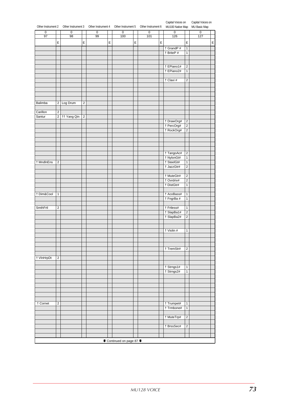| Other Instrument 2                |                         | Other Instrument 3                |                | Other Instrument 4                |   | Other Instrument 5     |   | Other Instrument 6    |   | Capital VUICES UIT<br>MU100 Native Map MU Basic Map |                         | Capital VUICES UIT    |   |
|-----------------------------------|-------------------------|-----------------------------------|----------------|-----------------------------------|---|------------------------|---|-----------------------|---|-----------------------------------------------------|-------------------------|-----------------------|---|
| $\overline{0}$<br>$\overline{97}$ |                         | $\overline{0}$<br>$\overline{98}$ |                | $\overline{0}$<br>$\overline{99}$ |   | $\overline{0}$<br>100  |   | $\overline{0}$<br>101 |   | $\overline{0}$<br>126                               |                         | $\overline{0}$<br>127 |   |
|                                   | Ε                       |                                   | Ε              |                                   | Ε |                        | E |                       | Ε |                                                     | E                       |                       | E |
|                                   |                         |                                   |                |                                   |   |                        |   |                       |   | † GrandP#                                           | $\mathbf{1}$            |                       |   |
|                                   |                         |                                   |                |                                   |   |                        |   |                       |   | † BriteP #                                          | $\mathbf{1}$            |                       |   |
|                                   |                         |                                   |                |                                   |   |                        |   |                       |   |                                                     |                         |                       |   |
|                                   |                         |                                   |                |                                   |   |                        |   |                       |   |                                                     |                         |                       |   |
|                                   |                         |                                   |                |                                   |   |                        |   |                       |   | † EPiano1#                                          | $\sqrt{2}$              |                       |   |
|                                   |                         |                                   |                |                                   |   |                        |   |                       |   | † EPiano2#                                          | $\mathbf{1}$            |                       |   |
|                                   |                         |                                   |                |                                   |   |                        |   |                       |   |                                                     |                         |                       |   |
|                                   |                         |                                   |                |                                   |   |                        |   |                       |   | † Clavi #                                           | $\boldsymbol{2}$        |                       |   |
|                                   |                         |                                   |                |                                   |   |                        |   |                       |   |                                                     |                         |                       |   |
|                                   |                         |                                   |                |                                   |   |                        |   |                       |   |                                                     |                         |                       |   |
|                                   |                         |                                   |                |                                   |   |                        |   |                       |   |                                                     |                         |                       |   |
| Balimba                           |                         | 2 Log Drum                        | $\overline{2}$ |                                   |   |                        |   |                       |   |                                                     |                         |                       |   |
|                                   |                         |                                   |                |                                   |   |                        |   |                       |   |                                                     |                         |                       |   |
| Carillon                          | $\overline{\mathbf{c}}$ |                                   |                |                                   |   |                        |   |                       |   |                                                     |                         |                       |   |
| Santur                            |                         | 2   ++ Yang Qin                   | $\mathbf 2$    |                                   |   |                        |   |                       |   |                                                     |                         |                       |   |
|                                   |                         |                                   |                |                                   |   |                        |   |                       |   | † DrawOrg#                                          | $\sqrt{2}$              |                       |   |
|                                   |                         |                                   |                |                                   |   |                        |   |                       |   | † PercOrg#                                          | $\sqrt{2}$              |                       |   |
|                                   |                         |                                   |                |                                   |   |                        |   |                       |   | † RockOrg#                                          | $\mathbf 2$             |                       |   |
|                                   |                         |                                   |                |                                   |   |                        |   |                       |   |                                                     |                         |                       |   |
|                                   |                         |                                   |                |                                   |   |                        |   |                       |   |                                                     |                         |                       |   |
|                                   |                         |                                   |                |                                   |   |                        |   |                       |   |                                                     |                         |                       |   |
|                                   |                         |                                   |                |                                   |   |                        |   |                       |   | † TangoAc#                                          | $\boldsymbol{2}$        |                       |   |
|                                   |                         |                                   |                |                                   |   |                        |   |                       |   | † NylonGt#                                          | $\overline{\mathbf{1}}$ |                       |   |
| † MndlnEns                        | $\overline{\mathbf{c}}$ |                                   |                |                                   |   |                        |   |                       |   | † SteelGt#                                          | $\mathbf 1$             |                       |   |
|                                   |                         |                                   |                |                                   |   |                        |   |                       |   | † JazzGtr#                                          | $\boldsymbol{2}$        |                       |   |
|                                   |                         |                                   |                |                                   |   |                        |   |                       |   |                                                     |                         |                       |   |
|                                   |                         |                                   |                |                                   |   |                        |   |                       |   | † MuteGtr#                                          | $\sqrt{2}$              |                       |   |
|                                   |                         |                                   |                |                                   |   |                        |   |                       |   | † Ovrdriv#                                          | $\overline{2}$          |                       |   |
|                                   |                         |                                   |                |                                   |   |                        |   |                       |   | $\dagger$ DistGtr#                                  | $\mathbf{1}$            |                       |   |
| † Dim&Cool                        | $\mathbf{1}$            |                                   |                |                                   |   |                        |   |                       |   | † AcoBass#                                          | $\mathbf{1}$            |                       |   |
|                                   |                         |                                   |                |                                   |   |                        |   |                       |   | † FngrBa #                                          | $\mathbf{1}$            |                       |   |
|                                   |                         |                                   |                |                                   |   |                        |   |                       |   |                                                     |                         |                       |   |
| SmthFrtl                          | $\overline{2}$          |                                   |                |                                   |   |                        |   |                       |   | † Frtless#                                          | $\mathbf 1$             |                       |   |
|                                   |                         |                                   |                |                                   |   |                        |   |                       |   | † SlapBa1#                                          | $\mathbf 2$             |                       |   |
|                                   |                         |                                   |                |                                   |   |                        |   |                       |   | † SlapBa2#                                          | $\overline{2}$          |                       |   |
|                                   |                         |                                   |                |                                   |   |                        |   |                       |   |                                                     |                         |                       |   |
|                                   |                         |                                   |                |                                   |   |                        |   |                       |   |                                                     |                         |                       |   |
|                                   |                         |                                   |                |                                   |   |                        |   |                       |   | † Violin #                                          | $\mathbf{1}$            |                       |   |
|                                   |                         |                                   |                |                                   |   |                        |   |                       |   |                                                     |                         |                       |   |
|                                   |                         |                                   |                |                                   |   |                        |   |                       |   |                                                     |                         |                       |   |
|                                   |                         |                                   |                |                                   |   |                        |   |                       |   | † TremStr#                                          | $\overline{2}$          |                       |   |
|                                   |                         |                                   |                |                                   |   |                        |   |                       |   |                                                     |                         |                       |   |
| † VinHrpDt                        | $\overline{\mathbf{c}}$ |                                   |                |                                   |   |                        |   |                       |   |                                                     |                         |                       |   |
|                                   |                         |                                   |                |                                   |   |                        |   |                       |   |                                                     |                         |                       |   |
|                                   |                         |                                   |                |                                   |   |                        |   |                       |   | † Strngs1#                                          | $\mathbf{1}$            |                       |   |
|                                   |                         |                                   |                |                                   |   |                        |   |                       |   | † Strngs2#                                          | 1                       |                       |   |
|                                   |                         |                                   |                |                                   |   |                        |   |                       |   |                                                     |                         |                       |   |
|                                   |                         |                                   |                |                                   |   |                        |   |                       |   |                                                     |                         |                       |   |
|                                   |                         |                                   |                |                                   |   |                        |   |                       |   |                                                     |                         |                       |   |
|                                   |                         |                                   |                |                                   |   |                        |   |                       |   |                                                     |                         |                       |   |
|                                   |                         |                                   |                |                                   |   |                        |   |                       |   |                                                     |                         |                       |   |
| † Cornet                          | $\overline{\mathbf{c}}$ |                                   |                |                                   |   |                        |   |                       |   | † Trumpet#                                          | $\mathbf{1}$            |                       |   |
|                                   |                         |                                   |                |                                   |   |                        |   |                       |   | † Trmbone#                                          | $\mathbf{1}$            |                       |   |
|                                   |                         |                                   |                |                                   |   |                        |   |                       |   |                                                     |                         |                       |   |
|                                   |                         |                                   |                |                                   |   |                        |   |                       |   | † MuteTrp#                                          | $\overline{c}$          |                       |   |
|                                   |                         |                                   |                |                                   |   |                        |   |                       |   | † BrssSec#                                          | $\sqrt{2}$              |                       |   |
|                                   |                         |                                   |                |                                   |   |                        |   |                       |   |                                                     |                         |                       |   |
|                                   |                         |                                   |                |                                   |   |                        |   |                       |   |                                                     |                         |                       |   |
|                                   |                         |                                   |                |                                   |   | Continued on page 87 ♦ |   |                       |   |                                                     |                         |                       |   |
|                                   |                         |                                   |                |                                   |   |                        |   |                       |   |                                                     |                         |                       |   |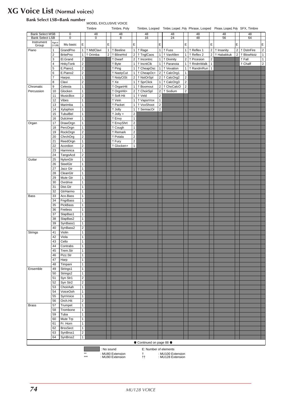### **Bank Select LSB=Bank number** MODEL EXCLUSIVE VOICE

|                                      |                     |                      |                                  | Timbre     |                | Timbre, Poly        |                                |                          |                                | Timbre, Looped Timbre, Looped, Poly Phrase, Looped Phrase, Looped, Poly SFX, Timbre |                              |            |                         |            |                |                |                |
|--------------------------------------|---------------------|----------------------|----------------------------------|------------|----------------|---------------------|--------------------------------|--------------------------|--------------------------------|-------------------------------------------------------------------------------------|------------------------------|------------|-------------------------|------------|----------------|----------------|----------------|
| <b>Bank Select MSB</b>               |                     | 0                    |                                  | 48         |                | 48                  |                                | 48                       |                                | 48                                                                                  |                              | 48         |                         | 48         |                | 48             |                |
| <b>Bank Select LSB</b><br>Instrument |                     | $\overline{0}$       |                                  | 0          |                | 8                   |                                | 16                       |                                | $\overline{24}$                                                                     |                              | 48         |                         | 56         |                | 64             |                |
| Group                                | Pgm#<br>$(1 - 128)$ | Mu basic             | E                                |            | Е              |                     | Е                              |                          | E                              |                                                                                     | Е                            |            | Е                       |            | E              |                | E              |
| Piano                                | $\mathbf{1}$        | GrandPno             | $\mathbf{1}$                     | † MtdClavi | $\mathbf{1}$   | † Beeline           | $\mathbf{1}$                   | † Rage                   | $\mathbf{1}$                   | † Fuss                                                                              | $\mathbf{1}$                 | † Reflex 1 | 2                       | † Insanity |                | 2   † DstnFire | $\overline{2}$ |
|                                      | $\overline{2}$      | <b>BritePno</b>      | 1                                | † Orimba   | $\overline{c}$ | † BlineHrd          | $\overline{a}$                 | † TnglCaos               | $\mathbf{1}$                   | † VanAllen                                                                          | $\mathbf{1}$                 | † Reflex 2 | $\overline{2}$          | † Habakkuk | $\overline{2}$ | † BlowNoiz     | $\mathbf{1}$   |
|                                      | 3                   | El.Grand             | $\overline{\mathbf{c}}$          |            |                | † Dwarf             | $\overline{2}$                 | † Incontnc               | $\mathbf{1}$                   | † Divinity                                                                          | $\overline{2}$               | † Prcesion | $\overline{\mathbf{c}}$ |            |                | † Fall         | $\mathbf{1}$   |
|                                      | $\overline{4}$      | HnkyTonk             | $\mathbf 2$                      |            |                | † Byte              | $\mathbf{1}$                   | † IncntClk               | $\mathbf{1}$                   | † Paranoia                                                                          | $\mathbf{1}$                 | † RndmWalk | $\mathbf{1}$            |            |                | + Chaff        | $\sqrt{2}$     |
|                                      | 5                   | E.Piano1             | $\boldsymbol{2}$                 |            |                | † Ping              | $\mathbf{1}$                   | † CheapOsc               | $\mathbf{1}$                   | † Vexation                                                                          | $\mathbf{1}$                 | † RandmRun | $\mathbf{1}$            |            |                |                |                |
|                                      | 6                   | E.Piano2             | $\boldsymbol{2}$                 |            |                | † NastyCut          | $\mathbf{1}$                   | † CheapOc+               | $\overline{a}$                 | † CalcOrg1                                                                          | 1                            |            |                         |            |                |                |                |
|                                      | $\overline{7}$<br>8 | Harpsi.<br>Clavi     | $\mathbf{1}$<br>$\boldsymbol{2}$ |            |                | † NstyCtSt<br>+ Xe  | $\overline{c}$<br>$\mathbf{1}$ | † NstOrSpl<br>† SprClick | $\overline{c}$<br>$\mathbf{1}$ | † CalcOrg2<br>† CalcOrg3                                                            | $\overline{2}$<br>$\sqrt{2}$ |            |                         |            |                |                |                |
| Chromatic                            | 9                   | Celesta              | $\mathbf{1}$                     |            |                | † OrganHit          | $\mathbf{1}$                   | † Boomout                | $\overline{2}$                 | + ChoCalcO                                                                          | $\overline{2}$               |            |                         |            |                |                |                |
| Percussion                           | 10                  | Glocken              | $\mathbf{1}$                     |            |                | + OrgnHit+          | $\overline{2}$                 | † ChoirSpl               | $\overline{c}$                 | † Sodium                                                                            | $\sqrt{2}$                   |            |                         |            |                |                |                |
|                                      | 11                  | MusicBox             | $\overline{\mathbf{c}}$          |            |                | + Soft Hit          | $\mathbf{1}$                   | † Veld                   | $\overline{2}$                 |                                                                                     |                              |            |                         |            |                |                |                |
|                                      | 12                  | Vibes                | $\mathbf{1}$                     |            |                | † Vein              | $\mathbf{1}$                   | † VaporVox               | $\mathbf{1}$                   |                                                                                     |                              |            |                         |            |                |                |                |
|                                      | 13                  | Marimba              | $\mathbf{1}$                     |            |                | † Packet            | $\mathbf{1}$                   | † VoxShoot               | $\overline{2}$                 |                                                                                     |                              |            |                         |            |                |                |                |
|                                      | 14                  | Xylophon             | 1                                |            |                | + Jolly             | $\mathbf{1}$                   | † SemiacOr               | $\overline{2}$                 |                                                                                     |                              |            |                         |            |                |                |                |
|                                      | 15                  | TubulBel             | $\mathbf{1}$                     |            |                | + Jolly +           | $\overline{c}$                 |                          |                                |                                                                                     |                              |            |                         |            |                |                |                |
|                                      | 16                  | Dulcimer             | $\mathbf{1}$                     |            |                | † Envy              | $\mathbf{1}$                   |                          |                                |                                                                                     |                              |            |                         |            |                |                |                |
| Organ                                | 17                  | DrawOrgn             | 1                                |            |                | † EnvyShrt          | $\sqrt{2}$                     |                          |                                |                                                                                     |                              |            |                         |            |                |                |                |
|                                      | 18<br>19            | PercOrgn<br>RockOrgn | $\mathbf{1}$<br>$\boldsymbol{2}$ |            |                | † Cough<br>† Remark | $\mathbf{1}$<br>$\overline{c}$ |                          |                                |                                                                                     |                              |            |                         |            |                |                |                |
|                                      | 20                  | ChrchOrg             | $\mathbf 2$                      |            |                | † Potala            | $\sqrt{2}$                     |                          |                                |                                                                                     |                              |            |                         |            |                |                |                |
|                                      | 21                  | ReedOrgn             | $\mathbf{1}$                     |            |                | + Fury              | $\overline{2}$                 |                          |                                |                                                                                     |                              |            |                         |            |                |                |                |
|                                      | 22                  | Acordion             | $\overline{c}$                   |            |                | + Glocken+          | $\mathbf{1}$                   |                          |                                |                                                                                     |                              |            |                         |            |                |                |                |
|                                      | 23                  | Harmnica             | $\mathbf{1}$                     |            |                |                     |                                |                          |                                |                                                                                     |                              |            |                         |            |                |                |                |
|                                      | 24                  | TangoAcd             | $\boldsymbol{2}$                 |            |                |                     |                                |                          |                                |                                                                                     |                              |            |                         |            |                |                |                |
| Guitar                               | 25                  | NylonGtr             | $\mathbf{1}$                     |            |                |                     |                                |                          |                                |                                                                                     |                              |            |                         |            |                |                |                |
|                                      | 26                  | <b>SteelGtr</b>      | $\mathbf{1}$                     |            |                |                     |                                |                          |                                |                                                                                     |                              |            |                         |            |                |                |                |
|                                      | 27                  | Jazz Gtr             | $\mathbf{1}$                     |            |                |                     |                                |                          |                                |                                                                                     |                              |            |                         |            |                |                |                |
|                                      | 28<br>29            | CleanGtr<br>Mute Gtr | $\mathbf{1}$<br>$\mathbf{1}$     |            |                |                     |                                |                          |                                |                                                                                     |                              |            |                         |            |                |                |                |
|                                      | 30                  | Ovrdrive             | 1                                |            |                |                     |                                |                          |                                |                                                                                     |                              |            |                         |            |                |                |                |
|                                      | 31                  | Dist.Gtr             | $\mathbf{1}$                     |            |                |                     |                                |                          |                                |                                                                                     |                              |            |                         |            |                |                |                |
|                                      | 32                  | GtrHarmo             | 1                                |            |                |                     |                                |                          |                                |                                                                                     |                              |            |                         |            |                |                |                |
| Bass                                 | 33                  | Aco.Bass             | $\mathbf{1}$                     |            |                |                     |                                |                          |                                |                                                                                     |                              |            |                         |            |                |                |                |
|                                      | 34                  | FngrBass             | $\mathbf{1}$                     |            |                |                     |                                |                          |                                |                                                                                     |                              |            |                         |            |                |                |                |
|                                      | 35                  | PickBass             | $\mathbf{1}$                     |            |                |                     |                                |                          |                                |                                                                                     |                              |            |                         |            |                |                |                |
|                                      | 36                  | Fretless             | $\mathbf{1}$                     |            |                |                     |                                |                          |                                |                                                                                     |                              |            |                         |            |                |                |                |
|                                      | 37                  | SlapBas1             | $\mathbf{1}$                     |            |                |                     |                                |                          |                                |                                                                                     |                              |            |                         |            |                |                |                |
|                                      | 38<br>39            | SlapBas2<br>SynBass1 | 1<br>$\mathbf{1}$                |            |                |                     |                                |                          |                                |                                                                                     |                              |            |                         |            |                |                |                |
|                                      | 40                  | SynBass2             | $\overline{2}$                   |            |                |                     |                                |                          |                                |                                                                                     |                              |            |                         |            |                |                |                |
| Strings                              | 41                  | Violin               | $\mathbf{1}$                     |            |                |                     |                                |                          |                                |                                                                                     |                              |            |                         |            |                |                |                |
|                                      | 42                  | Viola                | $\mathbf{1}$                     |            |                |                     |                                |                          |                                |                                                                                     |                              |            |                         |            |                |                |                |
|                                      | 43                  | Cello                | $\mathbf{1}$                     |            |                |                     |                                |                          |                                |                                                                                     |                              |            |                         |            |                |                |                |
|                                      | 44                  | Contrabs             | $\mathbf{1}$                     |            |                |                     |                                |                          |                                |                                                                                     |                              |            |                         |            |                |                |                |
|                                      | 45                  | Trem.Str             | $\mathbf{1}$                     |            |                |                     |                                |                          |                                |                                                                                     |                              |            |                         |            |                |                |                |
|                                      | 46                  | Pizz.Str             | 1                                |            |                |                     |                                |                          |                                |                                                                                     |                              |            |                         |            |                |                |                |
|                                      | 47<br>48            | Harp                 | $\mathbf{1}$<br>$\mathbf{1}$     |            |                |                     |                                |                          |                                |                                                                                     |                              |            |                         |            |                |                |                |
| Ensemble                             | 49                  | Timpani<br>Strings1  | $\mathbf{1}$                     |            |                |                     |                                |                          |                                |                                                                                     |                              |            |                         |            |                |                |                |
|                                      | 50                  | Strings2             | $\mathbf{1}$                     |            |                |                     |                                |                          |                                |                                                                                     |                              |            |                         |            |                |                |                |
|                                      | 51                  | Syn Str1             | $\overline{c}$                   |            |                |                     |                                |                          |                                |                                                                                     |                              |            |                         |            |                |                |                |
|                                      | 52                  | Syn Str2             | $\boldsymbol{2}$                 |            |                |                     |                                |                          |                                |                                                                                     |                              |            |                         |            |                |                |                |
|                                      | 53                  | ChoirAah             | $\mathbf{1}$                     |            |                |                     |                                |                          |                                |                                                                                     |                              |            |                         |            |                |                |                |
|                                      | 54                  | VoiceOoh             | 1                                |            |                |                     |                                |                          |                                |                                                                                     |                              |            |                         |            |                |                |                |
|                                      | 55                  | SynVoice             | $\mathbf{1}$                     |            |                |                     |                                |                          |                                |                                                                                     |                              |            |                         |            |                |                |                |
|                                      | 56                  | Orch.Hit             | $\overline{c}$                   |            |                |                     |                                |                          |                                |                                                                                     |                              |            |                         |            |                |                |                |
| <b>Brass</b>                         | 57                  | Trumpet              | $\mathbf{1}$                     |            |                |                     |                                |                          |                                |                                                                                     |                              |            |                         |            |                |                |                |
|                                      | 58<br>59            | Trombone<br>Tuba     | $\mathbf{1}$<br>$\mathbf{1}$     |            |                |                     |                                |                          |                                |                                                                                     |                              |            |                         |            |                |                |                |
|                                      | 60                  | Mute Trp             | $\mathbf{1}$                     |            |                |                     |                                |                          |                                |                                                                                     |                              |            |                         |            |                |                |                |
|                                      | 61                  | Fr. Horn             | $\mathbf{1}$                     |            |                |                     |                                |                          |                                |                                                                                     |                              |            |                         |            |                |                |                |
|                                      | 62                  | <b>BrssSect</b>      | 1                                |            |                |                     |                                |                          |                                |                                                                                     |                              |            |                         |            |                |                |                |
|                                      | 63                  | SynBrss1             | $\overline{c}$                   |            |                |                     |                                |                          |                                |                                                                                     |                              |            |                         |            |                |                |                |
|                                      | 64                  | SynBrss2             | $\mathbf{1}$                     |            |                |                     |                                |                          |                                |                                                                                     |                              |            |                         |            |                |                |                |
|                                      |                     |                      |                                  |            |                |                     |                                | Continued on page 88 →   |                                |                                                                                     |                              |            |                         |            |                |                |                |
|                                      |                     |                      |                                  |            |                | : No sound          |                                | E: Number of elements    |                                |                                                                                     |                              |            |                         |            |                |                |                |

E: Number of elements

\*\* : MU80 Extension \*\*\* : MU90 Extension

† : MU100 Extension †† : MU128 Extension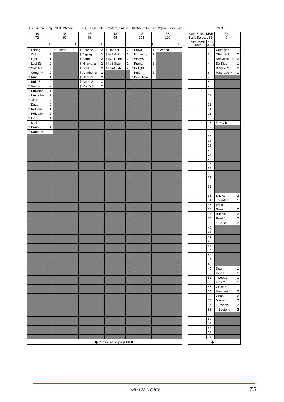| SFX, Timbre, Poly SFX, Phrase |                         |          |   |            |                | SFX, Phrase, Poly Rhythm, Timbre |   |                |                         | Rhythm, Timbre, Poly Rhythm, Phrase, Poly |   |
|-------------------------------|-------------------------|----------|---|------------|----------------|----------------------------------|---|----------------|-------------------------|-------------------------------------------|---|
| 48                            |                         | 48       |   | 48         |                | 48                               |   | 48             |                         | $\overline{48}$                           |   |
| 72                            |                         | 80       |   | 88         |                | 96                               |   | 104            |                         | 120                                       |   |
|                               | E                       |          | Е |            | Ε              |                                  | E |                | E                       |                                           | E |
| † Litning                     | $\overline{2}$          | + Zipzap | 1 | † Escape   |                | 2   † TinKettl                   |   | 2   † Satya    |                         | 1   † Vodou                               | 1 |
| $\dagger$ Oof                 | $\overline{2}$          |          |   | † Zigzag   |                | 2   † K/S Anlg                   |   | 2   † Monastry | $\overline{\mathbf{c}}$ |                                           |   |
| † Lust                        | 1                       |          |   | † Scud     |                | $2$   $\dagger$ K/S Humd         |   | 2   + Vinaya   | $\sqrt{2}$              |                                           |   |
| † Lust St                     | $\mathbf 2$             |          |   | † Hinayana |                | 2   † K/S Slap                   |   | 2   † Prana    | $\overline{2}$          |                                           |   |
| + SoftHit+                    | $\overline{\mathbf{c}}$ |          |   | † Boot     | 2              | † Rvr/Crsh                       |   | 2   † Delight  | $\overline{c}$          |                                           |   |
| + Cough +                     | $\mathbf 2$             |          |   | † Anathema | $\overline{c}$ |                                  |   | † Puja         | $\mathbf 2$             |                                           |   |
| † Ruin                        | 1                       |          |   | † Germ 1   | $\overline{c}$ |                                  |   | † Bent Tom     | $\overline{\mathbf{c}}$ |                                           |   |
| † Ruin St                     | $\overline{2}$          |          |   | † Germ 2   | $\overline{c}$ |                                  |   |                |                         |                                           |   |
| + Vein +                      | $\overline{\mathbf{c}}$ |          |   | † Malfnctn | $\overline{c}$ |                                  |   |                |                         |                                           |   |
| † Universe                    | $\mathbf{1}$            |          |   |            |                |                                  |   |                |                         |                                           |   |
| † UnvrsSwp                    | $\overline{\mathbf{c}}$ |          |   |            |                |                                  |   |                |                         |                                           |   |
| $+$ Xe +                      | $\overline{\mathbf{c}}$ |          |   |            |                |                                  |   |                |                         |                                           |   |
| † Daze                        | $\overline{\mathbf{c}}$ |          |   |            |                |                                  |   |                |                         |                                           |   |
| † Refusal                     | $\mathbf{1}$            |          |   |            |                |                                  |   |                |                         |                                           |   |
| † Refusal+                    | $\boldsymbol{2}$        |          |   |            |                |                                  |   |                |                         |                                           |   |
| † Lie                         | 1                       |          |   |            |                |                                  |   |                |                         |                                           |   |
| † Malice                      | $\overline{\mathbf{c}}$ |          |   |            |                |                                  |   |                |                         |                                           |   |
| † Doubt                       | 1                       |          |   |            |                |                                  |   |                |                         |                                           |   |
| † DoubtDbl                    | $\overline{\mathbf{c}}$ |          |   |            |                |                                  |   |                |                         |                                           |   |
|                               |                         |          |   |            |                |                                  |   |                |                         |                                           |   |
|                               |                         |          |   |            |                |                                  |   |                |                         |                                           |   |
|                               |                         |          |   |            |                |                                  |   |                |                         |                                           |   |
|                               |                         |          |   |            |                |                                  |   |                |                         |                                           |   |
|                               |                         |          |   |            |                |                                  |   |                |                         |                                           |   |
|                               |                         |          |   |            |                |                                  |   |                |                         |                                           |   |
|                               |                         |          |   |            |                |                                  |   |                |                         |                                           |   |
|                               |                         |          |   |            |                |                                  |   |                |                         |                                           |   |
|                               |                         |          |   |            |                |                                  |   |                |                         |                                           |   |
|                               |                         |          |   |            |                |                                  |   |                |                         |                                           |   |
|                               |                         |          |   |            |                |                                  |   |                |                         |                                           |   |
|                               |                         |          |   |            |                |                                  |   |                |                         |                                           |   |
|                               |                         |          |   |            |                |                                  |   |                |                         |                                           |   |
|                               |                         |          |   |            |                |                                  |   |                |                         |                                           |   |
|                               |                         |          |   |            |                |                                  |   |                |                         |                                           |   |
|                               |                         |          |   |            |                |                                  |   |                |                         |                                           |   |
|                               |                         |          |   |            |                |                                  |   |                |                         |                                           |   |
|                               |                         |          |   |            |                |                                  |   |                |                         |                                           |   |
|                               |                         |          |   |            |                |                                  |   |                |                         |                                           |   |
|                               |                         |          |   |            |                |                                  |   |                |                         |                                           |   |
|                               |                         |          |   |            |                |                                  |   |                |                         |                                           |   |
|                               |                         |          |   |            |                |                                  |   |                |                         |                                           |   |
|                               |                         |          |   |            |                |                                  |   |                |                         |                                           |   |
|                               |                         |          |   |            |                |                                  |   |                |                         |                                           |   |
|                               |                         |          |   |            |                |                                  |   |                |                         |                                           |   |
|                               |                         |          |   |            |                |                                  |   |                |                         |                                           |   |
|                               |                         |          |   |            |                |                                  |   |                |                         |                                           |   |
|                               |                         |          |   |            |                |                                  |   |                |                         |                                           |   |
|                               |                         |          |   |            |                |                                  |   |                |                         |                                           |   |
|                               |                         |          |   |            |                |                                  |   |                |                         |                                           |   |
|                               |                         |          |   |            |                |                                  |   |                |                         |                                           |   |
|                               |                         |          |   |            |                |                                  |   |                |                         |                                           |   |
|                               |                         |          |   |            |                |                                  |   |                |                         |                                           |   |
|                               |                         |          |   |            |                |                                  |   |                |                         |                                           |   |
|                               |                         |          |   |            |                |                                  |   |                |                         |                                           |   |
|                               |                         |          |   |            |                |                                  |   |                |                         |                                           |   |
|                               |                         |          |   |            |                |                                  |   |                |                         |                                           |   |
|                               |                         |          |   |            |                |                                  |   |                |                         |                                           |   |
|                               |                         |          |   |            |                |                                  |   |                |                         |                                           |   |
|                               |                         |          |   |            |                |                                  |   |                |                         |                                           |   |
|                               |                         |          |   |            |                |                                  |   |                |                         |                                           |   |
|                               |                         |          |   |            |                |                                  |   |                |                         |                                           |   |
|                               |                         |          |   |            |                |                                  |   |                |                         |                                           |   |
|                               |                         |          |   |            |                |                                  |   |                |                         |                                           |   |
|                               |                         |          |   |            |                |                                  |   |                |                         |                                           |   |
|                               |                         |          |   |            |                | Continued on page 89 ♦           |   |                |                         |                                           |   |

|                        |                   | <b>SFX</b>             |                                                                       |
|------------------------|-------------------|------------------------|-----------------------------------------------------------------------|
| Bank Select MSB        |                   | 64                     |                                                                       |
| <b>Bank Select LSB</b> |                   | 0                      |                                                                       |
| Instrument<br>Group    | Pgm#<br>$(1-128)$ |                        | Ε                                                                     |
|                        | 1                 | CuttngNz               | 1                                                                     |
|                        | $\overline{c}$    | CttngNz2               | $\overline{c}$                                                        |
|                        | 3                 | DstCutNz <sup>**</sup> | $\overline{c}$                                                        |
|                        | 4                 | Str Slap               | 1                                                                     |
|                        | 5                 | <b>B.Slide</b><br>**   | $\overline{c}$                                                        |
|                        | 6                 | ××<br>P.Scrape         | 1                                                                     |
|                        | 7                 |                        |                                                                       |
|                        | 8                 |                        |                                                                       |
|                        | 9                 |                        |                                                                       |
|                        | 10                |                        |                                                                       |
|                        | 11                |                        |                                                                       |
|                        | 12                |                        |                                                                       |
|                        | 13                |                        |                                                                       |
|                        | 14                |                        |                                                                       |
|                        | 15                |                        |                                                                       |
|                        | 16<br>17          | FI.KClik               | 1                                                                     |
|                        | 18                |                        |                                                                       |
|                        | 19                |                        |                                                                       |
|                        | 20                |                        |                                                                       |
|                        | 21                |                        |                                                                       |
|                        | 22                |                        |                                                                       |
|                        | 23                |                        |                                                                       |
|                        | 24                |                        |                                                                       |
|                        | 25                |                        |                                                                       |
|                        | 26                |                        |                                                                       |
|                        | 27                |                        |                                                                       |
|                        | 28                |                        |                                                                       |
|                        | 29                |                        |                                                                       |
|                        | 30                |                        |                                                                       |
|                        | 31                |                        |                                                                       |
|                        | 32<br>33          |                        |                                                                       |
|                        | 34                | Shower<br>Thunder      | 2<br>1                                                                |
|                        | 35                | Wind                   | 1                                                                     |
|                        | 36                | Stream                 | 2                                                                     |
|                        | 37                | <b>Bubble</b>          | 2                                                                     |
|                        | 38                | Feed **                | 2                                                                     |
|                        | 39                | † Cave                 | $\overline{2}$                                                        |
|                        | 40                |                        |                                                                       |
|                        | 41                |                        |                                                                       |
|                        | 42                |                        |                                                                       |
|                        | 43                |                        |                                                                       |
|                        | 44                |                        |                                                                       |
|                        | 45                |                        |                                                                       |
|                        | 46                |                        |                                                                       |
|                        | 47                |                        |                                                                       |
|                        | 48<br>49          |                        |                                                                       |
|                        |                   | <u>Dog</u><br>Horse    | 1<br>1                                                                |
|                        |                   |                        |                                                                       |
|                        | 50                |                        |                                                                       |
|                        | $\overline{51}$   | Tweet 2                | 1                                                                     |
|                        | 52                | Kitty $\overline{**}$  | 1                                                                     |
|                        | 53                | Growl**                | 1                                                                     |
|                        | 54                | Haunted **             |                                                                       |
|                        | 55<br>56          | Ghost<br>Maou **       |                                                                       |
|                        | 57                | † Insects              |                                                                       |
|                        | 58                | † Bacteria             |                                                                       |
|                        | 59                |                        |                                                                       |
|                        | 60                |                        |                                                                       |
|                        | 61                |                        |                                                                       |
|                        | 62                |                        | $\overline{c}$<br>$\overline{\mathbf{c}}$<br>2<br>2<br>$\overline{c}$ |
|                        | 63                |                        |                                                                       |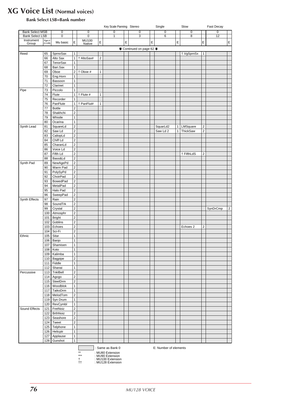**Bank Select LSB=Bank number**

|                        |                     |                             |                                                    |              |              | Key Scale Panning Stereo |   |                        |   | Single   |        | Slow       |                | Fast Decay |            |
|------------------------|---------------------|-----------------------------|----------------------------------------------------|--------------|--------------|--------------------------|---|------------------------|---|----------|--------|------------|----------------|------------|------------|
| <b>Bank Select MSB</b> |                     | 0                           |                                                    | 0            |              | 0                        |   | 0                      |   | 0        |        | 0          |                | 0          |            |
| <b>Bank Select LSB</b> |                     | 0                           |                                                    | 0            |              | 1                        |   | 3                      |   | 6        |        | 8          |                | 12         |            |
| Instrument             | Pgm#<br>$(1 - 128)$ | Mu basic                    | E                                                  | <b>MU100</b> | E            |                          | E |                        | Ε |          | Ε      |            | E              |            | E          |
| Group                  |                     |                             |                                                    | Native       |              |                          |   |                        |   |          |        |            |                |            |            |
|                        |                     |                             |                                                    |              |              |                          |   | Continued on page 62 ♦ |   |          |        |            |                |            |            |
| Reed                   | 65                  | SprnoSax                    | 1<br>$\mathbf{1}$                                  | + AltoSax#   | $\sqrt{2}$   |                          |   |                        |   |          |        | † VgSprnSx | $\mathbf{1}$   |            |            |
|                        | 66<br>67            | Alto Sax<br>TenorSax        | $\mathbf{1}$                                       |              |              |                          |   |                        |   |          |        |            |                |            |            |
|                        | 68                  | Bari.Sax                    | $\mathbf{1}$                                       |              |              |                          |   |                        |   |          |        |            |                |            |            |
|                        | 69                  | Oboe                        | $\overline{\mathbf{c}}$                            | † Oboe #     | $\mathbf{1}$ |                          |   |                        |   |          |        |            |                |            |            |
|                        | 70                  | Eng.Horn                    | $\mathbf{1}$                                       |              |              |                          |   |                        |   |          |        |            |                |            |            |
|                        | 71                  | Bassoon                     | $\mathbf{1}$                                       |              |              |                          |   |                        |   |          |        |            |                |            |            |
|                        | 72                  | Clarinet                    | $\mathbf{1}$                                       |              |              |                          |   |                        |   |          |        |            |                |            |            |
| Pipe                   | 73                  | Piccolo                     | 1                                                  |              |              |                          |   |                        |   |          |        |            |                |            |            |
|                        | 74                  | Flute                       | $\mathbf{1}$                                       | † Flute #    | $\mathbf{1}$ |                          |   |                        |   |          |        |            |                |            |            |
|                        | 75                  | Recorder                    | 1                                                  |              |              |                          |   |                        |   |          |        |            |                |            |            |
|                        | 76                  | PanFlute                    | $\mathbf{1}$                                       | † PanFlut#   | $\mathbf{1}$ |                          |   |                        |   |          |        |            |                |            |            |
|                        | 77                  | <b>Bottle</b>               | $\overline{\mathbf{c}}$                            |              |              |                          |   |                        |   |          |        |            |                |            |            |
|                        | 78                  | Shakhchi                    | $\boldsymbol{2}$                                   |              |              |                          |   |                        |   |          |        |            |                |            |            |
|                        | 79                  | Whistle                     | $\mathbf{1}$                                       |              |              |                          |   |                        |   |          |        |            |                |            |            |
|                        | 80                  | Ocarina                     | $\mathbf{1}$                                       |              |              |                          |   |                        |   |          |        |            |                |            |            |
| Synth Lead             | 81                  | SquareLd                    | $\overline{\mathbf{c}}$                            |              |              |                          |   |                        |   | SquarLd2 | 1<br>1 | LMSquare   | $\sqrt{2}$     |            |            |
|                        | 82<br>83            | Saw Ld<br>CaliopLd          | $\overline{\mathbf{c}}$<br>$\overline{\mathbf{c}}$ |              |              |                          |   |                        |   | Saw Ld 2 |        | ThickSaw   | $\overline{2}$ |            |            |
|                        | 84                  | Chiff Ld                    | $\boldsymbol{2}$                                   |              |              |                          |   |                        |   |          |        |            |                |            |            |
|                        | 85                  | CharanLd                    | $\overline{\mathbf{c}}$                            |              |              |                          |   |                        |   |          |        |            |                |            |            |
|                        | 86                  | Voice Ld                    | $\overline{\mathbf{c}}$                            |              |              |                          |   |                        |   |          |        |            |                |            |            |
|                        | 87                  | Fifth Ld                    | $\overline{\mathbf{c}}$                            |              |              |                          |   |                        |   |          |        | † FifthLdS | $\sqrt{2}$     |            |            |
|                        | 88                  | Bass&Ld                     | $\overline{\mathbf{c}}$                            |              |              |                          |   |                        |   |          |        |            |                |            |            |
| Synth Pad              | 89                  | NewAgePd                    | $\overline{\mathbf{c}}$                            |              |              |                          |   |                        |   |          |        |            |                |            |            |
|                        | 90                  | Warm Pad                    | $\overline{\mathbf{c}}$                            |              |              |                          |   |                        |   |          |        |            |                |            |            |
|                        | 91                  | PolySyPd                    | $\overline{\mathbf{c}}$                            |              |              |                          |   |                        |   |          |        |            |                |            |            |
|                        | 92                  | ChoirPad                    | $\overline{\mathbf{c}}$                            |              |              |                          |   |                        |   |          |        |            |                |            |            |
|                        | 93                  | BowedPad                    | $\overline{\mathbf{c}}$                            |              |              |                          |   |                        |   |          |        |            |                |            |            |
|                        | 94                  | MetalPad                    | $\overline{\mathbf{c}}$                            |              |              |                          |   |                        |   |          |        |            |                |            |            |
|                        | 95                  | Halo Pad                    | $\overline{\mathbf{c}}$                            |              |              |                          |   |                        |   |          |        |            |                |            |            |
|                        | 96                  | SweepPad                    | $\overline{\mathbf{c}}$                            |              |              |                          |   |                        |   |          |        |            |                |            |            |
| Synth Effects          | 97                  | Rain                        | $\overline{\mathbf{c}}$                            |              |              |                          |   |                        |   |          |        |            |                |            |            |
|                        | 98<br>99            | SoundTrk                    | $\overline{\mathbf{c}}$<br>$\overline{\mathbf{c}}$ |              |              |                          |   |                        |   |          |        |            |                |            | $\sqrt{2}$ |
|                        | 100                 | Crystal<br>Atmosphr         | $\boldsymbol{2}$                                   |              |              |                          |   |                        |   |          |        |            |                | SynDrCmp   |            |
|                        | 101                 | <b>Bright</b>               | $\overline{\mathbf{c}}$                            |              |              |                          |   |                        |   |          |        |            |                |            |            |
|                        | 102                 | Goblins                     | $\overline{\mathbf{c}}$                            |              |              |                          |   |                        |   |          |        |            |                |            |            |
|                        | 103                 | Echoes                      | $\overline{\mathbf{c}}$                            |              |              |                          |   |                        |   |          |        | Echoes 2   | $\overline{c}$ |            |            |
|                        | 104                 | Sci-Fi                      | $\overline{2}$                                     |              |              |                          |   |                        |   |          |        |            |                |            |            |
| Ethnic                 | 105                 | Sitar                       | $\mathbf{1}$                                       |              |              |                          |   |                        |   |          |        |            |                |            |            |
|                        | 106                 | Banjo                       | $\mathbf{1}$                                       |              |              |                          |   |                        |   |          |        |            |                |            |            |
|                        | 107                 | Shamisen                    | 1                                                  |              |              |                          |   |                        |   |          |        |            |                |            |            |
|                        | 108                 | Koto                        | 1                                                  |              |              |                          |   |                        |   |          |        |            |                |            |            |
|                        | 109                 | Kalimba                     | $\mathbf{1}$                                       |              |              |                          |   |                        |   |          |        |            |                |            |            |
|                        | 110                 | Bagpipe                     | 2                                                  |              |              |                          |   |                        |   |          |        |            |                |            |            |
|                        | 111                 | Fiddle                      | $\mathbf{1}$<br>$\mathbf{1}$                       |              |              |                          |   |                        |   |          |        |            |                |            |            |
|                        | 112                 | Shanai                      |                                                    |              |              |                          |   |                        |   |          |        |            |                |            |            |
| Percussive             |                     | 113   TnkIBell<br>114 Agogo | 2<br>$\overline{c}$                                |              |              |                          |   |                        |   |          |        |            |                |            |            |
|                        | 115                 | SteelDrm                    | $\overline{\mathbf{c}}$                            |              |              |                          |   |                        |   |          |        |            |                |            |            |
|                        |                     | 116 Woodblok                | $\overline{1}$                                     |              |              |                          |   |                        |   |          |        |            |                |            |            |
|                        |                     | 117 TaikoDrm                | $\mathbf{1}$                                       |              |              |                          |   |                        |   |          |        |            |                |            |            |
|                        |                     | 118 MelodTom                | $\overline{\mathbf{c}}$                            |              |              |                          |   |                        |   |          |        |            |                |            |            |
|                        |                     | 119 Syn Drum                | $\overline{1}$                                     |              |              |                          |   |                        |   |          |        |            |                |            |            |
|                        |                     | 120 RevCymbl                | $\overline{1}$                                     |              |              |                          |   |                        |   |          |        |            |                |            |            |
| Sound Effects          | 121                 | FretNoiz                    | $\boldsymbol{2}$                                   |              |              |                          |   |                        |   |          |        |            |                |            |            |
|                        | 122                 | BrthNoiz                    | $\overline{\mathbf{c}}$                            |              |              |                          |   |                        |   |          |        |            |                |            |            |
|                        | 123                 | Seashore                    | $\overline{\mathbf{c}}$                            |              |              |                          |   |                        |   |          |        |            |                |            |            |
|                        | 124                 | Tweet                       | $\overline{2}$                                     |              |              |                          |   |                        |   |          |        |            |                |            |            |
|                        |                     | 125 Telphone                | $\mathbf{1}$                                       |              |              |                          |   |                        |   |          |        |            |                |            |            |
|                        | 126                 | Helicptr                    | $\mathbf{1}$                                       |              |              |                          |   |                        |   |          |        |            |                |            |            |
|                        | 127<br>128          | Applause                    | $\mathbf{1}$<br>$\overline{1}$                     |              |              |                          |   |                        |   |          |        |            |                |            |            |
|                        |                     | Gunshot                     |                                                    |              |              |                          |   |                        |   |          |        |            |                |            |            |

 $\overline{\phantom{a}}$ : Same as Bank 0 C

E: Number of elements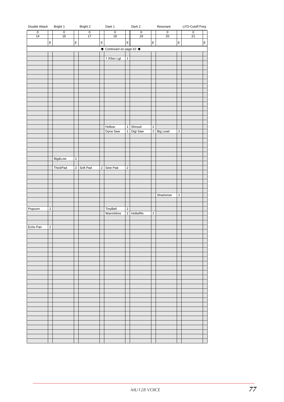| Double Attack  |                         | Bright 1       |                | Bright 2       |   | Dark 1                                   |                                       | Dark 2                                       |                | Resonant        |                         | LFO-Cutoff Freq |   |
|----------------|-------------------------|----------------|----------------|----------------|---|------------------------------------------|---------------------------------------|----------------------------------------------|----------------|-----------------|-------------------------|-----------------|---|
| $\frac{0}{14}$ |                         | $\overline{0}$ |                | $\frac{0}{17}$ |   | $\overline{\mathfrak{o}}$                |                                       | $\overline{\mathfrak{o}}$<br>$\overline{19}$ |                | $\overline{0}$  |                         | $\frac{0}{21}$  |   |
|                |                         | 16             |                |                |   | 18                                       |                                       |                                              |                | 20              |                         |                 |   |
|                | $\mathsf E$             |                | Ε              |                | Ε |                                          | $\mathsf E$                           |                                              | Е              |                 | Ε                       |                 | E |
|                |                         |                |                |                |   | $\bullet$ Continued on page 63 $\bullet$ |                                       |                                              |                |                 |                         |                 |   |
|                |                         |                |                |                |   | † ASax Lgt                               | $\overline{1}$                        |                                              |                |                 |                         |                 |   |
|                |                         |                |                |                |   |                                          |                                       |                                              |                |                 |                         |                 |   |
|                |                         |                |                |                |   |                                          |                                       |                                              |                |                 |                         |                 |   |
|                |                         |                |                |                |   |                                          |                                       |                                              |                |                 |                         |                 |   |
|                |                         |                |                |                |   |                                          |                                       |                                              |                |                 |                         |                 |   |
|                |                         |                |                |                |   |                                          |                                       |                                              |                |                 |                         |                 |   |
|                |                         |                |                |                |   |                                          |                                       |                                              |                |                 |                         |                 |   |
|                |                         |                |                |                |   |                                          |                                       |                                              |                |                 |                         |                 |   |
|                |                         |                |                |                |   |                                          |                                       |                                              |                |                 |                         |                 |   |
|                |                         |                |                |                |   |                                          |                                       |                                              |                |                 |                         |                 |   |
|                |                         |                |                |                |   |                                          |                                       |                                              |                |                 |                         |                 |   |
|                |                         |                |                |                |   |                                          |                                       |                                              |                |                 |                         |                 |   |
|                |                         |                |                |                |   |                                          |                                       |                                              |                |                 |                         |                 |   |
|                |                         |                |                |                |   | Hollow                                   | $\mathbf{1}$                          | Shroud                                       | $\overline{2}$ |                 |                         |                 |   |
|                |                         |                |                |                |   | Dyna Saw                                 | $\overline{1}$                        | Digi Saw                                     | $\overline{2}$ | <b>Big Lead</b> | $\overline{\mathbf{c}}$ |                 |   |
|                |                         |                |                |                |   |                                          |                                       |                                              |                |                 |                         |                 |   |
|                |                         |                |                |                |   |                                          |                                       |                                              |                |                 |                         |                 |   |
|                |                         |                |                |                |   |                                          |                                       |                                              |                |                 |                         |                 |   |
|                |                         |                |                |                |   |                                          |                                       |                                              |                |                 |                         |                 |   |
|                |                         | Big&Low        | $\mathbf 2$    |                |   |                                          |                                       |                                              |                |                 |                         |                 |   |
|                |                         | ThickPad       | $\overline{2}$ | Soft Pad       | 2 | Sine Pad                                 | $\sqrt{2}$                            |                                              |                |                 |                         |                 |   |
|                |                         |                |                |                |   |                                          |                                       |                                              |                |                 |                         |                 |   |
|                |                         |                |                |                |   |                                          |                                       |                                              |                |                 |                         |                 |   |
|                |                         |                |                |                |   |                                          |                                       |                                              |                |                 |                         |                 |   |
|                |                         |                |                |                |   |                                          |                                       |                                              |                |                 |                         |                 |   |
|                |                         |                |                |                |   |                                          |                                       |                                              |                | Shwimmer        | $\sqrt{2}$              |                 |   |
|                |                         |                |                |                |   |                                          |                                       |                                              |                |                 |                         |                 |   |
|                |                         |                |                |                |   |                                          |                                       |                                              |                |                 |                         |                 |   |
| Popcorn        | $\mathbf 2$             |                |                |                |   | TinyBell<br>WarmAtms                     | $\sqrt{2}$<br>$\overline{\mathbf{c}}$ | HollwRls                                     | $\overline{2}$ |                 |                         |                 |   |
|                |                         |                |                |                |   |                                          |                                       |                                              |                |                 |                         |                 |   |
|                |                         |                |                |                |   |                                          |                                       |                                              |                |                 |                         |                 |   |
| Echo Pan       | $\overline{\mathbf{c}}$ |                |                |                |   |                                          |                                       |                                              |                |                 |                         |                 |   |
|                |                         |                |                |                |   |                                          |                                       |                                              |                |                 |                         |                 |   |
|                |                         |                |                |                |   |                                          |                                       |                                              |                |                 |                         |                 |   |
|                |                         |                |                |                |   |                                          |                                       |                                              |                |                 |                         |                 |   |
|                |                         |                |                |                |   |                                          |                                       |                                              |                |                 |                         |                 |   |
|                |                         |                |                |                |   |                                          |                                       |                                              |                |                 |                         |                 |   |
|                |                         |                |                |                |   |                                          |                                       |                                              |                |                 |                         |                 |   |
|                |                         |                |                |                |   |                                          |                                       |                                              |                |                 |                         |                 |   |
|                |                         |                |                |                |   |                                          |                                       |                                              |                |                 |                         |                 |   |
|                |                         |                |                |                |   |                                          |                                       |                                              |                |                 |                         |                 |   |
|                |                         |                |                |                |   |                                          |                                       |                                              |                |                 |                         |                 |   |
|                |                         |                |                |                |   |                                          |                                       |                                              |                |                 |                         |                 |   |
|                |                         |                |                |                |   |                                          |                                       |                                              |                |                 |                         |                 |   |
|                |                         |                |                |                |   |                                          |                                       |                                              |                |                 |                         |                 |   |
|                |                         |                |                |                |   |                                          |                                       |                                              |                |                 |                         |                 |   |
|                |                         |                |                |                |   |                                          |                                       |                                              |                |                 |                         |                 |   |
|                |                         |                |                |                |   |                                          |                                       |                                              |                |                 |                         |                 |   |
|                |                         |                |                |                |   |                                          |                                       |                                              |                |                 |                         |                 |   |
|                |                         |                |                |                |   |                                          |                                       |                                              |                |                 |                         |                 |   |
|                |                         |                |                |                |   |                                          |                                       |                                              |                |                 |                         |                 |   |
|                |                         |                |                |                |   |                                          |                                       |                                              |                |                 |                         |                 |   |
|                |                         |                |                |                |   |                                          |                                       |                                              |                |                 |                         |                 |   |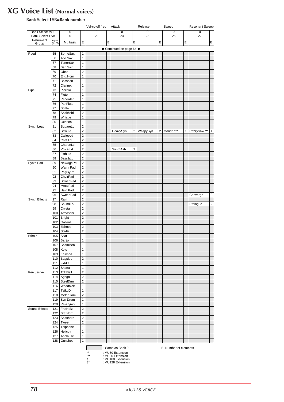### **Bank Select LSB=Bank number**

|                                                                                                                                                                                                                                                                                                                                                                                                                                                                                                                                                                                                                                                                                                                                                                                                                                                                                                                                                                                                                                                                                                                                                                                                                                                                                                                                                                                                                                                                                                                                                                                                                                                                                                                                                                                                                                                                                                                                                                                                                                                                                                                                                               |             |                         |                   | Vel-cutoff freq |   | Release | Sweep |  | <b>Resonant Sweep</b> |              |
|---------------------------------------------------------------------------------------------------------------------------------------------------------------------------------------------------------------------------------------------------------------------------------------------------------------------------------------------------------------------------------------------------------------------------------------------------------------------------------------------------------------------------------------------------------------------------------------------------------------------------------------------------------------------------------------------------------------------------------------------------------------------------------------------------------------------------------------------------------------------------------------------------------------------------------------------------------------------------------------------------------------------------------------------------------------------------------------------------------------------------------------------------------------------------------------------------------------------------------------------------------------------------------------------------------------------------------------------------------------------------------------------------------------------------------------------------------------------------------------------------------------------------------------------------------------------------------------------------------------------------------------------------------------------------------------------------------------------------------------------------------------------------------------------------------------------------------------------------------------------------------------------------------------------------------------------------------------------------------------------------------------------------------------------------------------------------------------------------------------------------------------------------------------|-------------|-------------------------|-------------------|-----------------|---|---------|-------|--|-----------------------|--------------|
|                                                                                                                                                                                                                                                                                                                                                                                                                                                                                                                                                                                                                                                                                                                                                                                                                                                                                                                                                                                                                                                                                                                                                                                                                                                                                                                                                                                                                                                                                                                                                                                                                                                                                                                                                                                                                                                                                                                                                                                                                                                                                                                                                               |             | 0                       |                   | 0               | 0 | 0       | 0     |  | 0                     |              |
|                                                                                                                                                                                                                                                                                                                                                                                                                                                                                                                                                                                                                                                                                                                                                                                                                                                                                                                                                                                                                                                                                                                                                                                                                                                                                                                                                                                                                                                                                                                                                                                                                                                                                                                                                                                                                                                                                                                                                                                                                                                                                                                                                               |             |                         |                   |                 |   |         |       |  | 27                    |              |
| Group                                                                                                                                                                                                                                                                                                                                                                                                                                                                                                                                                                                                                                                                                                                                                                                                                                                                                                                                                                                                                                                                                                                                                                                                                                                                                                                                                                                                                                                                                                                                                                                                                                                                                                                                                                                                                                                                                                                                                                                                                                                                                                                                                         | $(1 - 128)$ | Mu basic                |                   |                 |   |         |       |  |                       | Е            |
|                                                                                                                                                                                                                                                                                                                                                                                                                                                                                                                                                                                                                                                                                                                                                                                                                                                                                                                                                                                                                                                                                                                                                                                                                                                                                                                                                                                                                                                                                                                                                                                                                                                                                                                                                                                                                                                                                                                                                                                                                                                                                                                                                               |             |                         |                   |                 |   |         |       |  |                       |              |
| Reed                                                                                                                                                                                                                                                                                                                                                                                                                                                                                                                                                                                                                                                                                                                                                                                                                                                                                                                                                                                                                                                                                                                                                                                                                                                                                                                                                                                                                                                                                                                                                                                                                                                                                                                                                                                                                                                                                                                                                                                                                                                                                                                                                          | 65          | SprnoSax                | 1                 |                 |   |         |       |  |                       |              |
|                                                                                                                                                                                                                                                                                                                                                                                                                                                                                                                                                                                                                                                                                                                                                                                                                                                                                                                                                                                                                                                                                                                                                                                                                                                                                                                                                                                                                                                                                                                                                                                                                                                                                                                                                                                                                                                                                                                                                                                                                                                                                                                                                               | 66          | Alto Sax                | $\mathbf{1}$      |                 |   |         |       |  |                       |              |
|                                                                                                                                                                                                                                                                                                                                                                                                                                                                                                                                                                                                                                                                                                                                                                                                                                                                                                                                                                                                                                                                                                                                                                                                                                                                                                                                                                                                                                                                                                                                                                                                                                                                                                                                                                                                                                                                                                                                                                                                                                                                                                                                                               | 67          | TenorSax                |                   |                 |   |         |       |  |                       |              |
|                                                                                                                                                                                                                                                                                                                                                                                                                                                                                                                                                                                                                                                                                                                                                                                                                                                                                                                                                                                                                                                                                                                                                                                                                                                                                                                                                                                                                                                                                                                                                                                                                                                                                                                                                                                                                                                                                                                                                                                                                                                                                                                                                               |             |                         |                   |                 |   |         |       |  |                       |              |
| Attack<br><b>Bank Select MSB</b><br>$\overline{0}$<br>22<br>24<br>25<br>26<br><b>Bank Select LSB</b><br>Instrument<br>Pgm#<br>E<br>E<br>E<br>E<br>Ε<br>Continued on page 64<br>$\mathbf{1}$<br>Bari.Sax<br>1<br>68<br>$\overline{c}$<br>69<br>Oboe<br>Eng.Horn<br>1<br>70<br>1<br>71<br>Bassoon<br>72<br>1<br>Clarinet<br>1<br>Pipe<br>73<br>Piccolo<br>1<br>74<br>Flute<br>1<br>75<br>Recorder<br>PanFlute<br>1<br>76<br>$\mathbf 2$<br>77<br><b>Bottle</b><br>Shakhchi<br>$\overline{2}$<br>78<br>1<br>Whistle<br>79<br>80<br>1<br>Ocarina<br>$\boldsymbol{2}$<br>Synth Lead<br>81<br>SquareLd<br>Saw Ld<br>$\sqrt{2}$<br>82<br>HeavySyn<br>2   WaspySyn<br>2 <br>Mondo ***<br>1<br>$\overline{2}$<br>83<br>CaliopLd<br>Chiff Ld<br>$\sqrt{2}$<br>84<br>$\boldsymbol{2}$<br>85<br>CharanLd<br>Voice Ld<br>$\sqrt{2}$<br>86<br>SynthAah<br>2<br>$\overline{\mathbf{c}}$<br>Fifth Ld<br>87<br>88<br>Bass&Ld<br>$\sqrt{2}$<br>$\boldsymbol{2}$<br>Synth Pad<br>89<br>NewAgePd<br>Warm Pad<br>$\sqrt{2}$<br>90<br>$\boldsymbol{2}$<br>91<br>PolySyPd<br>$\sqrt{2}$<br>92<br>ChoirPad<br>$\boldsymbol{2}$<br>93<br>BowedPad<br>94<br>MetalPad<br>$\overline{2}$<br>$\overline{2}$<br>Halo Pad<br>95<br>96<br>SweepPad<br>$\sqrt{2}$<br>Converge<br>$\boldsymbol{2}$<br>Synth Effects<br>97<br>Rain<br>SoundTrk<br>$\sqrt{2}$<br>98<br>$\overline{2}$<br>99<br>Crystal<br>$\sqrt{2}$<br>100<br>Atmosphr<br>$\boldsymbol{2}$<br>101<br><b>Bright</b><br>102<br>Goblins<br>$\overline{2}$<br>$\overline{2}$<br>103<br>Echoes<br>104<br>Sci-Fi<br>$\sqrt{2}$<br>1<br>105<br>Ethnic<br>Sitar<br>106<br>1<br>Banjo<br>$\mathbf{1}$<br>107<br>Shamisen<br>108<br>Koto<br>1<br>$\mathbf{1}$<br>Kalimba<br>109<br>110<br>Bagpipe<br>$\overline{2}$<br>1<br>111<br>Fiddle<br>1<br>112<br>Shanai<br>$\overline{2}$<br>113 TnkIBell<br>Percussive<br>114 Agogo<br>$\overline{c}$<br>115   SteelDrm<br>$\overline{2}$<br>116 Woodblok<br>1<br>$\mathbf{1}$<br>TaikoDrm<br>117<br>118 MelodTom<br>$\overline{c}$<br>1<br>119 Syn Drum<br>120 RevCymbl<br>1<br>$\sqrt{2}$<br>Sound Effects<br>121<br>FretNoiz<br>122 BrthNoiz<br>$\sqrt{2}$<br>$\boldsymbol{2}$<br>123 Seashore |             |                         |                   |                 |   |         |       |  |                       |              |
|                                                                                                                                                                                                                                                                                                                                                                                                                                                                                                                                                                                                                                                                                                                                                                                                                                                                                                                                                                                                                                                                                                                                                                                                                                                                                                                                                                                                                                                                                                                                                                                                                                                                                                                                                                                                                                                                                                                                                                                                                                                                                                                                                               |             |                         |                   |                 |   |         |       |  |                       |              |
|                                                                                                                                                                                                                                                                                                                                                                                                                                                                                                                                                                                                                                                                                                                                                                                                                                                                                                                                                                                                                                                                                                                                                                                                                                                                                                                                                                                                                                                                                                                                                                                                                                                                                                                                                                                                                                                                                                                                                                                                                                                                                                                                                               |             |                         |                   |                 |   |         |       |  |                       |              |
|                                                                                                                                                                                                                                                                                                                                                                                                                                                                                                                                                                                                                                                                                                                                                                                                                                                                                                                                                                                                                                                                                                                                                                                                                                                                                                                                                                                                                                                                                                                                                                                                                                                                                                                                                                                                                                                                                                                                                                                                                                                                                                                                                               |             |                         |                   |                 |   |         |       |  |                       |              |
|                                                                                                                                                                                                                                                                                                                                                                                                                                                                                                                                                                                                                                                                                                                                                                                                                                                                                                                                                                                                                                                                                                                                                                                                                                                                                                                                                                                                                                                                                                                                                                                                                                                                                                                                                                                                                                                                                                                                                                                                                                                                                                                                                               |             |                         |                   |                 |   |         |       |  |                       |              |
|                                                                                                                                                                                                                                                                                                                                                                                                                                                                                                                                                                                                                                                                                                                                                                                                                                                                                                                                                                                                                                                                                                                                                                                                                                                                                                                                                                                                                                                                                                                                                                                                                                                                                                                                                                                                                                                                                                                                                                                                                                                                                                                                                               |             |                         |                   |                 |   |         |       |  |                       |              |
|                                                                                                                                                                                                                                                                                                                                                                                                                                                                                                                                                                                                                                                                                                                                                                                                                                                                                                                                                                                                                                                                                                                                                                                                                                                                                                                                                                                                                                                                                                                                                                                                                                                                                                                                                                                                                                                                                                                                                                                                                                                                                                                                                               |             |                         |                   |                 |   |         |       |  |                       |              |
|                                                                                                                                                                                                                                                                                                                                                                                                                                                                                                                                                                                                                                                                                                                                                                                                                                                                                                                                                                                                                                                                                                                                                                                                                                                                                                                                                                                                                                                                                                                                                                                                                                                                                                                                                                                                                                                                                                                                                                                                                                                                                                                                                               |             |                         |                   |                 |   |         |       |  |                       |              |
|                                                                                                                                                                                                                                                                                                                                                                                                                                                                                                                                                                                                                                                                                                                                                                                                                                                                                                                                                                                                                                                                                                                                                                                                                                                                                                                                                                                                                                                                                                                                                                                                                                                                                                                                                                                                                                                                                                                                                                                                                                                                                                                                                               |             |                         |                   |                 |   |         |       |  |                       |              |
|                                                                                                                                                                                                                                                                                                                                                                                                                                                                                                                                                                                                                                                                                                                                                                                                                                                                                                                                                                                                                                                                                                                                                                                                                                                                                                                                                                                                                                                                                                                                                                                                                                                                                                                                                                                                                                                                                                                                                                                                                                                                                                                                                               |             |                         |                   |                 |   |         |       |  |                       |              |
|                                                                                                                                                                                                                                                                                                                                                                                                                                                                                                                                                                                                                                                                                                                                                                                                                                                                                                                                                                                                                                                                                                                                                                                                                                                                                                                                                                                                                                                                                                                                                                                                                                                                                                                                                                                                                                                                                                                                                                                                                                                                                                                                                               |             |                         |                   |                 |   |         |       |  |                       |              |
|                                                                                                                                                                                                                                                                                                                                                                                                                                                                                                                                                                                                                                                                                                                                                                                                                                                                                                                                                                                                                                                                                                                                                                                                                                                                                                                                                                                                                                                                                                                                                                                                                                                                                                                                                                                                                                                                                                                                                                                                                                                                                                                                                               |             |                         |                   |                 |   |         |       |  |                       |              |
|                                                                                                                                                                                                                                                                                                                                                                                                                                                                                                                                                                                                                                                                                                                                                                                                                                                                                                                                                                                                                                                                                                                                                                                                                                                                                                                                                                                                                                                                                                                                                                                                                                                                                                                                                                                                                                                                                                                                                                                                                                                                                                                                                               |             |                         |                   |                 |   |         |       |  | RezzySaw ***          | $\mathbf{1}$ |
|                                                                                                                                                                                                                                                                                                                                                                                                                                                                                                                                                                                                                                                                                                                                                                                                                                                                                                                                                                                                                                                                                                                                                                                                                                                                                                                                                                                                                                                                                                                                                                                                                                                                                                                                                                                                                                                                                                                                                                                                                                                                                                                                                               |             |                         |                   |                 |   |         |       |  |                       |              |
|                                                                                                                                                                                                                                                                                                                                                                                                                                                                                                                                                                                                                                                                                                                                                                                                                                                                                                                                                                                                                                                                                                                                                                                                                                                                                                                                                                                                                                                                                                                                                                                                                                                                                                                                                                                                                                                                                                                                                                                                                                                                                                                                                               |             |                         |                   |                 |   |         |       |  |                       |              |
|                                                                                                                                                                                                                                                                                                                                                                                                                                                                                                                                                                                                                                                                                                                                                                                                                                                                                                                                                                                                                                                                                                                                                                                                                                                                                                                                                                                                                                                                                                                                                                                                                                                                                                                                                                                                                                                                                                                                                                                                                                                                                                                                                               |             |                         |                   |                 |   |         |       |  |                       |              |
|                                                                                                                                                                                                                                                                                                                                                                                                                                                                                                                                                                                                                                                                                                                                                                                                                                                                                                                                                                                                                                                                                                                                                                                                                                                                                                                                                                                                                                                                                                                                                                                                                                                                                                                                                                                                                                                                                                                                                                                                                                                                                                                                                               |             |                         |                   |                 |   |         |       |  |                       |              |
|                                                                                                                                                                                                                                                                                                                                                                                                                                                                                                                                                                                                                                                                                                                                                                                                                                                                                                                                                                                                                                                                                                                                                                                                                                                                                                                                                                                                                                                                                                                                                                                                                                                                                                                                                                                                                                                                                                                                                                                                                                                                                                                                                               |             |                         |                   |                 |   |         |       |  |                       |              |
|                                                                                                                                                                                                                                                                                                                                                                                                                                                                                                                                                                                                                                                                                                                                                                                                                                                                                                                                                                                                                                                                                                                                                                                                                                                                                                                                                                                                                                                                                                                                                                                                                                                                                                                                                                                                                                                                                                                                                                                                                                                                                                                                                               |             |                         |                   |                 |   |         |       |  |                       |              |
|                                                                                                                                                                                                                                                                                                                                                                                                                                                                                                                                                                                                                                                                                                                                                                                                                                                                                                                                                                                                                                                                                                                                                                                                                                                                                                                                                                                                                                                                                                                                                                                                                                                                                                                                                                                                                                                                                                                                                                                                                                                                                                                                                               |             |                         |                   |                 |   |         |       |  |                       |              |
|                                                                                                                                                                                                                                                                                                                                                                                                                                                                                                                                                                                                                                                                                                                                                                                                                                                                                                                                                                                                                                                                                                                                                                                                                                                                                                                                                                                                                                                                                                                                                                                                                                                                                                                                                                                                                                                                                                                                                                                                                                                                                                                                                               |             |                         |                   |                 |   |         |       |  |                       |              |
|                                                                                                                                                                                                                                                                                                                                                                                                                                                                                                                                                                                                                                                                                                                                                                                                                                                                                                                                                                                                                                                                                                                                                                                                                                                                                                                                                                                                                                                                                                                                                                                                                                                                                                                                                                                                                                                                                                                                                                                                                                                                                                                                                               |             |                         |                   |                 |   |         |       |  |                       |              |
|                                                                                                                                                                                                                                                                                                                                                                                                                                                                                                                                                                                                                                                                                                                                                                                                                                                                                                                                                                                                                                                                                                                                                                                                                                                                                                                                                                                                                                                                                                                                                                                                                                                                                                                                                                                                                                                                                                                                                                                                                                                                                                                                                               |             |                         |                   |                 |   |         |       |  |                       |              |
|                                                                                                                                                                                                                                                                                                                                                                                                                                                                                                                                                                                                                                                                                                                                                                                                                                                                                                                                                                                                                                                                                                                                                                                                                                                                                                                                                                                                                                                                                                                                                                                                                                                                                                                                                                                                                                                                                                                                                                                                                                                                                                                                                               |             |                         |                   |                 |   |         |       |  |                       |              |
|                                                                                                                                                                                                                                                                                                                                                                                                                                                                                                                                                                                                                                                                                                                                                                                                                                                                                                                                                                                                                                                                                                                                                                                                                                                                                                                                                                                                                                                                                                                                                                                                                                                                                                                                                                                                                                                                                                                                                                                                                                                                                                                                                               |             |                         |                   |                 |   |         |       |  |                       |              |
|                                                                                                                                                                                                                                                                                                                                                                                                                                                                                                                                                                                                                                                                                                                                                                                                                                                                                                                                                                                                                                                                                                                                                                                                                                                                                                                                                                                                                                                                                                                                                                                                                                                                                                                                                                                                                                                                                                                                                                                                                                                                                                                                                               |             |                         |                   |                 |   | 2       |       |  |                       |              |
|                                                                                                                                                                                                                                                                                                                                                                                                                                                                                                                                                                                                                                                                                                                                                                                                                                                                                                                                                                                                                                                                                                                                                                                                                                                                                                                                                                                                                                                                                                                                                                                                                                                                                                                                                                                                                                                                                                                                                                                                                                                                                                                                                               |             |                         |                   |                 |   |         |       |  |                       |              |
|                                                                                                                                                                                                                                                                                                                                                                                                                                                                                                                                                                                                                                                                                                                                                                                                                                                                                                                                                                                                                                                                                                                                                                                                                                                                                                                                                                                                                                                                                                                                                                                                                                                                                                                                                                                                                                                                                                                                                                                                                                                                                                                                                               |             |                         |                   |                 |   |         |       |  | Prologue              | 2            |
|                                                                                                                                                                                                                                                                                                                                                                                                                                                                                                                                                                                                                                                                                                                                                                                                                                                                                                                                                                                                                                                                                                                                                                                                                                                                                                                                                                                                                                                                                                                                                                                                                                                                                                                                                                                                                                                                                                                                                                                                                                                                                                                                                               |             |                         |                   |                 |   |         |       |  |                       |              |
|                                                                                                                                                                                                                                                                                                                                                                                                                                                                                                                                                                                                                                                                                                                                                                                                                                                                                                                                                                                                                                                                                                                                                                                                                                                                                                                                                                                                                                                                                                                                                                                                                                                                                                                                                                                                                                                                                                                                                                                                                                                                                                                                                               |             |                         |                   |                 |   |         |       |  |                       |              |
|                                                                                                                                                                                                                                                                                                                                                                                                                                                                                                                                                                                                                                                                                                                                                                                                                                                                                                                                                                                                                                                                                                                                                                                                                                                                                                                                                                                                                                                                                                                                                                                                                                                                                                                                                                                                                                                                                                                                                                                                                                                                                                                                                               |             |                         |                   |                 |   |         |       |  |                       |              |
|                                                                                                                                                                                                                                                                                                                                                                                                                                                                                                                                                                                                                                                                                                                                                                                                                                                                                                                                                                                                                                                                                                                                                                                                                                                                                                                                                                                                                                                                                                                                                                                                                                                                                                                                                                                                                                                                                                                                                                                                                                                                                                                                                               |             |                         |                   |                 |   |         |       |  |                       |              |
|                                                                                                                                                                                                                                                                                                                                                                                                                                                                                                                                                                                                                                                                                                                                                                                                                                                                                                                                                                                                                                                                                                                                                                                                                                                                                                                                                                                                                                                                                                                                                                                                                                                                                                                                                                                                                                                                                                                                                                                                                                                                                                                                                               |             |                         |                   |                 |   |         |       |  |                       |              |
|                                                                                                                                                                                                                                                                                                                                                                                                                                                                                                                                                                                                                                                                                                                                                                                                                                                                                                                                                                                                                                                                                                                                                                                                                                                                                                                                                                                                                                                                                                                                                                                                                                                                                                                                                                                                                                                                                                                                                                                                                                                                                                                                                               |             |                         |                   |                 |   |         |       |  |                       |              |
|                                                                                                                                                                                                                                                                                                                                                                                                                                                                                                                                                                                                                                                                                                                                                                                                                                                                                                                                                                                                                                                                                                                                                                                                                                                                                                                                                                                                                                                                                                                                                                                                                                                                                                                                                                                                                                                                                                                                                                                                                                                                                                                                                               |             |                         |                   |                 |   |         |       |  |                       |              |
|                                                                                                                                                                                                                                                                                                                                                                                                                                                                                                                                                                                                                                                                                                                                                                                                                                                                                                                                                                                                                                                                                                                                                                                                                                                                                                                                                                                                                                                                                                                                                                                                                                                                                                                                                                                                                                                                                                                                                                                                                                                                                                                                                               |             |                         |                   |                 |   |         |       |  |                       |              |
|                                                                                                                                                                                                                                                                                                                                                                                                                                                                                                                                                                                                                                                                                                                                                                                                                                                                                                                                                                                                                                                                                                                                                                                                                                                                                                                                                                                                                                                                                                                                                                                                                                                                                                                                                                                                                                                                                                                                                                                                                                                                                                                                                               |             |                         |                   |                 |   |         |       |  |                       |              |
|                                                                                                                                                                                                                                                                                                                                                                                                                                                                                                                                                                                                                                                                                                                                                                                                                                                                                                                                                                                                                                                                                                                                                                                                                                                                                                                                                                                                                                                                                                                                                                                                                                                                                                                                                                                                                                                                                                                                                                                                                                                                                                                                                               |             |                         |                   |                 |   |         |       |  |                       |              |
|                                                                                                                                                                                                                                                                                                                                                                                                                                                                                                                                                                                                                                                                                                                                                                                                                                                                                                                                                                                                                                                                                                                                                                                                                                                                                                                                                                                                                                                                                                                                                                                                                                                                                                                                                                                                                                                                                                                                                                                                                                                                                                                                                               |             |                         |                   |                 |   |         |       |  |                       |              |
|                                                                                                                                                                                                                                                                                                                                                                                                                                                                                                                                                                                                                                                                                                                                                                                                                                                                                                                                                                                                                                                                                                                                                                                                                                                                                                                                                                                                                                                                                                                                                                                                                                                                                                                                                                                                                                                                                                                                                                                                                                                                                                                                                               |             |                         |                   |                 |   |         |       |  |                       |              |
|                                                                                                                                                                                                                                                                                                                                                                                                                                                                                                                                                                                                                                                                                                                                                                                                                                                                                                                                                                                                                                                                                                                                                                                                                                                                                                                                                                                                                                                                                                                                                                                                                                                                                                                                                                                                                                                                                                                                                                                                                                                                                                                                                               |             |                         |                   |                 |   |         |       |  |                       |              |
|                                                                                                                                                                                                                                                                                                                                                                                                                                                                                                                                                                                                                                                                                                                                                                                                                                                                                                                                                                                                                                                                                                                                                                                                                                                                                                                                                                                                                                                                                                                                                                                                                                                                                                                                                                                                                                                                                                                                                                                                                                                                                                                                                               |             |                         |                   |                 |   |         |       |  |                       |              |
|                                                                                                                                                                                                                                                                                                                                                                                                                                                                                                                                                                                                                                                                                                                                                                                                                                                                                                                                                                                                                                                                                                                                                                                                                                                                                                                                                                                                                                                                                                                                                                                                                                                                                                                                                                                                                                                                                                                                                                                                                                                                                                                                                               |             |                         |                   |                 |   |         |       |  |                       |              |
|                                                                                                                                                                                                                                                                                                                                                                                                                                                                                                                                                                                                                                                                                                                                                                                                                                                                                                                                                                                                                                                                                                                                                                                                                                                                                                                                                                                                                                                                                                                                                                                                                                                                                                                                                                                                                                                                                                                                                                                                                                                                                                                                                               |             |                         |                   |                 |   |         |       |  |                       |              |
|                                                                                                                                                                                                                                                                                                                                                                                                                                                                                                                                                                                                                                                                                                                                                                                                                                                                                                                                                                                                                                                                                                                                                                                                                                                                                                                                                                                                                                                                                                                                                                                                                                                                                                                                                                                                                                                                                                                                                                                                                                                                                                                                                               |             |                         |                   |                 |   |         |       |  |                       |              |
|                                                                                                                                                                                                                                                                                                                                                                                                                                                                                                                                                                                                                                                                                                                                                                                                                                                                                                                                                                                                                                                                                                                                                                                                                                                                                                                                                                                                                                                                                                                                                                                                                                                                                                                                                                                                                                                                                                                                                                                                                                                                                                                                                               |             |                         |                   |                 |   |         |       |  |                       |              |
|                                                                                                                                                                                                                                                                                                                                                                                                                                                                                                                                                                                                                                                                                                                                                                                                                                                                                                                                                                                                                                                                                                                                                                                                                                                                                                                                                                                                                                                                                                                                                                                                                                                                                                                                                                                                                                                                                                                                                                                                                                                                                                                                                               |             |                         |                   |                 |   |         |       |  |                       |              |
|                                                                                                                                                                                                                                                                                                                                                                                                                                                                                                                                                                                                                                                                                                                                                                                                                                                                                                                                                                                                                                                                                                                                                                                                                                                                                                                                                                                                                                                                                                                                                                                                                                                                                                                                                                                                                                                                                                                                                                                                                                                                                                                                                               |             |                         |                   |                 |   |         |       |  |                       |              |
|                                                                                                                                                                                                                                                                                                                                                                                                                                                                                                                                                                                                                                                                                                                                                                                                                                                                                                                                                                                                                                                                                                                                                                                                                                                                                                                                                                                                                                                                                                                                                                                                                                                                                                                                                                                                                                                                                                                                                                                                                                                                                                                                                               |             |                         |                   |                 |   |         |       |  |                       |              |
|                                                                                                                                                                                                                                                                                                                                                                                                                                                                                                                                                                                                                                                                                                                                                                                                                                                                                                                                                                                                                                                                                                                                                                                                                                                                                                                                                                                                                                                                                                                                                                                                                                                                                                                                                                                                                                                                                                                                                                                                                                                                                                                                                               |             |                         |                   |                 |   |         |       |  |                       |              |
|                                                                                                                                                                                                                                                                                                                                                                                                                                                                                                                                                                                                                                                                                                                                                                                                                                                                                                                                                                                                                                                                                                                                                                                                                                                                                                                                                                                                                                                                                                                                                                                                                                                                                                                                                                                                                                                                                                                                                                                                                                                                                                                                                               |             |                         |                   |                 |   |         |       |  |                       |              |
|                                                                                                                                                                                                                                                                                                                                                                                                                                                                                                                                                                                                                                                                                                                                                                                                                                                                                                                                                                                                                                                                                                                                                                                                                                                                                                                                                                                                                                                                                                                                                                                                                                                                                                                                                                                                                                                                                                                                                                                                                                                                                                                                                               |             |                         |                   |                 |   |         |       |  |                       |              |
|                                                                                                                                                                                                                                                                                                                                                                                                                                                                                                                                                                                                                                                                                                                                                                                                                                                                                                                                                                                                                                                                                                                                                                                                                                                                                                                                                                                                                                                                                                                                                                                                                                                                                                                                                                                                                                                                                                                                                                                                                                                                                                                                                               |             | 124 Tweet               | $\boldsymbol{2}$  |                 |   |         |       |  |                       |              |
|                                                                                                                                                                                                                                                                                                                                                                                                                                                                                                                                                                                                                                                                                                                                                                                                                                                                                                                                                                                                                                                                                                                                                                                                                                                                                                                                                                                                                                                                                                                                                                                                                                                                                                                                                                                                                                                                                                                                                                                                                                                                                                                                                               |             |                         |                   |                 |   |         |       |  |                       |              |
|                                                                                                                                                                                                                                                                                                                                                                                                                                                                                                                                                                                                                                                                                                                                                                                                                                                                                                                                                                                                                                                                                                                                                                                                                                                                                                                                                                                                                                                                                                                                                                                                                                                                                                                                                                                                                                                                                                                                                                                                                                                                                                                                                               |             | 125 Telphone            | $\mathbf{1}$      |                 |   |         |       |  |                       |              |
|                                                                                                                                                                                                                                                                                                                                                                                                                                                                                                                                                                                                                                                                                                                                                                                                                                                                                                                                                                                                                                                                                                                                                                                                                                                                                                                                                                                                                                                                                                                                                                                                                                                                                                                                                                                                                                                                                                                                                                                                                                                                                                                                                               |             | 126 Helicptr            | $\mathbf{1}$      |                 |   |         |       |  |                       |              |
|                                                                                                                                                                                                                                                                                                                                                                                                                                                                                                                                                                                                                                                                                                                                                                                                                                                                                                                                                                                                                                                                                                                                                                                                                                                                                                                                                                                                                                                                                                                                                                                                                                                                                                                                                                                                                                                                                                                                                                                                                                                                                                                                                               | 128         | 127 Applause<br>Gunshot | 1<br>$\mathbf{1}$ |                 |   |         |       |  |                       |              |

\*\* : MU80 Extension \*\*\* : MU90 Extension † : MU100 Extension †† : MU128 Extension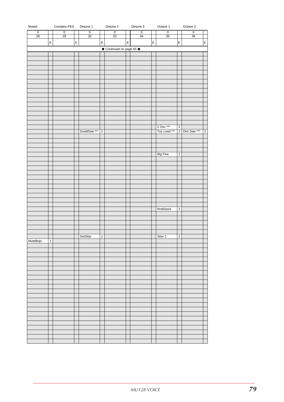| Muted          |              | Complex-FEG    |   | Detune 1        |                | Detune 2               |   | Detune 3        |   | Octave 1        |                  | Octave 2                                                                                                                            |   |
|----------------|--------------|----------------|---|-----------------|----------------|------------------------|---|-----------------|---|-----------------|------------------|-------------------------------------------------------------------------------------------------------------------------------------|---|
| $\overline{0}$ |              | $\frac{0}{29}$ |   | $\overline{0}$  |                | $\frac{0}{33}$         |   | $\overline{0}$  |   | $\overline{0}$  |                  | $\overline{0}$                                                                                                                      |   |
| 28             |              |                |   | $\overline{32}$ |                |                        |   | $\overline{34}$ |   | $\overline{35}$ |                  | $\overline{36}$                                                                                                                     |   |
|                | E            |                | E |                 | $\mathsf E$    |                        | E |                 | E |                 | E                |                                                                                                                                     | E |
|                |              |                |   |                 |                | Continued on page 65 € |   |                 |   |                 |                  |                                                                                                                                     |   |
|                |              |                |   |                 |                |                        |   |                 |   |                 |                  |                                                                                                                                     |   |
|                |              |                |   |                 |                |                        |   |                 |   |                 |                  |                                                                                                                                     |   |
|                |              |                |   |                 |                |                        |   |                 |   |                 |                  |                                                                                                                                     |   |
|                |              |                |   |                 |                |                        |   |                 |   |                 |                  |                                                                                                                                     |   |
|                |              |                |   |                 |                |                        |   |                 |   |                 |                  |                                                                                                                                     |   |
|                |              |                |   |                 |                |                        |   |                 |   |                 |                  |                                                                                                                                     |   |
|                |              |                |   |                 |                |                        |   |                 |   |                 |                  |                                                                                                                                     |   |
|                |              |                |   |                 |                |                        |   |                 |   |                 |                  |                                                                                                                                     |   |
|                |              |                |   |                 |                |                        |   |                 |   |                 |                  |                                                                                                                                     |   |
|                |              |                |   |                 |                |                        |   |                 |   |                 |                  |                                                                                                                                     |   |
|                |              |                |   |                 |                |                        |   |                 |   |                 |                  |                                                                                                                                     |   |
|                |              |                |   |                 |                |                        |   |                 |   |                 |                  |                                                                                                                                     |   |
|                |              |                |   |                 |                |                        |   |                 |   |                 |                  |                                                                                                                                     |   |
|                |              |                |   |                 |                |                        |   |                 |   | $2$ Osc ***     |                  |                                                                                                                                     |   |
|                |              |                |   | DoublSaw *** 2  |                |                        |   |                 |   | Toy Lead ***    |                  | $\begin{array}{ c c c }\n\hline\n2 & \text{Dim Saw} & \text{max} \\ \hline\n2 & \text{Dim Saw} & \text{max} \\ \hline\n\end{array}$ |   |
|                |              |                |   |                 |                |                        |   |                 |   |                 |                  |                                                                                                                                     |   |
|                |              |                |   |                 |                |                        |   |                 |   |                 |                  |                                                                                                                                     |   |
|                |              |                |   |                 |                |                        |   |                 |   |                 |                  |                                                                                                                                     |   |
|                |              |                |   |                 |                |                        |   |                 |   | <b>Big Five</b> | $\overline{2}$   |                                                                                                                                     |   |
|                |              |                |   |                 |                |                        |   |                 |   |                 |                  |                                                                                                                                     |   |
|                |              |                |   |                 |                |                        |   |                 |   |                 |                  |                                                                                                                                     |   |
|                |              |                |   |                 |                |                        |   |                 |   |                 |                  |                                                                                                                                     |   |
|                |              |                |   |                 |                |                        |   |                 |   |                 |                  |                                                                                                                                     |   |
|                |              |                |   |                 |                |                        |   |                 |   |                 |                  |                                                                                                                                     |   |
|                |              |                |   |                 |                |                        |   |                 |   |                 |                  |                                                                                                                                     |   |
|                |              |                |   |                 |                |                        |   |                 |   |                 |                  |                                                                                                                                     |   |
|                |              |                |   |                 |                |                        |   |                 |   |                 |                  |                                                                                                                                     |   |
|                |              |                |   |                 |                |                        |   |                 |   |                 |                  |                                                                                                                                     |   |
|                |              |                |   |                 |                |                        |   |                 |   |                 |                  |                                                                                                                                     |   |
|                |              |                |   |                 |                |                        |   |                 |   | RndGlock        | $\boldsymbol{2}$ |                                                                                                                                     |   |
|                |              |                |   |                 |                |                        |   |                 |   |                 |                  |                                                                                                                                     |   |
|                |              |                |   |                 |                |                        |   |                 |   |                 |                  |                                                                                                                                     |   |
|                |              |                |   |                 |                |                        |   |                 |   |                 |                  |                                                                                                                                     |   |
|                |              |                |   |                 |                |                        |   |                 |   |                 |                  |                                                                                                                                     |   |
|                |              |                |   | DetSitar        | $\overline{2}$ |                        |   |                 |   | Sitar 2         | $\mathbf 2$      |                                                                                                                                     |   |
| MuteBnjo       | $\mathbf{1}$ |                |   |                 |                |                        |   |                 |   |                 |                  |                                                                                                                                     |   |
|                |              |                |   |                 |                |                        |   |                 |   |                 |                  |                                                                                                                                     |   |
|                |              |                |   |                 |                |                        |   |                 |   |                 |                  |                                                                                                                                     |   |
|                |              |                |   |                 |                |                        |   |                 |   |                 |                  |                                                                                                                                     |   |
|                |              |                |   |                 |                |                        |   |                 |   |                 |                  |                                                                                                                                     |   |
|                |              |                |   |                 |                |                        |   |                 |   |                 |                  |                                                                                                                                     |   |
|                |              |                |   |                 |                |                        |   |                 |   |                 |                  |                                                                                                                                     |   |
|                |              |                |   |                 |                |                        |   |                 |   |                 |                  |                                                                                                                                     |   |
|                |              |                |   |                 |                |                        |   |                 |   |                 |                  |                                                                                                                                     |   |
|                |              |                |   |                 |                |                        |   |                 |   |                 |                  |                                                                                                                                     |   |
|                |              |                |   |                 |                |                        |   |                 |   |                 |                  |                                                                                                                                     |   |
|                |              |                |   |                 |                |                        |   |                 |   |                 |                  |                                                                                                                                     |   |
|                |              |                |   |                 |                |                        |   |                 |   |                 |                  |                                                                                                                                     |   |
|                |              |                |   |                 |                |                        |   |                 |   |                 |                  |                                                                                                                                     |   |
|                |              |                |   |                 |                |                        |   |                 |   |                 |                  |                                                                                                                                     |   |
|                |              |                |   |                 |                |                        |   |                 |   |                 |                  |                                                                                                                                     |   |
|                |              |                |   |                 |                |                        |   |                 |   |                 |                  |                                                                                                                                     |   |
|                |              |                |   |                 |                |                        |   |                 |   |                 |                  |                                                                                                                                     |   |
|                |              |                |   |                 |                |                        |   |                 |   |                 |                  |                                                                                                                                     |   |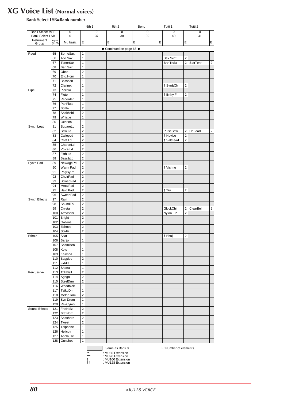### **Bank Select LSB=Bank number**

|                        |                     |                      |                                                    | 5th 1 |   | 5th 2                |   | Bend |   | Tutti 1              |                                           | Tutti 2  |                |
|------------------------|---------------------|----------------------|----------------------------------------------------|-------|---|----------------------|---|------|---|----------------------|-------------------------------------------|----------|----------------|
| <b>Bank Select MSB</b> |                     | 0                    |                                                    | 0     |   | 0                    |   | 0    |   | 0                    |                                           | 0        |                |
| <b>Bank Select LSB</b> |                     | $\overline{0}$       |                                                    | 37    |   | 38                   |   | 39   |   | 40                   |                                           | 41       |                |
| Instrument<br>Group    | Pgm#<br>$(1 - 128)$ | Mu basic             | E                                                  |       | E |                      | E |      | E |                      | E                                         |          | E.             |
|                        |                     |                      |                                                    |       |   | Continued on page 66 |   |      |   |                      |                                           |          |                |
| Reed                   | 65                  | SprnoSax             | 1                                                  |       |   |                      |   |      |   |                      |                                           |          |                |
|                        | 66                  | Alto Sax             | $\mathbf 1$                                        |       |   |                      |   |      |   | Sax Sect             | $\sqrt{2}$                                |          |                |
|                        | 67                  | TenorSax             | $\mathbf{1}$                                       |       |   |                      |   |      |   | <b>BrthTnSx</b>      | $\overline{2}$                            | SoftTenr | $\overline{c}$ |
|                        | 68                  | Bari.Sax             | $\mathbf 1$                                        |       |   |                      |   |      |   |                      |                                           |          |                |
|                        | 69                  | Oboe                 | $\overline{\mathbf{c}}$                            |       |   |                      |   |      |   |                      |                                           |          |                |
|                        | 70                  | Eng.Horn             | $\mathbf{1}$                                       |       |   |                      |   |      |   |                      |                                           |          |                |
|                        | 71                  | Bassoon              | $\mathbf{1}$                                       |       |   |                      |   |      |   |                      |                                           |          |                |
|                        | 72                  | Clarinet             | $\mathbf 1$                                        |       |   |                      |   |      |   | † Syn&Clr            | $\overline{\mathbf{c}}$                   |          |                |
| Pipe                   | 73                  | Piccolo              | $\mathbf{1}$                                       |       |   |                      |   |      |   |                      |                                           |          |                |
|                        | 74                  | Flute                | $\mathbf{1}$                                       |       |   |                      |   |      |   | † Brthy Fl           | $\overline{\mathbf{c}}$                   |          |                |
|                        | 75                  | Recorder             | $\mathbf{1}$                                       |       |   |                      |   |      |   |                      |                                           |          |                |
|                        | 76                  | PanFlute             | $\mathbf{1}$                                       |       |   |                      |   |      |   |                      |                                           |          |                |
|                        | 77                  | <b>Bottle</b>        | $\boldsymbol{2}$<br>$\overline{\mathbf{c}}$        |       |   |                      |   |      |   |                      |                                           |          |                |
|                        | 78<br>79            | Shakhchi<br>Whistle  | $\mathbf{1}$                                       |       |   |                      |   |      |   |                      |                                           |          |                |
|                        | 80                  | Ocarina              | $\mathbf 1$                                        |       |   |                      |   |      |   |                      |                                           |          |                |
| Synth Lead             | 81                  | SquareLd             | $\overline{c}$                                     |       |   |                      |   |      |   |                      |                                           |          |                |
|                        | 82                  | Saw Ld               | $\overline{\mathbf{c}}$                            |       |   |                      |   |      |   | PulseSaw             | $\overline{\mathbf{c}}$                   | Dr.Lead  | $\overline{c}$ |
|                        | 83                  | CaliopLd             | $\overline{\mathbf{c}}$                            |       |   |                      |   |      |   | † Novice             | $\overline{\mathbf{c}}$                   |          |                |
|                        | 84                  | Chiff Ld             | $\overline{c}$                                     |       |   |                      |   |      |   | † SaltLead           | $\overline{\mathbf{c}}$                   |          |                |
|                        | 85                  | CharanLd             | $\overline{2}$                                     |       |   |                      |   |      |   |                      |                                           |          |                |
|                        | 86                  | Voice Ld             | $\overline{\mathbf{c}}$                            |       |   |                      |   |      |   |                      |                                           |          |                |
|                        | 87                  | Fifth Ld             | $\overline{\mathbf{c}}$                            |       |   |                      |   |      |   |                      |                                           |          |                |
|                        | 88                  | Bass&Ld              | $\overline{\mathbf{c}}$                            |       |   |                      |   |      |   |                      |                                           |          |                |
| Synth Pad              | 89                  | NewAgePd             | $\overline{\mathbf{c}}$                            |       |   |                      |   |      |   |                      |                                           |          |                |
|                        | 90                  | Warm Pad             | $\overline{\mathbf{c}}$                            |       |   |                      |   |      |   | † Vishnu             | $\overline{\mathbf{c}}$                   |          |                |
|                        | 91                  | PolySyPd             | $\overline{\mathbf{c}}$                            |       |   |                      |   |      |   |                      |                                           |          |                |
|                        | 92                  | ChoirPad             | $\overline{c}$                                     |       |   |                      |   |      |   |                      |                                           |          |                |
|                        | 93                  | BowedPad             | $\mathbf 2$                                        |       |   |                      |   |      |   |                      |                                           |          |                |
|                        | 94                  | MetalPad             | $\overline{\mathbf{c}}$                            |       |   |                      |   |      |   |                      |                                           |          |                |
|                        | 95                  | Halo Pad             | $\overline{\mathbf{c}}$                            |       |   |                      |   |      |   | † Tiu                | 2                                         |          |                |
|                        | 96                  | SweepPad             | $\overline{\mathbf{c}}$                            |       |   |                      |   |      |   |                      |                                           |          |                |
| Synth Effects          | 97                  | Rain                 | $\overline{c}$                                     |       |   |                      |   |      |   |                      |                                           |          |                |
|                        | 98<br>99            | SoundTrk             | $\overline{\mathbf{c}}$<br>$\overline{\mathbf{c}}$ |       |   |                      |   |      |   |                      |                                           |          |                |
|                        | 100                 | Crystal<br>Atmosphr  | $\overline{\mathbf{c}}$                            |       |   |                      |   |      |   | GlockChi<br>Nylon EP | $\overline{\mathbf{c}}$<br>$\overline{2}$ | ClearBel | $\overline{c}$ |
|                        | 101                 | <b>Bright</b>        | $\boldsymbol{2}$                                   |       |   |                      |   |      |   |                      |                                           |          |                |
|                        | 102                 | Goblins              | $\overline{\mathbf{c}}$                            |       |   |                      |   |      |   |                      |                                           |          |                |
|                        | 103                 | Echoes               | $\overline{\mathbf{c}}$                            |       |   |                      |   |      |   |                      |                                           |          |                |
|                        | 104                 | Sci-Fi               | $\overline{c}$                                     |       |   |                      |   |      |   |                      |                                           |          |                |
| Ethnic                 | 105                 | Sitar                | $\mathbf{1}$                                       |       |   |                      |   |      |   | † Bhuj               | $\overline{2}$                            |          |                |
|                        | 106                 | Banjo                | $\mathbf{1}$                                       |       |   |                      |   |      |   |                      |                                           |          |                |
|                        | 107                 | Shamisen             | 1                                                  |       |   |                      |   |      |   |                      |                                           |          |                |
|                        | 108                 | Koto                 | 1                                                  |       |   |                      |   |      |   |                      |                                           |          |                |
|                        | 109                 | Kalimba              | $\mathbf{1}$                                       |       |   |                      |   |      |   |                      |                                           |          |                |
|                        | 110                 | Bagpipe              | $\overline{\mathbf{c}}$                            |       |   |                      |   |      |   |                      |                                           |          |                |
|                        | 111                 | Fiddle               | $\mathbf{1}$                                       |       |   |                      |   |      |   |                      |                                           |          |                |
|                        | 112                 | Shanai               | $\mathbf{1}$                                       |       |   |                      |   |      |   |                      |                                           |          |                |
| Percussive             |                     | 113 TnklBell         | $\overline{2}$                                     |       |   |                      |   |      |   |                      |                                           |          |                |
|                        |                     | 114 Agogo            | $\overline{\mathbf{c}}$                            |       |   |                      |   |      |   |                      |                                           |          |                |
|                        | 115                 | SteelDrm             | $\overline{\mathbf{c}}$                            |       |   |                      |   |      |   |                      |                                           |          |                |
|                        |                     | 116 Woodblok         | $\mathbf{1}$                                       |       |   |                      |   |      |   |                      |                                           |          |                |
|                        | 117                 | TaikoDrm             | $\mathbf 1$                                        |       |   |                      |   |      |   |                      |                                           |          |                |
|                        |                     | 118   MelodTom       | $\overline{\mathbf{c}}$                            |       |   |                      |   |      |   |                      |                                           |          |                |
|                        | 119                 | Syn Drum             | $\mathbf{1}$                                       |       |   |                      |   |      |   |                      |                                           |          |                |
|                        | 120                 | RevCymbl             | $\mathbf{1}$                                       |       |   |                      |   |      |   |                      |                                           |          |                |
| Sound Effects          | 121<br>122          | FretNoiz             | $\overline{\mathbf{c}}$<br>$\overline{\mathbf{c}}$ |       |   |                      |   |      |   |                      |                                           |          |                |
|                        | 123                 | BrthNoiz<br>Seashore | $\overline{\mathbf{c}}$                            |       |   |                      |   |      |   |                      |                                           |          |                |
|                        |                     | 124 Tweet            | $\overline{c}$                                     |       |   |                      |   |      |   |                      |                                           |          |                |
|                        |                     |                      |                                                    |       |   |                      |   |      |   |                      |                                           |          |                |
|                        |                     |                      |                                                    |       |   |                      |   |      |   |                      |                                           |          |                |
|                        |                     | 125 Telphone         | $\mathbf 1$                                        |       |   |                      |   |      |   |                      |                                           |          |                |
|                        |                     | 126   Helicptr       | 1                                                  |       |   |                      |   |      |   |                      |                                           |          |                |
|                        | 127<br>128          | Applause<br>Gunshot  | 1<br>$\mathbf{1}$                                  |       |   |                      |   |      |   |                      |                                           |          |                |

\*\* : MU80 Extension \*\*\* : MU90 Extension † : MU100 Extension †† : MU128 Extension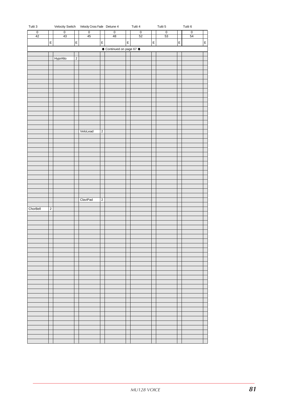| Tutti 3        |                | Velocity Switch |                | Velocity Cross Fade Detune 4 |                |                        |             | Tutti 4        |             | Tutti 5        |             | Tutti 6        |   |
|----------------|----------------|-----------------|----------------|------------------------------|----------------|------------------------|-------------|----------------|-------------|----------------|-------------|----------------|---|
| $\frac{0}{42}$ |                | $\frac{0}{43}$  |                | $\frac{0}{45}$               |                | $\frac{0}{48}$         |             | $\frac{0}{52}$ |             | $\frac{0}{53}$ |             | $\frac{0}{54}$ |   |
|                |                |                 |                |                              |                |                        |             |                |             |                |             |                |   |
|                | E              |                 | $\mathsf E$    |                              | $\mathsf E$    |                        | $\mathsf E$ |                | $\mathsf E$ |                | $\mathsf E$ |                | E |
|                |                |                 |                |                              |                | Continued on page 67 € |             |                |             |                |             |                |   |
|                |                |                 |                |                              |                |                        |             |                |             |                |             |                |   |
|                |                | HyprAlto        | $\overline{2}$ |                              |                |                        |             |                |             |                |             |                |   |
|                |                |                 |                |                              |                |                        |             |                |             |                |             |                |   |
|                |                |                 |                |                              |                |                        |             |                |             |                |             |                |   |
|                |                |                 |                |                              |                |                        |             |                |             |                |             |                |   |
|                |                |                 |                |                              |                |                        |             |                |             |                |             |                |   |
|                |                |                 |                |                              |                |                        |             |                |             |                |             |                |   |
|                |                |                 |                |                              |                |                        |             |                |             |                |             |                |   |
|                |                |                 |                |                              |                |                        |             |                |             |                |             |                |   |
|                |                |                 |                |                              |                |                        |             |                |             |                |             |                |   |
|                |                |                 |                |                              |                |                        |             |                |             |                |             |                |   |
|                |                |                 |                |                              |                |                        |             |                |             |                |             |                |   |
|                |                |                 |                |                              |                |                        |             |                |             |                |             |                |   |
|                |                |                 |                |                              |                |                        |             |                |             |                |             |                |   |
|                |                |                 |                |                              |                |                        |             |                |             |                |             |                |   |
|                |                |                 |                |                              |                |                        |             |                |             |                |             |                |   |
|                |                |                 |                | VeloLead                     | $\overline{2}$ |                        |             |                |             |                |             |                |   |
|                |                |                 |                |                              |                |                        |             |                |             |                |             |                |   |
|                |                |                 |                |                              |                |                        |             |                |             |                |             |                |   |
|                |                |                 |                |                              |                |                        |             |                |             |                |             |                |   |
|                |                |                 |                |                              |                |                        |             |                |             |                |             |                |   |
|                |                |                 |                |                              |                |                        |             |                |             |                |             |                |   |
|                |                |                 |                |                              |                |                        |             |                |             |                |             |                |   |
|                |                |                 |                |                              |                |                        |             |                |             |                |             |                |   |
|                |                |                 |                |                              |                |                        |             |                |             |                |             |                |   |
|                |                |                 |                |                              |                |                        |             |                |             |                |             |                |   |
|                |                |                 |                |                              |                |                        |             |                |             |                |             |                |   |
|                |                |                 |                |                              |                |                        |             |                |             |                |             |                |   |
|                |                |                 |                |                              |                |                        |             |                |             |                |             |                |   |
|                |                |                 |                |                              |                |                        |             |                |             |                |             |                |   |
|                |                |                 |                |                              |                |                        |             |                |             |                |             |                |   |
|                |                |                 |                | ClaviPad                     | $\overline{2}$ |                        |             |                |             |                |             |                |   |
|                |                |                 |                |                              |                |                        |             |                |             |                |             |                |   |
| ChorBell       | $\overline{c}$ |                 |                |                              |                |                        |             |                |             |                |             |                |   |
|                |                |                 |                |                              |                |                        |             |                |             |                |             |                |   |
|                |                |                 |                |                              |                |                        |             |                |             |                |             |                |   |
|                |                |                 |                |                              |                |                        |             |                |             |                |             |                |   |
|                |                |                 |                |                              |                |                        |             |                |             |                |             |                |   |
|                |                |                 |                |                              |                |                        |             |                |             |                |             |                |   |
|                |                |                 |                |                              |                |                        |             |                |             |                |             |                |   |
|                |                |                 |                |                              |                |                        |             |                |             |                |             |                |   |
|                |                |                 |                |                              |                |                        |             |                |             |                |             |                |   |
|                |                |                 |                |                              |                |                        |             |                |             |                |             |                |   |
|                |                |                 |                |                              |                |                        |             |                |             |                |             |                |   |
|                |                |                 |                |                              |                |                        |             |                |             |                |             |                |   |
|                |                |                 |                |                              |                |                        |             |                |             |                |             |                |   |
|                |                |                 |                |                              |                |                        |             |                |             |                |             |                |   |
|                |                |                 |                |                              |                |                        |             |                |             |                |             |                |   |
|                |                |                 |                |                              |                |                        |             |                |             |                |             |                |   |
|                |                |                 |                |                              |                |                        |             |                |             |                |             |                |   |
|                |                |                 |                |                              |                |                        |             |                |             |                |             |                |   |
|                |                |                 |                |                              |                |                        |             |                |             |                |             |                |   |
|                |                |                 |                |                              |                |                        |             |                |             |                |             |                |   |
|                |                |                 |                |                              |                |                        |             |                |             |                |             |                |   |
|                |                |                 |                |                              |                |                        |             |                |             |                |             |                |   |
|                |                |                 |                |                              |                |                        |             |                |             |                |             |                |   |
|                |                |                 |                |                              |                |                        |             |                |             |                |             |                |   |
|                |                |                 |                |                              |                |                        |             |                |             |                |             |                |   |
|                |                |                 |                |                              |                |                        |             |                |             |                |             |                |   |
|                |                |                 |                |                              |                |                        |             |                |             |                |             |                |   |
|                |                |                 |                |                              |                |                        |             |                |             |                |             |                |   |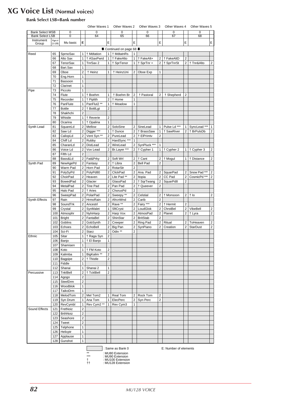### **Bank Select LSB=Bank number**

|                        |                     |                 |                         | Other Waves 1          |                         | Other Waves 2                      |                         | Other Waves 3   |                         | Other Waves 4 |                         | Other Waves 5 |                         |
|------------------------|---------------------|-----------------|-------------------------|------------------------|-------------------------|------------------------------------|-------------------------|-----------------|-------------------------|---------------|-------------------------|---------------|-------------------------|
| <b>Bank Select MSB</b> |                     | 0               |                         | 0                      |                         | 0                                  |                         | 0               |                         | 0             |                         | 0             |                         |
| <b>Bank Select LSB</b> |                     | 0               |                         | 64                     |                         | 65                                 |                         | 66              |                         | 67            |                         | 68            |                         |
| Instrument<br>Group    | Pgm#<br>$(1 - 128)$ | Mu basic        | E                       |                        | E                       |                                    | Ε                       |                 | E                       |               | E                       |               | Ε                       |
|                        |                     |                 |                         |                        |                         |                                    |                         |                 |                         |               |                         |               |                         |
| Reed                   | 65                  | SprnoSax        | 1                       | † Mdtation             |                         | Continued on page 68<br>† MdtatnRs | 1                       |                 |                         |               |                         |               |                         |
|                        | 66                  | Alto Sax        | 1                       | † ASaxPwrd             | 1<br>1                  | † FakeAlto                         | 1                       | + FakeAlt+      | 2                       | † FakeAltD    | $\overline{2}$          |               |                         |
|                        | 67                  | TenorSax        | 1                       | TnrSax 2               | 1                       | † SprTenor                         | 1                       | † SprTnr +      | 2                       | † SprTnrSt    | 2                       | † Tnr&Alto    | 2                       |
|                        | 68                  | Bari.Sax        | $\mathbf{1}$            |                        |                         |                                    |                         |                 |                         |               |                         |               |                         |
|                        | 69                  | Oboe            | $\overline{2}$          | † Heinz                | 1                       | † HeinzUni                         | 2                       | Oboe Exp        | 1                       |               |                         |               |                         |
|                        | 70                  | Eng.Horn        | 1                       |                        |                         |                                    |                         |                 |                         |               |                         |               |                         |
|                        | 71                  | Bassoon         | 1                       |                        |                         |                                    |                         |                 |                         |               |                         |               |                         |
|                        | 72                  | Clarinet        | 1                       |                        |                         |                                    |                         |                 |                         |               |                         |               |                         |
| Pipe                   | 73                  | Piccolo         | 1                       |                        |                         |                                    |                         |                 |                         |               |                         |               |                         |
|                        | 74                  | Flute           | 1                       | † Boehm                | 1                       | † Boehm Br                         | 2                       | † Pastoral      | 2                       | † Shepherd    | $\overline{\mathbf{c}}$ |               |                         |
|                        | 75                  | Recorder        | 1                       | † Piplith              | $\overline{2}$          | † Home                             | 1                       |                 |                         |               |                         |               |                         |
|                        | 76                  | PanFlute        | 1                       | PanFlut2 **            | 1                       | † Meadow                           | 1                       |                 |                         |               |                         |               |                         |
|                        | 77                  | <b>Bottle</b>   | $\overline{\mathbf{c}}$ | † BottlLgt             | $\overline{2}$          |                                    |                         |                 |                         |               |                         |               |                         |
|                        | 78                  | Shakhchi        | $\overline{\mathbf{c}}$ |                        |                         |                                    |                         |                 |                         |               |                         |               |                         |
|                        | 79                  | Whistle         | 1                       | † Reverie              | 2                       |                                    |                         |                 |                         |               |                         |               |                         |
|                        | 80                  | Ocarina         | 1                       | † Opalina              | 1                       |                                    |                         |                 |                         |               |                         |               |                         |
| Synth Lead             | 81                  | SquareLd        | $\overline{\mathbf{c}}$ | Mellow                 | 2                       | SoloSine                           | 2                       | SineLead        | 1                       | Pulse Ld ***  | 1                       | SyncLead ***  | 1                       |
|                        | 82                  | Saw Ld          | $\overline{\mathbf{c}}$ | Digger ***             | 1                       | † Dunce                            | 2                       | + BrassSaw      | 1                       | † SawRiver    | 2                       | † BrPulsDb    | 2                       |
|                        | 83                  | CaliopLd        | $\overline{\mathbf{c}}$ | Vent Syn <sup>**</sup> | 2                       | PureLead                           | $\overline{2}$          | † ElPrimtv      | $\overline{\mathbf{c}}$ |               |                         |               |                         |
|                        | 84                  | Chiff Ld        | $\overline{\mathbf{c}}$ | Rubby                  | $\overline{c}$          | HardSync ***                       | 1                       |                 |                         |               |                         |               |                         |
|                        | 85                  | CharanLd        | $\overline{c}$          | DistLead               | $\overline{2}$          | WireLead                           | 2                       | SynPluck ***    | 1                       |               |                         |               |                         |
|                        | 86                  | Voice Ld        | $\overline{\mathbf{c}}$ | Vox Lead               | $\overline{c}$          | Br.Layer ***                       | $\overline{\mathbf{c}}$ | † Cypher 1      | 1                       | † Cypher 2    | 1                       | † Cypher 3    | 2                       |
|                        | 87                  | Fifth Ld        | $\overline{\mathbf{c}}$ |                        |                         |                                    |                         |                 |                         |               |                         |               |                         |
|                        | 88                  | Bass&Ld         | $\overline{\mathbf{c}}$ | Fat&Prky               | 2                       | Soft Wrl                           | 2                       | † Cant          | 2                       | † Mogul       | 1                       | † Distance    | 2                       |
| Synth Pad              | 89                  | NewAgePd        | $\overline{\mathbf{c}}$ | Fantasy                | 2                       | † Libra                            | 2                       | <b>Bell Pad</b> | 2                       |               |                         |               |                         |
|                        | 90                  | Warm Pad        | $\overline{\mathbf{c}}$ | Horn Pad               | $\overline{c}$          | RotarStr                           | $\overline{\mathbf{c}}$ |                 |                         |               |                         |               |                         |
|                        | 91                  | PolySyPd        | $\overline{\mathbf{c}}$ | PolyPd80               | 2                       | ClickPad                           | $\overline{2}$          | Ana. Pad        | 2                       | SquarPad      | $\overline{2}$          | Snow Pad***   | 2                       |
|                        | 92                  | ChoirPad        | $\overline{\mathbf{c}}$ | Heaven                 | 2                       | Lite Pad**                         | 2                       | Itopia          | 2                       | CC Pad        | 2                       | CosmicPd***   | 2                       |
|                        | 93                  | <b>BowedPad</b> | $\overline{\mathbf{c}}$ | Glacier                | $\overline{2}$          | GlassPad                           | 2                       | † SqrTwang      | 2                       | SquarPd8      | $\overline{2}$          |               |                         |
|                        | 94                  | MetalPad        | 2                       | Tine Pad               | $\overline{\mathbf{c}}$ | Pan Pad                            | $\overline{\mathbf{c}}$ | † Queever       | 2                       |               |                         |               |                         |
|                        | 95                  | Halo Pad        | $\overline{\mathbf{c}}$ | † Aries                | $\overline{2}$          | ChorusPd                           | $\overline{2}$          |                 |                         |               |                         |               |                         |
|                        | 96                  | SweepPad        | $\overline{\mathbf{c}}$ | PolarPad               | 2                       | Sweepy **                          | $\overline{\mathbf{c}}$ | Celstial        | 2                       | † Monsoon     | 2                       | † Io          | 2                       |
| Synth Effects          | 97                  | Rain            | $\overline{\mathbf{c}}$ | HrmoRain               | 2                       | AfrcnWnd                           | 2                       | Carib           | 2                       |               |                         |               |                         |
|                        | 98                  | SoundTrk        | $\overline{\mathbf{c}}$ | Ancestrl               | $\overline{\mathbf{c}}$ | Rave**                             | $\overline{\mathbf{c}}$ | Fairy ***       | 2                       | † Hermit      | $\overline{2}$          |               |                         |
|                        | 99                  | Crystal         | $\overline{\mathbf{c}}$ | SynMalet               | 1                       | SftCryst                           | $\overline{2}$          | LoudGlok        | 2                       | ChrstBel      | $\overline{2}$          | VibeBell      | 2                       |
|                        | 100                 | Atmosphr        | $\overline{\mathbf{c}}$ | NylnHarp               | 2                       | Harp Vox                           | 2                       | AtmosPad        | $\overline{\mathbf{c}}$ | Planet        | $\overline{\mathbf{c}}$ | † Lyra        | $\overline{\mathbf{c}}$ |
|                        | 101                 | <b>Bright</b>   | $\overline{\mathbf{c}}$ | FantaBel               | $\overline{\mathbf{c}}$ | ShinStar                           | $\overline{2}$          | <b>BritStab</b> | $\overline{c}$          |               |                         |               |                         |
|                        | 102                 | Goblins         | $\overline{\mathbf{c}}$ | GobSynth               | $\overline{c}$          | Creeper                            | $\overline{\mathbf{c}}$ | Ring Pad        | 2                       | Ritual        | $\overline{2}$          | ToHeaven      | 2                       |
|                        | 103                 | Echoes          | $\overline{\mathbf{c}}$ | EchoBell               | $\overline{c}$          | Big Pan                            | $\overline{\mathbf{c}}$ | SynPiano        | 2                       | Creation      | $\overline{2}$          | StarDust      | 2                       |
|                        | 104                 | Sci-Fi          | $\overline{2}$          | Starz                  | $\overline{c}$          | Odin **                            | $\overline{2}$          |                 |                         |               |                         |               |                         |
| Ethnic                 | 105                 | Sitar           | 1                       | † Raga Syn             | 2                       |                                    |                         |                 |                         |               |                         |               |                         |
|                        | 106                 | Banjo           | 1                       | † El Banjo             | 1                       |                                    |                         |                 |                         |               |                         |               |                         |
|                        | 107                 | Shamisen        | 1                       |                        |                         |                                    |                         |                 |                         |               |                         |               |                         |
|                        | 108                 | Koto            | 1                       | † FM Koto              | 2                       |                                    |                         |                 |                         |               |                         |               |                         |
|                        | 109                 | Kalimba         | 1                       | BigKalim **            | $\overline{\mathbf{c}}$ |                                    |                         |                 |                         |               |                         |               |                         |
|                        | 110                 | Bagpipe         | 2                       | † Thistle              | $\overline{c}$          |                                    |                         |                 |                         |               |                         |               |                         |
|                        | 111                 | Fiddle          | 1                       |                        |                         |                                    |                         |                 |                         |               |                         |               |                         |
|                        | 112                 | Shanai          | 1                       | Shanai 2               | 1                       |                                    |                         |                 |                         |               |                         |               |                         |
| Percussive             |                     | 113 TnklBell    | 2                       | <b>TckIBell</b>        | 2                       |                                    |                         |                 |                         |               |                         |               |                         |
|                        |                     | 114 Agogo       | $\overline{\mathbf{c}}$ |                        |                         |                                    |                         |                 |                         |               |                         |               |                         |
|                        |                     | 115   SteelDrm  | $\overline{\mathbf{c}}$ |                        |                         |                                    |                         |                 |                         |               |                         |               |                         |
|                        |                     | 116 Woodblok    | $\mathbf{1}$            |                        |                         |                                    |                         |                 |                         |               |                         |               |                         |
|                        | 117                 | TaikoDrm        | $\mathbf{1}$            |                        |                         |                                    |                         |                 |                         |               |                         |               |                         |
|                        |                     | 118   MelodTom  | $\overline{\mathbf{c}}$ | Mel Tom2               | 1                       | Real Tom                           | $\overline{\mathbf{c}}$ | Rock Tom        | $\overline{\mathbf{c}}$ |               |                         |               |                         |
|                        | 119                 | Syn Drum        | 1                       | Ana Tom                | 1                       | ElecPerc                           | 2                       | Syn Perc        | $\overline{\mathbf{c}}$ |               |                         |               |                         |
|                        | 120                 | RevCymbl        | 1                       | Rev Cym2 **            | 1                       | Rev Cym3                           | 1                       |                 |                         |               |                         |               |                         |
| Sound Effects          | 121                 | FretNoiz        | 2                       |                        |                         |                                    |                         |                 |                         |               |                         |               |                         |
|                        | 122                 | <b>BrthNoiz</b> | $\overline{\mathbf{c}}$ |                        |                         |                                    |                         |                 |                         |               |                         |               |                         |
|                        | 123                 | Seashore        | $\overline{\mathbf{c}}$ |                        |                         |                                    |                         |                 |                         |               |                         |               |                         |
|                        | 124                 | Tweet           | $\overline{\mathbf{c}}$ |                        |                         |                                    |                         |                 |                         |               |                         |               |                         |
|                        |                     | 125 Telphone    | $\mathbf{1}$            |                        |                         |                                    |                         |                 |                         |               |                         |               |                         |
|                        | 126                 | Helicptr        | 1                       |                        |                         |                                    |                         |                 |                         |               |                         |               |                         |
|                        | 127                 | Applause        | $\mathbf{1}$            |                        |                         |                                    |                         |                 |                         |               |                         |               |                         |
|                        | 128                 | Gunshot         | 1                       |                        |                         |                                    |                         |                 |                         |               |                         |               |                         |
|                        |                     |                 |                         |                        |                         |                                    |                         |                 |                         |               |                         |               |                         |

: Same as Bank 0

\*\* : MU80 Extension \*\*\* : MU90 Extension † : MU100 Extension †† : MU128 Extension

E: Number of elements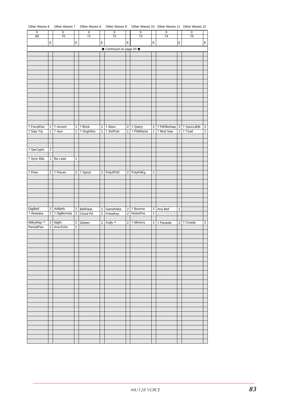| Other Waves 6 Other Waves 7 Other Waves 8 Other Waves 9 Other Waves 10 Other Waves 11 Other Waves 12 |  |
|------------------------------------------------------------------------------------------------------|--|
|------------------------------------------------------------------------------------------------------|--|

| $\overline{0}$<br>69    |                                                    | $\overline{\text{o}}$<br>$\overline{70}$ |                                        | $\overline{\mathbf{0}}$<br>$\overline{71}$ |                                           | $\overline{0}$<br>$\overline{72}$  |                                  | $\overline{\mathbf{0}}$<br>$\overline{73}$ |                                      | $\overline{\mathbf{0}}$<br>$\overline{74}$ |              | $\overline{\text{o}}$<br>$\overline{75}$ |                            |
|-------------------------|----------------------------------------------------|------------------------------------------|----------------------------------------|--------------------------------------------|-------------------------------------------|------------------------------------|----------------------------------|--------------------------------------------|--------------------------------------|--------------------------------------------|--------------|------------------------------------------|----------------------------|
|                         | Е                                                  |                                          | E                                      |                                            | E                                         |                                    | $\mathsf E$                      |                                            | E                                    |                                            | E            |                                          | $\mathsf E$                |
|                         |                                                    |                                          |                                        |                                            |                                           | Continued on page 69 ♦             |                                  |                                            |                                      |                                            |              |                                          |                            |
|                         |                                                    |                                          |                                        |                                            |                                           |                                    |                                  |                                            |                                      |                                            |              |                                          |                            |
|                         |                                                    |                                          |                                        |                                            |                                           |                                    |                                  |                                            |                                      |                                            |              |                                          |                            |
|                         |                                                    |                                          |                                        |                                            |                                           |                                    |                                  |                                            |                                      |                                            |              |                                          |                            |
|                         |                                                    |                                          |                                        |                                            |                                           |                                    |                                  |                                            |                                      |                                            |              |                                          |                            |
|                         |                                                    |                                          |                                        |                                            |                                           |                                    |                                  |                                            |                                      |                                            |              |                                          |                            |
|                         |                                                    |                                          |                                        |                                            |                                           |                                    |                                  |                                            |                                      |                                            |              |                                          |                            |
|                         |                                                    |                                          |                                        |                                            |                                           |                                    |                                  |                                            |                                      |                                            |              |                                          |                            |
|                         |                                                    |                                          |                                        |                                            |                                           |                                    |                                  |                                            |                                      |                                            |              |                                          |                            |
|                         |                                                    |                                          |                                        |                                            |                                           |                                    |                                  |                                            |                                      |                                            |              |                                          |                            |
|                         |                                                    |                                          |                                        |                                            |                                           |                                    |                                  |                                            |                                      |                                            |              |                                          |                            |
|                         |                                                    |                                          |                                        |                                            |                                           |                                    |                                  |                                            |                                      |                                            |              |                                          |                            |
| † ForcdOsc<br>† Saw Trp | $\mathbf{1}$<br>$\mathbf{1}$                       | † Accent<br>$+$ Hue                      | $\mathbf{1}$<br>$\mathbf{1}$           | † Brick<br>† StrghtSw                      | 1                                         | $1$   $\dagger$ Alum<br>† StrtPuls | $\mathbf{1}$                     | $2$ + Query<br>† PWMania                   | $\mathbf{1}$                         | 2   † FMSIwSwp<br>+ Mod Saw                | $\mathbf{1}$ | 2   † SyncLdDb<br>† Toad                 | $\sqrt{2}$<br>$\mathbf{1}$ |
|                         |                                                    |                                          |                                        |                                            |                                           |                                    |                                  |                                            |                                      |                                            |              |                                          |                            |
|                         |                                                    |                                          |                                        |                                            |                                           |                                    |                                  |                                            |                                      |                                            |              |                                          |                            |
| † SprCyphr              | $\overline{\mathbf{c}}$                            |                                          |                                        |                                            |                                           |                                    |                                  |                                            |                                      |                                            |              |                                          |                            |
| † Sync B&L              | $\mathbf{1}$                                       | Ba Lead                                  | $\mathbf{1}$                           |                                            |                                           |                                    |                                  |                                            |                                      |                                            |              |                                          |                            |
|                         |                                                    |                                          |                                        |                                            |                                           |                                    |                                  |                                            |                                      |                                            |              |                                          |                            |
| † Pixie                 | $\overline{c}$                                     | † Pisces                                 | $\overline{2}$                         | † Spiral                                   |                                           | 2 PolySPd2                         | $2 \mid$                         | PolyPdKg                                   | $\boldsymbol{2}$                     |                                            |              |                                          |                            |
|                         |                                                    |                                          |                                        |                                            |                                           |                                    |                                  |                                            |                                      |                                            |              |                                          |                            |
|                         |                                                    |                                          |                                        |                                            |                                           |                                    |                                  |                                            |                                      |                                            |              |                                          |                            |
|                         |                                                    |                                          |                                        |                                            |                                           |                                    |                                  |                                            |                                      |                                            |              |                                          |                            |
|                         |                                                    |                                          |                                        |                                            |                                           |                                    |                                  |                                            |                                      |                                            |              |                                          |                            |
|                         |                                                    |                                          |                                        |                                            |                                           |                                    |                                  |                                            |                                      |                                            |              |                                          |                            |
| DigiBell<br>† Akasaka   | $\overline{\mathbf{c}}$<br>$\overline{\mathbf{c}}$ | AirBells<br>† DgBermda                   | $\overline{\mathbf{c}}$<br>$\mathbf 2$ | BellHarp<br>Cloud Pd                       | $\overline{\mathbf{c}}$<br>$\overline{2}$ | Gamelmba<br>PulseKey               | $\overline{a}$<br>$\overline{2}$ | † Bounce<br>NoisePno                       | $\boldsymbol{2}$<br>$\boldsymbol{2}$ | Ana Bell                                   | $\mathbf{1}$ |                                          |                            |
|                         |                                                    |                                          |                                        |                                            |                                           |                                    |                                  |                                            |                                      |                                            |              |                                          |                            |
| MilkyWay **<br>Reso&Pan | $\overline{a}$<br>$\overline{\mathbf{c}}$          | Night<br>Ana Echo                        | $\overline{\mathbf{c}}$<br>$\mathbf 2$ | Glisten                                    |                                           | 2 Puffy **                         | 2                                | † Mimicry                                  |                                      | 2   † Parasite                             |              | $\overline{2}$ + Cicada                  | $\overline{\mathbf{c}}$    |
|                         |                                                    |                                          |                                        |                                            |                                           |                                    |                                  |                                            |                                      |                                            |              |                                          |                            |
|                         |                                                    |                                          |                                        |                                            |                                           |                                    |                                  |                                            |                                      |                                            |              |                                          |                            |
|                         |                                                    |                                          |                                        |                                            |                                           |                                    |                                  |                                            |                                      |                                            |              |                                          |                            |
|                         |                                                    |                                          |                                        |                                            |                                           |                                    |                                  |                                            |                                      |                                            |              |                                          |                            |
|                         |                                                    |                                          |                                        |                                            |                                           |                                    |                                  |                                            |                                      |                                            |              |                                          |                            |
|                         |                                                    |                                          |                                        |                                            |                                           |                                    |                                  |                                            |                                      |                                            |              |                                          |                            |
|                         |                                                    |                                          |                                        |                                            |                                           |                                    |                                  |                                            |                                      |                                            |              |                                          |                            |
|                         |                                                    |                                          |                                        |                                            |                                           |                                    |                                  |                                            |                                      |                                            |              |                                          |                            |
|                         |                                                    |                                          |                                        |                                            |                                           |                                    |                                  |                                            |                                      |                                            |              |                                          |                            |
|                         |                                                    |                                          |                                        |                                            |                                           |                                    |                                  |                                            |                                      |                                            |              |                                          |                            |
|                         |                                                    |                                          |                                        |                                            |                                           |                                    |                                  |                                            |                                      |                                            |              |                                          |                            |
|                         |                                                    |                                          |                                        |                                            |                                           |                                    |                                  |                                            |                                      |                                            |              |                                          |                            |
|                         |                                                    |                                          |                                        |                                            |                                           |                                    |                                  |                                            |                                      |                                            |              |                                          |                            |
|                         |                                                    |                                          |                                        |                                            |                                           |                                    |                                  |                                            |                                      |                                            |              |                                          |                            |
|                         |                                                    |                                          |                                        |                                            |                                           |                                    |                                  |                                            |                                      |                                            |              |                                          |                            |
|                         |                                                    |                                          |                                        |                                            |                                           |                                    |                                  |                                            |                                      |                                            |              |                                          |                            |
|                         |                                                    |                                          |                                        |                                            |                                           |                                    |                                  |                                            |                                      |                                            |              |                                          |                            |
|                         |                                                    |                                          |                                        |                                            |                                           |                                    |                                  |                                            |                                      |                                            |              |                                          |                            |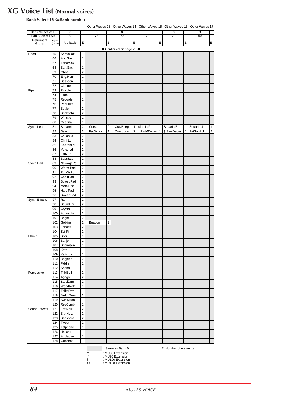### **Bank Select LSB=Bank number**

|                        |                   |                          |                              |            |                         |                      |   | Other Waves 13 Other Waves 14 Other Waves 15 Other Waves 16 Other Waves 17 |              |            |   |          |   |
|------------------------|-------------------|--------------------------|------------------------------|------------|-------------------------|----------------------|---|----------------------------------------------------------------------------|--------------|------------|---|----------|---|
| <b>Bank Select MSB</b> |                   | 0                        |                              | 0          |                         | 0                    |   | $\overline{0}$                                                             |              | 0          |   | 0        |   |
| <b>Bank Select LSB</b> |                   | 0                        |                              | 76         |                         | $\overline{77}$      |   | 78                                                                         |              | 79         |   | 80       |   |
| Instrument<br>Group    | Pgm#<br>$(1-128)$ | Mu basic                 | E                            |            | E                       |                      | Ε |                                                                            | E            |            | E |          | Ε |
|                        |                   |                          |                              |            |                         |                      |   |                                                                            |              |            |   |          |   |
|                        |                   |                          |                              |            |                         | Continued on page 70 |   |                                                                            |              |            |   |          |   |
| Reed                   | 65<br>66          | SprnoSax                 | 1<br>$\mathbf{1}$            |            |                         |                      |   |                                                                            |              |            |   |          |   |
|                        |                   | Alto Sax                 |                              |            |                         |                      |   |                                                                            |              |            |   |          |   |
|                        | 67                | TenorSax                 | 1                            |            |                         |                      |   |                                                                            |              |            |   |          |   |
|                        | 68                | Bari.Sax                 | 1                            |            |                         |                      |   |                                                                            |              |            |   |          |   |
|                        | 69                | Oboe                     | $\overline{\mathbf{c}}$      |            |                         |                      |   |                                                                            |              |            |   |          |   |
|                        | 70                | Eng.Horn                 | $\mathbf{1}$                 |            |                         |                      |   |                                                                            |              |            |   |          |   |
|                        | 71                | Bassoon                  | 1                            |            |                         |                      |   |                                                                            |              |            |   |          |   |
|                        | 72                | Clarinet                 | 1                            |            |                         |                      |   |                                                                            |              |            |   |          |   |
| Pipe                   | 73                | Piccolo                  | $\mathbf{1}$                 |            |                         |                      |   |                                                                            |              |            |   |          |   |
|                        | 74                | Flute                    | 1                            |            |                         |                      |   |                                                                            |              |            |   |          |   |
|                        | 75                | Recorder                 | 1                            |            |                         |                      |   |                                                                            |              |            |   |          |   |
|                        | 76                | PanFlute                 | 1                            |            |                         |                      |   |                                                                            |              |            |   |          |   |
|                        | 77                | <b>Bottle</b>            | $\overline{\mathbf{c}}$      |            |                         |                      |   |                                                                            |              |            |   |          |   |
|                        | 78                | Shakhchi                 | $\overline{2}$               |            |                         |                      |   |                                                                            |              |            |   |          |   |
|                        | 79                | Whistle                  | 1                            |            |                         |                      |   |                                                                            |              |            |   |          |   |
|                        | 80                | Ocarina                  | 1                            |            |                         |                      |   |                                                                            |              |            |   |          |   |
| Synth Lead             | 81                | SquareLd                 | $\overline{c}$               | † Curse    | $\overline{\mathbf{c}}$ | † OctvBeep           | 1 | Sine Ld2                                                                   | $\mathbf{1}$ | SquarLd3   | 1 | SquarLd4 | 1 |
|                        | 82                | Saw Ld                   | $\overline{\mathbf{c}}$      | † FatOctav | 1                       | † Overdose           | 2 | † PWMDecay                                                                 | 1            | † SawDecay | 1 | FatSawLd | 1 |
|                        | 83                | CaliopLd                 | $\overline{\mathbf{c}}$      |            |                         |                      |   |                                                                            |              |            |   |          |   |
|                        | 84                | Chiff Ld                 | $\overline{c}$               |            |                         |                      |   |                                                                            |              |            |   |          |   |
|                        | 85                | CharanLd                 | $\overline{\mathbf{c}}$      |            |                         |                      |   |                                                                            |              |            |   |          |   |
|                        | 86                | Voice Ld                 | $\overline{c}$               |            |                         |                      |   |                                                                            |              |            |   |          |   |
|                        | 87                | Fifth Ld                 | $\overline{\mathbf{c}}$      |            |                         |                      |   |                                                                            |              |            |   |          |   |
|                        | 88                | Bass&Ld                  | $\overline{2}$               |            |                         |                      |   |                                                                            |              |            |   |          |   |
| Synth Pad              | 89                | NewAgePd                 | $\overline{\mathbf{c}}$      |            |                         |                      |   |                                                                            |              |            |   |          |   |
|                        | 90                | Warm Pad                 | $\mathbf 2$                  |            |                         |                      |   |                                                                            |              |            |   |          |   |
|                        | 91                | PolySyPd                 | $\overline{\mathbf{c}}$      |            |                         |                      |   |                                                                            |              |            |   |          |   |
|                        | 92                | ChoirPad                 | $\overline{c}$               |            |                         |                      |   |                                                                            |              |            |   |          |   |
|                        | 93                | <b>BowedPad</b>          | $\overline{\mathbf{c}}$      |            |                         |                      |   |                                                                            |              |            |   |          |   |
|                        | 94                | MetalPad                 | $\overline{\mathbf{c}}$      |            |                         |                      |   |                                                                            |              |            |   |          |   |
|                        | 95                | Halo Pad                 | $\overline{c}$               |            |                         |                      |   |                                                                            |              |            |   |          |   |
|                        | 96                | SweepPad                 | $\overline{c}$               |            |                         |                      |   |                                                                            |              |            |   |          |   |
| Synth Effects          | 97                | Rain                     | $\overline{\mathbf{c}}$      |            |                         |                      |   |                                                                            |              |            |   |          |   |
|                        | 98                | SoundTrk                 | $\overline{\mathbf{c}}$      |            |                         |                      |   |                                                                            |              |            |   |          |   |
|                        | 99                | Crystal                  | $\mathbf 2$                  |            |                         |                      |   |                                                                            |              |            |   |          |   |
|                        | 100               | Atmosphr                 | $\mathbf 2$                  |            |                         |                      |   |                                                                            |              |            |   |          |   |
|                        | 101               | <b>Bright</b>            | $\overline{\mathbf{c}}$      |            |                         |                      |   |                                                                            |              |            |   |          |   |
|                        | 102               | Goblins                  | $\overline{\mathbf{c}}$      | † Beacon   | 2                       |                      |   |                                                                            |              |            |   |          |   |
|                        | 103               | Echoes                   | $\overline{\mathbf{c}}$      |            |                         |                      |   |                                                                            |              |            |   |          |   |
|                        | 104               | Sci-Fi                   | $\mathbf 2$                  |            |                         |                      |   |                                                                            |              |            |   |          |   |
| Ethnic                 | 105               | Sitar                    | 1                            |            |                         |                      |   |                                                                            |              |            |   |          |   |
|                        | 106               | Banjo                    | 1                            |            |                         |                      |   |                                                                            |              |            |   |          |   |
|                        | 107               | Shamisen                 | 1                            |            |                         |                      |   |                                                                            |              |            |   |          |   |
|                        | 108               | Koto                     | 1                            |            |                         |                      |   |                                                                            |              |            |   |          |   |
|                        | 109               | Kalimba                  | 1                            |            |                         |                      |   |                                                                            |              |            |   |          |   |
|                        | 110               | Bagpipe                  | $\overline{\mathbf{c}}$      |            |                         |                      |   |                                                                            |              |            |   |          |   |
|                        | 111               | Fiddle                   | 1                            |            |                         |                      |   |                                                                            |              |            |   |          |   |
|                        | 112               | Shanai                   | 1                            |            |                         |                      |   |                                                                            |              |            |   |          |   |
| Percussive             | $\overline{113}$  | TnklBell                 | $\overline{\mathbf{c}}$      |            |                         |                      |   |                                                                            |              |            |   |          |   |
|                        |                   | 114 Agogo                | $\overline{2}$               |            |                         |                      |   |                                                                            |              |            |   |          |   |
|                        |                   | 115 SteelDrm             | $\mathbf 2$                  |            |                         |                      |   |                                                                            |              |            |   |          |   |
|                        |                   | 116 Woodblok             | $\mathbf{1}$                 |            |                         |                      |   |                                                                            |              |            |   |          |   |
|                        | 117               | TaikoDrm                 | $\mathbf{1}$                 |            |                         |                      |   |                                                                            |              |            |   |          |   |
|                        |                   | 118   MelodTom           | $\mathbf 2$                  |            |                         |                      |   |                                                                            |              |            |   |          |   |
|                        | 119               | Syn Drum                 | $\mathbf{1}$                 |            |                         |                      |   |                                                                            |              |            |   |          |   |
|                        | 120               | RevCymbl                 | $\mathbf{1}$                 |            |                         |                      |   |                                                                            |              |            |   |          |   |
| Sound Effects          | 121               | FretNoiz                 | $\mathbf 2$                  |            |                         |                      |   |                                                                            |              |            |   |          |   |
|                        | 122               | BrthNoiz                 | $\overline{2}$               |            |                         |                      |   |                                                                            |              |            |   |          |   |
|                        |                   | 123 Seashore             | $\mathbf 2$                  |            |                         |                      |   |                                                                            |              |            |   |          |   |
|                        | 124               | $\overline{T}$ weet      | $\mathbf 2$                  |            |                         |                      |   |                                                                            |              |            |   |          |   |
|                        |                   |                          |                              |            |                         |                      |   |                                                                            |              |            |   |          |   |
|                        | 125               | Telphone                 | $\mathbf 1$                  |            |                         |                      |   |                                                                            |              |            |   |          |   |
|                        |                   |                          |                              |            |                         |                      |   |                                                                            |              |            |   |          |   |
|                        | 127               | 126 Helicptr<br>Applause | $\mathbf{1}$<br>$\mathbf{1}$ |            |                         |                      |   |                                                                            |              |            |   |          |   |

E: Number of elements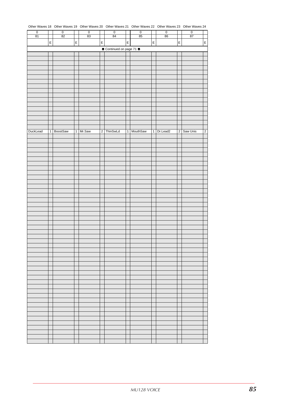|  | Other Waves 18 Other Waves 19 Other Waves 20 Other Waves 21 Other Waves 22 Other Waves 23 Other Waves 24 |  |  |  |  |  |
|--|----------------------------------------------------------------------------------------------------------|--|--|--|--|--|
|--|----------------------------------------------------------------------------------------------------------|--|--|--|--|--|

| $\begin{array}{c}\n0 \\ 81\n\end{array}$ |   | $\begin{array}{c}\n0 \\ 82\n\end{array}$ |   | $\frac{0}{83}$ |   | $\frac{0}{84}$         |             | $\begin{array}{c}\n0 \\ 85\n\end{array}$ |             | $\begin{array}{c}\n0 \\ 86\n\end{array}$ |   | $\frac{0}{87}$ |                |
|------------------------------------------|---|------------------------------------------|---|----------------|---|------------------------|-------------|------------------------------------------|-------------|------------------------------------------|---|----------------|----------------|
|                                          |   |                                          |   |                |   |                        |             |                                          |             |                                          |   |                |                |
|                                          | E |                                          | E |                | E |                        | $\mathsf E$ |                                          | $\mathsf E$ |                                          | E |                | E              |
|                                          |   |                                          |   |                |   | Continued on page 71 ♦ |             |                                          |             |                                          |   |                |                |
|                                          |   |                                          |   |                |   |                        |             |                                          |             |                                          |   |                |                |
|                                          |   |                                          |   |                |   |                        |             |                                          |             |                                          |   |                |                |
|                                          |   |                                          |   |                |   |                        |             |                                          |             |                                          |   |                |                |
|                                          |   |                                          |   |                |   |                        |             |                                          |             |                                          |   |                |                |
|                                          |   |                                          |   |                |   |                        |             |                                          |             |                                          |   |                |                |
|                                          |   |                                          |   |                |   |                        |             |                                          |             |                                          |   |                |                |
|                                          |   |                                          |   |                |   |                        |             |                                          |             |                                          |   |                |                |
|                                          |   |                                          |   |                |   |                        |             |                                          |             |                                          |   |                |                |
|                                          |   |                                          |   |                |   |                        |             |                                          |             |                                          |   |                |                |
|                                          |   |                                          |   |                |   |                        |             |                                          |             |                                          |   |                |                |
|                                          |   |                                          |   |                |   |                        |             |                                          |             |                                          |   |                |                |
|                                          |   |                                          |   |                |   |                        |             |                                          |             |                                          |   |                |                |
|                                          |   |                                          |   |                |   |                        |             |                                          |             |                                          |   |                |                |
|                                          |   |                                          |   |                |   |                        |             |                                          |             |                                          |   |                |                |
|                                          |   |                                          |   |                |   |                        |             |                                          |             |                                          |   |                |                |
|                                          |   |                                          |   |                |   |                        |             |                                          |             |                                          |   |                |                |
|                                          |   |                                          |   |                |   |                        |             |                                          |             |                                          |   |                |                |
| DuckLead                                 |   | 1 BoostSaw                               |   | 1 Mr.Saw       |   | 2 ThinSwLd             |             | 1 MouthSaw                               |             | 1 Dr.Lead2                               |   | 2 Saw Unis     | $\overline{2}$ |
|                                          |   |                                          |   |                |   |                        |             |                                          |             |                                          |   |                |                |
|                                          |   |                                          |   |                |   |                        |             |                                          |             |                                          |   |                |                |
|                                          |   |                                          |   |                |   |                        |             |                                          |             |                                          |   |                |                |
|                                          |   |                                          |   |                |   |                        |             |                                          |             |                                          |   |                |                |
|                                          |   |                                          |   |                |   |                        |             |                                          |             |                                          |   |                |                |
|                                          |   |                                          |   |                |   |                        |             |                                          |             |                                          |   |                |                |
|                                          |   |                                          |   |                |   |                        |             |                                          |             |                                          |   |                |                |
|                                          |   |                                          |   |                |   |                        |             |                                          |             |                                          |   |                |                |
|                                          |   |                                          |   |                |   |                        |             |                                          |             |                                          |   |                |                |
|                                          |   |                                          |   |                |   |                        |             |                                          |             |                                          |   |                |                |
|                                          |   |                                          |   |                |   |                        |             |                                          |             |                                          |   |                |                |
|                                          |   |                                          |   |                |   |                        |             |                                          |             |                                          |   |                |                |
|                                          |   |                                          |   |                |   |                        |             |                                          |             |                                          |   |                |                |
|                                          |   |                                          |   |                |   |                        |             |                                          |             |                                          |   |                |                |
|                                          |   |                                          |   |                |   |                        |             |                                          |             |                                          |   |                |                |
|                                          |   |                                          |   |                |   |                        |             |                                          |             |                                          |   |                |                |
|                                          |   |                                          |   |                |   |                        |             |                                          |             |                                          |   |                |                |
|                                          |   |                                          |   |                |   |                        |             |                                          |             |                                          |   |                |                |
|                                          |   |                                          |   |                |   |                        |             |                                          |             |                                          |   |                |                |
|                                          |   |                                          |   |                |   |                        |             |                                          |             |                                          |   |                |                |
|                                          |   |                                          |   |                |   |                        |             |                                          |             |                                          |   |                |                |
|                                          |   |                                          |   |                |   |                        |             |                                          |             |                                          |   |                |                |
|                                          |   |                                          |   |                |   |                        |             |                                          |             |                                          |   |                |                |
|                                          |   |                                          |   |                |   |                        |             |                                          |             |                                          |   |                |                |
|                                          |   |                                          |   |                |   |                        |             |                                          |             |                                          |   |                |                |
|                                          |   |                                          |   |                |   |                        |             |                                          |             |                                          |   |                |                |
|                                          |   |                                          |   |                |   |                        |             |                                          |             |                                          |   |                |                |
|                                          |   |                                          |   |                |   |                        |             |                                          |             |                                          |   |                |                |
|                                          |   |                                          |   |                |   |                        |             |                                          |             |                                          |   |                |                |
|                                          |   |                                          |   |                |   |                        |             |                                          |             |                                          |   |                |                |
|                                          |   |                                          |   |                |   |                        |             |                                          |             |                                          |   |                |                |
|                                          |   |                                          |   |                |   |                        |             |                                          |             |                                          |   |                |                |
|                                          |   |                                          |   |                |   |                        |             |                                          |             |                                          |   |                |                |
|                                          |   |                                          |   |                |   |                        |             |                                          |             |                                          |   |                |                |
|                                          |   |                                          |   |                |   |                        |             |                                          |             |                                          |   |                |                |
|                                          |   |                                          |   |                |   |                        |             |                                          |             |                                          |   |                |                |
|                                          |   |                                          |   |                |   |                        |             |                                          |             |                                          |   |                |                |
|                                          |   |                                          |   |                |   |                        |             |                                          |             |                                          |   |                |                |
|                                          |   |                                          |   |                |   |                        |             |                                          |             |                                          |   |                |                |
|                                          |   |                                          |   |                |   |                        |             |                                          |             |                                          |   |                |                |
|                                          |   |                                          |   |                |   |                        |             |                                          |             |                                          |   |                |                |
|                                          |   |                                          |   |                |   |                        |             |                                          |             |                                          |   |                |                |
|                                          |   |                                          |   |                |   |                        |             |                                          |             |                                          |   |                |                |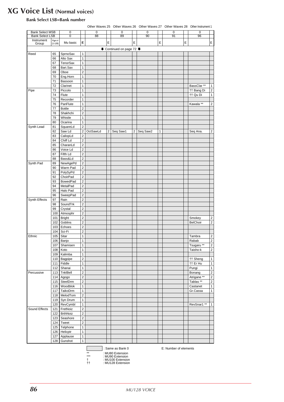### **Bank Select LSB=Bank number**

|                        |                                                                                                                                                                                                 |                                                                                                                                                                                                                                                                                                                                                                                                                                                                                                                                                 |                                                                                                                                                                                                                                                                                                                                                                                                                                                                                                                                                                                                                                                                                                                                                                                                          |                |   |                                  |                |                                            |   |    | Other Waves 25 Other Waves 26 Other Waves 27 Other Waves 28 Other Instrument 1 |                                                                                                                                                                                        |
|------------------------|-------------------------------------------------------------------------------------------------------------------------------------------------------------------------------------------------|-------------------------------------------------------------------------------------------------------------------------------------------------------------------------------------------------------------------------------------------------------------------------------------------------------------------------------------------------------------------------------------------------------------------------------------------------------------------------------------------------------------------------------------------------|----------------------------------------------------------------------------------------------------------------------------------------------------------------------------------------------------------------------------------------------------------------------------------------------------------------------------------------------------------------------------------------------------------------------------------------------------------------------------------------------------------------------------------------------------------------------------------------------------------------------------------------------------------------------------------------------------------------------------------------------------------------------------------------------------------|----------------|---|----------------------------------|----------------|--------------------------------------------|---|----|--------------------------------------------------------------------------------|----------------------------------------------------------------------------------------------------------------------------------------------------------------------------------------|
| <b>Bank Select MSB</b> | 0                                                                                                                                                                                               |                                                                                                                                                                                                                                                                                                                                                                                                                                                                                                                                                 | 0                                                                                                                                                                                                                                                                                                                                                                                                                                                                                                                                                                                                                                                                                                                                                                                                        |                | 0 |                                  | 0              |                                            | 0 |    | 0                                                                              |                                                                                                                                                                                        |
|                        |                                                                                                                                                                                                 |                                                                                                                                                                                                                                                                                                                                                                                                                                                                                                                                                 |                                                                                                                                                                                                                                                                                                                                                                                                                                                                                                                                                                                                                                                                                                                                                                                                          |                |   |                                  |                |                                            |   |    |                                                                                |                                                                                                                                                                                        |
| $(1-128)$              | Mu basic                                                                                                                                                                                        | E                                                                                                                                                                                                                                                                                                                                                                                                                                                                                                                                               |                                                                                                                                                                                                                                                                                                                                                                                                                                                                                                                                                                                                                                                                                                                                                                                                          | E              |   | Е                                |                | E                                          |   | E  |                                                                                | E                                                                                                                                                                                      |
|                        |                                                                                                                                                                                                 |                                                                                                                                                                                                                                                                                                                                                                                                                                                                                                                                                 |                                                                                                                                                                                                                                                                                                                                                                                                                                                                                                                                                                                                                                                                                                                                                                                                          |                |   |                                  |                |                                            |   |    |                                                                                |                                                                                                                                                                                        |
| 65                     | SprnoSax                                                                                                                                                                                        | 1                                                                                                                                                                                                                                                                                                                                                                                                                                                                                                                                               |                                                                                                                                                                                                                                                                                                                                                                                                                                                                                                                                                                                                                                                                                                                                                                                                          |                |   |                                  |                |                                            |   |    |                                                                                |                                                                                                                                                                                        |
| 66                     | Alto Sax                                                                                                                                                                                        | $\mathbf{1}$                                                                                                                                                                                                                                                                                                                                                                                                                                                                                                                                    |                                                                                                                                                                                                                                                                                                                                                                                                                                                                                                                                                                                                                                                                                                                                                                                                          |                |   |                                  |                |                                            |   |    |                                                                                |                                                                                                                                                                                        |
| 67                     | TenorSax                                                                                                                                                                                        | $\mathbf{1}$                                                                                                                                                                                                                                                                                                                                                                                                                                                                                                                                    |                                                                                                                                                                                                                                                                                                                                                                                                                                                                                                                                                                                                                                                                                                                                                                                                          |                |   |                                  |                |                                            |   |    |                                                                                |                                                                                                                                                                                        |
| 68                     | Bari.Sax                                                                                                                                                                                        |                                                                                                                                                                                                                                                                                                                                                                                                                                                                                                                                                 |                                                                                                                                                                                                                                                                                                                                                                                                                                                                                                                                                                                                                                                                                                                                                                                                          |                |   |                                  |                |                                            |   |    |                                                                                |                                                                                                                                                                                        |
| 69                     | Oboe                                                                                                                                                                                            |                                                                                                                                                                                                                                                                                                                                                                                                                                                                                                                                                 |                                                                                                                                                                                                                                                                                                                                                                                                                                                                                                                                                                                                                                                                                                                                                                                                          |                |   |                                  |                |                                            |   |    |                                                                                |                                                                                                                                                                                        |
|                        |                                                                                                                                                                                                 |                                                                                                                                                                                                                                                                                                                                                                                                                                                                                                                                                 |                                                                                                                                                                                                                                                                                                                                                                                                                                                                                                                                                                                                                                                                                                                                                                                                          |                |   |                                  |                |                                            |   |    |                                                                                |                                                                                                                                                                                        |
|                        |                                                                                                                                                                                                 |                                                                                                                                                                                                                                                                                                                                                                                                                                                                                                                                                 |                                                                                                                                                                                                                                                                                                                                                                                                                                                                                                                                                                                                                                                                                                                                                                                                          |                |   |                                  |                |                                            |   |    |                                                                                |                                                                                                                                                                                        |
|                        |                                                                                                                                                                                                 |                                                                                                                                                                                                                                                                                                                                                                                                                                                                                                                                                 |                                                                                                                                                                                                                                                                                                                                                                                                                                                                                                                                                                                                                                                                                                                                                                                                          |                |   |                                  |                |                                            |   |    |                                                                                | 1                                                                                                                                                                                      |
|                        |                                                                                                                                                                                                 |                                                                                                                                                                                                                                                                                                                                                                                                                                                                                                                                                 |                                                                                                                                                                                                                                                                                                                                                                                                                                                                                                                                                                                                                                                                                                                                                                                                          |                |   |                                  |                |                                            |   |    |                                                                                | $\sqrt{2}$                                                                                                                                                                             |
|                        |                                                                                                                                                                                                 |                                                                                                                                                                                                                                                                                                                                                                                                                                                                                                                                                 |                                                                                                                                                                                                                                                                                                                                                                                                                                                                                                                                                                                                                                                                                                                                                                                                          |                |   |                                  |                |                                            |   |    |                                                                                | 1                                                                                                                                                                                      |
|                        |                                                                                                                                                                                                 |                                                                                                                                                                                                                                                                                                                                                                                                                                                                                                                                                 |                                                                                                                                                                                                                                                                                                                                                                                                                                                                                                                                                                                                                                                                                                                                                                                                          |                |   |                                  |                |                                            |   |    |                                                                                |                                                                                                                                                                                        |
|                        |                                                                                                                                                                                                 |                                                                                                                                                                                                                                                                                                                                                                                                                                                                                                                                                 |                                                                                                                                                                                                                                                                                                                                                                                                                                                                                                                                                                                                                                                                                                                                                                                                          |                |   |                                  |                |                                            |   |    |                                                                                | $\overline{c}$                                                                                                                                                                         |
|                        |                                                                                                                                                                                                 |                                                                                                                                                                                                                                                                                                                                                                                                                                                                                                                                                 |                                                                                                                                                                                                                                                                                                                                                                                                                                                                                                                                                                                                                                                                                                                                                                                                          |                |   |                                  |                |                                            |   |    |                                                                                |                                                                                                                                                                                        |
|                        |                                                                                                                                                                                                 |                                                                                                                                                                                                                                                                                                                                                                                                                                                                                                                                                 |                                                                                                                                                                                                                                                                                                                                                                                                                                                                                                                                                                                                                                                                                                                                                                                                          |                |   |                                  |                |                                            |   |    |                                                                                |                                                                                                                                                                                        |
|                        |                                                                                                                                                                                                 |                                                                                                                                                                                                                                                                                                                                                                                                                                                                                                                                                 |                                                                                                                                                                                                                                                                                                                                                                                                                                                                                                                                                                                                                                                                                                                                                                                                          |                |   |                                  |                |                                            |   |    |                                                                                |                                                                                                                                                                                        |
|                        |                                                                                                                                                                                                 |                                                                                                                                                                                                                                                                                                                                                                                                                                                                                                                                                 |                                                                                                                                                                                                                                                                                                                                                                                                                                                                                                                                                                                                                                                                                                                                                                                                          |                |   |                                  |                |                                            |   |    |                                                                                |                                                                                                                                                                                        |
|                        |                                                                                                                                                                                                 |                                                                                                                                                                                                                                                                                                                                                                                                                                                                                                                                                 |                                                                                                                                                                                                                                                                                                                                                                                                                                                                                                                                                                                                                                                                                                                                                                                                          |                |   |                                  |                | 1                                          |   |    |                                                                                | $\boldsymbol{2}$                                                                                                                                                                       |
| 83                     |                                                                                                                                                                                                 | $\overline{\mathbf{c}}$                                                                                                                                                                                                                                                                                                                                                                                                                                                                                                                         |                                                                                                                                                                                                                                                                                                                                                                                                                                                                                                                                                                                                                                                                                                                                                                                                          |                |   |                                  |                |                                            |   |    |                                                                                |                                                                                                                                                                                        |
| 84                     |                                                                                                                                                                                                 |                                                                                                                                                                                                                                                                                                                                                                                                                                                                                                                                                 |                                                                                                                                                                                                                                                                                                                                                                                                                                                                                                                                                                                                                                                                                                                                                                                                          |                |   |                                  |                |                                            |   |    |                                                                                |                                                                                                                                                                                        |
| 85                     | CharanLd                                                                                                                                                                                        | $\overline{\mathbf{c}}$                                                                                                                                                                                                                                                                                                                                                                                                                                                                                                                         |                                                                                                                                                                                                                                                                                                                                                                                                                                                                                                                                                                                                                                                                                                                                                                                                          |                |   |                                  |                |                                            |   |    |                                                                                |                                                                                                                                                                                        |
| 86                     | Voice Ld                                                                                                                                                                                        | $\overline{\mathbf{c}}$                                                                                                                                                                                                                                                                                                                                                                                                                                                                                                                         |                                                                                                                                                                                                                                                                                                                                                                                                                                                                                                                                                                                                                                                                                                                                                                                                          |                |   |                                  |                |                                            |   |    |                                                                                |                                                                                                                                                                                        |
| 87                     | Fifth Ld                                                                                                                                                                                        | $\overline{\mathbf{c}}$                                                                                                                                                                                                                                                                                                                                                                                                                                                                                                                         |                                                                                                                                                                                                                                                                                                                                                                                                                                                                                                                                                                                                                                                                                                                                                                                                          |                |   |                                  |                |                                            |   |    |                                                                                |                                                                                                                                                                                        |
| 88                     | Bass&Ld                                                                                                                                                                                         | $\overline{2}$                                                                                                                                                                                                                                                                                                                                                                                                                                                                                                                                  |                                                                                                                                                                                                                                                                                                                                                                                                                                                                                                                                                                                                                                                                                                                                                                                                          |                |   |                                  |                |                                            |   |    |                                                                                |                                                                                                                                                                                        |
| 89                     | NewAgePd                                                                                                                                                                                        | $\overline{\mathbf{c}}$                                                                                                                                                                                                                                                                                                                                                                                                                                                                                                                         |                                                                                                                                                                                                                                                                                                                                                                                                                                                                                                                                                                                                                                                                                                                                                                                                          |                |   |                                  |                |                                            |   |    |                                                                                |                                                                                                                                                                                        |
| 90                     | Warm Pad                                                                                                                                                                                        |                                                                                                                                                                                                                                                                                                                                                                                                                                                                                                                                                 |                                                                                                                                                                                                                                                                                                                                                                                                                                                                                                                                                                                                                                                                                                                                                                                                          |                |   |                                  |                |                                            |   |    |                                                                                |                                                                                                                                                                                        |
| 91                     |                                                                                                                                                                                                 |                                                                                                                                                                                                                                                                                                                                                                                                                                                                                                                                                 |                                                                                                                                                                                                                                                                                                                                                                                                                                                                                                                                                                                                                                                                                                                                                                                                          |                |   |                                  |                |                                            |   |    |                                                                                |                                                                                                                                                                                        |
|                        |                                                                                                                                                                                                 |                                                                                                                                                                                                                                                                                                                                                                                                                                                                                                                                                 |                                                                                                                                                                                                                                                                                                                                                                                                                                                                                                                                                                                                                                                                                                                                                                                                          |                |   |                                  |                |                                            |   |    |                                                                                |                                                                                                                                                                                        |
|                        |                                                                                                                                                                                                 |                                                                                                                                                                                                                                                                                                                                                                                                                                                                                                                                                 |                                                                                                                                                                                                                                                                                                                                                                                                                                                                                                                                                                                                                                                                                                                                                                                                          |                |   |                                  |                |                                            |   |    |                                                                                |                                                                                                                                                                                        |
|                        |                                                                                                                                                                                                 |                                                                                                                                                                                                                                                                                                                                                                                                                                                                                                                                                 |                                                                                                                                                                                                                                                                                                                                                                                                                                                                                                                                                                                                                                                                                                                                                                                                          |                |   |                                  |                |                                            |   |    |                                                                                |                                                                                                                                                                                        |
|                        |                                                                                                                                                                                                 |                                                                                                                                                                                                                                                                                                                                                                                                                                                                                                                                                 |                                                                                                                                                                                                                                                                                                                                                                                                                                                                                                                                                                                                                                                                                                                                                                                                          |                |   |                                  |                |                                            |   |    |                                                                                |                                                                                                                                                                                        |
|                        |                                                                                                                                                                                                 |                                                                                                                                                                                                                                                                                                                                                                                                                                                                                                                                                 |                                                                                                                                                                                                                                                                                                                                                                                                                                                                                                                                                                                                                                                                                                                                                                                                          |                |   |                                  |                |                                            |   |    |                                                                                |                                                                                                                                                                                        |
|                        |                                                                                                                                                                                                 |                                                                                                                                                                                                                                                                                                                                                                                                                                                                                                                                                 |                                                                                                                                                                                                                                                                                                                                                                                                                                                                                                                                                                                                                                                                                                                                                                                                          |                |   |                                  |                |                                            |   |    |                                                                                |                                                                                                                                                                                        |
|                        |                                                                                                                                                                                                 |                                                                                                                                                                                                                                                                                                                                                                                                                                                                                                                                                 |                                                                                                                                                                                                                                                                                                                                                                                                                                                                                                                                                                                                                                                                                                                                                                                                          |                |   |                                  |                |                                            |   |    |                                                                                |                                                                                                                                                                                        |
|                        |                                                                                                                                                                                                 |                                                                                                                                                                                                                                                                                                                                                                                                                                                                                                                                                 |                                                                                                                                                                                                                                                                                                                                                                                                                                                                                                                                                                                                                                                                                                                                                                                                          |                |   |                                  |                |                                            |   |    |                                                                                |                                                                                                                                                                                        |
|                        |                                                                                                                                                                                                 |                                                                                                                                                                                                                                                                                                                                                                                                                                                                                                                                                 |                                                                                                                                                                                                                                                                                                                                                                                                                                                                                                                                                                                                                                                                                                                                                                                                          |                |   |                                  |                |                                            |   |    |                                                                                | $\overline{c}$                                                                                                                                                                         |
|                        |                                                                                                                                                                                                 |                                                                                                                                                                                                                                                                                                                                                                                                                                                                                                                                                 |                                                                                                                                                                                                                                                                                                                                                                                                                                                                                                                                                                                                                                                                                                                                                                                                          |                |   |                                  |                |                                            |   |    |                                                                                | $\mathbf 2$                                                                                                                                                                            |
|                        |                                                                                                                                                                                                 |                                                                                                                                                                                                                                                                                                                                                                                                                                                                                                                                                 |                                                                                                                                                                                                                                                                                                                                                                                                                                                                                                                                                                                                                                                                                                                                                                                                          |                |   |                                  |                |                                            |   |    |                                                                                |                                                                                                                                                                                        |
| 104                    |                                                                                                                                                                                                 | $\overline{2}$                                                                                                                                                                                                                                                                                                                                                                                                                                                                                                                                  |                                                                                                                                                                                                                                                                                                                                                                                                                                                                                                                                                                                                                                                                                                                                                                                                          |                |   |                                  |                |                                            |   |    |                                                                                |                                                                                                                                                                                        |
| 105                    | Sitar                                                                                                                                                                                           | 1                                                                                                                                                                                                                                                                                                                                                                                                                                                                                                                                               |                                                                                                                                                                                                                                                                                                                                                                                                                                                                                                                                                                                                                                                                                                                                                                                                          |                |   |                                  |                |                                            |   |    | Tambra                                                                         | $\overline{2}$                                                                                                                                                                         |
| 106                    | Banjo                                                                                                                                                                                           | 1                                                                                                                                                                                                                                                                                                                                                                                                                                                                                                                                               |                                                                                                                                                                                                                                                                                                                                                                                                                                                                                                                                                                                                                                                                                                                                                                                                          |                |   |                                  |                |                                            |   |    | Rabab                                                                          | $\sqrt{2}$                                                                                                                                                                             |
| 107                    | Shamisen                                                                                                                                                                                        | $\mathbf{1}$                                                                                                                                                                                                                                                                                                                                                                                                                                                                                                                                    |                                                                                                                                                                                                                                                                                                                                                                                                                                                                                                                                                                                                                                                                                                                                                                                                          |                |   |                                  |                |                                            |   |    | Tsugaru **                                                                     | $\overline{c}$                                                                                                                                                                         |
| 108                    | Koto                                                                                                                                                                                            | $\mathbf{1}$                                                                                                                                                                                                                                                                                                                                                                                                                                                                                                                                    |                                                                                                                                                                                                                                                                                                                                                                                                                                                                                                                                                                                                                                                                                                                                                                                                          |                |   |                                  |                |                                            |   |    | Taisho-k                                                                       | $\mathbf 2$                                                                                                                                                                            |
| 109                    | Kalimba                                                                                                                                                                                         | 1                                                                                                                                                                                                                                                                                                                                                                                                                                                                                                                                               |                                                                                                                                                                                                                                                                                                                                                                                                                                                                                                                                                                                                                                                                                                                                                                                                          |                |   |                                  |                |                                            |   |    |                                                                                |                                                                                                                                                                                        |
| 110                    | Bagpipe                                                                                                                                                                                         | $\overline{2}$                                                                                                                                                                                                                                                                                                                                                                                                                                                                                                                                  |                                                                                                                                                                                                                                                                                                                                                                                                                                                                                                                                                                                                                                                                                                                                                                                                          |                |   |                                  |                |                                            |   |    | †† Sheng                                                                       | $\mathbf{1}$                                                                                                                                                                           |
| 111                    | Fiddle                                                                                                                                                                                          | $\mathbf{1}$                                                                                                                                                                                                                                                                                                                                                                                                                                                                                                                                    |                                                                                                                                                                                                                                                                                                                                                                                                                                                                                                                                                                                                                                                                                                                                                                                                          |                |   |                                  |                |                                            |   |    | †† Er Hu                                                                       | $\mathbf{1}$                                                                                                                                                                           |
|                        |                                                                                                                                                                                                 |                                                                                                                                                                                                                                                                                                                                                                                                                                                                                                                                                 |                                                                                                                                                                                                                                                                                                                                                                                                                                                                                                                                                                                                                                                                                                                                                                                                          |                |   |                                  |                |                                            |   |    |                                                                                | $\mathbf{1}$                                                                                                                                                                           |
|                        |                                                                                                                                                                                                 |                                                                                                                                                                                                                                                                                                                                                                                                                                                                                                                                                 |                                                                                                                                                                                                                                                                                                                                                                                                                                                                                                                                                                                                                                                                                                                                                                                                          |                |   |                                  |                |                                            |   |    |                                                                                | $\overline{2}$                                                                                                                                                                         |
|                        |                                                                                                                                                                                                 |                                                                                                                                                                                                                                                                                                                                                                                                                                                                                                                                                 |                                                                                                                                                                                                                                                                                                                                                                                                                                                                                                                                                                                                                                                                                                                                                                                                          |                |   |                                  |                |                                            |   |    |                                                                                | $\sqrt{2}$                                                                                                                                                                             |
|                        |                                                                                                                                                                                                 |                                                                                                                                                                                                                                                                                                                                                                                                                                                                                                                                                 |                                                                                                                                                                                                                                                                                                                                                                                                                                                                                                                                                                                                                                                                                                                                                                                                          |                |   |                                  |                |                                            |   |    |                                                                                | $\overline{2}$                                                                                                                                                                         |
|                        |                                                                                                                                                                                                 |                                                                                                                                                                                                                                                                                                                                                                                                                                                                                                                                                 |                                                                                                                                                                                                                                                                                                                                                                                                                                                                                                                                                                                                                                                                                                                                                                                                          |                |   |                                  |                |                                            |   |    |                                                                                | $\mathbf{1}$                                                                                                                                                                           |
|                        |                                                                                                                                                                                                 |                                                                                                                                                                                                                                                                                                                                                                                                                                                                                                                                                 |                                                                                                                                                                                                                                                                                                                                                                                                                                                                                                                                                                                                                                                                                                                                                                                                          |                |   |                                  |                |                                            |   |    |                                                                                | $\mathbf{1}$                                                                                                                                                                           |
|                        |                                                                                                                                                                                                 |                                                                                                                                                                                                                                                                                                                                                                                                                                                                                                                                                 |                                                                                                                                                                                                                                                                                                                                                                                                                                                                                                                                                                                                                                                                                                                                                                                                          |                |   |                                  |                |                                            |   |    |                                                                                |                                                                                                                                                                                        |
|                        |                                                                                                                                                                                                 |                                                                                                                                                                                                                                                                                                                                                                                                                                                                                                                                                 |                                                                                                                                                                                                                                                                                                                                                                                                                                                                                                                                                                                                                                                                                                                                                                                                          |                |   |                                  |                |                                            |   |    |                                                                                | $\mathbf{1}$                                                                                                                                                                           |
|                        |                                                                                                                                                                                                 |                                                                                                                                                                                                                                                                                                                                                                                                                                                                                                                                                 |                                                                                                                                                                                                                                                                                                                                                                                                                                                                                                                                                                                                                                                                                                                                                                                                          |                |   |                                  |                |                                            |   |    |                                                                                |                                                                                                                                                                                        |
|                        |                                                                                                                                                                                                 |                                                                                                                                                                                                                                                                                                                                                                                                                                                                                                                                                 |                                                                                                                                                                                                                                                                                                                                                                                                                                                                                                                                                                                                                                                                                                                                                                                                          |                |   |                                  |                |                                            |   |    |                                                                                |                                                                                                                                                                                        |
|                        |                                                                                                                                                                                                 | $\overline{\mathbf{c}}$                                                                                                                                                                                                                                                                                                                                                                                                                                                                                                                         |                                                                                                                                                                                                                                                                                                                                                                                                                                                                                                                                                                                                                                                                                                                                                                                                          |                |   |                                  |                |                                            |   |    |                                                                                |                                                                                                                                                                                        |
|                        | 124 Tweet                                                                                                                                                                                       | $\overline{\mathbf{c}}$                                                                                                                                                                                                                                                                                                                                                                                                                                                                                                                         |                                                                                                                                                                                                                                                                                                                                                                                                                                                                                                                                                                                                                                                                                                                                                                                                          |                |   |                                  |                |                                            |   |    |                                                                                |                                                                                                                                                                                        |
|                        | 125 Telphone                                                                                                                                                                                    | $\mathbf{1}$                                                                                                                                                                                                                                                                                                                                                                                                                                                                                                                                    |                                                                                                                                                                                                                                                                                                                                                                                                                                                                                                                                                                                                                                                                                                                                                                                                          |                |   |                                  |                |                                            |   |    |                                                                                |                                                                                                                                                                                        |
|                        |                                                                                                                                                                                                 |                                                                                                                                                                                                                                                                                                                                                                                                                                                                                                                                                 |                                                                                                                                                                                                                                                                                                                                                                                                                                                                                                                                                                                                                                                                                                                                                                                                          |                |   |                                  |                |                                            |   |    |                                                                                |                                                                                                                                                                                        |
|                        |                                                                                                                                                                                                 |                                                                                                                                                                                                                                                                                                                                                                                                                                                                                                                                                 |                                                                                                                                                                                                                                                                                                                                                                                                                                                                                                                                                                                                                                                                                                                                                                                                          |                |   |                                  |                |                                            |   |    |                                                                                |                                                                                                                                                                                        |
|                        | 126 Helicptr<br>127 Applause                                                                                                                                                                    | $\mathbf{1}$<br>$\mathbf{1}$                                                                                                                                                                                                                                                                                                                                                                                                                                                                                                                    |                                                                                                                                                                                                                                                                                                                                                                                                                                                                                                                                                                                                                                                                                                                                                                                                          |                |   |                                  |                |                                            |   |    |                                                                                |                                                                                                                                                                                        |
|                        | <b>Bank Select LSB</b><br>Pgm#<br>70<br>71<br>72<br>73<br>74<br>75<br>76<br>77<br>78<br>79<br>80<br>81<br>82<br>92<br>93<br>94<br>95<br>96<br>97<br>98<br>99<br>100<br>101<br>102<br>103<br>112 | 0<br>Eng.Horn<br>Bassoon<br>Clarinet<br>Piccolo<br>Flute<br>Recorder<br>PanFlute<br><b>Bottle</b><br>Shakhchi<br>Whistle<br>Ocarina<br>SquareLd<br>Saw Ld<br>CaliopLd<br>Chiff Ld<br>PolySyPd<br>ChoirPad<br>BowedPad<br>MetalPad<br>Halo Pad<br>SweepPad<br>Rain<br>SoundTrk<br>Crystal<br>Atmosphr<br><b>Bright</b><br>Goblins<br>Echoes<br>Sci-Fi<br>Shanai<br>113 TnklBell<br>114 Agogo<br>115 SteelDrm<br>116 Woodblok<br>117 TaikoDrm<br>118   MelodTom<br>119 Syn Drum<br>120 RevCymbl<br>121 FretNoiz<br>122 BrthNoiz<br>$123$ Seashore | 1<br>$\overline{\mathbf{c}}$<br>$\mathbf{1}$<br>1<br>1<br>1<br>$\mathbf{1}$<br>1<br>1<br>$\overline{\mathbf{c}}$<br>$\overline{\mathbf{c}}$<br>1<br>$\mathbf{1}$<br>$\overline{\mathbf{c}}$<br>$\overline{\mathbf{c}}$<br>$\overline{\mathbf{c}}$<br>$\overline{\mathbf{c}}$<br>$\overline{2}$<br>$\overline{2}$<br>$\overline{\mathbf{c}}$<br>$\overline{2}$<br>$\overline{\mathbf{c}}$<br>$\overline{2}$<br>$\overline{\mathbf{c}}$<br>$\overline{\mathbf{c}}$<br>$\overline{2}$<br>$\overline{\mathbf{c}}$<br>$\overline{\mathbf{c}}$<br>$\overline{2}$<br>$\overline{\mathbf{c}}$<br>1<br>$\overline{2}$<br>$\overline{\mathbf{c}}$<br>$\overline{\mathbf{c}}$<br>$\mathbf{1}$<br>$\mathbf{1}$<br>$\overline{\mathbf{c}}$<br>1<br>$\mathbf{1}$<br>$\overline{\mathbf{c}}$<br>$\overline{\mathbf{c}}$ | 88<br>OctSawLd |   | 89<br>$\overline{a}$<br>Seq Saw1 | $\overline{2}$ | 90<br>← Continued on page 72 ←<br>Seq Saw2 |   | 91 |                                                                                | 96<br>BassClar**<br>†† Bang Di<br>†† Qu Di<br>Kawala **<br>Seq Ana.<br>Smokey<br><b>BelChoir</b><br>Pungi<br>Bonang<br>Atrigane **<br>Tablas **<br>Castanet<br>Gr.Cassa<br>RevSnar1 ** |

\*\* : MU80 Extension \*\*\* : MU90 Extension † : MU100 Extension †† : MU128 Extension

**86** MU128 VOICE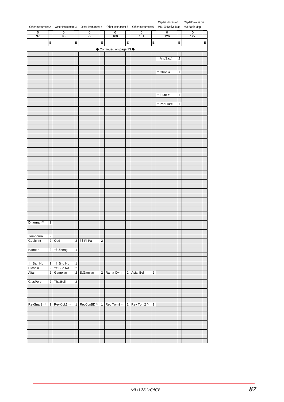| Other Instrument 2 |             | Other Instrument 3               |                |                  |             | Other Instrument 4 Other Instrument 5 |   | Other Instrument 6 |                         | Capital Voices on                  |              | Capital Voices on<br>MU100 Native Map MU Basic Map |   |
|--------------------|-------------|----------------------------------|----------------|------------------|-------------|---------------------------------------|---|--------------------|-------------------------|------------------------------------|--------------|----------------------------------------------------|---|
| $\pmb{0}$          |             | $\overline{0}$                   |                | $\overline{0}$   |             | $\overline{0}$<br>100                 |   | $\pmb{0}$          |                         | $\overline{0}$<br>$\overline{126}$ |              | $\overline{0}$<br>127                              |   |
| $\overline{97}$    | Ε           | 98                               | E              | 99               | E           |                                       | Е | 101                | E                       |                                    | E            |                                                    | E |
|                    |             |                                  |                |                  |             |                                       |   |                    |                         |                                    |              |                                                    |   |
|                    |             |                                  |                |                  |             | Continued on page 73 ♦                |   |                    |                         |                                    |              |                                                    |   |
|                    |             |                                  |                |                  |             |                                       |   |                    |                         | † AltoSax#                         | 2            |                                                    |   |
|                    |             |                                  |                |                  |             |                                       |   |                    |                         |                                    |              |                                                    |   |
|                    |             |                                  |                |                  |             |                                       |   |                    |                         | † Oboe #                           | $\mathbf{1}$ |                                                    |   |
|                    |             |                                  |                |                  |             |                                       |   |                    |                         |                                    |              |                                                    |   |
|                    |             |                                  |                |                  |             |                                       |   |                    |                         |                                    |              |                                                    |   |
|                    |             |                                  |                |                  |             |                                       |   |                    |                         |                                    |              |                                                    |   |
|                    |             |                                  |                |                  |             |                                       |   |                    |                         | † Flute #                          | $\mathbf{1}$ |                                                    |   |
|                    |             |                                  |                |                  |             |                                       |   |                    |                         |                                    |              |                                                    |   |
|                    |             |                                  |                |                  |             |                                       |   |                    |                         | † PanFlut#                         | $\mathbf{1}$ |                                                    |   |
|                    |             |                                  |                |                  |             |                                       |   |                    |                         |                                    |              |                                                    |   |
|                    |             |                                  |                |                  |             |                                       |   |                    |                         |                                    |              |                                                    |   |
|                    |             |                                  |                |                  |             |                                       |   |                    |                         |                                    |              |                                                    |   |
|                    |             |                                  |                |                  |             |                                       |   |                    |                         |                                    |              |                                                    |   |
|                    |             |                                  |                |                  |             |                                       |   |                    |                         |                                    |              |                                                    |   |
|                    |             |                                  |                |                  |             |                                       |   |                    |                         |                                    |              |                                                    |   |
|                    |             |                                  |                |                  |             |                                       |   |                    |                         |                                    |              |                                                    |   |
|                    |             |                                  |                |                  |             |                                       |   |                    |                         |                                    |              |                                                    |   |
|                    |             |                                  |                |                  |             |                                       |   |                    |                         |                                    |              |                                                    |   |
|                    |             |                                  |                |                  |             |                                       |   |                    |                         |                                    |              |                                                    |   |
|                    |             |                                  |                |                  |             |                                       |   |                    |                         |                                    |              |                                                    |   |
|                    |             |                                  |                |                  |             |                                       |   |                    |                         |                                    |              |                                                    |   |
|                    |             |                                  |                |                  |             |                                       |   |                    |                         |                                    |              |                                                    |   |
|                    |             |                                  |                |                  |             |                                       |   |                    |                         |                                    |              |                                                    |   |
|                    |             |                                  |                |                  |             |                                       |   |                    |                         |                                    |              |                                                    |   |
|                    |             |                                  |                |                  |             |                                       |   |                    |                         |                                    |              |                                                    |   |
|                    |             |                                  |                |                  |             |                                       |   |                    |                         |                                    |              |                                                    |   |
|                    |             |                                  |                |                  |             |                                       |   |                    |                         |                                    |              |                                                    |   |
|                    |             |                                  |                |                  |             |                                       |   |                    |                         |                                    |              |                                                    |   |
| Dharma***          | $\mathbf 2$ |                                  |                |                  |             |                                       |   |                    |                         |                                    |              |                                                    |   |
|                    |             |                                  |                |                  |             |                                       |   |                    |                         |                                    |              |                                                    |   |
| Tamboura           | $\mathbf 2$ |                                  |                |                  |             |                                       |   |                    |                         |                                    |              |                                                    |   |
| Gopichnt           | 2           | Oud                              | $\mathbf{2}$   | tt Pi Pa         | $\mathbf 2$ |                                       |   |                    |                         |                                    |              |                                                    |   |
|                    |             |                                  |                |                  |             |                                       |   |                    |                         |                                    |              |                                                    |   |
| Kanoon             |             | $2$   $\uparrow\uparrow$ Zheng   | $\mathbf{1}$   |                  |             |                                       |   |                    |                         |                                    |              |                                                    |   |
|                    |             |                                  |                |                  |             |                                       |   |                    |                         |                                    |              |                                                    |   |
| †† Ban Hu          |             | $1$   $\uparrow\uparrow$ Jing Hu | $\mathbf{1}$   |                  |             |                                       |   |                    |                         |                                    |              |                                                    |   |
| Hichriki           |             | $2$   $\uparrow\uparrow$ Suo Na  | $\overline{2}$ |                  |             |                                       |   |                    |                         |                                    |              |                                                    |   |
| Altair             |             | 2 Gamelan                        |                | 2 S.Gamlan       |             | 2 Rama Cym                            |   | 2 AsianBel         | $\overline{\mathbf{c}}$ |                                    |              |                                                    |   |
| GlasPerc           |             | 2 ThaiBell                       | $\sqrt{2}$     |                  |             |                                       |   |                    |                         |                                    |              |                                                    |   |
|                    |             |                                  |                |                  |             |                                       |   |                    |                         |                                    |              |                                                    |   |
|                    |             |                                  |                |                  |             |                                       |   |                    |                         |                                    |              |                                                    |   |
|                    |             |                                  |                |                  |             |                                       |   |                    |                         |                                    |              |                                                    |   |
| RevSnar2**         |             | 1 RevKick1**                     |                | 1 RevConBD**   1 |             | Rev Tom1**                            |   | 1 Rev Tom2 **      | $\mathbf{1}$            |                                    |              |                                                    |   |
|                    |             |                                  |                |                  |             |                                       |   |                    |                         |                                    |              |                                                    |   |
|                    |             |                                  |                |                  |             |                                       |   |                    |                         |                                    |              |                                                    |   |
|                    |             |                                  |                |                  |             |                                       |   |                    |                         |                                    |              |                                                    |   |
|                    |             |                                  |                |                  |             |                                       |   |                    |                         |                                    |              |                                                    |   |
|                    |             |                                  |                |                  |             |                                       |   |                    |                         |                                    |              |                                                    |   |
|                    |             |                                  |                |                  |             |                                       |   |                    |                         |                                    |              |                                                    |   |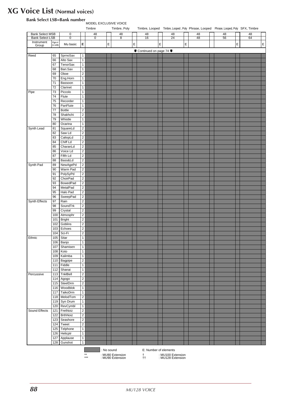| <b>Bank Select LSB=Bank number</b> |                       |
|------------------------------------|-----------------------|
|                                    | MODEL EXCLUSIVE VOICE |

|                                                  |            |                              |                                                    | Timbre  | Timbre, Poly |   |          |                        |   | Timbre, Looped Timbre, Looped, Poly Phrase, Looped Phrase, Looped, Poly SFX, Timbre |   |          |    |   |          |
|--------------------------------------------------|------------|------------------------------|----------------------------------------------------|---------|--------------|---|----------|------------------------|---|-------------------------------------------------------------------------------------|---|----------|----|---|----------|
| <b>Bank Select MSB</b><br><b>Bank Select LSB</b> |            | 0<br>0                       |                                                    | 48<br>0 | 48<br>8      |   | 48<br>16 |                        |   | 48<br>24                                                                            |   | 48<br>48 | 48 |   | 48<br>64 |
| Instrument                                       | Pgm#       |                              |                                                    |         |              |   |          |                        |   |                                                                                     |   |          | 56 |   |          |
| Group                                            | $(1-128)$  | Mu basic                     | E                                                  |         | Е            | E |          |                        | E |                                                                                     | Е |          |    | E | E        |
|                                                  |            |                              |                                                    |         |              |   |          | Continued on page 74 ♦ |   |                                                                                     |   |          |    |   |          |
| Reed                                             | 65<br>66   | SprnoSax<br>Alto Sax         | 1<br>$\mathbf{1}$                                  |         |              |   |          |                        |   |                                                                                     |   |          |    |   |          |
|                                                  | 67         | TenorSax                     | $\mathbf{1}$                                       |         |              |   |          |                        |   |                                                                                     |   |          |    |   |          |
|                                                  | 68         | Bari.Sax                     | $\mathbf{1}$                                       |         |              |   |          |                        |   |                                                                                     |   |          |    |   |          |
|                                                  | 69         | Oboe                         | $\overline{\mathbf{c}}$                            |         |              |   |          |                        |   |                                                                                     |   |          |    |   |          |
|                                                  | 70         | Eng.Horn                     | $\mathbf{1}$                                       |         |              |   |          |                        |   |                                                                                     |   |          |    |   |          |
|                                                  | 71         | Bassoon                      | $\mathbf{1}$                                       |         |              |   |          |                        |   |                                                                                     |   |          |    |   |          |
|                                                  | 72<br>73   | Clarinet<br>Piccolo          | $\mathbf{1}$<br>$\mathbf{1}$                       |         |              |   |          |                        |   |                                                                                     |   |          |    |   |          |
| Pipe                                             | 74         | Flute                        | $\mathbf{1}$                                       |         |              |   |          |                        |   |                                                                                     |   |          |    |   |          |
|                                                  | 75         | Recorder                     | $\mathbf{1}$                                       |         |              |   |          |                        |   |                                                                                     |   |          |    |   |          |
|                                                  | 76         | PanFlute                     | $\mathbf{1}$                                       |         |              |   |          |                        |   |                                                                                     |   |          |    |   |          |
|                                                  | 77         | <b>Bottle</b>                | $\overline{\mathbf{c}}$                            |         |              |   |          |                        |   |                                                                                     |   |          |    |   |          |
|                                                  | 78         | Shakhchi                     | $\overline{\mathbf{c}}$                            |         |              |   |          |                        |   |                                                                                     |   |          |    |   |          |
|                                                  | 79         | Whistle                      | $\mathbf{1}$                                       |         |              |   |          |                        |   |                                                                                     |   |          |    |   |          |
| Synth Lead                                       | 80<br>81   | Ocarina<br>SquareLd          | $\mathbf{1}$<br>$\overline{\mathbf{c}}$            |         |              |   |          |                        |   |                                                                                     |   |          |    |   |          |
|                                                  | 82         | Saw Ld                       | $\overline{\mathbf{c}}$                            |         |              |   |          |                        |   |                                                                                     |   |          |    |   |          |
|                                                  | 83         | CaliopLd                     | 2                                                  |         |              |   |          |                        |   |                                                                                     |   |          |    |   |          |
|                                                  | 84         | Chiff Ld                     | $\mathbf 2$                                        |         |              |   |          |                        |   |                                                                                     |   |          |    |   |          |
|                                                  | 85         | CharanLd                     | $\overline{2}$                                     |         |              |   |          |                        |   |                                                                                     |   |          |    |   |          |
|                                                  | 86         | Voice Ld                     | $\overline{\mathbf{c}}$                            |         |              |   |          |                        |   |                                                                                     |   |          |    |   |          |
|                                                  | 87<br>88   | Fifth Ld<br>Bass&Ld          | $\mathbf 2$<br>$\mathbf 2$                         |         |              |   |          |                        |   |                                                                                     |   |          |    |   |          |
| Synth Pad                                        | 89         | NewAgePd                     | $\overline{2}$                                     |         |              |   |          |                        |   |                                                                                     |   |          |    |   |          |
|                                                  | 90         | Warm Pad                     | $\overline{\mathbf{c}}$                            |         |              |   |          |                        |   |                                                                                     |   |          |    |   |          |
|                                                  | 91         | PolySyPd                     | 2                                                  |         |              |   |          |                        |   |                                                                                     |   |          |    |   |          |
|                                                  | 92         | ChoirPad                     | $\mathbf 2$                                        |         |              |   |          |                        |   |                                                                                     |   |          |    |   |          |
|                                                  | 93         | BowedPad                     | $\overline{2}$                                     |         |              |   |          |                        |   |                                                                                     |   |          |    |   |          |
|                                                  | 94<br>95   | MetalPad<br>Halo Pad         | $\overline{\mathbf{c}}$<br>$\overline{\mathbf{c}}$ |         |              |   |          |                        |   |                                                                                     |   |          |    |   |          |
|                                                  | 96         | SweepPad                     | $\mathbf 2$                                        |         |              |   |          |                        |   |                                                                                     |   |          |    |   |          |
| Synth Effects                                    | 97         | Rain                         | $\overline{2}$                                     |         |              |   |          |                        |   |                                                                                     |   |          |    |   |          |
|                                                  | 98         | SoundTrk                     | $\overline{\mathbf{c}}$                            |         |              |   |          |                        |   |                                                                                     |   |          |    |   |          |
|                                                  | 99         | Crystal                      | $\mathbf 2$                                        |         |              |   |          |                        |   |                                                                                     |   |          |    |   |          |
|                                                  | 100        | Atmosphr                     | $\mathbf 2$                                        |         |              |   |          |                        |   |                                                                                     |   |          |    |   |          |
|                                                  | 101<br>102 | <b>Bright</b><br>Goblins     | $\overline{2}$<br>$\overline{\mathbf{c}}$          |         |              |   |          |                        |   |                                                                                     |   |          |    |   |          |
|                                                  | 103        | Echoes                       | $\mathbf 2$                                        |         |              |   |          |                        |   |                                                                                     |   |          |    |   |          |
|                                                  | 104        | Sci-Fi                       | $\mathbf 2$                                        |         |              |   |          |                        |   |                                                                                     |   |          |    |   |          |
| Ethnic                                           | 105        | Sitar                        | $\mathbf{1}$                                       |         |              |   |          |                        |   |                                                                                     |   |          |    |   |          |
|                                                  | 106        | Banjo                        | $\mathbf{1}$                                       |         |              |   |          |                        |   |                                                                                     |   |          |    |   |          |
|                                                  | 107        | Shamisen                     | $\mathbf{1}$                                       |         |              |   |          |                        |   |                                                                                     |   |          |    |   |          |
|                                                  | 108<br>109 | Koto<br>Kalimba              | $\mathbf{1}$<br>$\mathbf{1}$                       |         |              |   |          |                        |   |                                                                                     |   |          |    |   |          |
|                                                  | 110        | Bagpipe                      | $\overline{\mathbf{c}}$                            |         |              |   |          |                        |   |                                                                                     |   |          |    |   |          |
|                                                  | 111        | Fiddle                       | $\mathbf{1}$                                       |         |              |   |          |                        |   |                                                                                     |   |          |    |   |          |
|                                                  | 112        | Shanai                       | $\mathbf{1}$                                       |         |              |   |          |                        |   |                                                                                     |   |          |    |   |          |
| Percussive                                       |            | 113   TnklBell               | 2                                                  |         |              |   |          |                        |   |                                                                                     |   |          |    |   |          |
|                                                  |            | 114 Agogo<br>115 SteelDrm    | $\overline{\mathbf{c}}$<br>$\overline{\mathbf{c}}$ |         |              |   |          |                        |   |                                                                                     |   |          |    |   |          |
|                                                  |            | 116 Woodblok                 | $\mathbf{1}$                                       |         |              |   |          |                        |   |                                                                                     |   |          |    |   |          |
|                                                  |            | 117 TaikoDrm                 | $\mathbf{1}$                                       |         |              |   |          |                        |   |                                                                                     |   |          |    |   |          |
|                                                  |            | 118 MelodTom                 | $\overline{\mathbf{c}}$                            |         |              |   |          |                        |   |                                                                                     |   |          |    |   |          |
|                                                  |            | 119 Syn Drum                 | $\mathbf{1}$                                       |         |              |   |          |                        |   |                                                                                     |   |          |    |   |          |
|                                                  |            | 120 RevCymbl                 | $\mathbf{1}$                                       |         |              |   |          |                        |   |                                                                                     |   |          |    |   |          |
| Sound Effects                                    |            | 121 FretNoiz<br>122 BrthNoiz | $\mathbf 2$<br>$\overline{\mathbf{c}}$             |         |              |   |          |                        |   |                                                                                     |   |          |    |   |          |
|                                                  |            | 123 Seashore                 | $\overline{\mathbf{c}}$                            |         |              |   |          |                        |   |                                                                                     |   |          |    |   |          |
|                                                  |            | 124 Tweet                    | $\overline{\mathbf{c}}$                            |         |              |   |          |                        |   |                                                                                     |   |          |    |   |          |
|                                                  |            | 125 Telphone                 | $\mathbf{1}$                                       |         |              |   |          |                        |   |                                                                                     |   |          |    |   |          |
|                                                  |            | 126 Helicptr                 | $\mathbf{1}$                                       |         |              |   |          |                        |   |                                                                                     |   |          |    |   |          |
|                                                  | 127        | Applause                     | $\mathbf{1}$                                       |         |              |   |          |                        |   |                                                                                     |   |          |    |   |          |
|                                                  | 128        | Gunshot                      | $\mathbf{1}$                                       |         |              |   |          |                        |   |                                                                                     |   |          |    |   |          |
|                                                  |            |                              |                                                    |         | : No sound   |   |          | E: Number of elements  |   |                                                                                     |   |          |    |   |          |

\*\* : MU80 Extension \*\*\* : MU90 Extension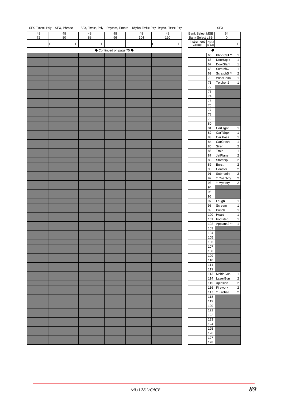|                 |   | SFX, Timbre, Poly SFX, Phrase |   |                 |   | SFX, Phrase, Poly Rhythm, Timbre |   |                   |   | Rhythm, Timbre, Poly Rhythm, Phrase, Poly |   |
|-----------------|---|-------------------------------|---|-----------------|---|----------------------------------|---|-------------------|---|-------------------------------------------|---|
| 48              |   | 48                            |   | $\overline{48}$ |   | 48                               |   | 48                |   | 48                                        |   |
| $\overline{72}$ |   | 80                            |   | 88              |   | 96                               |   | $\frac{104}{104}$ |   | $\frac{1}{120}$                           |   |
|                 | Ε |                               | E |                 | E |                                  | E |                   | Ε |                                           | E |
|                 |   |                               |   |                 |   | Continued on page 75 €           |   |                   |   |                                           |   |
|                 |   |                               |   |                 |   |                                  |   |                   |   |                                           |   |
|                 |   |                               |   |                 |   |                                  |   |                   |   |                                           |   |
|                 |   |                               |   |                 |   |                                  |   |                   |   |                                           |   |
|                 |   |                               |   |                 |   |                                  |   |                   |   |                                           |   |
|                 |   |                               |   |                 |   |                                  |   |                   |   |                                           |   |
|                 |   |                               |   |                 |   |                                  |   |                   |   |                                           |   |
|                 |   |                               |   |                 |   |                                  |   |                   |   |                                           |   |
|                 |   |                               |   |                 |   |                                  |   |                   |   |                                           |   |
|                 |   |                               |   |                 |   |                                  |   |                   |   |                                           |   |
|                 |   |                               |   |                 |   |                                  |   |                   |   |                                           |   |
|                 |   |                               |   |                 |   |                                  |   |                   |   |                                           |   |
|                 |   |                               |   |                 |   |                                  |   |                   |   |                                           |   |
|                 |   |                               |   |                 |   |                                  |   |                   |   |                                           |   |
|                 |   |                               |   |                 |   |                                  |   |                   |   |                                           |   |
|                 |   |                               |   |                 |   |                                  |   |                   |   |                                           |   |
|                 |   |                               |   |                 |   |                                  |   |                   |   |                                           |   |
|                 |   |                               |   |                 |   |                                  |   |                   |   |                                           |   |
|                 |   |                               |   |                 |   |                                  |   |                   |   |                                           |   |
|                 |   |                               |   |                 |   |                                  |   |                   |   |                                           |   |
|                 |   |                               |   |                 |   |                                  |   |                   |   |                                           |   |
|                 |   |                               |   |                 |   |                                  |   |                   |   |                                           |   |
|                 |   |                               |   |                 |   |                                  |   |                   |   |                                           |   |
|                 |   |                               |   |                 |   |                                  |   |                   |   |                                           |   |
|                 |   |                               |   |                 |   |                                  |   |                   |   |                                           |   |
|                 |   |                               |   |                 |   |                                  |   |                   |   |                                           |   |
|                 |   |                               |   |                 |   |                                  |   |                   |   |                                           |   |
|                 |   |                               |   |                 |   |                                  |   |                   |   |                                           |   |
|                 |   |                               |   |                 |   |                                  |   |                   |   |                                           |   |
|                 |   |                               |   |                 |   |                                  |   |                   |   |                                           |   |
|                 |   |                               |   |                 |   |                                  |   |                   |   |                                           |   |
|                 |   |                               |   |                 |   |                                  |   |                   |   |                                           |   |
|                 |   |                               |   |                 |   |                                  |   |                   |   |                                           |   |
|                 |   |                               |   |                 |   |                                  |   |                   |   |                                           |   |
|                 |   |                               |   |                 |   |                                  |   |                   |   |                                           |   |
|                 |   |                               |   |                 |   |                                  |   |                   |   |                                           |   |
|                 |   |                               |   |                 |   |                                  |   |                   |   |                                           |   |
|                 |   |                               |   |                 |   |                                  |   |                   |   |                                           |   |
|                 |   |                               |   |                 |   |                                  |   |                   |   |                                           |   |
|                 |   |                               |   |                 |   |                                  |   |                   |   |                                           |   |
|                 |   |                               |   |                 |   |                                  |   |                   |   |                                           |   |
|                 |   |                               |   |                 |   |                                  |   |                   |   |                                           |   |
|                 |   |                               |   |                 |   |                                  |   |                   |   |                                           |   |
|                 |   |                               |   |                 |   |                                  |   |                   |   |                                           |   |
|                 |   |                               |   |                 |   |                                  |   |                   |   |                                           |   |
|                 |   |                               |   |                 |   |                                  |   |                   |   |                                           |   |
|                 |   |                               |   |                 |   |                                  |   |                   |   |                                           |   |
|                 |   |                               |   |                 |   |                                  |   |                   |   |                                           |   |
|                 |   |                               |   |                 |   |                                  |   |                   |   |                                           |   |
|                 |   |                               |   |                 |   |                                  |   |                   |   |                                           |   |
|                 |   |                               |   |                 |   |                                  |   |                   |   |                                           |   |
|                 |   |                               |   |                 |   |                                  |   |                   |   |                                           |   |
|                 |   |                               |   |                 |   |                                  |   |                   |   |                                           |   |
|                 |   |                               |   |                 |   |                                  |   |                   |   |                                           |   |
|                 |   |                               |   |                 |   |                                  |   |                   |   |                                           |   |
|                 |   |                               |   |                 |   |                                  |   |                   |   |                                           |   |

|                        |                   | <b>SFX</b>                         |                |
|------------------------|-------------------|------------------------------------|----------------|
| <b>Bank Select MSB</b> |                   | 64                                 |                |
| Bank Select LSB        |                   | 0                                  |                |
| Instrument             | Pgm#<br>$(1-128)$ |                                    | E              |
| Group                  |                   |                                    |                |
|                        | ₩                 |                                    |                |
|                        | 65                | PhonCall                           | 1              |
|                        | 66                | DoorSqek                           | 1              |
|                        | 67                | DoorSlam                           | 1              |
|                        | 68<br>69          | ScratchC<br>ScratchS <sup>**</sup> | 1              |
|                        | 70                | WindChim                           | 2<br>1         |
|                        | 71                | Telphon2                           | 1              |
|                        | 72                |                                    |                |
|                        | 73                |                                    |                |
|                        | 74                |                                    |                |
|                        | 75                |                                    |                |
|                        | 76                |                                    |                |
|                        | $7\bar{7}$        |                                    |                |
|                        | 78                |                                    |                |
|                        | 79                |                                    |                |
|                        | 80                |                                    |                |
|                        | 81                | CarElgnt                           | 1              |
|                        | 82                | CarTSqel                           | 1              |
|                        | 83                | Car Pass                           | 1              |
|                        | 84                | CarCrash                           | 1              |
|                        | 85                | Siren                              | $\overline{c}$ |
|                        | 86                | Train                              | 1              |
|                        | 87                | JetPlane                           | $\overline{c}$ |
|                        | 88                | Starship                           | $\overline{2}$ |
|                        | 89                | <b>Burst</b>                       | $\overline{c}$ |
|                        | 90                | Coaster                            | $\overline{c}$ |
|                        | 91                | Submarin                           | 2              |
|                        | 92                | † Cnectvty                         | 2              |
|                        | 93                | † Mystery                          | 2              |
|                        | 94                |                                    |                |
|                        | 95                |                                    |                |
|                        | 96                |                                    |                |
|                        | 97                | Laugh                              | 1              |
|                        | 98                | Scream                             | 1              |
|                        | 99                | Punch                              | 1              |
|                        | 100<br>101        | Heart                              | 1<br>1         |
|                        | 102               | Footstep<br>**                     | 1              |
|                        | 103               | Applaus2                           |                |
|                        | 104               |                                    |                |
|                        | 105               |                                    |                |
|                        | 106               |                                    |                |
|                        | 107               |                                    |                |
|                        | 108               |                                    |                |
|                        | 109               |                                    |                |
|                        | 110               |                                    |                |
|                        | 111               |                                    |                |
|                        | 112               |                                    |                |
|                        | 113               | MchinGun                           | 1              |
|                        | 114               | LaserGun                           | $\overline{c}$ |
|                        | 115               | Xplosion                           | $\overline{c}$ |
|                        | 116               | Firework                           | 2              |
|                        | 117               | † Fireball                         | 2              |
|                        | 118               |                                    |                |
|                        | 119               |                                    |                |
|                        | 120               |                                    |                |
|                        | 121               |                                    |                |
|                        | 122               |                                    |                |
|                        | 123               |                                    |                |
|                        | 124               |                                    |                |
|                        | 125               |                                    |                |
|                        | 126               |                                    |                |
|                        | 127               |                                    |                |
|                        | 128               |                                    |                |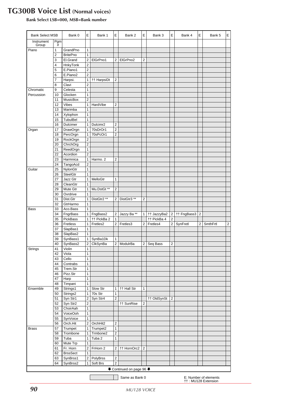**Bank Select LSB=000, MSB=Bank number**

| <b>Bank Select MSB</b> |                | Bank 0               | E                                       | Bank 1             | E                       | Bank 2                 | Е                       | Bank 3         | Е              | Bank 4      | E | Bank 5   | E |
|------------------------|----------------|----------------------|-----------------------------------------|--------------------|-------------------------|------------------------|-------------------------|----------------|----------------|-------------|---|----------|---|
| Instrument<br>Group    | Pgm<br>#       |                      |                                         |                    |                         |                        |                         |                |                |             |   |          |   |
| Piano                  | 1              | GrandPno             | $\mathbf{1}$                            |                    |                         |                        |                         |                |                |             |   |          |   |
|                        | $\overline{2}$ | <b>BritePno</b>      | 1                                       |                    |                         |                        |                         |                |                |             |   |          |   |
|                        | 3              | El.Grand             | $\mathbf 2$                             | ElGrPno1           | 2                       | EIGrPno2               | 2                       |                |                |             |   |          |   |
|                        | 4              | HnkyTonk             | $\overline{\mathbf{c}}$                 |                    |                         |                        |                         |                |                |             |   |          |   |
|                        | 5              | E.Piano1             | $\overline{\mathbf{c}}$                 |                    |                         |                        |                         |                |                |             |   |          |   |
|                        | 6              | E.Piano2             | $\overline{\mathbf{c}}$                 |                    |                         |                        |                         |                |                |             |   |          |   |
|                        | 7              | Harpsi.              | $\mathbf{1}$                            | <b>†† HarpsiDt</b> | 2                       |                        |                         |                |                |             |   |          |   |
|                        | 8              | Clavi                | $\overline{\mathbf{c}}$                 |                    |                         |                        |                         |                |                |             |   |          |   |
| Chromatic              | 9              | Celesta              | $\mathbf{1}$                            |                    |                         |                        |                         |                |                |             |   |          |   |
| Percussion             | 10             | Glocken              | 1                                       |                    |                         |                        |                         |                |                |             |   |          |   |
|                        | 11             | MusicBox             | $\overline{\mathbf{c}}$                 |                    |                         |                        |                         |                |                |             |   |          |   |
|                        | 12             | Vibes                | 1                                       | HardVibe           | $\overline{2}$          |                        |                         |                |                |             |   |          |   |
|                        | 13             | Marimba              | $\mathbf{1}$                            |                    |                         |                        |                         |                |                |             |   |          |   |
|                        | 14             | Xylophon             | 1                                       |                    |                         |                        |                         |                |                |             |   |          |   |
|                        | 15             | TubulBel             | $\mathbf{1}$                            |                    |                         |                        |                         |                |                |             |   |          |   |
|                        | 16             | Dulcimer             | 1                                       | Dulcimr2           | $\overline{\mathbf{c}}$ |                        |                         |                |                |             |   |          |   |
| Organ                  | 17             | DrawOrgn             | $\mathbf{1}$                            | 70sDrOr1           | $\overline{\mathbf{c}}$ |                        |                         |                |                |             |   |          |   |
|                        | 18             | PercOrgn             | $\mathbf{1}$                            | 70sPcOr1           | $\overline{\mathbf{c}}$ |                        |                         |                |                |             |   |          |   |
|                        | 19             | RockOrgn             | $\mathbf 2$                             |                    |                         |                        |                         |                |                |             |   |          |   |
|                        | 20             | ChrchOrg             | $\overline{\mathbf{c}}$                 |                    |                         |                        |                         |                |                |             |   |          |   |
|                        | 21<br>22       | ReedOrgn<br>Acordion | $\mathbf{1}$<br>$\overline{\mathbf{c}}$ |                    |                         |                        |                         |                |                |             |   |          |   |
|                        | 23             | Harmnica             | $\mathbf{1}$                            | Harmo. 2           | 2                       |                        |                         |                |                |             |   |          |   |
|                        | 24             | TangoAcd             | $\overline{\mathbf{c}}$                 |                    |                         |                        |                         |                |                |             |   |          |   |
| Guitar                 | 25             | NylonGtr             | $\mathbf{1}$                            |                    |                         |                        |                         |                |                |             |   |          |   |
|                        | 26             | <b>SteelGtr</b>      | 1                                       |                    |                         |                        |                         |                |                |             |   |          |   |
|                        | 27             | Jazz Gtr             | $\mathbf{1}$                            | MelloGtr           | 1                       |                        |                         |                |                |             |   |          |   |
|                        | 28             | CleanGtr             | 1                                       |                    |                         |                        |                         |                |                |             |   |          |   |
|                        | 29             | Mute Gtr             | $\mathbf{1}$                            | Mu.DstGt **        | 2                       |                        |                         |                |                |             |   |          |   |
|                        | 30             | Ovrdrive             | 1                                       |                    |                         |                        |                         |                |                |             |   |          |   |
|                        | 31             | Dist.Gtr             | $\mathbf{1}$                            | DistGtr2 **        | 2                       | DistGtr3 <sup>**</sup> | 2                       |                |                |             |   |          |   |
|                        | 32             | GtrHarmo             | 1                                       |                    |                         |                        |                         |                |                |             |   |          |   |
| Bass                   | 33             | Aco.Bass             | $\mathbf{1}$                            |                    |                         |                        |                         |                |                |             |   |          |   |
|                        | 34             | FngrBass             | 1                                       | FngBass2           | 2                       | Jazzy Ba **            | 1                       | †† JazzyBa2    | $\overline{2}$ | †† FngBass3 | 2 |          |   |
|                        | 35             | PickBass             | 1                                       | †† PickBa 2        | 1                       |                        |                         | †† PickBa 4    | 2              |             |   |          |   |
|                        | 36             | Fretless             | 1                                       | Fretles2           | 2                       | Fretles3               | 2                       | Fretles4       | 2              | SynFretl    | 2 | SmthFrtl | 2 |
|                        | 37             | SlapBas1             | $\mathbf{1}$                            |                    |                         |                        |                         |                |                |             |   |          |   |
|                        | 38             | SlapBas2             | 1                                       |                    |                         |                        |                         |                |                |             |   |          |   |
|                        | 39             | SynBass1             | $\mathbf{1}$                            | SynBa1Dk           | $\mathbf{1}$            |                        |                         |                |                |             |   |          |   |
|                        | 40             | SynBass2             | $\overline{\mathbf{c}}$                 | ClkSynBa           | 2                       | ModulrBa               | 2                       | Seq Bass       | 2              |             |   |          |   |
| Strings                | 41             | Violin               | 1                                       |                    |                         |                        |                         |                |                |             |   |          |   |
|                        | 42             | Viola                | 1                                       |                    |                         |                        |                         |                |                |             |   |          |   |
|                        | 43             | Cello                | 1                                       |                    |                         |                        |                         |                |                |             |   |          |   |
|                        | 44             | Contrabs             | 1                                       |                    |                         |                        |                         |                |                |             |   |          |   |
|                        | 45             | Trem.Str             | 1                                       |                    |                         |                        |                         |                |                |             |   |          |   |
|                        | 46             | Pizz.Str             | 1                                       |                    |                         |                        |                         |                |                |             |   |          |   |
|                        | 47             | Harp                 | 1                                       |                    |                         |                        |                         |                |                |             |   |          |   |
|                        | 48             | Timpani              | $\mathbf{1}$                            |                    |                         |                        |                         |                |                |             |   |          |   |
| Ensemble               | 49             | Strings1             | $\mathbf{1}$                            | Slow Str           | 1                       | <b>†† Hall Str</b>     | 1                       |                |                |             |   |          |   |
|                        | 50             | Strings2             | 1                                       | 70s Str            | $\mathbf{1}$            |                        |                         |                |                |             |   |          |   |
|                        | 51             | Syn Str1             | $\mathbf 2$                             | Syn Str4           | $\overline{\mathbf{c}}$ |                        |                         | $+$ OldSynSt 2 |                |             |   |          |   |
|                        | 52             | Syn Str2             | 2                                       |                    |                         | <b>tt SunRise</b>      | $\overline{\mathbf{c}}$ |                |                |             |   |          |   |
|                        | 53             | ChoirAah             | $\mathbf{1}$                            |                    |                         |                        |                         |                |                |             |   |          |   |
|                        | 54             | VoiceOoh             | $\mathbf{1}$                            |                    |                         |                        |                         |                |                |             |   |          |   |
|                        | 55             | SynVoice             | $\mathbf{1}$                            |                    |                         |                        |                         |                |                |             |   |          |   |
|                        | 56             | Orch.Hit             | $\overline{\mathbf{c}}$                 | OrchHit2           | $\overline{\mathbf{c}}$ |                        |                         |                |                |             |   |          |   |
| <b>Brass</b>           | 57             | Trumpet              | $\mathbf{1}$                            | Trumpet2           | $\mathbf{1}$            |                        |                         |                |                |             |   |          |   |
|                        | 58             | Trombone             | $\mathbf{1}$                            | Trmbone2           | $\overline{\mathbf{c}}$ |                        |                         |                |                |             |   |          |   |
|                        | 59             | Tuba                 | $\mathbf{1}$                            | Tuba <sub>2</sub>  | $\mathbf{1}$            |                        |                         |                |                |             |   |          |   |
|                        | 60             | Mute Trp             | $\mathbf{1}$                            |                    |                         |                        |                         |                |                |             |   |          |   |
|                        | 61             | Fr. Horn             | $\overline{\mathbf{c}}$                 | FrHorn 2           | 2                       | †† HornOrc2            | 2                       |                |                |             |   |          |   |
|                        | 62             | <b>BrssSect</b>      | $\mathbf{1}$                            |                    |                         |                        |                         |                |                |             |   |          |   |
|                        | 63             | SynBrss1             | $\overline{c}$                          | PolyBrss           | $\overline{\mathbf{c}}$ |                        |                         |                |                |             |   |          |   |
|                        | 64             | SynBrss2             | $\mathbf{1}$                            | Soft Brs           | $\overline{2}$          |                        |                         |                |                |             |   |          |   |
|                        |                |                      |                                         |                    |                         | Continued on page 96 ♦ |                         |                |                |             |   |          |   |

ſ

Same as Bank 0 E: Number of elements †† : MU128 Extension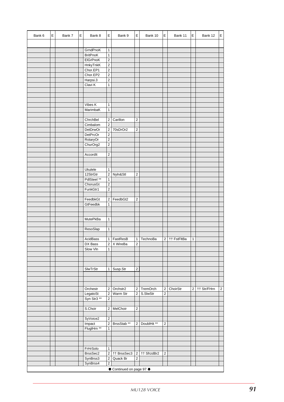| Bank 6 | E | Bank 7 | E. | Bank 8               | Ε                                                  | Bank 9                 | E                       | Bank 10     | E.             | Bank 11         | Ε | Bank 12                           | $\mathsf E$    |
|--------|---|--------|----|----------------------|----------------------------------------------------|------------------------|-------------------------|-------------|----------------|-----------------|---|-----------------------------------|----------------|
|        |   |        |    |                      |                                                    |                        |                         |             |                |                 |   |                                   |                |
|        |   |        |    | GrndPnoK             | 1                                                  |                        |                         |             |                |                 |   |                                   |                |
|        |   |        |    | <b>BritPnoK</b>      | $\mathbf{1}$                                       |                        |                         |             |                |                 |   |                                   |                |
|        |   |        |    | EIGrPnoK             | $\overline{\mathbf{c}}$                            |                        |                         |             |                |                 |   |                                   |                |
|        |   |        |    | HnkyTnkK             | $\mathbf 2$                                        |                        |                         |             |                |                 |   |                                   |                |
|        |   |        |    | Chor.EP1             | $\overline{\mathbf{c}}$                            |                        |                         |             |                |                 |   |                                   |                |
|        |   |        |    | Chor.EP2<br>Harpsi.3 | $\overline{\mathbf{c}}$<br>$\overline{\mathbf{c}}$ |                        |                         |             |                |                 |   |                                   |                |
|        |   |        |    | Clavi K              | $\mathbf{1}$                                       |                        |                         |             |                |                 |   |                                   |                |
|        |   |        |    |                      |                                                    |                        |                         |             |                |                 |   |                                   |                |
|        |   |        |    |                      |                                                    |                        |                         |             |                |                 |   |                                   |                |
|        |   |        |    |                      |                                                    |                        |                         |             |                |                 |   |                                   |                |
|        |   |        |    | Vibes K              | 1                                                  |                        |                         |             |                |                 |   |                                   |                |
|        |   |        |    | MarimbaK             | $\mathbf{1}$                                       |                        |                         |             |                |                 |   |                                   |                |
|        |   |        |    | ChrchBel             | 2                                                  | Carillon               | $\overline{2}$          |             |                |                 |   |                                   |                |
|        |   |        |    | Cimbalom             | $\overline{\mathbf{c}}$                            |                        |                         |             |                |                 |   |                                   |                |
|        |   |        |    | DetDrwOr             | $\overline{\mathbf{c}}$                            | 70sDrOr2               | 2                       |             |                |                 |   |                                   |                |
|        |   |        |    | DetPrcOr             | $\overline{\mathbf{c}}$                            |                        |                         |             |                |                 |   |                                   |                |
|        |   |        |    | RotaryOr             | $\mathbf 2$                                        |                        |                         |             |                |                 |   |                                   |                |
|        |   |        |    | ChurOrg2             | $\overline{\mathbf{c}}$                            |                        |                         |             |                |                 |   |                                   |                |
|        |   |        |    |                      | $\overline{2}$                                     |                        |                         |             |                |                 |   |                                   |                |
|        |   |        |    | AccordIt             |                                                    |                        |                         |             |                |                 |   |                                   |                |
|        |   |        |    |                      |                                                    |                        |                         |             |                |                 |   |                                   |                |
|        |   |        |    | Ukulele              | 1                                                  |                        |                         |             |                |                 |   |                                   |                |
|        |   |        |    | 12StrGtr             | 2                                                  | Nyln&Stl               | $\overline{2}$          |             |                |                 |   |                                   |                |
|        |   |        |    | PdlSteel **          | $\mathbf{1}$                                       |                        |                         |             |                |                 |   |                                   |                |
|        |   |        |    | ChorusGt             | $\overline{\mathbf{c}}$                            |                        |                         |             |                |                 |   |                                   |                |
|        |   |        |    | FunkGtr1             | $\overline{2}$                                     |                        |                         |             |                |                 |   |                                   |                |
|        |   |        |    | FeedbkGt             | 2                                                  | FeedbGt2               | $\overline{\mathbf{c}}$ |             |                |                 |   |                                   |                |
|        |   |        |    | GtFeedbk             | $\mathbf{1}$                                       |                        |                         |             |                |                 |   |                                   |                |
|        |   |        |    |                      |                                                    |                        |                         |             |                |                 |   |                                   |                |
|        |   |        |    |                      |                                                    |                        |                         |             |                |                 |   |                                   |                |
|        |   |        |    | MutePkBa             | 1                                                  |                        |                         |             |                |                 |   |                                   |                |
|        |   |        |    | ResoSlap             | 1                                                  |                        |                         |             |                |                 |   |                                   |                |
|        |   |        |    |                      |                                                    |                        |                         |             |                |                 |   |                                   |                |
|        |   |        |    | AcidBass             | 1                                                  | FastResB               | 1                       | TechnoBa    |                | 2   †† FstFltBa | 1 |                                   |                |
|        |   |        |    | DX Bass              | $\overline{c}$                                     | X WireBa               | $\overline{2}$          |             |                |                 |   |                                   |                |
|        |   |        |    | Slow Vin             | 1                                                  |                        |                         |             |                |                 |   |                                   |                |
|        |   |        |    |                      |                                                    |                        |                         |             |                |                 |   |                                   |                |
|        |   |        |    |                      |                                                    |                        |                         |             |                |                 |   |                                   |                |
|        |   |        |    | SlwTrStr             | 1                                                  | Susp.Str               | 2                       |             |                |                 |   |                                   |                |
|        |   |        |    |                      |                                                    |                        |                         |             |                |                 |   |                                   |                |
|        |   |        |    |                      |                                                    |                        |                         |             |                |                 |   |                                   |                |
|        |   |        |    |                      |                                                    |                        |                         |             |                |                 |   |                                   |                |
|        |   |        |    | Orchestr             | 2                                                  | Orchstr2               | 2                       | TremOrch    | 2              | ChoirStr        |   | $2$   $\uparrow\uparrow$ Str/FHrn | $\overline{2}$ |
|        |   |        |    | LegatoSt             | 2                                                  | Warm Str               | $\overline{2}$          | S.SIwStr    | $\overline{2}$ |                 |   |                                   |                |
|        |   |        |    | Syn Str3 **          | $\overline{c}$                                     |                        |                         |             |                |                 |   |                                   |                |
|        |   |        |    | S.Choir              | 2                                                  | MelChoir               | $\overline{\mathbf{c}}$ |             |                |                 |   |                                   |                |
|        |   |        |    |                      |                                                    |                        |                         |             |                |                 |   |                                   |                |
|        |   |        |    | SyVoice2             | $\overline{c}$                                     |                        |                         |             |                |                 |   |                                   |                |
|        |   |        |    | Impact               | 2 <sup>2</sup>                                     | BrssStab**             | $\overline{2}$          | DoublHit ** | $\overline{2}$ |                 |   |                                   |                |
|        |   |        |    | FluglHrn **          | $\mathbf{1}$                                       |                        |                         |             |                |                 |   |                                   |                |
|        |   |        |    |                      |                                                    |                        |                         |             |                |                 |   |                                   |                |
|        |   |        |    |                      |                                                    |                        |                         |             |                |                 |   |                                   |                |
|        |   |        |    | FrHrSolo             | $\mathbf{1}$                                       |                        |                         |             |                |                 |   |                                   |                |
|        |   |        |    | BrssSec2             |                                                    | 2   † BrssSec3         | $\overline{c}$          | †† SfrzdBr2 | $\mathbf 2$    |                 |   |                                   |                |
|        |   |        |    | SynBrss3             | $\overline{2}$                                     | Quack Br               | $\overline{\mathbf{c}}$ |             |                |                 |   |                                   |                |
|        |   |        |    | SynBrss4             | $\overline{2}$                                     |                        |                         |             |                |                 |   |                                   |                |
|        |   |        |    |                      |                                                    | Continued on page 97 ♦ |                         |             |                |                 |   |                                   |                |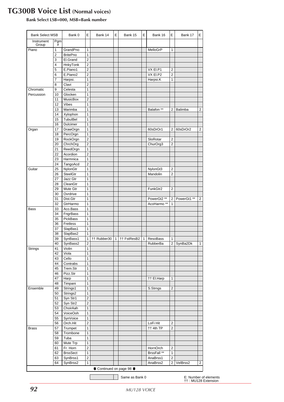**Bank Select LSB=000, MSB=Bank number**

| <b>Bank Select MSB</b> |                | Bank 0               | Ε                       | Bank 14                | Е | Bank 15     | E | Bank 16     | E.             | Bank 17     | Е              |
|------------------------|----------------|----------------------|-------------------------|------------------------|---|-------------|---|-------------|----------------|-------------|----------------|
| Instrument<br>Group    | Pgm<br>#       |                      |                         |                        |   |             |   |             |                |             |                |
| Piano                  | 1              | GrandPno             | 1                       |                        |   |             |   | MelloGrP    | 1              |             |                |
|                        | $\overline{2}$ | <b>BritePno</b>      | 1                       |                        |   |             |   |             |                |             |                |
|                        | 3              | El.Grand             | $\overline{c}$          |                        |   |             |   |             |                |             |                |
|                        | 4              | HnkyTonk             | $\overline{c}$          |                        |   |             |   |             |                |             |                |
|                        | 5              | E.Piano1             | $\overline{c}$          |                        |   |             |   | VX EI.P1    | 2              |             |                |
|                        | 6              | E.Piano2             | 2                       |                        |   |             |   | VX EI.P2    | $\overline{2}$ |             |                |
|                        | 7              | Harpsi.              | 1                       |                        |   |             |   | Harpsi.K    | 1              |             |                |
|                        | 8              | Clavi                | 2                       |                        |   |             |   |             |                |             |                |
| Chromatic              | 9              | Celesta              | 1                       |                        |   |             |   |             |                |             |                |
| Percussion             | 10             | Glocken              | 1                       |                        |   |             |   |             |                |             |                |
|                        | 11             | MusicBox             | 2                       |                        |   |             |   |             |                |             |                |
|                        | 12             | Vibes                | 1                       |                        |   |             |   |             |                |             |                |
|                        | 13             | Marimba              | 1                       |                        |   |             |   | Balafon **  | 2              | Balimba     | $\overline{2}$ |
|                        | 14             | Xylophon             | 1                       |                        |   |             |   |             |                |             |                |
|                        | 15             | TubulBel             | 1                       |                        |   |             |   |             |                |             |                |
|                        | 16             | Dulcimer             | 1                       |                        |   |             |   |             |                |             |                |
| Organ                  | 17             | DrawOrgn             | 1                       |                        |   |             |   | 60sDrOr1    | 2              | 60sDrOr2    | $\overline{2}$ |
|                        | 18             | PercOrgn             | 1                       |                        |   |             |   |             |                |             |                |
|                        | 19             | RockOrgn             | $\overline{c}$          |                        |   |             |   | SloRotar    | 2              |             |                |
|                        | 20             | ChrchOrg             | $\overline{c}$          |                        |   |             |   | ChurOrg3    | $\overline{2}$ |             |                |
|                        | 21             | ReedOrgn             | 1                       |                        |   |             |   |             |                |             |                |
|                        | 22             | Acordion             | $\overline{c}$          |                        |   |             |   |             |                |             |                |
|                        | 23             | Harmnica             | 1                       |                        |   |             |   |             |                |             |                |
|                        | 24             | TangoAcd             | $\overline{c}$          |                        |   |             |   |             |                |             |                |
| Guitar                 | 25             | NylonGtr             | 1                       |                        |   |             |   | NylonGt3    | 2              |             |                |
|                        | 26             | <b>SteelGtr</b>      | 1                       |                        |   |             |   | Mandolin    | $\overline{2}$ |             |                |
|                        | 27             | Jazz Gtr             | $\mathbf{1}$            |                        |   |             |   |             |                |             |                |
|                        | 28             | CleanGtr             | $\mathbf{1}$            |                        |   |             |   |             |                |             |                |
|                        | 29             | Mute Gtr             | 1                       |                        |   |             |   | FunkGtr2    | 2              |             |                |
|                        | 30             | Ovrdrive             | $\mathbf{1}$            |                        |   |             |   |             |                |             |                |
|                        | 31             | Dist.Gtr             | $\mathbf{1}$            |                        |   |             |   | PowerGt2 ** | 2              | PowerGt1 ** | $\overline{2}$ |
|                        | 32             | GtrHarmo             | $\mathbf{1}$            |                        |   |             |   | AcoHarmo ** | 1              |             |                |
| Bass                   | 33             | Aco.Bass             | $\mathbf{1}$            |                        |   |             |   |             |                |             |                |
|                        | 34             | FngrBass             | $\mathbf{1}$            |                        |   |             |   |             |                |             |                |
|                        | 35             | PickBass             | 1                       |                        |   |             |   |             |                |             |                |
|                        | 36             | Fretless             | $\mathbf{1}$            |                        |   |             |   |             |                |             |                |
|                        | 37             | SlapBas1             | 1                       |                        |   |             |   |             |                |             |                |
|                        | 38             | SlapBas2             | 1                       |                        |   |             |   |             |                |             |                |
|                        | 39             | SynBass1             | 1                       | †† Rubber30            | 1 | †† FstResB2 | 1 | ResoBass    | 1              |             |                |
|                        | 40             | SynBass2             | $\overline{2}$          |                        |   |             |   | RubberBa    | $\overline{2}$ | SynBa2Dk    | 1              |
| Strings                | 41             | Violin               | 1                       |                        |   |             |   |             |                |             |                |
|                        | 42             | Viola                | $\mathbf{1}$            |                        |   |             |   |             |                |             |                |
|                        | 43             | Cello                | $\mathbf{1}$            |                        |   |             |   |             |                |             |                |
|                        | 44             | Contrabs             | $\overline{1}$<br>1     |                        |   |             |   |             |                |             |                |
|                        | 45<br>46       | Trem.Str<br>Pizz.Str | 1                       |                        |   |             |   |             |                |             |                |
|                        | 47             |                      | $\mathbf{1}$            |                        |   |             |   | †† El.Harp  |                |             |                |
|                        | 48             | Harp<br>Timpani      | 1                       |                        |   |             |   |             | 1              |             |                |
| Ensemble               | 49             | Strings1             | 1                       |                        |   |             |   | S.Strngs    | 2              |             |                |
|                        | 50             | Strings2             | 1                       |                        |   |             |   |             |                |             |                |
|                        | 51             | Syn Str1             | $\mathbf 2$             |                        |   |             |   |             |                |             |                |
|                        | 52             | Syn Str2             | $\overline{c}$          |                        |   |             |   |             |                |             |                |
|                        | 53             | ChoirAah             | $\mathbf{1}$            |                        |   |             |   |             |                |             |                |
|                        | 54             | VoiceOoh             | 1                       |                        |   |             |   |             |                |             |                |
|                        | 55             | SynVoice             | 1                       |                        |   |             |   |             |                |             |                |
|                        | 56             | Orch.Hit             | $\overline{c}$          |                        |   |             |   | LoFi Hit    | 2              |             |                |
| <b>Brass</b>           | 57             | Trumpet              | $\mathbf{1}$            |                        |   |             |   | †† 4th TP   | 2              |             |                |
|                        | 58             | Trombone             | 1                       |                        |   |             |   |             |                |             |                |
|                        | 59             | Tuba                 | 1                       |                        |   |             |   |             |                |             |                |
|                        | 60             | Mute Trp             | 1                       |                        |   |             |   |             |                |             |                |
|                        | 61             | Fr. Horn             | $\overline{\mathbf{c}}$ |                        |   |             |   | HornOrch    | $\overline{2}$ |             |                |
|                        | 62             | <b>BrssSect</b>      | $\mathbf{1}$            |                        |   |             |   | BrssFall ** | $\mathbf{1}$   |             |                |
|                        | 63             | SynBrss1             | $\overline{2}$          |                        |   |             |   | AnaBrss1    | 2              |             |                |
|                        | 64             | SynBrss2             | $\mathbf{1}$            |                        |   |             |   | AnaBrss2    | $\overline{2}$ | VelBrss2    | 2              |
|                        |                |                      |                         | Continued on page 98 ♦ |   |             |   |             |                |             |                |

Same as Bank 0 E: Number of elements †† : MU128 Extension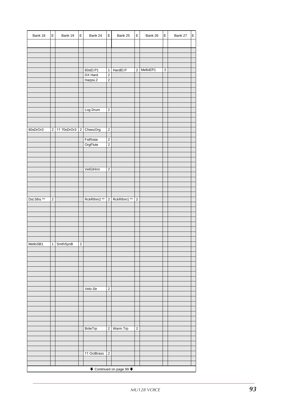| Bank 18                | E              | Bank 19              | E.             | Bank 24                | E                       | Bank 25                | E                       | Bank 26    | E.             | Bank 27 | E |
|------------------------|----------------|----------------------|----------------|------------------------|-------------------------|------------------------|-------------------------|------------|----------------|---------|---|
|                        |                |                      |                |                        |                         |                        |                         |            |                |         |   |
|                        |                |                      |                |                        |                         |                        |                         |            |                |         |   |
|                        |                |                      |                | 60sEl.P1               |                         | 1 HardEl.P             |                         | 2 MelloEP1 | $\overline{c}$ |         |   |
|                        |                |                      |                | DX Hard                | $\overline{2}$          |                        |                         |            |                |         |   |
|                        |                |                      |                | Harpsi.2               | $\overline{2}$          |                        |                         |            |                |         |   |
|                        |                |                      |                |                        |                         |                        |                         |            |                |         |   |
|                        |                |                      |                |                        |                         |                        |                         |            |                |         |   |
|                        |                |                      |                |                        |                         |                        |                         |            |                |         |   |
|                        |                |                      |                |                        |                         |                        |                         |            |                |         |   |
|                        |                |                      |                | Log Drum               | $\sqrt{2}$              |                        |                         |            |                |         |   |
|                        |                |                      |                |                        |                         |                        |                         |            |                |         |   |
|                        |                |                      |                |                        |                         |                        |                         |            |                |         |   |
| 60sDrOr3               |                | 2   † † 70sDrOr3   2 |                | CheezOrg               | $\overline{\mathbf{c}}$ |                        |                         |            |                |         |   |
|                        |                |                      |                | FstRotar               | $\mathbf 2$             |                        |                         |            |                |         |   |
|                        |                |                      |                | OrgFlute               | $\overline{2}$          |                        |                         |            |                |         |   |
|                        |                |                      |                |                        |                         |                        |                         |            |                |         |   |
|                        |                |                      |                |                        |                         |                        |                         |            |                |         |   |
|                        |                |                      |                |                        |                         |                        |                         |            |                |         |   |
|                        |                |                      |                | VelGtHrm               | $\overline{\mathbf{c}}$ |                        |                         |            |                |         |   |
|                        |                |                      |                |                        |                         |                        |                         |            |                |         |   |
|                        |                |                      |                |                        |                         |                        |                         |            |                |         |   |
|                        |                |                      |                |                        |                         |                        |                         |            |                |         |   |
|                        |                |                      |                |                        |                         |                        |                         |            |                |         |   |
| Dst.5ths <sup>**</sup> | $\overline{a}$ |                      |                | RckRthm2 <sup>**</sup> |                         | 2 RckRthm1 **          | $\overline{c}$          |            |                |         |   |
|                        |                |                      |                |                        |                         |                        |                         |            |                |         |   |
|                        |                |                      |                |                        |                         |                        |                         |            |                |         |   |
|                        |                |                      |                |                        |                         |                        |                         |            |                |         |   |
|                        |                |                      |                |                        |                         |                        |                         |            |                |         |   |
|                        |                |                      |                |                        |                         |                        |                         |            |                |         |   |
|                        |                |                      |                |                        |                         |                        |                         |            |                |         |   |
| MelloSB1               | $\mathbf{1}$   | SmthSynB             | $\overline{c}$ |                        |                         |                        |                         |            |                |         |   |
|                        |                |                      |                |                        |                         |                        |                         |            |                |         |   |
|                        |                |                      |                |                        |                         |                        |                         |            |                |         |   |
|                        |                |                      |                |                        |                         |                        |                         |            |                |         |   |
|                        |                |                      |                |                        |                         |                        |                         |            |                |         |   |
|                        |                |                      |                |                        |                         |                        |                         |            |                |         |   |
|                        |                |                      |                | Velo.Str               | $\overline{\mathbf{c}}$ |                        |                         |            |                |         |   |
|                        |                |                      |                |                        |                         |                        |                         |            |                |         |   |
|                        |                |                      |                |                        |                         |                        |                         |            |                |         |   |
|                        |                |                      |                |                        |                         |                        |                         |            |                |         |   |
|                        |                |                      |                |                        |                         |                        |                         |            |                |         |   |
|                        |                |                      |                |                        |                         |                        |                         |            |                |         |   |
|                        |                |                      |                |                        |                         |                        |                         |            |                |         |   |
|                        |                |                      |                | BriteTrp               |                         | 2 Warm Trp             | $\overline{\mathbf{c}}$ |            |                |         |   |
|                        |                |                      |                |                        |                         |                        |                         |            |                |         |   |
|                        |                |                      |                |                        |                         |                        |                         |            |                |         |   |
|                        |                |                      |                |                        | $\overline{2}$          |                        |                         |            |                |         |   |
|                        |                |                      |                | †† OctBrass            |                         |                        |                         |            |                |         |   |
|                        |                |                      |                |                        |                         |                        |                         |            |                |         |   |
|                        |                |                      |                |                        |                         | Continued on page 99 ♦ |                         |            |                |         |   |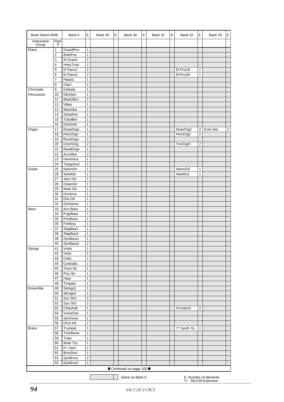| <b>Bank Select MSB</b> |                         | Bank 0               | E                            | Bank 29 | Ε | Bank 30                 | Ε | Bank 31 | Ε | Bank 32     | E              | Bank 33  | E.             |
|------------------------|-------------------------|----------------------|------------------------------|---------|---|-------------------------|---|---------|---|-------------|----------------|----------|----------------|
| Instrument<br>Group    | Pgm<br>#                |                      |                              |         |   |                         |   |         |   |             |                |          |                |
| Piano                  | 1                       | GrandPno             | $\mathbf{1}$                 |         |   |                         |   |         |   |             |                |          |                |
|                        | $\overline{\mathbf{c}}$ | <b>BritePno</b>      | $\mathbf{1}$                 |         |   |                         |   |         |   |             |                |          |                |
|                        | 3                       | El.Grand             | $\overline{\mathbf{c}}$      |         |   |                         |   |         |   |             |                |          |                |
|                        | 4                       | HnkyTonk             | $\mathbf 2$                  |         |   |                         |   |         |   |             |                |          |                |
|                        | 5                       | E.Piano1             | $\overline{\mathbf{c}}$      |         |   |                         |   |         |   | El.Pno1K    | 1              |          |                |
|                        | 6                       | E.Piano2             | $\mathbf 2$                  |         |   |                         |   |         |   | El.Pno2K    | 1              |          |                |
|                        | $\overline{7}$          | Harpsi.              | $\mathbf{1}$                 |         |   |                         |   |         |   |             |                |          |                |
|                        | 8                       | Clavi                | $\overline{\mathbf{c}}$      |         |   |                         |   |         |   |             |                |          |                |
| Chromatic              | 9                       | Celesta              | $\mathbf{1}$                 |         |   |                         |   |         |   |             |                |          |                |
| Percussion             | 10                      | Glocken              | $\mathbf{1}$                 |         |   |                         |   |         |   |             |                |          |                |
|                        | 11                      | MusicBox             | $\overline{\mathbf{c}}$      |         |   |                         |   |         |   |             |                |          |                |
|                        | 12                      | Vibes                | $\mathbf{1}$                 |         |   |                         |   |         |   |             |                |          |                |
|                        | 13                      | Marimba              | $\mathbf{1}$                 |         |   |                         |   |         |   |             |                |          |                |
|                        | 14                      | Xylophon             | $\mathbf{1}$                 |         |   |                         |   |         |   |             |                |          |                |
|                        | 15                      | TubulBel             | $\mathbf{1}$                 |         |   |                         |   |         |   |             |                |          |                |
|                        | 16                      | Dulcimer             | $\mathbf{1}$                 |         |   |                         |   |         |   |             |                |          |                |
| Organ                  | 17                      | DrawOrgn             | $\mathbf{1}$                 |         |   |                         |   |         |   | DrawOrg2    | 2              | Even Bar | $\overline{2}$ |
|                        | 18                      | PercOrgn             | $\mathbf{1}$                 |         |   |                         |   |         |   | PercOrg2    | $\overline{2}$ |          |                |
|                        | 19                      | RockOrgn             | $\mathbf 2$                  |         |   |                         |   |         |   |             |                |          |                |
|                        | 20                      | ChrchOrg             | $\mathbf 2$                  |         |   |                         |   |         |   | TrmOrgFl    | 2              |          |                |
|                        | 21                      | ReedOrgn             | $\mathbf{1}$                 |         |   |                         |   |         |   |             |                |          |                |
|                        | 22                      | Acordion             | $\mathbf 2$                  |         |   |                         |   |         |   |             |                |          |                |
|                        | 23                      | Harmnica             | $\mathbf{1}$                 |         |   |                         |   |         |   |             |                |          |                |
|                        | 24                      | TangoAcd             | $\mathbf 2$                  |         |   |                         |   |         |   |             |                |          |                |
| Guitar                 | 25                      | NylonGtr             | $\mathbf{1}$                 |         |   |                         |   |         |   | NylonGt2    | $\mathbf{1}$   |          |                |
|                        | 26                      | <b>SteelGtr</b>      | $\mathbf{1}$                 |         |   |                         |   |         |   | SteelGt2    | 1              |          |                |
|                        | 27                      | Jazz Gtr             | $\mathbf{1}$                 |         |   |                         |   |         |   |             |                |          |                |
|                        | 28                      | CleanGtr             | $\mathbf{1}$                 |         |   |                         |   |         |   |             |                |          |                |
|                        | 29                      | Mute Gtr             | $\mathbf{1}$                 |         |   |                         |   |         |   |             |                |          |                |
|                        | 30                      | Ovrdrive             | $\mathbf{1}$                 |         |   |                         |   |         |   |             |                |          |                |
|                        | 31                      | Dist.Gtr             | $\mathbf{1}$                 |         |   |                         |   |         |   |             |                |          |                |
|                        | 32                      | GtrHarmo             | $\mathbf{1}$                 |         |   |                         |   |         |   |             |                |          |                |
| Bass                   | 33                      | Aco.Bass             | $\mathbf{1}$                 |         |   |                         |   |         |   |             |                |          |                |
|                        | 34                      | FngrBass             | $\mathbf{1}$<br>$\mathbf{1}$ |         |   |                         |   |         |   |             |                |          |                |
|                        | 35<br>36                | PickBass<br>Fretless | $\mathbf{1}$                 |         |   |                         |   |         |   |             |                |          |                |
|                        | 37                      | SlapBas1             | $\mathbf{1}$                 |         |   |                         |   |         |   |             |                |          |                |
|                        | 38                      | SlapBas2             | $\mathbf{1}$                 |         |   |                         |   |         |   |             |                |          |                |
|                        | 39                      | SynBass1             | $\mathbf{1}$                 |         |   |                         |   |         |   |             |                |          |                |
|                        | 40                      | SynBass2             | $\overline{c}$               |         |   |                         |   |         |   |             |                |          |                |
| Strings                | 41                      | Violin               | $\mathbf{1}$                 |         |   |                         |   |         |   |             |                |          |                |
|                        | 42                      | Viola                | $\mathbf{1}$                 |         |   |                         |   |         |   |             |                |          |                |
|                        | 43                      | Cello                | $\mathbf{1}$                 |         |   |                         |   |         |   |             |                |          |                |
|                        | 44                      | Contrabs             | $\mathbf{1}$                 |         |   |                         |   |         |   |             |                |          |                |
|                        | 45                      | Trem.Str             | $\mathbf{1}$                 |         |   |                         |   |         |   |             |                |          |                |
|                        | 46                      | Pizz.Str             | $\mathbf{1}$                 |         |   |                         |   |         |   |             |                |          |                |
|                        | 47                      | Harp                 | $\mathbf{1}$                 |         |   |                         |   |         |   |             |                |          |                |
|                        | 48                      | Timpani              | $\mathbf{1}$                 |         |   |                         |   |         |   |             |                |          |                |
| Ensemble               | 49                      | Strings1             | $\mathbf{1}$                 |         |   |                         |   |         |   |             |                |          |                |
|                        | 50                      | Strings2             | $\mathbf{1}$                 |         |   |                         |   |         |   |             |                |          |                |
|                        | 51                      | Syn Str1             | $\mathbf 2$                  |         |   |                         |   |         |   |             |                |          |                |
|                        | 52                      | Syn Str2             | $\overline{c}$               |         |   |                         |   |         |   |             |                |          |                |
|                        | 53                      | ChoirAah             | $\mathbf{1}$                 |         |   |                         |   |         |   | Ch.Aahs2    | 2              |          |                |
|                        | 54                      | VoiceOoh             | $\mathbf{1}$                 |         |   |                         |   |         |   |             |                |          |                |
|                        | 55                      | SynVoice             | $\mathbf{1}$                 |         |   |                         |   |         |   |             |                |          |                |
|                        | 56                      | Orch.Hit             | $\mathbf 2$                  |         |   |                         |   |         |   |             |                |          |                |
| <b>Brass</b>           | 57                      | Trumpet              | $\mathbf{1}$                 |         |   |                         |   |         |   | †† Synth Tp | 1              |          |                |
|                        | 58                      | Trombone             | $\mathbf{1}$                 |         |   |                         |   |         |   |             |                |          |                |
|                        | 59                      | Tuba                 | $\mathbf{1}$                 |         |   |                         |   |         |   |             |                |          |                |
|                        | 60                      | Mute Trp             | $\mathbf{1}$                 |         |   |                         |   |         |   |             |                |          |                |
|                        | 61                      | Fr. Horn             | $\overline{\mathbf{c}}$      |         |   |                         |   |         |   |             |                |          |                |
|                        | 62                      | <b>BrssSect</b>      | $\mathbf{1}$                 |         |   |                         |   |         |   |             |                |          |                |
|                        | 63                      | SynBrss1             | $\overline{\mathbf{c}}$      |         |   |                         |   |         |   |             |                |          |                |
|                        | 64                      | SynBrss2             | $\mathbf{1}$                 |         |   |                         |   |         |   |             |                |          |                |
|                        |                         |                      |                              |         |   | Continued on page 100 → |   |         |   |             |                |          |                |

ſ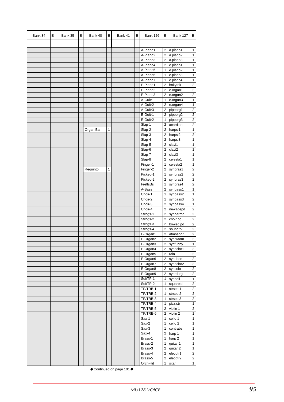| Bank 34 | E | Bank 35 | E | Bank 40  | E | Bank 41                 | E | <b>Bank 126</b>      | Е                                         | Bank 127               | Е                                |
|---------|---|---------|---|----------|---|-------------------------|---|----------------------|-------------------------------------------|------------------------|----------------------------------|
|         |   |         |   |          |   |                         |   |                      |                                           |                        |                                  |
|         |   |         |   |          |   |                         |   | A-Piano1             | 2                                         | a.piano1               | 1                                |
|         |   |         |   |          |   |                         |   | A-Piano2             | $\overline{2}$                            | a.piano2               | 1                                |
|         |   |         |   |          |   |                         |   | A-Piano3             | $\overline{2}$                            | a.piano3               | 1                                |
|         |   |         |   |          |   |                         |   | A-Piano4             | $\overline{2}$                            | e.piano1               | 1                                |
|         |   |         |   |          |   |                         |   | A-Piano5             | $\mathbf{1}$                              | e.piano2               | 1                                |
|         |   |         |   |          |   |                         |   | A-Piano6<br>A-Piano7 | $\mathbf{1}$<br>$\mathbf{1}$              | e.piano3<br>e.piano4   | 1<br>1                           |
|         |   |         |   |          |   |                         |   | E-Piano1             | 2                                         | hnkytnk                | $\overline{2}$                   |
|         |   |         |   |          |   |                         |   | E-Piano2             | $\overline{2}$                            | e.organ1               | $\overline{\mathbf{c}}$          |
|         |   |         |   |          |   |                         |   | E-Piano3             | 2                                         | e.organ2               | $\overline{2}$                   |
|         |   |         |   |          |   |                         |   | A-Guitr1             | 1                                         | e.organ3               | $\mathbf{1}$                     |
|         |   |         |   |          |   |                         |   | A-Guitr2             |                                           | $2$ e.organ4           | $\mathbf{1}$                     |
|         |   |         |   |          |   |                         |   | A-Guitr3             | 2                                         | pipeorg1               | $\overline{c}$                   |
|         |   |         |   |          |   |                         |   | E-Guitr1             | 2                                         | pipeorg2               | $\overline{2}$                   |
|         |   |         |   |          |   |                         |   | E-Guitr2<br>Slap-1   | 1<br>2                                    | pipeorg3<br>acordion   | $\overline{c}$<br>$\overline{c}$ |
|         |   |         |   | Organ Ba | 1 |                         |   | Slap-2               | 2                                         | harpsi1                | $\mathbf{1}$                     |
|         |   |         |   |          |   |                         |   | Slap-3               | 2                                         | harpsi2                | $\overline{2}$                   |
|         |   |         |   |          |   |                         |   | Slap-4               | 2                                         | harpsi3                | $\mathbf{1}$                     |
|         |   |         |   |          |   |                         |   | Slap-5               | $\overline{2}$                            | clavi1                 | 1                                |
|         |   |         |   |          |   |                         |   | Slap-6               | $\overline{2}$                            | clavi2                 | 1                                |
|         |   |         |   |          |   |                         |   | Slap-7               | $\overline{2}$                            | clavi3                 | 1                                |
|         |   |         |   |          |   |                         |   | Slap-8               | 2                                         | celesta1               | 1                                |
|         |   |         |   |          |   |                         |   | Finger-1             | 1                                         | celesta2               | 1                                |
|         |   |         |   | Requinto | 1 |                         |   | Finger-2<br>Picked-1 | $\overline{2}$<br>1                       | synbras1               | $\overline{c}$<br>$\overline{2}$ |
|         |   |         |   |          |   |                         |   | Picked-2             | 2                                         | synbras2<br>synbras3   | $\overline{c}$                   |
|         |   |         |   |          |   |                         |   | FretIsBs             | 1                                         | synbras4               | $\overline{2}$                   |
|         |   |         |   |          |   |                         |   | A-Bass               | 2                                         | synbass1               | 1                                |
|         |   |         |   |          |   |                         |   | Choir-1              | 1                                         | synbass2               | 1                                |
|         |   |         |   |          |   |                         |   | Choir-2              | 1                                         | synbass3               | $\overline{c}$                   |
|         |   |         |   |          |   |                         |   | Choir-3              | 2                                         | synbass4               | 1                                |
|         |   |         |   |          |   |                         |   | Choir-4              | $\overline{2}$                            | newagepd               | $\overline{c}$                   |
|         |   |         |   |          |   |                         |   | Strngs-1             | $\overline{2}$<br>$\overline{2}$          | synharmo<br>choir pd   | $\overline{c}$<br>$\overline{2}$ |
|         |   |         |   |          |   |                         |   | Strngs-2<br>Strngs-3 | 2                                         | bowed pd               | $\overline{c}$                   |
|         |   |         |   |          |   |                         |   | Strngs-4             | $\overline{2}$                            | soundtrk               | $\overline{2}$                   |
|         |   |         |   |          |   |                         |   | E-Organ1             | $\overline{2}$                            | atmosphr               | $\overline{c}$                   |
|         |   |         |   |          |   |                         |   | E-Organ2             | 2                                         | syn warm               | $\overline{2}$                   |
|         |   |         |   |          |   |                         |   | E-Organ3             | 2                                         | synfunny               | $\mathbf{1}$                     |
|         |   |         |   |          |   |                         |   | E-Organ4             | $\overline{\mathbf{c}}$                   | synecho1               | $\overline{c}$                   |
|         |   |         |   |          |   |                         |   | E-Organ5             | 2                                         | rain                   | $\overline{2}$                   |
|         |   |         |   |          |   |                         |   | E-Organ6<br>E-Organ7 | $\overline{\mathbf{c}}$<br>$\overline{2}$ | synoboe<br>synecho2    | $\overline{2}$<br>$\overline{c}$ |
|         |   |         |   |          |   |                         |   | E-Organ8             | 2                                         | synsolo                | $\overline{2}$                   |
|         |   |         |   |          |   |                         |   | E-Organ9             | $\overline{2}$                            | synrdorg               | $\overline{2}$                   |
|         |   |         |   |          |   |                         |   | SoftTP-1             | 1                                         | synbell                | 1                                |
|         |   |         |   |          |   |                         |   | SoftTP-2             | 1                                         | squareld               | $\overline{2}$                   |
|         |   |         |   |          |   |                         |   | TP/TRB-1             | 1                                         | strsect1               | $\overline{2}$                   |
|         |   |         |   |          |   |                         |   | TP/TRB-2             | 1                                         | strsect2               | $\overline{2}$                   |
|         |   |         |   |          |   |                         |   | TP/TRB-3             | 1                                         | strsect3               | $\overline{2}$                   |
|         |   |         |   |          |   |                         |   | TP/TRB-4             | 1                                         | pizz.str               | $\mathbf{1}$<br>$\mathbf 2$      |
|         |   |         |   |          |   |                         |   | TP/TRB-5<br>TP/TRB-6 | $\overline{a}$<br>$\overline{2}$          | violin 1<br>violin 2   | $\mathbf{1}$                     |
|         |   |         |   |          |   |                         |   | Sax-1                | 1                                         | cello 1                | $\mathbf{1}$                     |
|         |   |         |   |          |   |                         |   | Sax-2                | 1                                         | cello 2                | $\mathbf{1}$                     |
|         |   |         |   |          |   |                         |   | Sax-3                | 1                                         | contrabs               | $\mathbf{1}$                     |
|         |   |         |   |          |   |                         |   | Sax-4                |                                           | $2$ harp 1             | $\mathbf{1}$                     |
|         |   |         |   |          |   |                         |   | Brass-1              | 1                                         | harp 2                 | $\mathbf{1}$                     |
|         |   |         |   |          |   |                         |   | Brass-2              | 1                                         | guitar 1               | $\mathbf{1}$                     |
|         |   |         |   |          |   |                         |   | Brass-3              | 2                                         | guitar 2               | $\mathbf{1}$<br>$\overline{2}$   |
|         |   |         |   |          |   |                         |   | Brass-4<br>Brass-5   | 2                                         | 2 elecgtr1<br>elecgtr2 | $\overline{2}$                   |
|         |   |         |   |          |   |                         |   | Orch-Hit             | 1                                         | sitar                  | $\mathbf{1}$                     |
|         |   |         |   |          |   | Continued on page 101 ₹ |   |                      |                                           |                        |                                  |
|         |   |         |   |          |   |                         |   |                      |                                           |                        |                                  |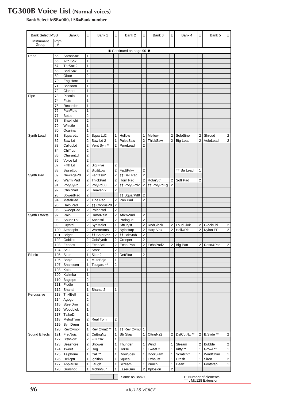**Bank Select MSB=000, LSB=Bank number**

| <b>Bank Select MSB</b> |            | Bank 0               | E                                         | Bank 1                 | E                            | Bank 2                                                           | Е                       | Bank 3              | E                 | Bank 4             | E              | Bank 5                    | Ε                           |
|------------------------|------------|----------------------|-------------------------------------------|------------------------|------------------------------|------------------------------------------------------------------|-------------------------|---------------------|-------------------|--------------------|----------------|---------------------------|-----------------------------|
| Instrument<br>Group    | Pgm<br>#   |                      |                                           |                        |                              |                                                                  |                         |                     |                   |                    |                |                           |                             |
|                        |            |                      |                                           |                        |                              | $\blacktriangleright$ Continued on page 90 $\blacktriangleright$ |                         |                     |                   |                    |                |                           |                             |
| Reed                   | 65         | SprnoSax             | 1                                         |                        |                              |                                                                  |                         |                     |                   |                    |                |                           |                             |
|                        | 66         | Alto Sax             | 1                                         |                        |                              |                                                                  |                         |                     |                   |                    |                |                           |                             |
|                        | 67         | TnrSax 2             | 1                                         |                        |                              |                                                                  |                         |                     |                   |                    |                |                           |                             |
|                        | 68         | Bari.Sax             | 1                                         |                        |                              |                                                                  |                         |                     |                   |                    |                |                           |                             |
|                        | 69         | Oboe                 | $\overline{c}$                            |                        |                              |                                                                  |                         |                     |                   |                    |                |                           |                             |
|                        | 70         | Eng.Horn             | 1                                         |                        |                              |                                                                  |                         |                     |                   |                    |                |                           |                             |
|                        | 71         | Bassoon              | 1                                         |                        |                              |                                                                  |                         |                     |                   |                    |                |                           |                             |
|                        | 72         | Clarinet             | 1                                         |                        |                              |                                                                  |                         |                     |                   |                    |                |                           |                             |
| Pipe                   | 73         | Piccolo              | 1                                         |                        |                              |                                                                  |                         |                     |                   |                    |                |                           |                             |
|                        | 74         | Flute                | 1                                         |                        |                              |                                                                  |                         |                     |                   |                    |                |                           |                             |
|                        | 75         | Recorder             | 1                                         |                        |                              |                                                                  |                         |                     |                   |                    |                |                           |                             |
|                        | 76         | PanFlute             | 1                                         |                        |                              |                                                                  |                         |                     |                   |                    |                |                           |                             |
|                        | 77         | <b>Bottle</b>        | $\overline{c}$                            |                        |                              |                                                                  |                         |                     |                   |                    |                |                           |                             |
|                        | 78         | Shakhchi             | $\overline{c}$                            |                        |                              |                                                                  |                         |                     |                   |                    |                |                           |                             |
|                        | 79         | Whistle              | 1                                         |                        |                              |                                                                  |                         |                     |                   |                    |                |                           |                             |
|                        | 80         | Ocarina              | 1                                         |                        |                              |                                                                  |                         |                     |                   |                    |                |                           |                             |
| Synth Lead             | 81         | SquareLd             | $\overline{\mathbf{c}}$                   | SquarLd2               | 1                            | Hollow                                                           | 1                       | Mellow              | $\overline{2}$    | SoloSine           | 2              | Shroud                    | 2                           |
|                        | 82         | Saw Ld               | $\overline{2}$                            | Saw Ld 2               | 1                            | PulseSaw                                                         | $\overline{2}$          | ThickSaw            | 2                 | <b>Big Lead</b>    | $\overline{2}$ | VeloLead                  | $\overline{2}$              |
|                        | 83         | CaliopLd             | $\overline{\mathbf{c}}$                   | Vent Syn <sup>**</sup> | $\overline{2}$               | PureLead                                                         | $\overline{2}$          |                     |                   |                    |                |                           |                             |
|                        | 84         | Chiff Ld             | $\overline{c}$                            |                        |                              |                                                                  |                         |                     |                   |                    |                |                           |                             |
|                        | 85         | CharanLd             | $\overline{c}$                            |                        |                              |                                                                  |                         |                     |                   |                    |                |                           |                             |
|                        | 86         | Voice Ld             | $\overline{c}$                            |                        |                              |                                                                  |                         |                     |                   |                    |                |                           |                             |
|                        | 87         | Fifth Ld             | $\overline{c}$                            | <b>Big Five</b>        | $\overline{2}$               |                                                                  |                         |                     |                   |                    |                |                           |                             |
|                        | 88         | Bass&Ld              | $\overline{2}$                            | Big&Low                | $\overline{2}$               | Fat&Prky                                                         | $\overline{\mathbf{c}}$ |                     |                   | †† Ba Lead         | 1              |                           |                             |
| Synth Pad              | 89         | NewAgePd             | $\overline{\mathbf{c}}$                   | Fantasy2               | $\overline{\mathbf{c}}$      | †† Bell Pad                                                      | $\overline{2}$          |                     |                   |                    |                |                           |                             |
|                        | 90         | Warm Pad             | $\overline{2}$                            | ThickPad               | $\overline{2}$               | Horn Pad                                                         | 2                       | RotarStr            | 2                 | Soft Pad           | $\overline{2}$ |                           |                             |
|                        | 91         | PolySyPd             | $\overline{\mathbf{c}}$                   | PolyPd80               | $\overline{\mathbf{c}}$      | †† PolySPd2                                                      | $\overline{\mathbf{c}}$ | tt PolyPdKg         | $\overline{2}$    |                    |                |                           |                             |
|                        | 92         | ChoirPad             | $\overline{2}$                            | Heaven <sub>2</sub>    | $\overline{2}$               |                                                                  |                         |                     |                   |                    |                |                           |                             |
|                        | 93         | <b>BowedPad</b>      | $\overline{c}$                            |                        |                              | †† SquarPd8                                                      | 2                       |                     |                   |                    |                |                           |                             |
|                        | 94         | MetalPad             | $\overline{2}$                            | <b>Tine Pad</b>        | $\overline{2}$               | Pan Pad                                                          | 2                       |                     |                   |                    |                |                           |                             |
|                        | 95         | Halo Pad             | $\overline{\mathbf{c}}$                   | <b>tt ChorusPd</b>     | $\overline{2}$               |                                                                  |                         |                     |                   |                    |                |                           |                             |
|                        | 96         | SweepPad             | $\overline{2}$                            | PolarPad               | $\overline{2}$               |                                                                  |                         |                     |                   |                    |                |                           |                             |
| Synth Effects          | 97         | Rain                 | $\overline{2}$                            | HrmoRain               | $\overline{2}$               | AfrcnWnd                                                         | $\overline{\mathbf{c}}$ |                     |                   |                    |                |                           |                             |
|                        | 98         | SoundTrk             | $\overline{2}$                            | Ancestri               | $\overline{2}$               | Prologue                                                         | $\overline{2}$          |                     |                   |                    |                |                           |                             |
|                        | 99         | Crystal              | $\overline{\mathbf{c}}$                   | SynMalet               | $\mathbf{1}$                 | SftCryst                                                         | $\overline{\mathbf{c}}$ | <b>RndGlock</b>     | 2                 | LoudGlok           | 2              | GlockChi                  | 2                           |
|                        | 100        | Atmosphr             | $\overline{2}$                            | WarmAtms               | $\overline{2}$               | NylnHarp                                                         | 2                       | Harp Vox            | 2                 | <b>HollwRIs</b>    | $\overline{2}$ | Nylon EP                  | $\overline{2}$              |
|                        | 101        | <b>Bright</b>        | $\overline{\mathbf{c}}$                   | <b>tt ShinStar</b>     | $\overline{\mathbf{c}}$      | †† BritStab                                                      | $\overline{\mathbf{c}}$ |                     |                   |                    |                |                           |                             |
|                        | 102        | Goblins              | $\overline{2}$                            | GobSynth               | $\overline{2}$               | Creeper                                                          | $\overline{2}$          |                     |                   |                    |                |                           |                             |
|                        | 103        | Echoes               | $\overline{\mathbf{c}}$                   | EchoBell               | $\overline{2}$               | Echo Pan                                                         | 2                       | EchoPad2            | 2                 | Big Pan            | 2              | Reso&Pan                  | 2                           |
|                        | 104        | Sci-Fi               | $\overline{2}$                            | Starz                  | $\overline{2}$               |                                                                  |                         |                     |                   |                    |                |                           |                             |
| Ethnic                 | 105        | Sitar                | 1                                         | Sitar 2                | $\overline{2}$               | DetSitar                                                         | $\overline{2}$          |                     |                   |                    |                |                           |                             |
|                        | 106        | Banjo                | 1                                         | MuteBnjo               | 1                            |                                                                  |                         |                     |                   |                    |                |                           |                             |
|                        | 107        | Shamisen             | 1                                         | Tsugaru **             | $\overline{\mathbf{c}}$      |                                                                  |                         |                     |                   |                    |                |                           |                             |
|                        | 108        | Koto                 | 1                                         |                        |                              |                                                                  |                         |                     |                   |                    |                |                           |                             |
|                        | 109        | Kalimba              | 1                                         |                        |                              |                                                                  |                         |                     |                   |                    |                |                           |                             |
|                        |            | 110 Bagpipe          | 2                                         |                        |                              |                                                                  |                         |                     |                   |                    |                |                           |                             |
|                        | 111        | Fiddle               | $\mathbf{1}$                              |                        |                              |                                                                  |                         |                     |                   |                    |                |                           |                             |
|                        | 112        | Shanai               | $\mathbf{1}$                              | Shanai 2               | $\mathbf{1}$                 |                                                                  |                         |                     |                   |                    |                |                           |                             |
| Percussive             | 113        | TnklBell             | $\overline{c}$<br>$\overline{2}$          |                        |                              |                                                                  |                         |                     |                   |                    |                |                           |                             |
|                        | 114<br>115 | Agogo<br>SteelDrm    | $\overline{c}$                            |                        |                              |                                                                  |                         |                     |                   |                    |                |                           |                             |
|                        | 116        | Woodblok             | $\mathbf{1}$                              |                        |                              |                                                                  |                         |                     |                   |                    |                |                           |                             |
|                        |            |                      |                                           |                        |                              |                                                                  |                         |                     |                   |                    |                |                           |                             |
|                        | 117<br>118 | TaikoDrm<br>MelodTom | $\mathbf{1}$<br>$\overline{c}$            | Real Tom               | $\overline{2}$               |                                                                  |                         |                     |                   |                    |                |                           |                             |
|                        | 119        | Syn Drum             | $\mathbf{1}$                              |                        |                              |                                                                  |                         |                     |                   |                    |                |                           |                             |
|                        | 120        |                      | $\mathbf{1}$                              |                        |                              |                                                                  |                         |                     |                   |                    |                |                           |                             |
| Sound Effects          | 121        | RevCymbl<br>FretNoiz | $\overline{\mathbf{c}}$                   | Rev Cym2 **            | 1<br>$\mathbf{1}$            | †† Rev Cym3                                                      | $\mathbf{1}$            |                     |                   |                    |                |                           |                             |
|                        |            |                      | $\overline{2}$                            | CuttngNz<br>Fl.KClik   | $\mathbf{1}$                 | Str Slap                                                         | $\mathbf{1}$            | CttngNz2            | 2                 | DstCutNz **        | 2              | B.Slide **                | 2                           |
|                        | 122        | <b>BrthNoiz</b>      |                                           |                        |                              |                                                                  |                         |                     |                   |                    |                |                           |                             |
|                        | 123        | Seashore             | $\overline{\mathbf{c}}$<br>$\overline{2}$ | Shower                 | $\mathbf{1}$<br>$\mathbf{1}$ | Thunder                                                          | 1<br>$\mathbf{1}$       | Wind                | 1<br>1            | Stream<br>Kitty ** | 2<br>1         | <b>Bubble</b><br>Growl ** | 2<br>$\mathbf{1}$           |
|                        | 124<br>125 | Tweet                | $\mathbf{1}$                              | Dog<br>Call **         | $\mathbf{1}$                 | Horse                                                            | $\mathbf{1}$            | Tweet 2             |                   |                    |                | WindChim                  |                             |
|                        | 126        | Telphone<br>Helicptr | 1                                         | Ignition               | $\mathbf{1}$                 | DoorSqek<br>Squeal                                               | 1                       | DoorSlam<br>Exhaust | 1<br>$\mathbf{1}$ | ScratchC<br>Crash  | 1<br>1         | Siren                     | $\mathbf{1}$<br>$\mathbf 2$ |
|                        | 127        | Applause             | 1                                         | Laugh                  | $\mathbf{1}$                 | Scream                                                           | $\mathbf{1}$            | Punch               | 1                 | Heart              | 1              | Footstep                  | $\mathbf{1}$                |
|                        | 128        | Gunshot              | 1                                         | MchinGun               | $\mathbf{1}$                 | LaserGun                                                         | $\overline{c}$          | Xplosion            | 2                 |                    |                |                           |                             |
|                        |            |                      |                                           |                        |                              |                                                                  |                         |                     |                   |                    |                |                           |                             |

Same as Bank 0

 $\overline{\phantom{a}}$ 

E: Number of elements †† : MU128 Extension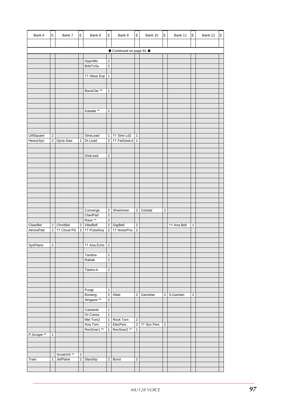| Bank 6      | E              | Bank 7         | E              | Bank 8                           | Ε                                | Bank 9                          | E                       | Bank 10     | E.             | Bank 11      | E              | Bank 12 | E |
|-------------|----------------|----------------|----------------|----------------------------------|----------------------------------|---------------------------------|-------------------------|-------------|----------------|--------------|----------------|---------|---|
|             |                |                |                |                                  |                                  |                                 |                         |             |                |              |                |         |   |
|             |                |                |                |                                  |                                  | Continued on page 91 ♦          |                         |             |                |              |                |         |   |
|             |                |                |                | HyprAlto                         | $\overline{\mathbf{c}}$          |                                 |                         |             |                |              |                |         |   |
|             |                |                |                | <b>BrthTnSx</b>                  | $\overline{c}$                   |                                 |                         |             |                |              |                |         |   |
|             |                |                |                |                                  |                                  |                                 |                         |             |                |              |                |         |   |
|             |                |                |                | †† Oboe Exp                      | $\mathbf{1}$                     |                                 |                         |             |                |              |                |         |   |
|             |                |                |                |                                  |                                  |                                 |                         |             |                |              |                |         |   |
|             |                |                |                | BassClar**                       | 1                                |                                 |                         |             |                |              |                |         |   |
|             |                |                |                |                                  |                                  |                                 |                         |             |                |              |                |         |   |
|             |                |                |                |                                  |                                  |                                 |                         |             |                |              |                |         |   |
|             |                |                |                | Kawala **                        | $\overline{\mathbf{c}}$          |                                 |                         |             |                |              |                |         |   |
|             |                |                |                |                                  |                                  |                                 |                         |             |                |              |                |         |   |
|             |                |                |                |                                  |                                  |                                 |                         |             |                |              |                |         |   |
|             |                |                |                |                                  |                                  |                                 |                         |             |                |              |                |         |   |
| LMSquare    | 2              |                |                | SineLead                         |                                  | 1   $\uparrow\uparrow$ Sine Ld2 | 1                       |             |                |              |                |         |   |
| HeavySyn    | $\overline{c}$ | Dyna Saw       | 1              | Dr.Lead                          |                                  | 2   ++ FatSawLd                 | $\mathbf{1}$            |             |                |              |                |         |   |
|             |                |                |                |                                  |                                  |                                 |                         |             |                |              |                |         |   |
|             |                |                |                | DistLead                         | 2                                |                                 |                         |             |                |              |                |         |   |
|             |                |                |                |                                  |                                  |                                 |                         |             |                |              |                |         |   |
|             |                |                |                |                                  |                                  |                                 |                         |             |                |              |                |         |   |
|             |                |                |                |                                  |                                  |                                 |                         |             |                |              |                |         |   |
|             |                |                |                |                                  |                                  |                                 |                         |             |                |              |                |         |   |
|             |                |                |                |                                  |                                  |                                 |                         |             |                |              |                |         |   |
|             |                |                |                |                                  |                                  |                                 |                         |             |                |              |                |         |   |
|             |                |                |                |                                  |                                  |                                 |                         |             |                |              |                |         |   |
|             |                |                |                |                                  |                                  |                                 |                         |             |                |              |                |         |   |
|             |                |                |                | Converge<br>ClaviPad             | $\overline{2}$<br>$\sqrt{2}$     | Shwimmer                        | 2                       | Celstial    | $\overline{2}$ |              |                |         |   |
|             |                |                |                | Rave**                           | $\overline{2}$                   |                                 |                         |             |                |              |                |         |   |
| ClearBel    | 2              | ChrstBel       | 2              | VibeBell                         | $\overline{2}$                   | DigiBell                        | 2                       |             |                | †† Ana Bell  | 1              |         |   |
| AtmosPad    |                | 2   † Cloud Pd |                | 2   †† PulseKey                  | $\overline{2}$                   | †† NoisePno                     | $\overline{\mathbf{c}}$ |             |                |              |                |         |   |
|             |                |                |                |                                  |                                  |                                 |                         |             |                |              |                |         |   |
| SynPiano    | 2              |                |                | †† Ana Echo                      | 2                                |                                 |                         |             |                |              |                |         |   |
|             |                |                |                | Tambra                           | 2                                |                                 |                         |             |                |              |                |         |   |
|             |                |                |                | Rabab                            | $\boldsymbol{2}$                 |                                 |                         |             |                |              |                |         |   |
|             |                |                |                |                                  |                                  |                                 |                         |             |                |              |                |         |   |
|             |                |                |                | Taisho-k                         | $\overline{c}$                   |                                 |                         |             |                |              |                |         |   |
|             |                |                |                |                                  |                                  |                                 |                         |             |                |              |                |         |   |
|             |                |                |                |                                  |                                  |                                 |                         |             |                |              |                |         |   |
|             |                |                |                | Pungi                            | $\mathbf{1}$                     |                                 |                         |             |                |              |                |         |   |
|             |                |                |                | Bonang<br>Atrigane <sup>**</sup> | $\overline{2}$<br>$\overline{2}$ | Altair                          |                         | 2 Gamelan   |                | $2$ S.Gamlan | $\overline{a}$ |         |   |
|             |                |                |                |                                  |                                  |                                 |                         |             |                |              |                |         |   |
|             |                |                |                | Castanet                         | $\mathbf{1}$                     |                                 |                         |             |                |              |                |         |   |
|             |                |                |                | Gr.Cassa<br>Mel Tom2             | $\mathbf{1}$<br>1                | Rock Tom                        | $\sqrt{2}$              |             |                |              |                |         |   |
|             |                |                |                | Ana Tom                          | 1                                | ElecPerc                        | $2 \mid$                | tt Syn Perc | $\overline{2}$ |              |                |         |   |
|             |                |                |                | RevSnar1 **                      | 1                                | RevSnar2**                      | $\mathbf{1}$            |             |                |              |                |         |   |
| P.Scrape ** | $\mathbf{1}$   |                |                |                                  |                                  |                                 |                         |             |                |              |                |         |   |
|             |                |                |                |                                  |                                  |                                 |                         |             |                |              |                |         |   |
|             |                |                |                |                                  |                                  |                                 |                         |             |                |              |                |         |   |
|             |                | ScratchS**     | $\sqrt{2}$     |                                  |                                  |                                 |                         |             |                |              |                |         |   |
| Train       | $\mathbf{1}$   | JetPlane       | $\overline{2}$ | Starship                         | 2                                | <b>Burst</b>                    | $\overline{\mathbf{c}}$ |             |                |              |                |         |   |
|             |                |                |                |                                  |                                  |                                 |                         |             |                |              |                |         |   |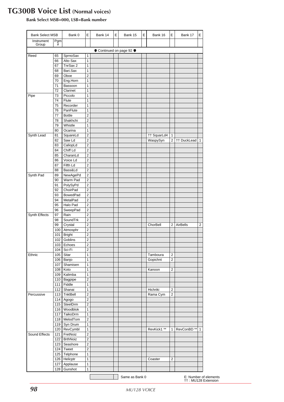**Bank Select MSB=000, LSB=Bank number**

| <b>Bank Select MSB</b> |            | Bank 0               | E                       | Bank 14                | E | Bank 15 | Ε | Bank 16            | E                       | Bank 17         | E            |
|------------------------|------------|----------------------|-------------------------|------------------------|---|---------|---|--------------------|-------------------------|-----------------|--------------|
| Instrument<br>Group    | Pgm<br>#   |                      |                         |                        |   |         |   |                    |                         |                 |              |
|                        |            |                      |                         | Continued on page 92 → |   |         |   |                    |                         |                 |              |
| Reed                   | 65         | SprnoSax             | 1                       |                        |   |         |   |                    |                         |                 |              |
|                        | 66         | Alto Sax             | 1                       |                        |   |         |   |                    |                         |                 |              |
|                        | 67         | TnrSax 2             | 1                       |                        |   |         |   |                    |                         |                 |              |
|                        | 68         | Bari.Sax             | 1                       |                        |   |         |   |                    |                         |                 |              |
|                        | 69         | Oboe                 | $\overline{2}$          |                        |   |         |   |                    |                         |                 |              |
|                        | 70         | Eng.Horn             | 1                       |                        |   |         |   |                    |                         |                 |              |
|                        | 71         | Bassoon              | 1                       |                        |   |         |   |                    |                         |                 |              |
| Pipe                   | 72         | Clarinet<br>Piccolo  | 1                       |                        |   |         |   |                    |                         |                 |              |
|                        | 73<br>74   | Flute                | 1<br>1                  |                        |   |         |   |                    |                         |                 |              |
|                        | 75         | Recorder             | 1                       |                        |   |         |   |                    |                         |                 |              |
|                        | 76         | PanFlute             | 1                       |                        |   |         |   |                    |                         |                 |              |
|                        | 77         | <b>Bottle</b>        | $\overline{\mathbf{c}}$ |                        |   |         |   |                    |                         |                 |              |
|                        | 78         | Shakhchi             | $\overline{2}$          |                        |   |         |   |                    |                         |                 |              |
|                        | 79         | Whistle              | 1                       |                        |   |         |   |                    |                         |                 |              |
|                        | 80         | Ocarina              | 1                       |                        |   |         |   |                    |                         |                 |              |
| Synth Lead             | 81         | SquareLd             | $\mathbf 2$             |                        |   |         |   | <b>tt SquarLd4</b> | $\mathbf{1}$            |                 |              |
|                        | 82         | Saw Ld               | $\overline{2}$          |                        |   |         |   | WaspySyn           | 2                       | †† DuckLead   1 |              |
|                        | 83         | CaliopLd             | $\overline{2}$          |                        |   |         |   |                    |                         |                 |              |
|                        | 84         | Chiff Ld             | $\overline{2}$          |                        |   |         |   |                    |                         |                 |              |
|                        | 85         | CharanLd             | $\overline{2}$          |                        |   |         |   |                    |                         |                 |              |
|                        | 86         | Voice Ld             | $\overline{2}$          |                        |   |         |   |                    |                         |                 |              |
|                        | 87         | Fifth Ld             | $\overline{2}$          |                        |   |         |   |                    |                         |                 |              |
|                        | 88         | Bass&Ld              | $\overline{2}$          |                        |   |         |   |                    |                         |                 |              |
| Synth Pad              | 89         | NewAgePd             | $\overline{2}$          |                        |   |         |   |                    |                         |                 |              |
|                        | 90         | Warm Pad             | $\overline{2}$          |                        |   |         |   |                    |                         |                 |              |
|                        | 91         | PolySyPd             | $\overline{2}$          |                        |   |         |   |                    |                         |                 |              |
|                        | 92         | ChoirPad             | $\overline{2}$          |                        |   |         |   |                    |                         |                 |              |
|                        | 93         | <b>BowedPad</b>      | $\overline{2}$          |                        |   |         |   |                    |                         |                 |              |
|                        | 94         | MetalPad             | $\overline{2}$          |                        |   |         |   |                    |                         |                 |              |
|                        | 95         | Halo Pad             | $\overline{2}$          |                        |   |         |   |                    |                         |                 |              |
|                        | 96         | SweepPad             | $\overline{2}$          |                        |   |         |   |                    |                         |                 |              |
| Synth Effects          | 97         | Rain                 | $\overline{2}$          |                        |   |         |   |                    |                         |                 |              |
|                        | 98         | SoundTrk             | $\overline{2}$          |                        |   |         |   |                    |                         |                 |              |
|                        | 99         | Crystal              | $\overline{2}$          |                        |   |         |   | ChorBell           | 2                       | AirBells        | 2            |
|                        | 100        | Atmosphr             | $\overline{\mathbf{c}}$ |                        |   |         |   |                    |                         |                 |              |
|                        | 101        | <b>Bright</b>        | $\overline{\mathbf{c}}$ |                        |   |         |   |                    |                         |                 |              |
|                        | 102        | Goblins              | $\overline{\mathbf{c}}$ |                        |   |         |   |                    |                         |                 |              |
|                        | 103        | Echoes               | $\overline{\mathbf{c}}$ |                        |   |         |   |                    |                         |                 |              |
|                        | 104        | Sci-Fi               | 2                       |                        |   |         |   |                    |                         |                 |              |
| Ethnic                 | 105        | Sitar                | 1                       |                        |   |         |   | Tamboura           | $\overline{\mathbf{c}}$ |                 |              |
|                        | 106        | Banjo                | 1                       |                        |   |         |   | Gopichnt           | 2                       |                 |              |
|                        | 107        | Shamisen             | 1                       |                        |   |         |   |                    |                         |                 |              |
|                        | 108        | Koto                 | 1                       |                        |   |         |   | Kanoon             | 2                       |                 |              |
|                        | 109        | Kalimba              | 1                       |                        |   |         |   |                    |                         |                 |              |
|                        |            | 110 Bagpipe          | $\mathbf 2$             |                        |   |         |   |                    |                         |                 |              |
|                        | 111        | Fiddle               | 1                       |                        |   |         |   |                    |                         |                 |              |
|                        | 112        | Shanai               | 1                       |                        |   |         |   | Hichriki           | $\overline{2}$          |                 |              |
| Percussive             | 113        | TnklBell             | $\overline{2}$          |                        |   |         |   | Rama Cym           | $\overline{2}$          |                 |              |
|                        | 114        | Agogo                | $\mathbf 2$             |                        |   |         |   |                    |                         |                 |              |
|                        | 115        | SteelDrm             | $\overline{2}$<br>1     |                        |   |         |   |                    |                         |                 |              |
|                        | 116<br>117 | Woodblok<br>TaikoDrm | 1                       |                        |   |         |   |                    |                         |                 |              |
|                        | 118        | MelodTom             | $\overline{2}$          |                        |   |         |   |                    |                         |                 |              |
|                        | 119        | Syn Drum             | 1                       |                        |   |         |   |                    |                         |                 |              |
|                        | 120        | RevCymbl             | 1                       |                        |   |         |   | RevKick1 **        | 1                       | RevConBD**      | $\mathbf{1}$ |
| Sound Effects          | 121        | FretNoiz             | $\overline{2}$          |                        |   |         |   |                    |                         |                 |              |
|                        | 122        | <b>BrthNoiz</b>      | $\boldsymbol{2}$        |                        |   |         |   |                    |                         |                 |              |
|                        | 123        | Seashore             | $\overline{2}$          |                        |   |         |   |                    |                         |                 |              |
|                        |            | 124 Tweet            | $\overline{2}$          |                        |   |         |   |                    |                         |                 |              |
|                        | 125        | Telphone             | 1                       |                        |   |         |   |                    |                         |                 |              |
|                        |            | 126 Helicptr         | 1                       |                        |   |         |   | Coaster            | 2                       |                 |              |
|                        | 127        | Applause             | $\mathbf{1}$            |                        |   |         |   |                    |                         |                 |              |
|                        | 128        | Gunshot              | 1                       |                        |   |         |   |                    |                         |                 |              |
|                        |            |                      |                         |                        |   |         |   |                    |                         |                 |              |

 $\lceil$ 

Same as Bank 0 E: Number of elements †† : MU128 Extension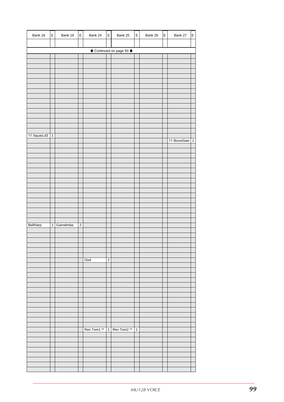| Bank 18       | E | Bank 19    | $\mathsf E$ | Bank 24 | E           | Bank 25                           | $\mathsf E$ | Bank 26 | E | Bank 27       | $\mathsf{E}$ |
|---------------|---|------------|-------------|---------|-------------|-----------------------------------|-------------|---------|---|---------------|--------------|
|               |   |            |             |         |             |                                   |             |         |   |               |              |
|               |   |            |             |         |             | Continued on page 93 ♦            |             |         |   |               |              |
|               |   |            |             |         |             |                                   |             |         |   |               |              |
|               |   |            |             |         |             |                                   |             |         |   |               |              |
|               |   |            |             |         |             |                                   |             |         |   |               |              |
|               |   |            |             |         |             |                                   |             |         |   |               |              |
|               |   |            |             |         |             |                                   |             |         |   |               |              |
|               |   |            |             |         |             |                                   |             |         |   |               |              |
|               |   |            |             |         |             |                                   |             |         |   |               |              |
|               |   |            |             |         |             |                                   |             |         |   |               |              |
|               |   |            |             |         |             |                                   |             |         |   |               |              |
| tt SquarLd3 1 |   |            |             |         |             |                                   |             |         |   |               |              |
|               |   |            |             |         |             |                                   |             |         |   | †† BoostSaw 1 |              |
|               |   |            |             |         |             |                                   |             |         |   |               |              |
|               |   |            |             |         |             |                                   |             |         |   |               |              |
|               |   |            |             |         |             |                                   |             |         |   |               |              |
|               |   |            |             |         |             |                                   |             |         |   |               |              |
|               |   |            |             |         |             |                                   |             |         |   |               |              |
|               |   |            |             |         |             |                                   |             |         |   |               |              |
|               |   |            |             |         |             |                                   |             |         |   |               |              |
|               |   |            |             |         |             |                                   |             |         |   |               |              |
|               |   |            |             |         |             |                                   |             |         |   |               |              |
|               |   |            |             |         |             |                                   |             |         |   |               |              |
| BellHarp      |   | 2 Gamelmba | $\mathbf 2$ |         |             |                                   |             |         |   |               |              |
|               |   |            |             |         |             |                                   |             |         |   |               |              |
|               |   |            |             |         |             |                                   |             |         |   |               |              |
|               |   |            |             |         |             |                                   |             |         |   |               |              |
|               |   |            |             | Oud     | $\mathbf 2$ |                                   |             |         |   |               |              |
|               |   |            |             |         |             |                                   |             |         |   |               |              |
|               |   |            |             |         |             |                                   |             |         |   |               |              |
|               |   |            |             |         |             |                                   |             |         |   |               |              |
|               |   |            |             |         |             |                                   |             |         |   |               |              |
|               |   |            |             |         |             |                                   |             |         |   |               |              |
|               |   |            |             |         |             |                                   |             |         |   |               |              |
|               |   |            |             |         |             |                                   |             |         |   |               |              |
|               |   |            |             |         |             |                                   |             |         |   |               |              |
|               |   |            |             |         |             | Rev Tom1 **   1   Rev Tom2 **   1 |             |         |   |               |              |
|               |   |            |             |         |             |                                   |             |         |   |               |              |
|               |   |            |             |         |             |                                   |             |         |   |               |              |
|               |   |            |             |         |             |                                   |             |         |   |               |              |
|               |   |            |             |         |             |                                   |             |         |   |               |              |
|               |   |            |             |         |             |                                   |             |         |   |               |              |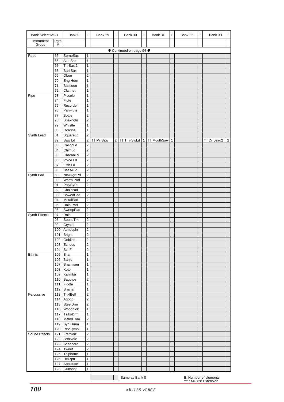| <b>Bank Select MSB</b> |            | Bank 0             | Ε                              | Bank 29   | E | Bank 30                | Ε            | Bank 31       | E | Bank 32 | E | Bank 33     | E |
|------------------------|------------|--------------------|--------------------------------|-----------|---|------------------------|--------------|---------------|---|---------|---|-------------|---|
| Instrument<br>Group    | Pgm<br>#   |                    |                                |           |   |                        |              |               |   |         |   |             |   |
|                        |            |                    |                                |           |   | Continued on page 94 € |              |               |   |         |   |             |   |
| Reed                   | 65         | SprnoSax           | $\mathbf{1}$                   |           |   |                        |              |               |   |         |   |             |   |
|                        | 66         | Alto Sax           | $\mathbf{1}$                   |           |   |                        |              |               |   |         |   |             |   |
|                        | 67         | TnrSax 2           | $\mathbf{1}$                   |           |   |                        |              |               |   |         |   |             |   |
|                        | 68         | Bari.Sax           | $\mathbf{1}$                   |           |   |                        |              |               |   |         |   |             |   |
|                        | 69         | Oboe               | $\mathbf 2$                    |           |   |                        |              |               |   |         |   |             |   |
|                        | 70         | Eng.Horn           | 1                              |           |   |                        |              |               |   |         |   |             |   |
|                        | 71         | Bassoon            | $\mathbf{1}$                   |           |   |                        |              |               |   |         |   |             |   |
|                        | 72         | Clarinet           | $\mathbf{1}$                   |           |   |                        |              |               |   |         |   |             |   |
| Pipe                   | 73         | Piccolo            | $\mathbf{1}$                   |           |   |                        |              |               |   |         |   |             |   |
|                        | 74         | Flute              | $\mathbf{1}$                   |           |   |                        |              |               |   |         |   |             |   |
|                        | 75         | Recorder           | $\mathbf{1}$                   |           |   |                        |              |               |   |         |   |             |   |
|                        | 76         | PanFlute           | $\mathbf{1}$                   |           |   |                        |              |               |   |         |   |             |   |
|                        | 77         | <b>Bottle</b>      | $\overline{\mathbf{c}}$        |           |   |                        |              |               |   |         |   |             |   |
|                        | 78         | Shakhchi           | $\mathbf 2$                    |           |   |                        |              |               |   |         |   |             |   |
|                        | 79         | Whistle            | $\mathbf{1}$                   |           |   |                        |              |               |   |         |   |             |   |
|                        | 80         | Ocarina            | $\mathbf{1}$<br>$\overline{2}$ |           |   |                        |              |               |   |         |   |             |   |
| Synth Lead             | 81<br>82   | SquareLd<br>Saw Ld | $\mathbf 2$                    | †† Mr.Saw | 2 | †† ThinSwLd            | $\mathbf{1}$ | tt MouthSaw 1 |   |         |   | †† Dr.Lead2 | 2 |
|                        | 83         | CaliopLd           | $\overline{2}$                 |           |   |                        |              |               |   |         |   |             |   |
|                        | 84         | Chiff Ld           | $\mathbf 2$                    |           |   |                        |              |               |   |         |   |             |   |
|                        | 85         | CharanLd           | $\overline{2}$                 |           |   |                        |              |               |   |         |   |             |   |
|                        | 86         | Voice Ld           | $\mathbf 2$                    |           |   |                        |              |               |   |         |   |             |   |
|                        | 87         | Fifth Ld           | $\overline{\mathbf{c}}$        |           |   |                        |              |               |   |         |   |             |   |
|                        | 88         | Bass&Ld            | $\mathbf 2$                    |           |   |                        |              |               |   |         |   |             |   |
| Synth Pad              | 89         | NewAgePd           | $\overline{2}$                 |           |   |                        |              |               |   |         |   |             |   |
|                        | 90         | Warm Pad           | $\overline{2}$                 |           |   |                        |              |               |   |         |   |             |   |
|                        | 91         | PolySyPd           | $\overline{2}$                 |           |   |                        |              |               |   |         |   |             |   |
|                        | 92         | ChoirPad           | $\mathbf 2$                    |           |   |                        |              |               |   |         |   |             |   |
|                        | 93         | BowedPad           | $\overline{2}$                 |           |   |                        |              |               |   |         |   |             |   |
|                        | 94         | MetalPad           | $\mathbf 2$                    |           |   |                        |              |               |   |         |   |             |   |
|                        | 95         | Halo Pad           | $\overline{2}$                 |           |   |                        |              |               |   |         |   |             |   |
|                        | 96         | SweepPad           | $\mathbf 2$                    |           |   |                        |              |               |   |         |   |             |   |
| Synth Effects          | 97         | Rain               | $\mathbf 2$                    |           |   |                        |              |               |   |         |   |             |   |
|                        | 98         | SoundTrk           | $\mathbf 2$                    |           |   |                        |              |               |   |         |   |             |   |
|                        | 99         | Crystal            | $\mathbf 2$                    |           |   |                        |              |               |   |         |   |             |   |
|                        | 100        | Atmosphr           | $\mathbf 2$                    |           |   |                        |              |               |   |         |   |             |   |
|                        | 101        | <b>Bright</b>      | $\overline{2}$                 |           |   |                        |              |               |   |         |   |             |   |
|                        | 102        | Goblins            | $\mathbf 2$                    |           |   |                        |              |               |   |         |   |             |   |
|                        | 103        | Echoes             | $\overline{2}$                 |           |   |                        |              |               |   |         |   |             |   |
|                        | 104        | Sci-Fi             | $\mathbf 2$                    |           |   |                        |              |               |   |         |   |             |   |
| Ethnic                 | 105        | Sitar<br>Banjo     | $\mathbf{1}$<br>$\mathbf{1}$   |           |   |                        |              |               |   |         |   |             |   |
|                        | 106<br>107 | Shamisen           | $\mathbf{1}$                   |           |   |                        |              |               |   |         |   |             |   |
|                        | 108        | Koto               | $\mathbf{1}$                   |           |   |                        |              |               |   |         |   |             |   |
|                        | 109        | Kalimba            | $\mathbf{1}$                   |           |   |                        |              |               |   |         |   |             |   |
|                        |            | 110 Bagpipe        | $\overline{2}$                 |           |   |                        |              |               |   |         |   |             |   |
|                        | 111        | Fiddle             | $\mathbf{1}$                   |           |   |                        |              |               |   |         |   |             |   |
|                        | 112        | Shanai             | $\ddagger$                     |           |   |                        |              |               |   |         |   |             |   |
| Percussive             | 113        | TnklBell           | $\mathbf 2$                    |           |   |                        |              |               |   |         |   |             |   |
|                        | 114        | Agogo              | $\overline{c}$                 |           |   |                        |              |               |   |         |   |             |   |
|                        | 115        | SteelDrm           | $\overline{2}$                 |           |   |                        |              |               |   |         |   |             |   |
|                        | 116        | Woodblok           | $\ddagger$                     |           |   |                        |              |               |   |         |   |             |   |
|                        | 117        | TaikoDrm           | $\mathbf{1}$                   |           |   |                        |              |               |   |         |   |             |   |
|                        | 118        | MelodTom           | $\overline{2}$                 |           |   |                        |              |               |   |         |   |             |   |
|                        | 119        | Syn Drum           | $\mathbf{1}$                   |           |   |                        |              |               |   |         |   |             |   |
|                        | 120        | RevCymbl           | $\mathbf{1}$                   |           |   |                        |              |               |   |         |   |             |   |
| Sound Effects          | 121        | FretNoiz           | $\mathbf 2$                    |           |   |                        |              |               |   |         |   |             |   |
|                        | 122        | <b>BrthNoiz</b>    | $\overline{2}$                 |           |   |                        |              |               |   |         |   |             |   |
|                        | 123        | Seashore           | $\overline{2}$                 |           |   |                        |              |               |   |         |   |             |   |
|                        | 124        | Tweet              | $\overline{2}$                 |           |   |                        |              |               |   |         |   |             |   |
|                        | 125        | Telphone           | $\mathbf{1}$                   |           |   |                        |              |               |   |         |   |             |   |
|                        | 126        | Helicptr           | $\ddagger$                     |           |   |                        |              |               |   |         |   |             |   |
|                        | 127        | Applause           | $\mathbf{1}$                   |           |   |                        |              |               |   |         |   |             |   |
|                        | 128        | Gunshot            | $\ddagger$                     |           |   |                        |              |               |   |         |   |             |   |

Same as Bank 0

E: Number of elements †† : MU128 Extension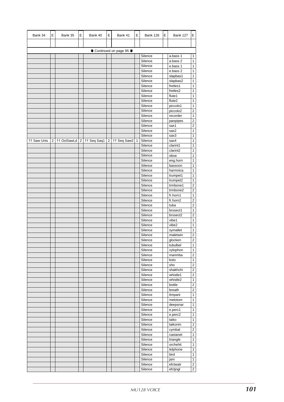| Bank 34     | E              | Bank 35 | Е | Bank 40                       | Е | Bank 41                           | Е            | Bank 126           | Е | <b>Bank 127</b>      | Е                                         |
|-------------|----------------|---------|---|-------------------------------|---|-----------------------------------|--------------|--------------------|---|----------------------|-------------------------------------------|
|             |                |         |   |                               |   |                                   |              |                    |   |                      |                                           |
|             |                |         |   |                               |   | Continued on page 95 ♦            |              |                    |   |                      |                                           |
|             |                |         |   |                               |   |                                   |              | Silence            |   | a.bass 1             | 1                                         |
|             |                |         |   |                               |   |                                   |              | Silence            |   | a.bass 2             | 1                                         |
|             |                |         |   |                               |   |                                   |              | Silence            |   | e.bass 1             | 1                                         |
|             |                |         |   |                               |   |                                   |              | Silence            |   | e.bass 2             | 1                                         |
|             |                |         |   |                               |   |                                   |              | Silence            |   | slapbas1             | 1                                         |
|             |                |         |   |                               |   |                                   |              | Silence            |   | slapbas2             | 1                                         |
|             |                |         |   |                               |   |                                   |              | Silence            |   | fretles1             | 1                                         |
|             |                |         |   |                               |   |                                   |              | Silence            |   | fretles2             | 1                                         |
|             |                |         |   |                               |   |                                   |              | Silence<br>Silence |   | flute1               | 1                                         |
|             |                |         |   |                               |   |                                   |              |                    |   | flute2<br>piccolo1   | 1<br>1                                    |
|             |                |         |   |                               |   |                                   |              | Silence<br>Silence |   | piccolo2             | $\overline{2}$                            |
|             |                |         |   |                               |   |                                   |              | Silence            |   | recorder             | 1                                         |
|             |                |         |   |                               |   |                                   |              | Silence            |   | panpipes             | $\overline{2}$                            |
|             |                |         |   |                               |   |                                   |              | Silence            |   | sax1                 | $\overline{2}$                            |
|             |                |         |   |                               |   |                                   |              | Silence            |   | sax2                 | 1                                         |
|             |                |         |   |                               |   |                                   |              | Silence            |   | sax3                 | 1                                         |
| †† Saw Unis | 2 <sup>1</sup> |         |   | †† OctSawLd   2   †† Seq Saq1 |   | $2$   $\uparrow\uparrow$ Seq Saw2 | $\mathbf{1}$ | Silence            |   | sax4                 | 1                                         |
|             |                |         |   |                               |   |                                   |              | Silence            |   | clarint1             | 1                                         |
|             |                |         |   |                               |   |                                   |              | Silence            |   | clarint2             | 1                                         |
|             |                |         |   |                               |   |                                   |              | Silence            |   | oboe                 | 1                                         |
|             |                |         |   |                               |   |                                   |              | Silence            |   | eng.horn             | 1                                         |
|             |                |         |   |                               |   |                                   |              | Silence            |   | bassoon              | 1                                         |
|             |                |         |   |                               |   |                                   |              | Silence            |   | harmnica             | 1                                         |
|             |                |         |   |                               |   |                                   |              | Silence            |   | trumpet1             | 1                                         |
|             |                |         |   |                               |   |                                   |              | Silence            |   | trumpet2             | 1                                         |
|             |                |         |   |                               |   |                                   |              | Silence            |   | trmbone1             | $\overline{2}$                            |
|             |                |         |   |                               |   |                                   |              | Silence            |   | trmbone2             | $\overline{2}$                            |
|             |                |         |   |                               |   |                                   |              | Silence            |   | fr.horn1             | 1                                         |
|             |                |         |   |                               |   |                                   |              | Silence            |   | fr.horn2             | $\overline{2}$                            |
|             |                |         |   |                               |   |                                   |              | Silence            |   | tuba                 | $\overline{2}$                            |
|             |                |         |   |                               |   |                                   |              | Silence            |   | brssect1             | 1                                         |
|             |                |         |   |                               |   |                                   |              | Silence            |   | brssect2             | $\overline{2}$                            |
|             |                |         |   |                               |   |                                   |              | Silence            |   | vibe1                | 1                                         |
|             |                |         |   |                               |   |                                   |              | Silence            |   | vibe2                | 1                                         |
|             |                |         |   |                               |   |                                   |              | Silence            |   | symallet             | 1                                         |
|             |                |         |   |                               |   |                                   |              | Silence            |   | maletwin             | $\overline{\mathbf{c}}$                   |
|             |                |         |   |                               |   |                                   |              | Silence            |   | glocken              | $\overline{\mathbf{c}}$                   |
|             |                |         |   |                               |   |                                   |              | Silence            |   | tubulbel             | 1                                         |
|             |                |         |   |                               |   |                                   |              | Silence            |   | xylophon             | 1                                         |
|             |                |         |   |                               |   |                                   |              | Silence            |   | marimba              | $\overline{\mathbf{c}}$                   |
|             |                |         |   |                               |   |                                   |              | Silence            |   | koto                 | 1                                         |
|             |                |         |   |                               |   |                                   |              | Silence            |   | sho                  | $\overline{2}$                            |
|             |                |         |   |                               |   |                                   |              | Silence            |   | shakhchi             | $\overline{\mathbf{c}}$<br>$\overline{2}$ |
|             |                |         |   |                               |   |                                   |              | Silence            |   | whistle1<br>whistle2 | 1                                         |
|             |                |         |   |                               |   |                                   |              | Silence<br>Silence |   | bottle               | $\overline{2}$                            |
|             |                |         |   |                               |   |                                   |              | Silence            |   | breath               | $\overline{2}$                            |
|             |                |         |   |                               |   |                                   |              | Silence            |   | timpani              | $\mathbf{1}$                              |
|             |                |         |   |                               |   |                                   |              | Silence            |   | melotom              | $\mathbf{1}$                              |
|             |                |         |   |                               |   |                                   |              | Silence            |   | deepsnar             | $\mathbf{1}$                              |
|             |                |         |   |                               |   |                                   |              | Silence            |   | e.perc1              | $\mathbf{1}$                              |
|             |                |         |   |                               |   |                                   |              | Silence            |   | e.perc2              | $\mathbf{1}$                              |
|             |                |         |   |                               |   |                                   |              | Silence            |   | taiko                | $\mathbf{1}$                              |
|             |                |         |   |                               |   |                                   |              | Silence            |   | taikorim             | $\mathbf{1}$                              |
|             |                |         |   |                               |   |                                   |              | Silence            |   | cymbal               | $\overline{2}$                            |
|             |                |         |   |                               |   |                                   |              | Silence            |   | castanet             | $\mathbf{1}$                              |
|             |                |         |   |                               |   |                                   |              | Silence            |   | triangle             | 1                                         |
|             |                |         |   |                               |   |                                   |              | Silence            |   | orchehit             | 1                                         |
|             |                |         |   |                               |   |                                   |              | Silence            |   | telphone             | 1                                         |
|             |                |         |   |                               |   |                                   |              | Silence            |   | bird                 | $\mathbf{1}$                              |
|             |                |         |   |                               |   |                                   |              | Silence            |   | jam                  | $\mathbf{1}$                              |
|             |                |         |   |                               |   |                                   |              | Silence            |   | efctwatr             | 2                                         |
|             |                |         |   |                               |   |                                   |              | Silence            |   | efctjngl             | $\overline{\mathbf{c}}$                   |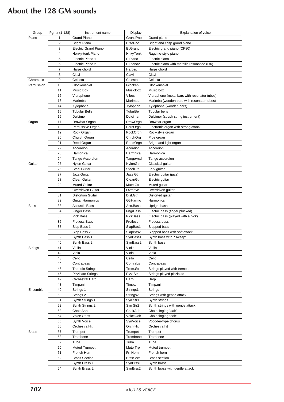## **About the 128 GM sounds**

| Group        | Pgm# (1-128) | Instrument name             | Display         | Explanation of voice                         |
|--------------|--------------|-----------------------------|-----------------|----------------------------------------------|
| Piano        | 1            | <b>Grand Piano</b>          | GrandPno        | Grand piano                                  |
|              | 2            | <b>Bright Piano</b>         | <b>BritePno</b> | Bright and crisp grand piano                 |
|              | 3            | <b>Electric Grand Piano</b> | El.Grand        | Electric grand piano (CP80)                  |
|              | 4            | Honky-tonk Piano            | HnkyTonk        | Ragtime-style piano                          |
|              | 5            | Electric Piano 1            | E.Piano1        | Electric piano                               |
|              |              |                             |                 |                                              |
|              | 6            | Electric Piano 2            | E.Piano2        | Electric piano with metallic resonance (DX)  |
|              | 7            | Harpsichord                 | Harpsi.         | Harpsichord                                  |
|              | 8            | Clavi                       | Clavi           | Clavi                                        |
| Chromatic    | 9            | Celesta                     | Celesta         | Celesta                                      |
| Percussion   | 10           | Glockenspiel                | Glocken         | Glockenspiel                                 |
|              | 11           | Music Box                   | MusicBox        | Music box                                    |
|              | 12           |                             | Vibes           |                                              |
|              |              | Vibraphone                  |                 | Vibraphone (metal bars with resonator tubes) |
|              | 13           | Marimba                     | Marimba         | Marimba (wooden bars with resonator tubes)   |
|              | 14           | Xylophone                   | Xylophon        | Xylophone (wooden bars)                      |
|              | 15           | <b>Tubular Bells</b>        | TubulBel        | Tubular bells                                |
|              | 16           | Dulcimer                    | Dulcimer        | Dulcimer (struck string instrument)          |
| Organ        | 17           | Drawbar Organ               | DrawOrgn        | Drawbar organ                                |
|              | 18           | Percussive Organ            | PercOrgn        | Electronic organ with strong attack          |
|              | 19           |                             |                 |                                              |
|              |              | Rock Organ                  | RockOrgn        | Rock-style organ                             |
|              | 20           | Church Organ                | ChrchOrg        | Pipe organ                                   |
|              | 21           | Reed Organ                  | ReedOrgn        | Bright and light organ                       |
|              | 22           | Accordion                   | Acordion        | Accordion                                    |
|              | 23           | Hamonica                    | Harmnica        | Harmonica                                    |
|              | 24           | Tango Accordion             | TangoAcd        | Tango accordion                              |
| Guitar       | 25           | Nylon Guitar                | NylonGtr        | Classical guitar                             |
|              |              |                             |                 |                                              |
|              | 26           | <b>Steel Guitar</b>         | <b>SteelGtr</b> | Fork guitar                                  |
|              | 27           | Jazz Guitar                 | Jazz Gtr        | Electric guitar (jazz)                       |
|              | 28           | Clean Guitar                | CleanGtr        | Electric guitar                              |
|              | 29           | <b>Muted Guitar</b>         | Mute Gtr        | Muted guitar                                 |
|              | 30           | Overdriven Guitar           | Ovrdrive        | Overdriven guitar                            |
|              | 31           | <b>Distortion Guitar</b>    | Dist.Gtr        | Distorted guitar                             |
|              | 32           | Guitar Harmonics            | GtrHarmo        | Harmonics                                    |
|              |              |                             |                 |                                              |
| Bass         | 33           | <b>Acoustic Bass</b>        | Aco.Bass        | Upright bass                                 |
|              | 34           | <b>Finger Bass</b>          | FngrBass        | Electric bass (finger plucked)               |
|              | 35           | <b>Pick Bass</b>            | <b>PickBass</b> | Electric bass (played with a pick)           |
|              | 36           | <b>Fretless Bass</b>        | Fretless        | Fretless bass                                |
|              | 37           | Slap Bass 1                 | SlapBas1        | Slapped bass                                 |
|              | 38           | Slap Bass 2                 | SlapBas2        | Slapped bass with soft attack                |
|              | 39           | Synth Bass 1                | SynBass1        | Synth bass with "sweep"                      |
|              |              |                             |                 |                                              |
|              | 40           | Synth Bass 2                | SynBass2        | Synth bass                                   |
| Strings      | 41           | Violin                      | Violin          | Violin                                       |
|              | 42           | Viola                       | Viola           | Viola                                        |
|              | 43           | Cello                       | Cello           | Cello                                        |
|              | 44           | Contrabass                  | Contrabs        | Contrabass                                   |
|              | 45           | <b>Tremolo Strings</b>      | Trem.Str        | Strings played with tremolo                  |
|              | 46           | Pizzicato Strings           | Pizz.Str        | Strings played pizzicato                     |
|              | 47           | Orchestral Harp             | Harp            | Harp                                         |
|              |              |                             |                 |                                              |
|              | 48           | Timpani                     | Timpani         | Timpani                                      |
| Ensemble     | 49           | Strings 1                   | Strings1        | Strings                                      |
|              | 50           | Strings 2                   | Strings2        | Strings with gentle attack                   |
|              | 51           | Synth Strings 1             | Syn Str1        | Synth strings                                |
|              | 52           | Synth Strings 2             | Syn Str2        | Synth strings with gentle attack             |
|              | 53           | Choir Aahs                  | ChoirAah        | Choir singing "aah"                          |
|              | 54           | Voice Oohs                  | VoiceOoh        | Choir singing "ooh"                          |
|              |              |                             |                 |                                              |
|              | 55           | Synth Voice                 | SynVoice        | Vocoder-type chorus                          |
|              | 56           | Orchestra Hit               | Orch.Hit        | Orchestra hit                                |
| <b>Brass</b> | 57           | Trumpet                     | Trumpet         | Trumpet                                      |
|              | 58           | Trombone                    | Trombone        | Trombone                                     |
|              | 59           | Tuba                        | Tuba            | Tube                                         |
|              | 60           | Muted Trumpet               | Mute Trp        | Muted trumpet                                |
|              |              |                             |                 | French horn                                  |
|              | 61           | French Horn                 | Fr. Horn        |                                              |
|              | 62           | <b>Brass Section</b>        | <b>BrssSect</b> | <b>Brass section</b>                         |
|              | 63           | Synth Brass 1               | SynBrss1        | Synth brass                                  |
|              | 64           | Synth Brass 2               | SynBrss2        | Synth brass with gentle attack               |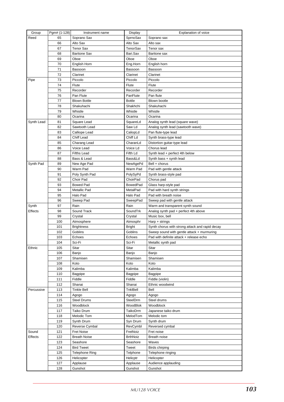| Group      | Pgm# (1-128) | Instrument name     | Display         | Explanation of voice                            |
|------------|--------------|---------------------|-----------------|-------------------------------------------------|
| Reed       | 65           | Soprano Sax         | SprnoSax        | Soprano sax                                     |
|            | 66           | Alto Sax            | Alto Sax        | Alto sax                                        |
|            | 67           | <b>Tenor Sax</b>    | TenorSax        | Tenor sax                                       |
|            | 68           | <b>Baritone Sax</b> | Bari.Sax        | Baritone sax                                    |
|            | 69           | Oboe                | Oboe            | Oboe                                            |
|            | 70           | English Horn        | Eng.Horn        | English horn                                    |
|            | 71           | Bassoon             | Bassoon         | Bassoon                                         |
|            | 72           | Clarinet            | Clarinet        | Clarinet                                        |
| Pipe       | 73           | Piccolo             | Piccolo         | Piccolo                                         |
|            | 74           | Flute               | Flute           | Flute                                           |
|            | 75           | Recorder            | Recorder        | Recorder                                        |
|            | 76           | Pan Flute           | PanFlute        | Pan flute                                       |
|            | 77           | <b>Blown Bottle</b> | <b>Bottle</b>   | Blown bootle                                    |
|            | 78           | Shakuhachi          | Shakhchi        | Shakuhachi                                      |
|            | 79           | Whistle             | Whistle         | Whistle                                         |
|            | 80           | Ocarina             | Ocarina         | Ocarina                                         |
| Synth Lead | 81           | Square Lead         | SquareLd        | Analog synth lead (square wave)                 |
|            | 82           | Sawtooth Lead       | Saw Ld          | Analog synth lead (sawtooth wave)               |
|            | 83           | Calliope Lead       | CaliopLd        | Pan flute-type lead                             |
|            | 84           | Chiff Lead          | Chiff Ld        | Synth brass-type lead                           |
|            | 85           | Charang Lead        | CharanLd        | Distortion guitar-type lead                     |
|            | 86           | Voice Lead          | Voice Ld        | Chorus lead                                     |
|            | 87           | <b>Fifths Lead</b>  | Fifth Ld        | Synth lead + perfect 4th below                  |
|            | 88           | Bass & Lead         | Bass&Ld         | Synth bass + synth lead                         |
| Synth Pad  | 89           | New Age Pad         | NewAgePd        | Bell + chorus                                   |
|            | 90           | Warm Pad            | Warm Pad        | Pad with gentle attack                          |
|            | 91           | Poly Synth Pad      | PolySyPd        | Synth brass-style pad                           |
|            | 92           | Choir Pad           | ChoirPad        | Chorus pad                                      |
|            | 93           | <b>Bowed Pad</b>    | <b>BowedPad</b> | Glass harp-style pad                            |
|            | 94           | Metallic Pad        | MetalPad        | Pad with hard synth strings                     |
|            | 95           | Halo Pad            | Halo Pad        | Pad with breath noise                           |
|            | 96           | Sweep Pad           | SweepPad        | Sweep pad with gentle attack                    |
| Synth      | 97           | Rain                | Rain            | Warm and transparent synth sound                |
| Effects    | 98           | Sound Track         | SoundTrk        | Analog synth pad + perfect 4th above            |
|            | 99           | Crystal             | Crystal         | Music box, bell                                 |
|            | 100          | Atmosphere          | Atmosphr        | Harp + strings                                  |
|            | 101          | <b>Brightness</b>   | <b>Bright</b>   | Synth chorus with strong attack and rapid decay |
|            | 102          | Goblins             | Goblins         | Sweep sound with gentle attack + murmuring      |
|            | 103          | Echoes              | Echoes          | Pad with definite attack + release echo         |
|            | 104          | Sci-Fi              | Sci-Fi          | Metallic synth pad                              |
| Ethnic     | 105          | Sitar               | Sitar           | Sitar                                           |
|            | 106          | Banjo               | Banjo           | Banjo                                           |
|            | 107          | Shamisen            | Shamisen        | Shamisen                                        |
|            | 108          | Koto                | Koto            | Koto                                            |
|            | 109          | Kalimba             | Kalimba         | Kalimba                                         |
|            | 110          | Bagpipe             | Bagpipe         | Bagpipe                                         |
|            | 111          | Fiddle              | Fiddle          | Fiddle (violin)                                 |
|            | 112          | Shanai              | Shanai          | Ethnic woodwind                                 |
| Percussive | 113          | <b>Tinkle Bell</b>  | TnklBell        | Bell                                            |
|            | 114          | Agogo               | Agogo           | Agogo                                           |
|            | 115          | Steel Drums         | SteelDrm        | Steel drums                                     |
|            | 116          | Woodblock           | WoodBlok        | Woodblock                                       |
|            | 117          | Taiko Drum          | TaikoDrm        | Japanese taiko drum                             |
|            | 118          | Melodic Tom         | MelodTom        | Melodic tom                                     |
|            | 119          | Synth Drum          | Syn Drum        | Synth drum                                      |
|            | 120          | Reverse Cymbal      | RevCymbl        | Reversed cymbal                                 |
| Sound      | 121          |                     | FretNoiz        | Fret noise                                      |
|            |              | <b>Fret Noise</b>   |                 |                                                 |
| Effects    | 122          | <b>Breath Noise</b> | <b>BrthNoiz</b> | Breath noise                                    |
|            | 123          | Seashore            | Seashore        | Waves                                           |
|            | 124          | <b>Bird Tweet</b>   | Tweet           | Birds chirping                                  |
|            | 125          | Telephone Ring      | Telphone        | Telephone ringing                               |
|            | 126          | Helicopter          | Helicptr        | Helicopter                                      |
|            | 127          | Applause            | Applause        | Audience applauding                             |
|            | 128          | Gunshot             | Gunshot         | Gunshot                                         |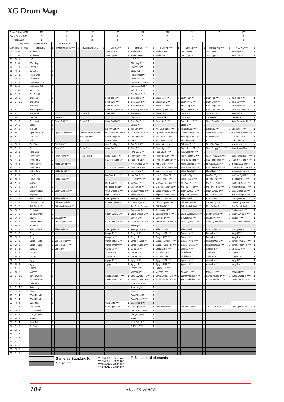| <b>Bank Select MSB</b>        | 127                        | 127                  | 127                   | 127                                                                                                                                                                                                       | 127                                            | 127                                                                                                                              | 127                                 | 127                                  | 127                                              |
|-------------------------------|----------------------------|----------------------|-----------------------|-----------------------------------------------------------------------------------------------------------------------------------------------------------------------------------------------------------|------------------------------------------------|----------------------------------------------------------------------------------------------------------------------------------|-------------------------------------|--------------------------------------|--------------------------------------------------|
| <b>Bank Select LSB</b>        | $\pmb{0}$                  | 0                    | 0                     | 0                                                                                                                                                                                                         | 0                                              | $\pmb{0}$                                                                                                                        | $\bf{0}$                            | 0                                    | 0                                                |
| Program#                      | $\ddot{\phantom{0}}$       | 1                    | $\sqrt{2}$            | 3                                                                                                                                                                                                         | $\overline{4}$                                 | 5                                                                                                                                | 6                                   | $\overline{7}$                       | 8                                                |
| ey Atema                      | Standard Kit               | Standard Kit         |                       |                                                                                                                                                                                                           |                                                |                                                                                                                                  |                                     |                                      |                                                  |
| Note<br>Off<br>Group<br>Vote# | Mu Basic                   | MU100 Native****     | Standard Kit 2        | Dry Kit ***                                                                                                                                                                                               | Bright Kit ***                                 | Skim Kit ****                                                                                                                    | Slim Kit ****                       | Rogue Kit ****                       | Hob Kit ****                                     |
| 13<br>C# -<br>3               | Surdo Mute                 |                      |                       | Surdo Mute V ***                                                                                                                                                                                          | Surdo Mute B *                                 | Surdo Mute V ***                                                                                                                 | Surdo Mute V **                     | Surdo Mute V ***                     | Surdo Mute V ***                                 |
| 14<br>$\mathsf 3$<br>ID       | Surdo Open                 |                      |                       | Surdo Open V ***                                                                                                                                                                                          | Surdo Open B ***                               | Surdo Open V ***                                                                                                                 | Surdo Open V ***                    | Surdo Open V ***                     | Surdo Open V ***                                 |
| 15 <sub>15</sub><br>D# -      | Hi Q                       |                      |                       |                                                                                                                                                                                                           | Hi Q B ***                                     |                                                                                                                                  |                                     |                                      |                                                  |
| 16<br>E                       | Whip Slap                  |                      |                       |                                                                                                                                                                                                           | Whip Slap B ***                                |                                                                                                                                  |                                     |                                      |                                                  |
| 17<br>×.<br>4                 | Scratch H                  |                      |                       |                                                                                                                                                                                                           | Scratch H B ***                                |                                                                                                                                  |                                     |                                      |                                                  |
| 18<br>4<br>F# -               | Scratch L                  |                      |                       |                                                                                                                                                                                                           | Scratch L B ***                                |                                                                                                                                  |                                     |                                      |                                                  |
| 19<br>Ġ                       | Finger Snap                |                      |                       |                                                                                                                                                                                                           | Finger Snap B ***                              |                                                                                                                                  |                                     |                                      |                                                  |
| 20<br>G# -1                   | Click Noise                |                      |                       |                                                                                                                                                                                                           | Click Noise B ***                              |                                                                                                                                  |                                     |                                      |                                                  |
| 21                            | Metronome Click            |                      |                       |                                                                                                                                                                                                           | Metronome Click B ***                          |                                                                                                                                  |                                     |                                      |                                                  |
| 22<br>A# -                    | Metronome Bell             |                      |                       |                                                                                                                                                                                                           | Metronome Bell B ***                           |                                                                                                                                  |                                     |                                      |                                                  |
| 23<br>lß                      | Seq Click L                |                      |                       |                                                                                                                                                                                                           | Seq Click L B ***                              |                                                                                                                                  |                                     |                                      |                                                  |
| 24<br>IC.                     | Seq Click H                |                      |                       |                                                                                                                                                                                                           | Seq Click H B ***                              |                                                                                                                                  |                                     |                                      |                                                  |
| 25<br>C#                      | <b>Brush Tap</b>           |                      |                       | Brush Tap V ***                                                                                                                                                                                           | Brush Tap B ***                                | Brush Tap V ***                                                                                                                  | Brush Tap V ***                     | Brush Tap V ***                      | Brush Tap V ***                                  |
| 26<br>ID.<br>$\circ$          | <b>Brush Swirl</b>         |                      |                       | Brush Swirl V ***                                                                                                                                                                                         | Brush Swirl B ***                              | Brush Swirl V ***                                                                                                                | Brush Swirl V ***                   | Brush Swirl V ***                    | Brush Swirl V ***                                |
| 27<br>D#                      | <b>Brush Slap</b>          |                      |                       | Brush Slap V ***                                                                                                                                                                                          | Brush Slap B ***                               | Brush Slap V ***                                                                                                                 | Brush Slap V ***                    | Brush Slap V ***                     | Brush Slap V ***                                 |
| 28<br>0l O                    | Brush Tap Swirl            |                      |                       | Brush Tap Swirl V ***                                                                                                                                                                                     | Brush Tap Swirl B ***                          | Brush Tap Swirl L ****                                                                                                           | Brush Tap Swirl L ****              | Brush Tap Swirl L ***                | Brush Tap Swirl L ***                            |
| 29<br>$\circ$                 | Snare Roll                 |                      | Snare Roll 2          | Snare Roll V ***                                                                                                                                                                                          | Snare Roll B **                                | Snare Roll V ***                                                                                                                 | Snare Roll V ***                    | Snare Roll V ***                     | Snare Roll V ***                                 |
| 30<br>F#                      | Castanet                   | Castanet#****        |                       |                                                                                                                                                                                                           | Castanet B ***                                 | Castanet Sk ****                                                                                                                 | Castanet H ****                     | Castanet H ****                      | Castanet H ****                                  |
| 31<br>Ġ                       | Snare Soft                 | Snare Soft#****      | Snare Soft 2          | Snare Dry Soft ***                                                                                                                                                                                        | Snare Soft B ***                               | Snare Dry Q ****                                                                                                                 | Snare Rough Q ****                  | Snare Brass Soft ****                | Snare Brass Soft H ****                          |
| 32<br>G#                      | <b>Sticks</b>              |                      |                       |                                                                                                                                                                                                           | Sticks B ***                                   |                                                                                                                                  | Sticks Q ****                       |                                      |                                                  |
| 33                            | Kick Soft                  |                      |                       | <ick ***<="" dry="" soft="" td=""><td>Kick Soft B ***</td><td><ick ****<="" dry="" hpf="" soft="" td=""><td>Kick Soft Dark ****</td><td>Kick Soft 2 ****</td><td>Kick Soft 2 H ****</td></ick></td></ick> | Kick Soft B ***                                | <ick ****<="" dry="" hpf="" soft="" td=""><td>Kick Soft Dark ****</td><td>Kick Soft 2 ****</td><td>Kick Soft 2 H ****</td></ick> | Kick Soft Dark ****                 | Kick Soft 2 ****                     | Kick Soft 2 H ****                               |
| $34\,$<br>A#                  | Open Rim Shot              | Open Rim Shot#***    | Open Rim Shot H Short | " Open Rim Shot Dry V                                                                                                                                                                                     | Open Rim Shot B **                             | Open Rim Shot Dry HPF                                                                                                            | Open Rim Shot SI ****               | Open Rim Shot 2 ****                 | Open Rim Shot H Short 2                          |
| 35<br>lß                      | Kick Tight                 |                      | Kick Tight Short      | Kick Dry Tight **                                                                                                                                                                                         | Kick Tight B **                                | Kick Dry Tight Q**                                                                                                               | Kick Tight Short L ****             | Kick Dark 2 ****                     | Kick Dark 2 H ***                                |
| 36<br>IC.                     | Kick                       |                      | <b>Kick Short</b>     | Kick Dry Mute ***                                                                                                                                                                                         | Kick B ***                                     | Kick Dry Mute HPF ****                                                                                                           | Kick Short Dark ****                | Kick Tight 4 ****                    | Kick Tight 4 H ****                              |
| 37<br>С#                      | Side Stick                 | Side Stick#****      |                       | Side Stick Dry ***                                                                                                                                                                                        | Side Stick B ***                               | Side Stick Dry Q ****                                                                                                            | Side Stick Q ****                   | Side Stick Tight ****                | Side Stick Tight H ****                          |
| 38                            | Snare                      | Snare#***            | Snare Short           | Snare Dry ***                                                                                                                                                                                             | Snare B ***                                    | Snare Dry H ***                                                                                                                  | Snare Short HPF ****                | Snare Snappy Short ***               | Snare Snappy Short H                             |
| 39<br>ID#                     | Hand Clap                  |                      |                       |                                                                                                                                                                                                           | Hand Clap B ***                                | land Clap Sk ****                                                                                                                | Hand Clap Dark ****                 |                                      |                                                  |
| 40                            | Snare Tight                | Snare Tight#***      | Snare Tight H         | Snare Dry Mute **                                                                                                                                                                                         | Snare Tight B ***                              | Snare Dry Mute Q ***                                                                                                             | Snare Tight Mute ****               | Snare Brass Hard ****                | Snare Brass Hard H ***                           |
| 41                            | Floor Tom L                |                      |                       | Floor Tom L Short ***                                                                                                                                                                                     | Floor Tom L B ***                              | Floor Tom L Short Sk                                                                                                             | Floor Tom L Tight ****              | Floor Tom L Tight ****               | Floor Tom L Tight H *                            |
| 42<br>F#<br>$\mathbf{1}$      | Hi-Hat Closed              | Hi-Hat Closed#****   |                       |                                                                                                                                                                                                           | Hi-Hat Closed L B ***                          | Hi-Hat Closed H ****                                                                                                             | Hi-Hat Closed L Q ****              | Hi-Hat Closed 3 ****                 | Hi-Hat Closed 3 H ***                            |
| 43<br>Ğ                       | Floor Tom H                |                      |                       | Floor Tom H Short ***                                                                                                                                                                                     | Floor Tom H B **                               | Floor Tom H Short Sk **                                                                                                          | Floor Tom H Tight ****              | Floor Tom H Tight ****               | Floor Tom H Tight H **                           |
| G#<br>44<br>1                 | Hi-Hat Pedal               | Hi-Hat Pedal#***     |                       |                                                                                                                                                                                                           | Hi-Hat Pedal B ***                             | Hi-Hat Pedal H ****                                                                                                              | Hi-Hat Pedal Q ****                 | Hi-Hat Pedal 3 ***                   | Hi-Hat Pedal 3 H ****                            |
| 45                            | Low Tom                    |                      |                       | Low Tom Short ***                                                                                                                                                                                         | Low Tom B ***                                  | Low Tom Short Sk ****                                                                                                            | Low Tom Tight ****                  | Low Tom Tight ****                   | Low Tom Tight H ****                             |
| 46<br>A#                      | Hi-Hat Open                | Hi-Hat Open#****     |                       |                                                                                                                                                                                                           | Hi-Hat Open B ***                              | Hi-Hat Open H ****                                                                                                               | Hi-Hat Open Q ****                  | Hi-Hat Open 3 ****                   | Hi-Hat Open 3 H ****                             |
| 47<br>lß                      | Mid Tom L                  |                      |                       | Mid Tom L Short **                                                                                                                                                                                        | Mid Tom L B ***                                | Mid Tom L Short Sk ****                                                                                                          | Mid Tom L Tight ****                | Mid Tom L Tight ****                 | Mid Tom L Tight H ***                            |
| 48<br>IC.                     | Mid Tom H                  |                      |                       | Mid Tom H Short ***                                                                                                                                                                                       | Mid Tom H B ***                                | Mid Tom H Short Sk ****                                                                                                          | Mid Tom H Tight ****                | Mid Tom H Tight ****                 | Mid Tom H Tight H ***                            |
| 49<br>C#                      | Crash Cymbal 1             | Crash Cymbal 1#****  |                       | Crash Cymbal 1 V ***                                                                                                                                                                                      | Crash Cymbal 1 B ***                           | Crash Cymbal 1 Q ****                                                                                                            | Crash Cymbal 1 L ****               | Crash Cymbal 3 ****                  | Crash Cymbal 3 H ****                            |
| 50                            | High Tom                   |                      |                       | "* High Tom Short                                                                                                                                                                                         | High Tom B ***                                 | High Tom Short Sk ****                                                                                                           | High Tom Tight ****                 | High Tom Tight ****                  | ligh Tom Tight H ****                            |
| 51<br>ID#                     | Ride Cymbal 1              | Ride Cymbal 1#****   |                       | Ride Cymbal 1 V ***                                                                                                                                                                                       | Ride Cymbal 1 B ***                            | Ride Cymbal 1 Sk ****                                                                                                            | Ride Cymbal 1 L ****                | Ride Cymbal 3 ****                   | Ride Cymbal 3 H ****                             |
| 52                            | Chinese Cymbal             | Chinese Cymbal#****  |                       | Chinese Cymbal V **                                                                                                                                                                                       | Chinese Cymbal B **                            | Chinese Cymbal HPF *                                                                                                             | Chinese Cymbal L ****               | Chinese Cymbal 2 ***'                | Chinese Cymbal 2 H '                             |
| 53                            | Ride Cymbal Cup            | Ride Cymbal Cup#**** |                       |                                                                                                                                                                                                           | Ride Cymbal Cup Short **                       | Ride Cup Q **                                                                                                                    | Ride Cymbal Cup L ****              | Ride Cymbal Cup 2 ****               | Ride Cymbal Cup 2 H *                            |
| 54<br>IF#                     | Tambourine                 |                      |                       |                                                                                                                                                                                                           | Tambourine B **                                | Tambourine Q ****                                                                                                                |                                     |                                      | "ambourine H"                                    |
| 55<br>ĥ                       | Splash Cymbal              |                      |                       | Splash Cymbal V ***                                                                                                                                                                                       | Splash Cymbal B ***                            | Splash Cymbal H ***                                                                                                              | Splash Cymbal L Short               | Splash Cymbal V ***                  | Splash Cymbal H ****                             |
| 56<br>G#                      | Cowbell                    | Cowbell#***          |                       |                                                                                                                                                                                                           | Cowbell L                                      | Cowbell HPF ****                                                                                                                 | Cowbell Dark **                     | Cowbell Mid ****                     | "* Cowbell H                                     |
| 57                            | Crash Cymbal 2             | Crash Cymbal 2#****  |                       | Crash Cymbal 2 V ***                                                                                                                                                                                      | Crash Cymbal 2 B ***                           | Crash Cymbal 2 Dark *                                                                                                            | Crash Cymbal 2 L ****               | Crash Cymbal 4 ****                  | Crash Cymbal 4 H ****                            |
| 58<br>A#<br>lв                | Vibraslap                  |                      |                       |                                                                                                                                                                                                           | Vibraslap B <sup>**</sup>                      |                                                                                                                                  |                                     |                                      |                                                  |
| 59<br>IC.                     | Ride Cymbal 2              | Ride Cymbal 2#****   |                       | Ride Cymbal 2 V ***                                                                                                                                                                                       | Ride Cymbal 2 B ***                            | Ride Cymbal 2 Q ****                                                                                                             | Ride Cymbal 2 L****                 | Ride Cymbal 4 Q ****                 | Ride Cymbal 4 ****                               |
| 60                            | Bongo H                    |                      |                       | Bongo H V ***                                                                                                                                                                                             | Bongo H B ***                                  | Bongo H HPF ****                                                                                                                 | Bongo H V ***                       | 1 Bongo H V ***                      | Bongo H V ***                                    |
| 61<br>lC#<br>h                | Bongo L                    |                      |                       | Bongo L V ***                                                                                                                                                                                             | Bongo L B ***                                  | Bongo L HPF ****                                                                                                                 | Bongo L V ***<br>Conga H Mute V *** | Bongo L V ***<br>Conga H Mute 2 **** | Bongo L V ***                                    |
| 62                            | Conga H Mute               | Conga H Mute#****    |                       | Conga H Mute V ***                                                                                                                                                                                        | Conga H Mute B ***                             | Conga H Mute HPF ***                                                                                                             |                                     |                                      | Conga H Mute 2 H ****                            |
| 63<br>D#                      | Conga H Open               | Conga H Open#****    |                       | Conga H Open V ***                                                                                                                                                                                        | Conga H Open B ***                             | Conga H Open HPF ***'                                                                                                            | Conga H Open V ***                  | Conga H Open 2 ****                  | Conga H Open 2 H ****                            |
| $64\,$                        | Conga L                    | Conga L#***          |                       | Conga L V ***                                                                                                                                                                                             | Conga L B **<br>Timbale H B ***                | Conga L HPF ****<br>Timbale H HPF ****                                                                                           | Conga L H ****                      | Conga L 2 ****                       | Conga L 2 H ***                                  |
| 65<br>66                      | Timbale H                  |                      |                       | Timbale H V ***                                                                                                                                                                                           |                                                |                                                                                                                                  | Timbale H V ***                     | Timbale H V ***                      | Timbale H V ***                                  |
| F#<br>G                       | Timbale L                  |                      |                       | Timbale L V ***                                                                                                                                                                                           | Timbale L B ***                                | Timbale L HPF ****                                                                                                               | Timbale L V ***                     | Timbale L V ***                      | Timbale L V ***<br>I.                            |
| 67<br>G#                      | Agogo H                    |                      |                       | ۱۳۰۰ Mgogo H                                                                                                                                                                                              | Agogo H B ***                                  | Agogo H HPF ****                                                                                                                 | Agogo H V ***                       | Agogo H V ***                        | Agogo H V ***                                    |
| 68                            | Agogo L                    |                      |                       | Agogo L V ***                                                                                                                                                                                             | Agogo L B ***                                  | Agogo L HPF ****<br>Cabasa BPF ****                                                                                              | Agogo L V ***                       | Agogo L V ***                        | Agogo L V ***                                    |
| 69<br>$70$<br>lA#             | Cabasa                     |                      |                       |                                                                                                                                                                                                           | Cabasa B ***<br>Maracas B ***                  | Maracas L ****                                                                                                                   | Maracas Q ****                      | Maracas Q ****                       |                                                  |
| 71<br>B<br>300                | Maracas<br>Samba Whistle H |                      |                       |                                                                                                                                                                                                           |                                                |                                                                                                                                  | Samba Whistle H V ***               | Samba Whistle H V ***                | Maracas Q ****                                   |
| 72 C 4 O                      | Samba Whistle L            |                      |                       | Samba Whistle H V ***<br>Samba Whistle L V ***                                                                                                                                                            | Samba Whistle H B ***<br>Samba Whistle L B *** | Samba Whistle H BPF<br>Samba Whistle L BPF ****   1 Samba Whistle L V ***                                                        |                                     | 1 Samba Whistle L V ***              | Samba Whistle H V ***<br>1 Samba Whistle L V *** |
| 73 C# 4                       | Guiro Short                |                      |                       |                                                                                                                                                                                                           | Guiro Short B ***                              |                                                                                                                                  |                                     |                                      |                                                  |
| 74 D<br>40                    |                            |                      |                       |                                                                                                                                                                                                           | Guiro Long B ***                               |                                                                                                                                  |                                     |                                      |                                                  |
| 75<br>D# 4                    | Guiro Long<br>Claves       |                      |                       |                                                                                                                                                                                                           | Claves B ***                                   |                                                                                                                                  |                                     |                                      |                                                  |
| $76\,$<br>l۴                  | Wood Block H               |                      |                       |                                                                                                                                                                                                           | Wood Block H B ***                             |                                                                                                                                  |                                     |                                      |                                                  |
| $77\,$                        | Wood Block L               |                      |                       |                                                                                                                                                                                                           | Wood Block L B ***                             |                                                                                                                                  |                                     |                                      |                                                  |
| 78<br>F#                      | Cuica Mute                 |                      |                       | Cuica Mute V ***                                                                                                                                                                                          | Cuica Mute B ***                               |                                                                                                                                  |                                     |                                      |                                                  |
| $79\,$<br>lG.                 | Cuica Open                 |                      |                       | Cuica Open V ***                                                                                                                                                                                          | Cuica Open B ***                               | Cuica Open H ****                                                                                                                | Cuica Open H ****                   | Cuica Open H ****                    | İ1<br>Cuica Open H ****                          |
| 80<br>G#4<br>$\sqrt{2}$       | Triangle Mute              |                      |                       |                                                                                                                                                                                                           | Triangle Mute B ***                            |                                                                                                                                  |                                     |                                      |                                                  |
|                               |                            |                      |                       |                                                                                                                                                                                                           |                                                |                                                                                                                                  |                                     |                                      |                                                  |
| 81<br>$\sqrt{2}$<br>A         | Triangle Open<br>Shaker    |                      |                       |                                                                                                                                                                                                           | Triangle Open B ***<br>Shaker B ***            |                                                                                                                                  |                                     |                                      |                                                  |
| 82 A# 4<br>83 $ B $           |                            |                      |                       |                                                                                                                                                                                                           | Jingle Bells B ***                             |                                                                                                                                  |                                     |                                      |                                                  |
|                               | Jingle Bells               |                      |                       |                                                                                                                                                                                                           |                                                |                                                                                                                                  |                                     |                                      |                                                  |
| 84<br>lс<br>85<br>lc#         | <b>Bell Tree</b>           |                      |                       |                                                                                                                                                                                                           | Bell Tree B ***<br>1                           |                                                                                                                                  |                                     |                                      |                                                  |
| 86 D                          |                            |                      |                       |                                                                                                                                                                                                           |                                                |                                                                                                                                  |                                     |                                      |                                                  |
|                               |                            |                      |                       |                                                                                                                                                                                                           |                                                |                                                                                                                                  |                                     |                                      |                                                  |
| 87<br>D# 5<br>88<br>l۴        |                            |                      |                       |                                                                                                                                                                                                           |                                                |                                                                                                                                  |                                     |                                      |                                                  |
| 89                            |                            |                      |                       |                                                                                                                                                                                                           |                                                |                                                                                                                                  |                                     |                                      |                                                  |
| 90                            |                            |                      |                       |                                                                                                                                                                                                           |                                                |                                                                                                                                  |                                     |                                      |                                                  |
| F#<br>91 $ G $                |                            |                      |                       |                                                                                                                                                                                                           |                                                |                                                                                                                                  |                                     |                                      |                                                  |
|                               |                            |                      |                       |                                                                                                                                                                                                           |                                                |                                                                                                                                  |                                     |                                      |                                                  |
|                               |                            | Same as Standard Kit |                       | ** : MU80 Extension                                                                                                                                                                                       | E: Number of elements                          |                                                                                                                                  |                                     |                                      |                                                  |

 $\overline{\phantom{a}}$ : No sound

\*\*\* : MU90 Extension<br>\*\*\*\*: MU100 Extension<br>†† : MU128 Extension

**104** MU128 VOICE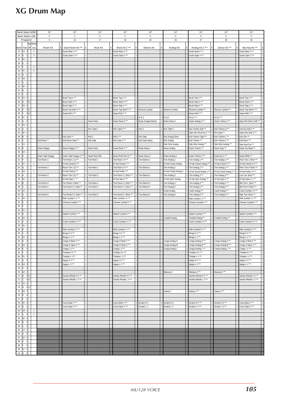| <b>Bank Select MSB</b>               | 127                | 127                          | 127                         | 127                       | 127                  | 127                    | 127                                           | 127                       | 127                         |
|--------------------------------------|--------------------|------------------------------|-----------------------------|---------------------------|----------------------|------------------------|-----------------------------------------------|---------------------------|-----------------------------|
| <b>Bank Select LSB</b>               | 0                  | $\mathbf 0$                  | $\,0\,$                     | 0                         | $\pmb{0}$            | 0                      | $\mathbb O$                                   | 0                         | $\mathbf{0}$                |
| Program#                             | 9                  | 10                           | 17                          | 18                        | 25                   | 26                     | 27                                            | 28                        | 29                          |
| Key Atema                            |                    |                              |                             |                           |                      |                        |                                               |                           |                             |
| Note<br><b>Off</b><br>Vote#<br>Group | Room Kit           | Dark Room Kit ***            | Rock Kit                    | Rock Kit 2 ***            | Electro Kit          | Analog Kit             | Analog Kit 2***                               | Dance Kit ***             | Hip Hop Kit ***             |
| 13<br>$2# - 1$<br>3                  |                    | Surdo Mute V ***             |                             | Surdo Mute V ***          |                      |                        | Surdo Mute V ***                              |                           | Surdo Mute V ***            |
| 14<br>$-1$<br>3                      |                    | Surdo Open V ***             |                             | Surdo Open V ***          |                      |                        | Surdo Open V ***                              |                           | Surdo Open V ***            |
| 15<br>$D# -1$                        |                    |                              |                             |                           |                      |                        |                                               |                           |                             |
| $-1$<br>$16\,$                       |                    |                              |                             |                           |                      |                        |                                               |                           |                             |
| 17<br>$-1$<br>$\sqrt{4}$             |                    |                              |                             |                           |                      |                        |                                               |                           |                             |
| 18<br>몇 세<br>$\sqrt{4}$              |                    |                              |                             |                           |                      |                        |                                               |                           |                             |
|                                      |                    |                              |                             |                           |                      |                        |                                               |                           |                             |
| 19<br>$-1$                           |                    |                              |                             |                           |                      |                        |                                               |                           |                             |
| 20<br>$G# -1$                        |                    |                              |                             |                           |                      |                        |                                               |                           |                             |
| 21<br>$-1$                           |                    |                              |                             |                           |                      |                        |                                               |                           |                             |
| 22<br>A# -1                          |                    |                              |                             |                           |                      |                        |                                               |                           |                             |
| 23<br>$-1$<br>R                      |                    |                              |                             |                           |                      |                        |                                               |                           |                             |
| 24<br> 0                             |                    |                              |                             |                           |                      |                        |                                               |                           |                             |
| 25<br>÷C<br> 0                       |                    | Brush Tap V ***              |                             | Brush Tap V ***           |                      |                        | Brush Tap V ***                               |                           | Brush Tap V ***             |
| 26<br>0 0                            |                    | Brush Swirl V ***            |                             | Brush Swirl V ***         |                      |                        | Brush Swirl V ***                             |                           | Brush Swirl V ***           |
| $27\,$<br>D# 0                       |                    | Brush Slap V ***             |                             | Brush Slap V ***          |                      |                        | Brush Slap V ***                              |                           | Brush Slap V ***            |
| 28<br> 0 0                           |                    | Brush Tap Swirl V ***        |                             | Brush Tap Swirl V ***     | Reverse Cymbal       | Reverse Cymbal         | Reverse Cymbal ***                            | Reverse Cymbal ***        | Brush Tap Swirl V ***       |
| 29<br> 0 0                           |                    | Snare Roll V ***             |                             | Snare Roll V ***          |                      |                        | Snare Roll V ***                              |                           | Snare Roll V ***            |
| 30<br>F# 0                           |                    |                              |                             |                           | Hi Q 2               | Hi Q 2                 | Hi Q 2 ***                                    | Hi Q 2 ***                |                             |
| 31<br> 0                             |                    |                              | Snare Noisy                 | Snare Noisy 5 ***         | Snare Snappy Electro | Snare Noisy 4          | Snare Analog 3 ***                            | Snare Techno 3 ***        | Open Rim Shot 2 Soft ***    |
| 32<br>3# O                           |                    |                              |                             |                           |                      |                        |                                               |                           |                             |
| 33<br> 0                             |                    |                              | Kick Tight 2                | 1 Kick Tight 3 ***        | Kick 3               | Kick Tight 2           | Kick Techno Soft **                           | Kick Techno Q ***         | Kick Dry Soft 2 ***         |
| $34\,$<br>$\mathsf{A}\#$<br> 0       |                    |                              |                             |                           |                      |                        | " Open Rim Shot Dry V                         | Rim Gate ***              | Open Rim Shot 2 ***         |
| 35<br> 0                             |                    | Kick Dark ***                | Kick <sub>2</sub>           | Kick 4 ***                | Kick Gate            | Kick Analog Short      | Kick Techno Tight **                          | Kick Techno L **          | Kick Dim ***                |
| 36<br>1                              | Kick Room **       | Kick Room Gate ***           | Kick Gate<br>$\overline{1}$ | Kick Gate 2 ***           | Kick Gate Heavy      | Kick Analog            | Kick Techno ***                               | Kick Techno 2 ***         | Kick Boon ***               |
| 37<br>J#                             |                    |                              |                             |                           |                      | Side Stick Analog      | Side Stick Analog ***                         | Side Stick Analog ***     | Side Stick Dry ***          |
| 38<br>$\mathbf{1}$                   | Snare Snappy       | Snare Snappy 2 ***           | Snare Rock                  | Snare Rock 2 ***          | Snare Noisy 2        | Snare Analog           | Snare Techno <sup>**</sup>                    | Snare Clap ***            | Snare Dry Mute ***          |
| 39<br>D#<br>1                        |                    |                              |                             |                           |                      |                        |                                               |                           |                             |
| 40<br>$\mathbf{1}$                   | Snare Tight Snappy | Snare Tight Snappy 2 *       | Snare Rock Rim              | Snare Rock Rim Q ***      | Snare Noisy 3        | Snare Analog 2         | Snare Techno 2 ***                            | Snare Dry 2 ***           | Snare White ***             |
| 41                                   | Tom Room 1         | Tom Room 1 Q ***             | Tom Rock 1                  | Tom Rock 1 H ***          | Tom Electro 1        | Tom Analog 1           | Tom Analog 1 ***                              | Tom Analog 1 **           | Floor Tom L Short ***       |
| 42<br>F#<br>-11<br>$\mathbf{1}$      |                    | Hi-Hat Closed Q ***          |                             | Hi-Hat Closed 2 ***       |                      | Hi-Hat Closed Analog   | Hi-Hat Closed Analog *                        | Hi-Hat Closed 3 ***       | Hi-Hat Closed 2 H ***       |
| 43<br>1                              | Tom Room 2         | Room Tom 2 Q ***             | Tom Rock 2                  | Tom Rock 2 H ***          | Tom Electro 2        | Tom Analog 2           | Tom Analog 2 ***                              | Tom Analog 2 ***          | Floor Tom H Short ***       |
| 44<br>G#                             |                    | Hi-Hat Pedal Q ***           |                             | Hi-Hat Pedal 2 ***        |                      | Hi-Hat Closed Analog 2 | Hi-Hat Closed Analog 2*                       | Hi-Hat Closed Analog 2 ** | Hi-Hat Pedal 2 H ***        |
| 45<br>1                              | Tom Room 3         | Room Tom 3 Q ***             |                             | Tom Rock 3 L Short **     |                      |                        | Tom Analog 3 ***                              | Tom Analog 3 ***          | Low Tom Short ***           |
|                                      |                    |                              | Tom Rock 3                  |                           | Tom Electro 3        | Tom Analog 3           |                                               |                           |                             |
| 46<br>A#                             |                    | Hi-Hat Open L ***            |                             | Hi-Hat Open 2 ***         |                      | Hi-Hat Open Analog     | Hi-Hat Open Analog ***                        | Hi-Hat Open 3 ***         | Hi-Hat Open 2 L ***         |
| 47<br>1                              | Tom Room 4         | Tom Room 4 Dark ***          | Tom Rock 4                  | Tom Rock 4 L Short **     | Tom Electro 4        | Tom Analog 4           | Tom Analog 4 ***                              | Tom Analog 4 ***          | Mid Tom L Short ***         |
| 48<br>$\overline{2}$                 | Tom Room 5         | Tom Room 5 L Dark **         | Tom Rock 5                  | Tom Rock 5 L Short **     | Tom Electro 5        | Tom Analog 5           | Tom Analog 5 ***                              | Tom Analog 5 ***          | Mid Tom H Short ***         |
| 2# 2<br>49                           |                    |                              |                             |                           |                      | Crash Analog           | Crash Analog ***                              | Crash Analog ***          | Crash Cymbal 1 V ***        |
| 50<br>$\overline{2}$                 | Tom Room 6         | Tom Room 6 L Dark ***        | Tom Rock 6                  | Tom Rock 6 L Short ***    | Tom Electro 6        | Tom Analog 6           | Tom Analog 6 ***                              | Tom Analog 6 ***          | High Tom Short ***          |
| 51<br>D# 2                           |                    | Ride Cymbal 1 V ***          |                             | Ride Cymbal 1 V ***       |                      |                        | Ride Cymbal 1 V ***                           |                           | Ride Cymbal 1 V ***         |
| 52<br>$\overline{2}$                 |                    | Chinese Cymbal V ***         |                             | Chinese Cymbal V ***      |                      |                        | Chinese Cymbal V ***                          |                           | Chinese Cymbal V ***        |
| 53<br>$\overline{2}$                 |                    |                              |                             |                           |                      |                        |                                               |                           |                             |
| 54<br>F# 2                           |                    |                              |                             |                           |                      |                        |                                               |                           |                             |
| 55<br>$\overline{2}$                 |                    | Splash Cymbal V ***          |                             | Splash Cymbal V ***       |                      |                        | Splash Cymbal V ***                           |                           | Splash Cymbal V ***         |
| 56<br>G#2                            |                    |                              |                             |                           |                      | Cowbell Analog         | Cowbell Analog ***                            | Cowbell Analog ***        |                             |
| 57<br>$\overline{2}$                 |                    | Crash Cymbal 2 V ***         |                             | Crash Cymbal 2 V ***      |                      |                        | Crash Cymbal 2 V ***                          |                           | Crash Cymbal 2 V ***        |
| 58<br>A# 2                           |                    |                              |                             |                           |                      |                        |                                               |                           |                             |
| 59<br>$\overline{2}$                 |                    | Ride Cymbal 2 V ***          |                             | Ride Cymbal 2 V ***       |                      |                        | Ride Cymbal 2 V ***                           |                           | Ride Cymbal 2 V ***         |
| 60<br>3                              |                    | Bongo H V ***                |                             | Bongo H V ***             |                      |                        | Bongo H V ***                                 |                           | Bongo H V ***               |
| 61<br>3                              |                    | Bongo L V ***                |                             | Bongo L V ***             |                      |                        | Bongo L V ***                                 |                           | Bongo L V ***               |
| 62<br>$\frac{3}{2}$                  |                    | Conga H Mute V ***           |                             | Conga H Mute V ***        |                      | Conga Analog H         | Conga Analog H ***                            | Conga Analog H ***        | Conga H Mute V ***          |
| 63<br>D# 3                           |                    | Conga H Open V ***           |                             | Conga H Open V ***        |                      | Conga Analog M         | Conga Analog M ***                            | Conga Analog M ***        | Conga H Open V ***          |
| $64\,$<br>$\frac{3}{2}$              |                    | Conga L V ***                |                             | Conga L V ***             |                      | Conga Analog L         | Conga Analog L ***                            | Conga Analog L ***        | Conga L V ***               |
| 65<br>$\overline{\mathbf{3}}$        |                    | Timbale H V ***              |                             | Timbale H V ***           |                      |                        | Timbale H V ***                               |                           | Timbale H V ***             |
| 66<br>F# 3                           |                    | Timbale L V ***              |                             | Timbale L V ***           |                      |                        | Timbale L V ***                               |                           | Timbale L V ***             |
| 67<br>$\vert$                        |                    | Agogo H V ***                |                             | Ŀ<br>4gogo H V ***        |                      |                        | Agogo H V ***                                 |                           | I۱<br>Agogo H V ***         |
| 68<br>G# 3                           |                    | Agogo L V ***                |                             | Agogo L V ***             |                      |                        | Agogo L V ***                                 |                           | Agogo L V ***               |
| 69<br>3                              |                    |                              |                             |                           |                      |                        |                                               |                           |                             |
| 70<br>A#<br>$\frac{3}{2}$            |                    |                              |                             |                           |                      | Maracas 2              | Maracas 2 ***                                 | Maracas 2 ***             |                             |
| $71\,$<br>3 0<br>B                   |                    | Samba Whistle H V ***<br>l 1 |                             | Samba Whistle H V ***   1 |                      |                        | Samba Whistle H V ***<br>$\ddot{\phantom{1}}$ |                           | Samba Whistle H V ***   1   |
|                                      |                    | Samba Whistle L V ***        |                             | Samba Whistle L V ***     |                      |                        | Samba Whistle L V ***                         |                           | Samba Whistle L V ***<br>11 |
| 72 C 4 O                             |                    |                              |                             |                           |                      |                        |                                               |                           |                             |
| 73 C# 4                              |                    |                              |                             |                           |                      |                        |                                               |                           |                             |
| $74\,$<br>D<br>40                    |                    |                              |                             |                           |                      |                        |                                               |                           |                             |
| $\overline{75}$<br>D# 4              |                    |                              |                             |                           |                      | Claves 2               | Claves 2 ***                                  | Claves 2 ***              |                             |
| 76<br>$\overline{4}$<br>F            |                    |                              |                             |                           |                      |                        |                                               |                           |                             |
| $77\,$<br>$\frac{4}{3}$              |                    |                              |                             |                           |                      |                        |                                               |                           |                             |
| 78<br>F# 4                           |                    | Cuica Mute V ***             |                             | Cuica Mute V ***          | 1 Scratch H 2        | 1 Scratch H 2          | Scratch H 2 ***                               | Scratch H 2 ***           | 1 Cuica Mute V ***<br>۱     |
| 79<br>$\overline{4}$<br>G            |                    | Cuica Open V ***             |                             | Cuica Open V ***          | 1 Scratch L 2        | 1 Scratch L 3          | Scratch L 3 ***                               | Scratch L 3***            | T<br>1 Cuica Open V ***     |
| 80<br>G# 4<br>$\sqrt{2}$             |                    |                              |                             |                           |                      |                        |                                               |                           |                             |
| 81<br>$\overline{4}$<br>$\sqrt{2}$   |                    |                              |                             |                           |                      |                        |                                               |                           |                             |
| 82<br>A# 4                           |                    |                              |                             |                           |                      |                        |                                               |                           |                             |
| 83<br>4<br><b>B</b>                  |                    |                              |                             |                           |                      |                        |                                               |                           |                             |
| 84<br>5<br>C.                        |                    |                              |                             |                           |                      |                        |                                               |                           |                             |
| 85<br>C# 5                           |                    |                              |                             |                           |                      |                        |                                               |                           |                             |
| 86<br>5<br><b>D</b>                  |                    |                              |                             |                           |                      |                        |                                               |                           |                             |
| $87\,$<br>D# 5                       |                    |                              |                             |                           |                      |                        |                                               |                           |                             |
| 88<br>5<br>F                         |                    |                              |                             |                           |                      |                        |                                               |                           |                             |
| 89<br>5                              |                    |                              |                             |                           |                      |                        |                                               |                           |                             |
| F# 5<br>$90\,$                       |                    |                              |                             |                           |                      |                        |                                               |                           |                             |
| $G = 5$<br>91                        |                    |                              |                             |                           |                      |                        |                                               |                           |                             |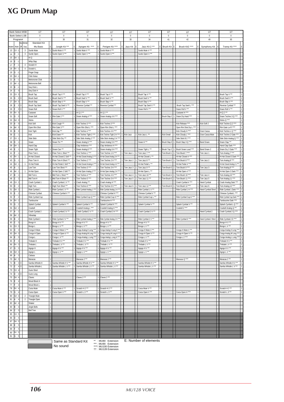|                                                                                                                                    |                      | <b>Bank Select MSB</b>    | 127                |  | 127                    | 127                               |             | 127                        | 127        | 127                   | 127          | 127                    | 127                 | 127                             |
|------------------------------------------------------------------------------------------------------------------------------------|----------------------|---------------------------|--------------------|--|------------------------|-----------------------------------|-------------|----------------------------|------------|-----------------------|--------------|------------------------|---------------------|---------------------------------|
|                                                                                                                                    |                      |                           |                    |  |                        |                                   | $\mathbf 0$ |                            |            |                       |              |                        |                     |                                 |
|                                                                                                                                    |                      | <b>Bank Select LSB</b>    | 0                  |  | $\mathbf 0$            | 0                                 |             |                            | 0          | $\pmb{0}$             | 0            | 0                      | 0                   | $\pmb{0}$                       |
|                                                                                                                                    | Program#             |                           |                    |  | 30                     | 31                                |             | $32\,$                     | 33         | 34                    | $41\,$       | 42                     | 49                  | 65                              |
|                                                                                                                                    |                      |                           | Standard Kit       |  |                        |                                   |             |                            |            |                       |              |                        |                     |                                 |
| Note# Note                                                                                                                         |                      | Off<br>Group              | Mu Basic           |  | Jungle Kit ***         | Apogee Kit ****                   |             | Perigee Kit ****           | Jazz Kit   | Jazz Kit 2 ***        | Brush Kit    | Brush Kit2 ****        | Symphony Kit        | Tramp Kit ****                  |
|                                                                                                                                    |                      |                           |                    |  |                        |                                   |             |                            |            |                       |              |                        |                     |                                 |
| $13 -$                                                                                                                             | lc#                  | 3                         | Surdo Mute         |  | Surdo Mute V ***       | Surdo Mute V ***                  |             | Surdo Mute V ***           |            | Surdo Mute V ***      |              |                        |                     |                                 |
| 14                                                                                                                                 | ID                   | $\ensuremath{\mathsf{3}}$ | Surdo Open         |  | Surdo Open V ***       | Surdo Open V ***                  |             | Surdo Open V ***           |            | Surdo Open V ***      |              |                        |                     |                                 |
|                                                                                                                                    | 15 D# -1             |                           | Hi Q               |  |                        |                                   |             |                            |            |                       |              |                        |                     |                                 |
| 16                                                                                                                                 | $-1$                 |                           | Whip Slap          |  |                        |                                   |             |                            |            |                       |              |                        |                     |                                 |
|                                                                                                                                    | $\cdot$ 1            | $\overline{4}$            |                    |  |                        |                                   |             |                            |            |                       |              |                        |                     |                                 |
| 17                                                                                                                                 |                      |                           | Scratch H          |  |                        |                                   |             |                            |            |                       |              |                        |                     |                                 |
| 18                                                                                                                                 | $F# -1$              | $\overline{4}$            | Scratch L          |  |                        |                                   |             |                            |            |                       |              |                        |                     |                                 |
| 19                                                                                                                                 | ΙG                   |                           | Finger Snap        |  |                        |                                   |             |                            |            |                       |              |                        |                     |                                 |
| 20 G# -                                                                                                                            |                      |                           | Click Noise        |  |                        |                                   |             |                            |            |                       |              |                        |                     |                                 |
|                                                                                                                                    |                      |                           |                    |  |                        |                                   |             |                            |            |                       |              |                        |                     |                                 |
| 21<br>A                                                                                                                            | $-1$                 |                           | Metronome Click    |  |                        |                                   |             |                            |            |                       |              |                        |                     |                                 |
| $22\,$                                                                                                                             | TA# -1               |                           | Metronome Bel      |  |                        |                                   |             |                            |            |                       |              |                        |                     |                                 |
| 23                                                                                                                                 | lв<br>$-1$           |                           | Seq Click L        |  |                        |                                   |             |                            |            |                       |              |                        |                     |                                 |
|                                                                                                                                    | lc.                  |                           |                    |  |                        |                                   |             |                            |            |                       |              |                        |                     |                                 |
| 24                                                                                                                                 | $^{\circ}$           |                           | Seq Click H        |  |                        |                                   |             |                            |            |                       |              |                        |                     |                                 |
| 25                                                                                                                                 | C# 0                 |                           | <b>Brush Tap</b>   |  | Brush Tap V ***        | Brush Tap V ***                   |             | 1 Brush Tap V ***          |            | Brush Tap V ***       |              |                        |                     | Brush Tap V ***                 |
| 26                                                                                                                                 | Þ<br>0 <sup>0</sup>  |                           | <b>Brush Swirl</b> |  | Brush Swirl V ***      | Brush Swirl V ***                 |             | Brush Swirl V ***          |            | Brush Swirl V ***     |              |                        |                     | Brush Swirl V ***               |
| 27                                                                                                                                 | ln# ∩                |                           | <b>Brush Slap</b>  |  | Brush Slap V ***       | Brush Slap V***                   |             | Brush Slap V ***           |            | Brush Slap V ***      |              |                        |                     | Brush Slap V ***                |
|                                                                                                                                    |                      |                           |                    |  |                        |                                   |             |                            |            |                       |              |                        |                     |                                 |
| 28                                                                                                                                 | $\mathbf 0$          | $\circ$                   | Brush Tap Swirl    |  | Brush Tap Swirl V *    | Reverse Cymbal ***                |             | Reverse Cymbal **          |            | Brush Tap Swirl V *** |              | Brush Tap Swirl L ***  |                     | Reverse Cymbal                  |
| 29                                                                                                                                 |                      | $\circ$                   | Snare Roll         |  | Snare Roll V ***       |                                   |             |                            |            | Snare Roll V ***      |              | Snare Roll V ***       |                     | Snare Roll V ***                |
|                                                                                                                                    | 30 F# 0              |                           | Castanet           |  |                        | Hi Q 2 ***                        |             | Hi Q 2 ***                 |            |                       |              | Castanet H ****        |                     | Hi Q 2 ***                      |
| 31                                                                                                                                 | lG<br>$\mathbf{0}$   |                           | Snare Soft         |  | Rim Gate 2 ***         | Snare Analog 4 ****               |             | Snare Analog 4 H ****      |            |                       | Brush Slap 2 | Snare Dry Hard ****    |                     | Snare Techno 3 Q ****           |
|                                                                                                                                    |                      |                           |                    |  |                        |                                   |             |                            |            |                       |              |                        |                     |                                 |
|                                                                                                                                    | 32 G# 0              |                           | Sticks             |  |                        |                                   |             |                            |            |                       |              |                        |                     | Sticks Q ***                    |
| 33                                                                                                                                 | ΙA                   |                           | Kick Soft          |  | Kick Cough ***         | Kick Techno 3***                  |             | Kick Techno 3 ***          |            |                       |              | Gck Release ****       | Kick Soft 2         | Kick Techno Q 2 ****            |
| 34 A#                                                                                                                              |                      |                           | Open Rim Shot      |  | Rim Gate 3 ***         | Open Rim Shot L ****              |             | Open Rim Shot L ****       |            |                       |              | Open Rim Shot Dry L ** |                     | Rim Gate Lo-Fi ****             |
| 35                                                                                                                                 | B                    |                           |                    |  | Kick Zap *             | Kick Techno 4 ***                 |             | Kick Techno 4 H ****       |            |                       |              | Kick Cloudy H ****     | Gran Cassa          | Kick Techno L Q ****            |
|                                                                                                                                    |                      |                           | Kick Tight         |  |                        |                                   |             |                            |            |                       |              |                        |                     |                                 |
| 36                                                                                                                                 |                      |                           | Kick               |  | Kick Dawn ***          | Kick Techno Tight 2               |             | Kick Techno Tight 2 H *    | Kick Jazz  | Kick Jazz L ***       | Kick Small   | Kick Cloudy L ****     | Gran Cassa Mute     | Kick Techno 2 Gate ***          |
| $37\,$                                                                                                                             | lc#                  |                           | Side Stick         |  | Side Stick Dry ***     | Side Stick Analog 2 ****          |             | Side Stick Analog 2 H **   |            |                       |              | Side Stick B 2 ****    |                     | Side Stick Analog Q ***         |
| 38                                                                                                                                 | In                   |                           | Snare              |  | Snare Tin ***          | Snare Analog 5 ****               |             | Snare Analog 5 H ****      |            | Snare H **            | Brush Slap 3 | Brush Slap 3 Q ****    | <b>Band Snare</b>   | Snare Clap ***                  |
|                                                                                                                                    |                      |                           |                    |  |                        |                                   |             |                            |            |                       |              |                        |                     |                                 |
| 39                                                                                                                                 | D#                   |                           | Hand Clap          |  |                        | Clap Ambience ****                |             | Clap Ambience H ****       |            |                       |              |                        |                     | Hand Clap Dark ****             |
| 40                                                                                                                                 |                      |                           | Snare Tight        |  | Snare Can ***          | Snare Analog 6 ****               |             | Snare Analog 6 H ****      |            | Snare Tight L ***     | Brush Tap 2  | Brush Snare Loud ***   | Band Snare 2        | Snare Dry 2 Gate ***            |
| 41                                                                                                                                 |                      |                           | Floor Tom L        |  | Floor Tom L Short **   | Tom Techno 1 ****                 |             | Tom Techno 1 H ****        | Tom Jazz 1 | Tom Jazz 7 $\cdots$   | Tom Brush 1  | Tom Brush 7****        | Tom Jazz 1          | Tom Analog 7 ****               |
| 42                                                                                                                                 | F#                   | $\mathbf{1}$              |                    |  |                        |                                   |             |                            |            | Hi-Hat Closed L ***   |              |                        |                     |                                 |
|                                                                                                                                    |                      |                           | Hi-Hat Closed      |  | Hi-Hat Closed 2 Soft   | Hi-Hat Closed Analog 3            |             | Hi-Hat Closed Analog 3 H   |            |                       |              | Hi-Hat Closed 4 ****   |                     | Hi-Hat Closed 3 Dark            |
| 43 G                                                                                                                               |                      |                           | Floor Tom H        |  | Floor Tom H Short ***  | Tom Techno 2 ****                 |             | Fom Techno 2 H ****        | Fom Jazz 2 | Tom Jazz 8 ***        | Tom Brush 2  | Tom Brush 8 ****       | Fom Jazz 2          | Tom Analog 8 ****               |
| 44 G#                                                                                                                              |                      | $\mathbf{1}$              | Hi-Hat Pedal       |  | Hi-Hat Pedal 2 Soft    | Hi-Hat Closed Analog 4            |             | Hi-Hat Closed Analog 4 H * |            | Hi-Hat Pedal L ***    |              | Hi-Hat Pedal 4 ****    |                     | Hi-Hat Closed Analog 2 L*       |
| 45                                                                                                                                 |                      |                           | ow Tom             |  | Low Tom Short **       | Tom Techno 3 ****                 |             | Tom Techno 3 H ****        |            | Tom Jazz 9 ***        | Tom Brush 3  | Tom Brush 9 ****       |                     | Tom Analog 9 ****               |
|                                                                                                                                    |                      |                           |                    |  |                        |                                   |             |                            | Tom Jazz 3 |                       |              |                        | Tom Jazz 3          |                                 |
| 46                                                                                                                                 | A#                   | $\mathbf{1}$              | Hi-Hat Open        |  | Hi-Hat Open 2 Soft *** | Hi-Hat Open Analog 2 ***          |             | Hi-Hat Open Analog 2 H *   |            | li-Hat Open L ***     |              | Hi-Hat Open 4 ****     |                     | Hi-Hat Open 3 Dark ****         |
| 47                                                                                                                                 | lв                   |                           | Mid Tom L          |  | Mid Tom L Short **     | Tom Techno 4 ***                  |             | Tom Techno 4 H ***         | Tom Jazz 4 | Tom Jazz 10 ***       | Tom Brush 4  | Tom Brush 10 ****      | Tom Jazz 4          | Tom Analog 10 *                 |
| 48                                                                                                                                 | Įс                   |                           | Mid Tom H          |  | Mid Tom H Short ***    | Tom Techno 5 ****                 |             | Tom Techno 5 H ****        | Tom Jazz 5 | Tom Jazz 11 ***       | Tom Brush 5  | Tom Brush 11 ****      | Tom Jazz 5          | Tom Analog 11 ****              |
|                                                                                                                                    |                      |                           |                    |  |                        |                                   |             |                            |            |                       |              |                        |                     |                                 |
| 49                                                                                                                                 | C#                   |                           | Crash Cymbal 1     |  | Crash Cymbal 1 V ***   | Crash Analog ***                  |             | Crash Analog H ****        |            |                       |              | Crash Cymbal 4 ****    | Hand Cymbal         | Crash Analog Dark **            |
| 50                                                                                                                                 | In<br>$\mathfrak{D}$ |                           | <b>High Tom</b>    |  | High Tom Short ***     | Tom Techno 6 ****                 |             | Tom Techno 6 H ****        | Tom Jazz 6 | Tom Jazz 12 ***       | Tom Brush 6  | Tom Brush 12 ****      | Tom Jazz 6          | Tom Analog 12 ****              |
| 51                                                                                                                                 | D#2                  |                           | Ride Cymbal 1      |  | Ride Cymbal 1 V ***    | Ride Cymbal Analog 1              |             | Ride Cymbal Analog 1 H     |            | Ride Cymbal 1 V ***   |              | Ride Cymbal 1 H ****   | land Cymbal Short   | Ride Cymbal 1 Dark **           |
|                                                                                                                                    |                      |                           |                    |  |                        |                                   |             |                            |            |                       |              |                        |                     |                                 |
| 52                                                                                                                                 |                      |                           | Chinese Cymbal     |  | Chinese Cymbal V ***   |                                   |             | Chinese Cymbal H ***       |            | Chinese Cymbal V ***  |              |                        |                     | Chinese Cymbal L <sup>***</sup> |
| 53                                                                                                                                 | $\mathfrak{p}$       |                           | Ride Cymbal Cup    |  |                        | Ride Cymbal Cup Q ****            |             | Ride Cymbal Cup H ***      |            | Ride Cymbal Cup L *** |              | Ride Cymbal Cup 6 **** |                     | Ride Cymbal Cup Dark *          |
| 54                                                                                                                                 | F#<br>$\overline{2}$ |                           | Tambourine         |  |                        |                                   |             | Tambourine H ***           |            |                       |              |                        |                     | Tambourine Dark **              |
| 55                                                                                                                                 | lG                   |                           |                    |  | Splash Cymbal V **     |                                   |             | Splash Cymbal H ****       |            |                       |              |                        |                     | Splash Cymbal L Q ***           |
|                                                                                                                                    |                      |                           | Splash Cymbal      |  |                        | Splash Cymbal V ***               |             |                            |            | }plash Cymbal V **    |              | Splash Cymbal V **     |                     |                                 |
| 56                                                                                                                                 | G#                   |                           | Cowbell            |  |                        | Cowbell Analog L ****             |             | Cowbell Analog H ****      |            |                       |              | Cowbell 2***           |                     | Cowbell Analog Q ***            |
| 57                                                                                                                                 |                      |                           | Crash Cymbal 2     |  | Crash Cymbal 2 V ***   | Crash Cymbal 2 V ***              |             | Crash Cymbal 2 H ***       |            | Crash Cymbal 2 V **   |              |                        | land Cymbal 2       | Crash Cymbal 2 Q ***            |
| 58                                                                                                                                 | A# 2                 |                           | Vibraslap          |  |                        |                                   |             |                            |            |                       |              |                        |                     |                                 |
|                                                                                                                                    | B<br>$\mathfrak{p}$  |                           |                    |  |                        |                                   |             |                            |            |                       |              |                        |                     |                                 |
| 59                                                                                                                                 |                      |                           | Ride Cymbal 2      |  | Ride Cymbal 2 V ***    | Ride Cymbal Analog 2 ***          |             | Ride Cymbal Analog 2 H **  |            | Ride Cymbal 2 V ***   |              | Ride Cymbal 6 ****     | Hand Cymbal 2 Short | Ride Cymbal 2 D ****            |
| 60                                                                                                                                 | lc.                  |                           | Bongo H            |  | Bongo H V **'          | Bongo H V ***                     |             | Bongo H V ***              |            | Bongo H V ***         |              |                        |                     | Bongo H V ***                   |
| 61                                                                                                                                 | lc≢                  |                           | Bongo L            |  | Bongo L V ***          | Bongo L V ***                     |             | Bongo L V ***              |            | Bongo L V ***         |              |                        |                     | Bongo L V ***                   |
| 62                                                                                                                                 | Þ                    |                           | Conga H Mute       |  | Conga H Mute V ***     | Conga Analog H Long **'           |             | Conga Analog H Long H      |            | Conga H Mute V ***    |              | Conga H Mute V ***     |                     | Conga Analog H Long **          |
|                                                                                                                                    |                      |                           |                    |  |                        |                                   |             |                            |            |                       |              |                        |                     |                                 |
| 63                                                                                                                                 | D# 3                 |                           | Conga H Open       |  | Conga H Open V ***     | Conga Analog M Long               |             | Conga Analog M Long H      |            | Conga H Open V ***    |              | Conga H Open V ***     |                     | Conga Analog M Long *           |
| 64                                                                                                                                 |                      |                           | Conga L            |  | Conga L V ***          | Conga Analog L Long               |             | Conga Analog L Long H *    |            | Conga L V ***         |              | Conga L 2 ****         |                     | Conga Analog L Long *'          |
| 65                                                                                                                                 |                      |                           | Timbale H          |  | Timbale H V ***        | Timbale H V *'                    |             | Timbale H V '              |            | Timbale H V ***       |              |                        |                     | Timbale H V *                   |
| 66                                                                                                                                 | IF#                  |                           | Timbale L          |  | Timbale L V ***        | Timbale L V ***                   |             | Timbale L V ***            |            | Timbale L V ***       |              |                        |                     | Timbale L V <sup>***</sup>      |
|                                                                                                                                    |                      |                           |                    |  |                        |                                   |             |                            |            |                       |              |                        |                     |                                 |
| $67\,$                                                                                                                             | ΙG                   |                           | Agogo H            |  | Agogo H V ***          | Agogo H V ***                     |             | Agogo H V ***              |            | Agogo H V ***         |              |                        |                     | Agogo H V ***                   |
| 68                                                                                                                                 | G#                   |                           | Agogo L            |  | Agogo L V ***          | Agogo L V ***                     |             | Agogo L V ***              |            | Agogo L V ***         |              |                        |                     | Agogo L V ***                   |
| 69                                                                                                                                 | lа                   |                           | Cabasa             |  |                        |                                   |             |                            |            |                       |              |                        |                     |                                 |
| 70                                                                                                                                 | A#                   |                           | Maracas            |  |                        | Maracas 2***                      |             | Maracas 2 ***              |            |                       |              | Maracas Q ****         |                     | Maracas 2***                    |
|                                                                                                                                    |                      |                           |                    |  |                        |                                   |             |                            |            |                       |              |                        |                     |                                 |
| 71                                                                                                                                 | lB.                  |                           | Samba Whistle H    |  | Samba Whistle H V ***  | Samba Whistle H V ***             |             | Samba Whistle H V ***      |            | Samba Whistle H V *** |              |                        |                     | Samba Whistle H V ***           |
| $\scriptstyle{72}$                                                                                                                 |                      | 0                         | Samba Whistle L    |  | Samba Whistle L V ***  | Samba Whistle L V ***             |             | Samba Whistle L V ***      |            | Samba Whistle L V *** |              |                        |                     | Samba Whistle L V ***           |
| $73\,$                                                                                                                             | lc#                  |                           | Guiro Short        |  |                        |                                   |             |                            |            |                       |              |                        |                     |                                 |
| 74 D                                                                                                                               |                      | $\Omega$                  |                    |  |                        |                                   |             |                            |            |                       |              |                        |                     |                                 |
|                                                                                                                                    |                      |                           | Guiro Long         |  |                        |                                   |             |                            |            |                       |              |                        |                     |                                 |
| 75 ID#                                                                                                                             |                      |                           | aaves              |  |                        | Claves 2                          |             | Javes 2                    |            |                       |              |                        |                     |                                 |
| 76 E                                                                                                                               | $\overline{4}$       |                           | Wood Block H       |  |                        |                                   |             |                            |            |                       |              |                        |                     |                                 |
| $77$ F                                                                                                                             | $\overline{4}$       |                           | Wood Block L       |  |                        |                                   |             |                            |            |                       |              |                        |                     |                                 |
| 78 F# 4                                                                                                                            |                      |                           |                    |  | Cuica Mute V ***       | Scratch H 2 ***<br>$\overline{1}$ |             | Scratch H 2 ***            |            | Cuica Mute V ***      |              |                        |                     | Scratch H 2***<br>1             |
|                                                                                                                                    |                      |                           | Cuica Mute         |  |                        |                                   |             |                            |            |                       |              |                        |                     |                                 |
|                                                                                                                                    |                      |                           | Cuica Open         |  | Cuica Open V ***       | Scratch L 3***<br>$\overline{1}$  |             | Scratch L 3***             |            | Cuica Open V ***      |              | Cuica Open H ****      |                     | I1<br>Scratch L 3 ***           |
| $\begin{array}{ c c c c }\hline 79 & \text{G} & 4 \\ \hline 80 & \text{G}\# & 4 \\ \hline 81 & \text{A} & 4 \\ \hline \end{array}$ |                      | $\overline{2}$            | Triangle Mute      |  |                        |                                   |             |                            |            |                       |              |                        |                     |                                 |
| 81 A                                                                                                                               |                      | $\overline{2}$            | Triangle Open      |  |                        |                                   |             |                            |            |                       |              |                        |                     |                                 |
|                                                                                                                                    |                      |                           |                    |  |                        |                                   |             |                            |            |                       |              |                        |                     |                                 |
| 82 A# 4                                                                                                                            |                      |                           | Shaker             |  |                        |                                   |             |                            |            |                       |              |                        |                     |                                 |
| $83 \overline{\smash{\big)} B}$                                                                                                    |                      |                           | Jingle Bells       |  |                        |                                   |             |                            |            |                       |              |                        |                     |                                 |
| 84 C 5                                                                                                                             |                      |                           | <b>Bell Tree</b>   |  |                        |                                   |             |                            |            |                       |              |                        |                     |                                 |
|                                                                                                                                    |                      |                           |                    |  |                        |                                   |             |                            |            |                       |              |                        |                     |                                 |
| $\begin{array}{ c c c }\n\hline\n85 & C# & 5 \\ \hline\n86 & D & 5\n\end{array}$                                                   |                      |                           |                    |  |                        |                                   |             |                            |            |                       |              |                        |                     |                                 |
|                                                                                                                                    |                      |                           |                    |  |                        |                                   |             |                            |            |                       |              |                        |                     |                                 |
|                                                                                                                                    | 87 D# 5              |                           |                    |  |                        |                                   |             |                            |            |                       |              |                        |                     |                                 |
|                                                                                                                                    | 88 E 5               |                           |                    |  |                        |                                   |             |                            |            |                       |              |                        |                     |                                 |
|                                                                                                                                    |                      |                           |                    |  |                        |                                   |             |                            |            |                       |              |                        |                     |                                 |
| 89 F                                                                                                                               | 5                    |                           |                    |  |                        |                                   |             |                            |            |                       |              |                        |                     |                                 |
|                                                                                                                                    | 90 F# 5              |                           |                    |  |                        |                                   |             |                            |            |                       |              |                        |                     |                                 |
| $91$ G 5                                                                                                                           |                      |                           |                    |  |                        |                                   |             |                            |            |                       |              |                        |                     |                                 |
|                                                                                                                                    |                      |                           |                    |  |                        |                                   |             |                            |            |                       |              |                        |                     |                                 |
|                                                                                                                                    |                      |                           |                    |  | · Same as Standard Kit |                                   |             | **: MU80 Extension         |            | E: Number of elements |              |                        |                     |                                 |

 $\overline{\phantom{a}}$ : Same as Standard Kit : No sound

\*\*\* : MU90 Extension<br>\*\*\*\*: MU100 Extension<br>†† : MU128 Extension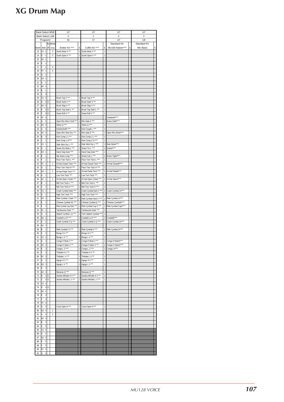| <b>Bank Select MSB</b> |                       |         |                         | 127                          |                | 127                      |              | 127                  |              | 127          |   |  |  |  |  |
|------------------------|-----------------------|---------|-------------------------|------------------------------|----------------|--------------------------|--------------|----------------------|--------------|--------------|---|--|--|--|--|
| <b>Bank Select LSB</b> |                       |         |                         | 0                            |                | 0                        |              | 0                    |              | 0            |   |  |  |  |  |
|                        | Program#              |         |                         | 66                           |                | 67                       |              | 127                  |              | 128          |   |  |  |  |  |
|                        |                       |         |                         |                              |                |                          |              | Standard Kit         |              | Standard Kit |   |  |  |  |  |
|                        |                       |         | Key Atemate             |                              |                |                          |              |                      |              |              |   |  |  |  |  |
| Note#l                 | Note                  | Off     | Group                   | Amber Kit ****               | E              | Coffin Kit ****          | E            | MU100 Native****     | E            | MU Basic     | E |  |  |  |  |
| 13                     | $C#$ -1               |         | 3                       | Surdo Mute V ***             | 1              | Surdo Mute V ***         | 1            |                      |              |              |   |  |  |  |  |
| 14                     | Þ<br>$\cdot$ 1        |         | 3                       | Surdo Open V ***             | 1              | Surdo Open V ***         | 1            |                      |              |              |   |  |  |  |  |
| 15                     | D# -1                 |         |                         |                              |                |                          |              |                      |              |              |   |  |  |  |  |
| 16                     | $\cdot$ 1<br>IE.      |         |                         |                              |                |                          |              |                      |              |              |   |  |  |  |  |
|                        | l۴                    |         | 4                       |                              |                |                          |              |                      |              |              |   |  |  |  |  |
| 17                     | $\cdot$ 1             |         |                         |                              |                |                          |              |                      |              |              |   |  |  |  |  |
| 18                     | F#<br>$\cdot$ 1       |         | 4                       |                              |                |                          |              |                      |              |              |   |  |  |  |  |
| 19                     | G<br>$-1$             |         |                         |                              |                |                          |              |                      |              |              |   |  |  |  |  |
| 20                     | G# -1                 |         |                         |                              |                |                          |              |                      |              |              |   |  |  |  |  |
| 21                     | A<br>-1               |         |                         |                              |                |                          |              |                      |              |              |   |  |  |  |  |
| 22                     | A# -1                 |         |                         |                              |                |                          |              |                      |              |              |   |  |  |  |  |
|                        |                       |         |                         |                              |                |                          |              |                      |              |              |   |  |  |  |  |
| 23                     | B<br>$-1$             |         |                         |                              |                |                          |              |                      |              |              |   |  |  |  |  |
| 24                     | IC<br>0               |         |                         |                              |                |                          |              |                      |              |              |   |  |  |  |  |
| 25                     | C#<br>$\mathbf{0}$    |         |                         | Brush Tap V ***              | 1.             | Brush Tap V ***          | 1            |                      |              |              |   |  |  |  |  |
| 26                     | ID<br>0               | $\circ$ |                         | Brush Swirl V ***            | 1              | Brush Swirl V ***        | 1            |                      |              |              |   |  |  |  |  |
| 27                     | 0<br>D#               |         |                         | Brush Slap V ***             | 1              | Brush Slap V ***         | 1            |                      |              |              |   |  |  |  |  |
| 28                     | E<br>0                | $\circ$ |                         | Brush Tap Swirl L ***        | 1              | Brush Tap Swirl L ***    | 1            |                      |              |              |   |  |  |  |  |
|                        | l۴                    |         |                         |                              |                |                          |              |                      |              |              |   |  |  |  |  |
| 29                     | 0                     | 0       |                         | Snare Roll V ***             | 1              | Snare Roll V ***         | 1            |                      |              |              |   |  |  |  |  |
| 30                     | F#<br>0               |         |                         |                              |                |                          |              | Castanet#****        | 1            |              |   |  |  |  |  |
| 31                     | G<br>0                |         |                         | Open Rim Shot 3 Soft ****    | 1              | Rim Gate 4 ****          | 1            | Snare Soft#****      | 1            |              |   |  |  |  |  |
| 32                     | $\bf{0}$<br>G#        |         |                         | Sticks Q ****                | 1              | Sticks Q ****            | 1            |                      |              |              |   |  |  |  |  |
| 33                     | 0<br>A                |         |                         | KickDrySoft3 ****            | 1              | Kick Cough L ****        | 1            |                      |              |              |   |  |  |  |  |
| 34                     | A#<br>0               |         |                         | Open Rim Shot Dry ****       | 1              | Rim Gate 5 ****          | 1            | Open Rim Shot#****   | 1            |              |   |  |  |  |  |
|                        |                       |         |                         |                              |                |                          |              |                      |              |              |   |  |  |  |  |
| 35                     | B<br>0                |         |                         | Kick Comp 1 L****            | 1              | Kick Comp 2 L ****       | 1            |                      |              |              |   |  |  |  |  |
| 36                     | IC<br>1               |         |                         | Kick Comp 1 H****            | 1              | Kick Comp 2 H ****       | 1            |                      |              |              |   |  |  |  |  |
| 37                     | lc#<br>1              |         |                         | Side Stick Dry L ****        | 1              | Side Stick Dry L ****    | 1            | Side Stick#****      | 1            |              |   |  |  |  |  |
| 38                     | ID<br>1               |         |                         | Snare Dry Mute L ****        | 1              | Snare Tin L ****         | 1            | Snare#****           | 1            |              |   |  |  |  |  |
| 39                     | D#<br>1               |         |                         | Hand Clap Dark ****          | 1              | Hand Clap Dark ****      | 1            |                      |              |              |   |  |  |  |  |
|                        |                       |         |                         |                              |                |                          |              |                      |              |              |   |  |  |  |  |
| 40                     | E<br>1                |         |                         | Hip Snare Long ****          | 1              | Snare Can L ****         | 1            | Snare Tight#****     | 1            |              |   |  |  |  |  |
| 41                     | l۴<br>1               |         |                         | Floor Tom Tech L ****        | 1              | Floor Tom Tech L ****    | 1            |                      |              |              |   |  |  |  |  |
| 42                     | 1<br>F#               |         | 1                       | Hi-Hat Closed Tech ****      | 1              | Hi-Hat Closed Tech ****  | 1            | Hi-Hat Closed#****   | 1            |              |   |  |  |  |  |
| 43                     | G<br>1                |         |                         | Floor Tom Tech H ****        | 1              | Floor Tom Tech H ****    | 1            |                      |              |              |   |  |  |  |  |
| 44                     | G#<br>1               |         | 1                       | Hi-Hat Pedal Tech ****       | 1              | Hi-Hat Pedal Tech ****   | 1            | Hi-Hat Pedal#****    | 1            |              |   |  |  |  |  |
| 45                     |                       |         |                         |                              |                |                          | 1            |                      |              |              |   |  |  |  |  |
|                        | A<br>1                |         |                         | Low Tom Tech ****            | 1              | Low Tom Tech ****        |              |                      |              |              |   |  |  |  |  |
| 46                     | A#<br>1               |         | 1                       | Hi-Hat Open 3 Dark ****      | 1              | Hi-Hat Open 3 Dark ****  | 1            | Hi-Hat Open#****     | 1            |              |   |  |  |  |  |
| 47                     | B<br>1                |         |                         | Mid Tom Tech L ****          | 1              | Mid Tom Tech L ****      | 1            |                      |              |              |   |  |  |  |  |
| 48                     | C<br>$\mathfrak{p}$   |         |                         | Mid Tom Tech H ****          | 1              | Mid Tom Tech H ****      | 1            |                      |              |              |   |  |  |  |  |
| 49                     | lc#<br>$\overline{a}$ |         |                         | Crash Cymbal Dark ****       | 1              | Crash Cymbal Dark 2 **** | 1            | Crash Cymbal 1#****  | 1            |              |   |  |  |  |  |
|                        |                       |         |                         |                              |                |                          |              |                      |              |              |   |  |  |  |  |
| 50                     | $\overline{c}$<br>D   |         |                         | High Tom Tech ****           | 1              | High Tom Tech ****       | 1            |                      |              |              |   |  |  |  |  |
| 51                     | $\overline{a}$<br>D#  |         |                         | Ride Cymbal 1 Dark ****      | 1              | Ride Cymbal Hard 2 ****  | 1            | Ride Cymbal 1#****   | 1            |              |   |  |  |  |  |
| 52                     | E<br>$\overline{a}$   |         |                         | Chinese Cymbal H2 ****       | 1              | Chinese Cymbal Q ****    | 1            | Chinese Cymbal#****  | 1            |              |   |  |  |  |  |
| 53                     | $\overline{c}$<br>F   |         |                         | Ride Cymbal Cup Dark ****    | 1              | Ride Cymbal Cup 5 ****   | 1            | Ride Cymbal Cup#**** | 1            |              |   |  |  |  |  |
| 54                     | $\overline{a}$<br>F#  |         |                         | Tambourine Dark ****         | 1              | Tambourine Dark ****     | 1            |                      |              |              |   |  |  |  |  |
|                        |                       |         |                         |                              |                |                          |              |                      |              |              |   |  |  |  |  |
| 55                     | G<br>$\overline{a}$   |         |                         | Splash Cymbal L Q ****       | 1              | Tech Splash Cymbal ****  | 1            |                      |              |              |   |  |  |  |  |
| 56                     | G#<br>$\overline{c}$  |         |                         | Cowbell Lo-Fi ****           | 1              | Cowbell Lo-Fi ****       | 1            | Cowbell#****         | 1            |              |   |  |  |  |  |
| 57                     | A<br>$\mathfrak{p}$   |         |                         | Crash Cymbal 2 Q ****        | 1              | Crash Cymbal 2 Q ****    | 1            | Crash Cymbal 2#****  | $\mathbf{1}$ |              |   |  |  |  |  |
| 58                     | $\overline{a}$<br>A#  |         |                         |                              |                |                          |              |                      |              |              |   |  |  |  |  |
| 59                     | $\overline{c}$<br>в   |         |                         | Ride Cymbal 2 V ***          | 1              | Ride Cymbal 5 ****       | 1            | Ride Cymbal 2#****   | 1            |              |   |  |  |  |  |
|                        |                       |         |                         |                              |                |                          |              |                      |              |              |   |  |  |  |  |
| 60                     | Iс<br>3               |         |                         | Bongo H V***                 | 1              | Bongo H V ***            | 1            |                      |              |              |   |  |  |  |  |
| 61                     | 3<br>C#               |         |                         | Bongo L V ***                | 1.             | Bongo L V ***            | 1            |                      |              |              |   |  |  |  |  |
| 62                     | 3<br>D                |         |                         | Conga H Mute V ***           | 1              | Conga H Mute V ***       | 1            | Conga H Mute#****    | 1            |              |   |  |  |  |  |
| 63                     | D#<br>3               |         |                         | Conga H Open V***            | 1              | Conga H Open V ***       | 1            | Conga H Open#****    | 1            |              |   |  |  |  |  |
| 64                     | E<br>3                |         |                         | Conga L 2 ****               | 1              | Conga L 2 ****           | 1            | Conga L#****         | 1            |              |   |  |  |  |  |
| 65                     | 3<br>F                |         |                         | Timbale H V ***              | 1              | Timbale H V ***          | 1            |                      |              |              |   |  |  |  |  |
|                        |                       |         |                         |                              |                |                          |              |                      |              |              |   |  |  |  |  |
| 66                     | 3<br>F#               |         |                         | Timbale L $\overline{V}$ *** | 1              | Timbale L V ***          | 1            |                      |              |              |   |  |  |  |  |
| 67                     | 3<br>G                |         |                         | Agogo H V ***                | 1              | Agogo H V ***            | 1            |                      |              |              |   |  |  |  |  |
| 68                     | G#<br>3               |         |                         | Agogo L V ***                | 1              | Agogo L V ***            | 1            |                      |              |              |   |  |  |  |  |
| 69                     | 3<br>A                |         |                         |                              |                |                          |              |                      |              |              |   |  |  |  |  |
| 70                     | 3<br>A#               |         |                         | Maracas Q ****               | 1              | Maracas Q ****           | 1            |                      |              |              |   |  |  |  |  |
| 71                     | 3<br>ΙB               | 0       |                         | Samba Whistle H V ***        | $\overline{1}$ | Samba Whistle H V ***    | $\mathbf{1}$ |                      |              |              |   |  |  |  |  |
|                        |                       |         |                         |                              |                |                          |              |                      |              |              |   |  |  |  |  |
| 72                     | Įс                    | 40      |                         | Samba Whistle L V ***        | 1              | Samba Whistle L V ***    | 1            |                      |              |              |   |  |  |  |  |
| 73                     | C#4                   |         |                         |                              |                |                          |              |                      |              |              |   |  |  |  |  |
| 74                     | $\overline{4}$<br>ID. | $\circ$ |                         |                              |                |                          |              |                      |              |              |   |  |  |  |  |
| 75                     | D# 4                  |         |                         |                              |                |                          |              |                      |              |              |   |  |  |  |  |
| 76                     | E<br>4                |         |                         |                              |                |                          |              |                      |              |              |   |  |  |  |  |
|                        | F                     |         |                         |                              |                |                          |              |                      |              |              |   |  |  |  |  |
| 77                     | 4                     |         |                         |                              |                |                          |              |                      |              |              |   |  |  |  |  |
| 78                     | $\overline{4}$<br>lF# |         |                         |                              |                |                          |              |                      |              |              |   |  |  |  |  |
| 79                     | G<br>4                |         |                         | Cuica Open H ***             | 1              | Cuica Open H ***         | 1            |                      |              |              |   |  |  |  |  |
| 80                     | G#<br>4               |         | $\overline{\mathbf{2}}$ |                              |                |                          |              |                      |              |              |   |  |  |  |  |
| 81                     | 4<br>A                |         | $\overline{\mathbf{2}}$ |                              |                |                          |              |                      |              |              |   |  |  |  |  |
|                        |                       |         |                         |                              |                |                          |              |                      |              |              |   |  |  |  |  |
| 82                     | 4<br>A#               |         |                         |                              |                |                          |              |                      |              |              |   |  |  |  |  |
| 83                     | 4<br>B                |         |                         |                              |                |                          |              |                      |              |              |   |  |  |  |  |
| 84                     | c<br>5                |         |                         |                              |                |                          |              |                      |              |              |   |  |  |  |  |
| 85                     | lC#<br>5              |         |                         |                              |                |                          |              |                      |              |              |   |  |  |  |  |
| 86                     | 5<br>ID               |         |                         |                              |                |                          |              |                      |              |              |   |  |  |  |  |
|                        |                       |         |                         |                              |                |                          |              |                      |              |              |   |  |  |  |  |
| 87                     | D#<br>5               |         |                         |                              |                |                          |              |                      |              |              |   |  |  |  |  |
| 88                     | E<br>5                |         |                         |                              |                |                          |              |                      |              |              |   |  |  |  |  |
| 89                     | 5<br>١F               |         |                         |                              |                |                          |              |                      |              |              |   |  |  |  |  |
| 90                     | F#<br>5               |         |                         |                              |                |                          |              |                      |              |              |   |  |  |  |  |
|                        | G<br>5                |         |                         |                              |                |                          |              |                      |              |              |   |  |  |  |  |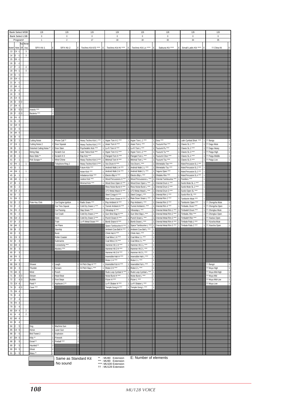| <b>Bank Select MSB</b> |                                                           |                         | 126            |                            | 126            | 126                  | 126                      |                          |              | 126                     |              | 126                     |                | 126                     |   | 126                        |           |                       |                      |
|------------------------|-----------------------------------------------------------|-------------------------|----------------|----------------------------|----------------|----------------------|--------------------------|--------------------------|--------------|-------------------------|--------------|-------------------------|----------------|-------------------------|---|----------------------------|-----------|-----------------------|----------------------|
|                        | <b>Bank Select LSB</b>                                    |                         |                | $\pmb{0}$                  |                | $\pmb{0}$            |                          | 0                        | $\mathbf{0}$ |                         | $\mathbf{0}$ |                         | 0              |                         | 0 |                            | $\pmb{0}$ |                       |                      |
|                        | Program#                                                  |                         |                | $\mathbf{1}$               |                | $\overline{2}$       |                          | $17\,$                   |              | 18                      |              | 19                      |                | 33                      |   | 34                         |           | 35                    |                      |
|                        |                                                           |                         | ey  Aberra     |                            |                |                      |                          |                          |              |                         |              |                         |                |                         |   |                            |           |                       |                      |
| Note#                  | Note                                                      | <b>Off</b>              | Group          | SFX Kit 1                  |                | SFX Kit 2            |                          | Techno Kit K/S ****      |              | Techno Kit Hi ****      |              | Techno Kit Lo ****      |                | Sakura Kit ****         |   | Small Latin Kit ****       |           | †† China Kit          | E                    |
| 13                     | C# ∹                                                      |                         | $\sqrt{3}$     |                            |                |                      |                          |                          |              |                         |              |                         |                |                         |   |                            |           |                       |                      |
| 14                     | In<br>$\cdot$ 1                                           |                         | $\sqrt{3}$     |                            |                |                      |                          |                          |              |                         |              |                         |                |                         |   |                            |           |                       |                      |
| 15                     | D# -1                                                     |                         |                |                            |                |                      |                          |                          |              |                         |              |                         |                |                         |   |                            |           |                       |                      |
| 16                     | $-1$                                                      |                         |                |                            |                |                      |                          |                          |              |                         |              |                         |                |                         |   |                            |           |                       |                      |
| 17                     | $-1$                                                      |                         | 4              |                            |                |                      |                          |                          |              |                         |              |                         |                |                         |   |                            |           |                       |                      |
| 18                     | F#                                                        |                         | $\sqrt{4}$     |                            |                |                      |                          |                          |              |                         |              |                         |                |                         |   |                            |           |                       |                      |
| 19                     | $\cdot$ 1<br>G                                            |                         |                |                            |                |                      |                          |                          |              |                         |              |                         |                |                         |   |                            |           |                       |                      |
| 20                     | IG# -1                                                    |                         |                |                            |                |                      |                          |                          |              |                         |              |                         |                |                         |   |                            |           |                       |                      |
| 21                     | $-1$<br>А                                                 |                         |                |                            |                |                      |                          |                          |              |                         |              |                         |                |                         |   |                            |           |                       |                      |
| 22                     | A# -1                                                     |                         |                |                            |                |                      |                          |                          |              |                         |              |                         |                |                         |   |                            |           |                       |                      |
| 23                     | lв.<br>$-1$                                               |                         |                |                            |                |                      |                          |                          |              |                         |              |                         |                |                         |   |                            |           |                       |                      |
| 24                     | IC.                                                       | $\theta$                |                |                            |                |                      |                          |                          |              |                         |              |                         |                |                         |   |                            |           |                       |                      |
| 25                     | lC#<br>$\theta$                                           |                         |                |                            |                |                      |                          |                          |              |                         |              |                         |                |                         |   |                            |           |                       |                      |
| 26                     | In                                                        | $\mathbf{0}$<br>$\circ$ |                |                            |                |                      |                          |                          |              |                         |              |                         |                |                         |   |                            |           |                       |                      |
| 27                     | ln#<br>$\theta$                                           |                         |                |                            |                |                      |                          |                          |              |                         |              |                         |                |                         |   |                            |           |                       |                      |
| 28                     |                                                           | 0 <sub>0</sub>          |                | Insects ****               | $\overline{2}$ |                      |                          |                          |              |                         |              |                         |                |                         |   |                            |           |                       |                      |
| 29                     |                                                           | $\Omega$<br>$\Omega$    |                | Bacteria ****              | $\overline{2}$ |                      |                          |                          |              |                         |              |                         |                |                         |   |                            |           |                       |                      |
| 30                     | IF#                                                       | $\theta$                |                |                            |                |                      |                          |                          |              |                         |              |                         |                |                         |   |                            |           |                       |                      |
| 31                     | lG<br>$\theta$                                            |                         |                |                            |                |                      |                          |                          |              |                         |              |                         |                |                         |   |                            |           |                       |                      |
| 32                     | G# 0                                                      |                         |                |                            |                |                      |                          |                          |              |                         |              |                         |                |                         |   |                            |           |                       |                      |
| 33                     | A<br>0                                                    |                         |                |                            |                |                      |                          |                          |              |                         |              |                         |                |                         |   |                            |           |                       |                      |
| 34                     | A#<br>$\theta$                                            |                         |                |                            |                |                      |                          |                          |              |                         |              |                         |                |                         |   |                            |           |                       |                      |
| 35                     | B                                                         | $\theta$                |                |                            |                |                      |                          |                          |              |                         |              |                         |                |                         |   |                            |           |                       |                      |
| 36                     | lc.                                                       |                         |                | Cutting Noise              |                | Phone Call **        |                          | Heavy Techno Kick 1 **** |              | Hyper Tom H 1 ****      |              | 1 Hyper Tom L 1 ****    | 1              | Dora ****               | 1 | Latin Cymbal Short ****    |           | †† Bangu              | $\mathbf{1}$         |
| 37                     | lC#                                                       |                         |                | Cutting Noise 2            |                | Door Squeak          |                          | Heavy Techno Kick 2 ***  |              | Asian Tom H ****        |              | Asian Tom L ****        |                | Tsuzumi Pon ****        |   | Claves SL 1 ****           |           | †† Dagu Mute          | $\mathbf{1}$         |
| 38                     | In                                                        |                         |                | Distorted Cutting Noise ** |                | Door Slam            |                          | Psychedelic Kick ****    |              | Lo-Fi Tom H ****        |              | Lo-Fi Tom L ****        |                | Tsuzumi Pu ****         |   | Claves SL 2 ****           |           | †† Dagu Heavy         | $\overline{1}$       |
| 39                     | In≝                                                       |                         |                | String Slap                |                | Scratch Cut          |                          | Gate Tekno Kick ****     |              | Hyper Tom H 2 ****      |              | Hyper Tom L 2 ****      |                | Tsuzumi Ta ****         |   | Claves SL 3 ****           |           | †† Paigu High         | $\mathbf{1}$         |
| 40                     |                                                           |                         |                | <b>Bass Slide **</b>       |                | Scratch H 3          |                          | Rap Kick ****            |              | Flanged Tom H ****      |              | Flanged Tom L ****      |                | Tsuzumi Chon ***        |   | Claves SL 4 ****           |           | †† Paigu Middle       | $\mathbf{1}$         |
| 41                     |                                                           |                         |                | Pick Scrape **             |                | Wind Chime           |                          | Heavy Techno Kick 3 ***  |              | Minimal Tom H ****      |              | Minimal Tom L ****      |                | Tsuzumi Tsu ****        |   | Claves SL 5 ****           |           | †† Paigu Low          | $\ddot{\phantom{1}}$ |
| 42                     | lF#                                                       |                         | $\mathbf{1}$   |                            |                | Telephone Ring 2     |                          | Heavy Techno Kick 4 ***  |              | Vox Drum H ****         |              | Vox Drum L              |                | Shimetaiko Ten ***      |   | Muted Percussion SL 1 ***  |           |                       |                      |
| 43                     | G                                                         |                         |                |                            |                |                      |                          | Future Kick ****         |              | Android Walk 1 H ****   |              | Android Walk 1 L ****   |                | Shimetaiko Tsu ****     |   | Muted Percussion SL 2 ***  |           |                       |                      |
| 44                     | G#                                                        |                         | $\mathbf{1}$   |                            |                |                      |                          | Asian Kick ****          |              | Android Walk 2 H ****   |              | Android Walk 2 L ****   |                | Yagura Open ****        |   | Muted Percussion SL 3 ***  |           |                       |                      |
| 45                     | A                                                         |                         |                |                            |                |                      |                          | Imbalance Kick ****      |              | Electro Blip H ****     |              | Electro Blip L ****     |                | Ohdaiko Rim ****        |   | Muted Percussion SL 4 **** |           |                       |                      |
| 46                     | A#                                                        |                         | $\mathbf{1}$   |                            |                |                      |                          | Justice Kick ****        |              | Wood Percussions H **   |              | Wood Percussions L      |                | Oriental Tambourine     |   | Pandiero ****              |           |                       |                      |
| 47                     | ΙB                                                        |                         |                |                            |                |                      |                          | Minimal Kick ****        |              | Wood Door Open H        |              | Wood Door Open L ***    |                | Oriental Drum 1 **      |   | Surdo Mute SL 1 ****       |           |                       |                      |
| 48                     | lc.<br>2                                                  |                         |                |                            |                |                      |                          |                          |              | Reso Noise Burst H **** |              | Reso Noise Burst L **** |                | Oriental Drum 2 ****    |   | Surdo Mute SL 2 ****       |           |                       |                      |
| 49                     | C#2                                                       |                         |                |                            |                |                      |                          |                          |              | LFO Metal Attack H ***  |              | LFO Metal Attack L ***  |                | Oriental Drum 3 ****    |   | Surdo Open SL ****         |           |                       |                      |
| 50                     | $\overline{2}$<br>D                                       |                         |                |                            |                |                      |                          |                          |              | Steel Conga H ***       |              | Steel Conga L ***       |                | Oriental Rim 1 ****     |   | Surdo Rim SL ****          |           |                       |                      |
| 51                     | n# 2                                                      |                         |                |                            |                |                      |                          |                          |              | Rate Down Snare H **    |              | Rate Down Snare L ***   |                | Oriental Rim 2 ****     |   | Tamborim Mute ****         |           |                       |                      |
| 52                     |                                                           | $\overline{2}$          |                | Flute Key Click            |                | Car Engine Ignition  |                          | Radio Snare ****         |              | Pop Ambient H ****      |              | Pop Ambient L ****      |                | Oriental Rim 3 ****     |   | Tamborim Open ****         |           | †† Zhongcha Mute      | $\mathbf{1}$         |
| 53                     |                                                           | $\overline{2}$          |                |                            |                | Car Tires Squeal     |                          | Cold Dry Snare 1 ***     |              | Tunnel Ambient H ****   |              | Tunnel Ambient L ***    |                | Oriental Rim 4 ****     |   | TimbaleL Drum ****         |           | †† Zhongcha Open      | $\overline{1}$       |
| 54                     | $\mathcal{P}$<br>IF#                                      |                         |                |                            |                | Car Passing          |                          | Slap Snare ****          |              | Vibraslap H ****        |              | Vibraslap L ****        |                | Oriental Metal Rim 1 ** |   | TimbaleH Drum ****         |           | †† Zhongluo Mute      | $\mathbf{1}$         |
| 55                     | G                                                         | $\mathfrak{p}$          |                |                            |                | Car Crash            |                          | Cold Dry Snare 2 ****    |              | Gun Shot Slap H ****    |              | Gun Shot Slap L ****    |                | Oriental Metal Rim 2 ** |   | TimbaleL Rim ****          |           | †† Zhongluo Open      | $\mathbf{1}$         |
| 56                     | G#2                                                       |                         |                |                            |                | Siren                |                          | Cold Dry Snare 3 ****    |              | Punch Snare H ***       |              | Punch Snare L ****      |                | Oriental Metal Rim 3    |   | TimbaleH Rim ****          |           | †† Xiaoluo Open       | $\overline{1}$       |
| 57                     | $\mathfrak{p}$<br>A                                       |                         |                |                            |                | Train                |                          | Lo-Fi Metal Snare ****   |              | Bomb Snare H ****       |              | Bomb Snare L ****       |                | Oriental Metal Rim 4 ** |   | Timbale Paila 1 ****       |           | †† Xizocha Mute       | $\overline{1}$       |
| 58                     | A#<br>$\overline{\phantom{a}}$                            |                         |                |                            |                | Jet Plane            |                          |                          |              | Space Tambourine H *    |              | Space Tambourine L      |                | Oriental Metal Rim 5 ** |   | Timbale Paila 2 ****       |           | †† Xiaocha Open       | $\mathbf{1}$         |
| 59                     | ΙB                                                        | $\overline{2}$          |                |                            |                | Starship             |                          |                          |              | Ambient Cow Bell H **   |              | Ambient Cow Bell L **** |                |                         |   |                            |           |                       |                      |
| 60                     | IC.                                                       | 3                       |                |                            |                | Burst                |                          |                          |              | Chink Hat H ****        |              | Chink Hat L             |                |                         |   |                            |           |                       |                      |
| 61                     | C# 3                                                      |                         |                |                            |                | Roller Coaster       | 2                        |                          |              | Coal Mine 1 H ****      |              | Coal Mine 1 L ****      |                |                         |   |                            |           |                       |                      |
| 62                     | D                                                         | 3                       |                |                            |                | Submarine            | $\overline{2}$           |                          |              | Coal Mine 2 H ****      |              | Coal Mine 2 L ****      |                |                         |   |                            |           |                       |                      |
| 63                     | ln#<br>-3                                                 |                         |                |                            |                | Connectivity ****    |                          |                          |              | Hammer Hit 1 H ****     |              | Hammer Hit 1 L ****     |                |                         |   |                            |           |                       |                      |
| 64                     |                                                           | 3                       |                |                            |                | Mystery ****         |                          |                          |              | Hammer Hit 2 H ****     |              | Hammer Hit 2 L ****     |                |                         |   |                            |           |                       |                      |
| 65                     |                                                           | 3                       |                |                            |                |                      |                          |                          |              | Hammer Hit 3 H ****     |              | Hammer Hit 3 L ****     |                |                         |   |                            |           |                       |                      |
| 66                     | IF#<br>3                                                  |                         |                |                            |                |                      |                          |                          |              | Insensible Hah H ****   |              | Insensible Hah L ****   |                |                         |   |                            |           |                       |                      |
| 67                     | G                                                         | 3                       |                |                            |                |                      |                          |                          |              | Robot 1 H ****          |              | Robot 1 L ****          |                |                         |   |                            |           |                       |                      |
| 68                     | G# 3                                                      |                         |                | Shower                     |                | Laugh                |                          | Hi Pitch Slap H *        |              | Insensible Fuh H ***    |              | Insensible Fuh L ****   |                |                         |   |                            |           | †† Bangzi             | $\overline{1}$       |
| 69                     |                                                           |                         |                | Thunder                    |                | Scream               |                          | Hi Pitch Slap L ****     |              | Robot 2 H ****          |              | Robot 2 L ****          |                |                         |   |                            |           | †† Muyu High          | $\mathbf{1}$         |
| $70$                   | A#                                                        | $\overline{\mathbf{3}}$ |                | Wind                       |                | Punch                |                          |                          |              | Rude Loop Cymbal H **** |              | Rude Loop Cymbal L **   |                |                         |   |                            |           | †† Muyu Mid-High      | $\mathbf{1}$         |
| 71                     | B                                                         | 300                     |                | Stream                     | 2              | <b>Heart Beat</b>    |                          |                          |              | Noise Burst H **        |              | 1 Noise Burst L **      |                |                         |   |                            |           | †† Muyu Mid           | $\ddot{\phantom{1}}$ |
|                        | 72 C 4 O                                                  |                         |                | Bubble                     | 2              | <b>Foot Steps</b>    |                          |                          |              | Fizzer H <sup>war</sup> |              | 1 Fizzer L              | 1              |                         |   |                            |           | †† Muyu Mid-Low       | 1                    |
|                        | 73 C# 4                                                   |                         |                | Feed **                    | $\overline{2}$ | Applause 2 **        |                          |                          |              | Lo-Fi Shaker H ****     |              | 1 Lo-Fi Shaker L ****   | $\overline{1}$ |                         |   |                            |           | <sup>†</sup> Muyu Low | 1                    |
|                        | 74 D 4 0                                                  |                         |                | Cave ****                  | $\overline{2}$ |                      |                          |                          |              | Temple Gong H ****      |              | 1 Temple Gong L ****    | $\overline{1}$ |                         |   |                            |           |                       |                      |
|                        | 75 D# 4                                                   |                         |                |                            |                |                      |                          |                          |              |                         |              |                         |                |                         |   |                            |           |                       |                      |
| $76\,$                 | $E$ 4                                                     |                         |                |                            |                |                      |                          |                          |              |                         |              |                         |                |                         |   |                            |           |                       |                      |
| $77\,$                 | F<br>$\overline{4}$                                       |                         |                |                            |                |                      |                          |                          |              |                         |              |                         |                |                         |   |                            |           |                       |                      |
| 78                     | F#4                                                       |                         |                |                            |                |                      |                          |                          |              |                         |              |                         |                |                         |   |                            |           |                       |                      |
| 79                     | G 4                                                       |                         |                |                            |                |                      |                          |                          |              |                         |              |                         |                |                         |   |                            |           |                       |                      |
| 80                     | G# 4                                                      |                         | $\overline{2}$ |                            |                |                      |                          |                          |              |                         |              |                         |                |                         |   |                            |           |                       |                      |
| 81                     | A                                                         | $\overline{4}$          | $\overline{2}$ |                            |                |                      |                          |                          |              |                         |              |                         |                |                         |   |                            |           |                       |                      |
| 82                     | A# 4                                                      |                         |                |                            |                |                      |                          |                          |              |                         |              |                         |                |                         |   |                            |           |                       |                      |
| 83                     | B<br>$\overline{4}$                                       |                         |                |                            |                |                      |                          |                          |              |                         |              |                         |                |                         |   |                            |           |                       |                      |
| 84                     | Iс<br>5                                                   |                         |                | Dog                        |                | Machine Gun          | $\ddot{\phantom{1}}$     |                          |              |                         |              |                         |                |                         |   |                            |           |                       |                      |
| 85                     | C# 5                                                      |                         |                | Horse                      |                | Laser Gun            | $\overline{2}$           |                          |              |                         |              |                         |                |                         |   |                            |           |                       |                      |
| 86                     | D.<br>5                                                   |                         |                | Bird Tweet 2               |                | Explosion            | $\overline{\phantom{a}}$ |                          |              |                         |              |                         |                |                         |   |                            |           |                       |                      |
| 87                     | D# 5                                                      |                         |                | Kitty **                   |                | Firework             | $\overline{\mathbf{2}}$  |                          |              |                         |              |                         |                |                         |   |                            |           |                       |                      |
| 88                     | $E = 5$                                                   |                         |                | Growl **                   |                | Fireball ****        | $\overline{2}$           |                          |              |                         |              |                         |                |                         |   |                            |           |                       |                      |
| 89                     | F<br>5                                                    |                         |                | Haunted **                 | $\overline{2}$ |                      |                          |                          |              |                         |              |                         |                |                         |   |                            |           |                       |                      |
| 90                     | F# 5                                                      |                         |                | Ghost                      | $\overline{2}$ |                      |                          |                          |              |                         |              |                         |                |                         |   |                            |           |                       |                      |
| 91                     | $ G \t5$                                                  |                         |                | Maou **                    | $\overline{2}$ |                      |                          |                          |              |                         |              |                         |                |                         |   |                            |           |                       |                      |
|                        |                                                           |                         |                |                            |                | Same as Standard Kit |                          |                          |              | ** : MU80 Extension     |              | E: Number of elements   |                |                         |   |                            |           |                       |                      |
|                        |                                                           |                         |                |                            |                |                      |                          |                          |              | ***: MU90 Extension     |              |                         |                |                         |   |                            |           |                       |                      |
|                        | No sound<br>****: MU100 Extension<br>†† : MU128 Extension |                         |                |                            |                |                      |                          |                          |              |                         |              |                         |                |                         |   |                            |           |                       |                      |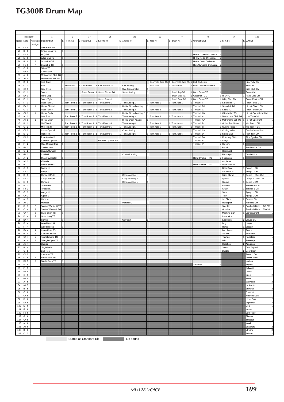# **TG300B Drum Map**

|                    | Program#                     |                  | $\mathbf{1}$        |  | 9                | 17                | 25                  | 26                     |  | 33                   | 41                 | 49                      |  | 57                   |    | 128                         |
|--------------------|------------------------------|------------------|---------------------|--|------------------|-------------------|---------------------|------------------------|--|----------------------|--------------------|-------------------------|--|----------------------|----|-----------------------------|
|                    |                              |                  |                     |  |                  |                   |                     |                        |  |                      |                    |                         |  |                      |    |                             |
| Note#              | Note                         | Alternate        | Standard Kit        |  | E Room Kit       | E Power Kit       | Electro Kit         | E Analog Kit           |  | Jazz Kit             | E Brush Kit        | Orchestra Kit           |  | <b>SFX Set</b>       | IE | C/M Kit                     |
|                    |                              | assign           |                     |  |                  |                   |                     |                        |  |                      |                    |                         |  |                      |    |                             |
| $25\,$             | C#0                          |                  | Snare Roll TG       |  |                  |                   |                     |                        |  |                      |                    |                         |  |                      |    |                             |
| 26                 | D 0                          |                  | Finger Snap TG      |  |                  |                   |                     |                        |  |                      |                    |                         |  |                      |    |                             |
| $27\,$             | D# 0                         |                  | Hi Q TG             |  |                  |                   |                     |                        |  |                      |                    | Hi-Hat Closed Orchestra |  |                      |    |                             |
| ${\bf 28}$         | $E \t 0$                     |                  | Whip Slap TG        |  |                  |                   |                     |                        |  |                      |                    | Hi-Hat Pedal Orchestra  |  |                      |    |                             |
| 29                 | $\,$ 0                       | $\overline{7}$   | Scratch H TG        |  |                  |                   |                     |                        |  |                      |                    | Hi-Hat Open Orchestra   |  |                      |    |                             |
| $30\,$             | F# 0                         | $\boldsymbol{7}$ | Scratch L TG        |  |                  |                   |                     |                        |  |                      |                    | Ride Cymbal 1 Orchestra |  |                      |    |                             |
| 31                 | G 0                          |                  | <b>Sticks TG</b>    |  |                  |                   |                     |                        |  |                      |                    |                         |  |                      |    |                             |
| 32                 | G# 0                         |                  | Click Noise TG      |  |                  |                   |                     |                        |  |                      |                    |                         |  |                      |    |                             |
| 33                 | A <sub>0</sub>               |                  | Metronome Click TG  |  |                  |                   |                     |                        |  |                      |                    |                         |  |                      |    |                             |
| 34                 | A# 0                         |                  | Metronome Bell TG   |  |                  |                   |                     |                        |  |                      |                    |                         |  |                      |    |                             |
| $35\,$             | B <sub>0</sub>               |                  | <b>Kick Tight</b>   |  |                  |                   |                     |                        |  |                      |                    | Kick Orchestra          |  |                      |    |                             |
|                    | Ċ                            |                  |                     |  | $\overline{1}$   |                   |                     |                        |  | Kick Tight Jazz TG 1 | Kick Tight Jazz TG |                         |  |                      |    | Kick Tight CM               |
| $36\,$             | $\overline{1}$               |                  | Kick                |  | Kick Room        | <b>Kick Power</b> | Kick Electro TG     | 1 Kick Analog          |  | Kick Jazz            | Kick Small         | Gran Cassa Orchestra    |  |                      |    | Kick CM                     |
| 37                 | C#1                          |                  | Side Stick          |  |                  |                   |                     | Side Stick Analog      |  |                      |                    |                         |  |                      |    | Side Stick CM               |
| 38                 | D <sub>1</sub>               |                  | Snare               |  |                  | Snare Power       | Snare Electro TG    | 1 Snare Analog         |  |                      | Brush Tap TG       | <b>Band Snare TG</b>    |  |                      |    | Snare CM                    |
| 39                 | D# 1                         |                  | Hand Clap           |  |                  |                   |                     |                        |  |                      | Brush Slap TG      | Castanet TG 2           |  | Hi Q TG              |    | Hand Clap CM                |
| 40                 | $\overline{1}$               |                  | Snare Tight         |  |                  |                   | Snare Power 2       |                        |  |                      | Brush Swirl TG     | Band Snare TG           |  | Whip Slap TG         |    | Snare Electro CM            |
| 41                 | $\overline{1}$               |                  | Floor Tom L         |  | Tom Room 1<br>I1 | Tom Room 1        | Tom Electro 1<br>11 | Tom Analog 1           |  | Tom Jazz 1           | Tom Jazz 1         | Timpani F               |  | Scratch H TG         |    | Floor Tom L CM              |
| 42                 | F# 1                         | $\mathbf{1}$     | Hi-Hat Closed       |  |                  |                   |                     | Hi-Hat Closed Analog   |  |                      |                    | Timpani F#              |  | Scratch L TG         |    | Hi-Hat Closed CM            |
| 43                 | G 1                          |                  | Floor Tom H         |  | Tom Room 2       | Tom Room 2        | Tom Electro 2       | Tom Analog 2           |  | Tom Jazz 2           | Tom Jazz 2         | Timpani G               |  | Sticks TG            |    | Floor Tom H CM              |
| 44                 | G# 1                         | $\mathbf{1}$     | Hi-Hat Pedal        |  |                  |                   |                     | Hi-Hat Closed Analog 2 |  |                      |                    | Timpani G#              |  | Click Noise TG       |    | Hi-Hat Open Short CM        |
| 45                 | A 1                          |                  | Low Tom             |  | Tom Room 3       | Tom Room 3        | Tom Electro 3       | Tom Analog 3           |  | Tom Jazz 3           | Tom Jazz 3         | Timpani A               |  | Metronome Click TG 1 |    | Low Tom CM                  |
| 46                 | A# 1                         | $\mathbf{1}$     | Hi-Hat Open         |  |                  |                   |                     | Hi-Hat Open Analog     |  |                      |                    | Timpani A#              |  | Metronome Bell TG    |    | Hi-Hat Open CM              |
| $47\,$             | <b>B</b> 1                   |                  | Mid Tom L           |  | Tom Room 4       | Tom Room 4        | Tom Electro 4       | Tom Analog 4           |  | I۰<br>Tom Jazz 4     | Tom Jazz 4         | Timpani B               |  | Guitar Fret Noise    |    | Mid Tom L CM                |
|                    |                              |                  |                     |  | I۰               |                   |                     |                        |  |                      |                    |                         |  |                      |    |                             |
| 48                 | C <sub>2</sub>               |                  | Mid Tom H           |  | Tom Room 5       | Tom Room 5        | Tom Electro 5       | Tom Analog 5           |  | Tom Jazz 5           | Tom Jazz 5         | Timpani C               |  | Cutting Noise H      |    | Mid Tom H CM                |
| 49                 | C#2                          |                  | Crash Cymbal 1      |  |                  |                   |                     | Crash Analog           |  |                      |                    | Timpani C#              |  | Cutting Noise L      |    | Crash Cymbal CM             |
| 50                 | D <sub>2</sub>               |                  | ligh Tom            |  | Tom Room 6       | Tom Room 6        | Tom Electro 6       | Tom Analog 6           |  | Tom Jazz 6           | Tom Jazz 6         | Timpani D               |  | <b>String Slap</b>   |    | High Tom CM                 |
| 51                 | D# 2                         |                  | Ride Cymbal 1       |  |                  |                   |                     |                        |  |                      |                    | Timpani D#              |  | Flute Key Click      |    | Ride Cymbal CM<br>I۱        |
| 52                 | $\overline{2}$<br>Е          |                  | Chinese Cymbal      |  |                  |                   | Reverse Cymbal TG   |                        |  |                      |                    | Timpani E               |  | Laugh                |    |                             |
| 53                 | $\overline{2}$               |                  | Ride Cymbal Cup     |  |                  |                   |                     |                        |  |                      |                    | Timpani F               |  | Scream               |    |                             |
| 54                 | F# 2                         |                  | Tambourine          |  |                  |                   |                     |                        |  |                      |                    |                         |  | Punch                | 1  | Tambourine CM<br>1          |
| 55                 | G <sub>2</sub>               |                  | Splash Cymbal       |  |                  |                   |                     |                        |  |                      |                    |                         |  | Heartbeat            |    |                             |
| 56                 | G# 2                         |                  | Cowbell             |  |                  |                   |                     | Cowbell Analog         |  |                      |                    |                         |  | Footsteps            |    | I1.<br>Cowbell CM           |
| 57                 | A 2                          |                  |                     |  |                  |                   |                     |                        |  |                      |                    |                         |  |                      |    |                             |
|                    |                              |                  | Crash Cymbal 2      |  |                  |                   |                     |                        |  |                      |                    | Hand Cymbal H TG        |  | Footsteps            |    |                             |
| 58                 | A# 2                         |                  | Vibraslap           |  |                  |                   |                     |                        |  |                      |                    |                         |  | Applause             |    |                             |
| 59                 | <b>B</b> 2                   |                  | Ride Cymbal 2       |  |                  |                   |                     |                        |  |                      |                    | Hand Cymbal L TG        |  | Door Squeak          |    |                             |
| 60                 | C <sub>3</sub>               |                  | Bongo H             |  |                  |                   |                     |                        |  |                      |                    |                         |  | Door Slam            | l٠ | Bongo H CM                  |
| 61                 | C# 3                         |                  | Bongo L             |  |                  |                   |                     |                        |  |                      |                    |                         |  | Scratch Cut          |    | 1 Bongo L CM                |
| 62                 | D <sub>3</sub>               |                  | Conga H Mute        |  |                  |                   |                     | Conga Analog H         |  |                      |                    |                         |  | Wind Chime           |    | Conga H Mute CM             |
| 63                 | D# 3                         |                  | Conga H Open        |  |                  |                   |                     | Conga Analog M         |  |                      |                    |                         |  | Ignition             |    | Conga H Open CM             |
| 64                 | $\overline{\mathbf{3}}$<br>F |                  | Conga L             |  |                  |                   |                     | Conga Analog L         |  |                      |                    |                         |  | Squeal               |    | Conga L CM                  |
| 65                 | $\overline{\mathbf{3}}$      |                  | Timbale H           |  |                  |                   |                     |                        |  |                      |                    |                         |  | Exhaust              |    | Timbale H CM                |
| 66                 | F# 3                         |                  | Timbale L           |  |                  |                   |                     |                        |  |                      |                    |                         |  | Crash                |    | Timbale L CM                |
| 67                 | G <sub>3</sub>               |                  | Agogo H             |  |                  |                   |                     |                        |  |                      |                    |                         |  | Siren                |    | Agogo H CM                  |
|                    |                              |                  |                     |  |                  |                   |                     |                        |  |                      |                    |                         |  |                      |    |                             |
| 68                 | G# 3                         |                  | Agogo L             |  |                  |                   |                     |                        |  |                      |                    |                         |  | Train                |    | Agogo L CM                  |
| 69                 | $A \quad 3$                  |                  | Cabasa              |  |                  |                   |                     |                        |  |                      |                    |                         |  | Jet Plane            |    | Cabasa CM                   |
| $70\,$             | A# 3                         |                  | Maracas             |  |                  |                   |                     | Maracas <sub>2</sub>   |  |                      |                    |                         |  | Helicopter           |    | Maracas CM                  |
| $\bf 71$           | B 3                          | $\overline{2}$   | Samba Whistle H TG  |  |                  |                   |                     |                        |  |                      |                    |                         |  | Starship             |    | Samba Whistle H TG CM       |
| $\scriptstyle{72}$ | $C_4$                        | $\boldsymbol{2}$ | Samba Whistle L TG  |  |                  |                   |                     |                        |  |                      |                    |                         |  | Gunshot              |    | Samba Whistle L TG CM       |
| $\bf 73$           | C#4                          | 3                | Guiro Short TG      |  |                  |                   |                     |                        |  |                      |                    |                         |  | Machine Gun          | Ŀ. | Vibraslap CM                |
| 74                 | D 4                          | 3                | Guiro Long TG       |  |                  |                   |                     |                        |  |                      |                    |                         |  | aser Gun             |    |                             |
| 75                 | D# 4                         |                  | Claves              |  |                  |                   |                     | Claves <sub>2</sub>    |  |                      |                    |                         |  | Explosion            |    | Claves CM                   |
| 76                 | $\overline{4}$<br>E          |                  | Wood Block H        |  |                  |                   |                     |                        |  |                      |                    |                         |  | Dog                  |    | Laugh                       |
| $77\,$             | $\overline{4}$<br>E          |                  | Wood Block L        |  |                  |                   |                     |                        |  |                      |                    |                         |  | Horse                |    | Scream                      |
| 78                 | F# 4                         | 4                | Cuica Mute TG       |  |                  |                   |                     |                        |  |                      |                    |                         |  | <b>Bird Tweet</b>    |    | Punch                       |
| 79                 | $G$ 4                        | $\sqrt{4}$       |                     |  |                  |                   |                     |                        |  |                      |                    |                         |  | Shower               | 2  | Heartbeat                   |
|                    |                              |                  | Cuica Open TG       |  |                  |                   |                     |                        |  |                      |                    |                         |  |                      |    |                             |
| 80                 | G#4                          | 5                | Triangle Mute TG    |  |                  |                   |                     |                        |  |                      |                    |                         |  | Thunder              |    | 1 Footsteps                 |
| 81                 | A 4                          | 5                | Triangle Open TG    |  |                  |                   |                     |                        |  |                      |                    |                         |  | Wind                 |    | 1 Footsteps                 |
| 82                 | A# 4                         |                  | Shaker              |  |                  |                   |                     |                        |  |                      |                    |                         |  | Seashore             |    | Applause                    |
| 83                 | <b>B</b> 4                   |                  | <b>Jingle Bells</b> |  |                  |                   |                     |                        |  |                      |                    |                         |  | Stream               |    | Door Squeak                 |
| 84                 | C <sub>5</sub>               |                  | <b>Bell Tree</b>    |  |                  |                   |                     |                        |  |                      |                    |                         |  | <b>Bubble</b><br>Ŀ   |    | Door Slam                   |
| 85                 | C# 5                         |                  | Castanet TG         |  |                  |                   |                     |                        |  |                      |                    |                         |  |                      |    | Scratch Cut<br>I۱           |
| 86                 | D <sub>5</sub>               | 6                | Surdo Mute TG       |  |                  |                   |                     |                        |  |                      |                    |                         |  |                      |    | k<br>Wind Chime             |
| 87                 | D# 5                         | 6                | Surdo Open TG       |  |                  |                   |                     |                        |  |                      |                    |                         |  |                      |    | gnition                     |
| 88                 | 5                            |                  |                     |  |                  |                   |                     |                        |  |                      |                    | Applause                |  |                      |    | Squeal                      |
| 89                 | 5                            |                  |                     |  |                  |                   |                     |                        |  |                      |                    |                         |  |                      |    | Exhaus                      |
| 90                 | F# 5                         |                  |                     |  |                  |                   |                     |                        |  |                      |                    |                         |  |                      |    | Crash                       |
| 91                 | G <sub>5</sub>               |                  |                     |  |                  |                   |                     |                        |  |                      |                    |                         |  |                      |    | Siren                       |
|                    |                              |                  |                     |  |                  |                   |                     |                        |  |                      |                    |                         |  |                      |    |                             |
| 92                 | G# 5                         |                  |                     |  |                  |                   |                     |                        |  |                      |                    |                         |  |                      |    | Train                       |
| 93                 | A 5                          |                  |                     |  |                  |                   |                     |                        |  |                      |                    |                         |  |                      |    | Jet Plane<br>ż              |
| 94                 | A# 5                         |                  |                     |  |                  |                   |                     |                        |  |                      |                    |                         |  |                      |    | Helicopter<br>I۱            |
| 95                 | <b>B</b> 5                   |                  |                     |  |                  |                   |                     |                        |  |                      |                    |                         |  |                      |    | Starship<br>$\overline{2}$  |
| 96                 | $\overline{C}$ 6             |                  |                     |  |                  |                   |                     |                        |  |                      |                    |                         |  |                      |    | I۰<br>Gunshot               |
| 97                 | C# 6                         |                  |                     |  |                  |                   |                     |                        |  |                      |                    |                         |  |                      |    | Ī٦<br>Machine Gun           |
| 98                 | D <sub>6</sub>               |                  |                     |  |                  |                   |                     |                        |  |                      |                    |                         |  |                      |    | $\overline{2}$<br>Laser Gun |
| 99                 | D#6                          |                  |                     |  |                  |                   |                     |                        |  |                      |                    |                         |  |                      |    | l2<br>Explosion             |
| 100                | E 6                          |                  |                     |  |                  |                   |                     |                        |  |                      |                    |                         |  |                      |    | I۱<br>Dog                   |
| 101                | 6<br>I۴                      |                  |                     |  |                  |                   |                     |                        |  |                      |                    |                         |  |                      |    | Horse<br>I۱                 |
|                    |                              |                  |                     |  |                  |                   |                     |                        |  |                      |                    |                         |  |                      |    | <b>Bird Tweet</b>           |
| 102                | F# 6                         |                  |                     |  |                  |                   |                     |                        |  |                      |                    |                         |  |                      |    |                             |
| 103                | G <sub>6</sub>               |                  |                     |  |                  |                   |                     |                        |  |                      |                    |                         |  |                      |    | Shower                      |
| 104                | G# 6                         |                  |                     |  |                  |                   |                     |                        |  |                      |                    |                         |  |                      |    | Thunder<br>1                |
| 105                | A <sub>6</sub>               |                  |                     |  |                  |                   |                     |                        |  |                      |                    |                         |  |                      |    | I۱.<br>Wind                 |
| 106                | A# 6                         |                  |                     |  |                  |                   |                     |                        |  |                      |                    |                         |  |                      |    | 2<br>Seashore               |
| 107                | <b>B</b> 6                   |                  |                     |  |                  |                   |                     |                        |  |                      |                    |                         |  |                      |    | $\overline{2}$<br>Stream    |
| 108                | $ c $ 7                      |                  |                     |  |                  |                   |                     |                        |  |                      |                    |                         |  |                      |    | $\overline{2}$<br>Bubble    |

: Same as Standard Kit : No sound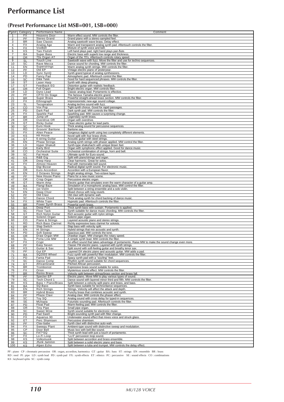## **Performance List**

### **(Preset Performance List MSB=001, LSB=000)**

|                 | Pgm#   Category | Performance Name               | Comment                                                                                                                   |
|-----------------|-----------------|--------------------------------|---------------------------------------------------------------------------------------------------------------------------|
|                 | <u>FX</u>       | Heavens Door                   | Warm effect sound. MW controls the filter.                                                                                |
| $\overline{2}$  | PF              | Stereo Grand                   | Grand piano with a stereo-sampled feel.                                                                                   |
| 3               | <b>BR</b>       | Saw Classic                    | Analog sawtooth wave brass. Delay effect                                                                                  |
| $\overline{4}$  | <b>FX</b>       | Analog Age                     | Warm and transparent analog synth pad. Aftertouch controls the filter.                                                    |
| $\overline{5}$  | <b>FX</b>       | VoxBell                        | Mixture of synth voice and bell.                                                                                          |
| 6               | KS              | Two Flutish                    | Left hand plays pad, right hand plays pan-flute.                                                                          |
| 7               | BA              | Super Bass                     | Electric bass with superb low range and thickness.                                                                        |
| 8               | <u>OR</u>       | 70s Organ AT                   | Organ of the 70's. Aftertouch controls rotary speed                                                                       |
| $\overline{9}$  | <u>SL</u>       | <b>Touch Line</b>              | Sawtooth wave with fuzz. Move the filter and use for techno sequences.                                                    |
| 10              | <u>sc</u>       | Rave Mecca                     | Dance sound for chording. MW controls the filter.                                                                         |
| 11              | EN              | Superstrings                   | Warm analog synth strings. MW controls the filter.                                                                        |
| 12              | PF              | Old EP                         | Vintage electric piano of yesteryear.                                                                                     |
| 13<br>14        | LD<br>PD        | Sync SynQ                      | Synth grand typical of analog synthesizers.                                                                               |
| 15              | SC              | Fancy Pad<br>Dikk Tekk         | Atmospheric pad. Aftertouch control the filter.<br>Good for hard sequenced phrases. MW controls the filter.               |
| 16              | <b>ST</b>       | Laser Harp                     | Synth with deep phasing.                                                                                                  |
| 17              | GT              | Feedback EG                    | Distortion guitar with realistic feedback.                                                                                |
| 18              | OR              | Full Organ                     | Bright electric organ. MW controls filter.                                                                                |
| 19              | LD              | Dyno Lead                      | Classic analog lead. Portamento is effective.                                                                             |
| 20              | PF              | CP70 On Stage                  | The famous Yamaha electric grand.                                                                                         |
| 21              | <b>BR</b>       | <b>Super Brass</b>             | Powerful straight-ahead brass section. MW controls the filter.                                                            |
| 22              | FX              | Ethnograph                     | Impressionistic new-age sound collage.                                                                                    |
| 23              | SL              | Tecspiration                   | Analog techno sound with fuzz                                                                                             |
| 24              | CO              | Vox Pop                        | Tight synth chorus. Good for rapid passages.                                                                              |
| 25              | PD              | Dark Pad                       | Dark synth pad. MW controls the filter.                                                                                   |
| 26              | <u>FX</u>       | Sparkle Pad                    | Sparkling pad. MW causes a surprising change.                                                                             |
| $\overline{27}$ | <b>BR</b>       | Jump-off                       | Legendary synth brass.                                                                                                    |
| 28              | OR              | Overdrive OR                   | Organ with overdrive.                                                                                                     |
| 29              | GT              | <b>Ricky Guitar</b>            | Clean electric guitar for lead parts.                                                                                     |
| 30              | sc              | Euro Hook                      | Thick analog sound for percussive sequences                                                                               |
| 31              | <b>RD</b>       | Groovin' Baritone              | Baritone sax.                                                                                                             |
| 32              | FX              | Alien Peace                    | Gorgeous digital synth using two completely different elements.                                                           |
| 33              | <b>KS</b>       | <b>Hit House</b>               | Novel split with four brass shots.                                                                                        |
| 34              | GT              | 6-string Guitar                | Acoustic guitar with steel strings.                                                                                       |
| 35              | EN              | <b>Phase Strings</b>           | Analog synth strings with phaser applied. MW control the filter.                                                          |
| 36              | LD              | <b>Hyper Shaku8</b>            | Synth-type shakuhachi with unique blown feel.<br>Organ with symphonic effect applied. Good for dance music.               |
| 37<br>38        | OR<br>CO        | Early Bird<br>Orchestral Suite | Orchestral combination of strings, horn and bell.                                                                         |
| 39              |                 | Fat Hook                       | Ultimate synth for Euro-sound.                                                                                            |
| 40              | $rac{SC}{KS}$   | R&B Gig                        | Split with piano/strings and organ.                                                                                       |
| 41              | OR              | Deep Harp                      | Clear harmonic. Great for solos.                                                                                          |
| 42              | <b>FX</b>       | Almost Heaven                  | Pad with memorable bell sound.                                                                                            |
| 43              | SL              | Digi Bizzar                    | Radical digital synth sound. For electronic music.                                                                        |
| 44              | OR              | Euro Accordion                 | Accordion with a European flavor.                                                                                         |
| 45              | EN              | 2 Octaves Strings              | Bright analog strings. Two-octave layer.                                                                                  |
| 46              | PF              | New House Piano                | Piano for a new music scene.                                                                                              |
| 47              | OR              | Crisp Organ                    | Percussive electric organ.                                                                                                |
| 48              | GT              | Warm Amp                       | Electric guitar that simulates even the warm character of a guitar amp.                                                   |
| 49              | <b>BA</b>       | Flangi Baze                    | Simulation of a monophonic analog bass. MW control the filter.                                                            |
| 50              | KS              | 1st Violin                     | Split between a string ensemble and a solo violin.                                                                        |
| 51              | EN              | Deep Choir                     | Mixed chorus with long reverb.                                                                                            |
| 52              | PF              | Old Clavi                      | Old clavi with dynamic wah.                                                                                               |
| 53              | SC              | Dance Chord                    | Thick analog synth for chord backing of dance music.                                                                      |
| 54              | FX              | White Train                    | Hypnotic pad. Aftertouch controls the filter.                                                                             |
| 55              | <b>BR</b>       | Power Synth Brass              | Powerful synth brass.                                                                                                     |
| 56              | <b>BA</b>       | Deep Port<br><b>Floor Tack</b> | Thick synth bass with sustain. Portamento is applied.<br>Synth suitable for dance music chording. MW controls the filter. |
| 57<br>58        | <u>sc</u><br>GT | Rich Nylon Guitar              | Rich acoustic guitar with nylon strings.                                                                                  |
| 59              | <b>OR</b>       | Solemn Organ                   | Solemn pipe organ.                                                                                                        |
| 60              | CO              | Piano & Strings                | Layered acoustic piano and stereo strings.                                                                                |
| 61              | <b>RD</b>       | <b>Rich Bass Clarinet</b>      | Richly expressive bass clarinet for soloists.                                                                             |
| 62              | BR              | Slap Switch                    | Slap bass with velocity split.                                                                                            |
| 63              | EN              | Hi Strings                     | Hybrid strings that mix acoustic and synth.                                                                               |
| 64              | PD              | Soft Sweep                     | Spacious pad. MW controls the tone.                                                                                       |
| 65              | <b>OR</b>       | Draw Organ MW                  | Drawbar organ. MW changes the rotary speed.                                                                               |
| 66              | <u>SL</u>       | Porta Line MW                  | A simple synth lead. MW controls the filter.                                                                              |
| 67              | FX              | Crypt                          | An effect sound that takes advantage of portamento. Raise MW to make the sound change even more.                          |
| 68              | PF              | Easy Seven                     | Classic FM electric piano. Layered with synth strings.                                                                    |
| 69              | KS              | Guitar & Sax                   | Split sound with soft-feeling guitar and breathy tenor sax.                                                               |
| 70              | PF              | Gut EP                         | Layered DX electric piano and acoustic guitar. MW adds a pad.                                                             |
| 71              | BA              | SQ2003 Wheel<br>Fanta Pad      | Fuzz synth with powerful filter modulation. MW controls the filter.<br>Spacy synth pad with a "sizzling" feel.            |
| 72<br><u>73</u> | PD<br><u>sc</u> | Dance Comp                     | Rhythm synth sound suitable for chord sequences                                                                           |
| 74              | <u>ET</u>       | AfricanGrand                   | Pitched African percussion.                                                                                               |
| 75              | <b>BR</b>       | Trombonist                     | Expressive brass sound suitable for solos.                                                                                |
| 76              | <b>FX</b>       | Orion                          | Mysterious sound effect. MW controls the filter                                                                           |
| 77              | <b>BR</b>       | <b>Remix Brass</b>             | Velocity split between strings/brass section and brass fall                                                               |
| 78              | PF              | Specter EP                     | Electric piano. Move MW to play various types of sound.                                                                   |
| 79              | sc              | Tech Chord 1                   | Dance sound with layered minor third and fifth. MW controls the filter.                                                   |
| 80              | KS              | Bass + Piano/Brass             | Split between a velocity-split piano and brass, and bass                                                                  |
| 81              | BA              | SQ-Bass                        | Synth bass suitable for techno/dance sequences.                                                                           |
| 82              | <u>EN</u>       | <b>Rich Strings</b>            | Strings. Velocity will affect the attack and depth.                                                                       |
| 83              | BR              | <b>Hybrid Brass</b>            | Punchy brass that combines acoustic and synth.                                                                            |
| 84              | PF              | Phaze Clavi                    | Analog clavi. MW controls the phaser effect.                                                                              |
| 85              | sc              | Toy SQ                         | Analog sound with cross delay for typed-in sequences                                                                      |
| 86              | SE<br>PD        | MUtopia                        | Futuristic-sounding pad. Aftertouch controls the filter.                                                                  |
| 87              |                 | Float Pad<br><b>Tiny Pipe</b>  | Warm-feeling pad. MW controls the filter.                                                                                 |
| 88              | <b>OR</b>       | Sweet Wine                     | Small pipe organ.<br>Synth sound suitable for electronic music.                                                           |
| 89<br>90        | SC<br>PD        | Pad Swell                      | Bright-sounding synth pad with filter change.                                                                             |
| 91              | <b>FX</b>       | Aquarius 90                    | Underwater sound effect that mixes voice and struck glass.                                                                |
| 92              | <u>ET</u>       | Perc Shamisen                  | Percussive shamisen.                                                                                                      |
| 93              | PF              | Clav-babe                      | Synth clavi with distinctive auto-wah.                                                                                    |
| 94              | FX              | <b>Sweepy Plant</b>            | Ambient-type sound with distinctive sweep and modulation.                                                                 |
| 95              | CP              | Door Bell                      | Music box with bell-like sound.                                                                                           |
| 96              | SC              | FAT*SQ                         | Thick synth lead with just a touch of portamento.                                                                         |
| 97              | <b>FX</b>       | Lo-Fi Loop                     | "Lo-fi" percussion loop sound.                                                                                            |
| 98              | <b>KS</b>       | Volksmusik                     | Split between accordion and brass ensemble.                                                                               |
| 99              | <b>KS</b>       | Jfunk Jammin                   | Split between a solid electric piano and bass.                                                                            |
| 100             | <b>KS</b>       | Alpen Echo                     | Split between a tuba and trumpet. MW controls the delay effect.                                                           |

PF : piano CP : chromatic percussion OR : organ, accordion, harmonica GT : guitar BA : bass ST : strings EN : ensemble BR : brass

RD : reed PI : pipe LD : synth lead PD : synth pad FX : synth effects ET : ethnics PC : percussive SE : sound effects CO : combinations KS : keyboard splits SC : synth comp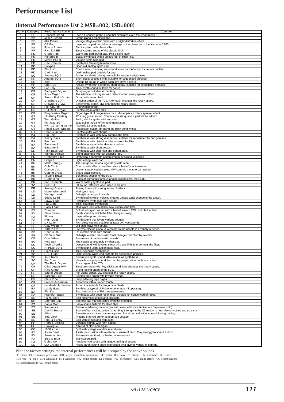## **Performance List**

#### **(Internal Performance List 2 MSB=002, LSB=000)**

|                 | Pgm# Category   | Performance Name      | Comment                                                                                               |
|-----------------|-----------------|-----------------------|-------------------------------------------------------------------------------------------------------|
|                 | PF              | <b>Concert Grand</b>  | Rich full-concert grand piano that simulates even the resonances.                                     |
| $\overline{2}$  | PF              | Midi & Grand          | Grand piano + electric piano.                                                                         |
| 3               | PF              | 60s Piano             | Vintage stage electric piano with a slight distortion effect.                                         |
| $\overline{4}$  | PF              | CP Pad                | Layer with a pad that takes advantage of the character of the Yamaha CP80.                            |
| 5               | PF              | Rhody Phaze           | Electric piano with phase effect.                                                                     |
|                 | PF              | Rich DX EP            | Electric piano sound of the classic DX7                                                               |
| 6               |                 |                       |                                                                                                       |
| $\overline{7}$  | PD              | Grand Pad             | Warm and dark synth pad. Two-octave layer.                                                            |
| $\frac{8}{2}$   | PD              | Pictures II           | Spacy synth pad with a unique feel of pitch rise.                                                     |
| $\overline{9}$  | PD              | Movie Pad II          | Vintage synth-type pad.                                                                               |
| 10              | PD              | Hmu Choirer           | Synth pad featuring human voice.                                                                      |
| 11              | PD              | Polypad               | Good old analog synth pad.                                                                            |
| 12              | PD              | <b>Blonk Y</b>        | Combination of analog sound and voice pad. Aftertouch controls the filter.                            |
| 13              | PD              | Dark Pad              | Dark-feeling pad suitable for pop                                                                     |
| 14              | <b>SC</b>       | Analog SQ 1           | Analog synth with decay, suitable for sequenced phrases.                                              |
|                 |                 |                       |                                                                                                       |
| 15              | <b>SC</b>       | Analog SQ 2           | Short decay analog synth, suitable for sequenced phrases.                                             |
| 16              | <b>SC</b>       | Xen                   | Unique hit sound in which each key plays a chord.                                                     |
| 17              | <u>sc</u>       | Short SQ              | Analog synth with extremely short decay, suitable for sequenced phrases.                              |
| 18              | <u>sc</u>       | Fat Poly              | Thick synth sound suitable for dance.                                                                 |
| 19              | OR              | Backyard Organ        | Jazzy organ suitable for backing.                                                                     |
| 20              | OR              | Rock Organ            | The ultimate rock organ, with distortion and rotary speaker effect.                                   |
| $\overline{21}$ | <b>OR</b>       | Stereo Field Organ    | Organ with stereo feel.                                                                               |
| $\overline{22}$ | OR              | Drawbars 1 AT         | Drawbar organ of the 70's. Aftertouch changes the rotary speed.                                       |
| 23              | OR              | Drawbars 2 MW         | Sentimental organ. MW changes the rotary speed.                                                       |
|                 |                 |                       |                                                                                                       |
| 24              | OR              | Full Church           | Church pipe organ.                                                                                    |
| 25              | <b>OR</b>       | Old Rock Organ        | Electric organ of the 60's.                                                                           |
| 26              | <b>OR</b>       | Progressive Organ     | Organ typical of progressive rock. MW applies a rotary speaker effect.                                |
| 27              | GТ              | 12-string Fantasy     | 12 string guitar sound. Continue pressing, and a pad will be added.                                   |
| 28              | GT              | Wah Guitar            | Funky electric guitar with auto-wah.                                                                  |
| 29              | <u>GT</u>       | FM Jazz EG            | Jazz guitar typical of FM tone generators                                                             |
| 30              | <u>GT</u>       | Rich 12-string Guitar | Acoustic 12 string guitar.                                                                            |
|                 |                 | Pedal Steel Wheeler   | Pedal steel guitar. Try using the pitch bend wheel.                                                   |
| 31              | GT              |                       |                                                                                                       |
| 32              | GT              | Chorus Guitar         | Electric guitar with chorus.                                                                          |
| 33              | BA              | Hip Bais              | Synth bass with wah. MW controls the filter.                                                          |
| 34              | BA              | <b>Rezzy Bass</b>     | Synth bass with strong resonance, suitable for sequenced techno phrases.                              |
| 35              | BA              | Fuzzline              | Synth bass with distortion. MW controls the filter.                                                   |
| 36              | BA              | Bassline 1            | Synth bass suitable for dance or techno.                                                              |
| 37              | <b>BA</b>       | Bassline 2            | Synth bass with short decay.                                                                          |
| 38              | EN              | Pink Bass MW          | Synth bass with distortion and portamento.                                                            |
| 39              |                 |                       |                                                                                                       |
|                 | EN              | Vienna Strings        | String ensemble with an acoustic feel.                                                                |
| 40              | EN              | Orchestra Plus        | Orchestral sound with added timpani at strong velocities.                                             |
| 41              | EN              | Litepad               | Light-feeling synth pad.                                                                              |
| 42              | EN              | <b>Mello Strings</b>  | The strings sound of a legendary instrument.                                                          |
| 43              | EN              | Ooh Choir             | Chorus, with effects used to create a feel of spaciousness.                                           |
| 44              | EN              | Compu Vox             | Use on sequenced phrases. MW controls the auto-pan speed.                                             |
| 45              | <b>BR</b>       | <b>Cutting Brass</b>  | Sharp brass section.                                                                                  |
|                 | <b>BR</b>       | Tijuana Brass         | Soft brass section of the 60's.                                                                       |
| <u>46</u><br>47 |                 | CS80 Mind             | Brass of Yamaha's famous analog synthesizer, the CS80.                                                |
|                 | BR              |                       |                                                                                                       |
| 48              | <b>BR</b>       | <b>Fat Ensemble</b>   | Warm analog synth-like pad.                                                                           |
| 49              | SC              | <b>Beat Hit</b>       | Hit sound, effective when used in an intro.                                                           |
| 50              | <b>BR</b>       | Analog Brass          | Analog brass with strong sense of attack.                                                             |
| 51              | LD              | Mono Wire Lead        | Mild synth lead.                                                                                      |
| 52              | LD              | Vintage Lead          | Old-style analog solo synth.                                                                          |
| 53              | LD              | <b>Sticky Lead</b>    | Synth lead in which velocity creates unique tonal change in the attack.                               |
| <u>54</u>       | <u>LD</u>       | Saww Lead             | Percussive synth lead with detune.                                                                    |
| 55              | <u>LD</u>       | Fat Glide             | Thick-sounding synth lead.                                                                            |
|                 | LD              | Early Lead            | Mild synth lead with attack. MW controls the filter.                                                  |
| 56              |                 |                       |                                                                                                       |
| 57              | <b>FX</b>       | <b>Dreamer</b>        | Soft-attack synth sound with a feel of sweep. MW controls the filter.                                 |
| 58              | <b>FX</b>       | Slow Sweep            | Synth sound in which the filter changes slowly.                                                       |
| 59              | <b>FX</b>       | Flower                | Layered harp and chorus.                                                                              |
| 60              | FX              | High Light            | Synth sound that layers various sounds                                                                |
| 61              | PF              | DX Lover              | Rich electric piano that blends tasty DX-type sounds.                                                 |
| 62              | PF              | Clav Western          | Old-style clavi-type sound.                                                                           |
| 63              | PF              | <b>TX802 EP</b>       | FM-type electric piano. A versatile sound usable in a variety of styles.                              |
|                 | PF              | Chorus DX EP          | DX electric piano with chorus.                                                                        |
| 64              |                 |                       |                                                                                                       |
| 65              | PF              | EP Velo SW            | Old-style electric piano with tonal change controlled by velocity.                                    |
| 66              | СP              | Cool Vibes            | Percussive vibraphone with reverb                                                                     |
| 67              | SC              | Poly Syn              | The classic analog poly synthesizer.                                                                  |
| 68              | SC              | Tech Chord 2          | Dance sound with layered minor third and fifth. MW controls the filter.                               |
| 69              | SC              | Hi Pass SQ 1          | Synth sound using a high pass filter.                                                                 |
| 70              | <u>sc</u>       | <b>Eight Oscis</b>    | Thick-sounding synth brass.                                                                           |
| 71              | <b>SC</b>       | <b>HPF Flight</b>     | Light-feeling synth lead suitable for sequenced phrases.                                              |
| 72              | <u>sc</u>       | <b>Acid Hook</b>      | Percussive synth sound. Also usable as synth bass.                                                    |
| <u>73</u>       |                 | Fat Comp              | Versatile comping sound that can be played either as brass or lead.                                   |
| 74              | <u>sc</u><br>OR | 70s Rock Organ        | Rock organ of the 70's.                                                                               |
|                 |                 |                       |                                                                                                       |
| 75              | OR              | Click Organ MW        | Electronic organ with key-click sound. MW changes the rotary speed.                                   |
| 76              | OR              | Nice Organ            | Bright-feeling organ of the 80's.                                                                     |
| 77              | <b>OR</b>       | Sacral Organ          | Full digital organ. MW changes the rotary speed.                                                      |
| 78              | OR              | <b>Baroque Feel</b>   | Solemn pipe organ with layered strings.                                                               |
| 79              | ΟR              | Plain Pipe            | Simple-feeling pipe organ.                                                                            |
| 80              | OR              | French Accordion      | Accordion with a French touch.                                                                        |
| 81              | OR              | Lambada Accordion     | Accordion suitable for tango or lambada.                                                              |
|                 | BA              | <b>Lately Bass</b>    | Synth bass typical of FM tone generators (4 operator)                                                 |
| 82              |                 |                       | Slap bass typical of FM tone generators.                                                              |
| 83              | BA              | FM Slap               |                                                                                                       |
| 84              | BA              | <b>Frankfurt Bass</b> | Synth bass with deep resonance, suitable for sequenced phrases.                                       |
| 85              | KS              | Pizza Time            | Split ensemble strings and pizzicato.                                                                 |
| 86              | <b>RD</b>       | Soprano Sax           | Soprano sax that simulates even the breathing.                                                        |
| 87              | ET              | Banjo Man             | Banjo sound suitable for Dixie style.                                                                 |
| 88              | ET              | Kanoonics             | Percussive-feeling canoon (an instrument with tone similar to a Japanese Koto).                       |
| 89              | <b>SE</b>       | Devil's House         | Sound effect evoking a devil's lair. Play strongly in the C3 region to hear demon voices and screams. |
| 90              | <b>SE</b>       | Alien                 | A mysterious space creature appears. For strong velocities you will hear groaning.                    |
|                 |                 |                       |                                                                                                       |
| 91              | <u>SE</u>       | Sea View              | Pretend that you are on a deep-sea voyage                                                             |
| 92              | KS              | Phat & Funky          | Split with strings and wah guitar.                                                                    |
| 93              | <u>co</u>       | Horn & Strings        | Versatile strings with horn added.                                                                    |
| 94              | $_{\rm CO}$     | Clavorque             | A blend of clavi and organ.                                                                           |
| 95              | $_{\rm CO}$     | 1950's Jazz           | Split with vintage wood bass and piano.                                                               |
| 96              | ET              | Asian Beat            | Asiatic percussion with mysterious sense of pitch. Play strongly to sound a drum.                     |
| 97              | FX              | Sweepy Line           | Percussive synth with a feeling of resonance.                                                         |
| 98              | <b>FX</b>       | Blue & Blue           | Transparent pad.                                                                                      |
| 99              | FX              | Going UP              | Ambient-type sound with unique feeling of ascent.                                                     |
| 100             | SE              | <b>MU Creation</b>    | Avant-garde sound effect expressed by a diverse variety of sounds.                                    |
|                 |                 |                       |                                                                                                       |

With the factory settings, the internal performances will be occupied by the above sounds.

PF : piano CP : chromatic percussion OR : organ, accordion, harmonica GT : guitar BA : bass ST : strings EN : ensemble BR : brass<br>RD : reed PI : pipe LD : synth lead PD : synth pad FX : synth effects ET : ethnics PC : perc KS : keyboard splits SC : synth comp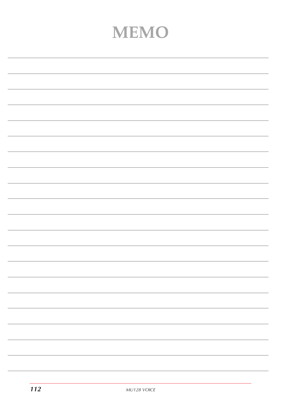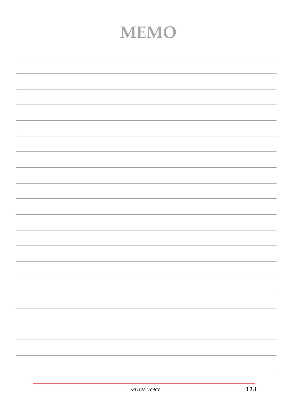# **MEMO**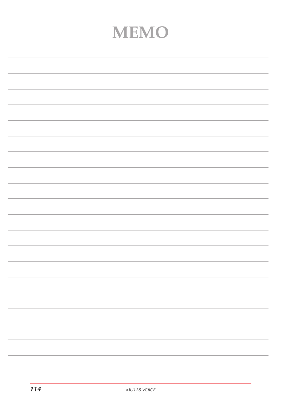